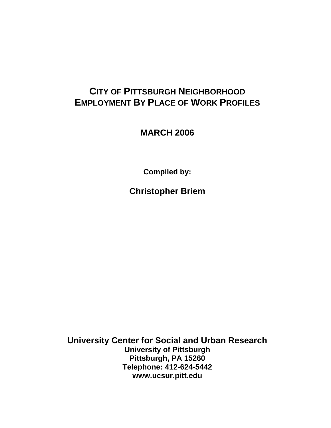# **CITY OF PITTSBURGH NEIGHBORHOOD EMPLOYMENT BY PLACE OF WORK PROFILES**

**MARCH 2006** 

**Compiled by:** 

**Christopher Briem** 

**University Center for Social and Urban Research University of Pittsburgh Pittsburgh, PA 15260 Telephone: 412-624-5442 www.ucsur.pitt.edu**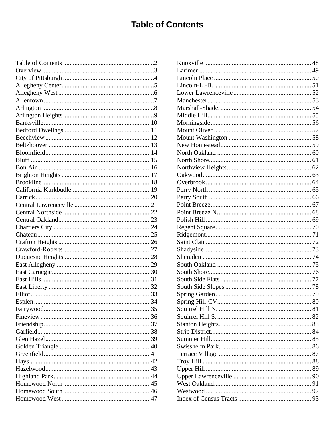# **Table of Contents**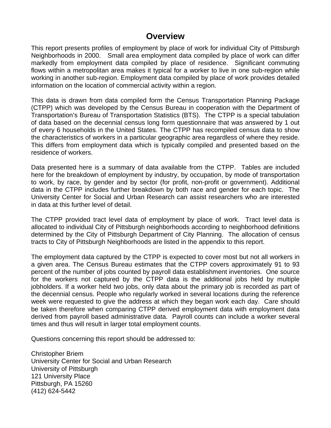### **Overview**

This report presents profiles of employment by place of work for individual City of Pittsburgh Neighborhoods in 2000. Small area employment data compiled by place of work can differ markedly from employment data compiled by place of residence. Significant commuting flows within a metropolitan area makes it typical for a worker to live in one sub-region while working in another sub-region. Employment data compiled by place of work provides detailed information on the location of commercial activity within a region.

This data is drawn from data compiled form the Census Transportation Planning Package (CTPP) which was developed by the Census Bureau in cooperation with the Department of Transportation's Bureau of Transportation Statistics (BTS). The CTPP is a special tabulation of data based on the decennial census long form questionnaire that was answered by 1 out of every 6 households in the United States. The CTPP has recompiled census data to show the characteristics of workers in a particular geographic area regardless of where they reside. This differs from employment data which is typically compiled and presented based on the residence of workers.

Data presented here is a summary of data available from the CTPP. Tables are included here for the breakdown of employment by industry, by occupation, by mode of transportation to work, by race, by gender and by sector (for profit, non-profit or government). Additional data in the CTPP includes further breakdown by both race and gender for each topic. The University Center for Social and Urban Research can assist researchers who are interested in data at this further level of detail.

The CTPP provided tract level data of employment by place of work. Tract level data is allocated to individual City of Pittsburgh neighborhoods according to neighborhood definitions determined by the City of Pittsburgh Department of City Planning. The allocation of census tracts to City of Pittsburgh Neighborhoods are listed in the appendix to this report.

The employment data captured by the CTPP is expected to cover most but not all workers in a given area. The Census Bureau estimates that the CTPP covers approximately 91 to 93 percent of the number of jobs counted by payroll data establishment inventories. One source for the workers not captured by the CTPP data is the additional jobs held by multiple jobholders. If a worker held two jobs, only data about the primary job is recorded as part of the decennial census. People who regularly worked in several locations during the reference week were requested to give the address at which they began work each day. Care should be taken therefore when comparing CTPP derived employment data with employment data derived from payroll based administrative data. Payroll counts can include a worker several times and thus will result in larger total employment counts.

Questions concerning this report should be addressed to:

Christopher Briem University Center for Social and Urban Research University of Pittsburgh 121 University Place Pittsburgh, PA 15260 (412) 624-5442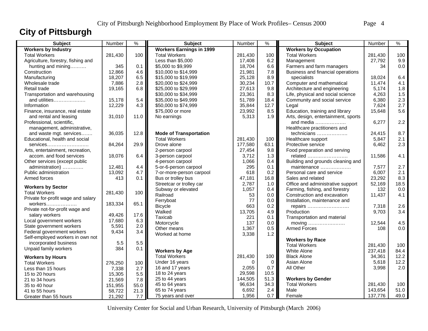# **City of Pittsburgh**

| <b>Subject</b>                                            | Number  | $\%$ | <b>Subject</b>                  | Number   | $\%$ | Subject                             | Number  | $\frac{9}{6}$ |
|-----------------------------------------------------------|---------|------|---------------------------------|----------|------|-------------------------------------|---------|---------------|
| <b>Workers by Industry</b>                                |         |      | <b>Workers Earnings in 1999</b> |          |      | <b>Workers by Occupation</b>        |         |               |
| <b>Total Workers</b>                                      | 281,430 | 100  | <b>Total Workers</b>            | 281,430  | 100  | <b>Total Workers</b>                | 281,430 | 100           |
| Agriculture, forestry, fishing and                        |         |      | Less than \$5,000               | 17,408   | 6.2  | Management                          | 27,792  | 9.9           |
| hunting and mining                                        | 345     | 0.1  | \$5,000 to \$9,999              | 18,704   | 6.6  | Farmers and farm managers           | 34      | $0.0\,$       |
| Construction                                              | 12,866  | 4.6  | \$10,000 to \$14,999            | 21,981   | 7.8  | Business and financial operations   |         |               |
| Manufacturing                                             | 18,207  | 6.5  | \$15,000 to \$19,999            | 25,128   | 8.9  | specialists                         | 18,024  | 6.4           |
| Wholesale trade                                           | 7,886   | 2.8  | \$20,000 to \$24,999            | 30,234   | 10.7 | Computer and mathematical           | 11,474  | 4.1           |
| Retail trade                                              | 19,165  | 6.8  | \$25,000 to \$29,999            | 27,613   | 9.8  | Architecture and engineering        | 5,174   | 1.8           |
| Transportation and warehousing                            |         |      | \$30,000 to \$34,999            | 23,361   | 8.3  | Life, physical and social science   | 4,263   | 1.5           |
| and utilities                                             | 15,178  | 5.4  | \$35,000 to \$49,999            | 51,789   | 18.4 | Community and social service        | 6,380   | 2.3           |
| Information                                               | 12,229  | 4.3  | \$50,000 to \$74,999            | 35,844   | 12.7 | Legal                               | 7,624   | 2.7           |
| Finance, insurance, real estate                           |         |      | \$75,000 or more                | 23,992   | 8.5  | Education, training and library     | 15,648  | 5.6           |
| and rental and leasing                                    | 31,010  | 11.0 | No earnings                     | 5,313    | 1.9  | Arts, design, entertainment, sports |         |               |
| Professional, scientific,                                 |         |      |                                 |          |      | and media                           | 6,277   | 2.2           |
| management, administrative,                               |         |      |                                 |          |      | Healthcare practitioners and        |         |               |
| and waste mgt. services                                   | 36,035  | 12.8 | <b>Mode of Transportation</b>   |          |      | technicians                         | 24,415  | 8.7           |
| Educational, health and social                            |         |      | <b>Total Workers</b>            | 281,430  | 100  | Healthcare support                  | 5,847   | 2.1           |
| $s$ ervices                                               | 84,264  | 29.9 | Drove alone                     | 177,580  | 63.1 | Protective service                  | 6,462   | 2.3           |
| Arts, entertainment, recreation,                          |         |      | 2-person carpool                | 27,454   | 9.8  | Food preparation and serving        |         |               |
| accom, and food services                                  | 18,076  | 6.4  | 3-person carpool                | 3.712    | 1.3  | related                             | 11,586  | 4.1           |
| Other services (except public                             |         |      | 4-person carpool                | 1,066    | 0.4  | Building and grounds cleaning and   |         |               |
| administration)                                           | 12,481  | 4.4  | 5-or-6-person carpool           | 295      | 0.1  | maintenance                         | 7,577   | 2.7           |
| Public administration                                     | 13,092  | 4.7  | 7-or-more-person carpool        | 618      | 0.2  | Personal care and service           | 6,007   | 2.1           |
| Armed forces                                              | 413     | 0.1  | Bus or trolley bus              | 47,181   | 16.8 | Sales and related                   | 23,292  | 8.3           |
| <b>Workers by Sector</b>                                  |         |      | Streetcar or trolley car        | 2.787    | 1.0  | Office and administrative support   | 52,169  | 18.5          |
| <b>Total Workers</b>                                      | 281,430 | 100  | Subway or elevated              | 1,057    | 0.4  | Farming, fishing, and forestry      | 132     | 0.0           |
|                                                           |         |      | Railroad                        | 53       | 0.0  | Construction and excavation         | 11,437  | 4.1           |
| Private for-profit wage and salary                        |         | 65.1 | Ferryboat                       | 77       | 0.0  | Installation, maintenance and       |         |               |
| workers                                                   | 183,334 |      | <b>Bicycle</b>                  | 663      | 0.2  | repairs                             | 7,318   | 2.6           |
| Private not-for-profit wage and<br>salary workers         | 49,426  | 17.6 | Walked                          | 13,705   | 4.9  | Production                          | 9,703   | 3.4           |
|                                                           | 17,680  | 6.3  | Taxicab                         | 221      | 0.1  | Transportation and material         |         |               |
| Local government workers<br>State government workers      | 5,591   | 2.0  | Motorcycle                      | 137      | 0.0  |                                     | 12,544  | 4.5           |
|                                                           |         |      | Other means                     | 1,367    | 0.5  | <b>Armed Forces</b>                 | 108     | 0.0           |
| Federal government workers                                | 9,434   | 3.4  | Worked at home                  | 3,338    | 1.2  |                                     |         |               |
| Self-employed workers in own not<br>incorporated business | 5.5     | 5.5  |                                 |          |      | <b>Workers by Race</b>              |         |               |
|                                                           | 384     | 0.1  |                                 |          |      | <b>Total Workers</b>                | 281.430 | 100           |
| Unpaid family workers                                     |         |      | <b>Workers by Age</b>           |          |      | <b>White Alone</b>                  | 237,418 | 84.4          |
| <b>Workers by Hours</b>                                   |         |      | <b>Total Workers</b>            | 281,430  | 100  | <b>Black Alone</b>                  | 34,361  | 12.2          |
| <b>Total Workers</b>                                      | 276,250 | 100  | Under 16 years                  | $\Omega$ | 0    | Asian Alone                         | 5,618   | 12.2          |
| Less than 15 hours                                        | 7,338   | 2.7  | 16 and 17 years                 | 2,055    | 0.7  | All Other                           | 3,998   | 2.0           |
| 15 to 20 hours                                            | 15,305  | 5.5  | 18 to 24 years                  | 29,598   | 10.5 |                                     |         |               |
| 21 to 34 hours                                            | 21,569  | 7.8  | 25 to 44 years                  | 144,505  | 51.3 | <b>Workers by Gender</b>            |         |               |
| 35 to 40 hour                                             | 151,955 | 55.0 | 45 to 64 years                  | 96,634   | 34.3 | <b>Total Workers</b>                | 281,430 | 100           |
| 41 to 55 hours                                            | 58,722  | 21.3 | 65 to 74 years                  | 6,692    | 2.4  | Male                                | 143,654 | 51.0          |
| Greater than 55 hours                                     | 21,292  | 7.7  | 75 years and over               | 1,956    | 0.7  | Female                              | 137,776 | 49.0          |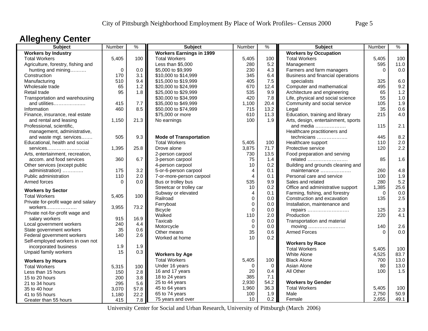### **Allegheny Center**

| <b>Subject</b>                                  | Number    | $\%$ | <b>Subject</b>                  | Number         | $\%$ | <b>Subject</b>                      | Number   | $\%$ |
|-------------------------------------------------|-----------|------|---------------------------------|----------------|------|-------------------------------------|----------|------|
| <b>Workers by Industry</b>                      |           |      | <b>Workers Earnings in 1999</b> |                |      | <b>Workers by Occupation</b>        |          |      |
| <b>Total Workers</b>                            | 5,405     | 100  | <b>Total Workers</b>            | 5,405          | 100  | <b>Total Workers</b>                | 5,405    | 100  |
| Agriculture, forestry, fishing and              |           |      | Less than \$5,000               | 280            | 5.2  | Management                          | 595      | 11.0 |
| hunting and mining                              | $\pmb{0}$ | 0.0  | \$5,000 to \$9,999              | 230            | 4.3  | Farmers and farm managers           | $\Omega$ | 0.0  |
| Construction                                    | 170       | 3.1  | \$10,000 to \$14,999            | 345            | 6.4  | Business and financial operations   |          |      |
| Manufacturing                                   | 510       | 9.4  | \$15,000 to \$19,999            | 405            | 7.5  | specialists                         | 325      | 6.0  |
| Wholesale trade                                 | 65        | 1.2  | \$20,000 to \$24,999            | 670            | 12.4 | Computer and mathematical           | 495      | 9.2  |
| Retail trade                                    | 95        | 1.8  | \$25,000 to \$29,999            | 535            | 9.9  | Architecture and engineering        | 65       | 1.2  |
| Transportation and warehousing                  |           |      | \$30,000 to \$34,999            | 420            | 7.8  | Life, physical and social science   | 55       | 1.0  |
| and utilities                                   | 415       | 7.7  | \$35,000 to \$49,999            | 1,100          | 20.4 | Community and social service        | 105      | 1.9  |
| Information                                     | 460       | 8.5  | \$50,000 to \$74,999            | 715            | 13.2 | Legal                               | 35       | 0.6  |
| Finance, insurance, real estate                 |           |      | \$75,000 or more                | 610            | 11.3 | Education, training and library     | 215      | 4.0  |
| and rental and leasing                          | 1,150     | 21.3 | No earnings                     | 100            | 1.9  | Arts, design, entertainment, sports |          |      |
| Professional, scientific,                       |           |      |                                 |                |      | and media                           | 115      | 2.1  |
| management, administrative,                     |           |      |                                 |                |      | Healthcare practitioners and        |          |      |
| and waste mgt. services                         | 505       | 9.3  | <b>Mode of Transportation</b>   |                |      | technicians                         | 445      | 8.2  |
| Educational, health and social                  |           |      | <b>Total Workers</b>            | 5,405          | 100  | Healthcare support                  | 110      | 2.0  |
| services                                        | 1,395     | 25.8 | Drove alone                     | 3,875          | 71.7 | Protective service                  | 120      | 2.2  |
| Arts, entertainment, recreation,                |           |      | 2-person carpool                | 730            | 13.5 | Food preparation and serving        |          |      |
| accom. and food services                        | 360       | 6.7  | 3-person carpool                | 75             | 1.4  | related                             | 85       | 1.6  |
| Other services (except public                   |           |      | 4-person carpool                | 10             | 0.2  | Building and grounds cleaning and   |          |      |
| administration)                                 | 175       | 3.2  | 5-or-6-person carpool           | $\overline{4}$ | 0.1  | maintenance                         | 260      | 4.8  |
| Public administration                           | 110       | 2.0  | 7-or-more-person carpool        | $\overline{4}$ | 0.1  | Personal care and service           | 100      | 1.9  |
| Armed forces                                    | $\Omega$  | 0.0  | Bus or trolley bus              | 535            | 9.9  | Sales and related                   | 280      | 5.2  |
|                                                 |           |      | Streetcar or trolley car        | 10             | 0.2  | Office and administrative support   | 1,385    | 25.6 |
| <b>Workers by Sector</b>                        |           |      | Subway or elevated              | 4              | 0.1  | Farming, fishing, and forestry      | $\Omega$ | 0.0  |
| <b>Total Workers</b>                            | 5,405     | 100  | Railroad                        | $\Omega$       | 0.0  | Construction and excavation         | 135      | 2.5  |
| Private for-profit wage and salary              |           |      | Ferryboat                       | $\mathbf 0$    | 0.0  | Installation, maintenance and       |          |      |
| workers                                         | 3,955     | 73.2 | <b>Bicycle</b>                  | $\Omega$       | 0.0  | repairs                             | 125      | 2.3  |
| Private not-for-profit wage and                 |           |      | Walked                          | 110            | 2.0  | Production                          | 220      | 4.1  |
| salary workers                                  | 915       | 16.9 | Taxicab                         | 0              | 0.0  | Transportation and material         |          |      |
| Local government workers                        | 240       | 4.4  | Motorcycle                      | $\mathbf 0$    | 0.0  |                                     | 140      | 2.6  |
| State government workers                        | 35        | 0.6  | Other means                     | 35             | 0.6  | <b>Armed Forces</b>                 | $\Omega$ | 0.0  |
| Federal government workers                      | 140       | 2.6  | Worked at home                  | 10             | 0.2  |                                     |          |      |
| Self-employed workers in own not                |           |      |                                 |                |      | <b>Workers by Race</b>              |          |      |
| incorporated business                           | 1.9       | 1.9  |                                 |                |      | <b>Total Workers</b>                | 5,405    | 100  |
| Unpaid family workers                           | 15        | 0.3  | <b>Workers by Age</b>           |                |      | White Alone                         | 4,525    | 83.7 |
|                                                 |           |      | <b>Total Workers</b>            | 5,405          | 100  | <b>Black Alone</b>                  | 700      | 13.0 |
| <b>Workers by Hours</b><br><b>Total Workers</b> |           | 100  | Under 16 years                  | $\Omega$       | 0    | Asian Alone                         | 80       | 13.0 |
|                                                 | 5,315     |      | 16 and 17 years                 | 20             | 0.4  | All Other                           | 100      | 1.5  |
| Less than 15 hours                              | 150       | 2.8  | 18 to 24 years                  | 385            | 7.1  |                                     |          |      |
| 15 to 20 hours                                  | 200       | 3.8  | 25 to 44 years                  | 2,930          | 54.2 | <b>Workers by Gender</b>            |          |      |
| 21 to 34 hours                                  | 295       | 5.6  | 45 to 64 years                  | 1,960          | 36.3 | <b>Total Workers</b>                | 5,405    | 100  |
| 35 to 40 hour                                   | 3,070     | 57.8 | 65 to 74 years                  | 100            | 1.9  | Male                                | 2,750    | 50.9 |
| 41 to 55 hours                                  | 1,180     | 22.2 | 75 years and over               | 10             | 0.2  | Female                              | 2,655    | 49.1 |
| Greater than 55 hours                           | 415       | 7.8  |                                 |                |      |                                     |          |      |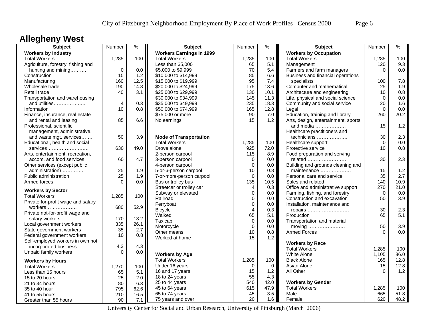## **Allegheny West**

| <b>Subject</b>                                  | Number         | $\frac{9}{6}$ | <b>Subject</b>                  | Number         | $\%$        | <b>Subject</b>                      | Number      | $\%$ |
|-------------------------------------------------|----------------|---------------|---------------------------------|----------------|-------------|-------------------------------------|-------------|------|
| <b>Workers by Industry</b>                      |                |               | <b>Workers Earnings in 1999</b> |                |             | <b>Workers by Occupation</b>        |             |      |
| <b>Total Workers</b>                            | 1,285          | 100           | <b>Total Workers</b>            | 1,285          | 100         | <b>Total Workers</b>                | 1,285       | 100  |
| Agriculture, forestry, fishing and              |                |               | Less than \$5,000               | 65             | 5.1         | Management                          | 120         | 9.3  |
| hunting and mining                              | $\mathbf 0$    | 0.0           | \$5,000 to \$9,999              | 70             | 5.4         | Farmers and farm managers           | $\Omega$    | 0.0  |
| Construction                                    | 15             | 1.2           | \$10,000 to \$14,999            | 85             | 6.6         | Business and financial operations   |             |      |
| Manufacturing                                   | 160            | 12.5          | \$15,000 to \$19,999            | 95             | 7.4         | specialists                         | 100         | 7.8  |
| Wholesale trade                                 | 190            | 14.8          | \$20,000 to \$24,999            | 175            | 13.6        | Computer and mathematical           | 25          | 1.9  |
| Retail trade                                    | 40             | 3.1           | \$25,000 to \$29,999            | 130            | 10.1        | Architecture and engineering        | 10          | 0.8  |
| Transportation and warehousing                  |                |               | \$30,000 to \$34,999            | 145            | 11.3        | Life, physical and social science   | $\Omega$    | 0.0  |
| and utilities                                   | $\overline{4}$ | 0.3           | \$35,000 to \$49,999            | 235            | 18.3        | Community and social service        | 20          | 1.6  |
| Information                                     | 10             | 0.8           | \$50,000 to \$74,999            | 165            | 12.8        | Legal                               | $\Omega$    | 0.0  |
| Finance, insurance, real estate                 |                |               | \$75,000 or more                | 90             | 7.0         | Education, training and library     | 260         | 20.2 |
| and rental and leasing                          | 85             | 6.6           | No earnings                     | 15             | 1.2         | Arts, design, entertainment, sports |             |      |
| Professional, scientific,                       |                |               |                                 |                |             | and media                           | 15          | 1.2  |
| management, administrative,                     |                |               |                                 |                |             | Healthcare practitioners and        |             |      |
| and waste mgt. services                         | 50             | 3.9           | <b>Mode of Transportation</b>   |                |             | technicians                         | 30          | 2.3  |
| Educational, health and social                  |                |               | <b>Total Workers</b>            | 1,285          | 100         | Healthcare support                  | $\mathbf 0$ | 0.0  |
| services                                        | 630            | 49.0          | Drove alone                     | 925            | 72.0        | Protective service                  | 10          | 0.8  |
| Arts, entertainment, recreation,                |                |               | 2-person carpool                | 115            | 8.9         | Food preparation and serving        |             |      |
| accom. and food services                        | 60             | 4.7           | 3-person carpool                | 0              | 0.0         | related                             | 30          | 2.3  |
| Other services (except public                   |                |               | 4-person carpool                | $\mathbf 0$    | 0.0         | Building and grounds cleaning and   |             |      |
| administration)                                 | 25             | 1.9           | 5-or-6-person carpool           | 10             | 0.8         | maintenance                         | 15          | 1.2  |
| Public administration                           | 25             | 1.9           | 7-or-more-person carpool        | $\Omega$       | 0.0         | Personal care and service           | 35          | 2.7  |
| Armed forces                                    | $\Omega$       | 0.0           | Bus or trolley bus              | 135            | 10.5        | Sales and related                   | 140         | 10.9 |
|                                                 |                |               | Streetcar or trolley car        | $\overline{4}$ | 0.3         | Office and administrative support   | 270         | 21.0 |
| <b>Workers by Sector</b>                        |                |               | Subway or elevated              | $\mathbf 0$    | $0.0\,$     | Farming, fishing, and forestry      | $\Omega$    | 0.0  |
| <b>Total Workers</b>                            | 1,285          | 100           | Railroad                        | $\mathbf 0$    | 0.0         | Construction and excavation         | 50          | 3.9  |
| Private for-profit wage and salary              |                |               | Ferryboat                       | $\mathbf 0$    | 0.0         | Installation, maintenance and       |             |      |
|                                                 | 680            | 52.9          | <b>Bicycle</b>                  | $\overline{4}$ | 0.3         | repairs                             | 30          | 2.3  |
| Private not-for-profit wage and                 |                |               | Walked                          | 65             | 5.1         | Production                          | 65          | 5.1  |
| salary workers                                  | 170            | 13.2          | Taxicab                         | $\mathbf 0$    | 0.0         | Transportation and material         |             |      |
| Local government workers                        | 335            | 26.1          | Motorcycle                      | $\mathbf 0$    | 0.0         | moving                              | 50          | 3.9  |
| State government workers                        | 35             | 2.7           | Other means                     | 10             | 0.8         | <b>Armed Forces</b>                 | $\Omega$    | 0.0  |
| Federal government workers                      | 10             | 0.8           | Worked at home                  | 15             | 1.2         |                                     |             |      |
| Self-employed workers in own not                |                |               |                                 |                |             | <b>Workers by Race</b>              |             |      |
| incorporated business                           | 4.3            | 4.3           |                                 |                |             | <b>Total Workers</b>                | 1,285       | 100  |
| Unpaid family workers                           | $\Omega$       | 0.0           | <b>Workers by Age</b>           |                |             | White Alone                         | 1,105       | 86.0 |
|                                                 |                |               | <b>Total Workers</b>            | 1,285          | 100         | <b>Black Alone</b>                  | 165         | 12.8 |
| <b>Workers by Hours</b><br><b>Total Workers</b> |                | 100           | Under 16 years                  | 0              | $\mathbf 0$ | Asian Alone                         | 15          | 12.8 |
|                                                 | 1,270          |               | 16 and 17 years                 | 15             | 1.2         | All Other                           | $\Omega$    | 1.2  |
| Less than 15 hours                              | 65             | 5.1           | 18 to 24 years                  | 55             | 4.3         |                                     |             |      |
| 15 to 20 hours                                  | 25             | 2.0           | 25 to 44 years                  | 540            | 42.0        | <b>Workers by Gender</b>            |             |      |
| 21 to 34 hours                                  | 80             | 6.3           | 45 to 64 years                  | 615            | 47.9        | <b>Total Workers</b>                | 1,285       | 100  |
| 35 to 40 hour                                   | 795            | 62.6          | 65 to 74 years                  | 45             | 3.5         | Male                                | 665         | 51.8 |
| 41 to 55 hours                                  | 210            | 16.5          |                                 | 20             | 1.6         |                                     | 620         | 48.2 |
| Greater than 55 hours                           | 90             | 7.1           | 75 years and over               |                |             | Female                              |             |      |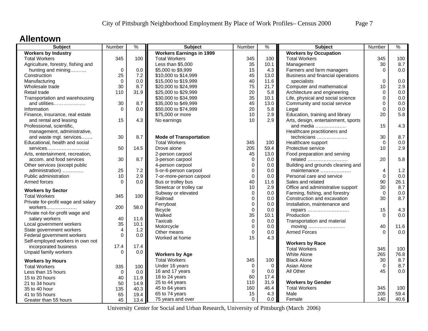#### **Allentown**

| <b>Subject</b>                     | Number         | $\frac{9}{6}$ | <b>Subject</b>                  | Number      | %        | <b>Subject</b>                      | Number         | %     |
|------------------------------------|----------------|---------------|---------------------------------|-------------|----------|-------------------------------------|----------------|-------|
| <b>Workers by Industry</b>         |                |               | <b>Workers Earnings in 1999</b> |             |          | <b>Workers by Occupation</b>        |                |       |
| <b>Total Workers</b>               | 345            | 100           | <b>Total Workers</b>            | 345         | 100      | <b>Total Workers</b>                | 345            | 100   |
| Agriculture, forestry, fishing and |                |               | Less than \$5,000               | 35          | 10.1     | Management                          | 30             | 8.7   |
| hunting and mining                 | $\mathbf 0$    | 0.0           | \$5,000 to \$9,999              | 15          | 4.3      | Farmers and farm managers           | $\Omega$       | 0.0   |
| Construction                       | 25             | 7.2           | \$10,000 to \$14,999            | 45          | 13.0     | Business and financial operations   |                |       |
| Manufacturing                      | $\Omega$       | 0.0           | \$15,000 to \$19,999            | 40          | 11.6     | specialists                         | $\Omega$       | 0.0   |
| Wholesale trade                    | 30             | 8.7           | \$20,000 to \$24,999            | 75          | 21.7     | Computer and mathematical           | 10             | 2.9   |
| Retail trade                       | 110            | 31.9          | \$25,000 to \$29,999            | 20          | 5.8      | Architecture and engineering        | $\mathbf 0$    | 0.0   |
| Transportation and warehousing     |                |               | \$30,000 to \$34,999            | 35          | 10.1     | Life, physical and social science   | 0              | 0.0   |
| and utilities                      | 30             | 8.7           | \$35,000 to \$49,999            | 45          | 13.0     | Community and social service        | 0              | 0.0   |
| Information                        | $\Omega$       | 0.0           | \$50,000 to \$74,999            | 20          | 5.8      | Legal                               | $\Omega$       | 0.0   |
| Finance, insurance, real estate    |                |               | \$75,000 or more                | 10          | 2.9      | Education, training and library     | 20             | 5.8   |
| and rental and leasing             | 15             | 4.3           | No earnings                     | 10          | 2.9      | Arts, design, entertainment, sports |                |       |
| Professional, scientific,          |                |               |                                 |             |          | and media                           | 15             | 4.3   |
| management, administrative,        |                |               |                                 |             |          | Healthcare practitioners and        |                |       |
| and waste mgt. services            | 30             | 8.7           | <b>Mode of Transportation</b>   |             |          | technicians                         | 30             | 8.7   |
| Educational, health and social     |                |               | <b>Total Workers</b>            | 345         | 100      | Healthcare support                  | $\Omega$       | 0.0   |
| services                           | 50             | 14.5          | Drove alone                     | 205         | 59.4     | Protective service                  | 10             | 2.9   |
| Arts, entertainment, recreation,   |                |               | 2-person carpool                | 45          | 13.0     | Food preparation and serving        |                |       |
| accom. and food services           | 30             | 8.7           | 3-person carpool                | $\mathbf 0$ | 0.0      | related                             | 20             | 5.8   |
| Other services (except public      |                |               | 4-person carpool                | $\mathbf 0$ | 0.0      | Building and grounds cleaning and   |                |       |
| administration)                    | 25             | 7.2           | 5-or-6-person carpool           | $\mathbf 0$ | 0.0      | maintenance                         | 4              | $1.2$ |
| Public administration              | 10             | 2.9           | 7-or-more-person carpool        | $\mathbf 0$ | 0.0      | Personal care and service           | $\Omega$       | 0.0   |
| Armed forces                       | $\Omega$       | 0.0           | Bus or trolley bus              | 40          | 11.6     | Sales and related                   | 90             | 26.1  |
|                                    |                |               | Streetcar or trolley car        | 10          | 2.9      | Office and administrative support   | 30             | 8.7   |
| <b>Workers by Sector</b>           |                |               | Subway or elevated              | $\mathbf 0$ | 0.0      | Farming, fishing, and forestry      | $\Omega$       | 0.0   |
| <b>Total Workers</b>               | 345            | 100           | Railroad                        | $\mathbf 0$ | 0.0      | Construction and excavation         | 30             | 8.7   |
| Private for-profit wage and salary |                |               | Ferryboat                       | $\mathbf 0$ | 0.0      | Installation, maintenance and       |                |       |
| workers                            | 200            | 58.0          |                                 | $\mathbf 0$ |          |                                     | 15             | 4.3   |
| Private not-for-profit wage and    |                |               | <b>Bicycle</b><br>Walked        | 35          | 0.0      | repairs<br>Production               | $\Omega$       | 0.0   |
| salary workers                     | 40             | 11.6          |                                 |             | 10.1     |                                     |                |       |
| Local government workers           | 35             | 10.1          | Taxicab<br>Motorcycle           | $\pmb{0}$   | 0.0      | Transportation and material         |                |       |
| State government workers           | $\overline{4}$ | 1.2           |                                 | $\mathbf 0$ | 0.0      | moving                              | 40<br>$\Omega$ | 11.6  |
| Federal government workers         | $\Omega$       | 0.0           | Other means                     | $\mathbf 0$ | 0.0      | <b>Armed Forces</b>                 |                | 0.0   |
| Self-employed workers in own not   |                |               | Worked at home                  | 15          | 4.3      |                                     |                |       |
| incorporated business              | 17.4           | 17.4          |                                 |             |          | <b>Workers by Race</b>              |                |       |
| Unpaid family workers              | $\Omega$       | 0.0           |                                 |             |          | <b>Total Workers</b>                | 345            | 100   |
|                                    |                |               | <b>Workers by Age</b>           |             |          | <b>White Alone</b>                  | 265            | 76.8  |
| <b>Workers by Hours</b>            |                |               | <b>Total Workers</b>            | 345         | 100      | <b>Black Alone</b>                  | 30             | 8.7   |
| <b>Total Workers</b>               | 335            | 100           | Under 16 years                  | $\Omega$    | $\Omega$ | Asian Alone                         | $\Omega$       | 8.7   |
| Less than 15 hours                 | $\Omega$       | 0.0           | 16 and 17 years                 | $\mathbf 0$ | 0.0      | All Other                           | 45             | 0.0   |
| 15 to 20 hours                     | 40             | 11.9          | 18 to 24 years                  | 60          | 17.4     |                                     |                |       |
| 21 to 34 hours                     | 50             | 14.9          | 25 to 44 years                  | 110         | 31.9     | <b>Workers by Gender</b>            |                |       |
| 35 to 40 hour                      | 135            | 40.3          | 45 to 64 years                  | 160         | 46.4     | <b>Total Workers</b>                | 345            | 100   |
| 41 to 55 hours                     | 65             | 19.4          | 65 to 74 years                  | 15          | 4.3      | Male                                | 205            | 59.4  |
| Greater than 55 hours              | 45             | 13.4          | 75 years and over               | $\mathbf 0$ | 0.0      | Female                              | 140            | 40.6  |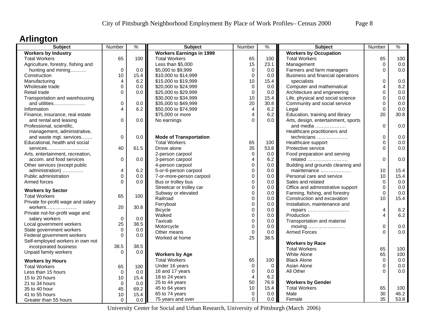## **Arlington**

| <b>Subject</b>                     | Number       | $\frac{9}{6}$ | <b>Subject</b>                  | Number         | $\%$     | Subject                             | Number         | %    |
|------------------------------------|--------------|---------------|---------------------------------|----------------|----------|-------------------------------------|----------------|------|
| <b>Workers by Industry</b>         |              |               | <b>Workers Earnings in 1999</b> |                |          | <b>Workers by Occupation</b>        |                |      |
| <b>Total Workers</b>               | 65           | 100           | <b>Total Workers</b>            | 65             | 100      | <b>Total Workers</b>                | 65             | 100  |
| Agriculture, forestry, fishing and |              |               | Less than \$5,000               | 15             | 23.1     | Management                          | $\mathbf 0$    | 0.0  |
| hunting and mining                 | 0            | 0.0           | \$5,000 to \$9,999              | $\mathbf 0$    | 0.0      | Farmers and farm managers           | $\Omega$       | 0.0  |
| Construction                       | 10           | 15.4          | \$10,000 to \$14,999            | $\mathbf 0$    | 0.0      | Business and financial operations   |                |      |
| Manufacturing                      | 4            | 6.2           | \$15,000 to \$19,999            | 10             | 15.4     | specialists                         | 0              | 0.0  |
| Wholesale trade                    | 0            | 0.0           | \$20,000 to \$24,999            | $\mathbf 0$    | 0.0      | Computer and mathematical           | 4              | 6.2  |
| Retail trade                       | $\mathbf 0$  | 0.0           | \$25,000 to \$29,999            | $\mathbf 0$    | 0.0      | Architecture and engineering        | 0              | 0.0  |
| Transportation and warehousing     |              |               | \$30,000 to \$34,999            | 10             | 15.4     | Life, physical and social science   | $\mathbf 0$    | 0.0  |
| and utilities                      | $\mathsf 0$  | 0.0           | \$35,000 to \$49,999            | 20             | 30.8     | Community and social service        | 0              | 0.0  |
| Information                        | 4            | 6.2           | \$50,000 to \$74,999            | $\overline{4}$ | 6.2      | Legal                               | 0              | 0.0  |
| Finance, insurance, real estate    |              |               | \$75,000 or more                | $\overline{4}$ | 6.2      | Education, training and library     | 20             | 30.8 |
| and rental and leasing             | $\mathbf{0}$ | 0.0           | No earnings                     | $\Omega$       | 0.0      | Arts, design, entertainment, sports |                |      |
| Professional, scientific,          |              |               |                                 |                |          | and media                           | $\Omega$       | 0.0  |
| management, administrative,        |              |               |                                 |                |          | Healthcare practitioners and        |                |      |
| and waste mgt. services            | 0            | 0.0           | <b>Mode of Transportation</b>   |                |          | technicians                         | 0              | 0.0  |
| Educational, health and social     |              |               | <b>Total Workers</b>            | 65             | 100      | Healthcare support                  | $\Omega$       | 0.0  |
| services                           | 40           | 61.5          | Drove alone                     | 35             | 53.8     | Protective service                  | $\Omega$       | 0.0  |
| Arts, entertainment, recreation,   |              |               | 2-person carpool                | $\mathbf 0$    | 0.0      | Food preparation and serving        |                |      |
| accom. and food services           | $\mathbf 0$  | 0.0           | 3-person carpool                | $\overline{4}$ | 6.2      | related                             | $\overline{0}$ | 0.0  |
| Other services (except public      |              |               | 4-person carpool                | $\mathbf 0$    | 0.0      | Building and grounds cleaning and   |                |      |
| administration)                    | 4            | 6.2           | 5-or-6-person carpool           | $\mathbf 0$    | 0.0      | maintenance                         | 10             | 15.4 |
| Public administration              | $\mathbf 0$  | 0.0           | 7-or-more-person carpool        | $\mathbf 0$    | 0.0      | Personal care and service           | 10             | 15.4 |
| Armed forces                       | $\Omega$     | 0.0           | Bus or trolley bus              | $\mathbf 0$    | 0.0      | Sales and related                   | $\Omega$       | 0.0  |
|                                    |              |               | Streetcar or trolley car        | $\mathbf 0$    | 0.0      | Office and administrative support   | $\Omega$       | 0.0  |
| <b>Workers by Sector</b>           |              |               | Subway or elevated              | $\mathbf 0$    | 0.0      | Farming, fishing, and forestry      | 0              | 0.0  |
| <b>Total Workers</b>               | 65           | 100           | Railroad                        | $\mathbf 0$    | 0.0      | Construction and excavation         | 10             | 15.4 |
| Private for-profit wage and salary |              |               | Ferryboat                       | $\mathbf 0$    | 0.0      | Installation, maintenance and       |                |      |
| workers                            | 20           | 30.8          | <b>Bicycle</b>                  | $\mathbf 0$    | 0.0      | repairs                             | 4              | 6.2  |
| Private not-for-profit wage and    |              |               | Walked                          | $\mathbf 0$    | 0.0      | Production                          | 4              | 6.2  |
| salary workers                     | $\mathbf 0$  | 0.0           | Taxicab                         | $\mathbf 0$    | 0.0      | Transportation and material         |                |      |
| Local government workers           | 25           | 38.5          | Motorcycle                      | $\mathbf 0$    | 0.0      | moving                              | 0              | 0.0  |
| State government workers           | $\mathbf 0$  | 0.0           | Other means                     | $\mathbf 0$    | 0.0      | <b>Armed Forces</b>                 | $\Omega$       | 0.0  |
| Federal government workers         | $\mathbf 0$  | 0.0           | Worked at home                  | 25             | 38.5     |                                     |                |      |
| Self-employed workers in own not   |              |               |                                 |                |          | <b>Workers by Race</b>              |                |      |
| incorporated business              | 38.5         | 38.5          |                                 |                |          | <b>Total Workers</b>                | 65             | 100  |
| Unpaid family workers              | $\Omega$     | 0.0           | <b>Workers by Age</b>           |                |          | White Alone                         | 65             | 100  |
| <b>Workers by Hours</b>            |              |               | <b>Total Workers</b>            | 65             | 100      | <b>Black Alone</b>                  | $\mathbf 0$    | 0.0  |
|                                    |              |               | Under 16 years                  | $\mathbf 0$    | $\Omega$ | Asian Alone                         | $\Omega$       | 0.0  |
| <b>Total Workers</b>               | 65           | 100           | 16 and 17 years                 | $\mathbf 0$    | 0.0      | All Other                           | O              | 0.0  |
| Less than 15 hours                 | $\mathbf 0$  | 0.0           | 18 to 24 years                  | $\overline{4}$ | 6.2      |                                     |                |      |
| 15 to 20 hours                     | 10           | 15.4          | 25 to 44 years                  | 50             | 76.9     | <b>Workers by Gender</b>            |                |      |
| 21 to 34 hours                     | $\mathbf 0$  | 0.0           | 45 to 64 years                  | 10             | 15.4     | <b>Total Workers</b>                | 65             | 100  |
| 35 to 40 hour                      | 45           | 69.2          | 65 to 74 years                  | 0              | 0.0      | Male                                | 30             | 46.2 |
| 41 to 55 hours                     | 10           | 15.4          |                                 | $\Omega$       | 0.0      |                                     | 35             | 53.8 |
| Greater than 55 hours              | $\mathbf 0$  | 0.0           | 75 years and over               |                |          | Female                              |                |      |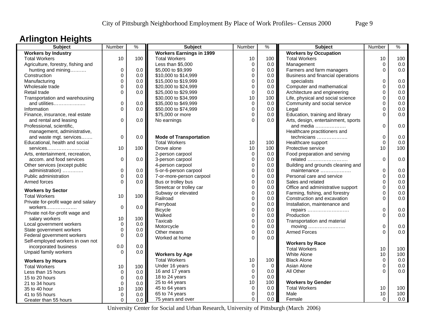## **Arlington Heights**

| <b>Subject</b>                     | Number      | $\frac{0}{0}$ | <b>Subject</b>                  | Number      | $\frac{1}{2}$ | <b>Subject</b>                      | Number         | $\frac{0}{6}$ |
|------------------------------------|-------------|---------------|---------------------------------|-------------|---------------|-------------------------------------|----------------|---------------|
| <b>Workers by Industry</b>         |             |               | <b>Workers Earnings in 1999</b> |             |               | <b>Workers by Occupation</b>        |                |               |
| <b>Total Workers</b>               | 10          | 100           | <b>Total Workers</b>            | 10          | 100           | <b>Total Workers</b>                | 10             | 100           |
| Agriculture, forestry, fishing and |             |               | Less than \$5,000               | $\mathbf 0$ | 0.0           | Management                          | $\mathbf 0$    | 0.0           |
| hunting and mining                 | $\mathbf 0$ | 0.0           | \$5,000 to \$9,999              | $\Omega$    | 0.0           | Farmers and farm managers           | $\Omega$       | 0.0           |
| Construction                       | $\Omega$    | 0.0           | \$10,000 to \$14,999            | $\Omega$    | 0.0           | Business and financial operations   |                |               |
| Manufacturing                      | $\mathbf 0$ | 0.0           | \$15,000 to \$19,999            | $\mathbf 0$ | 0.0           | specialists                         | 0              | 0.0           |
| Wholesale trade                    | $\mathbf 0$ | 0.0           | \$20,000 to \$24,999            | $\mathbf 0$ | 0.0           | Computer and mathematical           | 0              | 0.0           |
| Retail trade                       | $\Omega$    | 0.0           | \$25,000 to \$29,999            | $\mathbf 0$ | 0.0           | Architecture and engineering        | 0              | 0.0           |
| Transportation and warehousing     |             |               | \$30,000 to \$34,999            | 10          | 100           | Life, physical and social science   | 0              | 0.0           |
| and utilities                      | 0           | 0.0           | \$35,000 to \$49,999            | $\mathbf 0$ | 0.0           | Community and social service        | 0              | 0.0           |
| Information                        | $\Omega$    | 0.0           | \$50,000 to \$74,999            | $\mathbf 0$ | 0.0           | Legal                               | 0              | 0.0           |
| Finance, insurance, real estate    |             |               | \$75,000 or more                | $\Omega$    | 0.0           | Education, training and library     | $\Omega$       | 0.0           |
| and rental and leasing             | 0           | 0.0           | No earnings                     | $\Omega$    | 0.0           | Arts, design, entertainment, sports |                |               |
| Professional, scientific,          |             |               |                                 |             |               | and media $\ldots$                  | 0              | 0.0           |
| management, administrative,        |             |               |                                 |             |               | Healthcare practitioners and        |                |               |
| and waste mgt. services            | 0           | 0.0           | <b>Mode of Transportation</b>   |             |               | technicians                         | 0              | 0.0           |
| Educational, health and social     |             |               | <b>Total Workers</b>            | 10          | 100           | Healthcare support                  | $\Omega$       | 0.0           |
|                                    | 10          | 100           | Drove alone                     | 10          | 100           | Protective service                  | 10             | 100           |
| services                           |             |               |                                 | $\mathbf 0$ | 0.0           |                                     |                |               |
| Arts, entertainment, recreation,   |             |               | 2-person carpool                |             |               | Food preparation and serving        | $\overline{0}$ |               |
| accom, and food services           | $\mathbf 0$ | 0.0           | 3-person carpool                | $\mathbf 0$ | 0.0           | related                             |                | 0.0           |
| Other services (except public      |             |               | 4-person carpool                | $\mathbf 0$ | 0.0           | Building and grounds cleaning and   |                |               |
| administration)                    | $\mathbf 0$ | 0.0           | 5-or-6-person carpool           | $\mathbf 0$ | 0.0           | maintenance                         | 0              | 0.0           |
| Public administration              | $\mathbf 0$ | 0.0           | 7-or-more-person carpool        | $\mathbf 0$ | 0.0           | Personal care and service           | 0              | 0.0           |
| Armed forces                       | $\Omega$    | 0.0           | Bus or trolley bus              | $\mathbf 0$ | 0.0           | Sales and related                   | 0              | 0.0           |
| <b>Workers by Sector</b>           |             |               | Streetcar or trolley car        | $\mathbf 0$ | 0.0           | Office and administrative support   | 0              | 0.0           |
| <b>Total Workers</b>               | 10          | 100           | Subway or elevated              | $\mathbf 0$ | 0.0           | Farming, fishing, and forestry      | 0              | 0.0           |
| Private for-profit wage and salary |             |               | Railroad                        | $\mathbf 0$ | 0.0           | Construction and excavation         | 0              | 0.0           |
| workers                            | $\mathbf 0$ | 0.0           | Ferryboat                       | $\Omega$    | 0.0           | Installation, maintenance and       |                |               |
| Private not-for-profit wage and    |             |               | <b>Bicycle</b>                  | $\mathbf 0$ | 0.0           | repairs                             | $\Omega$       | 0.0           |
| salary workers                     | 10          | 100           | Walked                          | $\mathbf 0$ | 0.0           | Production                          | $\Omega$       | 0.0           |
| Local government workers           | $\mathbf 0$ | 0.0           | Taxicab                         | $\mathbf 0$ | 0.0           | Transportation and material         |                |               |
|                                    | $\mathbf 0$ |               | Motorcycle                      | $\mathbf 0$ | 0.0           |                                     | 0              | 0.0           |
| State government workers           | 0           | 0.0           | Other means                     | $\mathbf 0$ | 0.0           | Armed Forces                        | $\Omega$       | 0.0           |
| Federal government workers         |             | 0.0           | Worked at home                  | $\Omega$    | 0.0           |                                     |                |               |
| Self-employed workers in own not   |             |               |                                 |             |               | <b>Workers by Race</b>              |                |               |
| incorporated business              | 0.0         | 0.0           |                                 |             |               | <b>Total Workers</b>                | 10             | 100           |
| Unpaid family workers              | $\Omega$    | 0.0           | <b>Workers by Age</b>           |             |               | White Alone                         | 10             | 100           |
| <b>Workers by Hours</b>            |             |               | <b>Total Workers</b>            | 10          | 100           | <b>Black Alone</b>                  | $\Omega$       | 0.0           |
| <b>Total Workers</b>               | 10          | 100           | Under 16 years                  | $\mathbf 0$ | $\mathbf 0$   | Asian Alone                         | 0              | 0.0           |
| Less than 15 hours                 | $\Omega$    | 0.0           | 16 and 17 years                 | $\mathbf 0$ | 0.0           | All Other                           | $\Omega$       | 0.0           |
| 15 to 20 hours                     | $\mathbf 0$ | 0.0           | 18 to 24 years                  | $\mathbf 0$ | 0.0           |                                     |                |               |
| 21 to 34 hours                     | $\mathbf 0$ | 0.0           | 25 to 44 years                  | 10          | 100           | <b>Workers by Gender</b>            |                |               |
| 35 to 40 hour                      | 10          | 100           | 45 to 64 years                  | $\mathbf 0$ | 0.0           | <b>Total Workers</b>                | 10             | 100           |
| 41 to 55 hours                     | $\mathbf 0$ | 0.0           | 65 to 74 years                  | $\mathbf 0$ | 0.0           | Male                                | 10             | 100           |
| Greater than 55 hours              | $\mathbf 0$ | 0.0           | 75 years and over               | $\mathbf 0$ | 0.0           | Female                              | 0              | 0.0           |
|                                    |             |               |                                 |             |               |                                     |                |               |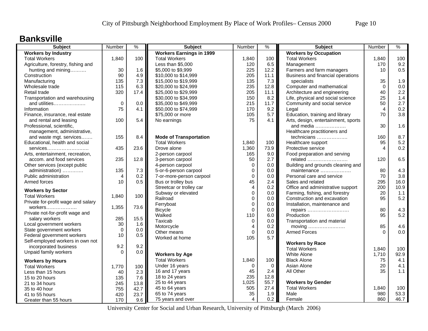#### **Banksville**

| <b>Subject</b>                     | Number         | $\frac{9}{6}$ | <b>Subject</b>                  | Number           | %           | <b>Subject</b>                      | Number   | $\%$ |
|------------------------------------|----------------|---------------|---------------------------------|------------------|-------------|-------------------------------------|----------|------|
| <b>Workers by Industry</b>         |                |               | <b>Workers Earnings in 1999</b> |                  |             | <b>Workers by Occupation</b>        |          |      |
| <b>Total Workers</b>               | 1,840          | 100           | <b>Total Workers</b>            | 1,840            | 100         | <b>Total Workers</b>                | 1,840    | 100  |
| Agriculture, forestry, fishing and |                |               | Less than \$5,000               | 120              | 6.5         | Management                          | 170      | 9.2  |
| hunting and mining                 | 30             | 1.6           | \$5,000 to \$9,999              | 225              | 12.2        | Farmers and farm managers           | 10       | 0.5  |
| Construction                       | 90             | 4.9           | \$10,000 to \$14,999            | 205              | 11.1        | Business and financial operations   |          |      |
| Manufacturing                      | 135            | 7.3           | \$15,000 to \$19,999            | 135              | 7.3         | specialists                         | 35       | 1.9  |
| Wholesale trade                    | 115            | 6.3           | \$20,000 to \$24,999            | 235              | 12.8        | Computer and mathematical           | $\Omega$ | 0.0  |
| Retail trade                       | 320            | 17.4          | \$25,000 to \$29,999            | 205              | 11.1        | Architecture and engineering        | 40       | 2.2  |
| Transportation and warehousing     |                |               | \$30,000 to \$34,999            | 150              | 8.2         | Life, physical and social science   | 25       | 1.4  |
| and utilities                      | $\mathbf 0$    | 0.0           | \$35,000 to \$49,999            | 215              | 11.7        | Community and social service        | 50       | 2.7  |
| Information                        | 75             | 4.1           | \$50,000 to \$74,999            | 170              | 9.2         | Legal                               | 4        | 0.2  |
| Finance, insurance, real estate    |                |               | \$75,000 or more                | 105              | 5.7         | Education, training and library     | 70       | 3.8  |
| and rental and leasing             | 100            | 5.4           | No earnings                     | 75               | 4.1         | Arts, design, entertainment, sports |          |      |
| Professional, scientific,          |                |               |                                 |                  |             | and media                           | 30       | 1.6  |
| management, administrative,        |                |               |                                 |                  |             | Healthcare practitioners and        |          |      |
| and waste mgt. services            | 155            | 8.4           | <b>Mode of Transportation</b>   |                  |             | technicians                         | 160      | 8.7  |
| Educational, health and social     |                |               | <b>Total Workers</b>            | 1,840            | 100         | Healthcare support                  | 95       | 5.2  |
| services                           | 435            | 23.6          | Drove alone                     | 1,360            | 73.9        | Protective service                  | 4        | 0.2  |
| Arts, entertainment, recreation,   |                |               | 2-person carpool                | 165              | 9.0         | Food preparation and serving        |          |      |
| accom. and food services           | 235            | 12.8          | 3-person carpool                | 50               | 2.7         | related                             | 120      | 6.5  |
| Other services (except public      |                |               | 4-person carpool                | $\mathbf 0$      | 0.0         | Building and grounds cleaning and   |          |      |
| administration)                    | 135            | 7.3           | 5-or-6-person carpool           | $\boldsymbol{0}$ | 0.0         | maintenance                         | 80       | 4.3  |
| Public administration              | $\overline{4}$ | 0.2           | 7-or-more-person carpool        | $\mathbf 0$      | 0.0         | Personal care and service           | 70       | 3.8  |
| Armed forces                       | 10             | 0.5           | Bus or trolley bus              | 45               | 2.4         | Sales and related                   | 295      | 16.0 |
|                                    |                |               | Streetcar or trolley car        | 4                | 0.2         | Office and administrative support   | 200      | 10.9 |
| <b>Workers by Sector</b>           |                |               | Subway or elevated              | $\mathbf 0$      | 0.0         | Farming, fishing, and forestry      | 20       | 1.1  |
| <b>Total Workers</b>               | 1,840          | 100           | Railroad                        | $\Omega$         | 0.0         | Construction and excavation         | 95       | 5.2  |
| Private for-profit wage and salary |                |               | Ferryboat                       | $\mathbf 0$      | 0.0         | Installation, maintenance and       |          |      |
| workers                            | 1,355          | 73.6          | <b>Bicycle</b>                  | $\Omega$         | 0.0         | repairs                             | 80       | 4.3  |
| Private not-for-profit wage and    |                |               | Walked                          | 110              | 6.0         | Production                          | 95       | 5.2  |
| salary workers                     | 285            | 15.5          | Taxicab                         | $\mathbf 0$      | 0.0         | Transportation and material         |          |      |
| Local government workers           | 30             | 1.6           | Motorcycle                      | $\overline{4}$   | 0.2         | moving                              | 85       | 4.6  |
| State government workers           | $\Omega$       | 0.0           | Other means                     | $\Omega$         | 0.0         | <b>Armed Forces</b>                 | $\Omega$ | 0.0  |
| Federal government workers         | 10             | 0.5           | Worked at home                  | 105              | 5.7         |                                     |          |      |
| Self-employed workers in own not   |                |               |                                 |                  |             | <b>Workers by Race</b>              |          |      |
| incorporated business              | 9.2            | 9.2           |                                 |                  |             | <b>Total Workers</b>                | 1,840    | 100  |
| Unpaid family workers              | $\Omega$       | 0.0           | <b>Workers by Age</b>           |                  |             | White Alone                         | 1.710    | 92.9 |
| <b>Workers by Hours</b>            |                |               | <b>Total Workers</b>            | 1,840            | 100         | <b>Black Alone</b>                  | 75       | 4.1  |
| <b>Total Workers</b>               | 1,770          | 100           | Under 16 years                  | $\Omega$         | $\mathbf 0$ | Asian Alone                         | 20       | 4.1  |
| Less than 15 hours                 | 40             | 2.3           | 16 and 17 years                 | 45               | 2.4         | All Other                           | 35       | 1.1  |
| 15 to 20 hours                     |                | 7.6           | 18 to 24 years                  | 235              | 12.8        |                                     |          |      |
|                                    | 135<br>245     | 13.8          | 25 to 44 years                  | 1,025            | 55.7        | <b>Workers by Gender</b>            |          |      |
| 21 to 34 hours<br>35 to 40 hour    | 755            | 42.7          | 45 to 64 years                  | 505              | 27.4        | <b>Total Workers</b>                | 1,840    | 100  |
|                                    |                |               | 65 to 74 years                  | 35               | 1.9         | Male                                | 980      | 53.3 |
| 41 to 55 hours                     | 420            | 23.7          | 75 years and over               | 4                | 0.2         | Female                              | 860      | 46.7 |
| Greater than 55 hours              | 170            | 9.6           |                                 |                  |             |                                     |          |      |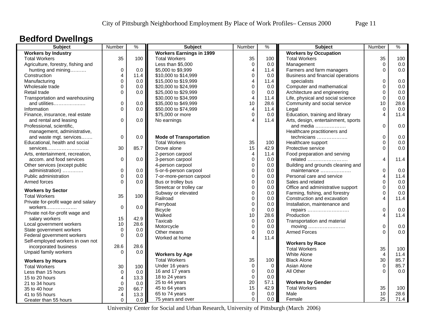## **Bedford Dwellngs**

| <b>Subject</b>                     | Number                  | $\frac{9}{6}$ | <b>Subject</b>                  | Number                       | $\frac{9}{6}$ | <b>Subject</b>                      | Number       | $\frac{0}{6}$ |
|------------------------------------|-------------------------|---------------|---------------------------------|------------------------------|---------------|-------------------------------------|--------------|---------------|
| <b>Workers by Industry</b>         |                         |               | <b>Workers Earnings in 1999</b> |                              |               | <b>Workers by Occupation</b>        |              |               |
| <b>Total Workers</b>               | 35                      | 100           | <b>Total Workers</b>            | 35                           | 100           | <b>Total Workers</b>                | 35           | 100           |
| Agriculture, forestry, fishing and |                         |               | Less than \$5,000               | $\pmb{0}$                    | 0.0           | Management                          | $\mathbf 0$  | 0.0           |
| hunting and mining                 | $\pmb{0}$               | 0.0           | \$5,000 to \$9,999              | $\overline{4}$               | 11.4          | Farmers and farm managers           | $\Omega$     | 0.0           |
| Construction                       | 4                       | 11.4          | \$10,000 to \$14,999            | 0                            | 0.0           | Business and financial operations   |              |               |
| Manufacturing                      | $\pmb{0}$               | 0.0           | \$15,000 to \$19,999            | $\overline{\mathbf{4}}$      | 11.4          | specialists                         | 0            | 0.0           |
| Wholesale trade                    | $\pmb{0}$               | 0.0           | \$20,000 to \$24,999            | $\mathbf{0}$                 | 0.0           | Computer and mathematical           | $\Omega$     | 0.0           |
| Retail trade                       | $\Omega$                | 0.0           | \$25,000 to \$29,999            | $\mathbf 0$                  | 0.0           | Architecture and engineering        | $\Omega$     | 0.0           |
| Transportation and warehousing     |                         |               | \$30,000 to \$34,999            | $\overline{4}$               | 11.4          | Life, physical and social science   | $\mathbf{0}$ | 0.0           |
| and utilities                      | $\mathbf 0$             | 0.0           | \$35,000 to \$49,999            | 10                           | 28.6          | Community and social service        | 10           | 28.6          |
| Information                        | $\Omega$                | 0.0           | \$50,000 to \$74,999            | 4                            | 11.4          | Legal                               | $\mathbf 0$  | 0.0           |
| Finance, insurance, real estate    |                         |               | \$75,000 or more                | $\mathbf 0$                  | 0.0           | Education, training and library     | 4            | 11.4          |
| and rental and leasing             | $\mathbf 0$             | 0.0           | No earnings                     | $\overline{4}$               | 11.4          | Arts, design, entertainment, sports |              |               |
| Professional, scientific,          |                         |               |                                 |                              |               | and media $\ldots$                  | $\Omega$     | 0.0           |
| management, administrative,        |                         |               |                                 |                              |               | Healthcare practitioners and        |              |               |
| and waste mgt. services            | $\mathbf 0$             | 0.0           | <b>Mode of Transportation</b>   |                              |               | technicians                         | $\mathbf 0$  | 0.0           |
| Educational, health and social     |                         |               | <b>Total Workers</b>            | 35                           | 100           | Healthcare support                  | $\Omega$     | 0.0           |
| services                           | 30                      | 85.7          | Drove alone                     | 15                           | 42.9          | Protective service                  | $\Omega$     | 0.0           |
| Arts, entertainment, recreation,   |                         |               | 2-person carpool                | 4                            | 11.4          | Food preparation and serving        |              |               |
| accom. and food services           | $\mathbf 0$             | 0.0           | 3-person carpool                | $\mathbf 0$                  | 0.0           | related                             | 4            | 11.4          |
| Other services (except public      |                         |               | 4-person carpool                | 0                            | 0.0           | Building and grounds cleaning and   |              |               |
| administration)                    | $\pmb{0}$               | 0.0           | 5-or-6-person carpool           | $\mathbf 0$                  | 0.0           | maintenance                         | $\pmb{0}$    | 0.0           |
| Public administration              | $\mathbf 0$             | 0.0           | 7-or-more-person carpool        | $\pmb{0}$                    | 0.0           | Personal care and service           | 4            | 11.4          |
| Armed forces                       | $\Omega$                | 0.0           | Bus or trolley bus              | $\mathbf{0}$                 | 0.0           | Sales and related                   | $\Omega$     | 0.0           |
|                                    |                         |               | Streetcar or trolley car        | $\mathbf 0$                  | 0.0           | Office and administrative support   | $\Omega$     | 0.0           |
| <b>Workers by Sector</b>           |                         |               | Subway or elevated              | 0                            | 0.0           | Farming, fishing, and forestry      | $\Omega$     | 0.0           |
| <b>Total Workers</b>               | 35                      | 100           | Railroad                        | $\mathbf 0$                  | 0.0           | Construction and excavation         | 4            | 11.4          |
| Private for-profit wage and salary |                         |               | Ferryboat                       | 0                            | 0.0           | Installation, maintenance and       |              |               |
| workers                            | $\Omega$                | $0.0\,$       |                                 | $\mathbf 0$                  | 0.0           |                                     | $\mathbf 0$  | 0.0           |
| Private not-for-profit wage and    |                         |               | <b>Bicycle</b><br>Walked        | 10                           | 28.6          | repairs<br>Production               | 4            | 11.4          |
| salary workers                     | 15                      | 42.9          | Taxicab                         | 0                            |               |                                     |              |               |
| Local government workers           | 10                      | 28.6          | Motorcycle                      | $\mathbf 0$                  | 0.0           | Transportation and material         | $\mathbf 0$  |               |
| State government workers           | $\mathbf 0$             | 0.0           |                                 |                              | 0.0           |                                     | $\Omega$     | 0.0           |
| Federal government workers         | $\Omega$                | 0.0           | Other means                     | 0<br>$\overline{\mathbf{4}}$ | 0.0           | <b>Armed Forces</b>                 |              | 0.0           |
| Self-employed workers in own not   |                         |               | Worked at home                  |                              | 11.4          |                                     |              |               |
| incorporated business              | 28.6                    | 28.6          |                                 |                              |               | <b>Workers by Race</b>              |              |               |
| Unpaid family workers              | $\Omega$                | 0.0           |                                 |                              |               | <b>Total Workers</b>                | 35           | 100           |
|                                    |                         |               | <b>Workers by Age</b>           |                              |               | White Alone                         | 4            | 11.4          |
| <b>Workers by Hours</b>            |                         |               | <b>Total Workers</b>            | 35                           | 100           | <b>Black Alone</b>                  | 30           | 85.7          |
| <b>Total Workers</b>               | 30                      | 100           | Under 16 years                  | $\mathbf 0$                  | $\mathbf 0$   | Asian Alone                         | $\mathbf 0$  | 85.7          |
| Less than 15 hours                 | $\mathbf 0$             | 0.0           | 16 and 17 years                 | $\mathbf 0$                  | 0.0           | All Other                           | $\Omega$     | 0.0           |
| 15 to 20 hours                     | 4                       | 13.3          | 18 to 24 years                  | $\pmb{0}$                    | 0.0           |                                     |              |               |
| 21 to 34 hours                     | $\mathbf 0$             | 0.0           | 25 to 44 years                  | 20                           | 57.1          | <b>Workers by Gender</b>            |              |               |
| 35 to 40 hour                      | 20                      | 66.7          | 45 to 64 years                  | 15                           | 42.9          | <b>Total Workers</b>                | 35           | 100           |
| 41 to 55 hours                     | $\overline{\mathbf{4}}$ | 13.3          | 65 to 74 years                  | 0                            | 0.0           | Male                                | 10           | 28.6          |
| Greater than 55 hours              | $\mathbf 0$             | 0.0           | 75 years and over               | $\Omega$                     | 0.0           | Female                              | 25           | 71.4          |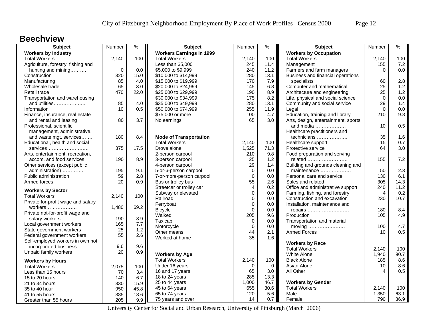#### **Beechview**

| <b>Subject</b>                     | Number      | $\frac{9}{6}$ | <b>Subject</b>                  | <b>Number</b> | %       | <b>Subject</b>                      | Number         | $\%$ |
|------------------------------------|-------------|---------------|---------------------------------|---------------|---------|-------------------------------------|----------------|------|
| <b>Workers by Industry</b>         |             |               | <b>Workers Earnings in 1999</b> |               |         | <b>Workers by Occupation</b>        |                |      |
| <b>Total Workers</b>               | 2,140       | 100           | <b>Total Workers</b>            | 2,140         | 100     | <b>Total Workers</b>                | 2,140          | 100  |
| Agriculture, forestry, fishing and |             |               | Less than \$5,000               | 245           | 11.4    | Management                          | 155            | 7.2  |
| hunting and mining                 | $\mathbf 0$ | 0.0           | \$5,000 to \$9,999              | 240           | 11.2    | Farmers and farm managers           | $\Omega$       | 0.0  |
| Construction                       | 320         | 15.0          | \$10,000 to \$14,999            | 280           | 13.1    | Business and financial operations   |                |      |
| Manufacturing                      | 85          | 4.0           | \$15,000 to \$19,999            | 170           | 7.9     | specialists                         | 60             | 2.8  |
| Wholesale trade                    | 65          | 3.0           | \$20,000 to \$24,999            | 145           | 6.8     | Computer and mathematical           | 25             | 1.2  |
| Retail trade                       | 470         | 22.0          | \$25,000 to \$29,999            | 190           | 8.9     | Architecture and engineering        | 25             | 1.2  |
| Transportation and warehousing     |             |               | \$30,000 to \$34,999            | 175           | 8.2     | Life, physical and social science   | $\mathbf 0$    | 0.0  |
| and utilities                      | 85          | 4.0           | \$35,000 to \$49,999            | 280           | 13.1    | Community and social service        | 29             | 1.4  |
| Information                        | 10          | 0.5           | \$50,000 to \$74,999            | 255           | 11.9    | Legal                               | $\Omega$       | 0.0  |
| Finance, insurance, real estate    |             |               | \$75,000 or more                | 100           | 4.7     | Education, training and library     | 210            | 9.8  |
| and rental and leasing             | 80          | 3.7           | No earnings                     | 65            | 3.0     | Arts, design, entertainment, sports |                |      |
| Professional, scientific,          |             |               |                                 |               |         | and media                           | 10             | 0.5  |
| management, administrative,        |             |               |                                 |               |         | Healthcare practitioners and        |                |      |
| and waste mgt. services            | 180         | 8.4           | <b>Mode of Transportation</b>   |               |         | technicians                         | 35             | 1.6  |
| Educational, health and social     |             |               | <b>Total Workers</b>            | 2,140         | 100     | Healthcare support                  | 15             | 0.7  |
| services                           | 375         | 17.5          | Drove alone                     | 1,525         | 71.3    | Protective service                  | 64             | 3.0  |
| Arts, entertainment, recreation,   |             |               | 2-person carpool                | 210           | 9.8     | Food preparation and serving        |                |      |
| accom. and food services           | 190         | 8.9           | 3-person carpool                | 25            | 1.2     | related                             | 155            | 7.2  |
| Other services (except public      |             |               | 4-person carpool                | 29            | 1.4     | Building and grounds cleaning and   |                |      |
| administration)                    | 195         | 9.1           | 5-or-6-person carpool           | $\mathbf 0$   | 0.0     | maintenance                         | 50             | 2.3  |
| Public administration              | 59          | 2.8           | 7-or-more-person carpool        | $\mathbf 0$   | $0.0\,$ | Personal care and service           | 130            | 6.1  |
| Armed forces                       | 20          | 0.9           | Bus or trolley bus              | 55            | 2.6     | Sales and related                   | 305            | 14.3 |
|                                    |             |               | Streetcar or trolley car        | 4             | 0.2     | Office and administrative support   | 240            | 11.2 |
| <b>Workers by Sector</b>           |             |               | Subway or elevated              | $\mathbf 0$   | 0.0     | Farming, fishing, and forestry      | $\overline{4}$ | 0.2  |
| <b>Total Workers</b>               | 2,140       | 100           | Railroad                        | $\mathbf 0$   | 0.0     | Construction and excavation         | 230            | 10.7 |
| Private for-profit wage and salary |             |               | Ferryboat                       | $\mathbf 0$   | 0.0     | Installation, maintenance and       |                |      |
| workers                            | 1,480       | 69.2          | <b>Bicycle</b>                  | $\Omega$      | 0.0     | repairs                             | 180            | 8.4  |
| Private not-for-profit wage and    |             |               | Walked                          | 205           | 9.6     | Production                          | 105            | 4.9  |
| salary workers                     | 190         | 8.9           | Taxicab                         | $\pmb{0}$     | 0.0     | Transportation and material         |                |      |
| Local government workers           | 165         | 7.7           | Motorcycle                      | $\mathbf 0$   | 0.0     | moving                              | 100            | 4.7  |
| State government workers           | 25          | 1.2           | Other means                     | 44            | 2.1     | <b>Armed Forces</b>                 | 10             | 0.5  |
| Federal government workers         | 55          | 2.6           | Worked at home                  | 35            | 1.6     |                                     |                |      |
| Self-employed workers in own not   |             |               |                                 |               |         | <b>Workers by Race</b>              |                |      |
| incorporated business              | 9.6         | 9.6           |                                 |               |         | <b>Total Workers</b>                | 2,140          | 100  |
| Unpaid family workers              | 20          | 0.9           | <b>Workers by Age</b>           |               |         | White Alone                         | 1,940          | 90.7 |
| <b>Workers by Hours</b>            |             |               | <b>Total Workers</b>            | 2,140         | 100     | <b>Black Alone</b>                  | 185            | 8.6  |
| <b>Total Workers</b>               | 2,075       | 100           | Under 16 years                  | $\Omega$      | 0       | Asian Alone                         | 10             | 8.6  |
| Less than 15 hours                 | 70          | 3.4           | 16 and 17 years                 | 65            | 3.0     | All Other                           | 4              | 0.5  |
| 15 to 20 hours                     | 140         | 6.7           | 18 to 24 years                  | 285           | 13.3    |                                     |                |      |
| 21 to 34 hours                     | 330         | 15.9          | 25 to 44 years                  | 1,000         | 46.7    | <b>Workers by Gender</b>            |                |      |
| 35 to 40 hour                      | 950         | 45.8          | 45 to 64 years                  | 655           | 30.6    | <b>Total Workers</b>                | 2,140          | 100  |
| 41 to 55 hours                     | 385         | 18.6          | 65 to 74 years                  | 120           | 5.6     | Male                                | 1,350          | 63.1 |
| Greater than 55 hours              | 205         | 9.9           | 75 years and over               | 14            | 0.7     | Female                              | 790            | 36.9 |
|                                    |             |               |                                 |               |         |                                     |                |      |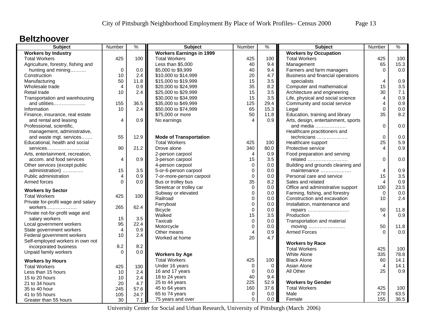#### **Beltzhoover**

| <b>Subject</b>                                       | Number         | $\frac{9}{6}$ | <b>Subject</b>                  | Number                 | %       | <b>Subject</b>                      | Number         | $\%$ |
|------------------------------------------------------|----------------|---------------|---------------------------------|------------------------|---------|-------------------------------------|----------------|------|
| <b>Workers by Industry</b>                           |                |               | <b>Workers Earnings in 1999</b> |                        |         | <b>Workers by Occupation</b>        |                |      |
| <b>Total Workers</b>                                 | 425            | 100           | <b>Total Workers</b>            | 425                    | 100     | <b>Total Workers</b>                | 425            | 100  |
| Agriculture, forestry, fishing and                   |                |               | Less than \$5,000               | 40                     | 9.4     | Management                          | 65             | 15.3 |
| hunting and mining                                   | $\mathbf 0$    | 0.0           | \$5,000 to \$9,999              | 40                     | 9.4     | Farmers and farm managers           | $\Omega$       | 0.0  |
| Construction                                         | 10             | 2.4           | \$10,000 to \$14,999            | 20                     | 4.7     | Business and financial operations   |                |      |
| Manufacturing                                        | 50             | 11.8          | \$15,000 to \$19,999            | 15                     | 3.5     | specialists                         | 4              | 0.9  |
| Wholesale trade                                      | 4              | 0.9           | \$20,000 to \$24,999            | 35                     | 8.2     | Computer and mathematical           | 15             | 3.5  |
| Retail trade                                         | 10             | 2.4           | \$25,000 to \$29,999            | 15                     | 3.5     | Architecture and engineering        | 30             | 7.1  |
| Transportation and warehousing                       |                |               | \$30,000 to \$34,999            | 15                     | 3.5     | Life, physical and social science   | 4              | 0.9  |
| and utilities                                        | 155            | 36.5          | \$35,000 to \$49,999            | 125                    | 29.4    | Community and social service        | 4              | 0.9  |
| Information                                          | 10             | 2.4           | \$50,000 to \$74,999            | 65                     | 15.3    | Legal                               | $\Omega$       | 0.0  |
| Finance, insurance, real estate                      |                |               | \$75,000 or more                | 50                     | 11.8    | Education, training and library     | 35             | 8.2  |
| and rental and leasing                               | 4              | 0.9           | No earnings                     | $\boldsymbol{\Lambda}$ | 0.9     | Arts, design, entertainment, sports |                |      |
| Professional, scientific,                            |                |               |                                 |                        |         | and media                           | $\Omega$       | 0.0  |
| management, administrative,                          |                |               |                                 |                        |         | Healthcare practitioners and        |                |      |
| and waste mgt. services                              | 55             | 12.9          | <b>Mode of Transportation</b>   |                        |         | technicians                         | $\mathbf 0$    | 0.0  |
| Educational, health and social                       |                |               | <b>Total Workers</b>            | 425                    | 100     | Healthcare support                  | 25             | 5.9  |
| services                                             | 90             | 21.2          | Drove alone                     | 340                    | 80.0    | Protective service                  | 4              | 0.9  |
| Arts, entertainment, recreation,                     |                |               | 2-person carpool                | $\overline{4}$         | 0.9     | Food preparation and serving        |                |      |
| accom. and food services                             | $\overline{4}$ | 0.9           | 3-person carpool                | 15                     | 3.5     | related                             | $\Omega$       | 0.0  |
| Other services (except public                        |                |               | 4-person carpool                | $\pmb{0}$              | 0.0     | Building and grounds cleaning and   |                |      |
| administration)                                      | 15             | 3.5           | 5-or-6-person carpool           | $\mathbf 0$            | 0.0     | maintenance                         | $\overline{4}$ | 0.9  |
| Public administration                                | 4              | 0.9           | 7-or-more-person carpool        | $\mathbf 0$            | $0.0\,$ | Personal care and service           | 15             | 3.5  |
| Armed forces                                         | $\Omega$       | 0.0           | Bus or trolley bus              | 35                     | 8.2     | Sales and related                   | 4              | 0.9  |
|                                                      |                |               | Streetcar or trolley car        | $\Omega$               | 0.0     | Office and administrative support   | 100            | 23.5 |
| <b>Workers by Sector</b><br><b>Total Workers</b>     | 425            | 100           | Subway or elevated              | $\mathbf 0$            | 0.0     | Farming, fishing, and forestry      | $\Omega$       | 0.0  |
| Private for-profit wage and salary                   |                |               | Railroad                        | $\mathbf 0$            | 0.0     | Construction and excavation         | 10             | 2.4  |
|                                                      | 265            | 62.4          | Ferryboat                       | $\mathbf 0$            | 0.0     | Installation, maintenance and       |                |      |
| workers                                              |                |               | <b>Bicycle</b>                  | $\mathbf 0$            | 0.0     | repairs                             | 50             | 11.8 |
| Private not-for-profit wage and<br>salary workers    | 15             | 3.5           | Walked                          | 15                     | 3.5     | Production                          | 4              | 0.9  |
|                                                      | 95             | 22.4          | Taxicab                         | $\pmb{0}$              | 0.0     | Transportation and material         |                |      |
| Local government workers<br>State government workers | $\overline{4}$ | 0.9           | Motorcycle                      | $\mathbf 0$            | 0.0     | moving                              | 50             | 11.8 |
| Federal government workers                           | 10             | 2.4           | Other means                     | $\overline{4}$         | 0.9     | <b>Armed Forces</b>                 | $\Omega$       | 0.0  |
| Self-employed workers in own not                     |                |               | Worked at home                  | 20                     | 4.7     |                                     |                |      |
| incorporated business                                | 8.2            | 8.2           |                                 |                        |         | <b>Workers by Race</b>              |                |      |
|                                                      | $\Omega$       | 0.0           |                                 |                        |         | <b>Total Workers</b>                | 425            | 100  |
| Unpaid family workers                                |                |               | <b>Workers by Age</b>           |                        |         | White Alone                         | 335            | 78.8 |
| <b>Workers by Hours</b>                              |                |               | <b>Total Workers</b>            | 425                    | 100     | <b>Black Alone</b>                  | 60             | 14.1 |
| <b>Total Workers</b>                                 | 425            | 100           | Under 16 years                  | $\Omega$               | 0       | Asian Alone                         | 4              | 14.1 |
| Less than 15 hours                                   | 10             | 2.4           | 16 and 17 years                 | $\Omega$               | 0.0     | All Other                           | 25             | 0.9  |
| 15 to 20 hours                                       | 10             | 2.4           | 18 to 24 years                  | 40                     | 9.4     |                                     |                |      |
| 21 to 34 hours                                       | 20             | 4.7           | 25 to 44 years                  | 225                    | 52.9    | <b>Workers by Gender</b>            |                |      |
| 35 to 40 hour                                        | 245            | 57.6          | 45 to 64 years                  | 160                    | 37.6    | <b>Total Workers</b>                | 425            | 100  |
| 41 to 55 hours                                       | 105            | 24.7          | 65 to 74 years                  | $\mathbf 0$            | 0.0     | Male                                | 270            | 63.5 |
| Greater than 55 hours                                | 30             | 7.1           | 75 years and over               | $\Omega$               | 0.0     | Female                              | 155            | 36.5 |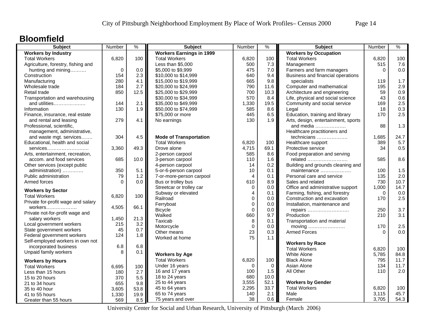#### **Bloomfield**

| <b>Subject</b>                     | Number   | $\%$ | <b>Subject</b>                  | Number         | ℅           | <b>Subject</b>                      | Number   | $\%$ |
|------------------------------------|----------|------|---------------------------------|----------------|-------------|-------------------------------------|----------|------|
| <b>Workers by Industry</b>         |          |      | <b>Workers Earnings in 1999</b> |                |             | <b>Workers by Occupation</b>        |          |      |
| <b>Total Workers</b>               | 6,820    | 100  | <b>Total Workers</b>            | 6,820          | 100         | <b>Total Workers</b>                | 6,820    | 100  |
| Agriculture, forestry, fishing and |          |      | Less than \$5,000               | 500            | 7.3         | Management                          | 515      | 7.6  |
| hunting and mining                 | $\Omega$ | 0.0  | \$5,000 to \$9,999              | 475            | 7.0         | Farmers and farm managers           | $\Omega$ | 0.0  |
| Construction                       | 154      | 2.3  | \$10,000 to \$14,999            | 640            | 9.4         | Business and financial operations   |          |      |
| Manufacturing                      | 280      | 4.1  | \$15,000 to \$19,999            | 665            | 9.8         | specialists                         | 119      | 1.7  |
| Wholesale trade                    | 184      | 2.7  | \$20,000 to \$24,999            | 790            | 11.6        | Computer and mathematical           | 195      | 2.9  |
| Retail trade                       | 850      | 12.5 | \$25,000 to \$29,999            | 700            | 10.3        | Architecture and engineering        | 59       | 0.9  |
| Transportation and warehousing     |          |      | \$30,000 to \$34,999            | 570            | 8.4         | Life, physical and social science   | 43       | 0.6  |
| and utilities                      | 144      | 2.1  | \$35,000 to \$49,999            | 1,330          | 19.5        | Community and social service        | 169      | 2.5  |
| Information                        | 130      | 1.9  | \$50,000 to \$74,999            | 585            | 8.6         | Legal                               | 18       | 0.3  |
| Finance, insurance, real estate    |          |      | \$75,000 or more                | 445            | 6.5         | Education, training and library     | 170      | 2.5  |
| and rental and leasing             | 279      | 4.1  | No earnings                     | 130            | 1.9         | Arts, design, entertainment, sports |          |      |
| Professional, scientific,          |          |      |                                 |                |             | and media                           | 88       | 1.3  |
| management, administrative,        |          |      |                                 |                |             | Healthcare practitioners and        |          |      |
| and waste mgt. services            | 304      | 4.5  | <b>Mode of Transportation</b>   |                |             | technicians                         | 1,685    | 24.7 |
| Educational, health and social     |          |      | <b>Total Workers</b>            | 6,820          | 100         | Healthcare support                  | 389      | 5.7  |
| $s$ ervices                        | 3,360    | 49.3 | Drove alone                     | 4,715          | 69.1        | Protective service                  | 34       | 0.5  |
| Arts, entertainment, recreation,   |          |      | 2-person carpool                | 585            | 8.6         | Food preparation and serving        |          |      |
| accom. and food services           | 685      | 10.0 | 3-person carpool                | 110            | 1.6         | related                             | 585      | 8.6  |
| Other services (except public      |          |      | 4-person carpool                | 14             | 0.2         | Building and grounds cleaning and   |          |      |
| administration)                    | 350      | 5.1  | 5-or-6-person carpool           | 10             | 0.1         | maintenance                         | 100      | 1.5  |
| Public administration              | 79       | 1.2  | 7-or-more-person carpool        | $\overline{4}$ | 0.1         | Personal care and service           | 135      | 2.0  |
| Armed forces                       | $\Omega$ | 0.0  | Bus or trolley bus              | 610            | 8.9         | Sales and related                   | 730      | 10.7 |
|                                    |          |      | Streetcar or trolley car        | $\mathbf 0$    | 0.0         | Office and administrative support   | 1,000    | 14.7 |
| <b>Workers by Sector</b>           |          |      | Subway or elevated              | $\overline{4}$ | 0.1         | Farming, fishing, and forestry      | $\Omega$ | 0.0  |
| <b>Total Workers</b>               | 6,820    | 100  | Railroad                        | $\Omega$       | 0.0         | Construction and excavation         | 170      | 2.5  |
| Private for-profit wage and salary |          |      | Ferryboat                       | $\mathbf 0$    | 0.0         | Installation, maintenance and       |          |      |
| workers                            | 4,505    | 66.1 | <b>Bicycle</b>                  | $\Omega$       | 0.0         | repairs                             | 250      | 3.7  |
| Private not-for-profit wage and    |          |      | Walked                          | 660            | 9.7         | Production                          | 210      | 3.1  |
| salary workers                     | 1,450    | 21.3 | Taxicab                         | 8              | 0.1         | Transportation and material         |          |      |
| Local government workers           | 215      | 3.2  | Motorcycle                      | $\pmb{0}$      | 0.0         | moving                              | 170      | 2.5  |
| State government workers           | 45       | 0.7  | Other means                     | 23             | 0.3         | <b>Armed Forces</b>                 | $\Omega$ | 0.0  |
| Federal government workers         | 124      | 1.8  | Worked at home                  | 75             | 1.1         |                                     |          |      |
| Self-employed workers in own not   |          |      |                                 |                |             | <b>Workers by Race</b>              |          |      |
| incorporated business              | 6.8      | 6.8  |                                 |                |             | <b>Total Workers</b>                | 6,820    | 100  |
| Unpaid family workers              | 8        | 0.1  | <b>Workers by Age</b>           |                |             | White Alone                         | 5,785    | 84.8 |
| <b>Workers by Hours</b>            |          |      | <b>Total Workers</b>            | 6,820          | 100         | <b>Black Alone</b>                  | 795      | 11.7 |
| <b>Total Workers</b>               | 6,695    | 100  | Under 16 years                  | $\Omega$       | $\mathbf 0$ | Asian Alone                         | 134      | 11.7 |
| Less than 15 hours                 | 180      | 2.7  | 16 and 17 years                 | 100            | 1.5         | All Other                           | 110      | 2.0  |
| 15 to 20 hours                     | 370      | 5.5  | 18 to 24 years                  | 680            | 10.0        |                                     |          |      |
| 21 to 34 hours                     | 655      | 9.8  | 25 to 44 years                  | 3,555          | 52.1        | <b>Workers by Gender</b>            |          |      |
| 35 to 40 hour                      | 3,605    | 53.8 | 45 to 64 years                  | 2,295          | 33.7        | <b>Total Workers</b>                | 6,820    | 100  |
| 41 to 55 hours                     | 1,330    | 19.9 | 65 to 74 years                  | 140            | 2.1         | Male                                | 3,115    | 45.7 |
| Greater than 55 hours              | 569      | 8.5  | 75 years and over               | 38             | 0.6         | Female                              | 3,705    | 54.3 |
|                                    |          |      |                                 |                |             |                                     |          |      |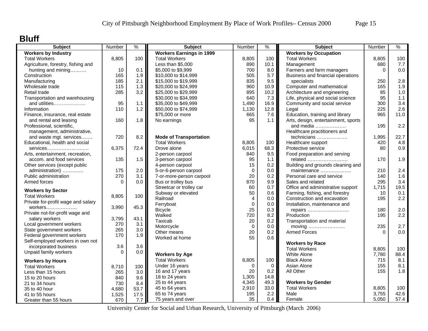### **Bluff**

| <b>Workers by Industry</b><br><b>Workers Earnings in 1999</b><br><b>Workers by Occupation</b><br><b>Total Workers</b><br>8,805<br>100<br><b>Total Workers</b><br>8,805<br>100<br><b>Total Workers</b><br>8,805<br>Less than \$5,000<br>890<br>10.1<br>Management<br>680<br>Agriculture, forestry, fishing and<br>10<br>0.1<br>\$5,000 to \$9,999<br>700<br>8.0<br>Farmers and farm managers<br>$\Omega$<br>hunting and mining<br>165<br>1.9<br>5.7<br>Construction<br>\$10,000 to \$14,999<br>505<br>Business and financial operations<br>185<br>2.1<br>\$15,000 to \$19,999<br>835<br>9.5<br>Manufacturing<br>specialists<br>250<br>115<br>1.3<br>\$20,000 to \$24,999<br>Computer and mathematical<br>Wholesale trade<br>960<br>10.9<br>165<br>285<br>3.2<br>895<br>Architecture and engineering<br>85<br>Retail trade<br>\$25,000 to \$29,999<br>10.2<br>640<br>7.3<br>95<br>Transportation and warehousing<br>\$30,000 to \$34,999<br>Life, physical and social science<br>95<br>\$35,000 to \$49,999<br>1,490<br>16.9<br>Community and social service<br>and utilities<br>1.1<br>300<br>110<br>1.2<br>225<br>Information<br>\$50,000 to \$74,999<br>1,130<br>12.8<br>Legal<br>\$75,000 or more<br>665<br>Education, training and library<br>965<br>7.6<br>Finance, insurance, real estate<br>95<br>Arts, design, entertainment, sports<br>160<br>1.8<br>No earnings<br>and rental and leasing<br>1.1 | 100  |
|-----------------------------------------------------------------------------------------------------------------------------------------------------------------------------------------------------------------------------------------------------------------------------------------------------------------------------------------------------------------------------------------------------------------------------------------------------------------------------------------------------------------------------------------------------------------------------------------------------------------------------------------------------------------------------------------------------------------------------------------------------------------------------------------------------------------------------------------------------------------------------------------------------------------------------------------------------------------------------------------------------------------------------------------------------------------------------------------------------------------------------------------------------------------------------------------------------------------------------------------------------------------------------------------------------------------------------------------------------------------------------------------------------------|------|
|                                                                                                                                                                                                                                                                                                                                                                                                                                                                                                                                                                                                                                                                                                                                                                                                                                                                                                                                                                                                                                                                                                                                                                                                                                                                                                                                                                                                           |      |
|                                                                                                                                                                                                                                                                                                                                                                                                                                                                                                                                                                                                                                                                                                                                                                                                                                                                                                                                                                                                                                                                                                                                                                                                                                                                                                                                                                                                           |      |
|                                                                                                                                                                                                                                                                                                                                                                                                                                                                                                                                                                                                                                                                                                                                                                                                                                                                                                                                                                                                                                                                                                                                                                                                                                                                                                                                                                                                           | 7.7  |
|                                                                                                                                                                                                                                                                                                                                                                                                                                                                                                                                                                                                                                                                                                                                                                                                                                                                                                                                                                                                                                                                                                                                                                                                                                                                                                                                                                                                           | 0.0  |
|                                                                                                                                                                                                                                                                                                                                                                                                                                                                                                                                                                                                                                                                                                                                                                                                                                                                                                                                                                                                                                                                                                                                                                                                                                                                                                                                                                                                           |      |
|                                                                                                                                                                                                                                                                                                                                                                                                                                                                                                                                                                                                                                                                                                                                                                                                                                                                                                                                                                                                                                                                                                                                                                                                                                                                                                                                                                                                           | 2.8  |
|                                                                                                                                                                                                                                                                                                                                                                                                                                                                                                                                                                                                                                                                                                                                                                                                                                                                                                                                                                                                                                                                                                                                                                                                                                                                                                                                                                                                           | 1.9  |
|                                                                                                                                                                                                                                                                                                                                                                                                                                                                                                                                                                                                                                                                                                                                                                                                                                                                                                                                                                                                                                                                                                                                                                                                                                                                                                                                                                                                           | 1.0  |
|                                                                                                                                                                                                                                                                                                                                                                                                                                                                                                                                                                                                                                                                                                                                                                                                                                                                                                                                                                                                                                                                                                                                                                                                                                                                                                                                                                                                           | 1.1  |
|                                                                                                                                                                                                                                                                                                                                                                                                                                                                                                                                                                                                                                                                                                                                                                                                                                                                                                                                                                                                                                                                                                                                                                                                                                                                                                                                                                                                           | 3.4  |
|                                                                                                                                                                                                                                                                                                                                                                                                                                                                                                                                                                                                                                                                                                                                                                                                                                                                                                                                                                                                                                                                                                                                                                                                                                                                                                                                                                                                           | 2.6  |
|                                                                                                                                                                                                                                                                                                                                                                                                                                                                                                                                                                                                                                                                                                                                                                                                                                                                                                                                                                                                                                                                                                                                                                                                                                                                                                                                                                                                           | 11.0 |
|                                                                                                                                                                                                                                                                                                                                                                                                                                                                                                                                                                                                                                                                                                                                                                                                                                                                                                                                                                                                                                                                                                                                                                                                                                                                                                                                                                                                           |      |
| 195<br>Professional, scientific,<br>and media $\ldots$                                                                                                                                                                                                                                                                                                                                                                                                                                                                                                                                                                                                                                                                                                                                                                                                                                                                                                                                                                                                                                                                                                                                                                                                                                                                                                                                                    | 2.2  |
| management, administrative,<br>Healthcare practitioners and                                                                                                                                                                                                                                                                                                                                                                                                                                                                                                                                                                                                                                                                                                                                                                                                                                                                                                                                                                                                                                                                                                                                                                                                                                                                                                                                               |      |
| 720<br>8.2<br><b>Mode of Transportation</b><br>technicians<br>and waste mgt. services<br>1,995                                                                                                                                                                                                                                                                                                                                                                                                                                                                                                                                                                                                                                                                                                                                                                                                                                                                                                                                                                                                                                                                                                                                                                                                                                                                                                            | 22.7 |
| Educational, health and social<br><b>Total Workers</b><br>100<br>Healthcare support<br>8,805<br>420                                                                                                                                                                                                                                                                                                                                                                                                                                                                                                                                                                                                                                                                                                                                                                                                                                                                                                                                                                                                                                                                                                                                                                                                                                                                                                       | 4.8  |
| 6,375<br>72.4<br>Drove alone<br>6,015<br>68.3<br>Protective service<br>80<br>services                                                                                                                                                                                                                                                                                                                                                                                                                                                                                                                                                                                                                                                                                                                                                                                                                                                                                                                                                                                                                                                                                                                                                                                                                                                                                                                     | 0.9  |
| 9.5<br>2-person carpool<br>840<br>Food preparation and serving<br>Arts, entertainment, recreation,                                                                                                                                                                                                                                                                                                                                                                                                                                                                                                                                                                                                                                                                                                                                                                                                                                                                                                                                                                                                                                                                                                                                                                                                                                                                                                        |      |
| accom. and food services<br>135<br>1.5<br>95<br>1.1<br>related<br>3-person carpool<br>170                                                                                                                                                                                                                                                                                                                                                                                                                                                                                                                                                                                                                                                                                                                                                                                                                                                                                                                                                                                                                                                                                                                                                                                                                                                                                                                 | 1.9  |
| 15<br>0.2<br>Building and grounds cleaning and<br>Other services (except public<br>4-person carpool                                                                                                                                                                                                                                                                                                                                                                                                                                                                                                                                                                                                                                                                                                                                                                                                                                                                                                                                                                                                                                                                                                                                                                                                                                                                                                       |      |
| 175<br>2.0<br>$\mathbf 0$<br>0.0<br>210                                                                                                                                                                                                                                                                                                                                                                                                                                                                                                                                                                                                                                                                                                                                                                                                                                                                                                                                                                                                                                                                                                                                                                                                                                                                                                                                                                   |      |
| administration)<br>5-or-6-person carpool<br>maintenance                                                                                                                                                                                                                                                                                                                                                                                                                                                                                                                                                                                                                                                                                                                                                                                                                                                                                                                                                                                                                                                                                                                                                                                                                                                                                                                                                   | 2.4  |
| 270<br>20<br>Public administration<br>3.1<br>0.2<br>140<br>7-or-more-person carpool<br>Personal care and service                                                                                                                                                                                                                                                                                                                                                                                                                                                                                                                                                                                                                                                                                                                                                                                                                                                                                                                                                                                                                                                                                                                                                                                                                                                                                          | 1.6  |
| 0.0<br>Bus or trolley bus<br>870<br>9.9<br>295<br>Armed forces<br>$\Omega$<br>Sales and related                                                                                                                                                                                                                                                                                                                                                                                                                                                                                                                                                                                                                                                                                                                                                                                                                                                                                                                                                                                                                                                                                                                                                                                                                                                                                                           | 3.4  |
| 60<br>0.7<br>Office and administrative support<br>1,715<br>Streetcar or trolley car<br><b>Workers by Sector</b>                                                                                                                                                                                                                                                                                                                                                                                                                                                                                                                                                                                                                                                                                                                                                                                                                                                                                                                                                                                                                                                                                                                                                                                                                                                                                           | 19.5 |
| Subway or elevated<br>50<br>0.6<br>Farming, fishing, and forestry<br>10<br><b>Total Workers</b><br>8,805<br>100                                                                                                                                                                                                                                                                                                                                                                                                                                                                                                                                                                                                                                                                                                                                                                                                                                                                                                                                                                                                                                                                                                                                                                                                                                                                                           | 0.1  |
| Railroad<br>Construction and excavation<br>$\overline{4}$<br>$0.0\,$<br>195<br>Private for-profit wage and salary                                                                                                                                                                                                                                                                                                                                                                                                                                                                                                                                                                                                                                                                                                                                                                                                                                                                                                                                                                                                                                                                                                                                                                                                                                                                                         | 2.2  |
| Ferryboat<br>$\mathbf 0$<br>0.0<br>Installation, maintenance and<br>3,990<br>45.3<br>workers                                                                                                                                                                                                                                                                                                                                                                                                                                                                                                                                                                                                                                                                                                                                                                                                                                                                                                                                                                                                                                                                                                                                                                                                                                                                                                              |      |
| 25<br>0.3<br><b>Bicycle</b><br>180<br>repairs<br>Private not-for-profit wage and                                                                                                                                                                                                                                                                                                                                                                                                                                                                                                                                                                                                                                                                                                                                                                                                                                                                                                                                                                                                                                                                                                                                                                                                                                                                                                                          | 2.0  |
| Walked<br>720<br>8.2<br>Production<br>195<br>3,795<br>43.1<br>salary workers                                                                                                                                                                                                                                                                                                                                                                                                                                                                                                                                                                                                                                                                                                                                                                                                                                                                                                                                                                                                                                                                                                                                                                                                                                                                                                                              | 2.2  |
| Taxicab<br>0.2<br>20<br>Transportation and material<br>270<br>3.1<br>Local government workers                                                                                                                                                                                                                                                                                                                                                                                                                                                                                                                                                                                                                                                                                                                                                                                                                                                                                                                                                                                                                                                                                                                                                                                                                                                                                                             |      |
| Motorcycle<br>$\mathbf 0$<br>0.0<br>235<br>moving<br>265<br>3.0<br>State government workers                                                                                                                                                                                                                                                                                                                                                                                                                                                                                                                                                                                                                                                                                                                                                                                                                                                                                                                                                                                                                                                                                                                                                                                                                                                                                                               | 2.7  |
| 20<br>0.2<br>Other means<br><b>Armed Forces</b><br>$\Omega$<br>Federal government workers<br>170<br>1.9                                                                                                                                                                                                                                                                                                                                                                                                                                                                                                                                                                                                                                                                                                                                                                                                                                                                                                                                                                                                                                                                                                                                                                                                                                                                                                   | 0.0  |
| 55<br>0.6<br>Worked at home<br>Self-employed workers in own not                                                                                                                                                                                                                                                                                                                                                                                                                                                                                                                                                                                                                                                                                                                                                                                                                                                                                                                                                                                                                                                                                                                                                                                                                                                                                                                                           |      |
| <b>Workers by Race</b><br>3.6<br>incorporated business<br>3.6                                                                                                                                                                                                                                                                                                                                                                                                                                                                                                                                                                                                                                                                                                                                                                                                                                                                                                                                                                                                                                                                                                                                                                                                                                                                                                                                             |      |
| <b>Total Workers</b><br>8.805<br>0.0<br>Unpaid family workers<br>$\Omega$                                                                                                                                                                                                                                                                                                                                                                                                                                                                                                                                                                                                                                                                                                                                                                                                                                                                                                                                                                                                                                                                                                                                                                                                                                                                                                                                 | 100  |
| <b>Workers by Age</b><br><b>White Alone</b><br>7,780                                                                                                                                                                                                                                                                                                                                                                                                                                                                                                                                                                                                                                                                                                                                                                                                                                                                                                                                                                                                                                                                                                                                                                                                                                                                                                                                                      | 88.4 |
| <b>Total Workers</b><br>8,805<br>100<br><b>Black Alone</b><br>715<br><b>Workers by Hours</b>                                                                                                                                                                                                                                                                                                                                                                                                                                                                                                                                                                                                                                                                                                                                                                                                                                                                                                                                                                                                                                                                                                                                                                                                                                                                                                              | 8.1  |
| Under 16 years<br>$\Omega$<br>$\mathbf 0$<br>Asian Alone<br>155<br><b>Total Workers</b><br>8,710<br>100                                                                                                                                                                                                                                                                                                                                                                                                                                                                                                                                                                                                                                                                                                                                                                                                                                                                                                                                                                                                                                                                                                                                                                                                                                                                                                   | 8.1  |
| 20<br>0.2<br>All Other<br>155<br>16 and 17 years<br>3.0<br>265<br>Less than 15 hours                                                                                                                                                                                                                                                                                                                                                                                                                                                                                                                                                                                                                                                                                                                                                                                                                                                                                                                                                                                                                                                                                                                                                                                                                                                                                                                      | 1.8  |
| 1,305<br>18 to 24 years<br>14.8<br>9.6<br>15 to 20 hours<br>840                                                                                                                                                                                                                                                                                                                                                                                                                                                                                                                                                                                                                                                                                                                                                                                                                                                                                                                                                                                                                                                                                                                                                                                                                                                                                                                                           |      |
| <b>Workers by Gender</b><br>25 to 44 years<br>4,345<br>49.3<br>730<br>21 to 34 hours<br>8.4                                                                                                                                                                                                                                                                                                                                                                                                                                                                                                                                                                                                                                                                                                                                                                                                                                                                                                                                                                                                                                                                                                                                                                                                                                                                                                               |      |
| 33.0<br>45 to 64 years<br>2,910<br><b>Total Workers</b><br>8,805<br>35 to 40 hour<br>4,680<br>53.7                                                                                                                                                                                                                                                                                                                                                                                                                                                                                                                                                                                                                                                                                                                                                                                                                                                                                                                                                                                                                                                                                                                                                                                                                                                                                                        | 100  |
| 65 to 74 years<br>195<br>2.2<br>3,755<br>Male<br>1,525<br>17.5<br>41 to 55 hours                                                                                                                                                                                                                                                                                                                                                                                                                                                                                                                                                                                                                                                                                                                                                                                                                                                                                                                                                                                                                                                                                                                                                                                                                                                                                                                          | 42.6 |
| 35<br>75 years and over<br>0.4<br>5,050<br>Female<br>670<br>7.7<br>Greater than 55 hours                                                                                                                                                                                                                                                                                                                                                                                                                                                                                                                                                                                                                                                                                                                                                                                                                                                                                                                                                                                                                                                                                                                                                                                                                                                                                                                  | 57.4 |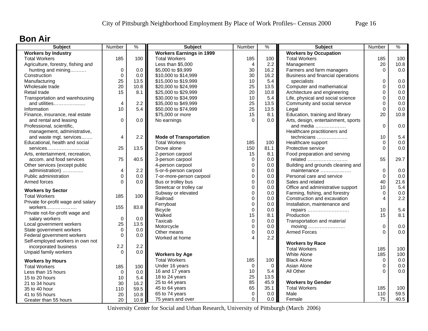#### **Bon Air**

| <b>Subject</b>                     | Number      | $\%$    | <b>Subject</b>                  | Number         | ℅                | <b>Subject</b>                      | Number         | %    |
|------------------------------------|-------------|---------|---------------------------------|----------------|------------------|-------------------------------------|----------------|------|
| <b>Workers by Industry</b>         |             |         | <b>Workers Earnings in 1999</b> |                |                  | <b>Workers by Occupation</b>        |                |      |
| <b>Total Workers</b>               | 185         | 100     | <b>Total Workers</b>            | 185            | 100              | <b>Total Workers</b>                | 185            | 100  |
| Agriculture, forestry, fishing and |             |         | Less than \$5,000               | $\overline{4}$ | 2.2              | Management                          | 20             | 10.8 |
| hunting and mining                 | $\mathbf 0$ | 0.0     | \$5,000 to \$9,999              | 30             | 16.2             | Farmers and farm managers           | $\Omega$       | 0.0  |
| Construction                       | $\mathbf 0$ | 0.0     | \$10,000 to \$14,999            | 30             | 16.2             | Business and financial operations   |                |      |
| Manufacturing                      | 25          | 13.5    | \$15,000 to \$19,999            | 10             | 5.4              | specialists                         | 0              | 0.0  |
| Wholesale trade                    | 20          | 10.8    | \$20,000 to \$24,999            | 25             | 13.5             | Computer and mathematical           | $\Omega$       | 0.0  |
| Retail trade                       | 15          | 8.1     | \$25,000 to \$29,999            | 20             | 10.8             | Architecture and engineering        | 0              | 0.0  |
| Transportation and warehousing     |             |         | \$30,000 to \$34,999            | 10             | 5.4              | Life, physical and social science   | $\Omega$       | 0.0  |
| and utilities                      | 4           | 2.2     | \$35,000 to \$49,999            | 25             | 13.5             | Community and social service        | 0              | 0.0  |
| Information                        | 10          | 5.4     | \$50,000 to \$74,999            | 25             | 13.5             | Legal                               | $\Omega$       | 0.0  |
| Finance, insurance, real estate    |             |         | \$75,000 or more                | 15             | 8.1              | Education, training and library     | 20             | 10.8 |
| and rental and leasing             | $\mathbf 0$ | 0.0     | No earnings                     | $\Omega$       | 0.0              | Arts, design, entertainment, sports |                |      |
| Professional, scientific,          |             |         |                                 |                |                  | and media                           | $\overline{0}$ | 0.0  |
| management, administrative,        |             |         |                                 |                |                  | Healthcare practitioners and        |                |      |
| and waste mgt. services            | 4           | 2.2     | <b>Mode of Transportation</b>   |                |                  | technicians                         | 10             | 5.4  |
| Educational, health and social     |             |         | <b>Total Workers</b>            | 185            | 100              | Healthcare support                  | $\Omega$       | 0.0  |
| $s$ ervices                        | 25          | 13.5    | Drove alone                     | 150            | 81.1             | Protective service                  | $\Omega$       | 0.0  |
| Arts, entertainment, recreation,   |             |         | 2-person carpool                | 15             | 8.1              | Food preparation and serving        |                |      |
| accom. and food services           | 75          | 40.5    | 3-person carpool                | $\mathbf 0$    | 0.0              | related                             | 55             | 29.7 |
| Other services (except public      |             |         | 4-person carpool                | $\mathbf 0$    | 0.0 <sub>1</sub> | Building and grounds cleaning and   |                |      |
| administration)                    | 4           | 2.2     | 5-or-6-person carpool           | $\mathbf 0$    | 0.0              | maintenance                         | $\mathbf 0$    | 0.0  |
| Public administration              | $\mathbf 0$ | 0.0     | 7-or-more-person carpool        | $\mathbf 0$    | 0.0              | Personal care and service           | $\mathbf 0$    | 0.0  |
| Armed forces                       | $\Omega$    | 0.0     | Bus or trolley bus              | 0              | 0.0              | Sales and related                   | 40             | 21.6 |
|                                    |             |         | Streetcar or trolley car        | $\mathbf 0$    | 0.0              | Office and administrative support   | 10             | 5.4  |
| <b>Workers by Sector</b>           |             |         | Subway or elevated              | 0              | 0.0              | Farming, fishing, and forestry      | $\Omega$       | 0.0  |
| <b>Total Workers</b>               | 185         | 100     | Railroad                        | $\mathbf 0$    | 0.0              | Construction and excavation         | $\overline{4}$ | 2.2  |
| Private for-profit wage and salary |             |         | Ferryboat                       | $\pmb{0}$      | 0.0              | Installation, maintenance and       |                |      |
| workers                            | 155         | 83.8    | <b>Bicycle</b>                  | $\mathbf 0$    | 0.0              | repairs                             | 10             | 5.4  |
| Private not-for-profit wage and    |             |         | Walked                          | 15             | 8.1              | Production                          | 15             | 8.1  |
| salary workers                     | $\mathbf 0$ | 0.0     | Taxicab                         | $\mathbf 0$    | 0.0              | Transportation and material         |                |      |
| Local government workers           | 25          | 13.5    | Motorcycle                      | $\Omega$       | 0.0              | moving                              | $\mathbf 0$    | 0.0  |
| State government workers           | $\Omega$    | 0.0     | Other means                     | $\mathbf 0$    | 0.0              | <b>Armed Forces</b>                 | $\Omega$       | 0.0  |
| Federal government workers         | $\Omega$    | $0.0\,$ | Worked at home                  | 4              | 2.2              |                                     |                |      |
| Self-employed workers in own not   |             |         |                                 |                |                  | <b>Workers by Race</b>              |                |      |
| incorporated business              | 2.2         | 2.2     |                                 |                |                  | <b>Total Workers</b>                | 185            | 100  |
| Unpaid family workers              | $\Omega$    | 0.0     | <b>Workers by Age</b>           |                |                  | <b>White Alone</b>                  | 185            | 100  |
| <b>Workers by Hours</b>            |             |         | <b>Total Workers</b>            | 185            | 100              | <b>Black Alone</b>                  | $\mathbf 0$    | 0.0  |
| <b>Total Workers</b>               |             | 100     | Under 16 years                  | $\mathbf 0$    | $\mathbf 0$      | Asian Alone                         | 0              | 0.0  |
|                                    | 185         |         | 16 and 17 years                 | 10             | 5.4              | All Other                           | $\Omega$       | 0.0  |
| Less than 15 hours                 | $\mathbf 0$ | 0.0     | 18 to 24 years                  | 25             | 13.5             |                                     |                |      |
| 15 to 20 hours                     | 10          | 5.4     | 25 to 44 years                  | 85             | 45.9             | <b>Workers by Gender</b>            |                |      |
| 21 to 34 hours                     | 30          | 16.2    | 45 to 64 years                  | 65             | 35.1             | <b>Total Workers</b>                | 185            | 100  |
| 35 to 40 hour                      | 110         | 59.5    | 65 to 74 years                  | $\mathbf 0$    | 0.0              | Male                                | 110            | 59.5 |
| 41 to 55 hours                     | 20          | 10.8    | 75 years and over               | $\Omega$       | 0.0              | Female                              | 75             | 40.5 |
| Greater than 55 hours              | 20          | 10.8    |                                 |                |                  |                                     |                |      |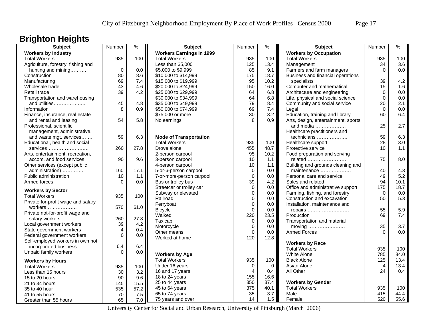## **Brighton Heights**

| <b>Subject</b>                     | Number   | $\frac{9}{6}$ | <b>Subject</b>                  | Number         | $\frac{9}{6}$ | <b>Subject</b>                      | Number         | $\frac{0}{0}$ |
|------------------------------------|----------|---------------|---------------------------------|----------------|---------------|-------------------------------------|----------------|---------------|
| <b>Workers by Industry</b>         |          |               | <b>Workers Earnings in 1999</b> |                |               | <b>Workers by Occupation</b>        |                |               |
| <b>Total Workers</b>               | 935      | 100           | <b>Total Workers</b>            | 935            | 100           | <b>Total Workers</b>                | 935            | 100           |
| Agriculture, forestry, fishing and |          |               | Less than \$5,000               | 125            | 13.4          | Management                          | 34             | 3.6           |
| hunting and mining                 | 0        | 0.0           | \$5,000 to \$9,999              | 85             | 9.1           | Farmers and farm managers           | $\Omega$       | 0.0           |
| Construction                       | 80       | 8.6           | \$10,000 to \$14,999            | 175            | 18.7          | Business and financial operations   |                |               |
| Manufacturing                      | 69       | 7.4           | \$15,000 to \$19,999            | 95             | 10.2          | specialists                         | 39             | 4.2           |
| Wholesale trade                    | 43       | 4.6           | \$20,000 to \$24,999            | 150            | 16.0          | Computer and mathematical           | 15             | 1.6           |
| Retail trade                       | 39       | 4.2           | \$25,000 to \$29,999            | 64             | 6.8           | Architecture and engineering        | $\mathbf 0$    | 0.0           |
| Transportation and warehousing     |          |               | \$30,000 to \$34,999            | 64             | 6.8           | Life, physical and social science   | $\mathbf 0$    | 0.0           |
| and utilities                      | 45       | 4.8           | \$35,000 to \$49,999            | 79             | 8.4           | Community and social service        | 20             | 2.1           |
| Information                        | 8        | 0.9           | \$50,000 to \$74,999            | 69             | 7.4           | Legal                               | $\Omega$       | 0.0           |
| Finance, insurance, real estate    |          |               | \$75,000 or more                | 30             | 3.2           | Education, training and library     | 60             | 6.4           |
| and rental and leasing             | 54       | 5.8           | No earnings                     | 8              | 0.9           | Arts, design, entertainment, sports |                |               |
| Professional, scientific,          |          |               |                                 |                |               | and media                           | 25             | 2.7           |
| management, administrative,        |          |               |                                 |                |               | Healthcare practitioners and        |                |               |
| and waste mgt. services            | 59       | 6.3           | <b>Mode of Transportation</b>   |                |               | technicians                         | 59             | 6.3           |
| Educational, health and social     |          |               | <b>Total Workers</b>            | 935            | 100           | Healthcare support                  | 28             | 3.0           |
| services                           | 260      | 27.8          | Drove alone                     | 455            | 48.7          | Protective service                  | 10             | 1.1           |
| Arts, entertainment, recreation,   |          |               | 2-person carpool                | 95             | 10.2          | Food preparation and serving        |                |               |
| accom. and food services           | 90       | 9.6           | 3-person carpool                | 10             | 1.1           | related                             | 75             | 8.0           |
| Other services (except public      |          |               | 4-person carpool                | 10             | 1.1           | Building and grounds cleaning and   |                |               |
| administration)                    | 160      | 17.1          | 5-or-6-person carpool           | $\mathbf 0$    | 0.0           | maintenance                         | 40             | 4.3           |
| Public administration              | 10       | 1.1           | 7-or-more-person carpool        | $\pmb{0}$      | 0.0           | Personal care and service           | 49             | 5.2           |
| Armed forces                       | $\Omega$ | 0.0           | Bus or trolley bus              | 39             | 4.2           | Sales and related                   | 94             | 10.1          |
|                                    |          |               | Streetcar or trolley car        | $\Omega$       | 0.0           | Office and administrative support   | 175            | 18.7          |
| <b>Workers by Sector</b>           |          |               | Subway or elevated              | $\mathbf 0$    | 0.0           | Farming, fishing, and forestry      | $\mathbf 0$    | 0.0           |
| <b>Total Workers</b>               | 935      | 100           | Railroad                        | $\Omega$       | 0.0           | Construction and excavation         | 50             | 5.3           |
| Private for-profit wage and salary |          |               | Ferryboat                       | $\mathbf 0$    | 0.0           | Installation, maintenance and       |                |               |
| workers                            | 570      | 61.0          | <b>Bicycle</b>                  | $\Omega$       | 0.0           | repairs                             | 55             | 5.9           |
| Private not-for-profit wage and    |          |               | Walked                          | 220            | 23.5          | Production                          | 69             | 7.4           |
| salary workers                     | 260      | 27.8          | Taxicab                         | $\mathbf 0$    | 0.0           | Transportation and material         |                |               |
| Local government workers           | 39       | 4.2           | Motorcycle                      | $\mathbf 0$    | 0.0           | moving                              | 35             | 3.7           |
| State government workers           | 4        | 0.4           | Other means                     | $\mathbf 0$    | 0.0           | <b>Armed Forces</b>                 | $\Omega$       | 0.0           |
| Federal government workers         | $\Omega$ | 0.0           | Worked at home                  | 120            | 12.8          |                                     |                |               |
| Self-employed workers in own not   |          |               |                                 |                |               | <b>Workers by Race</b>              |                |               |
| incorporated business              | 6.4      | 6.4           |                                 |                |               | <b>Total Workers</b>                | 935            | 100           |
| Unpaid family workers              | $\Omega$ | 0.0           | <b>Workers by Age</b>           |                |               | White Alone                         | 785            | 84.0          |
| <b>Workers by Hours</b>            |          |               | <b>Total Workers</b>            | 935            | 100           | <b>Black Alone</b>                  | 125            | 13.4          |
| <b>Total Workers</b>               | 935      | 100           | Under 16 years                  | $\mathbf 0$    | $\mathbf 0$   | Asian Alone                         | $\overline{4}$ | 13.4          |
| Less than 15 hours                 | 30       | 3.2           | 16 and 17 years                 | $\overline{4}$ | 0.4           | All Other                           | 24             | 0.4           |
| 15 to 20 hours                     | 90       | 9.6           | 18 to 24 years                  | 155            | 16.6          |                                     |                |               |
| 21 to 34 hours                     | 145      | 15.5          | 25 to 44 years                  | 350            | 37.4          | <b>Workers by Gender</b>            |                |               |
| 35 to 40 hour                      | 535      | 57.2          | 45 to 64 years                  | 375            | 40.1          | <b>Total Workers</b>                | 935            | 100           |
| 41 to 55 hours                     | 70       | 7.5           | 65 to 74 years                  | 35             | 3.7           | Male                                | 415            | 44.4          |
|                                    | 65       |               | 75 years and over               | 14             | 1.5           | Female                              | 520            | 55.6          |
| Greater than 55 hours              |          | 7.0           |                                 |                |               |                                     |                |               |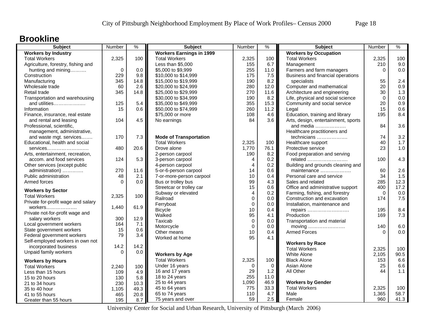#### **Brookline**

| <b>Subject</b>                             | Number      | $\frac{9}{6}$ | <b>Subject</b>                  | Number         | $\%$     | <b>Subject</b>                                    | Number      | %    |
|--------------------------------------------|-------------|---------------|---------------------------------|----------------|----------|---------------------------------------------------|-------------|------|
| <b>Workers by Industry</b>                 |             |               | <b>Workers Earnings in 1999</b> |                |          | <b>Workers by Occupation</b>                      |             |      |
| <b>Total Workers</b>                       | 2,325       | 100           | <b>Total Workers</b>            | 2,325          | 100      | <b>Total Workers</b>                              | 2,325       | 100  |
| Agriculture, forestry, fishing and         |             |               | Less than \$5,000               | 155            | 6.7      | Management                                        | 210         | 9.0  |
| hunting and mining                         | $\mathbf 0$ | 0.0           | \$5,000 to \$9,999              | 255            | 11.0     | Farmers and farm managers                         | $\Omega$    | 0.0  |
| Construction                               | 229         | 9.8           | \$10,000 to \$14,999            | 175            | 7.5      | Business and financial operations                 |             |      |
| Manufacturing                              | 345         | 14.8          | \$15,000 to \$19,999            | 190            | 8.2      | specialists                                       | 55          | 2.4  |
| Wholesale trade                            | 60          | 2.6           | \$20,000 to \$24,999            | 280            | 12.0     | Computer and mathematical                         | 20          | 0.9  |
| Retail trade                               | 345         | 14.8          | \$25,000 to \$29,999            | 270            | 11.6     | Architecture and engineering                      | 30          | 1.3  |
| Transportation and warehousing             |             |               | \$30,000 to \$34,999            | 190            | 8.2      | Life, physical and social science                 | $\mathbf 0$ | 0.0  |
| and utilities                              | 125         | 5.4           | \$35,000 to \$49,999            | 355            | 15.3     | Community and social service                      | 20          | 0.9  |
| Information                                | 15          | 0.6           | \$50,000 to \$74,999            | 260            | 11.2     | Legal                                             | 15          | 0.6  |
| Finance, insurance, real estate            |             |               | \$75,000 or more                | 108            | 4.6      | Education, training and library                   | 195         | 8.4  |
| and rental and leasing                     | 104         | 4.5           | No earnings                     | 84             | 3.6      | Arts, design, entertainment, sports               |             |      |
| Professional, scientific,                  |             |               |                                 |                |          | and media                                         | 84          | 3.6  |
| management, administrative,                |             |               |                                 |                |          | Healthcare practitioners and                      |             |      |
| and waste mgt. services                    | 170         | 7.3           | <b>Mode of Transportation</b>   |                |          | technicians                                       | 74          | 3.2  |
| Educational, health and social             |             |               | <b>Total Workers</b>            | 2,325          | 100      | Healthcare support                                | 40          | 1.7  |
| services                                   | 480         | 20.6          | Drove alone                     | 1,770          | 76.1     | Protective service                                | 23          | 1.0  |
| Arts, entertainment, recreation,           |             |               | 2-person carpool                | 190            | 8.2      | Food preparation and serving                      |             |      |
| accom. and food services                   | 124         | 5.3           | 3-person carpool                | $\overline{4}$ | 0.2      | related                                           | 100         | 4.3  |
| Other services (except public              |             |               | 4-person carpool                | $\overline{4}$ | 0.2      | Building and grounds cleaning and                 |             |      |
| administration)                            | 270         | 11.6          | 5-or-6-person carpool           | 14             | 0.6      | maintenance                                       | 60          | 2.6  |
| Public administration                      | 48          | 2.1           | 7-or-more-person carpool        | 10             | 0.4      | Personal care and service                         | 34          | 1.5  |
| Armed forces                               | $\Omega$    | 0.0           | Bus or trolley bus              | 99             | 4.3      | Sales and related                                 | 285         | 12.3 |
| <b>Workers by Sector</b>                   |             |               | Streetcar or trolley car        | 15             | 0.6      | Office and administrative support                 | 400         | 17.2 |
| <b>Total Workers</b>                       | 2,325       | 100           | Subway or elevated              | $\overline{4}$ | 0.2      | Farming, fishing, and forestry                    | $\mathbf 0$ | 0.0  |
| Private for-profit wage and salary         |             |               | Railroad                        | $\mathbf 0$    | 0.0      | Construction and excavation                       | 174         | 7.5  |
|                                            | 1,440       | 61.9          | Ferryboat                       | $\mathbf 0$    | 0.0      | Installation, maintenance and                     |             |      |
| workers<br>Private not-for-profit wage and |             |               | <b>Bicycle</b>                  | 10             | 0.4      | repairs                                           | 195         | 8.4  |
| salary workers                             | 300         | 12.9          | Walked                          | 95             | 4.1      | Production                                        | 169         | 7.3  |
| Local government workers                   | 164         | 7.1           | Taxicab                         | $\mathbf 0$    | 0.0      | Transportation and material                       |             |      |
| State government workers                   | 15          | 0.6           | Motorcycle                      | $\mathbf 0$    | 0.0      | moving $\dots\dots\dots\dots\dots\dots\dots\dots$ | 140         | 6.0  |
| Federal government workers                 | 79          | 3.4           | Other means                     | 10             | 0.4      | <b>Armed Forces</b>                               | $\Omega$    | 0.0  |
| Self-employed workers in own not           |             |               | Worked at home                  | 95             | 4.1      |                                                   |             |      |
| incorporated business                      | 14.2        | 14.2          |                                 |                |          | <b>Workers by Race</b>                            |             |      |
| Unpaid family workers                      | $\Omega$    | 0.0           |                                 |                |          | <b>Total Workers</b>                              | 2,325       | 100  |
|                                            |             |               | <b>Workers by Age</b>           |                |          | White Alone                                       | 2,105       | 90.5 |
| <b>Workers by Hours</b>                    |             |               | <b>Total Workers</b>            | 2,325          | 100      | <b>Black Alone</b>                                | 153         | 6.6  |
| <b>Total Workers</b>                       | 2,240       | 100           | Under 16 years                  | $\Omega$       | $\Omega$ | Asian Alone                                       | 25          | 6.6  |
| Less than 15 hours                         | 109         | 4.9           | 16 and 17 years                 | 29             | 1.2      | All Other                                         | 44          | 1.1  |
| 15 to 20 hours                             | 130         | 5.8           | 18 to 24 years                  | 255            | 11.0     |                                                   |             |      |
| 21 to 34 hours                             | 230         | 10.3          | 25 to 44 years                  | 1,090          | 46.9     | <b>Workers by Gender</b>                          |             |      |
| 35 to 40 hour                              | 1,105       | 49.3          | 45 to 64 years                  | 775            | 33.3     | <b>Total Workers</b>                              | 2,325       | 100  |
| 41 to 55 hours                             | 465         | 20.8          | 65 to 74 years                  | 110            | 4.7      | Male                                              | 1,365       | 58.7 |
| Greater than 55 hours                      | 195         | 8.7           | 75 years and over               | 59             | 2.5      | Female                                            | 960         | 41.3 |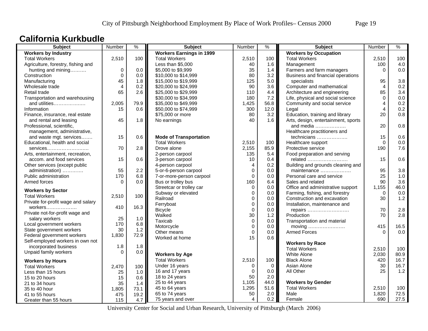#### **California Kurkbudle**

| Subject                            | Number         | $\frac{9}{6}$ | <b>Subject</b>                  | Number         | $\frac{9}{6}$ | <b>Subject</b>                      | Number      | %    |
|------------------------------------|----------------|---------------|---------------------------------|----------------|---------------|-------------------------------------|-------------|------|
| <b>Workers by Industry</b>         |                |               | <b>Workers Earnings in 1999</b> |                |               | <b>Workers by Occupation</b>        |             |      |
| <b>Total Workers</b>               | 2,510          | 100           | <b>Total Workers</b>            | 2,510          | 100           | <b>Total Workers</b>                | 2,510       | 100  |
| Agriculture, forestry, fishing and |                |               | Less than \$5,000               | 40             | 1.6           | Management                          | 100         | 4.0  |
| hunting and mining                 | $\mathbf 0$    | 0.0           | \$5,000 to \$9,999              | 35             | 1.4           | Farmers and farm managers           | $\Omega$    | 0.0  |
| Construction                       | $\Omega$       | 0.0           | \$10,000 to \$14,999            | 80             | 3.2           | Business and financial operations   |             |      |
| Manufacturing                      | 45             | 1.8           | \$15,000 to \$19,999            | 125            | 5.0           | specialists                         | 95          | 3.8  |
| Wholesale trade                    | $\overline{4}$ | 0.2           | \$20,000 to \$24,999            | 90             | 3.6           | Computer and mathematical           | 4           | 0.2  |
| Retail trade                       | 65             | 2.6           | \$25,000 to \$29,999            | 110            | 4.4           | Architecture and engineering        | 85          | 3.4  |
| Transportation and warehousing     |                |               | \$30,000 to \$34,999            | 180            | 7.2           | Life, physical and social science   | $\mathbf 0$ | 0.0  |
| and utilities                      | 2,005          | 79.9          | \$35,000 to \$49,999            | 1,425          | 56.8          | Community and social service        | 4           | 0.2  |
| Information                        | 15             | 0.6           | \$50,000 to \$74,999            | 300            | 12.0          | Legal                               | 4           | 0.2  |
| Finance, insurance, real estate    |                |               | \$75,000 or more                | 80             | 3.2           | Education, training and library     | 20          | 0.8  |
| and rental and leasing             | 45             | 1.8           | No earnings                     | 40             | 1.6           | Arts, design, entertainment, sports |             |      |
| Professional, scientific,          |                |               |                                 |                |               | and media                           | 20          | 0.8  |
| management, administrative,        |                |               |                                 |                |               | Healthcare practitioners and        |             |      |
| and waste mgt. services            | 15             | 0.6           | <b>Mode of Transportation</b>   |                |               | technicians                         | 15          | 0.6  |
| Educational, health and social     |                |               | <b>Total Workers</b>            | 2,510          | 100           | Healthcare support                  | $\Omega$    | 0.0  |
| services                           | 70             | 2.8           | Drove alone                     | 2,155          | 85.9          | Protective service                  | 190         | 7.6  |
| Arts, entertainment, recreation,   |                |               | 2-person carpool                | 135            | 5.4           | Food preparation and serving        |             |      |
| accom. and food services           | 15             | 0.6           | 3-person carpool                | 10             | 0.4           | related                             | 15          | 0.6  |
| Other services (except public      |                |               | 4-person carpool                | $\overline{4}$ | 0.2           | Building and grounds cleaning and   |             |      |
| administration)                    | 55             | 2.2           | 5-or-6-person carpool           | $\Omega$       | $0.0\,$       | maintenance                         | 95          | 3.8  |
| Public administration              | 170            | 6.8           | 7-or-more-person carpool        | $\Omega$       | 0.0           | Personal care and service           | 25          | 1.0  |
| Armed forces                       | $\Omega$       | 0.0           | Bus or trolley bus              | 160            | 6.4           | Sales and related                   | 90          | 3.6  |
| <b>Workers by Sector</b>           |                |               | Streetcar or trolley car        | $\mathbf{0}$   | 0.0           | Office and administrative support   | 1,155       | 46.0 |
| <b>Total Workers</b>               | 2,510          | 100           | Subway or elevated              | $\mathbf{0}$   | 0.0           | Farming, fishing, and forestry      | $\Omega$    | 0.0  |
| Private for-profit wage and salary |                |               | Railroad                        | $\mathbf{0}$   | 0.0           | Construction and excavation         | 30          | 1.2  |
|                                    | 410            | 16.3          | Ferryboat                       | 0              | 0.0           | Installation, maintenance and       |             |      |
| Private not-for-profit wage and    |                |               | <b>Bicycle</b>                  | $\Omega$       | 0.0           | repairs                             | 70          | 2.8  |
| salary workers                     | 25             | 1.0           | Walked                          | 30             | 1.2           | Production                          | 70          | 2.8  |
| Local government workers           | 170            | 6.8           | Taxicab                         | 0              | 0.0           | Transportation and material         |             |      |
| State government workers           | 30             | 1.2           | Motorcycle                      | 0              | 0.0           | moving                              | 415         | 16.5 |
| Federal government workers         | 1,830          | 72.9          | Other means                     | $\mathbf 0$    | 0.0           | <b>Armed Forces</b>                 | $\Omega$    | 0.0  |
| Self-employed workers in own not   |                |               | Worked at home                  | 15             | 0.6           |                                     |             |      |
| incorporated business              | 1.8            | 1.8           |                                 |                |               | <b>Workers by Race</b>              |             |      |
| Unpaid family workers              | $\Omega$       | 0.0           |                                 |                |               | <b>Total Workers</b>                | 2,510       | 100  |
|                                    |                |               | <b>Workers by Age</b>           |                |               | White Alone                         | 2,030       | 80.9 |
| <b>Workers by Hours</b>            |                |               | <b>Total Workers</b>            | 2,510          | 100           | <b>Black Alone</b>                  | 420         | 16.7 |
| <b>Total Workers</b>               | 2,470          | 100           | Under 16 years                  | 0              | $\mathbf 0$   | Asian Alone                         | 30          | 16.7 |
| Less than 15 hours                 | 25             | 1.0           | 16 and 17 years                 | $\Omega$       | 0.0           | All Other                           | 25          | 1.2  |
| 15 to 20 hours                     | 15             | 0.6           | 18 to 24 years                  | 50             | 2.0           |                                     |             |      |
| 21 to 34 hours                     | 35             | 1.4           | 25 to 44 years                  | 1,105          | 44.0          | <b>Workers by Gender</b>            |             |      |
| 35 to 40 hour                      | 1,805          | 73.1          | 45 to 64 years                  | 1,295          | 51.6          | <b>Total Workers</b>                | 2,510       | 100  |
| 41 to 55 hours                     | 475            | 19.2          | 65 to 74 years                  | 50             | 2.0           | Male                                | 1,820       | 72.5 |
| Greater than 55 hours              | 115            | 4.7           | 75 years and over               | 4              | 0.2           | Female                              | 690         | 27.5 |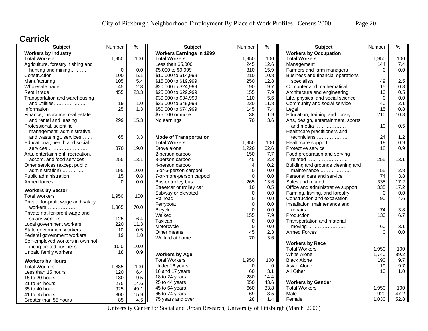### **Carrick**

| <b>Subject</b>                     | Number      | $\%$ | <b>Subject</b>                  | Number      | %    | <b>Subject</b>                      | Number   | $\%$    |
|------------------------------------|-------------|------|---------------------------------|-------------|------|-------------------------------------|----------|---------|
| <b>Workers by Industry</b>         |             |      | <b>Workers Earnings in 1999</b> |             |      | <b>Workers by Occupation</b>        |          |         |
| <b>Total Workers</b>               | 1,950       | 100  | <b>Total Workers</b>            | 1,950       | 100  | <b>Total Workers</b>                | 1,950    | 100     |
| Agriculture, forestry, fishing and |             |      | Less than \$5,000               | 245         | 12.6 | Management                          | 144      | 7.4     |
| hunting and mining                 | $\mathbf 0$ | 0.0  | \$5,000 to \$9,999              | 310         | 15.9 | Farmers and farm managers           | $\Omega$ | 0.0     |
| Construction                       | 100         | 5.1  | \$10,000 to \$14,999            | 210         | 10.8 | Business and financial operations   |          |         |
| Manufacturing                      | 105         | 5.4  | \$15,000 to \$19,999            | 250         | 12.8 | specialists                         | 49       | 2.5     |
| Wholesale trade                    | 45          | 2.3  | \$20,000 to \$24,999            | 190         | 9.7  | Computer and mathematical           | 15       | 0.8     |
| Retail trade                       | 455         | 23.3 | \$25,000 to \$29,999            | 155         | 7.9  | Architecture and engineering        | 10       | 0.5     |
| Transportation and warehousing     |             |      | \$30,000 to \$34,999            | 110         | 5.6  | Life, physical and social science   | $\Omega$ | $0.0\,$ |
| and utilities                      | 19          | 1.0  | \$35,000 to \$49,999            | 230         | 11.8 | Community and social service        | 40       | 2.1     |
| Information                        | 25          | 1.3  | \$50,000 to \$74,999            | 145         | 7.4  | Legal                               | 15       | 0.8     |
| Finance, insurance, real estate    |             |      | \$75,000 or more                | 38          | 1.9  | Education, training and library     | 210      | 10.8    |
| and rental and leasing             | 299         | 15.3 | No earnings                     | 70          | 3.6  | Arts, design, entertainment, sports |          |         |
| Professional, scientific,          |             |      |                                 |             |      | and media                           | 10       | 0.5     |
| management, administrative,        |             |      |                                 |             |      | Healthcare practitioners and        |          |         |
| and waste mgt. services            | 65          | 3.3  | <b>Mode of Transportation</b>   |             |      | technicians                         | 24       | 1.2     |
| Educational, health and social     |             |      | <b>Total Workers</b>            | 1,950       | 100  | Healthcare support                  | 18       | 0.9     |
| $s$ ervices                        | 370         | 19.0 | Drove alone                     | 1,220       | 62.6 | Protective service                  | 18       | 0.9     |
| Arts, entertainment, recreation,   |             |      | 2-person carpool                | 150         | 7.7  | Food preparation and serving        |          |         |
| accom. and food services           | 255         | 13.1 | 3-person carpool                | 45          | 2.3  | related                             | 255      | 13.1    |
| Other services (except public      |             |      | 4-person carpool                | 4           | 0.2  | Building and grounds cleaning and   |          |         |
| administration)                    | 195         | 10.0 | 5-or-6-person carpool           | $\mathbf 0$ | 0.0  | maintenance                         | 55       | 2.8     |
| Public administration              | 15          | 0.8  | 7-or-more-person carpool        | $\Omega$    | 0.0  | Personal care and service           | 74       | 3.8     |
| Armed forces                       | $\Omega$    | 0.0  | Bus or trolley bus              | 265         | 13.6 | Sales and related                   | 335      | 17.2    |
|                                    |             |      | Streetcar or trolley car        | 10          | 0.5  | Office and administrative support   | 335      | 17.2    |
| <b>Workers by Sector</b>           |             |      | Subway or elevated              | 0           | 0.0  | Farming, fishing, and forestry      | $\Omega$ | 0.0     |
| <b>Total Workers</b>               | 1,950       | 100  | Railroad                        | $\mathbf 0$ | 0.0  | Construction and excavation         | 90       | 4.6     |
| Private for-profit wage and salary |             |      | Ferryboat                       | $\mathbf 0$ | 0.0  | Installation, maintenance and       |          |         |
| workers                            | 1,365       | 70.0 | <b>Bicycle</b>                  | 0           | 0.0  | repairs                             | 74       | 3.8     |
| Private not-for-profit wage and    |             |      | Walked                          | 155         | 7.9  | Production                          | 130      | 6.7     |
| salary workers                     | 125         | 6.4  | Taxicab                         | 0           | 0.0  | Transportation and material         |          |         |
| Local government workers           | 220         | 11.3 | Motorcycle                      | $\Omega$    | 0.0  | moving                              | 60       | 3.1     |
| State government workers           | 10          | 0.5  | Other means                     | 45          | 2.3  | <b>Armed Forces</b>                 | $\Omega$ | 0.0     |
| Federal government workers         | 19          | 1.0  | Worked at home                  | 70          | 3.6  |                                     |          |         |
| Self-employed workers in own not   |             |      |                                 |             |      | <b>Workers by Race</b>              |          |         |
| incorporated business              | 10.0        | 10.0 |                                 |             |      | <b>Total Workers</b>                | 1,950    | 100     |
| Unpaid family workers              | 18          | 0.9  | <b>Workers by Age</b>           |             |      | <b>White Alone</b>                  | 1,740    | 89.2    |
| <b>Workers by Hours</b>            |             |      | <b>Total Workers</b>            | 1,950       | 100  | <b>Black Alone</b>                  | 190      | 9.7     |
|                                    |             |      | Under 16 years                  | 0           | 0    | Asian Alone                         | 19       | 9.7     |
| <b>Total Workers</b>               | 1,885       | 100  | 16 and 17 years                 | 60          | 3.1  | All Other                           | 10       | 1.0     |
| Less than 15 hours                 | 120         | 6.4  | 18 to 24 years                  | 280         | 14.4 |                                     |          |         |
| 15 to 20 hours                     | 180         | 9.5  | 25 to 44 years                  | 850         | 43.6 | <b>Workers by Gender</b>            |          |         |
| 21 to 34 hours                     | 275         | 14.6 | 45 to 64 years                  | 660         | 33.8 | <b>Total Workers</b>                | 1,950    | 100     |
| 35 to 40 hour                      | 925         | 49.1 | 65 to 74 years                  | 69          | 3.5  | Male                                | 920      | 47.2    |
| 41 to 55 hours                     | 300         | 15.9 |                                 | 28          | 1.4  |                                     | 1,030    | 52.8    |
| Greater than 55 hours              | 85          | 4.5  | 75 years and over               |             |      | Female                              |          |         |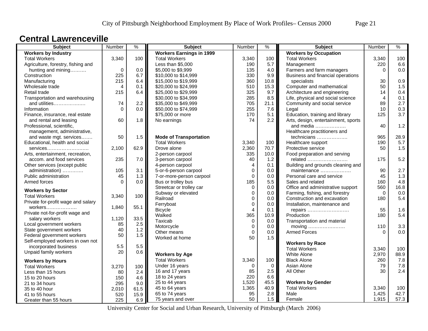### **Central Lawrenceville**

| <b>Subject</b>                                       | Number         | $\frac{9}{6}$ | <b>Subject</b>                  | Number         | $\frac{9}{6}$ | <b>Subject</b>                               | Number         | $\%$ |
|------------------------------------------------------|----------------|---------------|---------------------------------|----------------|---------------|----------------------------------------------|----------------|------|
| <b>Workers by Industry</b>                           |                |               | <b>Workers Earnings in 1999</b> |                |               | <b>Workers by Occupation</b>                 |                |      |
| <b>Total Workers</b>                                 | 3,340          | 100           | <b>Total Workers</b>            | 3,340          | 100           | <b>Total Workers</b>                         | 3,340          | 100  |
| Agriculture, forestry, fishing and                   |                |               | Less than \$5,000               | 190            | 5.7           | Management                                   | 220            | 6.6  |
| hunting and mining                                   | $\mathbf 0$    | 0.0           | \$5,000 to \$9,999              | 135            | 4.0           | Farmers and farm managers                    | $\Omega$       | 0.0  |
| Construction                                         | 225            | 6.7           | \$10,000 to \$14,999            | 330            | 9.9           | Business and financial operations            |                |      |
| Manufacturing                                        | 215            | 6.4           | \$15,000 to \$19,999            | 360            | 10.8          | specialists                                  | 30             | 0.9  |
| Wholesale trade                                      | $\overline{4}$ | 0.1           | \$20,000 to \$24,999            | 510            | 15.3          | Computer and mathematical                    | 50             | 1.5  |
| Retail trade                                         | 215            | 6.4           | \$25,000 to \$29,999            | 325            | 9.7           | Architecture and engineering                 | 14             | 0.4  |
| Transportation and warehousing                       |                |               | \$30,000 to \$34,999            | 285            | 8.5           | Life, physical and social science            | $\overline{4}$ | 0.1  |
| and utilities                                        | 74             | 2.2           | \$35,000 to \$49,999            | 705            | 21.1          | Community and social service                 | 89             | 2.7  |
| Information                                          | $\Omega$       | 0.0           | \$50,000 to \$74,999            | 255            | 7.6           | Legal                                        | 10             | 0.3  |
| Finance, insurance, real estate                      |                |               | \$75,000 or more                | 170            | 5.1           | Education, training and library              | 125            | 3.7  |
| and rental and leasing                               | 60             | 1.8           | No earnings                     | 74             | 2.2           | Arts, design, entertainment, sports          |                |      |
| Professional, scientific,                            |                |               |                                 |                |               | and media                                    | 40             | 1.2  |
| management, administrative,                          |                |               |                                 |                |               | Healthcare practitioners and                 |                |      |
| and waste mgt. services                              | 50             | 1.5           | <b>Mode of Transportation</b>   |                |               | technicians                                  | 965            | 28.9 |
| Educational, health and social                       |                |               | <b>Total Workers</b>            | 3,340          | 100           | Healthcare support                           | 190            | 5.7  |
| services                                             | 2,100          | 62.9          | Drove alone                     | 2,360          | 70.7          | Protective service                           | 50             | 1.5  |
| Arts, entertainment, recreation,                     |                |               | 2-person carpool                | 335            | 10.0          | Food preparation and serving                 |                |      |
| accom. and food services                             | 235            | 7.0           | 3-person carpool                | 40             | 1.2           | related                                      | 175            | 5.2  |
| Other services (except public                        |                |               | 4-person carpool                | $\overline{4}$ | 0.1           | Building and grounds cleaning and            |                |      |
| administration)                                      | 105            | 3.1           | 5-or-6-person carpool           | $\pmb{0}$      | 0.0           | maintenance                                  | 90             | 2.7  |
| Public administration                                | 45             | 1.3           | 7-or-more-person carpool        | $\Omega$       | 0.0           | Personal care and service                    | 45             | 1.3  |
| Armed forces                                         | $\Omega$       | 0.0           | Bus or trolley bus              | 185            | 5.5           | Sales and related                            | 160            | 4.8  |
| <b>Workers by Sector</b>                             |                |               | Streetcar or trolley car        | $\Omega$       | 0.0           | Office and administrative support            | 560            | 16.8 |
| <b>Total Workers</b>                                 | 3,340          | 100           | Subway or elevated              | 0              | 0.0           | Farming, fishing, and forestry               | $\Omega$       | 0.0  |
| Private for-profit wage and salary                   |                |               | Railroad                        | $\mathbf{0}$   | 0.0           | Construction and excavation                  | 180            | 5.4  |
| workers                                              |                | 55.1          | Ferryboat                       | $\mathbf 0$    | 0.0           | Installation, maintenance and                |                |      |
|                                                      | 1,840          |               | <b>Bicycle</b>                  | 4              | 0.1           | repairs                                      | 55             | 1.6  |
| Private not-for-profit wage and<br>salary workers    | 1,120          | 33.5          | Walked                          | 365            | 10.9          | Production                                   | 180            | 5.4  |
|                                                      | 85             | 2.5           | Taxicab                         | 0              | 0.0           | Transportation and material                  |                |      |
| Local government workers<br>State government workers | 40             | 1.2           | Motorcycle                      | $\mathbf 0$    | 0.0           | moving $\dots\dots\dots\dots\dots\dots\dots$ | 110            | 3.3  |
| Federal government workers                           | 50             | 1.5           | Other means                     | $\Omega$       | 0.0           | <b>Armed Forces</b>                          | $\Omega$       | 0.0  |
| Self-employed workers in own not                     |                |               | Worked at home                  | 50             | 1.5           |                                              |                |      |
| incorporated business                                | 5.5            | 5.5           |                                 |                |               | <b>Workers by Race</b>                       |                |      |
| Unpaid family workers                                | 20             | 0.6           |                                 |                |               | <b>Total Workers</b>                         | 3,340          | 100  |
|                                                      |                |               | <b>Workers by Age</b>           |                |               | <b>White Alone</b>                           | 2,970          | 88.9 |
| <b>Workers by Hours</b>                              |                |               | <b>Total Workers</b>            | 3,340          | 100           | <b>Black Alone</b>                           | 260            | 7.8  |
| <b>Total Workers</b>                                 | 3,270          | 100           | Under 16 years                  | $\Omega$       | $\mathbf 0$   | Asian Alone                                  | 79             | 7.8  |
| Less than 15 hours                                   | 80             | 2.4           | 16 and 17 years                 | 85             | 2.5           | All Other                                    | 30             | 2.4  |
| 15 to 20 hours                                       | 150            | 4.6           | 18 to 24 years                  | 220            | 6.6           |                                              |                |      |
| 21 to 34 hours                                       | 295            | 9.0           | 25 to 44 years                  | 1,520          | 45.5          | <b>Workers by Gender</b>                     |                |      |
| 35 to 40 hour                                        | 2,010          | 61.5          | 45 to 64 years                  | 1,365          | 40.9          | <b>Total Workers</b>                         | 3,340          | 100  |
| 41 to 55 hours                                       | 520            | 15.9          | 65 to 74 years                  | 95             | 2.8           | Male                                         | 1,425          | 42.7 |
| Greater than 55 hours                                | 225            | 6.9           | 75 years and over               | 50             | 1.5           | Female                                       | 1,915          | 57.3 |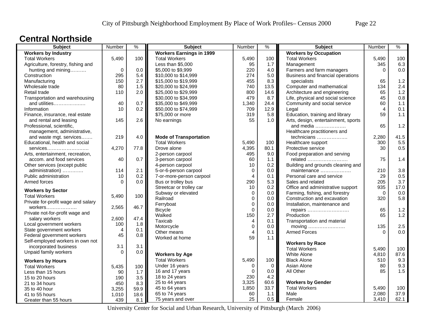### **Central Northside**

| <b>Workers by Industry</b><br><b>Workers Earnings in 1999</b><br><b>Workers by Occupation</b><br><b>Total Workers</b><br>5,490<br>100<br><b>Total Workers</b><br>5,490<br>100<br><b>Total Workers</b><br>5,490<br>100<br>1.7<br>6.3<br>Less than \$5,000<br>95<br>Management<br>345<br>Agriculture, forestry, fishing and<br>$\mathbf 0$<br>0.0<br>\$5,000 to \$9,999<br>220<br>4.0<br>Farmers and farm managers<br>0.0<br>hunting and mining<br>$\Omega$<br>295<br>5.4<br>5.0<br>Construction<br>\$10,000 to \$14,999<br>274<br>Business and financial operations<br>1.2<br>150<br>2.7<br>\$15,000 to \$19,999<br>455<br>8.3<br>specialists<br>Manufacturing<br>65<br>1.5<br>Computer and mathematical<br>2.4<br>Wholesale trade<br>80<br>\$20,000 to \$24,999<br>740<br>13.5<br>134<br>1.2<br>2.0<br>\$25,000 to \$29,999<br>Architecture and engineering<br>65<br>Retail trade<br>110<br>800<br>14.6<br>0.8<br>\$30,000 to \$34,999<br>479<br>8.7<br>45<br>Transportation and warehousing<br>Life, physical and social science<br>and utilities<br>40<br>0.7<br>\$35,000 to \$49,999<br>24.4<br>Community and social service<br>60<br>1.1<br>1,340<br>0.2<br>Information<br>10<br>\$50,000 to \$74,999<br>709<br>12.9<br>$\overline{4}$<br>0.1<br>Legal<br>\$75,000 or more<br>Education, training and library<br>59<br>1.1<br>Finance, insurance, real estate<br>319<br>5.8<br>Arts, design, entertainment, sports<br>and rental and leasing<br>145<br>2.6<br>No earnings<br>55<br>1.0 <sub>1</sub><br>1.2<br>65<br>Professional, scientific,<br>and media $\ldots$<br>management, administrative,<br>Healthcare practitioners and<br>41.5<br>219<br>4.0<br><b>Mode of Transportation</b><br>technicians<br>and waste mgt. services<br>2,280<br>Educational, health and social<br><b>Total Workers</b><br>Healthcare support<br>5.5<br>5,490<br>100<br>300<br>0.5<br>77.8<br>Drove alone<br>4,395<br>80.1<br>4,270<br>Protective service<br>30<br>services<br>9.0<br>2-person carpool<br>495<br>Food preparation and serving<br>Arts, entertainment, recreation,<br>40<br>0.7<br>3-person carpool<br>60<br>1.1<br>related<br>75<br>1.4<br>accom. and food services<br>0.2<br>Building and grounds cleaning and<br>Other services (except public<br>4-person carpool<br>10<br>5-or-6-person carpool<br>3.8<br>114<br>2.1<br>0.0<br>maintenance<br>210<br>administration)<br>0<br>0.5<br>Public administration<br>10<br>0.2<br>4<br>0.1<br>Personal care and service<br>29<br>7-or-more-person carpool<br>3.7<br>Bus or trolley bus<br>5.3<br>205<br>Armed forces<br>0.0<br>290<br>Sales and related<br>$\Omega$<br>0.2<br>Office and administrative support<br>935<br>17.0<br>Streetcar or trolley car<br>10<br><b>Workers by Sector</b><br>0.0<br>Subway or elevated<br>0.0<br>Farming, fishing, and forestry<br>$\Omega$<br>0<br><b>Total Workers</b><br>5,490<br>100<br>5.8<br>Railroad<br>Construction and excavation<br>320<br>0<br>0.0<br>Private for-profit wage and salary<br>0<br>0.0<br>Ferryboat<br>Installation, maintenance and<br>2,565<br>46.7<br>workers<br>1.2<br>$\mathbf{0}$<br>0.0<br>65<br><b>Bicycle</b><br>repairs<br>Private not-for-profit wage and<br>Walked<br>2.7<br>1.2<br>150<br>Production<br>65<br>47.4<br>2,600<br>salary workers<br>Taxicab<br>4<br>0.1<br>Transportation and material<br>100<br>1.8<br>Local government workers<br>2.5<br>Motorcycle<br>$\mathbf 0$<br>0.0<br>135<br>moving<br>State government workers<br>0.1<br>4<br>$\overline{\mathbf{A}}$<br>0.0<br>Other means<br>0.1<br><b>Armed Forces</b><br>$\Omega$<br>45<br>Federal government workers<br>0.8<br>59<br>1.1<br>Worked at home<br>Self-employed workers in own not<br><b>Workers by Race</b><br>incorporated business<br>3.1<br>3.1<br><b>Total Workers</b><br>5.490<br>100<br>Unpaid family workers<br>$\Omega$<br>0.0<br><b>Workers by Age</b><br>White Alone<br>4,810<br>87.6<br>9.3<br><b>Total Workers</b><br>5,490<br>100<br><b>Black Alone</b><br>510<br><b>Workers by Hours</b><br>9.3<br>Asian Alone<br>Under 16 years<br>0<br>$\mathbf 0$<br>80<br><b>Total Workers</b><br>5,435<br>100<br>1.5<br>$\mathbf{0}$<br>All Other<br>85<br>16 and 17 years<br>0.0<br>90<br>1.7<br>Less than 15 hours<br>230<br>18 to 24 years<br>4.2<br>3.5<br>15 to 20 hours<br>190<br><b>Workers by Gender</b><br>25 to 44 years<br>3,325<br>60.6<br>8.3<br>450<br>21 to 34 hours<br>33.7<br>45 to 64 years<br>1,850<br><b>Total Workers</b><br>5,490<br>100<br>59.9<br>35 to 40 hour<br>3,255<br>65 to 74 years<br>2,080<br>37.9<br>60<br>1.1<br>Male<br>1,010<br>18.6<br>41 to 55 hours<br>25<br>0.5<br>75 years and over<br>3,410<br>62.1<br>Female<br>439<br>8.1<br>Greater than 55 hours | <b>Subject</b> | Number | $\frac{9}{6}$ | <b>Subject</b> | Number | $\frac{9}{6}$ | <b>Subject</b> | Number | $\frac{9}{6}$ |
|-----------------------------------------------------------------------------------------------------------------------------------------------------------------------------------------------------------------------------------------------------------------------------------------------------------------------------------------------------------------------------------------------------------------------------------------------------------------------------------------------------------------------------------------------------------------------------------------------------------------------------------------------------------------------------------------------------------------------------------------------------------------------------------------------------------------------------------------------------------------------------------------------------------------------------------------------------------------------------------------------------------------------------------------------------------------------------------------------------------------------------------------------------------------------------------------------------------------------------------------------------------------------------------------------------------------------------------------------------------------------------------------------------------------------------------------------------------------------------------------------------------------------------------------------------------------------------------------------------------------------------------------------------------------------------------------------------------------------------------------------------------------------------------------------------------------------------------------------------------------------------------------------------------------------------------------------------------------------------------------------------------------------------------------------------------------------------------------------------------------------------------------------------------------------------------------------------------------------------------------------------------------------------------------------------------------------------------------------------------------------------------------------------------------------------------------------------------------------------------------------------------------------------------------------------------------------------------------------------------------------------------------------------------------------------------------------------------------------------------------------------------------------------------------------------------------------------------------------------------------------------------------------------------------------------------------------------------------------------------------------------------------------------------------------------------------------------------------------------------------------------------------------------------------------------------------------------------------------------------------------------------------------------------------------------------------------------------------------------------------------------------------------------------------------------------------------------------------------------------------------------------------------------------------------------------------------------------------------------------------------------------------------------------------------------------------------------------------------------------------------------------------------------------------------------------------------------------------------------------------------------------------------------------------------------------------------------------------------------------------------------------------------------------------------------------------------------------------------------------------------------------------------------------------------------------------------------------------------------------------------------------------------------------------------------------------------------------------------------------------------------------------------------------------------------------------------------------------------------------------------------------------------------------------------------------------------------------------------------------------------------------------------------------------------------------------------------|----------------|--------|---------------|----------------|--------|---------------|----------------|--------|---------------|
|                                                                                                                                                                                                                                                                                                                                                                                                                                                                                                                                                                                                                                                                                                                                                                                                                                                                                                                                                                                                                                                                                                                                                                                                                                                                                                                                                                                                                                                                                                                                                                                                                                                                                                                                                                                                                                                                                                                                                                                                                                                                                                                                                                                                                                                                                                                                                                                                                                                                                                                                                                                                                                                                                                                                                                                                                                                                                                                                                                                                                                                                                                                                                                                                                                                                                                                                                                                                                                                                                                                                                                                                                                                                                                                                                                                                                                                                                                                                                                                                                                                                                                                                                                                                                                                                                                                                                                                                                                                                                                                                                                                                                                                                                                     |                |        |               |                |        |               |                |        |               |
|                                                                                                                                                                                                                                                                                                                                                                                                                                                                                                                                                                                                                                                                                                                                                                                                                                                                                                                                                                                                                                                                                                                                                                                                                                                                                                                                                                                                                                                                                                                                                                                                                                                                                                                                                                                                                                                                                                                                                                                                                                                                                                                                                                                                                                                                                                                                                                                                                                                                                                                                                                                                                                                                                                                                                                                                                                                                                                                                                                                                                                                                                                                                                                                                                                                                                                                                                                                                                                                                                                                                                                                                                                                                                                                                                                                                                                                                                                                                                                                                                                                                                                                                                                                                                                                                                                                                                                                                                                                                                                                                                                                                                                                                                                     |                |        |               |                |        |               |                |        |               |
|                                                                                                                                                                                                                                                                                                                                                                                                                                                                                                                                                                                                                                                                                                                                                                                                                                                                                                                                                                                                                                                                                                                                                                                                                                                                                                                                                                                                                                                                                                                                                                                                                                                                                                                                                                                                                                                                                                                                                                                                                                                                                                                                                                                                                                                                                                                                                                                                                                                                                                                                                                                                                                                                                                                                                                                                                                                                                                                                                                                                                                                                                                                                                                                                                                                                                                                                                                                                                                                                                                                                                                                                                                                                                                                                                                                                                                                                                                                                                                                                                                                                                                                                                                                                                                                                                                                                                                                                                                                                                                                                                                                                                                                                                                     |                |        |               |                |        |               |                |        |               |
|                                                                                                                                                                                                                                                                                                                                                                                                                                                                                                                                                                                                                                                                                                                                                                                                                                                                                                                                                                                                                                                                                                                                                                                                                                                                                                                                                                                                                                                                                                                                                                                                                                                                                                                                                                                                                                                                                                                                                                                                                                                                                                                                                                                                                                                                                                                                                                                                                                                                                                                                                                                                                                                                                                                                                                                                                                                                                                                                                                                                                                                                                                                                                                                                                                                                                                                                                                                                                                                                                                                                                                                                                                                                                                                                                                                                                                                                                                                                                                                                                                                                                                                                                                                                                                                                                                                                                                                                                                                                                                                                                                                                                                                                                                     |                |        |               |                |        |               |                |        |               |
|                                                                                                                                                                                                                                                                                                                                                                                                                                                                                                                                                                                                                                                                                                                                                                                                                                                                                                                                                                                                                                                                                                                                                                                                                                                                                                                                                                                                                                                                                                                                                                                                                                                                                                                                                                                                                                                                                                                                                                                                                                                                                                                                                                                                                                                                                                                                                                                                                                                                                                                                                                                                                                                                                                                                                                                                                                                                                                                                                                                                                                                                                                                                                                                                                                                                                                                                                                                                                                                                                                                                                                                                                                                                                                                                                                                                                                                                                                                                                                                                                                                                                                                                                                                                                                                                                                                                                                                                                                                                                                                                                                                                                                                                                                     |                |        |               |                |        |               |                |        |               |
|                                                                                                                                                                                                                                                                                                                                                                                                                                                                                                                                                                                                                                                                                                                                                                                                                                                                                                                                                                                                                                                                                                                                                                                                                                                                                                                                                                                                                                                                                                                                                                                                                                                                                                                                                                                                                                                                                                                                                                                                                                                                                                                                                                                                                                                                                                                                                                                                                                                                                                                                                                                                                                                                                                                                                                                                                                                                                                                                                                                                                                                                                                                                                                                                                                                                                                                                                                                                                                                                                                                                                                                                                                                                                                                                                                                                                                                                                                                                                                                                                                                                                                                                                                                                                                                                                                                                                                                                                                                                                                                                                                                                                                                                                                     |                |        |               |                |        |               |                |        |               |
|                                                                                                                                                                                                                                                                                                                                                                                                                                                                                                                                                                                                                                                                                                                                                                                                                                                                                                                                                                                                                                                                                                                                                                                                                                                                                                                                                                                                                                                                                                                                                                                                                                                                                                                                                                                                                                                                                                                                                                                                                                                                                                                                                                                                                                                                                                                                                                                                                                                                                                                                                                                                                                                                                                                                                                                                                                                                                                                                                                                                                                                                                                                                                                                                                                                                                                                                                                                                                                                                                                                                                                                                                                                                                                                                                                                                                                                                                                                                                                                                                                                                                                                                                                                                                                                                                                                                                                                                                                                                                                                                                                                                                                                                                                     |                |        |               |                |        |               |                |        |               |
|                                                                                                                                                                                                                                                                                                                                                                                                                                                                                                                                                                                                                                                                                                                                                                                                                                                                                                                                                                                                                                                                                                                                                                                                                                                                                                                                                                                                                                                                                                                                                                                                                                                                                                                                                                                                                                                                                                                                                                                                                                                                                                                                                                                                                                                                                                                                                                                                                                                                                                                                                                                                                                                                                                                                                                                                                                                                                                                                                                                                                                                                                                                                                                                                                                                                                                                                                                                                                                                                                                                                                                                                                                                                                                                                                                                                                                                                                                                                                                                                                                                                                                                                                                                                                                                                                                                                                                                                                                                                                                                                                                                                                                                                                                     |                |        |               |                |        |               |                |        |               |
|                                                                                                                                                                                                                                                                                                                                                                                                                                                                                                                                                                                                                                                                                                                                                                                                                                                                                                                                                                                                                                                                                                                                                                                                                                                                                                                                                                                                                                                                                                                                                                                                                                                                                                                                                                                                                                                                                                                                                                                                                                                                                                                                                                                                                                                                                                                                                                                                                                                                                                                                                                                                                                                                                                                                                                                                                                                                                                                                                                                                                                                                                                                                                                                                                                                                                                                                                                                                                                                                                                                                                                                                                                                                                                                                                                                                                                                                                                                                                                                                                                                                                                                                                                                                                                                                                                                                                                                                                                                                                                                                                                                                                                                                                                     |                |        |               |                |        |               |                |        |               |
|                                                                                                                                                                                                                                                                                                                                                                                                                                                                                                                                                                                                                                                                                                                                                                                                                                                                                                                                                                                                                                                                                                                                                                                                                                                                                                                                                                                                                                                                                                                                                                                                                                                                                                                                                                                                                                                                                                                                                                                                                                                                                                                                                                                                                                                                                                                                                                                                                                                                                                                                                                                                                                                                                                                                                                                                                                                                                                                                                                                                                                                                                                                                                                                                                                                                                                                                                                                                                                                                                                                                                                                                                                                                                                                                                                                                                                                                                                                                                                                                                                                                                                                                                                                                                                                                                                                                                                                                                                                                                                                                                                                                                                                                                                     |                |        |               |                |        |               |                |        |               |
|                                                                                                                                                                                                                                                                                                                                                                                                                                                                                                                                                                                                                                                                                                                                                                                                                                                                                                                                                                                                                                                                                                                                                                                                                                                                                                                                                                                                                                                                                                                                                                                                                                                                                                                                                                                                                                                                                                                                                                                                                                                                                                                                                                                                                                                                                                                                                                                                                                                                                                                                                                                                                                                                                                                                                                                                                                                                                                                                                                                                                                                                                                                                                                                                                                                                                                                                                                                                                                                                                                                                                                                                                                                                                                                                                                                                                                                                                                                                                                                                                                                                                                                                                                                                                                                                                                                                                                                                                                                                                                                                                                                                                                                                                                     |                |        |               |                |        |               |                |        |               |
|                                                                                                                                                                                                                                                                                                                                                                                                                                                                                                                                                                                                                                                                                                                                                                                                                                                                                                                                                                                                                                                                                                                                                                                                                                                                                                                                                                                                                                                                                                                                                                                                                                                                                                                                                                                                                                                                                                                                                                                                                                                                                                                                                                                                                                                                                                                                                                                                                                                                                                                                                                                                                                                                                                                                                                                                                                                                                                                                                                                                                                                                                                                                                                                                                                                                                                                                                                                                                                                                                                                                                                                                                                                                                                                                                                                                                                                                                                                                                                                                                                                                                                                                                                                                                                                                                                                                                                                                                                                                                                                                                                                                                                                                                                     |                |        |               |                |        |               |                |        |               |
|                                                                                                                                                                                                                                                                                                                                                                                                                                                                                                                                                                                                                                                                                                                                                                                                                                                                                                                                                                                                                                                                                                                                                                                                                                                                                                                                                                                                                                                                                                                                                                                                                                                                                                                                                                                                                                                                                                                                                                                                                                                                                                                                                                                                                                                                                                                                                                                                                                                                                                                                                                                                                                                                                                                                                                                                                                                                                                                                                                                                                                                                                                                                                                                                                                                                                                                                                                                                                                                                                                                                                                                                                                                                                                                                                                                                                                                                                                                                                                                                                                                                                                                                                                                                                                                                                                                                                                                                                                                                                                                                                                                                                                                                                                     |                |        |               |                |        |               |                |        |               |
|                                                                                                                                                                                                                                                                                                                                                                                                                                                                                                                                                                                                                                                                                                                                                                                                                                                                                                                                                                                                                                                                                                                                                                                                                                                                                                                                                                                                                                                                                                                                                                                                                                                                                                                                                                                                                                                                                                                                                                                                                                                                                                                                                                                                                                                                                                                                                                                                                                                                                                                                                                                                                                                                                                                                                                                                                                                                                                                                                                                                                                                                                                                                                                                                                                                                                                                                                                                                                                                                                                                                                                                                                                                                                                                                                                                                                                                                                                                                                                                                                                                                                                                                                                                                                                                                                                                                                                                                                                                                                                                                                                                                                                                                                                     |                |        |               |                |        |               |                |        |               |
|                                                                                                                                                                                                                                                                                                                                                                                                                                                                                                                                                                                                                                                                                                                                                                                                                                                                                                                                                                                                                                                                                                                                                                                                                                                                                                                                                                                                                                                                                                                                                                                                                                                                                                                                                                                                                                                                                                                                                                                                                                                                                                                                                                                                                                                                                                                                                                                                                                                                                                                                                                                                                                                                                                                                                                                                                                                                                                                                                                                                                                                                                                                                                                                                                                                                                                                                                                                                                                                                                                                                                                                                                                                                                                                                                                                                                                                                                                                                                                                                                                                                                                                                                                                                                                                                                                                                                                                                                                                                                                                                                                                                                                                                                                     |                |        |               |                |        |               |                |        |               |
|                                                                                                                                                                                                                                                                                                                                                                                                                                                                                                                                                                                                                                                                                                                                                                                                                                                                                                                                                                                                                                                                                                                                                                                                                                                                                                                                                                                                                                                                                                                                                                                                                                                                                                                                                                                                                                                                                                                                                                                                                                                                                                                                                                                                                                                                                                                                                                                                                                                                                                                                                                                                                                                                                                                                                                                                                                                                                                                                                                                                                                                                                                                                                                                                                                                                                                                                                                                                                                                                                                                                                                                                                                                                                                                                                                                                                                                                                                                                                                                                                                                                                                                                                                                                                                                                                                                                                                                                                                                                                                                                                                                                                                                                                                     |                |        |               |                |        |               |                |        |               |
|                                                                                                                                                                                                                                                                                                                                                                                                                                                                                                                                                                                                                                                                                                                                                                                                                                                                                                                                                                                                                                                                                                                                                                                                                                                                                                                                                                                                                                                                                                                                                                                                                                                                                                                                                                                                                                                                                                                                                                                                                                                                                                                                                                                                                                                                                                                                                                                                                                                                                                                                                                                                                                                                                                                                                                                                                                                                                                                                                                                                                                                                                                                                                                                                                                                                                                                                                                                                                                                                                                                                                                                                                                                                                                                                                                                                                                                                                                                                                                                                                                                                                                                                                                                                                                                                                                                                                                                                                                                                                                                                                                                                                                                                                                     |                |        |               |                |        |               |                |        |               |
|                                                                                                                                                                                                                                                                                                                                                                                                                                                                                                                                                                                                                                                                                                                                                                                                                                                                                                                                                                                                                                                                                                                                                                                                                                                                                                                                                                                                                                                                                                                                                                                                                                                                                                                                                                                                                                                                                                                                                                                                                                                                                                                                                                                                                                                                                                                                                                                                                                                                                                                                                                                                                                                                                                                                                                                                                                                                                                                                                                                                                                                                                                                                                                                                                                                                                                                                                                                                                                                                                                                                                                                                                                                                                                                                                                                                                                                                                                                                                                                                                                                                                                                                                                                                                                                                                                                                                                                                                                                                                                                                                                                                                                                                                                     |                |        |               |                |        |               |                |        |               |
|                                                                                                                                                                                                                                                                                                                                                                                                                                                                                                                                                                                                                                                                                                                                                                                                                                                                                                                                                                                                                                                                                                                                                                                                                                                                                                                                                                                                                                                                                                                                                                                                                                                                                                                                                                                                                                                                                                                                                                                                                                                                                                                                                                                                                                                                                                                                                                                                                                                                                                                                                                                                                                                                                                                                                                                                                                                                                                                                                                                                                                                                                                                                                                                                                                                                                                                                                                                                                                                                                                                                                                                                                                                                                                                                                                                                                                                                                                                                                                                                                                                                                                                                                                                                                                                                                                                                                                                                                                                                                                                                                                                                                                                                                                     |                |        |               |                |        |               |                |        |               |
|                                                                                                                                                                                                                                                                                                                                                                                                                                                                                                                                                                                                                                                                                                                                                                                                                                                                                                                                                                                                                                                                                                                                                                                                                                                                                                                                                                                                                                                                                                                                                                                                                                                                                                                                                                                                                                                                                                                                                                                                                                                                                                                                                                                                                                                                                                                                                                                                                                                                                                                                                                                                                                                                                                                                                                                                                                                                                                                                                                                                                                                                                                                                                                                                                                                                                                                                                                                                                                                                                                                                                                                                                                                                                                                                                                                                                                                                                                                                                                                                                                                                                                                                                                                                                                                                                                                                                                                                                                                                                                                                                                                                                                                                                                     |                |        |               |                |        |               |                |        |               |
|                                                                                                                                                                                                                                                                                                                                                                                                                                                                                                                                                                                                                                                                                                                                                                                                                                                                                                                                                                                                                                                                                                                                                                                                                                                                                                                                                                                                                                                                                                                                                                                                                                                                                                                                                                                                                                                                                                                                                                                                                                                                                                                                                                                                                                                                                                                                                                                                                                                                                                                                                                                                                                                                                                                                                                                                                                                                                                                                                                                                                                                                                                                                                                                                                                                                                                                                                                                                                                                                                                                                                                                                                                                                                                                                                                                                                                                                                                                                                                                                                                                                                                                                                                                                                                                                                                                                                                                                                                                                                                                                                                                                                                                                                                     |                |        |               |                |        |               |                |        |               |
|                                                                                                                                                                                                                                                                                                                                                                                                                                                                                                                                                                                                                                                                                                                                                                                                                                                                                                                                                                                                                                                                                                                                                                                                                                                                                                                                                                                                                                                                                                                                                                                                                                                                                                                                                                                                                                                                                                                                                                                                                                                                                                                                                                                                                                                                                                                                                                                                                                                                                                                                                                                                                                                                                                                                                                                                                                                                                                                                                                                                                                                                                                                                                                                                                                                                                                                                                                                                                                                                                                                                                                                                                                                                                                                                                                                                                                                                                                                                                                                                                                                                                                                                                                                                                                                                                                                                                                                                                                                                                                                                                                                                                                                                                                     |                |        |               |                |        |               |                |        |               |
|                                                                                                                                                                                                                                                                                                                                                                                                                                                                                                                                                                                                                                                                                                                                                                                                                                                                                                                                                                                                                                                                                                                                                                                                                                                                                                                                                                                                                                                                                                                                                                                                                                                                                                                                                                                                                                                                                                                                                                                                                                                                                                                                                                                                                                                                                                                                                                                                                                                                                                                                                                                                                                                                                                                                                                                                                                                                                                                                                                                                                                                                                                                                                                                                                                                                                                                                                                                                                                                                                                                                                                                                                                                                                                                                                                                                                                                                                                                                                                                                                                                                                                                                                                                                                                                                                                                                                                                                                                                                                                                                                                                                                                                                                                     |                |        |               |                |        |               |                |        |               |
|                                                                                                                                                                                                                                                                                                                                                                                                                                                                                                                                                                                                                                                                                                                                                                                                                                                                                                                                                                                                                                                                                                                                                                                                                                                                                                                                                                                                                                                                                                                                                                                                                                                                                                                                                                                                                                                                                                                                                                                                                                                                                                                                                                                                                                                                                                                                                                                                                                                                                                                                                                                                                                                                                                                                                                                                                                                                                                                                                                                                                                                                                                                                                                                                                                                                                                                                                                                                                                                                                                                                                                                                                                                                                                                                                                                                                                                                                                                                                                                                                                                                                                                                                                                                                                                                                                                                                                                                                                                                                                                                                                                                                                                                                                     |                |        |               |                |        |               |                |        |               |
|                                                                                                                                                                                                                                                                                                                                                                                                                                                                                                                                                                                                                                                                                                                                                                                                                                                                                                                                                                                                                                                                                                                                                                                                                                                                                                                                                                                                                                                                                                                                                                                                                                                                                                                                                                                                                                                                                                                                                                                                                                                                                                                                                                                                                                                                                                                                                                                                                                                                                                                                                                                                                                                                                                                                                                                                                                                                                                                                                                                                                                                                                                                                                                                                                                                                                                                                                                                                                                                                                                                                                                                                                                                                                                                                                                                                                                                                                                                                                                                                                                                                                                                                                                                                                                                                                                                                                                                                                                                                                                                                                                                                                                                                                                     |                |        |               |                |        |               |                |        |               |
|                                                                                                                                                                                                                                                                                                                                                                                                                                                                                                                                                                                                                                                                                                                                                                                                                                                                                                                                                                                                                                                                                                                                                                                                                                                                                                                                                                                                                                                                                                                                                                                                                                                                                                                                                                                                                                                                                                                                                                                                                                                                                                                                                                                                                                                                                                                                                                                                                                                                                                                                                                                                                                                                                                                                                                                                                                                                                                                                                                                                                                                                                                                                                                                                                                                                                                                                                                                                                                                                                                                                                                                                                                                                                                                                                                                                                                                                                                                                                                                                                                                                                                                                                                                                                                                                                                                                                                                                                                                                                                                                                                                                                                                                                                     |                |        |               |                |        |               |                |        |               |
|                                                                                                                                                                                                                                                                                                                                                                                                                                                                                                                                                                                                                                                                                                                                                                                                                                                                                                                                                                                                                                                                                                                                                                                                                                                                                                                                                                                                                                                                                                                                                                                                                                                                                                                                                                                                                                                                                                                                                                                                                                                                                                                                                                                                                                                                                                                                                                                                                                                                                                                                                                                                                                                                                                                                                                                                                                                                                                                                                                                                                                                                                                                                                                                                                                                                                                                                                                                                                                                                                                                                                                                                                                                                                                                                                                                                                                                                                                                                                                                                                                                                                                                                                                                                                                                                                                                                                                                                                                                                                                                                                                                                                                                                                                     |                |        |               |                |        |               |                |        |               |
|                                                                                                                                                                                                                                                                                                                                                                                                                                                                                                                                                                                                                                                                                                                                                                                                                                                                                                                                                                                                                                                                                                                                                                                                                                                                                                                                                                                                                                                                                                                                                                                                                                                                                                                                                                                                                                                                                                                                                                                                                                                                                                                                                                                                                                                                                                                                                                                                                                                                                                                                                                                                                                                                                                                                                                                                                                                                                                                                                                                                                                                                                                                                                                                                                                                                                                                                                                                                                                                                                                                                                                                                                                                                                                                                                                                                                                                                                                                                                                                                                                                                                                                                                                                                                                                                                                                                                                                                                                                                                                                                                                                                                                                                                                     |                |        |               |                |        |               |                |        |               |
|                                                                                                                                                                                                                                                                                                                                                                                                                                                                                                                                                                                                                                                                                                                                                                                                                                                                                                                                                                                                                                                                                                                                                                                                                                                                                                                                                                                                                                                                                                                                                                                                                                                                                                                                                                                                                                                                                                                                                                                                                                                                                                                                                                                                                                                                                                                                                                                                                                                                                                                                                                                                                                                                                                                                                                                                                                                                                                                                                                                                                                                                                                                                                                                                                                                                                                                                                                                                                                                                                                                                                                                                                                                                                                                                                                                                                                                                                                                                                                                                                                                                                                                                                                                                                                                                                                                                                                                                                                                                                                                                                                                                                                                                                                     |                |        |               |                |        |               |                |        |               |
|                                                                                                                                                                                                                                                                                                                                                                                                                                                                                                                                                                                                                                                                                                                                                                                                                                                                                                                                                                                                                                                                                                                                                                                                                                                                                                                                                                                                                                                                                                                                                                                                                                                                                                                                                                                                                                                                                                                                                                                                                                                                                                                                                                                                                                                                                                                                                                                                                                                                                                                                                                                                                                                                                                                                                                                                                                                                                                                                                                                                                                                                                                                                                                                                                                                                                                                                                                                                                                                                                                                                                                                                                                                                                                                                                                                                                                                                                                                                                                                                                                                                                                                                                                                                                                                                                                                                                                                                                                                                                                                                                                                                                                                                                                     |                |        |               |                |        |               |                |        |               |
|                                                                                                                                                                                                                                                                                                                                                                                                                                                                                                                                                                                                                                                                                                                                                                                                                                                                                                                                                                                                                                                                                                                                                                                                                                                                                                                                                                                                                                                                                                                                                                                                                                                                                                                                                                                                                                                                                                                                                                                                                                                                                                                                                                                                                                                                                                                                                                                                                                                                                                                                                                                                                                                                                                                                                                                                                                                                                                                                                                                                                                                                                                                                                                                                                                                                                                                                                                                                                                                                                                                                                                                                                                                                                                                                                                                                                                                                                                                                                                                                                                                                                                                                                                                                                                                                                                                                                                                                                                                                                                                                                                                                                                                                                                     |                |        |               |                |        |               |                |        |               |
|                                                                                                                                                                                                                                                                                                                                                                                                                                                                                                                                                                                                                                                                                                                                                                                                                                                                                                                                                                                                                                                                                                                                                                                                                                                                                                                                                                                                                                                                                                                                                                                                                                                                                                                                                                                                                                                                                                                                                                                                                                                                                                                                                                                                                                                                                                                                                                                                                                                                                                                                                                                                                                                                                                                                                                                                                                                                                                                                                                                                                                                                                                                                                                                                                                                                                                                                                                                                                                                                                                                                                                                                                                                                                                                                                                                                                                                                                                                                                                                                                                                                                                                                                                                                                                                                                                                                                                                                                                                                                                                                                                                                                                                                                                     |                |        |               |                |        |               |                |        |               |
|                                                                                                                                                                                                                                                                                                                                                                                                                                                                                                                                                                                                                                                                                                                                                                                                                                                                                                                                                                                                                                                                                                                                                                                                                                                                                                                                                                                                                                                                                                                                                                                                                                                                                                                                                                                                                                                                                                                                                                                                                                                                                                                                                                                                                                                                                                                                                                                                                                                                                                                                                                                                                                                                                                                                                                                                                                                                                                                                                                                                                                                                                                                                                                                                                                                                                                                                                                                                                                                                                                                                                                                                                                                                                                                                                                                                                                                                                                                                                                                                                                                                                                                                                                                                                                                                                                                                                                                                                                                                                                                                                                                                                                                                                                     |                |        |               |                |        |               |                |        |               |
|                                                                                                                                                                                                                                                                                                                                                                                                                                                                                                                                                                                                                                                                                                                                                                                                                                                                                                                                                                                                                                                                                                                                                                                                                                                                                                                                                                                                                                                                                                                                                                                                                                                                                                                                                                                                                                                                                                                                                                                                                                                                                                                                                                                                                                                                                                                                                                                                                                                                                                                                                                                                                                                                                                                                                                                                                                                                                                                                                                                                                                                                                                                                                                                                                                                                                                                                                                                                                                                                                                                                                                                                                                                                                                                                                                                                                                                                                                                                                                                                                                                                                                                                                                                                                                                                                                                                                                                                                                                                                                                                                                                                                                                                                                     |                |        |               |                |        |               |                |        |               |
|                                                                                                                                                                                                                                                                                                                                                                                                                                                                                                                                                                                                                                                                                                                                                                                                                                                                                                                                                                                                                                                                                                                                                                                                                                                                                                                                                                                                                                                                                                                                                                                                                                                                                                                                                                                                                                                                                                                                                                                                                                                                                                                                                                                                                                                                                                                                                                                                                                                                                                                                                                                                                                                                                                                                                                                                                                                                                                                                                                                                                                                                                                                                                                                                                                                                                                                                                                                                                                                                                                                                                                                                                                                                                                                                                                                                                                                                                                                                                                                                                                                                                                                                                                                                                                                                                                                                                                                                                                                                                                                                                                                                                                                                                                     |                |        |               |                |        |               |                |        |               |
|                                                                                                                                                                                                                                                                                                                                                                                                                                                                                                                                                                                                                                                                                                                                                                                                                                                                                                                                                                                                                                                                                                                                                                                                                                                                                                                                                                                                                                                                                                                                                                                                                                                                                                                                                                                                                                                                                                                                                                                                                                                                                                                                                                                                                                                                                                                                                                                                                                                                                                                                                                                                                                                                                                                                                                                                                                                                                                                                                                                                                                                                                                                                                                                                                                                                                                                                                                                                                                                                                                                                                                                                                                                                                                                                                                                                                                                                                                                                                                                                                                                                                                                                                                                                                                                                                                                                                                                                                                                                                                                                                                                                                                                                                                     |                |        |               |                |        |               |                |        |               |
|                                                                                                                                                                                                                                                                                                                                                                                                                                                                                                                                                                                                                                                                                                                                                                                                                                                                                                                                                                                                                                                                                                                                                                                                                                                                                                                                                                                                                                                                                                                                                                                                                                                                                                                                                                                                                                                                                                                                                                                                                                                                                                                                                                                                                                                                                                                                                                                                                                                                                                                                                                                                                                                                                                                                                                                                                                                                                                                                                                                                                                                                                                                                                                                                                                                                                                                                                                                                                                                                                                                                                                                                                                                                                                                                                                                                                                                                                                                                                                                                                                                                                                                                                                                                                                                                                                                                                                                                                                                                                                                                                                                                                                                                                                     |                |        |               |                |        |               |                |        |               |
|                                                                                                                                                                                                                                                                                                                                                                                                                                                                                                                                                                                                                                                                                                                                                                                                                                                                                                                                                                                                                                                                                                                                                                                                                                                                                                                                                                                                                                                                                                                                                                                                                                                                                                                                                                                                                                                                                                                                                                                                                                                                                                                                                                                                                                                                                                                                                                                                                                                                                                                                                                                                                                                                                                                                                                                                                                                                                                                                                                                                                                                                                                                                                                                                                                                                                                                                                                                                                                                                                                                                                                                                                                                                                                                                                                                                                                                                                                                                                                                                                                                                                                                                                                                                                                                                                                                                                                                                                                                                                                                                                                                                                                                                                                     |                |        |               |                |        |               |                |        |               |
|                                                                                                                                                                                                                                                                                                                                                                                                                                                                                                                                                                                                                                                                                                                                                                                                                                                                                                                                                                                                                                                                                                                                                                                                                                                                                                                                                                                                                                                                                                                                                                                                                                                                                                                                                                                                                                                                                                                                                                                                                                                                                                                                                                                                                                                                                                                                                                                                                                                                                                                                                                                                                                                                                                                                                                                                                                                                                                                                                                                                                                                                                                                                                                                                                                                                                                                                                                                                                                                                                                                                                                                                                                                                                                                                                                                                                                                                                                                                                                                                                                                                                                                                                                                                                                                                                                                                                                                                                                                                                                                                                                                                                                                                                                     |                |        |               |                |        |               |                |        |               |
|                                                                                                                                                                                                                                                                                                                                                                                                                                                                                                                                                                                                                                                                                                                                                                                                                                                                                                                                                                                                                                                                                                                                                                                                                                                                                                                                                                                                                                                                                                                                                                                                                                                                                                                                                                                                                                                                                                                                                                                                                                                                                                                                                                                                                                                                                                                                                                                                                                                                                                                                                                                                                                                                                                                                                                                                                                                                                                                                                                                                                                                                                                                                                                                                                                                                                                                                                                                                                                                                                                                                                                                                                                                                                                                                                                                                                                                                                                                                                                                                                                                                                                                                                                                                                                                                                                                                                                                                                                                                                                                                                                                                                                                                                                     |                |        |               |                |        |               |                |        |               |
|                                                                                                                                                                                                                                                                                                                                                                                                                                                                                                                                                                                                                                                                                                                                                                                                                                                                                                                                                                                                                                                                                                                                                                                                                                                                                                                                                                                                                                                                                                                                                                                                                                                                                                                                                                                                                                                                                                                                                                                                                                                                                                                                                                                                                                                                                                                                                                                                                                                                                                                                                                                                                                                                                                                                                                                                                                                                                                                                                                                                                                                                                                                                                                                                                                                                                                                                                                                                                                                                                                                                                                                                                                                                                                                                                                                                                                                                                                                                                                                                                                                                                                                                                                                                                                                                                                                                                                                                                                                                                                                                                                                                                                                                                                     |                |        |               |                |        |               |                |        |               |
|                                                                                                                                                                                                                                                                                                                                                                                                                                                                                                                                                                                                                                                                                                                                                                                                                                                                                                                                                                                                                                                                                                                                                                                                                                                                                                                                                                                                                                                                                                                                                                                                                                                                                                                                                                                                                                                                                                                                                                                                                                                                                                                                                                                                                                                                                                                                                                                                                                                                                                                                                                                                                                                                                                                                                                                                                                                                                                                                                                                                                                                                                                                                                                                                                                                                                                                                                                                                                                                                                                                                                                                                                                                                                                                                                                                                                                                                                                                                                                                                                                                                                                                                                                                                                                                                                                                                                                                                                                                                                                                                                                                                                                                                                                     |                |        |               |                |        |               |                |        |               |
|                                                                                                                                                                                                                                                                                                                                                                                                                                                                                                                                                                                                                                                                                                                                                                                                                                                                                                                                                                                                                                                                                                                                                                                                                                                                                                                                                                                                                                                                                                                                                                                                                                                                                                                                                                                                                                                                                                                                                                                                                                                                                                                                                                                                                                                                                                                                                                                                                                                                                                                                                                                                                                                                                                                                                                                                                                                                                                                                                                                                                                                                                                                                                                                                                                                                                                                                                                                                                                                                                                                                                                                                                                                                                                                                                                                                                                                                                                                                                                                                                                                                                                                                                                                                                                                                                                                                                                                                                                                                                                                                                                                                                                                                                                     |                |        |               |                |        |               |                |        |               |
|                                                                                                                                                                                                                                                                                                                                                                                                                                                                                                                                                                                                                                                                                                                                                                                                                                                                                                                                                                                                                                                                                                                                                                                                                                                                                                                                                                                                                                                                                                                                                                                                                                                                                                                                                                                                                                                                                                                                                                                                                                                                                                                                                                                                                                                                                                                                                                                                                                                                                                                                                                                                                                                                                                                                                                                                                                                                                                                                                                                                                                                                                                                                                                                                                                                                                                                                                                                                                                                                                                                                                                                                                                                                                                                                                                                                                                                                                                                                                                                                                                                                                                                                                                                                                                                                                                                                                                                                                                                                                                                                                                                                                                                                                                     |                |        |               |                |        |               |                |        |               |
|                                                                                                                                                                                                                                                                                                                                                                                                                                                                                                                                                                                                                                                                                                                                                                                                                                                                                                                                                                                                                                                                                                                                                                                                                                                                                                                                                                                                                                                                                                                                                                                                                                                                                                                                                                                                                                                                                                                                                                                                                                                                                                                                                                                                                                                                                                                                                                                                                                                                                                                                                                                                                                                                                                                                                                                                                                                                                                                                                                                                                                                                                                                                                                                                                                                                                                                                                                                                                                                                                                                                                                                                                                                                                                                                                                                                                                                                                                                                                                                                                                                                                                                                                                                                                                                                                                                                                                                                                                                                                                                                                                                                                                                                                                     |                |        |               |                |        |               |                |        |               |
|                                                                                                                                                                                                                                                                                                                                                                                                                                                                                                                                                                                                                                                                                                                                                                                                                                                                                                                                                                                                                                                                                                                                                                                                                                                                                                                                                                                                                                                                                                                                                                                                                                                                                                                                                                                                                                                                                                                                                                                                                                                                                                                                                                                                                                                                                                                                                                                                                                                                                                                                                                                                                                                                                                                                                                                                                                                                                                                                                                                                                                                                                                                                                                                                                                                                                                                                                                                                                                                                                                                                                                                                                                                                                                                                                                                                                                                                                                                                                                                                                                                                                                                                                                                                                                                                                                                                                                                                                                                                                                                                                                                                                                                                                                     |                |        |               |                |        |               |                |        |               |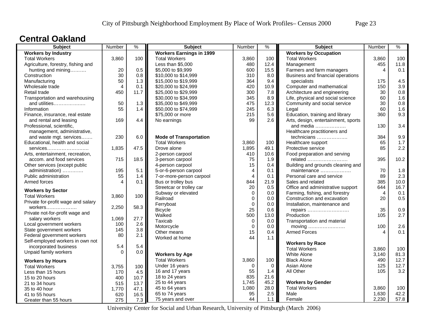### **Central Oakland**

| <b>Subject</b>                     | Number   | $\frac{9}{6}$ | <b>Subject</b>                  | Number         | $\frac{9}{6}$ | <b>Subject</b>                      | Number | $\%$ |
|------------------------------------|----------|---------------|---------------------------------|----------------|---------------|-------------------------------------|--------|------|
| <b>Workers by Industry</b>         |          |               | <b>Workers Earnings in 1999</b> |                |               | <b>Workers by Occupation</b>        |        |      |
| <b>Total Workers</b>               | 3,860    | 100           | <b>Total Workers</b>            | 3,860          | 100           | <b>Total Workers</b>                | 3,860  | 100  |
| Agriculture, forestry, fishing and |          |               | Less than \$5,000               | 480            | 12.4          | Management                          | 455    | 11.8 |
| hunting and mining                 | 20       | 0.5           | \$5,000 to \$9,999              | 600            | 15.5          | Farmers and farm managers           | 4      | 0.1  |
| Construction                       | 30       | 0.8           | \$10,000 to \$14,999            | 310            | 8.0           | Business and financial operations   |        |      |
| Manufacturing                      | 50       | 1.3           | \$15,000 to \$19,999            | 364            | 9.4           | specialists                         | 175    | 4.5  |
| Wholesale trade                    | 4        | 0.1           | \$20,000 to \$24,999            | 420            | 10.9          | Computer and mathematical           | 150    | 3.9  |
| Retail trade                       | 450      | 11.7          | \$25,000 to \$29,999            | 300            | 7.8           | Architecture and engineering        | 30     | 0.8  |
| Transportation and warehousing     |          |               | \$30,000 to \$34,999            | 345            | 8.9           | Life, physical and social science   | 60     | 1.6  |
| and utilities                      | 50       | 1.3           | \$35,000 to \$49,999            | 475            | 12.3          | Community and social service        | 30     | 0.8  |
| Information                        | 55       | 1.4           | \$50,000 to \$74,999            | 245            | 6.3           | Legal                               | 60     | 1.6  |
| Finance, insurance, real estate    |          |               | \$75,000 or more                | 215            | 5.6           | Education, training and library     | 360    | 9.3  |
| and rental and leasing             | 169      | 4.4           | No earnings                     | 99             | 2.6           | Arts, design, entertainment, sports |        |      |
| Professional, scientific,          |          |               |                                 |                |               | and media                           | 130    | 3.4  |
| management, administrative,        |          |               |                                 |                |               | Healthcare practitioners and        |        |      |
| and waste mgt. services            | 230      | 6.0           | <b>Mode of Transportation</b>   |                |               | technicians                         | 384    | 9.9  |
| Educational, health and social     |          |               | <b>Total Workers</b>            | 3,860          | 100           | Healthcare support                  | 65     | 1.7  |
| $s$ ervices                        | 1,835    | 47.5          | Drove alone                     | 1,895          | 49.1          | Protective service                  | 85     | 2.2  |
| Arts, entertainment, recreation,   |          |               | 2-person carpool                | 410            | 10.6          | Food preparation and serving        |        |      |
| accom. and food services           | 715      | 18.5          | 3-person carpool                | 75             | 1.9           | related                             | 395    | 10.2 |
| Other services (except public      |          |               | 4-person carpool                | 15             | 0.4           | Building and grounds cleaning and   |        |      |
| administration)                    | 195      | 5.1           | 5-or-6-person carpool           | $\overline{4}$ | 0.1           | maintenance                         | 70     | 1.8  |
| Public administration              | 55       | 1.4           | 7-or-more-person carpool        | $\overline{4}$ | 0.1           | Personal care and service           | 89     | 2.3  |
| Armed forces                       | 4        | 0.1           | Bus or trolley bus              | 844            | 21.9          | Sales and related                   | 385    | 10.0 |
|                                    |          |               | Streetcar or trolley car        | 20             | 0.5           | Office and administrative support   | 644    | 16.7 |
| <b>Workers by Sector</b>           |          |               | Subway or elevated              | $\mathbf{0}$   | 0.0           | Farming, fishing, and forestry      | 4      | 0.1  |
| <b>Total Workers</b>               | 3,860    | 100           | Railroad                        | $\mathbf 0$    | 0.0           | Construction and excavation         | 20     | 0.5  |
| Private for-profit wage and salary |          |               | Ferryboat                       | $\mathbf 0$    | 0.0           | Installation, maintenance and       |        |      |
| $workers$                          | 2,250    | 58.3          | Bicycle                         | 25             | 0.6           | repairs                             | 35     | 0.9  |
| Private not-for-profit wage and    |          |               | Walked                          | 500            | 13.0          | Production                          | 105    | 2.7  |
| salary workers                     | 1,069    | 27.7          | Taxicab                         | $\mathbf 0$    | 0.0           | Transportation and material         |        |      |
| Local government workers           | 100      | 2.6           | Motorcycle                      | $\mathbf 0$    | 0.0           | moving                              | 100    | 2.6  |
| State government workers           | 145      | 3.8           | Other means                     | 15             | 0.4           | <b>Armed Forces</b>                 | 4      | 0.1  |
| Federal government workers         | 80       | 2.1           | Worked at home                  | 44             | $1.1$         |                                     |        |      |
| Self-employed workers in own not   |          |               |                                 |                |               | <b>Workers by Race</b>              |        |      |
| incorporated business              | 5.4      | 5.4           |                                 |                |               | <b>Total Workers</b>                | 3,860  | 100  |
| Unpaid family workers              | $\Omega$ | 0.0           | <b>Workers by Age</b>           |                |               | <b>White Alone</b>                  | 3,140  | 81.3 |
| <b>Workers by Hours</b>            |          |               | <b>Total Workers</b>            | 3,860          | 100           | <b>Black Alone</b>                  | 490    | 12.7 |
| <b>Total Workers</b>               | 3,755    | 100           | Under 16 years                  | 0              | $\mathbf 0$   | Asian Alone                         | 125    | 12.7 |
| Less than 15 hours                 | 170      | 4.5           | 16 and 17 years                 | 55             | 1.4           | All Other                           | 105    | 3.2  |
| 15 to 20 hours                     | 400      | 10.7          | 18 to 24 years                  | 835            | 21.6          |                                     |        |      |
| 21 to 34 hours                     | 515      | 13.7          | 25 to 44 years                  | 1,745          | 45.2          | <b>Workers by Gender</b>            |        |      |
| 35 to 40 hour                      | 1,770    | 47.1          | 45 to 64 years                  | 1,080          | 28.0          | <b>Total Workers</b>                | 3,860  | 100  |
| 41 to 55 hours                     | 620      | 16.5          | 65 to 74 years                  | 95             | 2.5           | Male                                | 1,630  | 42.2 |
| Greater than 55 hours              | 275      | 7.3           | 75 years and over               | 44             | 1.1           | Female                              | 2,230  | 57.8 |
|                                    |          |               |                                 |                |               |                                     |        |      |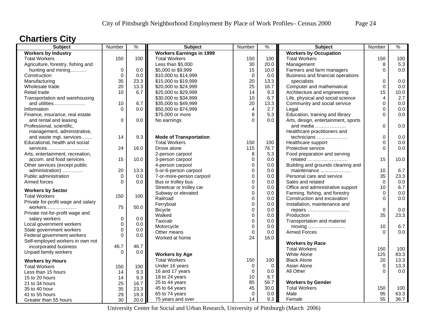# **Chartiers City**

| <b>Subject</b>                     | Number      | %           | <b>Subject</b>                  | Number         | ℅    | <b>Subject</b>                      | Number      | $\%$ |
|------------------------------------|-------------|-------------|---------------------------------|----------------|------|-------------------------------------|-------------|------|
| <b>Workers by Industry</b>         |             |             | <b>Workers Earnings in 1999</b> |                |      | <b>Workers by Occupation</b>        |             |      |
| <b>Total Workers</b>               | 150         | 100         | <b>Total Workers</b>            | 150            | 100  | <b>Total Workers</b>                | 150         | 100  |
| Agriculture, forestry, fishing and |             |             | Less than \$5,000               | 30             | 20.0 | Management                          | 8           | 5.3  |
| hunting and mining                 | $\mathbf 0$ | 0.0         | \$5,000 to \$9,999              | 15             | 10.0 | Farmers and farm managers           | $\Omega$    | 0.0  |
| Construction                       | $\pmb{0}$   | 0.0         | \$10,000 to \$14,999            | $\mathbf 0$    | 0.0  | Business and financial operations   |             |      |
| Manufacturing                      | 35          | 23.3        | \$15,000 to \$19,999            | 20             | 13.3 | specialists                         | 0           | 0.0  |
| Wholesale trade                    | 20          | 13.3        | \$20,000 to \$24,999            | 25             | 16.7 | Computer and mathematical           | $\Omega$    | 0.0  |
| Retail trade                       | 10          | 6.7         | \$25,000 to \$29,999            | 14             | 9.3  | Architecture and engineering        | 15          | 10.0 |
| Transportation and warehousing     |             |             | \$30,000 to \$34,999            | 10             | 6.7  | Life, physical and social science   | 4           | 2.7  |
| and utilities                      | 10          | 6.7         | \$35,000 to \$49,999            | 20             | 13.3 | Community and social service        | $\mathbf 0$ | 0.0  |
| Information                        | $\Omega$    | 0.0         | \$50,000 to \$74,999            | $\overline{4}$ | 2.7  | Legal                               | $\Omega$    | 0.0  |
| Finance, insurance, real estate    |             |             | \$75,000 or more                | 8              | 5.3  | Education, training and library     | $\Omega$    | 0.0  |
| and rental and leasing             | $\mathbf 0$ | 0.0         | No earnings                     | $\Omega$       | 0.0  | Arts, design, entertainment, sports |             |      |
| Professional, scientific,          |             |             |                                 |                |      | and media                           | $\Omega$    | 0.0  |
| management, administrative,        |             |             |                                 |                |      | Healthcare practitioners and        |             |      |
| and waste mgt. services            | 14          | 9.3         | <b>Mode of Transportation</b>   |                |      | technicians                         | 0           | 0.0  |
| Educational, health and social     |             |             | <b>Total Workers</b>            | 150            | 100  | Healthcare support                  | $\Omega$    | 0.0  |
| services                           | 24          | 16.0        | Drove alone                     | 115            | 76.7 | Protective service                  | $\Omega$    | 0.0  |
| Arts, entertainment, recreation,   |             |             | 2-person carpool                | 8              | 5.3  | Food preparation and serving        |             |      |
| accom. and food services           | 15          | 10.0        | 3-person carpool                | $\mathbf 0$    | 0.0  | related                             | 15          | 10.0 |
| Other services (except public      |             |             | 4-person carpool                | $\mathbf 0$    | 0.0  | Building and grounds cleaning and   |             |      |
| administration)                    | 20          | 13.3        | 5-or-6-person carpool           | $\mathbf 0$    | 0.0  | maintenance                         | 10          | 6.7  |
| Public administration              | $\Omega$    | 0.0         | 7-or-more-person carpool        | $\mathbf 0$    | 0.0  | Personal care and service           | 35          | 23.3 |
| Armed forces                       | $\Omega$    | 0.0         | Bus or trolley bus              | $\mathbf 0$    | 0.0  | Sales and related                   | $\Omega$    | 0.0  |
|                                    |             |             | Streetcar or trolley car        | $\mathbf 0$    | 0.0  | Office and administrative support   | 10          | 6.7  |
| <b>Workers by Sector</b>           |             |             | Subway or elevated              | $\mathbf 0$    | 0.0  | Farming, fishing, and forestry      | $\Omega$    | 0.0  |
| <b>Total Workers</b>               | 150         | 100         | Railroad                        | $\mathbf 0$    | 0.0  | Construction and excavation         | $\Omega$    | 0.0  |
| Private for-profit wage and salary |             |             | Ferryboat                       | $\mathbf 0$    | 0.0  | Installation, maintenance and       |             |      |
| workers                            | 75          | 50.0        | <b>Bicycle</b>                  | $\mathbf 0$    | 0.0  | repairs                             | $\mathbf 0$ | 0.0  |
| Private not-for-profit wage and    |             |             | Walked                          | $\mathbf 0$    | 0.0  | Production                          | 35          | 23.3 |
| salary workers                     | $\mathsf 0$ | 0.0         | Taxicab                         | $\mathbf 0$    | 0.0  | Transportation and material         |             |      |
| Local government workers           | 0           | 0.0         | Motorcycle                      | $\Omega$       | 0.0  | moving                              | 10          | 6.7  |
| State government workers           | $\mathbf 0$ | 0.0         | Other means                     | $\mathsf 0$    | 0.0  | <b>Armed Forces</b>                 | $\Omega$    | 0.0  |
| Federal government workers         | $\Omega$    | 0.0         | Worked at home                  | 24             | 16.0 |                                     |             |      |
| Self-employed workers in own not   |             |             |                                 |                |      | <b>Workers by Race</b>              |             |      |
| incorporated business              | 46.7        | 46.7        |                                 |                |      | <b>Total Workers</b>                | 150         | 100  |
| Unpaid family workers              | $\Omega$    | 0.0         | <b>Workers by Age</b>           |                |      | White Alone                         | 125         | 83.3 |
| <b>Workers by Hours</b>            |             |             | <b>Total Workers</b>            | 150            | 100  | <b>Black Alone</b>                  | 20          | 13.3 |
| <b>Total Workers</b>               |             | 100         | Under 16 years                  | $\mathbf 0$    | 0    | Asian Alone                         | $\Omega$    | 13.3 |
|                                    | 150         |             | 16 and 17 years                 | $\mathbf 0$    | 0.0  | All Other                           | ∩           | 0.0  |
| Less than 15 hours                 | 14          | 9.3         | 18 to 24 years                  | 10             | 6.7  |                                     |             |      |
| 15 to 20 hours                     | 14          | 9.3<br>16.7 | 25 to 44 years                  | 85             | 56.7 | <b>Workers by Gender</b>            |             |      |
| 21 to 34 hours                     | 25          |             | 45 to 64 years                  | 45             | 30.0 | <b>Total Workers</b>                | 150         | 100  |
| 35 to 40 hour                      | 35          | 23.3        | 65 to 74 years                  | $\Omega$       | 0.0  | Male                                | 95          | 63.3 |
| 41 to 55 hours                     | 29          | 19.3        | 75 years and over               | 14             | 9.3  | Female                              | 55          | 36.7 |
| Greater than 55 hours              | 30          | 20.0        |                                 |                |      |                                     |             |      |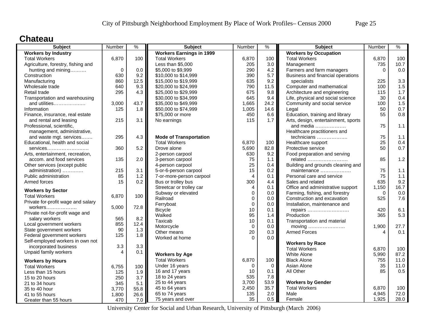### **Chateau**

| <b>Subject</b>                     | Number      | $\%$ | <b>Subject</b>                  | Number         | $\%$ | <b>Subject</b>                      | Number   | $\%$  |
|------------------------------------|-------------|------|---------------------------------|----------------|------|-------------------------------------|----------|-------|
| <b>Workers by Industry</b>         |             |      | <b>Workers Earnings in 1999</b> |                |      | <b>Workers by Occupation</b>        |          |       |
| <b>Total Workers</b>               | 6,870       | 100  | <b>Total Workers</b>            | 6,870          | 100  | <b>Total Workers</b>                | 6,870    | 100   |
| Agriculture, forestry, fishing and |             |      | Less than \$5,000               | 205            | 3.0  | Management                          | 735      | 10.7  |
| hunting and mining                 | $\mathbf 0$ | 0.0  | \$5,000 to \$9,999              | 290            | 4.2  | Farmers and farm managers           | $\Omega$ | 0.0   |
| Construction                       | 630         | 9.2  | \$10,000 to \$14,999            | 390            | 5.7  | Business and financial operations   |          |       |
| Manufacturing                      | 860         | 12.5 | \$15,000 to \$19,999            | 635            | 9.2  | specialists                         | 225      | 3.3   |
| Wholesale trade                    | 640         | 9.3  | \$20,000 to \$24,999            | 790            | 11.5 | Computer and mathematical           | 100      | 1.5   |
| Retail trade                       | 295         | 4.3  | \$25,000 to \$29,999            | 675            | 9.8  | Architecture and engineering        | 115      | 1.7   |
| Transportation and warehousing     |             |      | \$30,000 to \$34,999            | 645            | 9.4  | Life, physical and social science   | 30       | 0.4   |
| and utilities                      | 3,000       | 43.7 | \$35,000 to \$49,999            | 1,665          | 24.2 | Community and social service        | 100      | 1.5   |
| Information                        | 125         | 1.8  | \$50,000 to \$74,999            | 1,005          | 14.6 | Legal                               | 50       | 0.7   |
| Finance, insurance, real estate    |             |      | \$75,000 or more                | 450            | 6.6  | Education, training and library     | 55       | 0.8   |
| and rental and leasing             | 215         | 3.1  | No earnings                     | 115            | 1.7  | Arts, design, entertainment, sports |          |       |
| Professional, scientific,          |             |      |                                 |                |      | and media                           | 75       | 1.1   |
| management, administrative,        |             |      |                                 |                |      | Healthcare practitioners and        |          |       |
| and waste mgt. services            | 295         | 4.3  | <b>Mode of Transportation</b>   |                |      | technicians                         | 75       | 1.1   |
| Educational, health and social     |             |      | <b>Total Workers</b>            | 6,870          | 100  | Healthcare support                  | 25       | 0.4   |
| $s$ ervices                        | 360         | 5.2  | Drove alone                     | 5,690          | 82.8 | Protective service                  | 50       | 0.7   |
| Arts, entertainment, recreation,   |             |      | 2-person carpool                | 630            | 9.2  | Food preparation and serving        |          |       |
| accom. and food services           | 135         | 2.0  | 3-person carpool                | 75             | 1.1  | related                             | 85       | 1.2   |
| Other services (except public      |             |      | 4-person carpool                | 25             | 0.4  | Building and grounds cleaning and   |          |       |
| administration)                    | 215         | 3.1  | 5-or-6-person carpool           | 15             | 0.2  | maintenance                         | 75       | $1.1$ |
| Public administration              | 85          | 1.2  | 7-or-more-person carpool        | $\overline{4}$ | 0.1  | Personal care and service           | 75       | 1.1   |
| Armed forces                       | 15          | 0.2  | Bus or trolley bus              | 300            | 4.4  | Sales and related                   | 635      | 9.2   |
|                                    |             |      | Streetcar or trolley car        | $\overline{4}$ | 0.1  | Office and administrative support   | 1,150    | 16.7  |
| <b>Workers by Sector</b>           |             |      | Subway or elevated              | $\mathbf 0$    | 0.0  | Farming, fishing, and forestry      | $\Omega$ | 0.0   |
| <b>Total Workers</b>               | 6,870       | 100  | Railroad                        | $\mathbf 0$    | 0.0  | Construction and excavation         | 525      | 7.6   |
| Private for-profit wage and salary |             |      | Ferryboat                       | $\mathbf 0$    | 0.0  | Installation, maintenance and       |          |       |
| $workers$                          | 5,000       | 72.8 | <b>Bicycle</b>                  | 10             | 0.1  | repairs                             | 420      | 6.1   |
| Private not-for-profit wage and    |             |      | Walked                          | 95             | 1.4  | Production                          | 365      | 5.3   |
| salary workers                     | 565         | 8.2  | Taxicab                         | 10             | 0.1  | Transportation and material         |          |       |
| Local government workers           | 855         | 12.4 | Motorcycle                      | $\Omega$       | 0.0  | moving                              | 1,900    | 27.7  |
| State government workers           | 90          | 1.3  | Other means                     | 20             | 0.3  | <b>Armed Forces</b>                 | 4        | 0.1   |
| Federal government workers         | 125         | 1.8  | Worked at home                  | $\Omega$       | 0.0  |                                     |          |       |
| Self-employed workers in own not   |             |      |                                 |                |      | <b>Workers by Race</b>              |          |       |
| incorporated business              | 3.3         | 3.3  |                                 |                |      | <b>Total Workers</b>                | 6,870    | 100   |
| Unpaid family workers              | 4           | 0.1  | <b>Workers by Age</b>           |                |      | <b>White Alone</b>                  | 5,990    | 87.2  |
| <b>Workers by Hours</b>            |             |      | <b>Total Workers</b>            | 6,870          | 100  | <b>Black Alone</b>                  | 755      | 11.0  |
| <b>Total Workers</b>               | 6,755       | 100  | Under 16 years                  | 0              | 0    | Asian Alone                         | 35       | 11.0  |
| Less than 15 hours                 | 125         | 1.9  | 16 and 17 years                 | 10             | 0.1  | All Other                           | 85       | 0.5   |
|                                    | 250         | 3.7  | 18 to 24 years                  | 535            | 7.8  |                                     |          |       |
| 15 to 20 hours                     | 345         | 5.1  | 25 to 44 years                  | 3,700          | 53.9 | <b>Workers by Gender</b>            |          |       |
| 21 to 34 hours<br>35 to 40 hour    | 3,770       | 55.8 | 45 to 64 years                  | 2,450          | 35.7 | <b>Total Workers</b>                | 6,870    | 100   |
| 41 to 55 hours                     |             | 26.6 | 65 to 74 years                  | 135            | 2.0  | Male                                | 4,945    | 72.0  |
|                                    | 1,800       |      | 75 years and over               | 35             | 0.5  | Female                              | 1,925    | 28.0  |
| Greater than 55 hours              | 470         | 7.0  |                                 |                |      |                                     |          |       |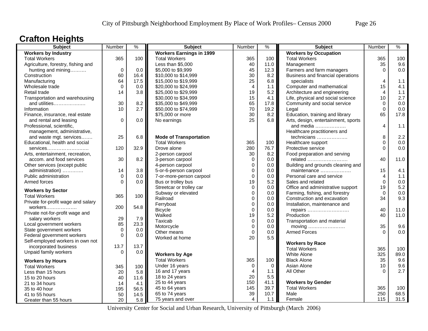### **Crafton Heights**

| <b>Subject</b>                     | Number      | $\frac{0}{6}$ | <b>Subject</b>                  | Number         | $\frac{1}{2}$ | <b>Subject</b>                               | Number         | $\frac{9}{6}$ |
|------------------------------------|-------------|---------------|---------------------------------|----------------|---------------|----------------------------------------------|----------------|---------------|
| <b>Workers by Industry</b>         |             |               | <b>Workers Earnings in 1999</b> |                |               | <b>Workers by Occupation</b>                 |                |               |
| <b>Total Workers</b>               | 365         | 100           | <b>Total Workers</b>            | 365            | 100           | <b>Total Workers</b>                         | 365            | 100           |
| Agriculture, forestry, fishing and |             |               | Less than \$5,000               | 40             | 11.0          | Management                                   | 35             | 9.6           |
| hunting and mining                 | $\mathbf 0$ | 0.0           | \$5,000 to \$9,999              | 45             | 12.3          | Farmers and farm managers                    | $\Omega$       | 0.0           |
| Construction                       | 60          | 16.4          | \$10,000 to \$14,999            | 30             | 8.2           | Business and financial operations            |                |               |
| Manufacturing                      | 64          | 17.5          | \$15,000 to \$19,999            | 25             | 6.8           | specialists                                  | 4              | 1.1           |
| Wholesale trade                    | $\Omega$    | 0.0           | \$20,000 to \$24,999            | $\overline{4}$ | 1.1           | Computer and mathematical                    | 15             | 4.1           |
| Retail trade                       | 14          | 3.8           | \$25,000 to \$29,999            | 19             | 5.2           | Architecture and engineering                 | $\overline{4}$ | 1.1           |
| Transportation and warehousing     |             |               | \$30,000 to \$34,999            | 15             | 4.1           | Life, physical and social science            | 10             | 2.7           |
| and utilities                      | 30          | 8.2           | \$35,000 to \$49,999            | 65             | 17.8          | Community and social service                 | $\Omega$       | 0.0           |
| Information                        | 10          | 2.7           | \$50,000 to \$74,999            | 70             | 19.2          | Legal                                        | $\mathbf 0$    | 0.0           |
| Finance, insurance, real estate    |             |               | \$75,000 or more                | 30             | 8.2           | Education, training and library              | 65             | 17.8          |
| and rental and leasing             | $\Omega$    | 0.0           | No earnings                     | 25             | 6.8           | Arts, design, entertainment, sports          |                |               |
| Professional, scientific,          |             |               |                                 |                |               | and media                                    | $\overline{4}$ | 1.1           |
| management, administrative,        |             |               |                                 |                |               | Healthcare practitioners and                 |                |               |
| and waste mgt. services            | 25          | 6.8           | <b>Mode of Transportation</b>   |                |               | technicians                                  | 8              | 2.2           |
| Educational, health and social     |             |               | <b>Total Workers</b>            | 365            | 100           | Healthcare support                           | $\mathbf 0$    | 0.0           |
| services                           | 120         | 32.9          | Drove alone                     | 280            | 76.7          | Protective service                           | $\Omega$       | 0.0           |
|                                    |             |               |                                 | 30             | 8.2           |                                              |                |               |
| Arts, entertainment, recreation,   | 30          |               | 2-person carpool                |                | 0.0           | Food preparation and serving                 | 40             | 11.0          |
| accom. and food services           |             | 8.2           | 3-person carpool                | $\mathbf 0$    |               | related                                      |                |               |
| Other services (except public      |             |               | 4-person carpool                | $\mathbf 0$    | 0.0           | Building and grounds cleaning and            |                |               |
| administration)                    | 14          | 3.8           | 5-or-6-person carpool           | $\mathbf 0$    | 0.0           | maintenance                                  | 15             | 4.1           |
| Public administration              | $\mathbf 0$ | 0.0           | 7-or-more-person carpool        | $\pmb{0}$      | $0.0\,$       | Personal care and service                    | 4              | 1.1           |
| Armed forces                       | $\Omega$    | 0.0           | Bus or trolley bus              | 19             | 5.2           | Sales and related                            | $\Omega$       | 0.0           |
| <b>Workers by Sector</b>           |             |               | Streetcar or trolley car        | $\mathbf 0$    | 0.0           | Office and administrative support            | 19             | 5.2           |
| <b>Total Workers</b>               | 365         | 100           | Subway or elevated              | $\mathbf 0$    | 0.0           | Farming, fishing, and forestry               | $\Omega$       | 0.0           |
| Private for-profit wage and salary |             |               | Railroad                        | $\mathbf 0$    | 0.0           | Construction and excavation                  | 34             | 9.3           |
| workers                            | 200         | 54.8          | Ferryboat                       | $\mathbf 0$    | 0.0           | Installation, maintenance and                |                |               |
| Private not-for-profit wage and    |             |               | <b>Bicycle</b>                  | $\Omega$       | 0.0           | repairs                                      | 40             | 11.0          |
| salary workers                     | 29          | 7.9           | Walked                          | 19             | 5.2           | Production                                   | 40             | 11.0          |
| Local government workers           | 85          | 23.3          | Taxicab                         | $\pmb{0}$      | 0.0           | Transportation and material                  |                |               |
| State government workers           | $\mathbf 0$ | 0.0           | Motorcycle                      | $\mathbf 0$    | 0.0           | moving $\dots\dots\dots\dots\dots\dots\dots$ | 35             | 9.6           |
| Federal government workers         | $\Omega$    | 0.0           | Other means                     | $\mathbf 0$    | 0.0           | <b>Armed Forces</b>                          | $\Omega$       | 0.0           |
| Self-employed workers in own not   |             |               | Worked at home                  | 20             | 5.5           |                                              |                |               |
|                                    | 13.7        | 13.7          |                                 |                |               | <b>Workers by Race</b>                       |                |               |
| incorporated business              |             |               |                                 |                |               | <b>Total Workers</b>                         | 365            | 100           |
| Unpaid family workers              | $\Omega$    | 0.0           | <b>Workers by Age</b>           |                |               | <b>White Alone</b>                           | 325            | 89.0          |
| <b>Workers by Hours</b>            |             |               | <b>Total Workers</b>            | 365            | 100           | <b>Black Alone</b>                           | 35             | 9.6           |
| <b>Total Workers</b>               | 345         | 100           | Under 16 years                  | $\mathbf 0$    | $\mathbf 0$   | Asian Alone                                  | 10             | 9.6           |
| Less than 15 hours                 | 20          | 5.8           | 16 and 17 years                 | $\overline{4}$ | 1.1           | All Other                                    | $\Omega$       | 2.7           |
| 15 to 20 hours                     | 40          | 11.6          | 18 to 24 years                  | 20             | 5.5           |                                              |                |               |
| 21 to 34 hours                     | 14          | 4.1           | 25 to 44 years                  | 150            | 41.1          | <b>Workers by Gender</b>                     |                |               |
| 35 to 40 hour                      | 195         | 56.5          | 45 to 64 years                  | 145            | 39.7          | <b>Total Workers</b>                         | 365            | 100           |
| 41 to 55 hours                     | 50          | 14.5          | 65 to 74 years                  | 39             | 10.7          | Male                                         | 250            | 68.5          |
| Greater than 55 hours              | 20          | 5.8           | 75 years and over               | $\overline{4}$ | 1.1           | Female                                       | 115            | 31.5          |
|                                    |             |               |                                 |                |               |                                              |                |               |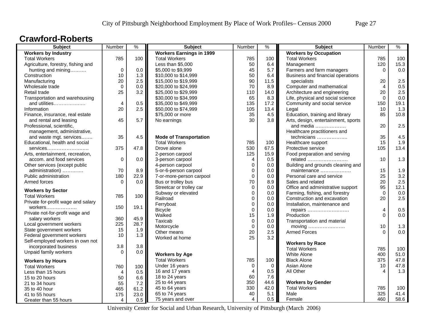### **Crawford-Roberts**

| <b>Workers Earnings in 1999</b><br><b>Workers by Occupation</b><br><b>Workers by Industry</b><br>785<br>100<br>785<br><b>Total Workers</b><br><b>Total Workers</b><br><b>Total Workers</b><br>100<br>785<br>Less than \$5,000<br>Agriculture, forestry, fishing and<br>50<br>6.4<br>Management<br>120<br>$\mathbf 0$<br>0.0<br>45<br>5.7<br>hunting and mining<br>\$5,000 to \$9,999<br>Farmers and farm managers<br>0<br>10<br>1.3<br>50<br>6.4<br>Business and financial operations<br>Construction<br>\$10,000 to \$14,999<br>20<br>2.5<br>90<br>\$15,000 to \$19,999<br>11.5<br>specialists<br>20<br>Manufacturing<br>Computer and mathematical<br>$\mathbf 0$<br>\$20,000 to \$24,999<br>70<br>8.9<br>$\overline{4}$<br>Wholesale trade<br>0.0<br>25<br>3.2<br>\$25,000 to \$29,999<br>110<br>Architecture and engineering<br>20<br>Retail trade<br>14.0<br>Transportation and warehousing<br>\$30,000 to \$34,999<br>65<br>8.3<br>Life, physical and social science<br>$\Omega$<br>0.5<br>135<br>Community and social service<br>and utilities<br>$\overline{4}$<br>\$35,000 to \$49,999<br>17.2<br>150<br>20<br>2.5<br>\$50,000 to \$74,999<br>105<br>10<br>Information<br>13.4<br>Legal<br>\$75,000 or more<br>35<br>Education, training and library<br>85<br>Finance, insurance, real estate<br>4.5 | 100<br>15.3<br>0.0<br>2.5<br>0.5<br>2.5<br>0.0<br>19.1<br>1.3<br>10.8<br>2.5 |
|--------------------------------------------------------------------------------------------------------------------------------------------------------------------------------------------------------------------------------------------------------------------------------------------------------------------------------------------------------------------------------------------------------------------------------------------------------------------------------------------------------------------------------------------------------------------------------------------------------------------------------------------------------------------------------------------------------------------------------------------------------------------------------------------------------------------------------------------------------------------------------------------------------------------------------------------------------------------------------------------------------------------------------------------------------------------------------------------------------------------------------------------------------------------------------------------------------------------------------------------------------------------------------------------------------------|------------------------------------------------------------------------------|
|                                                                                                                                                                                                                                                                                                                                                                                                                                                                                                                                                                                                                                                                                                                                                                                                                                                                                                                                                                                                                                                                                                                                                                                                                                                                                                              |                                                                              |
|                                                                                                                                                                                                                                                                                                                                                                                                                                                                                                                                                                                                                                                                                                                                                                                                                                                                                                                                                                                                                                                                                                                                                                                                                                                                                                              |                                                                              |
|                                                                                                                                                                                                                                                                                                                                                                                                                                                                                                                                                                                                                                                                                                                                                                                                                                                                                                                                                                                                                                                                                                                                                                                                                                                                                                              |                                                                              |
|                                                                                                                                                                                                                                                                                                                                                                                                                                                                                                                                                                                                                                                                                                                                                                                                                                                                                                                                                                                                                                                                                                                                                                                                                                                                                                              |                                                                              |
|                                                                                                                                                                                                                                                                                                                                                                                                                                                                                                                                                                                                                                                                                                                                                                                                                                                                                                                                                                                                                                                                                                                                                                                                                                                                                                              |                                                                              |
|                                                                                                                                                                                                                                                                                                                                                                                                                                                                                                                                                                                                                                                                                                                                                                                                                                                                                                                                                                                                                                                                                                                                                                                                                                                                                                              |                                                                              |
|                                                                                                                                                                                                                                                                                                                                                                                                                                                                                                                                                                                                                                                                                                                                                                                                                                                                                                                                                                                                                                                                                                                                                                                                                                                                                                              |                                                                              |
|                                                                                                                                                                                                                                                                                                                                                                                                                                                                                                                                                                                                                                                                                                                                                                                                                                                                                                                                                                                                                                                                                                                                                                                                                                                                                                              |                                                                              |
|                                                                                                                                                                                                                                                                                                                                                                                                                                                                                                                                                                                                                                                                                                                                                                                                                                                                                                                                                                                                                                                                                                                                                                                                                                                                                                              |                                                                              |
|                                                                                                                                                                                                                                                                                                                                                                                                                                                                                                                                                                                                                                                                                                                                                                                                                                                                                                                                                                                                                                                                                                                                                                                                                                                                                                              |                                                                              |
|                                                                                                                                                                                                                                                                                                                                                                                                                                                                                                                                                                                                                                                                                                                                                                                                                                                                                                                                                                                                                                                                                                                                                                                                                                                                                                              |                                                                              |
|                                                                                                                                                                                                                                                                                                                                                                                                                                                                                                                                                                                                                                                                                                                                                                                                                                                                                                                                                                                                                                                                                                                                                                                                                                                                                                              |                                                                              |
| 5.7<br>45<br>30<br>3.8<br>Arts, design, entertainment, sports<br>and rental and leasing<br>No earnings                                                                                                                                                                                                                                                                                                                                                                                                                                                                                                                                                                                                                                                                                                                                                                                                                                                                                                                                                                                                                                                                                                                                                                                                       |                                                                              |
| 20<br>Professional, scientific,<br>and media                                                                                                                                                                                                                                                                                                                                                                                                                                                                                                                                                                                                                                                                                                                                                                                                                                                                                                                                                                                                                                                                                                                                                                                                                                                                 |                                                                              |
| Healthcare practitioners and<br>management, administrative,                                                                                                                                                                                                                                                                                                                                                                                                                                                                                                                                                                                                                                                                                                                                                                                                                                                                                                                                                                                                                                                                                                                                                                                                                                                  |                                                                              |
| 35<br>4.5<br><b>Mode of Transportation</b><br>35<br>and waste mgt. services<br>technicians                                                                                                                                                                                                                                                                                                                                                                                                                                                                                                                                                                                                                                                                                                                                                                                                                                                                                                                                                                                                                                                                                                                                                                                                                   | 4.5                                                                          |
| <b>Total Workers</b><br>785<br>Educational, health and social<br>100<br>Healthcare support<br>15                                                                                                                                                                                                                                                                                                                                                                                                                                                                                                                                                                                                                                                                                                                                                                                                                                                                                                                                                                                                                                                                                                                                                                                                             | 1.9                                                                          |
| 47.8<br>530<br>67.5<br>105<br>375<br>Drove alone<br>Protective service<br>services                                                                                                                                                                                                                                                                                                                                                                                                                                                                                                                                                                                                                                                                                                                                                                                                                                                                                                                                                                                                                                                                                                                                                                                                                           | 13.4                                                                         |
| 2-person carpool<br>125<br>15.9<br>Food preparation and serving<br>Arts, entertainment, recreation,                                                                                                                                                                                                                                                                                                                                                                                                                                                                                                                                                                                                                                                                                                                                                                                                                                                                                                                                                                                                                                                                                                                                                                                                          |                                                                              |
| $\mathbf 0$<br>0.0<br>3-person carpool<br>0.5<br>related<br>10<br>accom. and food services<br>4                                                                                                                                                                                                                                                                                                                                                                                                                                                                                                                                                                                                                                                                                                                                                                                                                                                                                                                                                                                                                                                                                                                                                                                                              | 1.3                                                                          |
| $\mathbf 0$<br>4-person carpool<br>0.0                                                                                                                                                                                                                                                                                                                                                                                                                                                                                                                                                                                                                                                                                                                                                                                                                                                                                                                                                                                                                                                                                                                                                                                                                                                                       |                                                                              |
| Building and grounds cleaning and<br>Other services (except public<br>70<br>8.9<br>5-or-6-person carpool<br>15                                                                                                                                                                                                                                                                                                                                                                                                                                                                                                                                                                                                                                                                                                                                                                                                                                                                                                                                                                                                                                                                                                                                                                                               |                                                                              |
| 0<br>maintenance<br>administration)<br>0.0                                                                                                                                                                                                                                                                                                                                                                                                                                                                                                                                                                                                                                                                                                                                                                                                                                                                                                                                                                                                                                                                                                                                                                                                                                                                   | 1.9                                                                          |
| 22.9<br>$\pmb{0}$<br>25<br>Public administration<br>180<br>0.0<br>7-or-more-person carpool<br>Personal care and service                                                                                                                                                                                                                                                                                                                                                                                                                                                                                                                                                                                                                                                                                                                                                                                                                                                                                                                                                                                                                                                                                                                                                                                      | 3.2                                                                          |
| 70<br>20<br>0.0<br>Bus or trolley bus<br>8.9<br>Sales and related<br>Armed forces<br>$\Omega$                                                                                                                                                                                                                                                                                                                                                                                                                                                                                                                                                                                                                                                                                                                                                                                                                                                                                                                                                                                                                                                                                                                                                                                                                | 2.5                                                                          |
| 95<br>Streetcar or trolley car<br>$\Omega$<br>0.0<br>Office and administrative support<br><b>Workers by Sector</b>                                                                                                                                                                                                                                                                                                                                                                                                                                                                                                                                                                                                                                                                                                                                                                                                                                                                                                                                                                                                                                                                                                                                                                                           | 12.1                                                                         |
| 0<br>Subway or elevated<br>0.0<br>Farming, fishing, and forestry<br>$\Omega$<br>100<br><b>Total Workers</b><br>785                                                                                                                                                                                                                                                                                                                                                                                                                                                                                                                                                                                                                                                                                                                                                                                                                                                                                                                                                                                                                                                                                                                                                                                           | 0.0                                                                          |
| Railroad<br>$\Omega$<br>Construction and excavation<br>20<br>0.0<br>Private for-profit wage and salary                                                                                                                                                                                                                                                                                                                                                                                                                                                                                                                                                                                                                                                                                                                                                                                                                                                                                                                                                                                                                                                                                                                                                                                                       | 2.5                                                                          |
| $\mathbf 0$<br>0.0<br>Installation, maintenance and<br>Ferryboat<br>150<br>19.1<br>workers                                                                                                                                                                                                                                                                                                                                                                                                                                                                                                                                                                                                                                                                                                                                                                                                                                                                                                                                                                                                                                                                                                                                                                                                                   |                                                                              |
| $\overline{4}$<br>$\Omega$<br>$0.0\,$<br><b>Bicycle</b><br>repairs<br>Private not-for-profit wage and                                                                                                                                                                                                                                                                                                                                                                                                                                                                                                                                                                                                                                                                                                                                                                                                                                                                                                                                                                                                                                                                                                                                                                                                        | 0.5                                                                          |
| 15<br>Walked<br>1.9<br>Production<br>$\Omega$<br>45.9<br>360<br>salary workers                                                                                                                                                                                                                                                                                                                                                                                                                                                                                                                                                                                                                                                                                                                                                                                                                                                                                                                                                                                                                                                                                                                                                                                                                               | 0.0                                                                          |
| 0<br>Taxicab<br>0.0<br>Transportation and material<br>225<br>Local government workers<br>28.7                                                                                                                                                                                                                                                                                                                                                                                                                                                                                                                                                                                                                                                                                                                                                                                                                                                                                                                                                                                                                                                                                                                                                                                                                |                                                                              |
| Motorcycle<br>$\mathbf 0$<br>0.0<br>moving<br>10<br>State government workers<br>15<br>1.9                                                                                                                                                                                                                                                                                                                                                                                                                                                                                                                                                                                                                                                                                                                                                                                                                                                                                                                                                                                                                                                                                                                                                                                                                    | 1.3                                                                          |
| 20<br>2.5<br><b>Armed Forces</b><br>$\Omega$<br>Other means<br>10<br>1.3<br>Federal government workers                                                                                                                                                                                                                                                                                                                                                                                                                                                                                                                                                                                                                                                                                                                                                                                                                                                                                                                                                                                                                                                                                                                                                                                                       | 0.0                                                                          |
| 25<br>3.2<br>Worked at home<br>Self-employed workers in own not                                                                                                                                                                                                                                                                                                                                                                                                                                                                                                                                                                                                                                                                                                                                                                                                                                                                                                                                                                                                                                                                                                                                                                                                                                              |                                                                              |
| <b>Workers by Race</b><br>3.8<br>3.8<br>incorporated business                                                                                                                                                                                                                                                                                                                                                                                                                                                                                                                                                                                                                                                                                                                                                                                                                                                                                                                                                                                                                                                                                                                                                                                                                                                |                                                                              |
| <b>Total Workers</b><br>785<br>Unpaid family workers<br>$\Omega$<br>0.0                                                                                                                                                                                                                                                                                                                                                                                                                                                                                                                                                                                                                                                                                                                                                                                                                                                                                                                                                                                                                                                                                                                                                                                                                                      | 100                                                                          |
| <b>Workers by Age</b><br><b>White Alone</b><br>400                                                                                                                                                                                                                                                                                                                                                                                                                                                                                                                                                                                                                                                                                                                                                                                                                                                                                                                                                                                                                                                                                                                                                                                                                                                           | 51.0                                                                         |
| <b>Total Workers</b><br>785<br>100<br>375<br><b>Black Alone</b><br><b>Workers by Hours</b>                                                                                                                                                                                                                                                                                                                                                                                                                                                                                                                                                                                                                                                                                                                                                                                                                                                                                                                                                                                                                                                                                                                                                                                                                   | 47.8                                                                         |
| Under 16 years<br>Asian Alone<br>0<br>$\mathbf 0$<br>10<br><b>Total Workers</b><br>760<br>100                                                                                                                                                                                                                                                                                                                                                                                                                                                                                                                                                                                                                                                                                                                                                                                                                                                                                                                                                                                                                                                                                                                                                                                                                | 47.8                                                                         |
| 16 and 17 years<br>4<br>0.5<br>All Other<br>4<br>0.5<br>Less than 15 hours<br>$\overline{4}$                                                                                                                                                                                                                                                                                                                                                                                                                                                                                                                                                                                                                                                                                                                                                                                                                                                                                                                                                                                                                                                                                                                                                                                                                 | 1.3                                                                          |
| 60<br>7.6<br>18 to 24 years<br>50<br>6.6<br>15 to 20 hours                                                                                                                                                                                                                                                                                                                                                                                                                                                                                                                                                                                                                                                                                                                                                                                                                                                                                                                                                                                                                                                                                                                                                                                                                                                   |                                                                              |
| 25 to 44 years<br>350<br><b>Workers by Gender</b><br>44.6<br>55<br>7.2<br>21 to 34 hours                                                                                                                                                                                                                                                                                                                                                                                                                                                                                                                                                                                                                                                                                                                                                                                                                                                                                                                                                                                                                                                                                                                                                                                                                     |                                                                              |
| 45 to 64 years<br>330<br>42.0<br><b>Total Workers</b><br>785<br>465<br>61.2<br>35 to 40 hour                                                                                                                                                                                                                                                                                                                                                                                                                                                                                                                                                                                                                                                                                                                                                                                                                                                                                                                                                                                                                                                                                                                                                                                                                 | 100                                                                          |
| 5.1<br>325<br>65 to 74 years<br>40<br>Male<br>175<br>41 to 55 hours<br>23.0                                                                                                                                                                                                                                                                                                                                                                                                                                                                                                                                                                                                                                                                                                                                                                                                                                                                                                                                                                                                                                                                                                                                                                                                                                  | 41.4                                                                         |
| 4<br>0.5<br>460<br>75 years and over<br>Female<br>0.5<br>4<br>Greater than 55 hours                                                                                                                                                                                                                                                                                                                                                                                                                                                                                                                                                                                                                                                                                                                                                                                                                                                                                                                                                                                                                                                                                                                                                                                                                          | 58.6                                                                         |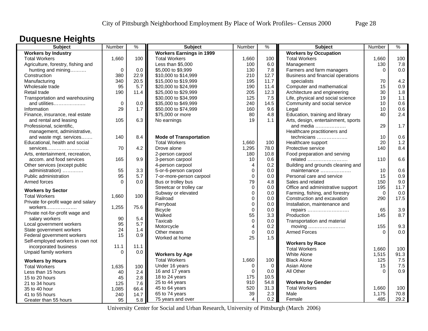## **Duquesne Heights**

| <b>Subject</b>                     | Number      | $\%$ | <b>Subject</b>                  | Number         | %        | <b>Subject</b>                               | Number   | $\%$ |
|------------------------------------|-------------|------|---------------------------------|----------------|----------|----------------------------------------------|----------|------|
| <b>Workers by Industry</b>         |             |      | <b>Workers Earnings in 1999</b> |                |          | <b>Workers by Occupation</b>                 |          |      |
| <b>Total Workers</b>               | 1,660       | 100  | <b>Total Workers</b>            | 1,660          | 100      | <b>Total Workers</b>                         | 1,660    | 100  |
| Agriculture, forestry, fishing and |             |      | Less than \$5,000               | 100            | 6.0      | Management                                   | 130      | 7.8  |
| hunting and mining                 | $\mathbf 0$ | 0.0  | \$5,000 to \$9,999              | 130            | 7.8      | Farmers and farm managers                    | $\Omega$ | 0.0  |
| Construction                       | 380         | 22.9 | \$10,000 to \$14,999            | 210            | 12.7     | Business and financial operations            |          |      |
| Manufacturing                      | 340         | 20.5 | \$15,000 to \$19,999            | 195            | 11.7     | specialists                                  | 70       | 4.2  |
| Wholesale trade                    | 95          | 5.7  | \$20,000 to \$24,999            | 190            | 11.4     | Computer and mathematical                    | 15       | 0.9  |
| Retail trade                       | 190         | 11.4 | \$25,000 to \$29,999            | 205            | 12.3     | Architecture and engineering                 | 30       | 1.8  |
| Transportation and warehousing     |             |      | \$30,000 to \$34,999            | 125            | 7.5      | Life, physical and social science            | 19       | 1.1  |
| and utilities                      | 0           | 0.0  | \$35,000 to \$49,999            | 240            | 14.5     | Community and social service                 | 10       | 0.6  |
| Information                        | 29          | 1.7  | \$50,000 to \$74,999            | 160            | 9.6      | Legal                                        | 10       | 0.6  |
| Finance, insurance, real estate    |             |      | \$75,000 or more                | 80             | 4.8      | Education, training and library              | 40       | 2.4  |
| and rental and leasing             | 105         | 6.3  | No earnings                     | 19             | 1.1      | Arts, design, entertainment, sports          |          |      |
| Professional, scientific,          |             |      |                                 |                |          | and media                                    | 29       | 1.7  |
| management, administrative,        |             |      |                                 |                |          | Healthcare practitioners and                 |          |      |
| and waste mgt. services            | 140         | 8.4  | <b>Mode of Transportation</b>   |                |          | technicians                                  | 10       | 0.6  |
| Educational, health and social     |             |      | <b>Total Workers</b>            | 1,660          | 100      | Healthcare support                           | 20       | 1.2  |
| services                           | 70          | 4.2  | Drove alone                     | 1,295          | 78.0     | Protective service                           | 140      | 8.4  |
| Arts, entertainment, recreation,   |             |      | 2-person carpool                | 180            | 10.8     | Food preparation and serving                 |          |      |
| accom. and food services           | 165         | 9.9  | 3-person carpool                | 10             | 0.6      | related                                      | 110      | 6.6  |
| Other services (except public      |             |      | 4-person carpool                | 4              | 0.2      | Building and grounds cleaning and            |          |      |
| administration)                    | 55          | 3.3  | 5-or-6-person carpool           | $\mathbf 0$    | 0.0      | maintenance                                  | 10       | 0.6  |
| Public administration              | 95          | 5.7  | 7-or-more-person carpool        | 0              | 0.0      | Personal care and service                    | 15       | 0.9  |
| Armed forces                       | $\Omega$    | 0.0  | Bus or trolley bus              | 79             | 4.8      | Sales and related                            | 150      | 9.0  |
|                                    |             |      | Streetcar or trolley car        | $\Omega$       | $0.0\,$  | Office and administrative support            | 195      | 11.7 |
| <b>Workers by Sector</b>           |             |      | Subway or elevated              | $\mathbf 0$    | 0.0      | Farming, fishing, and forestry               | $\Omega$ | 0.0  |
| <b>Total Workers</b>               | 1,660       | 100  | Railroad                        | $\mathbf 0$    | 0.0      | Construction and excavation                  | 290      | 17.5 |
| Private for-profit wage and salary |             |      | Ferryboat                       | $\pmb{0}$      | 0.0      | Installation, maintenance and                |          |      |
|                                    | 1,255       | 75.6 | <b>Bicycle</b>                  | $\mathbf 0$    | 0.0      | repairs                                      | 65       | 3.9  |
| Private not-for-profit wage and    |             |      | Walked                          | 55             | 3.3      | Production                                   | 145      | 8.7  |
| salary workers                     | 90          | 5.4  | Taxicab                         | 0              | 0.0      | Transportation and material                  |          |      |
| Local government workers           | 95          | 5.7  | Motorcycle                      | 4              | 0.2      | moving $\dots\dots\dots\dots\dots\dots\dots$ | 155      | 9.3  |
| State government workers           | 24          | 1.4  | Other means                     | $\Omega$       | 0.0      | <b>Armed Forces</b>                          | $\Omega$ | 0.0  |
| Federal government workers         | 15          | 0.9  | Worked at home                  | 25             | 1.5      |                                              |          |      |
| Self-employed workers in own not   |             |      |                                 |                |          | <b>Workers by Race</b>                       |          |      |
| incorporated business              | 11.1        | 11.1 |                                 |                |          | <b>Total Workers</b>                         | 1,660    | 100  |
| Unpaid family workers              | $\Omega$    | 0.0  | <b>Workers by Age</b>           |                |          | <b>White Alone</b>                           | 1,515    | 91.3 |
| <b>Workers by Hours</b>            |             |      | <b>Total Workers</b>            | 1,660          | 100      | <b>Black Alone</b>                           | 125      | 7.5  |
| <b>Total Workers</b>               | 1,635       | 100  | Under 16 years                  | 0              | $\Omega$ | Asian Alone                                  | 15       | 7.5  |
| Less than 15 hours                 | 40          | 2.4  | 16 and 17 years                 | $\Omega$       | 0.0      | All Other                                    | $\Omega$ | 0.9  |
| 15 to 20 hours                     | 45          | 2.8  | 18 to 24 years                  | 175            | 10.5     |                                              |          |      |
| 21 to 34 hours                     | 125         | 7.6  | 25 to 44 years                  | 910            | 54.8     | <b>Workers by Gender</b>                     |          |      |
| 35 to 40 hour                      | 1,085       | 66.4 | 45 to 64 years                  | 520            | 31.3     | <b>Total Workers</b>                         | 1,660    | 100  |
| 41 to 55 hours                     | 240         | 14.7 | 65 to 74 years                  | 39             | 2.3      | Male                                         | 1,175    | 70.8 |
| Greater than 55 hours              | 95          | 5.8  | 75 years and over               | $\overline{4}$ | 0.2      | Female                                       | 485      | 29.2 |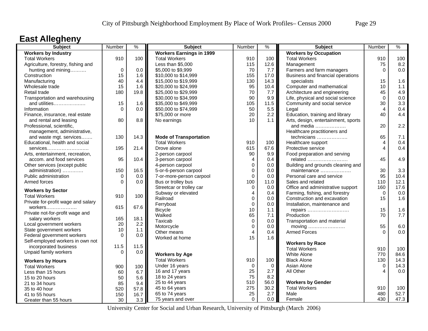## **East Allegheny**

| Subject                                                        | Number           | $\frac{9}{6}$ | <b>Subject</b>                  | Number         | $\frac{9}{6}$ | <b>Subject</b>                      | Number      | $\frac{9}{6}$ |
|----------------------------------------------------------------|------------------|---------------|---------------------------------|----------------|---------------|-------------------------------------|-------------|---------------|
| <b>Workers by Industry</b>                                     |                  |               | <b>Workers Earnings in 1999</b> |                |               | <b>Workers by Occupation</b>        |             |               |
| <b>Total Workers</b>                                           | 910              | 100           | <b>Total Workers</b>            | 910            | 100           | <b>Total Workers</b>                | 910         | 100           |
| Agriculture, forestry, fishing and                             |                  |               | Less than \$5,000               | 115            | 12.6          | Management                          | 75          | 8.2           |
| hunting and mining                                             | $\Omega$         | 0.0           | \$5,000 to \$9,999              | 70             | 7.7           | Farmers and farm managers           | $\Omega$    | 0.0           |
| Construction                                                   | 15               | 1.6           | \$10,000 to \$14,999            | 155            | 17.0          | Business and financial operations   |             |               |
| Manufacturing                                                  | 40               | 4.4           | \$15,000 to \$19,999            | 130            | 14.3          | specialists                         | 15          | 1.6           |
| Wholesale trade                                                | 15               | 1.6           | \$20,000 to \$24,999            | 95             | 10.4          | Computer and mathematical           | 10          | 1.1           |
| Retail trade                                                   | 180              | 19.8          | \$25,000 to \$29,999            | 70             | 7.7           | Architecture and engineering        | 45          | 4.9           |
| Transportation and warehousing                                 |                  |               | \$30,000 to \$34,999            | 90             | 9.9           | Life, physical and social science   | $\Omega$    | 0.0           |
| and utilities                                                  | 15               | 1.6           | \$35,000 to \$49,999            | 105            | 11.5          | Community and social service        | 30          | 3.3           |
| Information                                                    | $\Omega$         | 0.0           | \$50,000 to \$74,999            | 50             | 5.5           | Legal                               | 4           | 0.4           |
| Finance, insurance, real estate                                |                  |               | \$75,000 or more                | 20             | 2.2           | Education, training and library     | 40          | 4.4           |
| and rental and leasing                                         | 80               | 8.8           | No earnings                     | 10             | 1.1           | Arts, design, entertainment, sports |             |               |
| Professional, scientific,                                      |                  |               |                                 |                |               | and media                           | 20          | 2.2           |
| management, administrative,                                    |                  |               |                                 |                |               | Healthcare practitioners and        |             |               |
| and waste mgt. services                                        | 130              | 14.3          | <b>Mode of Transportation</b>   |                |               | technicians                         | 65          | 7.1           |
| Educational, health and social                                 |                  |               | <b>Total Workers</b>            | 910            | 100           | Healthcare support                  | 4           | 0.4           |
| services                                                       | 195              | 21.4          | Drove alone                     | 615            | 67.6          | Protective service                  | 4           | 0.4           |
| Arts, entertainment, recreation,                               |                  |               | 2-person carpool                | 90             | 9.9           | Food preparation and serving        |             |               |
| accom. and food services                                       | 95               | 10.4          | 3-person carpool                | $\overline{4}$ | 0.4           | related                             | 45          | 4.9           |
| Other services (except public                                  |                  |               | 4-person carpool                | $\mathbf 0$    | 0.0           | Building and grounds cleaning and   |             |               |
| administration)                                                | 150              | 16.5          | 5-or-6-person carpool           | $\mathbf{0}$   | 0.0           | maintenance                         | 30          | 3.3           |
| Public administration                                          | $\Omega$         | 0.0           | 7-or-more-person carpool        | $\Omega$       | 0.0           | Personal care and service           | 95          | 10.4          |
| Armed forces                                                   | $\Omega$         | 0.0           | Bus or trolley bus              | 100            | 11.0          | Sales and related                   | 110         | 12.1          |
|                                                                |                  |               | Streetcar or trolley car        | $\Omega$       | 0.0           | Office and administrative support   | 160         | 17.6          |
| <b>Workers by Sector</b>                                       |                  |               | Subway or elevated              | $\overline{4}$ | 0.4           | Farming, fishing, and forestry      | $\Omega$    | 0.0           |
| <b>Total Workers</b>                                           | 910              | 100           | Railroad                        | $\mathbf 0$    | 0.0           | Construction and excavation         | 15          | 1.6           |
| Private for-profit wage and salary                             |                  |               | Ferryboat                       | $\mathbf 0$    | 0.0           | Installation, maintenance and       |             |               |
| workers                                                        | 615              | 67.6          | <b>Bicycle</b>                  | 10             | 1.1           | repairs                             | 15          | 1.6           |
| Private not-for-profit wage and                                |                  |               | Walked                          | 65             | 7.1           | Production                          | 70          | 7.7           |
| salary workers                                                 | 165              | 18.1          | Taxicab                         | $\mathbf 0$    | 0.0           | Transportation and material         |             |               |
| Local government workers                                       | 20<br>10         | 2.2           | Motorcycle                      | $\mathbf 0$    | 0.0           | moving                              | 55          | 6.0           |
| State government workers                                       | $\Omega$         | 1.1           | Other means                     | $\overline{4}$ | 0.4           | <b>Armed Forces</b>                 | $\Omega$    | 0.0           |
| Federal government workers<br>Self-employed workers in own not |                  | 0.0           | Worked at home                  | 15             | 1.6           |                                     |             |               |
|                                                                |                  | 11.5          |                                 |                |               | <b>Workers by Race</b>              |             |               |
| incorporated business                                          | 11.5<br>$\Omega$ |               |                                 |                |               | <b>Total Workers</b>                | 910         | 100           |
| Unpaid family workers                                          |                  | 0.0           | <b>Workers by Age</b>           |                |               | White Alone                         | 770         | 84.6          |
| <b>Workers by Hours</b>                                        |                  |               | <b>Total Workers</b>            | 910            | 100           | <b>Black Alone</b>                  | 130         | 14.3          |
| <b>Total Workers</b>                                           | 900              | 100           | Under 16 years                  | 0              | $\mathbf 0$   | Asian Alone                         | $\mathbf 0$ | 14.3          |
| Less than 15 hours                                             | 60               | 6.7           | 16 and 17 years                 | 25             | 2.7           | All Other                           | Δ           | 0.0           |
| 15 to 20 hours                                                 | 50               | 5.6           | 18 to 24 years                  | 75             | 8.2           |                                     |             |               |
| 21 to 34 hours                                                 | 85               | 9.4           | 25 to 44 years                  | 510            | 56.0          | <b>Workers by Gender</b>            |             |               |
| 35 to 40 hour                                                  | 520              | 57.8          | 45 to 64 years                  | 275            | 30.2          | <b>Total Workers</b>                | 910         | 100           |
| 41 to 55 hours                                                 | 150              | 16.7          | 65 to 74 years                  | 25             | 2.7           | Male                                | 480         | 52.7          |
| Greater than 55 hours                                          | 30               | 3.3           | 75 years and over               | $\Omega$       | 0.0           | Female                              | 430         | 47.3          |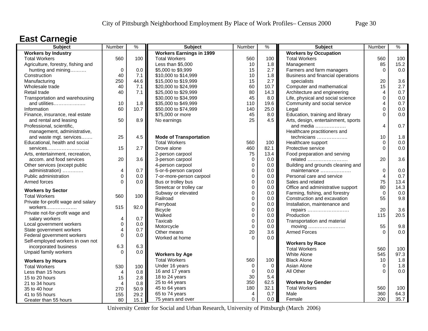### **East Carnegie**

| <b>Subject</b>                     | Number         | $\frac{0}{0}$ | <b>Subject</b>                  | Number      | $\frac{9}{6}$ | <b>Subject</b>                      | Number      | $\frac{9}{6}$ |
|------------------------------------|----------------|---------------|---------------------------------|-------------|---------------|-------------------------------------|-------------|---------------|
| <b>Workers by Industry</b>         |                |               | <b>Workers Earnings in 1999</b> |             |               | <b>Workers by Occupation</b>        |             |               |
| <b>Total Workers</b>               | 560            | 100           | <b>Total Workers</b>            | 560         | 100           | <b>Total Workers</b>                | 560         | 100           |
| Agriculture, forestry, fishing and |                |               | Less than \$5,000               | 10          | 1.8           | Management                          | 85          | 15.2          |
| hunting and mining                 | $\mathbf 0$    | 0.0           | \$5,000 to \$9,999              | 15          | 2.7           | Farmers and farm managers           | $\Omega$    | 0.0           |
| Construction                       | 40             | 7.1           | \$10,000 to \$14,999            | 10          | 1.8           | Business and financial operations   |             |               |
| Manufacturing                      | 250            | 44.6          | \$15,000 to \$19,999            | 15          | 2.7           | specialists                         | 20          | 3.6           |
| Wholesale trade                    | 40             | 7.1           | \$20,000 to \$24,999            | 60          | 10.7          | Computer and mathematical           | 15          | 2.7           |
| Retail trade                       | 40             | 7.1           | \$25,000 to \$29,999            | 80          | 14.3          | Architecture and engineering        | 4           | 0.7           |
| Transportation and warehousing     |                |               | \$30,000 to \$34,999            | 45          | 8.0           | Life, physical and social science   | $\Omega$    | 0.0           |
| and utilities                      | 10             | 1.8           | \$35,000 to \$49,999            | 110         | 19.6          | Community and social service        | 4           | 0.7           |
| Information                        | 60             | 10.7          | \$50,000 to \$74,999            | 140         | 25.0          | Legal                               | 0           | 0.0           |
| Finance, insurance, real estate    |                |               | \$75,000 or more                | 45          | 8.0           | Education, training and library     | $\Omega$    | 0.0           |
| and rental and leasing             | 50             | 8.9           | No earnings                     | 25          | 4.5           | Arts, design, entertainment, sports |             |               |
| Professional, scientific,          |                |               |                                 |             |               | and media                           | 4           | 0.7           |
| management, administrative,        |                |               |                                 |             |               | Healthcare practitioners and        |             |               |
| and waste mgt. services            | 25             | 4.5           | <b>Mode of Transportation</b>   |             |               | technicians                         | 10          | 1.8           |
| Educational, health and social     |                |               | <b>Total Workers</b>            | 560         | 100           | Healthcare support                  | $\Omega$    | 0.0           |
| services                           | 15             | 2.7           | Drove alone                     | 460         | 82.1          | Protective service                  | $\Omega$    | 0.0           |
| Arts, entertainment, recreation,   |                |               | 2-person carpool                | 75          | 13.4          | Food preparation and serving        |             |               |
| accom. and food services           | 20             | 3.6           | 3-person carpool                | $\mathbf 0$ | 0.0           | related                             | 20          | 3.6           |
| Other services (except public      |                |               | 4-person carpool                | $\mathbf 0$ | 0.0           | Building and grounds cleaning and   |             |               |
| administration)                    | 4              | 0.7           | 5-or-6-person carpool           | $\mathbf 0$ | 0.0           | maintenance                         | $\mathbf 0$ | 0.0           |
| Public administration              | 0              | 0.0           | 7-or-more-person carpool        | $\mathbf 0$ | 0.0           | Personal care and service           | 4           | 0.7           |
| Armed forces                       | $\Omega$       | 0.0           | Bus or trolley bus              | $\mathbf 0$ | 0.0           | Sales and related                   | 75          | 13.4          |
| <b>Workers by Sector</b>           |                |               | Streetcar or trolley car        | $\mathbf 0$ | 0.0           | Office and administrative support   | 80          | 14.3          |
| <b>Total Workers</b>               | 560            | 100           | Subway or elevated              | $\mathbf 0$ | 0.0           | Farming, fishing, and forestry      | $\mathbf 0$ | 0.0           |
| Private for-profit wage and salary |                |               | Railroad                        | $\mathbf 0$ | 0.0           | Construction and excavation         | 55          | 9.8           |
| workers                            | 515            | 92.0          | Ferryboat                       | $\pmb{0}$   | 0.0           | Installation, maintenance and       |             |               |
| Private not-for-profit wage and    |                |               | <b>Bicycle</b>                  | $\mathbf 0$ | 0.0           | repairs                             | 20          | 3.6           |
| salary workers                     | 4              | 0.7           | Walked                          | $\mathbf 0$ | 0.0           | Production                          | 115         | 20.5          |
| Local government workers           | $\mathsf 0$    | 0.0           | Taxicab                         | $\pmb{0}$   | 0.0           | Transportation and material         |             |               |
| State government workers           | 4              | 0.7           | Motorcycle                      | $\mathbf 0$ | 0.0           | moving                              | 55          | 9.8           |
| Federal government workers         | $\Omega$       | 0.0           | Other means                     | 20          | 3.6           | <b>Armed Forces</b>                 | $\Omega$    | 0.0           |
| Self-employed workers in own not   |                |               | Worked at home                  | $\Omega$    | 0.0           |                                     |             |               |
| incorporated business              | 6.3            | 6.3           |                                 |             |               | <b>Workers by Race</b>              |             |               |
| Unpaid family workers              | $\Omega$       | 0.0           |                                 |             |               | <b>Total Workers</b>                | 560         | 100           |
|                                    |                |               | <b>Workers by Age</b>           |             |               | <b>White Alone</b>                  | 545         | 97.3          |
| <b>Workers by Hours</b>            |                |               | <b>Total Workers</b>            | 560         | 100           | <b>Black Alone</b>                  | 10          | 1.8           |
| <b>Total Workers</b>               | 530            | 100           | Under 16 years                  | $\mathbf 0$ | 0             | Asian Alone                         | 0           | 1.8           |
| Less than 15 hours                 | 4              | 0.8           | 16 and 17 years                 | $\mathbf 0$ | 0.0           | All Other                           | $\Omega$    | 0.0           |
| 15 to 20 hours                     | 15             | 2.8           | 18 to 24 years                  | 30          | 5.4           |                                     |             |               |
| 21 to 34 hours                     | $\overline{4}$ | 0.8           | 25 to 44 years                  | 350         | 62.5          | <b>Workers by Gender</b>            |             |               |
| 35 to 40 hour                      | 270            | 50.9          | 45 to 64 years                  | 180         | 32.1          | <b>Total Workers</b>                | 560         | 100           |
| 41 to 55 hours                     | 155            | 29.2          | 65 to 74 years                  | 4           | 0.7           | Male                                | 360         | 64.3          |
| Greater than 55 hours              | 80             | 15.1          | 75 years and over               | $\Omega$    | 0.0           | Female                              | 200         | 35.7          |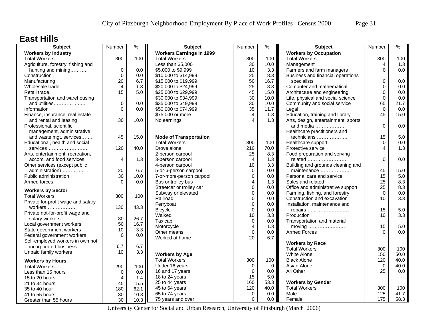### **East Hills**

| Subject                            | Number         | $\frac{9}{6}$ | <b>Subject</b>                  | Number         | $\%$        | <b>Subject</b>                      | Number      | $\%$ |
|------------------------------------|----------------|---------------|---------------------------------|----------------|-------------|-------------------------------------|-------------|------|
| <b>Workers by Industry</b>         |                |               | <b>Workers Earnings in 1999</b> |                |             | <b>Workers by Occupation</b>        |             |      |
| <b>Total Workers</b>               | 300            | 100           | <b>Total Workers</b>            | 300            | 100         | <b>Total Workers</b>                | 300         | 100  |
| Agriculture, forestry, fishing and |                |               | Less than \$5,000               | 30             | 10.0        | Management                          | 4           | 1.3  |
| hunting and mining                 | $\mathbf 0$    | 0.0           | \$5,000 to \$9,999              | 10             | 3.3         | Farmers and farm managers           | 0           | 0.0  |
| Construction                       | $\mathbf 0$    | 0.0           | \$10,000 to \$14,999            | 25             | 8.3         | Business and financial operations   |             |      |
| Manufacturing                      | 20             | 6.7           | \$15,000 to \$19,999            | 50             | 16.7        | specialists                         | $\mathbf 0$ | 0.0  |
| Wholesale trade                    | $\overline{4}$ | 1.3           | \$20,000 to \$24,999            | 25             | 8.3         | Computer and mathematical           | $\mathbf 0$ | 0.0  |
| Retail trade                       | 15             | 5.0           | \$25,000 to \$29,999            | 45             | 15.0        | Architecture and engineering        | $\Omega$    | 0.0  |
| Transportation and warehousing     |                |               | \$30,000 to \$34,999            | 30             | 10.0        | Life, physical and social science   | $\Omega$    | 0.0  |
| and utilities                      | $\mathbf 0$    | 0.0           | \$35,000 to \$49,999            | 30             | 10.0        | Community and social service        | 65          | 21.7 |
| Information                        | $\Omega$       | 0.0           | \$50,000 to \$74,999            | 35             | 11.7        | Legal                               | $\Omega$    | 0.0  |
| Finance, insurance, real estate    |                |               | \$75,000 or more                | 4              | 1.3         | Education, training and library     | 45          | 15.0 |
| and rental and leasing             | 30             | 10.0          | No earnings                     | $\Delta$       | 1.3         | Arts, design, entertainment, sports |             |      |
| Professional, scientific,          |                |               |                                 |                |             | and media                           | $\Omega$    | 0.0  |
| management, administrative,        |                |               |                                 |                |             | Healthcare practitioners and        |             |      |
| and waste mgt. services            | 45             | 15.0          | <b>Mode of Transportation</b>   |                |             | technicians                         | 15          | 5.0  |
| Educational, health and social     |                |               | <b>Total Workers</b>            | 300            | 100         | Healthcare support                  | $\Omega$    | 0.0  |
| services                           | 120            | 40.0          | Drove alone                     | 210            | 70.0        | Protective service                  | 4           | 1.3  |
| Arts, entertainment, recreation,   |                |               | 2-person carpool                | 25             | 8.3         | Food preparation and serving        |             |      |
| accom. and food services           | 4              | 1.3           | 3-person carpool                | $\overline{4}$ | 1.3         | related                             | $\Omega$    | 0.0  |
| Other services (except public      |                |               | 4-person carpool                | 10             | 3.3         | Building and grounds cleaning and   |             |      |
| administration)                    | 20             | 6.7           | 5-or-6-person carpool           | $\mathbf 0$    | 0.0         | maintenance                         | 45          | 15.0 |
| Public administration              | 30             | 10.0          | 7-or-more-person carpool        | $\mathbf 0$    | 0.0         | Personal care and service           | 15          | 5.0  |
| Armed forces                       | $\Omega$       | 0.0           | Bus or trolley bus              | $\overline{4}$ | 1.3         | Sales and related                   | 25          | 8.3  |
|                                    |                |               | Streetcar or trolley car        | $\mathbf 0$    | 0.0         | Office and administrative support   | 25          | 8.3  |
| <b>Workers by Sector</b>           |                |               | Subway or elevated              | 0              | 0.0         | Farming, fishing, and forestry      | $\Omega$    | 0.0  |
| <b>Total Workers</b>               | 300            | 100           | Railroad                        | $\Omega$       | 0.0         | Construction and excavation         | 10          | 3.3  |
| Private for-profit wage and salary |                |               | Ferryboat                       | $\mathbf 0$    | 0.0         | Installation, maintenance and       |             |      |
|                                    | 130            | 43.3          | <b>Bicycle</b>                  | $\mathbf 0$    | 0.0         |                                     | 15          | 5.0  |
| Private not-for-profit wage and    |                |               | Walked                          | 10             | 3.3         | repairs<br>Production               | 10          | 3.3  |
| salary workers                     | 80             | 26.7          | Taxicab                         | $\mathbf 0$    | 0.0         | Transportation and material         |             |      |
| Local government workers           | 50             | 16.7          | Motorcycle                      | $\overline{4}$ | 1.3         | moving                              | 15          | 5.0  |
| State government workers           | 10             | 3.3           | Other means                     | $\pmb{0}$      | 0.0         | <b>Armed Forces</b>                 | $\Omega$    | 0.0  |
| Federal government workers         | $\Omega$       | 0.0           | Worked at home                  | 20             | 6.7         |                                     |             |      |
| Self-employed workers in own not   |                |               |                                 |                |             |                                     |             |      |
| incorporated business              | 6.7            | 6.7           |                                 |                |             | <b>Workers by Race</b>              |             |      |
| Unpaid family workers              | 10             | 3.3           |                                 |                |             | <b>Total Workers</b>                | 300         | 100  |
|                                    |                |               | <b>Workers by Age</b>           |                |             | White Alone                         | 150         | 50.0 |
| <b>Workers by Hours</b>            |                |               | <b>Total Workers</b>            | 300            | 100         | <b>Black Alone</b>                  | 120         | 40.0 |
| <b>Total Workers</b>               | 290            | 100           | Under 16 years                  | $\mathbf 0$    | $\mathbf 0$ | Asian Alone                         | $\Omega$    | 40.0 |
| Less than 15 hours                 | $\Omega$       | 0.0           | 16 and 17 years                 | $\mathbf 0$    | 0.0         | All Other                           | 25          | 0.0  |
| 15 to 20 hours                     | 4              | 1.4           | 18 to 24 years                  | 15             | 5.0         |                                     |             |      |
| 21 to 34 hours                     | 45             | 15.5          | 25 to 44 years                  | 160            | 53.3        | <b>Workers by Gender</b>            |             |      |
| 35 to 40 hour                      | 180            | 62.1          | 45 to 64 years                  | 120            | 40.0        | <b>Total Workers</b>                | 300         | 100  |
| 41 to 55 hours                     | 30             | 10.3          | 65 to 74 years                  | $\mathbf 0$    | 0.0         | Male                                | 125         | 41.7 |
| Greater than 55 hours              | 30             | 10.3          | 75 years and over               | $\Omega$       | 0.0         | Female                              | 175         | 58.3 |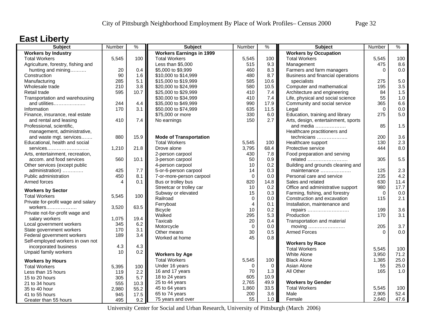## **East Liberty**

| <b>Subject</b>                     | Number | $\frac{9}{6}$ | <b>Subject</b>                  | Number         | $\%$    | <b>Subject</b>                                                | Number   | $\%$    |
|------------------------------------|--------|---------------|---------------------------------|----------------|---------|---------------------------------------------------------------|----------|---------|
| <b>Workers by Industry</b>         |        |               | <b>Workers Earnings in 1999</b> |                |         | <b>Workers by Occupation</b>                                  |          |         |
| <b>Total Workers</b>               | 5,545  | 100           | <b>Total Workers</b>            | 5,545          | 100     | <b>Total Workers</b>                                          | 5,545    | 100     |
| Agriculture, forestry, fishing and |        |               | Less than \$5,000               | 515            | 9.3     | Management                                                    | 475      | 8.6     |
| hunting and mining                 | 20     | 0.4           | \$5,000 to \$9,999              | 460            | 8.3     | Farmers and farm managers                                     | $\Omega$ | 0.0     |
| Construction                       | 90     | 1.6           | \$10,000 to \$14,999            | 480            | 8.7     | Business and financial operations                             |          |         |
| Manufacturing                      | 285    | 5.1           | \$15,000 to \$19,999            | 585            | 10.6    | specialists                                                   | 275      | $5.0\,$ |
| Wholesale trade                    | 210    | 3.8           | \$20,000 to \$24,999            | 580            | 10.5    | Computer and mathematical                                     | 195      | 3.5     |
| Retail trade                       | 595    | 10.7          | \$25,000 to \$29,999            | 410            | 7.4     | Architecture and engineering                                  | 84       | 1.5     |
| Transportation and warehousing     |        |               | \$30,000 to \$34,999            | 410            | 7.4     | Life, physical and social science                             | 55       | 1.0     |
| and utilities                      | 244    | 4.4           | \$35,000 to \$49,999            | 990            | 17.9    | Community and social service                                  | 365      | 6.6     |
| Information                        | 170    | 3.1           | \$50,000 to \$74,999            | 635            | 11.5    | Legal                                                         | $\Omega$ | 0.0     |
| Finance, insurance, real estate    |        |               | \$75,000 or more                | 330            | 6.0     | Education, training and library                               | 275      | 5.0     |
| and rental and leasing             | 410    | 7.4           | No earnings                     | 150            | 2.7     | Arts, design, entertainment, sports                           |          |         |
| Professional, scientific,          |        |               |                                 |                |         | and media                                                     | 85       | 1.5     |
| management, administrative,        |        |               |                                 |                |         | Healthcare practitioners and                                  |          |         |
| and waste mgt. services            | 880    | 15.9          | <b>Mode of Transportation</b>   |                |         | technicians                                                   | 200      | 3.6     |
| Educational, health and social     |        |               | <b>Total Workers</b>            | 5,545          | 100     | Healthcare support                                            | 130      | 2.3     |
| services                           | 1,210  | 21.8          | Drove alone                     | 3,795          | 68.4    | Protective service                                            | 444      | 8.0     |
| Arts, entertainment, recreation,   |        |               | 2-person carpool                | 430            | 7.8     | Food preparation and serving                                  |          |         |
| accom. and food services           | 560    | 10.1          | 3-person carpool                | 50             | 0.9     | related                                                       | 305      | 5.5     |
| Other services (except public      |        |               | 4-person carpool                | 10             | 0.2     | Building and grounds cleaning and                             |          |         |
| administration)                    | 425    | 7.7           | 5-or-6-person carpool           | 14             | 0.3     | maintenance                                                   | 125      | 2.3     |
| Public administration              | 450    | 8.1           | 7-or-more-person carpool        | $\Omega$       | $0.0\,$ | Personal care and service                                     | 235      | 4.2     |
| Armed forces                       | 4      | 0.1           | Bus or trolley bus              | 820            | 14.8    | Sales and related                                             | 630      | 11.4    |
|                                    |        |               | Streetcar or trolley car        | 10             | 0.2     | Office and administrative support                             | 980      | 17.7    |
| <b>Workers by Sector</b>           |        |               | Subway or elevated              | 15             | 0.3     |                                                               | $\Omega$ | 0.0     |
| <b>Total Workers</b>               | 5,545  | 100           | Railroad                        | $\mathbf 0$    | 0.0     | Farming, fishing, and forestry<br>Construction and excavation | 115      | 2.1     |
| Private for-profit wage and salary |        |               | Ferryboat                       | $\overline{4}$ | 0.1     | Installation, maintenance and                                 |          |         |
| $workers$                          | 3,520  | 63.5          |                                 |                |         |                                                               | 199      | 3.6     |
| Private not-for-profit wage and    |        |               | <b>Bicycle</b>                  | 10             | 0.2     | repairs                                                       |          |         |
| salary workers                     | 1,075  | 19.4          | Walked                          | 295            | 5.3     | Production                                                    | 170      | 3.1     |
| Local government workers           | 345    | 6.2           | Taxicab                         | 20             | 0.4     | Transportation and material                                   |          |         |
| State government workers           | 170    | 3.1           | Motorcycle                      | $\mathbf 0$    | 0.0     | moving $\dots\dots\dots\dots\dots\dots\dots$                  | 205      | 3.7     |
| Federal government workers         | 189    | 3.4           | Other means                     | 30             | 0.5     | <b>Armed Forces</b>                                           | $\Omega$ | 0.0     |
| Self-employed workers in own not   |        |               | Worked at home                  | 45             | 0.8     |                                                               |          |         |
| incorporated business              | 4.3    | 4.3           |                                 |                |         | <b>Workers by Race</b>                                        |          |         |
| Unpaid family workers              | 10     | 0.2           |                                 |                |         | <b>Total Workers</b>                                          | 5,545    | 100     |
|                                    |        |               | <b>Workers by Age</b>           |                |         | White Alone                                                   | 3,950    | 71.2    |
| <b>Workers by Hours</b>            |        |               | <b>Total Workers</b>            | 5,545          | 100     | <b>Black Alone</b>                                            | 1,385    | 25.0    |
| <b>Total Workers</b>               | 5,395  | 100           | Under 16 years                  | $\Omega$       | 0       | Asian Alone                                                   | 55       | 25.0    |
| Less than 15 hours                 | 119    | 2.2           | 16 and 17 years                 | 70             | 1.3     | All Other                                                     | 165      | 1.0     |
| 15 to 20 hours                     | 305    | 5.7           | 18 to 24 years                  | 605            | 10.9    |                                                               |          |         |
| 21 to 34 hours                     | 555    | 10.3          | 25 to 44 years                  | 2,765          | 49.9    | <b>Workers by Gender</b>                                      |          |         |
| 35 to 40 hour                      | 2,980  | 55.2          | 45 to 64 years                  | 1,860          | 33.5    | <b>Total Workers</b>                                          | 5,545    | 100     |
| 41 to 55 hours                     | 945    | 17.5          | 65 to 74 years                  | 200            | 3.6     | Male                                                          | 2,905    | 52.4    |
| Greater than 55 hours              | 495    | 9.2           | 75 years and over               | 55             | 1.0     | Female                                                        | 2,640    | 47.6    |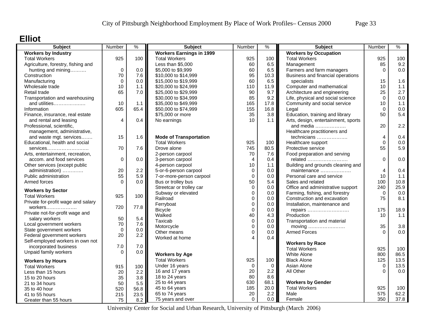#### **Elliot**

| <b>Subject</b>                     | Number         | $\frac{9}{6}$ | <b>Subject</b>                  | Number      | $\frac{1}{2}$ | Subject                             | Number         | $\frac{9}{6}$ |
|------------------------------------|----------------|---------------|---------------------------------|-------------|---------------|-------------------------------------|----------------|---------------|
| <b>Workers by Industry</b>         |                |               | <b>Workers Earnings in 1999</b> |             |               | <b>Workers by Occupation</b>        |                |               |
| <b>Total Workers</b>               | 925            | 100           | <b>Total Workers</b>            | 925         | 100           | <b>Total Workers</b>                | 925            | 100           |
| Agriculture, forestry, fishing and |                |               | Less than \$5,000               | 60          | 6.5           | Management                          | 85             | 9.2           |
| hunting and mining                 | $\mathbf 0$    | 0.0           | \$5,000 to \$9,999              | 60          | 6.5           | Farmers and farm managers           | $\Omega$       | 0.0           |
| Construction                       | 70             | 7.6           | \$10,000 to \$14,999            | 95          | 10.3          | Business and financial operations   |                |               |
| Manufacturing                      | $\mathbf 0$    | 0.0           | \$15,000 to \$19,999            | 60          | 6.5           | specialists                         | 15             | 1.6           |
| Wholesale trade                    | 10             | 1.1           | \$20,000 to \$24,999            | 110         | 11.9          | Computer and mathematical           | 10             | 1.1           |
| Retail trade                       | 65             | 7.0           | \$25,000 to \$29,999            | 90          | 9.7           | Architecture and engineering        | 25             | 2.7           |
| Transportation and warehousing     |                |               | \$30,000 to \$34,999            | 85          | 9.2           | Life, physical and social science   | $\Omega$       | 0.0           |
| and utilities                      | 10             | 1.1           | \$35,000 to \$49,999            | 165         | 17.8          | Community and social service        | 10             | 1.1           |
| Information                        | 605            | 65.4          | \$50,000 to \$74,999            | 155         | 16.8          | Legal                               | $\Omega$       | 0.0           |
| Finance, insurance, real estate    |                |               | \$75,000 or more                | 35          | 3.8           | Education, training and library     | 50             | 5.4           |
| and rental and leasing             | $\overline{4}$ | 0.4           | No earnings                     | 10          | 1.1           | Arts, design, entertainment, sports |                |               |
| Professional, scientific,          |                |               |                                 |             |               | and media $\ldots$                  | 20             | 2.2           |
| management, administrative,        |                |               |                                 |             |               | Healthcare practitioners and        |                |               |
| and waste mgt. services            | 15             | 1.6           | <b>Mode of Transportation</b>   |             |               | technicians                         | 4              | 0.4           |
| Educational, health and social     |                |               | <b>Total Workers</b>            | 925         | 100           | Healthcare support                  | $\Omega$       | 0.0           |
| services                           | 70             | 7.6           | Drove alone                     | 745         | 80.5          | Protective service                  | 55             | 5.9           |
| Arts, entertainment, recreation,   |                |               | 2-person carpool                | 70          | 7.6           | Food preparation and serving        |                |               |
| accom. and food services           | $\mathbf 0$    | 0.0           | 3-person carpool                | 4           | 0.4           | related                             | $\Omega$       | 0.0           |
| Other services (except public      |                |               | 4-person carpool                | 10          | 1.1           | Building and grounds cleaning and   |                |               |
| administration)                    | 20             | 2.2           | 5-or-6-person carpool           | 0           | 0.0           | maintenance                         | $\overline{4}$ | 0.4           |
| Public administration              | 55             | 5.9           | 7-or-more-person carpool        | $\mathbf 0$ | 0.0           | Personal care and service           | 10             | 1.1           |
| Armed forces                       | $\Omega$       | 0.0           | Bus or trolley bus              | 50          | 5.4           | Sales and related                   | 100            | 10.8          |
|                                    |                |               | Streetcar or trolley car        | $\mathbf 0$ | 0.0           | Office and administrative support   | 240            | 25.9          |
| <b>Workers by Sector</b>           |                |               | Subway or elevated              | $\mathbf 0$ | 0.0           | Farming, fishing, and forestry      | $\Omega$       | 0.0           |
| <b>Total Workers</b>               | 925            | 100           | Railroad                        | $\mathbf 0$ | $0.0\,$       | Construction and excavation         | 75             | 8.1           |
| Private for-profit wage and salary |                |               | Ferryboat                       | $\mathbf 0$ | 0.0           | Installation, maintenance and       |                |               |
| workers                            | 720            | 77.8          | <b>Bicycle</b>                  | $\Omega$    | 0.0           |                                     | 175            | 18.9          |
| Private not-for-profit wage and    |                |               | Walked                          | 40          | 4.3           | repairs<br>Production               | 10             | 1.1           |
| salary workers                     | 50             | 5.4           | Taxicab                         | $\mathbf 0$ | 0.0           |                                     |                |               |
| Local government workers           | 70             | 7.6           | Motorcycle                      | $\mathbf 0$ | 0.0           | Transportation and material         | 35             | 3.8           |
| State government workers           | $\mathbf 0$    | 0.0           | Other means                     | $\mathbf 0$ | 0.0           | moving<br><b>Armed Forces</b>       | $\Omega$       | 0.0           |
| Federal government workers         | 20             | 2.2           | Worked at home                  | $\Delta$    | 0.4           |                                     |                |               |
| Self-employed workers in own not   |                |               |                                 |             |               |                                     |                |               |
| incorporated business              | 7.0            | $7.0$         |                                 |             |               | <b>Workers by Race</b>              |                |               |
| Unpaid family workers              | $\Omega$       | 0.0           |                                 |             |               | <b>Total Workers</b>                | 925            | 100           |
|                                    |                |               | <b>Workers by Age</b>           |             |               | <b>White Alone</b>                  | 800            | 86.5          |
| <b>Workers by Hours</b>            |                |               | <b>Total Workers</b>            | 925         | 100           | <b>Black Alone</b>                  | 125            | 13.5          |
| <b>Total Workers</b>               | 915            | 100           | Under 16 years                  | 0           | $\mathbf 0$   | Asian Alone                         | $\Omega$       | 13.5          |
| Less than 15 hours                 | 20             | 2.2           | 16 and 17 years                 | 20          | 2.2           | All Other                           | $\Omega$       | 0.0           |
| 15 to 20 hours                     | 35             | 3.8           | 18 to 24 years                  | 80          | 8.6           |                                     |                |               |
| 21 to 34 hours                     | 50             | 5.5           | 25 to 44 years                  | 630         | 68.1          | <b>Workers by Gender</b>            |                |               |
| 35 to 40 hour                      | 520            | 56.8          | 45 to 64 years                  | 185         | 20.0          | <b>Total Workers</b>                | 925            | 100           |
| 41 to 55 hours                     | 215            | 23.5          | 65 to 74 years                  | 20          | 2.2           | Male                                | 575            | 62.2          |
| Greater than 55 hours              | 75             | 8.2           | 75 years and over               | $\mathbf 0$ | 0.0           | Female                              | 350            | 37.8          |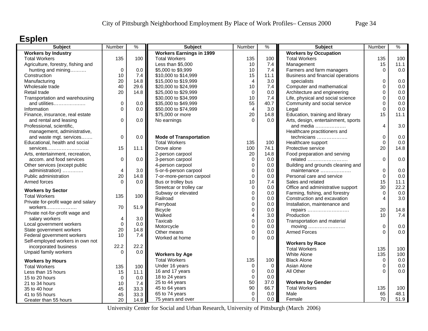## **Esplen**

| <b>Subject</b>                     | Number         | $\%$ | <b>Subject</b>                  | Number           | %                  | <b>Subject</b>                      | Number      | $\%$       |
|------------------------------------|----------------|------|---------------------------------|------------------|--------------------|-------------------------------------|-------------|------------|
| <b>Workers by Industry</b>         |                |      | <b>Workers Earnings in 1999</b> |                  |                    | <b>Workers by Occupation</b>        |             |            |
| <b>Total Workers</b>               | 135            | 100  | <b>Total Workers</b>            | 135              | 100                | <b>Total Workers</b>                | 135         | 100        |
| Agriculture, forestry, fishing and |                |      | Less than \$5,000               | 10               | 7.4                | Management                          | 15          | 11.1       |
| hunting and mining                 | $\mathbf 0$    | 0.0  | \$5,000 to \$9,999              | 10               | 7.4                | Farmers and farm managers           | $\Omega$    | 0.0        |
| Construction                       | 10             | 7.4  | \$10,000 to \$14,999            | 15               | 11.1               | Business and financial operations   |             |            |
| Manufacturing                      | 20             | 14.8 | \$15,000 to \$19,999            | $\overline{4}$   | 3.0                | specialists                         | 0           | 0.0        |
| Wholesale trade                    | 40             | 29.6 | \$20,000 to \$24,999            | 10               | 7.4                | Computer and mathematical           | $\Omega$    | 0.0        |
| Retail trade                       | 20             | 14.8 | \$25,000 to \$29,999            | $\pmb{0}$        | 0.0                | Architecture and engineering        | 0           | 0.0        |
| Transportation and warehousing     |                |      | \$30,000 to \$34,999            | 10               | 7.4                | Life, physical and social science   | 0           | 0.0        |
| and utilities                      | 0              | 0.0  | \$35,000 to \$49,999            | 55               | 40.7               | Community and social service        | $\mathbf 0$ | 0.0        |
| Information                        | $\Omega$       | 0.0  | \$50,000 to \$74,999            | $\overline{4}$   | 3.0                | Legal                               | $\Omega$    | 0.0        |
| Finance, insurance, real estate    |                |      | \$75,000 or more                | 20               | 14.8               | Education, training and library     | 15          | 11.1       |
| and rental and leasing             | 0              | 0.0  | No earnings                     | $\Omega$         | 0.0                | Arts, design, entertainment, sports |             |            |
| Professional, scientific,          |                |      |                                 |                  |                    | and media                           | 4           | 3.0        |
| management, administrative,        |                |      |                                 |                  |                    | Healthcare practitioners and        |             |            |
| and waste mgt. services            | 0              | 0.0  | <b>Mode of Transportation</b>   |                  |                    | technicians                         | $\mathbf 0$ | 0.0        |
| Educational, health and social     |                |      | <b>Total Workers</b>            | 135              | 100                | Healthcare support                  | 0           | 0.0        |
| $s$ ervices                        | 15             | 11.1 | Drove alone                     | 100              | 74.1               | Protective service                  | 20          | 14.8       |
| Arts, entertainment, recreation,   |                |      | 2-person carpool                | 20               | 14.8               | Food preparation and serving        |             |            |
| accom. and food services           | 0              | 0.0  | 3-person carpool                | $\mathbf 0$      | 0.0                | related                             | $\mathbf 0$ | 0.0        |
| Other services (except public      |                |      | 4-person carpool                | $\mathbf 0$      | 0.0                | Building and grounds cleaning and   |             |            |
| administration)                    | $\overline{4}$ | 3.0  | 5-or-6-person carpool           | $\mathbf 0$      | 0.0                | maintenance                         | $\mathbf 0$ | 0.0        |
| Public administration              | 20             | 14.8 | 7-or-more-person carpool        | $\mathbf 0$      | 0.0                | Personal care and service           | $\Omega$    | 0.0        |
| Armed forces                       | $\Omega$       | 0.0  | Bus or trolley bus              | 10               | 7.4                | Sales and related                   | 15          | 11.1       |
|                                    |                |      | Streetcar or trolley car        | $\mathbf 0$      | 0.0                | Office and administrative support   | 30          | 22.2       |
| <b>Workers by Sector</b>           |                |      | Subway or elevated              | $\overline{0}$   | 0.0                | Farming, fishing, and forestry      | $\Omega$    | 0.0        |
| <b>Total Workers</b>               | 135            | 100  | Railroad                        | $\mathbf 0$      | 0.0                | Construction and excavation         | 4           | 3.0        |
| Private for-profit wage and salary |                |      | Ferryboat                       | $\pmb{0}$        | 0.0                | Installation, maintenance and       |             |            |
| $workers$                          | 70             | 51.9 | <b>Bicycle</b>                  | $\mathbf 0$      | 0.0                | repairs                             | 20          | 14.8       |
| Private not-for-profit wage and    |                |      | Walked                          | $\overline{4}$   | 3.0                | Production                          | 10          | 7.4        |
| salary workers                     | 4              | 3.0  | Taxicab                         | $\mathbf 0$      | 0.0                | Transportation and material         |             |            |
| Local government workers           | $\mathbf 0$    | 0.0  | Motorcycle                      | $\mathbf 0$      | 0.0                | moving                              | $\mathbf 0$ | 0.0        |
| State government workers           | 20             | 14.8 | Other means                     | $\mathbf 0$      | 0.0                | <b>Armed Forces</b>                 | $\Omega$    | 0.0        |
| Federal government workers         | 10             | 7.4  | Worked at home                  | $\Omega$         | 0.0                |                                     |             |            |
| Self-employed workers in own not   |                |      |                                 |                  |                    | <b>Workers by Race</b>              |             |            |
| incorporated business              | 22.2           | 22.2 |                                 |                  |                    | <b>Total Workers</b>                | 135         | 100        |
| Unpaid family workers              | $\Omega$       | 0.0  | <b>Workers by Age</b>           |                  |                    | White Alone                         | 135         | 100        |
|                                    |                |      | <b>Total Workers</b>            | 135              | 100                | <b>Black Alone</b>                  | 0           | 0.0        |
| <b>Workers by Hours</b>            |                |      |                                 |                  |                    |                                     | $\Omega$    |            |
| <b>Total Workers</b>               | 135            | 100  | Under 16 years                  | 0<br>$\mathbf 0$ | $\mathbf 0$<br>0.0 | Asian Alone<br>All Other            | ∩           | 0.0<br>0.0 |
| Less than 15 hours                 | 15             | 11.1 | 16 and 17 years                 |                  |                    |                                     |             |            |
| 15 to 20 hours                     | 0              | 0.0  | 18 to 24 years                  | $\pmb{0}$        | 0.0                |                                     |             |            |
| 21 to 34 hours                     | 10             | 7.4  | 25 to 44 years                  | 50               | 37.0               | <b>Workers by Gender</b>            |             |            |
| 35 to 40 hour                      | 45             | 33.3 | 45 to 64 years                  | 90               | 66.7               | <b>Total Workers</b>                | 135         | 100        |
| 41 to 55 hours                     | 45             | 33.3 | 65 to 74 years                  | $\mathbf 0$      | 0.0                | Male                                | 65          | 48.1       |
| Greater than 55 hours              | 20             | 14.8 | 75 years and over               | $\Omega$         | 0.0                | Female                              | 70          | 51.9       |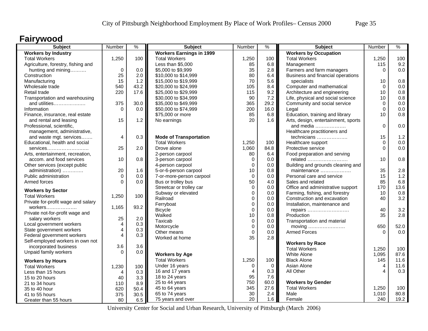### **Fairywood**

| <b>Subject</b>                                               | Number                  | $\frac{9}{6}$ | <b>Subject</b>                  | Number         | $\frac{1}{2}$ | Subject                                 | Number         | $\frac{9}{6}$ |
|--------------------------------------------------------------|-------------------------|---------------|---------------------------------|----------------|---------------|-----------------------------------------|----------------|---------------|
| <b>Workers by Industry</b>                                   |                         |               | <b>Workers Earnings in 1999</b> |                |               | <b>Workers by Occupation</b>            |                |               |
| <b>Total Workers</b>                                         | 1,250                   | 100           | <b>Total Workers</b>            | 1,250          | 100           | <b>Total Workers</b>                    | 1,250          | 100           |
| Agriculture, forestry, fishing and                           |                         |               | Less than \$5,000               | 85             | 6.8           | Management                              | 115            | 9.2           |
| hunting and mining                                           | $\mathbf 0$             | 0.0           | \$5,000 to \$9,999              | 35             | 2.8           | Farmers and farm managers               | $\Omega$       | 0.0           |
| Construction                                                 | 25                      | 2.0           | \$10,000 to \$14,999            | 80             | 6.4           | Business and financial operations       |                |               |
| Manufacturing                                                | 15                      | 1.2           | \$15,000 to \$19,999            | 70             | 5.6           | specialists                             | 10             | 0.8           |
| Wholesale trade                                              | 540                     | 43.2          | \$20,000 to \$24,999            | 105            | 8.4           | Computer and mathematical               | $\Omega$       | 0.0           |
| Retail trade                                                 | 220                     | 17.6          | \$25,000 to \$29,999            | 115            | 9.2           | Architecture and engineering            | 10             | $0.8\,$       |
| Transportation and warehousing                               |                         |               | \$30,000 to \$34,999            | 90             | 7.2           | Life, physical and social science       | 10             | 0.8           |
| and utilities                                                | 375                     | 30.0          | \$35,000 to \$49,999            | 365            | 29.2          | Community and social service            | $\mathbf 0$    | 0.0           |
| Information                                                  | $\Omega$                | 0.0           | \$50,000 to \$74,999            | 200            | 16.0          | Legal                                   | $\mathbf 0$    | 0.0           |
| Finance, insurance, real estate                              |                         |               | \$75,000 or more                | 85             | 6.8           | Education, training and library         | 10             | 0.8           |
| and rental and leasing                                       | 15                      | 1.2           | No earnings                     | 20             | 1.6           | Arts, design, entertainment, sports     |                |               |
| Professional, scientific,                                    |                         |               |                                 |                |               | and media $\ldots$                      | $\Omega$       | 0.0           |
| management, administrative,                                  |                         |               |                                 |                |               | Healthcare practitioners and            |                |               |
| and waste mgt. services                                      | 4                       | 0.3           | <b>Mode of Transportation</b>   |                |               | technicians                             | 15             | 1.2           |
| Educational, health and social                               |                         |               | <b>Total Workers</b>            | 1,250          | 100           | Healthcare support                      | $\Omega$       | 0.0           |
| services                                                     | 25                      | 2.0           | Drove alone                     | 1,060          | 84.8          | Protective service                      | $\Omega$       | 0.0           |
|                                                              |                         |               | 2-person carpool                | 80             | 6.4           |                                         |                |               |
| Arts, entertainment, recreation,<br>accom. and food services | 10                      | 0.8           |                                 | 0              | 0.0           | Food preparation and serving<br>related | 10             | 0.8           |
|                                                              |                         |               | 3-person carpool                |                | 0.0           |                                         |                |               |
| Other services (except public                                |                         |               | 4-person carpool                | $\mathbf 0$    |               | Building and grounds cleaning and       |                |               |
| administration)                                              | 20                      | 1.6           | 5-or-6-person carpool           | 10             | 0.8           | maintenance                             | 35             | 2.8           |
| Public administration                                        | $\Omega$                | 0.0           | 7-or-more-person carpool        | $\Omega$       | 0.0           | Personal care and service               | 15             | $1.2$         |
| Armed forces                                                 | $\Omega$                | 0.0           | Bus or trolley bus              | 50             | 4.0           | Sales and related                       | 85             | 6.8           |
| <b>Workers by Sector</b>                                     |                         |               | Streetcar or trolley car        | $\Omega$       | 0.0           | Office and administrative support       | 170            | 13.6          |
| <b>Total Workers</b>                                         | 1,250                   | 100           | Subway or elevated              | $\mathbf 0$    | 0.0           | Farming, fishing, and forestry          | 10             | 0.8           |
| Private for-profit wage and salary                           |                         |               | Railroad                        | $\mathbf 0$    | 0.0           | Construction and excavation             | 40             | 3.2           |
| workers                                                      | 1,165                   | 93.2          | Ferryboat                       | $\mathbf 0$    | 0.0           | Installation, maintenance and           |                |               |
| Private not-for-profit wage and                              |                         |               | <b>Bicycle</b>                  | $\Omega$       | 0.0           | repairs                                 | 40             | 3.2           |
| salary workers                                               | 25                      | 2.0           | Walked                          | 10             | 0.8           | Production                              | 35             | 2.8           |
| Local government workers                                     | $\overline{4}$          | 0.3           | Taxicab                         | $\mathbf 0$    | 0.0           | Transportation and material             |                |               |
| State government workers                                     | $\overline{\mathbf{4}}$ | 0.3           | Motorcycle                      | $\mathbf 0$    | 0.0           | moving                                  | 650            | 52.0          |
| Federal government workers                                   | $\overline{4}$          | 0.3           | Other means                     | $\mathbf 0$    | 0.0           | <b>Armed Forces</b>                     | $\Omega$       | 0.0           |
| Self-employed workers in own not                             |                         |               | Worked at home                  | 35             | 2.8           |                                         |                |               |
| incorporated business                                        | 3.6                     | 3.6           |                                 |                |               | <b>Workers by Race</b>                  |                |               |
|                                                              | $\Omega$                |               |                                 |                |               | <b>Total Workers</b>                    | 1.250          | 100           |
| Unpaid family workers                                        |                         | 0.0           | <b>Workers by Age</b>           |                |               | <b>White Alone</b>                      | 1,095          | 87.6          |
| <b>Workers by Hours</b>                                      |                         |               | <b>Total Workers</b>            | 1,250          | 100           | <b>Black Alone</b>                      | 145            | 11.6          |
| <b>Total Workers</b>                                         | 1,230                   | 100           | Under 16 years                  | $\mathbf 0$    | $\mathbf 0$   | Asian Alone                             | $\overline{4}$ | 11.6          |
| Less than 15 hours                                           | 4                       | 0.3           | 16 and 17 years                 | $\overline{4}$ | 0.3           | All Other                               | 4              | 0.3           |
| 15 to 20 hours                                               | 40                      | 3.3           | 18 to 24 years                  | 95             | 7.6           |                                         |                |               |
| 21 to 34 hours                                               | 110                     | 8.9           | 25 to 44 years                  | 750            | 60.0          | <b>Workers by Gender</b>                |                |               |
| 35 to 40 hour                                                | 620                     | 50.4          | 45 to 64 years                  | 345            | 27.6          | <b>Total Workers</b>                    | 1,250          | 100           |
| 41 to 55 hours                                               | 375                     | 30.5          | 65 to 74 years                  | 30             | 2.4           | Male                                    | 1,010          | 80.8          |
| Greater than 55 hours                                        | 80                      | 6.5           | 75 years and over               | 20             | 1.6           | Female                                  | 240            | 19.2          |
|                                                              |                         |               |                                 |                |               |                                         |                |               |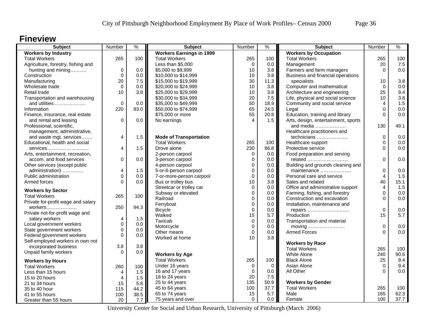### **Fineview**

| <b>Subject</b>                     | Number      | $\frac{9}{6}$ | <b>Subject</b>                  | Number         | %           | <b>Subject</b>                      | Number      | $\%$ |
|------------------------------------|-------------|---------------|---------------------------------|----------------|-------------|-------------------------------------|-------------|------|
| <b>Workers by Industry</b>         |             |               | <b>Workers Earnings in 1999</b> |                |             | <b>Workers by Occupation</b>        |             |      |
| <b>Total Workers</b>               | 265         | 100           | <b>Total Workers</b>            | 265            | 100         | <b>Total Workers</b>                | 265         | 100  |
| Agriculture, forestry, fishing and |             |               | Less than \$5,000               | $\mathbf 0$    | 0.0         | Management                          | 20          | 7.5  |
| hunting and mining                 | $\mathbf 0$ | 0.0           | \$5,000 to \$9,999              | 10             | 3.8         | Farmers and farm managers           | $\Omega$    | 0.0  |
| Construction                       | $\mathbf 0$ | $0.0\,$       | \$10,000 to \$14,999            | 10             | 3.8         | Business and financial operations   |             |      |
| Manufacturing                      | 20          | 7.5           | \$15,000 to \$19,999            | 30             | 11.3        | specialists                         | 10          | 3.8  |
| Wholesale trade                    | $\Omega$    | 0.0           | \$20,000 to \$24,999            | 10             | 3.8         | Computer and mathematical           | $\Omega$    | 0.0  |
| Retail trade                       | 10          | 3.8           | \$25,000 to \$29,999            | 10             | 3.8         | Architecture and engineering        | 25          | 9.4  |
| Transportation and warehousing     |             |               | \$30,000 to \$34,999            | 20             | 7.5         | Life, physical and social science   | 10          | 3.8  |
| and utilities                      | $\mathbf 0$ | 0.0           | \$35,000 to \$49,999            | 50             | 18.9        | Community and social service        | 4           | 1.5  |
| Information                        | 220         | 83.0          | \$50,000 to \$74,999            | 65             | 24.5        | Legal                               | $\Omega$    | 0.0  |
| Finance, insurance, real estate    |             |               | \$75,000 or more                | 55             | 20.8        | Education, training and library     | $\Omega$    | 0.0  |
| and rental and leasing             | 0           | 0.0           | No earnings                     | $\overline{4}$ | 1.5         | Arts, design, entertainment, sports |             |      |
| Professional, scientific,          |             |               |                                 |                |             | and media                           | 130         | 49.1 |
| management, administrative,        |             |               |                                 |                |             | Healthcare practitioners and        |             |      |
| and waste mgt. services            | 4           | 1.5           | <b>Mode of Transportation</b>   |                |             | technicians                         | $\Omega$    | 0.0  |
| Educational, health and social     |             |               | <b>Total Workers</b>            | 265            | 100         | Healthcare support                  | 0           | 0.0  |
| services                           | 4           | 1.5           | Drove alone                     | 230            | 86.8        | Protective service                  | $\Omega$    | 0.0  |
| Arts, entertainment, recreation,   |             |               | 2-person carpool                | $\mathbf 0$    | 0.0         | Food preparation and serving        |             |      |
| accom. and food services           | 0           | 0.0           | 3-person carpool                | $\mathbf 0$    | 0.0         | related                             | $\Omega$    | 0.0  |
| Other services (except public      |             |               | 4-person carpool                | $\mathbf 0$    | 0.0         | Building and grounds cleaning and   |             |      |
| administration)                    | 4           | 1.5           | 5-or-6-person carpool           | $\mathbf 0$    | 0.0         | maintenance                         | $\mathbf 0$ | 0.0  |
| Public administration              | $\mathbf 0$ | 0.0           | 7-or-more-person carpool        | $\mathbf 0$    | 0.0         | Personal care and service           | 4           | 1.5  |
| Armed forces                       | $\Omega$    | 0.0           | Bus or trolley bus              | 10             | 3.8         | Sales and related                   | 40          | 15.1 |
|                                    |             |               | Streetcar or trolley car        | $\mathbf 0$    | 0.0         | Office and administrative support   | 4           | 1.5  |
| <b>Workers by Sector</b>           |             |               | Subway or elevated              | $\mathbf 0$    | 0.0         | Farming, fishing, and forestry      | $\mathbf 0$ | 0.0  |
| <b>Total Workers</b>               | 265         | 100           | Railroad                        | $\mathbf 0$    | 0.0         | Construction and excavation         | 0           | 0.0  |
| Private for-profit wage and salary |             |               | Ferryboat                       | 0              | 0.0         | Installation, maintenance and       |             |      |
| workers                            | 250         | 94.3          | <b>Bicycle</b>                  | $\Omega$       | 0.0         | repairs                             | $\Omega$    | 0.0  |
| Private not-for-profit wage and    |             |               | Walked                          | 15             | 5.7         | Production                          | 15          | 5.7  |
| salary workers                     | 4           | 1.5           | Taxicab                         | $\mathbf 0$    | 0.0         | Transportation and material         |             |      |
| Local government workers           | $\Omega$    | 0.0           | Motorcycle                      | $\mathbf 0$    | 0.0         |                                     | $\mathbf 0$ | 0.0  |
| State government workers           | $\Omega$    | 0.0           | Other means                     | $\mathbf 0$    | 0.0         | <b>Armed Forces</b>                 | $\Omega$    | 0.0  |
| Federal government workers         | $\Omega$    | 0.0           | Worked at home                  | 10             | 3.8         |                                     |             |      |
| Self-employed workers in own not   |             |               |                                 |                |             | <b>Workers by Race</b>              |             |      |
| incorporated business              | 3.8         | 3.8           |                                 |                |             | <b>Total Workers</b>                | 265         | 100  |
| Unpaid family workers              | $\Omega$    | 0.0           | <b>Workers by Age</b>           |                |             | White Alone                         | 240         | 90.6 |
| <b>Workers by Hours</b>            |             |               | <b>Total Workers</b>            | 265            | 100         | <b>Black Alone</b>                  | 25          | 9.4  |
| <b>Total Workers</b>               | 260         | 100           | Under 16 years                  | $\mathbf 0$    | $\mathbf 0$ | Asian Alone                         | $\mathbf 0$ | 9.4  |
| Less than 15 hours                 | 4           | 1.5           | 16 and 17 years                 | $\mathbf 0$    | 0.0         | All Other                           | $\Omega$    | 0.0  |
| 15 to 20 hours                     | 4           | 1.5           | 18 to 24 years                  | 20             | 7.5         |                                     |             |      |
|                                    | 15          | 5.8           | 25 to 44 years                  | 135            | 50.9        | <b>Workers by Gender</b>            |             |      |
| 21 to 34 hours<br>35 to 40 hour    | 115         | 44.2          | 45 to 64 years                  | 100            | 37.7        | <b>Total Workers</b>                | 265         | 100  |
|                                    |             |               | 65 to 74 years                  | 15             | 5.7         | Male                                | 165         | 62.3 |
| 41 to 55 hours                     | 100         | 38.5          | 75 years and over               | $\Omega$       | 0.0         | Female                              | 100         | 37.7 |
| Greater than 55 hours              | 20          | 7.7           |                                 |                |             |                                     |             |      |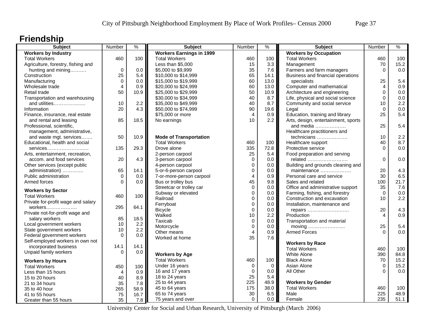# **Friendship**

| <b>Subject</b>                     | Number         | $\%$ | <b>Subject</b>                  | Number         | ℅           | <b>Subject</b>                      | Number         | $\%$        |
|------------------------------------|----------------|------|---------------------------------|----------------|-------------|-------------------------------------|----------------|-------------|
| <b>Workers by Industry</b>         |                |      | <b>Workers Earnings in 1999</b> |                |             | <b>Workers by Occupation</b>        |                |             |
| <b>Total Workers</b>               | 460            | 100  | <b>Total Workers</b>            | 460            | 100         | <b>Total Workers</b>                | 460            | 100         |
| Agriculture, forestry, fishing and |                |      | Less than \$5,000               | 15             | 3.3         | Management                          | 70             | 15.2        |
| hunting and mining                 | 0              | 0.0  | \$5,000 to \$9,999              | 35             | 7.6         | Farmers and farm managers           | $\Omega$       | 0.0         |
| Construction                       | 25             | 5.4  | \$10,000 to \$14,999            | 65             | 14.1        | Business and financial operations   |                |             |
| Manufacturing                      | $\Omega$       | 0.0  | \$15,000 to \$19,999            | 60             | 13.0        | specialists                         | 25             | 5.4         |
| Wholesale trade                    | $\overline{4}$ | 0.9  | \$20,000 to \$24,999            | 60             | 13.0        | Computer and mathematical           | 4              | 0.9         |
| Retail trade                       | 50             | 10.9 | \$25,000 to \$29,999            | 50             | 10.9        | Architecture and engineering        | 0              | 0.0         |
| Transportation and warehousing     |                |      | \$30,000 to \$34,999            | 40             | 8.7         | Life, physical and social science   | $\mathbf 0$    | 0.0         |
| and utilities                      | 10             | 2.2  | \$35,000 to \$49,999            | 40             | 8.7         | Community and social service        | 10             | 2.2         |
| Information                        | 20             | 4.3  | \$50,000 to \$74,999            | 90             | 19.6        | Legal                               | $\Omega$       | 0.0         |
| Finance, insurance, real estate    |                |      | \$75,000 or more                | $\overline{4}$ | 0.9         | Education, training and library     | 25             | 5.4         |
| and rental and leasing             | 85             | 18.5 | No earnings                     | 10             | 2.2         | Arts, design, entertainment, sports |                |             |
| Professional, scientific,          |                |      |                                 |                |             | and media                           | 25             | 5.4         |
| management, administrative,        |                |      |                                 |                |             | Healthcare practitioners and        |                |             |
| and waste mgt. services            | 50             | 10.9 | <b>Mode of Transportation</b>   |                |             | technicians                         | 10             | 2.2         |
| Educational, health and social     |                |      | <b>Total Workers</b>            | 460            | 100         | Healthcare support                  | 40             | 8.7         |
| $s$ ervices                        | 135            | 29.3 | Drove alone                     | 335            | 72.8        | Protective service                  | $\Omega$       | 0.0         |
| Arts, entertainment, recreation,   |                |      | 2-person carpool                | 25             | 5.4         | Food preparation and serving        |                |             |
| accom. and food services           | 20             | 4.3  | 3-person carpool                | $\mathbf 0$    | 0.0         | related                             | $\Omega$       | 0.0         |
| Other services (except public      |                |      | 4-person carpool                | $\mathbf 0$    | 0.0         | Building and grounds cleaning and   |                |             |
| administration)                    | 65             | 14.1 | 5-or-6-person carpool           | $\mathbf 0$    | 0.0         | maintenance                         | 20             | 4.3         |
| Public administration              | $\Omega$       | 0.0  | 7-or-more-person carpool        | $\overline{4}$ | 0.9         | Personal care and service           | 30             | 6.5         |
| Armed forces                       | $\Omega$       | 0.0  | Bus or trolley bus              | 45             | 9.8         | Sales and related                   | 100            | 21.7        |
|                                    |                |      | Streetcar or trolley car        | $\mathbf 0$    | 0.0         | Office and administrative support   | 35             | 7.6         |
| <b>Workers by Sector</b>           |                |      | Subway or elevated              | $\mathbf 0$    | 0.0         | Farming, fishing, and forestry      | $\Omega$       | 0.0         |
| <b>Total Workers</b>               | 460            | 100  | Railroad                        | $\Omega$       | 0.0         | Construction and excavation         | 10             | 2.2         |
| Private for-profit wage and salary |                |      | Ferryboat                       | 0              | 0.0         | Installation, maintenance and       |                |             |
| workers                            | 295            | 64.1 | <b>Bicycle</b>                  | $\mathbf 0$    | 0.0         | repairs                             | 20             | 4.3         |
| Private not-for-profit wage and    |                |      | Walked                          | 10             | 2.2         | Production                          | $\overline{4}$ | 0.9         |
| salary workers                     | 85             | 18.5 | Taxicab                         | $\pmb{0}$      | 0.0         | Transportation and material         |                |             |
| Local government workers           | 10             | 2.2  | Motorcycle                      | $\Omega$       | 0.0         | moving                              | 25             | 5.4         |
| State government workers           | 10             | 2.2  | Other means                     | $\overline{4}$ | 0.9         | <b>Armed Forces</b>                 | $\Omega$       | 0.0         |
| Federal government workers         | $\Omega$       | 0.0  | Worked at home                  | 35             | 7.6         |                                     |                |             |
| Self-employed workers in own not   |                |      |                                 |                |             | <b>Workers by Race</b>              |                |             |
| incorporated business              | 14.1           | 14.1 |                                 |                |             | <b>Total Workers</b>                | 460            | 100         |
| Unpaid family workers              | $\Omega$       | 0.0  | <b>Workers by Age</b>           |                |             | White Alone                         | 390            | 84.8        |
|                                    |                |      | <b>Total Workers</b>            | 460            | 100         | <b>Black Alone</b>                  |                | 15.2        |
| <b>Workers by Hours</b>            |                |      |                                 |                |             |                                     | 70             |             |
| <b>Total Workers</b>               | 450            | 100  | Under 16 years                  | $\mathbf 0$    | $\mathbf 0$ | Asian Alone                         | $\Omega$<br>∩  | 15.2<br>0.0 |
| Less than 15 hours                 | $\overline{4}$ | 0.9  | 16 and 17 years                 | $\mathbf 0$    | 0.0         | All Other                           |                |             |
| 15 to 20 hours                     | 40             | 8.9  | 18 to 24 years                  | 25             | 5.4         |                                     |                |             |
| 21 to 34 hours                     | 35             | 7.8  | 25 to 44 years                  | 225            | 48.9        | <b>Workers by Gender</b>            |                |             |
| 35 to 40 hour                      | 265            | 58.9 | 45 to 64 years                  | 175            | 38.0        | <b>Total Workers</b>                | 460            | 100         |
| 41 to 55 hours                     | 75             | 16.7 | 65 to 74 years                  | 30             | 6.5         | Male                                | 225            | 48.9        |
| Greater than 55 hours              | 35             | 7.8  | 75 years and over               | $\Omega$       | 0.0         | Female                              | 235            | 51.1        |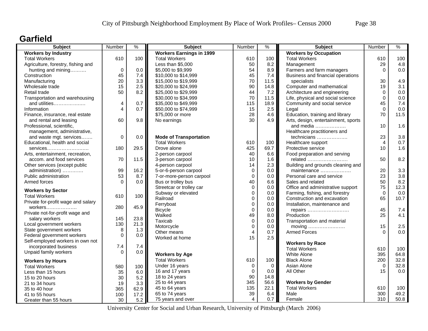### **Garfield**

| <b>Subject</b>                     | Number         | $\%$ | <b>Subject</b>                  | Number         | $\%$        | <b>Subject</b>                                    | Number         | %    |
|------------------------------------|----------------|------|---------------------------------|----------------|-------------|---------------------------------------------------|----------------|------|
| <b>Workers by Industry</b>         |                |      | <b>Workers Earnings in 1999</b> |                |             | <b>Workers by Occupation</b>                      |                |      |
| <b>Total Workers</b>               | 610            | 100  | <b>Total Workers</b>            | 610            | 100         | <b>Total Workers</b>                              | 610            | 100  |
| Agriculture, forestry, fishing and |                |      | Less than \$5,000               | 50             | 8.2         | Management                                        | 29             | 4.8  |
| hunting and mining                 | $\mathbf 0$    | 0.0  | \$5,000 to \$9,999              | 54             | 8.9         | Farmers and farm managers                         | $\Omega$       | 0.0  |
| Construction                       | 45             | 7.4  | \$10,000 to \$14,999            | 45             | 7.4         | Business and financial operations                 |                |      |
| Manufacturing                      | 20             | 3.3  | \$15,000 to \$19,999            | 70             | 11.5        | specialists                                       | 30             | 4.9  |
| Wholesale trade                    | 15             | 2.5  | \$20,000 to \$24,999            | 90             | 14.8        | Computer and mathematical                         | 19             | 3.1  |
| Retail trade                       | 50             | 8.2  | \$25,000 to \$29,999            | 44             | 7.2         | Architecture and engineering                      | $\mathbf 0$    | 0.0  |
| Transportation and warehousing     |                |      | \$30,000 to \$34,999            | 70             | 11.5        | Life, physical and social science                 | $\Omega$       | 0.0  |
| and utilities                      | 4              | 0.7  | \$35,000 to \$49,999            | 115            | 18.9        | Community and social service                      | 45             | 7.4  |
| Information                        | $\overline{4}$ | 0.7  | \$50,000 to \$74,999            | 15             | 2.5         | Legal                                             | $\Omega$       | 0.0  |
| Finance, insurance, real estate    |                |      | \$75,000 or more                | 28             | 4.6         | Education, training and library                   | 70             | 11.5 |
| and rental and leasing             | 60             | 9.8  | No earnings                     | 30             | 4.9         | Arts, design, entertainment, sports               |                |      |
| Professional, scientific,          |                |      |                                 |                |             | and media                                         | 10             | 1.6  |
| management, administrative,        |                |      |                                 |                |             | Healthcare practitioners and                      |                |      |
| and waste mgt. services            | $\Omega$       | 0.0  | <b>Mode of Transportation</b>   |                |             | technicians                                       | 23             | 3.8  |
| Educational, health and social     |                |      | <b>Total Workers</b>            | 610            | 100         | Healthcare support                                | $\overline{4}$ | 0.7  |
| services                           | 180            | 29.5 | Drove alone                     | 425            | 69.7        | Protective service                                | 10             | 1.6  |
| Arts, entertainment, recreation,   |                |      | 2-person carpool                | 40             | 6.6         | Food preparation and serving                      |                |      |
| accom. and food services           | 70             | 11.5 | 3-person carpool                | 10             | 1.6         | related                                           | 50             | 8.2  |
| Other services (except public      |                |      | 4-person carpool                | 14             | 2.3         | Building and grounds cleaning and                 |                |      |
| administration)                    | 99             | 16.2 | 5-or-6-person carpool           | $\mathbf 0$    | 0.0         | maintenance                                       | 20             | 3.3  |
| Public administration              | 53             | 8.7  | 7-or-more-person carpool        | $\overline{0}$ | 0.0         | Personal care and service                         | 23             | 3.8  |
| Armed forces                       | $\Omega$       | 0.0  | Bus or trolley bus              | 40             | 6.6         | Sales and related                                 | 50             | 8.2  |
|                                    |                |      | Streetcar or trolley car        | $\mathbf 0$    | 0.0         | Office and administrative support                 | 75             | 12.3 |
| <b>Workers by Sector</b>           |                |      | Subway or elevated              | $\mathbf 0$    | 0.0         | Farming, fishing, and forestry                    | $\Omega$       | 0.0  |
| <b>Total Workers</b>               | 610            | 100  | Railroad                        | $\mathbf 0$    | 0.0         | Construction and excavation                       | 65             | 10.7 |
| Private for-profit wage and salary |                |      | Ferryboat                       | $\mathbf 0$    | 0.0         | Installation, maintenance and                     |                |      |
| workers                            | 280            | 45.9 | <b>Bicycle</b>                  | $\Omega$       | 0.0         | repairs                                           | 45             | 7.4  |
| Private not-for-profit wage and    |                |      | Walked                          | 49             | 8.0         | Production                                        | 25             | 4.1  |
| salary workers                     | 145            | 23.8 | Taxicab                         | $\mathbf 0$    | 0.0         | Transportation and material                       |                |      |
| Local government workers           | 130            | 21.3 | Motorcycle                      | $\mathbf 0$    | 0.0         | moving $\dots\dots\dots\dots\dots\dots\dots\dots$ | 15             | 2.5  |
| State government workers           | 8              | 1.3  | Other means                     | $\overline{4}$ | 0.7         | <b>Armed Forces</b>                               | $\Omega$       | 0.0  |
| Federal government workers         | $\Omega$       | 0.0  | Worked at home                  | 15             | 2.5         |                                                   |                |      |
| Self-employed workers in own not   |                |      |                                 |                |             | <b>Workers by Race</b>                            |                |      |
| incorporated business              | 7.4            | 7.4  |                                 |                |             | <b>Total Workers</b>                              | 610            | 100  |
| Unpaid family workers              | $\Omega$       | 0.0  | <b>Workers by Age</b>           |                |             | <b>White Alone</b>                                | 395            | 64.8 |
|                                    |                |      | <b>Total Workers</b>            | 610            | 100         | <b>Black Alone</b>                                | 200            | 32.8 |
| <b>Workers by Hours</b>            |                |      | Under 16 years                  | $\mathbf 0$    | $\mathbf 0$ | Asian Alone                                       | $\mathbf 0$    | 32.8 |
| <b>Total Workers</b>               | 580            | 100  | 16 and 17 years                 | $\Omega$       | 0.0         | All Other                                         | 15             | 0.0  |
| Less than 15 hours                 | 35             | 6.0  | 18 to 24 years                  | 90             | 14.8        |                                                   |                |      |
| 15 to 20 hours                     | 30             | 5.2  | 25 to 44 years                  | 345            | 56.6        | <b>Workers by Gender</b>                          |                |      |
| 21 to 34 hours                     | 19             | 3.3  | 45 to 64 years                  | 135            | 22.1        | <b>Total Workers</b>                              | 610            | 100  |
| 35 to 40 hour                      | 365            | 62.9 | 65 to 74 years                  | 39             | 6.4         | Male                                              | 300            | 49.2 |
| 41 to 55 hours                     | 100            | 17.2 |                                 | $\overline{4}$ | 0.7         |                                                   |                | 50.8 |
| Greater than 55 hours              | 30             | 5.2  | 75 years and over               |                |             | Female                                            | 310            |      |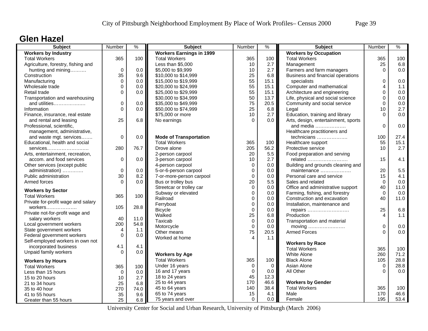### **Glen Hazel**

| <b>Subject</b>                     | Number      | $\frac{9}{6}$ | <b>Subject</b>                  | Number         | $\frac{9}{6}$  | <b>Subject</b>                      | Number      | $\%$ |
|------------------------------------|-------------|---------------|---------------------------------|----------------|----------------|-------------------------------------|-------------|------|
| <b>Workers by Industry</b>         |             |               | <b>Workers Earnings in 1999</b> |                |                | <b>Workers by Occupation</b>        |             |      |
| <b>Total Workers</b>               | 365         | 100           | <b>Total Workers</b>            | 365            | 100            | <b>Total Workers</b>                | 365         | 100  |
| Agriculture, forestry, fishing and |             |               | Less than \$5,000               | 10             | 2.7            | Management                          | 25          | 6.8  |
| hunting and mining                 | $\mathbf 0$ | 0.0           | \$5,000 to \$9,999              | 10             | 2.7            | Farmers and farm managers           | $\Omega$    | 0.0  |
| Construction                       | 35          | 9.6           | \$10,000 to \$14,999            | 25             | 6.8            | Business and financial operations   |             |      |
| Manufacturing                      | $\Omega$    | 0.0           | \$15,000 to \$19,999            | 55             | 15.1           | specialists                         | 0           | 0.0  |
| Wholesale trade                    | $\Omega$    | 0.0           | \$20,000 to \$24,999            | 55             | 15.1           | Computer and mathematical           | 4           | 1.1  |
| Retail trade                       | 0           | 0.0           | \$25,000 to \$29,999            | 55             | 15.1           | Architecture and engineering        | $\mathbf 0$ | 0.0  |
| Transportation and warehousing     |             |               | \$30,000 to \$34,999            | 50             | 13.7           | Life, physical and social science   | 0           | 0.0  |
| and utilities                      | 0           | 0.0           | \$35,000 to \$49,999            | 75             | 20.5           | Community and social service        | $\mathbf 0$ | 0.0  |
| Information                        | $\Omega$    | 0.0           | \$50,000 to \$74,999            | 25             | 6.8            | Legal                               | 10          | 2.7  |
| Finance, insurance, real estate    |             |               | \$75,000 or more                | 10             | 2.7            | Education, training and library     | $\Omega$    | 0.0  |
| and rental and leasing             | 25          | 6.8           | No earnings                     | $\Omega$       | 0.0            | Arts, design, entertainment, sports |             |      |
| Professional, scientific,          |             |               |                                 |                |                | and media                           | $\Omega$    | 0.0  |
| management, administrative,        |             |               |                                 |                |                | Healthcare practitioners and        |             |      |
| and waste mgt. services            | 0           | 0.0           | <b>Mode of Transportation</b>   |                |                | technicians                         | 100         | 27.4 |
| Educational, health and social     |             |               | <b>Total Workers</b>            | 365            | 100            | Healthcare support                  | 55          | 15.1 |
| services                           | 280         | 76.7          | Drove alone                     | 205            | 56.2           | Protective service                  | 10          | 2.7  |
| Arts, entertainment, recreation,   |             |               | 2-person carpool                | 20             | 5.5            | Food preparation and serving        |             |      |
| accom. and food services           | $\mathbf 0$ | 0.0           | 3-person carpool                | 10             | 2.7            | related                             | 15          | 4.1  |
| Other services (except public      |             |               | 4-person carpool                | $\mathbf 0$    | 0.0            | Building and grounds cleaning and   |             |      |
| administration)                    | 0           | 0.0           | 5-or-6-person carpool           | $\mathbf 0$    | 0.0            | maintenance                         | 20          | 5.5  |
| Public administration              | 30          | 8.2           | 7-or-more-person carpool        | $\mathbf 0$    | 0.0            | Personal care and service           | 15          | 4.1  |
| Armed forces                       | $\Omega$    | 0.0           | Bus or trolley bus              | 20             | 5.5            | Sales and related                   | $\Omega$    | 0.0  |
|                                    |             |               | Streetcar or trolley car        | $\Omega$       | 0.0            | Office and administrative support   | 40          | 11.0 |
| <b>Workers by Sector</b>           |             |               | Subway or elevated              | $\mathbf 0$    | 0.0            | Farming, fishing, and forestry      | $\Omega$    | 0.0  |
| <b>Total Workers</b>               | 365         | 100           | Railroad                        | $\Omega$       | 0.0            | Construction and excavation         | 40          | 11.0 |
| Private for-profit wage and salary |             |               | Ferryboat                       | $\mathbf 0$    | 0.0            | Installation, maintenance and       |             |      |
| workers                            | 105         | 28.8          | <b>Bicycle</b>                  | $\mathbf 0$    | 0.0            | repairs                             | 25          | 6.8  |
| Private not-for-profit wage and    |             |               | Walked                          | 25             | 6.8            | Production                          | 4           | 1.1  |
| salary workers                     | 40          | 11.0          | Taxicab                         | $\mathbf 0$    | 0.0            | Transportation and material         |             |      |
| Local government workers           | 200         | 54.8          | Motorcycle                      | $\mathbf 0$    | 0.0            | moving                              | $\mathbf 0$ | 0.0  |
| State government workers           | 4           | 1.1           | Other means                     | 75             | 20.5           | <b>Armed Forces</b>                 | $\Omega$    | 0.0  |
| Federal government workers         | $\Omega$    | 0.0           | Worked at home                  | $\overline{4}$ | 1.1            |                                     |             |      |
| Self-employed workers in own not   |             |               |                                 |                |                | <b>Workers by Race</b>              |             |      |
| incorporated business              | 4.1         | 4.1           |                                 |                |                | <b>Total Workers</b>                | 365         | 100  |
| Unpaid family workers              | $\Omega$    | 0.0           | <b>Workers by Age</b>           |                |                | White Alone                         | 260         | 71.2 |
| <b>Workers by Hours</b>            |             |               | <b>Total Workers</b>            | 365            | 100            | <b>Black Alone</b>                  | 105         | 28.8 |
| <b>Total Workers</b>               | 365         | 100           | Under 16 years                  | $\mathbf 0$    | $\overline{0}$ | Asian Alone                         | $\mathbf 0$ | 28.8 |
| Less than 15 hours                 | $\Omega$    | 0.0           | 16 and 17 years                 | 0              | 0.0            | All Other                           | $\Omega$    | 0.0  |
| 15 to 20 hours                     | 10          | 2.7           | 18 to 24 years                  | 45             | 12.3           |                                     |             |      |
| 21 to 34 hours                     | 25          | 6.8           | 25 to 44 years                  | 170            | 46.6           | <b>Workers by Gender</b>            |             |      |
| 35 to 40 hour                      | 270         | 74.0          | 45 to 64 years                  | 140            | 38.4           | <b>Total Workers</b>                | 365         | 100  |
| 41 to 55 hours                     | 35          | 9.6           | 65 to 74 years                  | 15             | 4.1            | Male                                | 170         | 46.6 |
| Greater than 55 hours              | 25          | 6.8           | 75 years and over               | $\Omega$       | 0.0            | Female                              | 195         | 53.4 |
|                                    |             |               |                                 |                |                |                                     |             |      |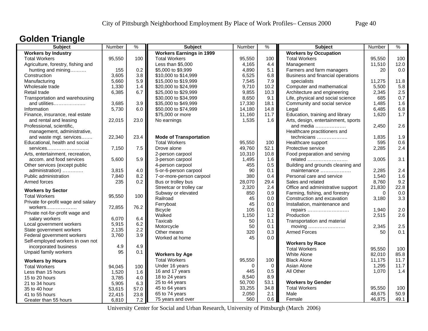# **Golden Triangle**

| <b>Subject</b>                     | Number | $\frac{9}{6}$ | <b>Subject</b>                  | Number   | $\frac{9}{6}$ | <b>Subject</b>                               | Number   | $\%$ |
|------------------------------------|--------|---------------|---------------------------------|----------|---------------|----------------------------------------------|----------|------|
| <b>Workers by Industry</b>         |        |               | <b>Workers Earnings in 1999</b> |          |               | <b>Workers by Occupation</b>                 |          |      |
| <b>Total Workers</b>               | 95,550 | 100           | <b>Total Workers</b>            | 95,550   | 100           | <b>Total Workers</b>                         | 95,550   | 100  |
| Agriculture, forestry, fishing and |        |               | Less than \$5,000               | 4,165    | 4.4           | Management                                   | 11,510   | 12.0 |
| hunting and mining                 | 155    | 0.2           | \$5,000 to \$9,999              | 4,890    | 5.1           | Farmers and farm managers                    | 20       | 0.0  |
| Construction                       | 3,605  | 3.8           | \$10,000 to \$14,999            | 6,525    | 6.8           | Business and financial operations            |          |      |
| Manufacturing                      | 5,660  | 5.9           | \$15,000 to \$19,999            | 7,545    | 7.9           | specialists                                  | 11,275   | 11.8 |
| Wholesale trade                    | 1,330  | 1.4           | \$20,000 to \$24,999            | 9,710    | 10.2          | Computer and mathematical                    | 5,500    | 5.8  |
| Retail trade                       | 6,385  | 6.7           | \$25,000 to \$29,999            | 9,855    | 10.3          | Architecture and engineering                 | 2,345    | 2.5  |
| Transportation and warehousing     |        |               | \$30,000 to \$34,999            | 8,650    | 9.1           | Life, physical and social science            | 685      | 0.7  |
| and utilities                      | 3,685  | 3.9           | \$35,000 to \$49,999            | 17,330   | 18.1          | Community and social service                 | 1,485    | 1.6  |
| Information                        | 5,730  | 6.0           | \$50,000 to \$74,999            | 14,180   | 14.8          | Legal                                        | 6,485    | 6.8  |
| Finance, insurance, real estate    |        |               | \$75,000 or more                | 11,160   | 11.7          | Education, training and library              | 1,620    | 1.7  |
| and rental and leasing             | 22,015 | 23.0          | No earnings                     | 1,535    | 1.6           | Arts, design, entertainment, sports          |          |      |
| Professional, scientific,          |        |               |                                 |          |               | and media                                    | 2,450    | 2.6  |
| management, administrative,        |        |               |                                 |          |               | Healthcare practitioners and                 |          |      |
| and waste mgt. services            | 22,340 | 23.4          | <b>Mode of Transportation</b>   |          |               | technicians                                  | 1,835    | 1.9  |
| Educational, health and social     |        |               | <b>Total Workers</b>            | 95,550   | 100           | Healthcare support                           | 595      | 0.6  |
| services                           | 7,150  | 7.5           | Drove alone                     | 49,760   | 52.1          | Protective service                           | 2,285    | 2.4  |
| Arts, entertainment, recreation,   |        |               | 2-person carpool                | 10,310   | 10.8          | Food preparation and serving                 |          |      |
| accom. and food services           | 5,600  | 5.9           | 3-person carpool                | 1,495    | 1.6           | related                                      | 3,005    | 3.1  |
| Other services (except public      |        |               | 4-person carpool                | 455      | 0.5           | Building and grounds cleaning and            |          |      |
| administration)                    | 3,815  | 4.0           | 5-or-6-person carpool           | 90       | 0.1           | maintenance                                  | 2,285    | 2.4  |
| Public administration              | 7,840  | 8.2           | 7-or-more-person carpool        | 380      | 0.4           | Personal care and service                    | 1,540    | 1.6  |
| Armed forces                       | 235    | 0.2           | Bus or trolley bus              | 28,070   | 29.4          | Sales and related                            | 8,760    | 9.2  |
|                                    |        |               | Streetcar or trolley car        | 2,320    | 2.4           | Office and administrative support            | 21,830   | 22.8 |
| <b>Workers by Sector</b>           |        |               | Subway or elevated              | 850      | 0.9           | Farming, fishing, and forestry               | $\Omega$ | 0.0  |
| <b>Total Workers</b>               | 95,550 | 100           | Railroad                        | 45       | 0.0           | Construction and excavation                  | 3,180    | 3.3  |
| Private for-profit wage and salary |        |               | Ferryboat                       | 45       | 0.0           | Installation, maintenance and                |          |      |
| workers                            | 72,855 | 76.2          | <b>Bicycle</b>                  | 105      | 0.1           | repairs                                      | 1,940    | 2.0  |
| Private not-for-profit wage and    |        |               | Walked                          | 1,150    | 1.2           | Production                                   | 2,515    | 2.6  |
| salary workers                     | 6,070  | 6.4           | Taxicab                         | 50       | 0.1           | Transportation and material                  |          |      |
| Local government workers           | 5,915  | 6.2           | Motorcycle                      | 50       | 0.1           | moving $\dots\dots\dots\dots\dots\dots\dots$ | 2,345    | 2.5  |
| State government workers           | 2,135  | 2.2           | Other means                     | 320      | 0.3           | <b>Armed Forces</b>                          | 50       | 0.1  |
| Federal government workers         | 3,760  | 3.9           | Worked at home                  | 45       | 0.0           |                                              |          |      |
| Self-employed workers in own not   |        |               |                                 |          |               | <b>Workers by Race</b>                       |          |      |
| incorporated business              | 4.9    | 4.9           |                                 |          |               | <b>Total Workers</b>                         | 95,550   | 100  |
| Unpaid family workers              | 95     | 0.1           | <b>Workers by Age</b>           |          |               | <b>White Alone</b>                           | 82,010   | 85.8 |
| <b>Workers by Hours</b>            |        |               | <b>Total Workers</b>            | 95,550   | 100           | <b>Black Alone</b>                           | 11,175   | 11.7 |
| <b>Total Workers</b>               | 94,045 | 100           | Under 16 years                  | $\Omega$ | $\mathbf 0$   | Asian Alone                                  | 1,295    | 11.7 |
| Less than 15 hours                 | 1,520  | 1.6           | 16 and 17 years                 | 445      | 0.5           | All Other                                    | 1,070    | 1.4  |
| 15 to 20 hours                     | 3,785  | 4.0           | 18 to 24 years                  | 8,540    | 8.9           |                                              |          |      |
| 21 to 34 hours                     | 5,905  | 6.3           | 25 to 44 years                  | 50,700   | 53.1          | <b>Workers by Gender</b>                     |          |      |
| 35 to 40 hour                      | 53,615 | 57.0          | 45 to 64 years                  | 33,255   | 34.8          | <b>Total Workers</b>                         | 95,550   | 100  |
| 41 to 55 hours                     | 22,415 | 23.8          | 65 to 74 years                  | 2,050    | 2.1           | Male                                         | 48,675   | 50.9 |
| Greater than 55 hours              | 6,810  | 7.2           | 75 years and over               | 560      | 0.6           | Female                                       | 46,875   | 49.1 |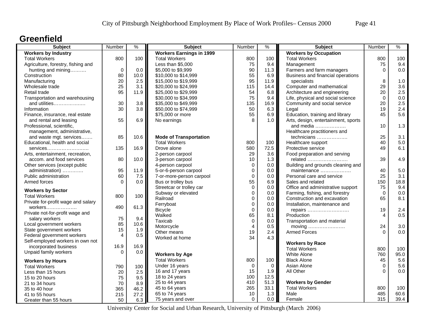### **Greenfield**

| <b>Subject</b>                     | Number         | $\%$ | <b>Subject</b>                  | Number         | ℅           | <b>Subject</b>                      | Number           | $\%$       |
|------------------------------------|----------------|------|---------------------------------|----------------|-------------|-------------------------------------|------------------|------------|
| <b>Workers by Industry</b>         |                |      | <b>Workers Earnings in 1999</b> |                |             | <b>Workers by Occupation</b>        |                  |            |
| <b>Total Workers</b>               | 800            | 100  | <b>Total Workers</b>            | 800            | 100         | <b>Total Workers</b>                | 800              | 100        |
| Agriculture, forestry, fishing and |                |      | Less than \$5,000               | 75             | 9.4         | Management                          | 75               | 9.4        |
| hunting and mining                 | $\mathbf 0$    | 0.0  | \$5,000 to \$9,999              | 90             | 11.3        | Farmers and farm managers           | $\Omega$         | 0.0        |
| Construction                       | 80             | 10.0 | \$10,000 to \$14,999            | 55             | 6.9         | Business and financial operations   |                  |            |
| Manufacturing                      | 20             | 2.5  | \$15,000 to \$19,999            | 95             | 11.9        | specialists                         | 8                | 1.0        |
| Wholesale trade                    | 25             | 3.1  | \$20,000 to \$24,999            | 115            | 14.4        | Computer and mathematical           | 29               | 3.6        |
| Retail trade                       | 95             | 11.9 | \$25,000 to \$29,999            | 54             | 6.8         | Architecture and engineering        | 20               | 2.5        |
| Transportation and warehousing     |                |      | \$30,000 to \$34,999            | 75             | 9.4         | Life, physical and social science   | $\Omega$         | 0.0        |
| and utilities                      | 30             | 3.8  | \$35,000 to \$49,999            | 135            | 16.9        | Community and social service        | 20               | 2.5        |
| Information                        | 30             | 3.8  | \$50,000 to \$74,999            | 50             | 6.3         | Legal                               | 19               | 2.4        |
| Finance, insurance, real estate    |                |      | \$75,000 or more                | 55             | 6.9         | Education, training and library     | 45               | 5.6        |
| and rental and leasing             | 55             | 6.9  | No earnings                     | 8              | 1.0         | Arts, design, entertainment, sports |                  |            |
| Professional, scientific,          |                |      |                                 |                |             | and media                           | 10               | 1.3        |
| management, administrative,        |                |      |                                 |                |             | Healthcare practitioners and        |                  |            |
| and waste mgt. services            | 85             | 10.6 | <b>Mode of Transportation</b>   |                |             | technicians                         | 25               | 3.1        |
| Educational, health and social     |                |      | <b>Total Workers</b>            | 800            | 100         | Healthcare support                  | 40               | 5.0        |
| services                           | 135            | 16.9 | Drove alone                     | 580            | 72.5        | Protective service                  | 49               | 6.1        |
| Arts, entertainment, recreation,   |                |      | 2-person carpool                | 29             | 3.6         | Food preparation and serving        |                  |            |
| accom. and food services           | 80             | 10.0 | 3-person carpool                | 10             | 1.3         | related                             | 39               | 4.9        |
| Other services (except public      |                |      | 4-person carpool                | $\mathbf 0$    | 0.0         | Building and grounds cleaning and   |                  |            |
| administration)                    | 95             | 11.9 | 5-or-6-person carpool           | $\mathbf 0$    | 0.0         | maintenance                         | 40               | 5.0        |
| Public administration              | 60             | 7.5  | 7-or-more-person carpool        | $\mathbf 0$    | 0.0         | Personal care and service           | 25               | 3.1        |
| Armed forces                       | $\Omega$       | 0.0  | Bus or trolley bus              | 55             | 6.9         | Sales and related                   | 150              | 18.8       |
|                                    |                |      | Streetcar or trolley car        | $\Omega$       | 0.0         | Office and administrative support   | 75               | 9.4        |
| <b>Workers by Sector</b>           |                |      | Subway or elevated              | $\mathbf 0$    | 0.0         | Farming, fishing, and forestry      | $\Omega$         | 0.0        |
| <b>Total Workers</b>               | 800            | 100  | Railroad                        | $\Omega$       | 0.0         | Construction and excavation         | 65               | 8.1        |
| Private for-profit wage and salary |                |      | Ferryboat                       | $\mathbf 0$    | 0.0         | Installation, maintenance and       |                  |            |
| workers                            | 490            | 61.3 | <b>Bicycle</b>                  | $\mathbf 0$    | 0.0         | repairs                             | 19               | 2.4        |
| Private not-for-profit wage and    |                |      | Walked                          | 65             | 8.1         | Production                          | 4                | 0.5        |
| salary workers                     | 75             | 9.4  | Taxicab                         | $\pmb{0}$      | 0.0         | Transportation and material         |                  |            |
| Local government workers           | 85             | 10.6 | Motorcycle                      | $\overline{4}$ | 0.5         | moving                              | 24               | 3.0        |
| State government workers           | 15             | 1.9  | Other means                     | 19             | 2.4         | <b>Armed Forces</b>                 | $\Omega$         | 0.0        |
| Federal government workers         | $\overline{4}$ | 0.5  | Worked at home                  | 34             | 4.3         |                                     |                  |            |
| Self-employed workers in own not   |                |      |                                 |                |             | <b>Workers by Race</b>              |                  |            |
| incorporated business              | 16.9           | 16.9 |                                 |                |             | <b>Total Workers</b>                | 800              | 100        |
| Unpaid family workers              | $\Omega$       | 0.0  | <b>Workers by Age</b>           |                |             | White Alone                         | 760              | 95.0       |
|                                    |                |      | <b>Total Workers</b>            | 800            | 100         | <b>Black Alone</b>                  |                  | 5.6        |
| <b>Workers by Hours</b>            |                |      |                                 |                |             |                                     | 45               |            |
| <b>Total Workers</b>               | 790            | 100  | Under 16 years                  | $\mathbf 0$    | $\mathbf 0$ | Asian Alone                         | $\mathbf 0$<br>∩ | 5.6<br>0.0 |
| Less than 15 hours                 | 20             | 2.5  | 16 and 17 years                 | 15             | 1.9         | All Other                           |                  |            |
| 15 to 20 hours                     | 75             | 9.5  | 18 to 24 years                  | 100            | 12.5        |                                     |                  |            |
| 21 to 34 hours                     | 70             | 8.9  | 25 to 44 years                  | 410            | 51.3        | <b>Workers by Gender</b>            |                  |            |
| 35 to 40 hour                      | 365            | 46.2 | 45 to 64 years                  | 265            | 33.1        | <b>Total Workers</b>                | 800              | 100        |
| 41 to 55 hours                     | 215            | 27.2 | 65 to 74 years                  | 10             | 1.3         | Male                                | 485              | 60.6       |
| Greater than 55 hours              | 50             | 6.3  | 75 years and over               | $\Omega$       | 0.0         | Female                              | 315              | 39.4       |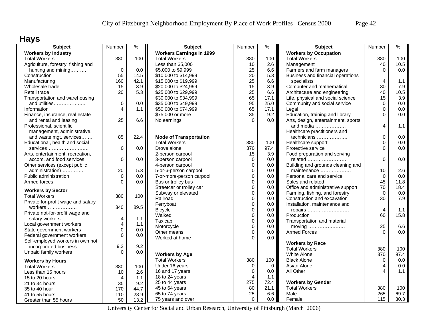# **Hays**

| <b>Subject</b>                                            | Number         | $\%$    | <b>Subject</b>                  | Number         | %           | <b>Subject</b>                      | Number                 | %       |
|-----------------------------------------------------------|----------------|---------|---------------------------------|----------------|-------------|-------------------------------------|------------------------|---------|
| <b>Workers by Industry</b>                                |                |         | <b>Workers Earnings in 1999</b> |                |             | <b>Workers by Occupation</b>        |                        |         |
| <b>Total Workers</b>                                      | 380            | 100     | <b>Total Workers</b>            | 380            | 100         | <b>Total Workers</b>                | 380                    | 100     |
| Agriculture, forestry, fishing and                        |                |         | Less than \$5,000               | 10             | 2.6         | Management                          | 40                     | 10.5    |
| hunting and mining                                        | $\mathbf 0$    | 0.0     | \$5,000 to \$9,999              | 25             | 6.6         | Farmers and farm managers           | $\Omega$               | 0.0     |
| Construction                                              | 55             | 14.5    | \$10,000 to \$14,999            | 20             | 5.3         | Business and financial operations   |                        |         |
| Manufacturing                                             | 160            | 42.1    | \$15,000 to \$19,999            | 25             | 6.6         | specialists                         | $\overline{4}$         | 1.1     |
| Wholesale trade                                           | 15             | 3.9     | \$20,000 to \$24,999            | 15             | 3.9         | Computer and mathematical           | 30                     | 7.9     |
| Retail trade                                              | 20             | 5.3     | \$25,000 to \$29,999            | 25             | 6.6         | Architecture and engineering        | 40                     | 10.5    |
| Transportation and warehousing                            |                |         | \$30,000 to \$34,999            | 65             | 17.1        | Life, physical and social science   | 15                     | 3.9     |
| and utilities                                             | 0              | 0.0     | \$35,000 to \$49,999            | 95             | 25.0        | Community and social service        | $\mathbf 0$            | $0.0\,$ |
| Information                                               | 4              | 1.1     | \$50,000 to \$74,999            | 65             | 17.1        | Legal                               | $\Omega$               | 0.0     |
| Finance, insurance, real estate                           |                |         | \$75,000 or more                | 35             | 9.2         | Education, training and library     | $\Omega$               | 0.0     |
| and rental and leasing                                    | 25             | 6.6     | No earnings                     | $\Omega$       | $0.0\,$     | Arts, design, entertainment, sports |                        |         |
| Professional, scientific,                                 |                |         |                                 |                |             | and media                           | 4                      | 1.1     |
| management, administrative,                               |                |         |                                 |                |             | Healthcare practitioners and        |                        |         |
| and waste mgt. services                                   | 85             | 22.4    | <b>Mode of Transportation</b>   |                |             | technicians                         | $\Omega$               | 0.0     |
| Educational, health and social                            |                |         | <b>Total Workers</b>            | 380            | 100         | Healthcare support                  | $\Omega$               | 0.0     |
| services                                                  | 0              | 0.0     | Drove alone                     | 370            | 97.4        | Protective service                  | $\Omega$               | 0.0     |
| Arts, entertainment, recreation,                          |                |         | 2-person carpool                | 15             | 3.9         | Food preparation and serving        |                        |         |
| accom. and food services                                  | 0              | 0.0     | 3-person carpool                | 0              | 0.0         | related                             | 0                      | 0.0     |
| Other services (except public                             |                |         | 4-person carpool                | 0              | 0.0         | Building and grounds cleaning and   |                        |         |
| administration)                                           | 20             | 5.3     | 5-or-6-person carpool           | 0              | 0.0         | maintenance                         | 10                     | 2.6     |
| Public administration                                     | $\Omega$       | 0.0     | 7-or-more-person carpool        | 0              | $0.0\,$     | Personal care and service           | $\Omega$               | 0.0     |
| Armed forces                                              | $\Omega$       | 0.0     | Bus or trolley bus              | $\mathbf 0$    | 0.0         | Sales and related                   | 45                     | 11.8    |
|                                                           |                |         | Streetcar or trolley car        | 0              | $0.0\,$     | Office and administrative support   | 70                     | 18.4    |
| <b>Workers by Sector</b>                                  |                |         | Subway or elevated              | 0              | 0.0         | Farming, fishing, and forestry      | $\Omega$               | 0.0     |
| <b>Total Workers</b>                                      | 380            | 100     | Railroad                        | 0              | 0.0         | Construction and excavation         | 30                     | 7.9     |
| Private for-profit wage and salary                        |                |         | Ferryboat                       | 0              | 0.0         | Installation, maintenance and       |                        |         |
| workers                                                   | 340            | 89.5    | <b>Bicycle</b>                  | 0              | 0.0         | repairs                             | $\overline{4}$         | 1.1     |
| Private not-for-profit wage and                           |                |         | Walked                          | 0              | 0.0         | Production                          | 60                     | 15.8    |
| salary workers                                            | 4              | $1.1$   | Taxicab                         | $\mathbf 0$    | 0.0         | Transportation and material         |                        |         |
| Local government workers                                  | 4              | 1.1     | Motorcycle                      | $\mathbf 0$    | 0.0         | moving                              | 25                     | $6.6\,$ |
| State government workers                                  | $\mathbf 0$    | $0.0\,$ | Other means                     | 0              | 0.0         | <b>Armed Forces</b>                 | $\Omega$               | 0.0     |
| Federal government workers                                | 0              | 0.0     | Worked at home                  | $\Omega$       | $0.0\,$     |                                     |                        |         |
| Self-employed workers in own not<br>incorporated business | 9.2            | 9.2     |                                 |                |             | <b>Workers by Race</b>              |                        |         |
|                                                           | $\Omega$       |         |                                 |                |             | <b>Total Workers</b>                | 380                    | 100     |
| Unpaid family workers                                     |                | 0.0     | <b>Workers by Age</b>           |                |             | <b>White Alone</b>                  | 370                    | 97.4    |
| <b>Workers by Hours</b>                                   |                |         | <b>Total Workers</b>            | 380            | 100         | <b>Black Alone</b>                  | 0                      | 0.0     |
| <b>Total Workers</b>                                      | 380            | 100     | Under 16 years                  | 0              | $\mathbf 0$ | Asian Alone                         | 4                      | 0.0     |
| Less than 15 hours                                        | 10             | 2.6     | 16 and 17 years                 | $\mathbf 0$    | 0.0         | All Other                           | $\boldsymbol{\Lambda}$ | 1.1     |
| 15 to 20 hours                                            | $\overline{4}$ | 1.1     | 18 to 24 years                  | $\overline{4}$ | $1.1$       |                                     |                        |         |
| 21 to 34 hours                                            | 35             | 9.2     | 25 to 44 years                  | 275            | 72.4        | <b>Workers by Gender</b>            |                        |         |
| 35 to 40 hour                                             | 170            | 44.7    | 45 to 64 years                  | 80             | 21.1        | <b>Total Workers</b>                | 380                    | 100     |
| 41 to 55 hours                                            | 110            | 28.9    | 65 to 74 years                  | 25             | 6.6         | Male                                | 265                    | 69.7    |
| Greater than 55 hours                                     | 50             | 13.2    | 75 years and over               | $\Omega$       | 0.0         | Female                              | 115                    | 30.3    |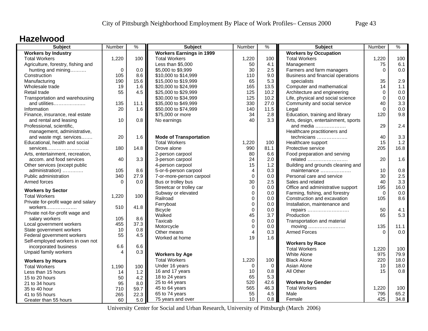#### **Hazelwood**

| <b>Workers by Industry</b><br><b>Workers Earnings in 1999</b><br>1,220<br>100<br>1,220<br>100<br>1,220<br>100<br><b>Total Workers</b><br><b>Total Workers</b><br><b>Total Workers</b><br>Agriculture, forestry, fishing and<br>Less than \$5,000<br>4.1<br>6.1<br>50<br>Management<br>75<br>$\mathbf 0$<br>0.0<br>30<br>2.5<br>Farmers and farm managers<br>0.0<br>hunting and mining<br>\$5,000 to \$9,999<br>$\Omega$<br>105<br>8.6<br>Business and financial operations<br>Construction<br>\$10,000 to \$14,999<br>110<br>9.0<br>65<br>5.3<br>2.9<br>190<br>15.6<br>\$15,000 to \$19,999<br>specialists<br>35<br>Manufacturing<br>Computer and mathematical<br>1.1<br>Wholesale trade<br>19<br>165<br>13.5<br>14<br>1.6<br>\$20,000 to \$24,999<br>55<br>125<br>Architecture and engineering<br>4.5<br>\$25,000 to \$29,999<br>10.2<br>$\mathbf 0$<br>0.0<br>Retail trade<br>Transportation and warehousing<br>\$30,000 to \$34,999<br>125<br>10.2<br>Life, physical and social science<br>$\Omega$<br>0.0<br>3.3<br>\$35,000 to \$49,999<br>330<br>27.0<br>Community and social service<br>40<br>and utilities<br>135<br>11.1<br>$\Omega$<br>140<br>11.5<br>0.0<br>Information<br>20<br>1.6<br>\$50,000 to \$74,999<br>Legal<br>Education, training and library<br>9.8<br>Finance, insurance, real estate<br>\$75,000 or more<br>34<br>2.8<br>120<br>10<br>0.8<br>40<br>3.3<br>Arts, design, entertainment, sports<br>and rental and leasing<br>No earnings<br>2.4<br>29<br>Professional, scientific,<br>and media<br>management, administrative,<br>Healthcare practitioners and<br>3.3<br>and waste mgt. services<br>20<br>1.6<br><b>Mode of Transportation</b><br>technicians<br>40<br>$1.2$<br>Educational, health and social<br><b>Total Workers</b><br>1,220<br>100<br>Healthcare support<br>15<br>990<br>16.8<br>180<br>14.8<br>Drove alone<br>81.1<br>Protective service<br>205<br>services<br>80<br>6.6<br>Food preparation and serving<br>2-person carpool<br>Arts, entertainment, recreation,<br>3.3<br>24<br>2.0<br>1.6<br>40<br>3-person carpool<br>related<br>20<br>accom. and food services<br>15<br>Other services (except public<br>4-person carpool<br>1.2<br>Building and grounds cleaning and<br>8.6<br>administration)<br>105<br>5-or-6-person carpool<br>4<br>0.3<br>maintenance<br>10<br>0.8<br>2.5<br>$\mathbf 0$<br>340<br>27.9<br>0.0<br>30<br>Public administration<br>7-or-more-person carpool<br>Personal care and service<br>30<br>3.3<br>Armed forces<br>0.0<br>Bus or trolley bus<br>2.5<br>Sales and related<br>40<br>$\Omega$<br>$\mathbf 0$<br>195<br>16.0<br>Streetcar or trolley car<br>0.0<br>Office and administrative support<br><b>Workers by Sector</b><br>Subway or elevated<br>$\mathbf{0}$<br>0.0<br>Farming, fishing, and forestry<br>0.0<br>$\Omega$<br>100<br><b>Total Workers</b><br>1,220<br>8.6<br>Railroad<br>$\mathbf 0$<br>0.0<br>Construction and excavation<br>105<br>Private for-profit wage and salary<br>$\mathbf 0$<br>Ferryboat<br>0.0<br>Installation, maintenance and<br>510<br>41.8<br>4.1<br>$\mathbf 0$<br>$0.0\,$<br>50<br><b>Bicycle</b><br>repairs<br>Private not-for-profit wage and<br>45<br>5.3<br>Walked<br>3.7<br>65<br>Production<br>105<br>8.6<br>salary workers<br>Taxicab<br>$\mathbf 0$<br>0.0<br>Transportation and material<br>455<br>37.3<br>Local government workers<br>$\mathbf 0$<br>135<br>Motorcycle<br>0.0<br>moving<br>11.1<br>10<br>0.8<br>State government workers<br><b>Armed Forces</b><br>0.0<br>Other means<br>$\overline{4}$<br>0.3<br>$\Omega$<br>55<br>4.5<br>Federal government workers<br>19<br>1.6<br>Worked at home<br>Self-employed workers in own not<br><b>Workers by Race</b><br>incorporated business<br>6.6<br>6.6<br><b>Total Workers</b><br>1,220<br>100<br>Unpaid family workers<br>$\overline{4}$<br>0.3<br>975<br><b>Workers by Age</b><br><b>White Alone</b><br>79.9<br><b>Total Workers</b><br>1,220<br>100<br><b>Black Alone</b><br>220<br>18.0<br><b>Workers by Hours</b><br>Under 16 years<br>$\Omega$<br>$\mathbf 0$<br>Asian Alone<br>10<br>18.0<br><b>Total Workers</b><br>100<br>1,190<br>0.8<br>16 and 17 years<br>10<br>0.8<br>All Other<br>15<br>Less than 15 hours<br>1.2<br>14<br>65<br>5.3<br>18 to 24 years<br>50<br>4.2<br>15 to 20 hours<br>520<br>25 to 44 years<br><b>Workers by Gender</b><br>42.6<br>95<br>8.0<br>21 to 34 hours<br>565<br>46.3<br><b>Total Workers</b><br>45 to 64 years<br>1,220<br>100<br>59.7<br>35 to 40 hour<br>710<br>65.2<br>55<br>4.5<br>795<br>65 to 74 years<br>Male<br>265<br>22.3<br>41 to 55 hours | Subject               | Number | $\frac{9}{6}$ | <b>Subject</b>    | Number | $\%$ | <b>Subject</b>               | Number | $\%$ |
|-----------------------------------------------------------------------------------------------------------------------------------------------------------------------------------------------------------------------------------------------------------------------------------------------------------------------------------------------------------------------------------------------------------------------------------------------------------------------------------------------------------------------------------------------------------------------------------------------------------------------------------------------------------------------------------------------------------------------------------------------------------------------------------------------------------------------------------------------------------------------------------------------------------------------------------------------------------------------------------------------------------------------------------------------------------------------------------------------------------------------------------------------------------------------------------------------------------------------------------------------------------------------------------------------------------------------------------------------------------------------------------------------------------------------------------------------------------------------------------------------------------------------------------------------------------------------------------------------------------------------------------------------------------------------------------------------------------------------------------------------------------------------------------------------------------------------------------------------------------------------------------------------------------------------------------------------------------------------------------------------------------------------------------------------------------------------------------------------------------------------------------------------------------------------------------------------------------------------------------------------------------------------------------------------------------------------------------------------------------------------------------------------------------------------------------------------------------------------------------------------------------------------------------------------------------------------------------------------------------------------------------------------------------------------------------------------------------------------------------------------------------------------------------------------------------------------------------------------------------------------------------------------------------------------------------------------------------------------------------------------------------------------------------------------------------------------------------------------------------------------------------------------------------------------------------------------------------------------------------------------------------------------------------------------------------------------------------------------------------------------------------------------------------------------------------------------------------------------------------------------------------------------------------------------------------------------------------------------------------------------------------------------------------------------------------------------------------------------------------------------------------------------------------------------------------------------------------------------------------------------------------------------------------------------------------------------------------------------------------------------------------------------------------------------------------------------------------------------------------------------------------------------------------------------------------------------------------------------------------------------------------------------------------------------------------------------------------------------------------------------------------------------------------------------------------------------------------------------------------------------------------------------------------------------------------------------------|-----------------------|--------|---------------|-------------------|--------|------|------------------------------|--------|------|
|                                                                                                                                                                                                                                                                                                                                                                                                                                                                                                                                                                                                                                                                                                                                                                                                                                                                                                                                                                                                                                                                                                                                                                                                                                                                                                                                                                                                                                                                                                                                                                                                                                                                                                                                                                                                                                                                                                                                                                                                                                                                                                                                                                                                                                                                                                                                                                                                                                                                                                                                                                                                                                                                                                                                                                                                                                                                                                                                                                                                                                                                                                                                                                                                                                                                                                                                                                                                                                                                                                                                                                                                                                                                                                                                                                                                                                                                                                                                                                                                                                                                                                                                                                                                                                                                                                                                                                                                                                                                                                                                                                             |                       |        |               |                   |        |      | <b>Workers by Occupation</b> |        |      |
|                                                                                                                                                                                                                                                                                                                                                                                                                                                                                                                                                                                                                                                                                                                                                                                                                                                                                                                                                                                                                                                                                                                                                                                                                                                                                                                                                                                                                                                                                                                                                                                                                                                                                                                                                                                                                                                                                                                                                                                                                                                                                                                                                                                                                                                                                                                                                                                                                                                                                                                                                                                                                                                                                                                                                                                                                                                                                                                                                                                                                                                                                                                                                                                                                                                                                                                                                                                                                                                                                                                                                                                                                                                                                                                                                                                                                                                                                                                                                                                                                                                                                                                                                                                                                                                                                                                                                                                                                                                                                                                                                                             |                       |        |               |                   |        |      |                              |        |      |
|                                                                                                                                                                                                                                                                                                                                                                                                                                                                                                                                                                                                                                                                                                                                                                                                                                                                                                                                                                                                                                                                                                                                                                                                                                                                                                                                                                                                                                                                                                                                                                                                                                                                                                                                                                                                                                                                                                                                                                                                                                                                                                                                                                                                                                                                                                                                                                                                                                                                                                                                                                                                                                                                                                                                                                                                                                                                                                                                                                                                                                                                                                                                                                                                                                                                                                                                                                                                                                                                                                                                                                                                                                                                                                                                                                                                                                                                                                                                                                                                                                                                                                                                                                                                                                                                                                                                                                                                                                                                                                                                                                             |                       |        |               |                   |        |      |                              |        |      |
|                                                                                                                                                                                                                                                                                                                                                                                                                                                                                                                                                                                                                                                                                                                                                                                                                                                                                                                                                                                                                                                                                                                                                                                                                                                                                                                                                                                                                                                                                                                                                                                                                                                                                                                                                                                                                                                                                                                                                                                                                                                                                                                                                                                                                                                                                                                                                                                                                                                                                                                                                                                                                                                                                                                                                                                                                                                                                                                                                                                                                                                                                                                                                                                                                                                                                                                                                                                                                                                                                                                                                                                                                                                                                                                                                                                                                                                                                                                                                                                                                                                                                                                                                                                                                                                                                                                                                                                                                                                                                                                                                                             |                       |        |               |                   |        |      |                              |        |      |
|                                                                                                                                                                                                                                                                                                                                                                                                                                                                                                                                                                                                                                                                                                                                                                                                                                                                                                                                                                                                                                                                                                                                                                                                                                                                                                                                                                                                                                                                                                                                                                                                                                                                                                                                                                                                                                                                                                                                                                                                                                                                                                                                                                                                                                                                                                                                                                                                                                                                                                                                                                                                                                                                                                                                                                                                                                                                                                                                                                                                                                                                                                                                                                                                                                                                                                                                                                                                                                                                                                                                                                                                                                                                                                                                                                                                                                                                                                                                                                                                                                                                                                                                                                                                                                                                                                                                                                                                                                                                                                                                                                             |                       |        |               |                   |        |      |                              |        |      |
|                                                                                                                                                                                                                                                                                                                                                                                                                                                                                                                                                                                                                                                                                                                                                                                                                                                                                                                                                                                                                                                                                                                                                                                                                                                                                                                                                                                                                                                                                                                                                                                                                                                                                                                                                                                                                                                                                                                                                                                                                                                                                                                                                                                                                                                                                                                                                                                                                                                                                                                                                                                                                                                                                                                                                                                                                                                                                                                                                                                                                                                                                                                                                                                                                                                                                                                                                                                                                                                                                                                                                                                                                                                                                                                                                                                                                                                                                                                                                                                                                                                                                                                                                                                                                                                                                                                                                                                                                                                                                                                                                                             |                       |        |               |                   |        |      |                              |        |      |
|                                                                                                                                                                                                                                                                                                                                                                                                                                                                                                                                                                                                                                                                                                                                                                                                                                                                                                                                                                                                                                                                                                                                                                                                                                                                                                                                                                                                                                                                                                                                                                                                                                                                                                                                                                                                                                                                                                                                                                                                                                                                                                                                                                                                                                                                                                                                                                                                                                                                                                                                                                                                                                                                                                                                                                                                                                                                                                                                                                                                                                                                                                                                                                                                                                                                                                                                                                                                                                                                                                                                                                                                                                                                                                                                                                                                                                                                                                                                                                                                                                                                                                                                                                                                                                                                                                                                                                                                                                                                                                                                                                             |                       |        |               |                   |        |      |                              |        |      |
|                                                                                                                                                                                                                                                                                                                                                                                                                                                                                                                                                                                                                                                                                                                                                                                                                                                                                                                                                                                                                                                                                                                                                                                                                                                                                                                                                                                                                                                                                                                                                                                                                                                                                                                                                                                                                                                                                                                                                                                                                                                                                                                                                                                                                                                                                                                                                                                                                                                                                                                                                                                                                                                                                                                                                                                                                                                                                                                                                                                                                                                                                                                                                                                                                                                                                                                                                                                                                                                                                                                                                                                                                                                                                                                                                                                                                                                                                                                                                                                                                                                                                                                                                                                                                                                                                                                                                                                                                                                                                                                                                                             |                       |        |               |                   |        |      |                              |        |      |
|                                                                                                                                                                                                                                                                                                                                                                                                                                                                                                                                                                                                                                                                                                                                                                                                                                                                                                                                                                                                                                                                                                                                                                                                                                                                                                                                                                                                                                                                                                                                                                                                                                                                                                                                                                                                                                                                                                                                                                                                                                                                                                                                                                                                                                                                                                                                                                                                                                                                                                                                                                                                                                                                                                                                                                                                                                                                                                                                                                                                                                                                                                                                                                                                                                                                                                                                                                                                                                                                                                                                                                                                                                                                                                                                                                                                                                                                                                                                                                                                                                                                                                                                                                                                                                                                                                                                                                                                                                                                                                                                                                             |                       |        |               |                   |        |      |                              |        |      |
|                                                                                                                                                                                                                                                                                                                                                                                                                                                                                                                                                                                                                                                                                                                                                                                                                                                                                                                                                                                                                                                                                                                                                                                                                                                                                                                                                                                                                                                                                                                                                                                                                                                                                                                                                                                                                                                                                                                                                                                                                                                                                                                                                                                                                                                                                                                                                                                                                                                                                                                                                                                                                                                                                                                                                                                                                                                                                                                                                                                                                                                                                                                                                                                                                                                                                                                                                                                                                                                                                                                                                                                                                                                                                                                                                                                                                                                                                                                                                                                                                                                                                                                                                                                                                                                                                                                                                                                                                                                                                                                                                                             |                       |        |               |                   |        |      |                              |        |      |
|                                                                                                                                                                                                                                                                                                                                                                                                                                                                                                                                                                                                                                                                                                                                                                                                                                                                                                                                                                                                                                                                                                                                                                                                                                                                                                                                                                                                                                                                                                                                                                                                                                                                                                                                                                                                                                                                                                                                                                                                                                                                                                                                                                                                                                                                                                                                                                                                                                                                                                                                                                                                                                                                                                                                                                                                                                                                                                                                                                                                                                                                                                                                                                                                                                                                                                                                                                                                                                                                                                                                                                                                                                                                                                                                                                                                                                                                                                                                                                                                                                                                                                                                                                                                                                                                                                                                                                                                                                                                                                                                                                             |                       |        |               |                   |        |      |                              |        |      |
|                                                                                                                                                                                                                                                                                                                                                                                                                                                                                                                                                                                                                                                                                                                                                                                                                                                                                                                                                                                                                                                                                                                                                                                                                                                                                                                                                                                                                                                                                                                                                                                                                                                                                                                                                                                                                                                                                                                                                                                                                                                                                                                                                                                                                                                                                                                                                                                                                                                                                                                                                                                                                                                                                                                                                                                                                                                                                                                                                                                                                                                                                                                                                                                                                                                                                                                                                                                                                                                                                                                                                                                                                                                                                                                                                                                                                                                                                                                                                                                                                                                                                                                                                                                                                                                                                                                                                                                                                                                                                                                                                                             |                       |        |               |                   |        |      |                              |        |      |
|                                                                                                                                                                                                                                                                                                                                                                                                                                                                                                                                                                                                                                                                                                                                                                                                                                                                                                                                                                                                                                                                                                                                                                                                                                                                                                                                                                                                                                                                                                                                                                                                                                                                                                                                                                                                                                                                                                                                                                                                                                                                                                                                                                                                                                                                                                                                                                                                                                                                                                                                                                                                                                                                                                                                                                                                                                                                                                                                                                                                                                                                                                                                                                                                                                                                                                                                                                                                                                                                                                                                                                                                                                                                                                                                                                                                                                                                                                                                                                                                                                                                                                                                                                                                                                                                                                                                                                                                                                                                                                                                                                             |                       |        |               |                   |        |      |                              |        |      |
|                                                                                                                                                                                                                                                                                                                                                                                                                                                                                                                                                                                                                                                                                                                                                                                                                                                                                                                                                                                                                                                                                                                                                                                                                                                                                                                                                                                                                                                                                                                                                                                                                                                                                                                                                                                                                                                                                                                                                                                                                                                                                                                                                                                                                                                                                                                                                                                                                                                                                                                                                                                                                                                                                                                                                                                                                                                                                                                                                                                                                                                                                                                                                                                                                                                                                                                                                                                                                                                                                                                                                                                                                                                                                                                                                                                                                                                                                                                                                                                                                                                                                                                                                                                                                                                                                                                                                                                                                                                                                                                                                                             |                       |        |               |                   |        |      |                              |        |      |
|                                                                                                                                                                                                                                                                                                                                                                                                                                                                                                                                                                                                                                                                                                                                                                                                                                                                                                                                                                                                                                                                                                                                                                                                                                                                                                                                                                                                                                                                                                                                                                                                                                                                                                                                                                                                                                                                                                                                                                                                                                                                                                                                                                                                                                                                                                                                                                                                                                                                                                                                                                                                                                                                                                                                                                                                                                                                                                                                                                                                                                                                                                                                                                                                                                                                                                                                                                                                                                                                                                                                                                                                                                                                                                                                                                                                                                                                                                                                                                                                                                                                                                                                                                                                                                                                                                                                                                                                                                                                                                                                                                             |                       |        |               |                   |        |      |                              |        |      |
|                                                                                                                                                                                                                                                                                                                                                                                                                                                                                                                                                                                                                                                                                                                                                                                                                                                                                                                                                                                                                                                                                                                                                                                                                                                                                                                                                                                                                                                                                                                                                                                                                                                                                                                                                                                                                                                                                                                                                                                                                                                                                                                                                                                                                                                                                                                                                                                                                                                                                                                                                                                                                                                                                                                                                                                                                                                                                                                                                                                                                                                                                                                                                                                                                                                                                                                                                                                                                                                                                                                                                                                                                                                                                                                                                                                                                                                                                                                                                                                                                                                                                                                                                                                                                                                                                                                                                                                                                                                                                                                                                                             |                       |        |               |                   |        |      |                              |        |      |
|                                                                                                                                                                                                                                                                                                                                                                                                                                                                                                                                                                                                                                                                                                                                                                                                                                                                                                                                                                                                                                                                                                                                                                                                                                                                                                                                                                                                                                                                                                                                                                                                                                                                                                                                                                                                                                                                                                                                                                                                                                                                                                                                                                                                                                                                                                                                                                                                                                                                                                                                                                                                                                                                                                                                                                                                                                                                                                                                                                                                                                                                                                                                                                                                                                                                                                                                                                                                                                                                                                                                                                                                                                                                                                                                                                                                                                                                                                                                                                                                                                                                                                                                                                                                                                                                                                                                                                                                                                                                                                                                                                             |                       |        |               |                   |        |      |                              |        |      |
|                                                                                                                                                                                                                                                                                                                                                                                                                                                                                                                                                                                                                                                                                                                                                                                                                                                                                                                                                                                                                                                                                                                                                                                                                                                                                                                                                                                                                                                                                                                                                                                                                                                                                                                                                                                                                                                                                                                                                                                                                                                                                                                                                                                                                                                                                                                                                                                                                                                                                                                                                                                                                                                                                                                                                                                                                                                                                                                                                                                                                                                                                                                                                                                                                                                                                                                                                                                                                                                                                                                                                                                                                                                                                                                                                                                                                                                                                                                                                                                                                                                                                                                                                                                                                                                                                                                                                                                                                                                                                                                                                                             |                       |        |               |                   |        |      |                              |        |      |
|                                                                                                                                                                                                                                                                                                                                                                                                                                                                                                                                                                                                                                                                                                                                                                                                                                                                                                                                                                                                                                                                                                                                                                                                                                                                                                                                                                                                                                                                                                                                                                                                                                                                                                                                                                                                                                                                                                                                                                                                                                                                                                                                                                                                                                                                                                                                                                                                                                                                                                                                                                                                                                                                                                                                                                                                                                                                                                                                                                                                                                                                                                                                                                                                                                                                                                                                                                                                                                                                                                                                                                                                                                                                                                                                                                                                                                                                                                                                                                                                                                                                                                                                                                                                                                                                                                                                                                                                                                                                                                                                                                             |                       |        |               |                   |        |      |                              |        |      |
|                                                                                                                                                                                                                                                                                                                                                                                                                                                                                                                                                                                                                                                                                                                                                                                                                                                                                                                                                                                                                                                                                                                                                                                                                                                                                                                                                                                                                                                                                                                                                                                                                                                                                                                                                                                                                                                                                                                                                                                                                                                                                                                                                                                                                                                                                                                                                                                                                                                                                                                                                                                                                                                                                                                                                                                                                                                                                                                                                                                                                                                                                                                                                                                                                                                                                                                                                                                                                                                                                                                                                                                                                                                                                                                                                                                                                                                                                                                                                                                                                                                                                                                                                                                                                                                                                                                                                                                                                                                                                                                                                                             |                       |        |               |                   |        |      |                              |        |      |
|                                                                                                                                                                                                                                                                                                                                                                                                                                                                                                                                                                                                                                                                                                                                                                                                                                                                                                                                                                                                                                                                                                                                                                                                                                                                                                                                                                                                                                                                                                                                                                                                                                                                                                                                                                                                                                                                                                                                                                                                                                                                                                                                                                                                                                                                                                                                                                                                                                                                                                                                                                                                                                                                                                                                                                                                                                                                                                                                                                                                                                                                                                                                                                                                                                                                                                                                                                                                                                                                                                                                                                                                                                                                                                                                                                                                                                                                                                                                                                                                                                                                                                                                                                                                                                                                                                                                                                                                                                                                                                                                                                             |                       |        |               |                   |        |      |                              |        |      |
|                                                                                                                                                                                                                                                                                                                                                                                                                                                                                                                                                                                                                                                                                                                                                                                                                                                                                                                                                                                                                                                                                                                                                                                                                                                                                                                                                                                                                                                                                                                                                                                                                                                                                                                                                                                                                                                                                                                                                                                                                                                                                                                                                                                                                                                                                                                                                                                                                                                                                                                                                                                                                                                                                                                                                                                                                                                                                                                                                                                                                                                                                                                                                                                                                                                                                                                                                                                                                                                                                                                                                                                                                                                                                                                                                                                                                                                                                                                                                                                                                                                                                                                                                                                                                                                                                                                                                                                                                                                                                                                                                                             |                       |        |               |                   |        |      |                              |        |      |
|                                                                                                                                                                                                                                                                                                                                                                                                                                                                                                                                                                                                                                                                                                                                                                                                                                                                                                                                                                                                                                                                                                                                                                                                                                                                                                                                                                                                                                                                                                                                                                                                                                                                                                                                                                                                                                                                                                                                                                                                                                                                                                                                                                                                                                                                                                                                                                                                                                                                                                                                                                                                                                                                                                                                                                                                                                                                                                                                                                                                                                                                                                                                                                                                                                                                                                                                                                                                                                                                                                                                                                                                                                                                                                                                                                                                                                                                                                                                                                                                                                                                                                                                                                                                                                                                                                                                                                                                                                                                                                                                                                             |                       |        |               |                   |        |      |                              |        |      |
|                                                                                                                                                                                                                                                                                                                                                                                                                                                                                                                                                                                                                                                                                                                                                                                                                                                                                                                                                                                                                                                                                                                                                                                                                                                                                                                                                                                                                                                                                                                                                                                                                                                                                                                                                                                                                                                                                                                                                                                                                                                                                                                                                                                                                                                                                                                                                                                                                                                                                                                                                                                                                                                                                                                                                                                                                                                                                                                                                                                                                                                                                                                                                                                                                                                                                                                                                                                                                                                                                                                                                                                                                                                                                                                                                                                                                                                                                                                                                                                                                                                                                                                                                                                                                                                                                                                                                                                                                                                                                                                                                                             |                       |        |               |                   |        |      |                              |        |      |
|                                                                                                                                                                                                                                                                                                                                                                                                                                                                                                                                                                                                                                                                                                                                                                                                                                                                                                                                                                                                                                                                                                                                                                                                                                                                                                                                                                                                                                                                                                                                                                                                                                                                                                                                                                                                                                                                                                                                                                                                                                                                                                                                                                                                                                                                                                                                                                                                                                                                                                                                                                                                                                                                                                                                                                                                                                                                                                                                                                                                                                                                                                                                                                                                                                                                                                                                                                                                                                                                                                                                                                                                                                                                                                                                                                                                                                                                                                                                                                                                                                                                                                                                                                                                                                                                                                                                                                                                                                                                                                                                                                             |                       |        |               |                   |        |      |                              |        |      |
|                                                                                                                                                                                                                                                                                                                                                                                                                                                                                                                                                                                                                                                                                                                                                                                                                                                                                                                                                                                                                                                                                                                                                                                                                                                                                                                                                                                                                                                                                                                                                                                                                                                                                                                                                                                                                                                                                                                                                                                                                                                                                                                                                                                                                                                                                                                                                                                                                                                                                                                                                                                                                                                                                                                                                                                                                                                                                                                                                                                                                                                                                                                                                                                                                                                                                                                                                                                                                                                                                                                                                                                                                                                                                                                                                                                                                                                                                                                                                                                                                                                                                                                                                                                                                                                                                                                                                                                                                                                                                                                                                                             |                       |        |               |                   |        |      |                              |        |      |
|                                                                                                                                                                                                                                                                                                                                                                                                                                                                                                                                                                                                                                                                                                                                                                                                                                                                                                                                                                                                                                                                                                                                                                                                                                                                                                                                                                                                                                                                                                                                                                                                                                                                                                                                                                                                                                                                                                                                                                                                                                                                                                                                                                                                                                                                                                                                                                                                                                                                                                                                                                                                                                                                                                                                                                                                                                                                                                                                                                                                                                                                                                                                                                                                                                                                                                                                                                                                                                                                                                                                                                                                                                                                                                                                                                                                                                                                                                                                                                                                                                                                                                                                                                                                                                                                                                                                                                                                                                                                                                                                                                             |                       |        |               |                   |        |      |                              |        |      |
|                                                                                                                                                                                                                                                                                                                                                                                                                                                                                                                                                                                                                                                                                                                                                                                                                                                                                                                                                                                                                                                                                                                                                                                                                                                                                                                                                                                                                                                                                                                                                                                                                                                                                                                                                                                                                                                                                                                                                                                                                                                                                                                                                                                                                                                                                                                                                                                                                                                                                                                                                                                                                                                                                                                                                                                                                                                                                                                                                                                                                                                                                                                                                                                                                                                                                                                                                                                                                                                                                                                                                                                                                                                                                                                                                                                                                                                                                                                                                                                                                                                                                                                                                                                                                                                                                                                                                                                                                                                                                                                                                                             |                       |        |               |                   |        |      |                              |        |      |
|                                                                                                                                                                                                                                                                                                                                                                                                                                                                                                                                                                                                                                                                                                                                                                                                                                                                                                                                                                                                                                                                                                                                                                                                                                                                                                                                                                                                                                                                                                                                                                                                                                                                                                                                                                                                                                                                                                                                                                                                                                                                                                                                                                                                                                                                                                                                                                                                                                                                                                                                                                                                                                                                                                                                                                                                                                                                                                                                                                                                                                                                                                                                                                                                                                                                                                                                                                                                                                                                                                                                                                                                                                                                                                                                                                                                                                                                                                                                                                                                                                                                                                                                                                                                                                                                                                                                                                                                                                                                                                                                                                             |                       |        |               |                   |        |      |                              |        |      |
|                                                                                                                                                                                                                                                                                                                                                                                                                                                                                                                                                                                                                                                                                                                                                                                                                                                                                                                                                                                                                                                                                                                                                                                                                                                                                                                                                                                                                                                                                                                                                                                                                                                                                                                                                                                                                                                                                                                                                                                                                                                                                                                                                                                                                                                                                                                                                                                                                                                                                                                                                                                                                                                                                                                                                                                                                                                                                                                                                                                                                                                                                                                                                                                                                                                                                                                                                                                                                                                                                                                                                                                                                                                                                                                                                                                                                                                                                                                                                                                                                                                                                                                                                                                                                                                                                                                                                                                                                                                                                                                                                                             |                       |        |               |                   |        |      |                              |        |      |
|                                                                                                                                                                                                                                                                                                                                                                                                                                                                                                                                                                                                                                                                                                                                                                                                                                                                                                                                                                                                                                                                                                                                                                                                                                                                                                                                                                                                                                                                                                                                                                                                                                                                                                                                                                                                                                                                                                                                                                                                                                                                                                                                                                                                                                                                                                                                                                                                                                                                                                                                                                                                                                                                                                                                                                                                                                                                                                                                                                                                                                                                                                                                                                                                                                                                                                                                                                                                                                                                                                                                                                                                                                                                                                                                                                                                                                                                                                                                                                                                                                                                                                                                                                                                                                                                                                                                                                                                                                                                                                                                                                             |                       |        |               |                   |        |      |                              |        |      |
|                                                                                                                                                                                                                                                                                                                                                                                                                                                                                                                                                                                                                                                                                                                                                                                                                                                                                                                                                                                                                                                                                                                                                                                                                                                                                                                                                                                                                                                                                                                                                                                                                                                                                                                                                                                                                                                                                                                                                                                                                                                                                                                                                                                                                                                                                                                                                                                                                                                                                                                                                                                                                                                                                                                                                                                                                                                                                                                                                                                                                                                                                                                                                                                                                                                                                                                                                                                                                                                                                                                                                                                                                                                                                                                                                                                                                                                                                                                                                                                                                                                                                                                                                                                                                                                                                                                                                                                                                                                                                                                                                                             |                       |        |               |                   |        |      |                              |        |      |
|                                                                                                                                                                                                                                                                                                                                                                                                                                                                                                                                                                                                                                                                                                                                                                                                                                                                                                                                                                                                                                                                                                                                                                                                                                                                                                                                                                                                                                                                                                                                                                                                                                                                                                                                                                                                                                                                                                                                                                                                                                                                                                                                                                                                                                                                                                                                                                                                                                                                                                                                                                                                                                                                                                                                                                                                                                                                                                                                                                                                                                                                                                                                                                                                                                                                                                                                                                                                                                                                                                                                                                                                                                                                                                                                                                                                                                                                                                                                                                                                                                                                                                                                                                                                                                                                                                                                                                                                                                                                                                                                                                             |                       |        |               |                   |        |      |                              |        |      |
|                                                                                                                                                                                                                                                                                                                                                                                                                                                                                                                                                                                                                                                                                                                                                                                                                                                                                                                                                                                                                                                                                                                                                                                                                                                                                                                                                                                                                                                                                                                                                                                                                                                                                                                                                                                                                                                                                                                                                                                                                                                                                                                                                                                                                                                                                                                                                                                                                                                                                                                                                                                                                                                                                                                                                                                                                                                                                                                                                                                                                                                                                                                                                                                                                                                                                                                                                                                                                                                                                                                                                                                                                                                                                                                                                                                                                                                                                                                                                                                                                                                                                                                                                                                                                                                                                                                                                                                                                                                                                                                                                                             |                       |        |               |                   |        |      |                              |        |      |
|                                                                                                                                                                                                                                                                                                                                                                                                                                                                                                                                                                                                                                                                                                                                                                                                                                                                                                                                                                                                                                                                                                                                                                                                                                                                                                                                                                                                                                                                                                                                                                                                                                                                                                                                                                                                                                                                                                                                                                                                                                                                                                                                                                                                                                                                                                                                                                                                                                                                                                                                                                                                                                                                                                                                                                                                                                                                                                                                                                                                                                                                                                                                                                                                                                                                                                                                                                                                                                                                                                                                                                                                                                                                                                                                                                                                                                                                                                                                                                                                                                                                                                                                                                                                                                                                                                                                                                                                                                                                                                                                                                             |                       |        |               |                   |        |      |                              |        |      |
|                                                                                                                                                                                                                                                                                                                                                                                                                                                                                                                                                                                                                                                                                                                                                                                                                                                                                                                                                                                                                                                                                                                                                                                                                                                                                                                                                                                                                                                                                                                                                                                                                                                                                                                                                                                                                                                                                                                                                                                                                                                                                                                                                                                                                                                                                                                                                                                                                                                                                                                                                                                                                                                                                                                                                                                                                                                                                                                                                                                                                                                                                                                                                                                                                                                                                                                                                                                                                                                                                                                                                                                                                                                                                                                                                                                                                                                                                                                                                                                                                                                                                                                                                                                                                                                                                                                                                                                                                                                                                                                                                                             |                       |        |               |                   |        |      |                              |        |      |
|                                                                                                                                                                                                                                                                                                                                                                                                                                                                                                                                                                                                                                                                                                                                                                                                                                                                                                                                                                                                                                                                                                                                                                                                                                                                                                                                                                                                                                                                                                                                                                                                                                                                                                                                                                                                                                                                                                                                                                                                                                                                                                                                                                                                                                                                                                                                                                                                                                                                                                                                                                                                                                                                                                                                                                                                                                                                                                                                                                                                                                                                                                                                                                                                                                                                                                                                                                                                                                                                                                                                                                                                                                                                                                                                                                                                                                                                                                                                                                                                                                                                                                                                                                                                                                                                                                                                                                                                                                                                                                                                                                             |                       |        |               |                   |        |      |                              |        |      |
|                                                                                                                                                                                                                                                                                                                                                                                                                                                                                                                                                                                                                                                                                                                                                                                                                                                                                                                                                                                                                                                                                                                                                                                                                                                                                                                                                                                                                                                                                                                                                                                                                                                                                                                                                                                                                                                                                                                                                                                                                                                                                                                                                                                                                                                                                                                                                                                                                                                                                                                                                                                                                                                                                                                                                                                                                                                                                                                                                                                                                                                                                                                                                                                                                                                                                                                                                                                                                                                                                                                                                                                                                                                                                                                                                                                                                                                                                                                                                                                                                                                                                                                                                                                                                                                                                                                                                                                                                                                                                                                                                                             |                       |        |               |                   |        |      |                              |        |      |
|                                                                                                                                                                                                                                                                                                                                                                                                                                                                                                                                                                                                                                                                                                                                                                                                                                                                                                                                                                                                                                                                                                                                                                                                                                                                                                                                                                                                                                                                                                                                                                                                                                                                                                                                                                                                                                                                                                                                                                                                                                                                                                                                                                                                                                                                                                                                                                                                                                                                                                                                                                                                                                                                                                                                                                                                                                                                                                                                                                                                                                                                                                                                                                                                                                                                                                                                                                                                                                                                                                                                                                                                                                                                                                                                                                                                                                                                                                                                                                                                                                                                                                                                                                                                                                                                                                                                                                                                                                                                                                                                                                             |                       |        |               |                   |        |      |                              |        |      |
|                                                                                                                                                                                                                                                                                                                                                                                                                                                                                                                                                                                                                                                                                                                                                                                                                                                                                                                                                                                                                                                                                                                                                                                                                                                                                                                                                                                                                                                                                                                                                                                                                                                                                                                                                                                                                                                                                                                                                                                                                                                                                                                                                                                                                                                                                                                                                                                                                                                                                                                                                                                                                                                                                                                                                                                                                                                                                                                                                                                                                                                                                                                                                                                                                                                                                                                                                                                                                                                                                                                                                                                                                                                                                                                                                                                                                                                                                                                                                                                                                                                                                                                                                                                                                                                                                                                                                                                                                                                                                                                                                                             |                       |        |               |                   |        |      |                              |        |      |
|                                                                                                                                                                                                                                                                                                                                                                                                                                                                                                                                                                                                                                                                                                                                                                                                                                                                                                                                                                                                                                                                                                                                                                                                                                                                                                                                                                                                                                                                                                                                                                                                                                                                                                                                                                                                                                                                                                                                                                                                                                                                                                                                                                                                                                                                                                                                                                                                                                                                                                                                                                                                                                                                                                                                                                                                                                                                                                                                                                                                                                                                                                                                                                                                                                                                                                                                                                                                                                                                                                                                                                                                                                                                                                                                                                                                                                                                                                                                                                                                                                                                                                                                                                                                                                                                                                                                                                                                                                                                                                                                                                             |                       |        |               |                   |        |      |                              |        |      |
|                                                                                                                                                                                                                                                                                                                                                                                                                                                                                                                                                                                                                                                                                                                                                                                                                                                                                                                                                                                                                                                                                                                                                                                                                                                                                                                                                                                                                                                                                                                                                                                                                                                                                                                                                                                                                                                                                                                                                                                                                                                                                                                                                                                                                                                                                                                                                                                                                                                                                                                                                                                                                                                                                                                                                                                                                                                                                                                                                                                                                                                                                                                                                                                                                                                                                                                                                                                                                                                                                                                                                                                                                                                                                                                                                                                                                                                                                                                                                                                                                                                                                                                                                                                                                                                                                                                                                                                                                                                                                                                                                                             |                       |        |               |                   |        |      |                              |        |      |
|                                                                                                                                                                                                                                                                                                                                                                                                                                                                                                                                                                                                                                                                                                                                                                                                                                                                                                                                                                                                                                                                                                                                                                                                                                                                                                                                                                                                                                                                                                                                                                                                                                                                                                                                                                                                                                                                                                                                                                                                                                                                                                                                                                                                                                                                                                                                                                                                                                                                                                                                                                                                                                                                                                                                                                                                                                                                                                                                                                                                                                                                                                                                                                                                                                                                                                                                                                                                                                                                                                                                                                                                                                                                                                                                                                                                                                                                                                                                                                                                                                                                                                                                                                                                                                                                                                                                                                                                                                                                                                                                                                             |                       |        |               |                   |        |      |                              |        |      |
|                                                                                                                                                                                                                                                                                                                                                                                                                                                                                                                                                                                                                                                                                                                                                                                                                                                                                                                                                                                                                                                                                                                                                                                                                                                                                                                                                                                                                                                                                                                                                                                                                                                                                                                                                                                                                                                                                                                                                                                                                                                                                                                                                                                                                                                                                                                                                                                                                                                                                                                                                                                                                                                                                                                                                                                                                                                                                                                                                                                                                                                                                                                                                                                                                                                                                                                                                                                                                                                                                                                                                                                                                                                                                                                                                                                                                                                                                                                                                                                                                                                                                                                                                                                                                                                                                                                                                                                                                                                                                                                                                                             |                       |        |               |                   |        |      |                              |        |      |
|                                                                                                                                                                                                                                                                                                                                                                                                                                                                                                                                                                                                                                                                                                                                                                                                                                                                                                                                                                                                                                                                                                                                                                                                                                                                                                                                                                                                                                                                                                                                                                                                                                                                                                                                                                                                                                                                                                                                                                                                                                                                                                                                                                                                                                                                                                                                                                                                                                                                                                                                                                                                                                                                                                                                                                                                                                                                                                                                                                                                                                                                                                                                                                                                                                                                                                                                                                                                                                                                                                                                                                                                                                                                                                                                                                                                                                                                                                                                                                                                                                                                                                                                                                                                                                                                                                                                                                                                                                                                                                                                                                             | Greater than 55 hours | 60     | 5.0           | 75 years and over | 10     | 0.8  | Female                       | 425    | 34.8 |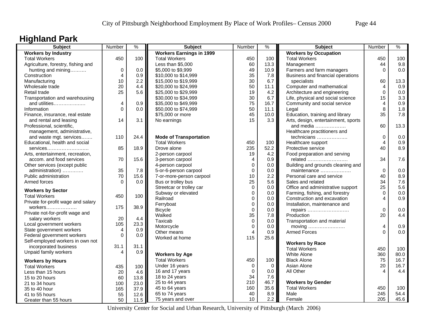# **Highland Park**

| <b>Subject</b>                                                 | Number        | $\frac{1}{2}$ | <b>Subject</b>                  | Number           | $\%$ | <b>Subject</b>                      | Number      | $\%$ |
|----------------------------------------------------------------|---------------|---------------|---------------------------------|------------------|------|-------------------------------------|-------------|------|
| <b>Workers by Industry</b>                                     |               |               | <b>Workers Earnings in 1999</b> |                  |      | <b>Workers by Occupation</b>        |             |      |
| <b>Total Workers</b>                                           | 450           | 100           | <b>Total Workers</b>            | 450              | 100  | <b>Total Workers</b>                | 450         | 100  |
| Agriculture, forestry, fishing and                             |               |               | Less than \$5,000               | 60               | 13.3 | Management                          | 44          | 9.8  |
| hunting and mining                                             | 0             | 0.0           | \$5,000 to \$9,999              | 49               | 10.9 | Farmers and farm managers           | $\Omega$    | 0.0  |
| Construction                                                   | 4             | 0.9           | \$10,000 to \$14,999            | 35               | 7.8  | Business and financial operations   |             |      |
| Manufacturing                                                  | 10            | 2.2           | \$15,000 to \$19,999            | 30               | 6.7  | specialists                         | 60          | 13.3 |
| Wholesale trade                                                | 20            | 4.4           | \$20,000 to \$24,999            | 50               | 11.1 | Computer and mathematical           | 4           | 0.9  |
| Retail trade                                                   | 25            | 5.6           | \$25,000 to \$29,999            | 19               | 4.2  | Architecture and engineering        | $\Omega$    | 0.0  |
| Transportation and warehousing                                 |               |               | \$30,000 to \$34,999            | 30               | 6.7  | Life, physical and social science   | 15          | 3.3  |
| and utilities                                                  | 4             | 0.9           | \$35,000 to \$49,999            | 75               | 16.7 | Community and social service        | 4           | 0.9  |
| Information                                                    | $\Omega$      | 0.0           | \$50,000 to \$74,999            | 50               | 11.1 | Legal                               | 8           | 1.8  |
| Finance, insurance, real estate                                |               |               | \$75,000 or more                | 45               | 10.0 | Education, training and library     | 35          | 7.8  |
| and rental and leasing                                         | 14            | 3.1           | No earnings                     | 15               | 3.3  | Arts, design, entertainment, sports |             |      |
| Professional, scientific,                                      |               |               |                                 |                  |      | and media                           | 60          | 13.3 |
| management, administrative,                                    |               |               |                                 |                  |      | Healthcare practitioners and        |             |      |
| and waste mgt. services                                        | 110           | 24.4          | <b>Mode of Transportation</b>   |                  |      | technicians                         | 0           | 0.0  |
| Educational, health and social                                 |               |               | <b>Total Workers</b>            | 450              | 100  | Healthcare support                  | 4           | 0.9  |
| services                                                       | 85            | 18.9          | Drove alone                     | 235              | 52.2 | Protective service                  | 40          | 8.9  |
| Arts, entertainment, recreation,                               |               |               | 2-person carpool                | 19               | 4.2  | Food preparation and serving        |             |      |
| accom. and food services                                       | 70            | 15.6          | 3-person carpool                | $\overline{4}$   | 0.9  | related                             | 34          | 7.6  |
| Other services (except public                                  |               |               | 4-person carpool                | $\mathbf 0$      | 0.0  | Building and grounds cleaning and   |             |      |
| administration)                                                | 35            | 7.8           | 5-or-6-person carpool           | $\boldsymbol{0}$ | 0.0  | maintenance                         | $\mathbf 0$ | 0.0  |
| Public administration                                          | 70            | 15.6          | 7-or-more-person carpool        | 10               | 2.2  | Personal care and service           | 40          | 8.9  |
| Armed forces                                                   | $\Omega$      | 0.0           | Bus or trolley bus              | 25               | 5.6  | Sales and related                   | 34          | 7.6  |
| <b>Workers by Sector</b>                                       |               |               | Streetcar or trolley car        | $\Omega$         | 0.0  | Office and administrative support   | 25          | 5.6  |
| <b>Total Workers</b>                                           | 450           | 100           | Subway or elevated              | $\mathbf 0$      | 0.0  | Farming, fishing, and forestry      | $\Omega$    | 0.0  |
|                                                                |               |               | Railroad                        | $\mathbf 0$      | 0.0  | Construction and excavation         | 4           | 0.9  |
| Private for-profit wage and salary                             | 175           | 38.9          | Ferryboat                       | $\mathbf 0$      | 0.0  | Installation, maintenance and       |             |      |
|                                                                |               |               | <b>Bicycle</b>                  | $\mathbf 0$      | 0.0  | repairs                             | $\Omega$    | 0.0  |
| Private not-for-profit wage and                                | 20            | 4.4           | Walked                          | 35               | 7.8  | Production                          | 20          | 4.4  |
| salary workers                                                 | 105           |               | Taxicab                         | $\mathbf 0$      | 0.0  | Transportation and material         |             |      |
| Local government workers<br>State government workers           |               | 23.3<br>0.9   | Motorcycle                      | $\mathbf 0$      | 0.0  | moving                              | 4           | 0.9  |
|                                                                | 4<br>$\Omega$ | 0.0           | Other means                     | 4                | 0.9  | <b>Armed Forces</b>                 | $\Omega$    | 0.0  |
| Federal government workers<br>Self-employed workers in own not |               |               | Worked at home                  | 115              | 25.6 |                                     |             |      |
|                                                                | 31.1          | 31.1          |                                 |                  |      | <b>Workers by Race</b>              |             |      |
| incorporated business                                          |               |               |                                 |                  |      | <b>Total Workers</b>                | 450         | 100  |
| Unpaid family workers                                          | 4             | 0.9           | <b>Workers by Age</b>           |                  |      | <b>White Alone</b>                  | 360         | 80.0 |
| <b>Workers by Hours</b>                                        |               |               | <b>Total Workers</b>            | 450              | 100  | <b>Black Alone</b>                  | 75          | 16.7 |
| <b>Total Workers</b>                                           | 435           | 100           | Under 16 years                  | $\mathbf 0$      | 0    | Asian Alone                         | 20          | 16.7 |
| Less than 15 hours                                             | 20            | 4.6           | 16 and 17 years                 | $\mathbf 0$      | 0.0  | All Other                           | 4           | 4.4  |
| 15 to 20 hours                                                 | 60            | 13.8          | 18 to 24 years                  | 34               | 7.6  |                                     |             |      |
| 21 to 34 hours                                                 | 100           | 23.0          | 25 to 44 years                  | 210              | 46.7 | <b>Workers by Gender</b>            |             |      |
| 35 to 40 hour                                                  | 165           | 37.9          | 45 to 64 years                  | 160              | 35.6 | <b>Total Workers</b>                | 450         | 100  |
| 41 to 55 hours                                                 | 55            | 12.6          | 65 to 74 years                  | 40               | 8.9  | Male                                | 245         | 54.4 |
| Greater than 55 hours                                          | 50            | 11.5          | 75 years and over               | 10 <sup>1</sup>  | 2.2  | Female                              | 205         | 45.6 |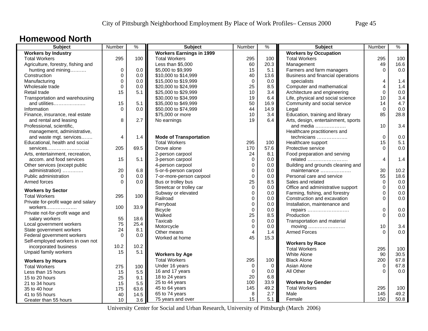### **Homewood North**

| <b>Subject</b>                     | Number    | $\frac{9}{6}$ | <b>Subject</b>                                 | Number         | $\%$ | <b>Subject</b>                      | Number         | $\%$ |
|------------------------------------|-----------|---------------|------------------------------------------------|----------------|------|-------------------------------------|----------------|------|
| <b>Workers by Industry</b>         |           |               | <b>Workers Earnings in 1999</b>                |                |      | <b>Workers by Occupation</b>        |                |      |
| <b>Total Workers</b>               | 295       | 100           | <b>Total Workers</b>                           | 295            | 100  | <b>Total Workers</b>                | 295            | 100  |
| Agriculture, forestry, fishing and |           |               | Less than \$5,000                              | 60             | 20.3 | Management                          | 49             | 16.6 |
| hunting and mining                 | $\pmb{0}$ | 0.0           | \$5,000 to \$9,999                             | 15             | 5.1  | Farmers and farm managers           | $\Omega$       | 0.0  |
| Construction                       | 0         | 0.0           | \$10,000 to \$14,999                           | 40             | 13.6 | Business and financial operations   |                |      |
| Manufacturing                      | $\Omega$  | 0.0           | \$15,000 to \$19,999                           | $\mathbf 0$    | 0.0  | specialists                         | 4              | 1.4  |
| Wholesale trade                    | $\Omega$  | 0.0           | \$20,000 to \$24,999                           | 25             | 8.5  | Computer and mathematical           | $\overline{4}$ | 1.4  |
| Retail trade                       | 15        | 5.1           | \$25,000 to \$29,999                           | 10             | 3.4  | Architecture and engineering        | $\overline{0}$ | 0.0  |
| Transportation and warehousing     |           |               | \$30,000 to \$34,999                           | 19             | 6.4  | Life, physical and social science   | 10             | 3.4  |
| and utilities                      | 15        | 5.1           | \$35,000 to \$49,999                           | 50             | 16.9 | Community and social service        | 14             | 4.7  |
| Information                        | $\Omega$  | 0.0           | \$50,000 to \$74,999                           | 44             | 14.9 | Legal                               | $\Omega$       | 0.0  |
| Finance, insurance, real estate    |           |               | \$75,000 or more                               | 10             | 3.4  | Education, training and library     | 85             | 28.8 |
| and rental and leasing             | 8         | 2.7           | No earnings                                    | 19             | 6.4  | Arts, design, entertainment, sports |                |      |
| Professional, scientific,          |           |               |                                                |                |      | and media                           | 10             | 3.4  |
| management, administrative,        |           |               |                                                |                |      | Healthcare practitioners and        |                |      |
| and waste mgt. services            | 4         | 1.4           | <b>Mode of Transportation</b>                  |                |      | technicians                         | $\mathbf 0$    | 0.0  |
| Educational, health and social     |           |               | <b>Total Workers</b>                           | 295            | 100  | Healthcare support                  | 15             | 5.1  |
| services                           | 205       | 69.5          | Drove alone                                    | 170            | 57.6 | Protective service                  | $\Omega$       | 0.0  |
| Arts, entertainment, recreation,   |           |               | 2-person carpool                               | 24             | 8.1  | Food preparation and serving        |                |      |
| accom. and food services           | 15        | 5.1           | 3-person carpool                               | 0              | 0.0  | related                             | 4              | 1.4  |
| Other services (except public      |           |               | 4-person carpool                               | $\mathbf 0$    | 0.0  | Building and grounds cleaning and   |                |      |
| administration)                    | 20        | 6.8           | 5-or-6-person carpool                          | $\mathbf 0$    | 0.0  | maintenance                         | 30             | 10.2 |
| Public administration              | $\Omega$  | 0.0           |                                                | $\mathbf 0$    | 0.0  | Personal care and service           | 55             | 18.6 |
| Armed forces                       | $\Omega$  | 0.0           | 7-or-more-person carpool<br>Bus or trolley bus | 25             | 8.5  | Sales and related                   | $\Omega$       | 0.0  |
|                                    |           |               |                                                | $\Omega$       |      |                                     | $\Omega$       | 0.0  |
| <b>Workers by Sector</b>           |           |               | Streetcar or trolley car                       |                | 0.0  | Office and administrative support   |                |      |
| <b>Total Workers</b>               | 295       | 100           | Subway or elevated                             | $\mathbf 0$    | 0.0  | Farming, fishing, and forestry      | 0<br>$\Omega$  | 0.0  |
| Private for-profit wage and salary |           |               | Railroad                                       | $\mathbf 0$    | 0.0  | Construction and excavation         |                | 0.0  |
| workers                            | 100       | 33.9          | Ferryboat                                      | $\mathbf 0$    | 0.0  | Installation, maintenance and       |                |      |
| Private not-for-profit wage and    |           |               | <b>Bicycle</b>                                 | $\mathbf 0$    | 0.0  | repairs                             | 0              | 0.0  |
| salary workers                     | 55        | 18.6          | Walked                                         | 25             | 8.5  | Production                          | $\Omega$       | 0.0  |
| Local government workers           | 75        | 25.4          | Taxicab                                        | $\mathbf 0$    | 0.0  | Transportation and material         |                |      |
| State government workers           | 24        | 8.1           | Motorcycle                                     | $\mathbf 0$    | 0.0  |                                     | 10             | 3.4  |
| Federal government workers         | $\Omega$  | 0.0           | Other means                                    | $\overline{4}$ | 1.4  | <b>Armed Forces</b>                 | $\Omega$       | 0.0  |
| Self-employed workers in own not   |           |               | Worked at home                                 | 45             | 15.3 |                                     |                |      |
| incorporated business              | 10.2      | 10.2          |                                                |                |      | <b>Workers by Race</b>              |                |      |
| Unpaid family workers              | 15        | 5.1           |                                                |                |      | <b>Total Workers</b>                | 295            | 100  |
|                                    |           |               | <b>Workers by Age</b>                          |                |      | <b>White Alone</b>                  | 90             | 30.5 |
| <b>Workers by Hours</b>            |           |               | <b>Total Workers</b>                           | 295            | 100  | <b>Black Alone</b>                  | 200            | 67.8 |
| <b>Total Workers</b>               | 275       | 100           | Under 16 years                                 | 0              | 0    | Asian Alone                         | 0              | 67.8 |
| Less than 15 hours                 | 15        | 5.5           | 16 and 17 years                                | $\mathbf 0$    | 0.0  | All Other                           | $\Omega$       | 0.0  |
| 15 to 20 hours                     | 25        | 9.1           | 18 to 24 years                                 | 20             | 6.8  |                                     |                |      |
| 21 to 34 hours                     | 15        | 5.5           | 25 to 44 years                                 | 100            | 33.9 | <b>Workers by Gender</b>            |                |      |
| 35 to 40 hour                      | 175       | 63.6          | 45 to 64 years                                 | 145            | 49.2 | <b>Total Workers</b>                | 295            | 100  |
| 41 to 55 hours                     | 40        | 14.5          | 65 to 74 years                                 | 8              | 2.7  | Male                                | 145            | 49.2 |
| Greater than 55 hours              | 10        | 3.6           | 75 years and over                              | 15             | 5.1  | Female                              | 150            | 50.8 |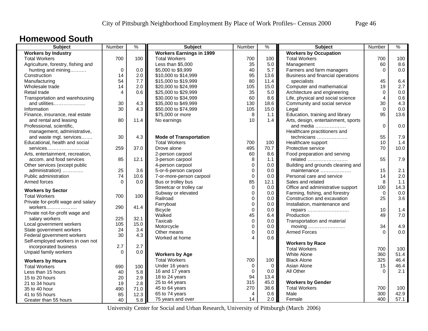### **Homewood South**

| Subject                            | Number      | $\frac{9}{6}$ | <b>Subject</b>                  | Number      | $\%$        | Subject                                                             | Number      | $\%$ |
|------------------------------------|-------------|---------------|---------------------------------|-------------|-------------|---------------------------------------------------------------------|-------------|------|
| <b>Workers by Industry</b>         |             |               | <b>Workers Earnings in 1999</b> |             |             | <b>Workers by Occupation</b>                                        |             |      |
| <b>Total Workers</b>               | 700         | 100           | <b>Total Workers</b>            | 700         | 100         | <b>Total Workers</b>                                                | 700         | 100  |
| Agriculture, forestry, fishing and |             |               | Less than \$5,000               | 35          | 5.0         | Management                                                          | 60          | 8.6  |
| hunting and mining                 | $\mathbf 0$ | 0.0           | \$5,000 to \$9,999              | 40          | 5.7         | Farmers and farm managers                                           | $\Omega$    | 0.0  |
| Construction                       | 14          | 2.0           | \$10,000 to \$14,999            | 95          | 13.6        | Business and financial operations                                   |             |      |
| Manufacturing                      | 54          | 7.7           | \$15,000 to \$19,999            | 80          | 11.4        | specialists                                                         | 45          | 6.4  |
| Wholesale trade                    | 14          | 2.0           | \$20,000 to \$24,999            | 105         | 15.0        | Computer and mathematical                                           | 19          | 2.7  |
| Retail trade                       | 4           | 0.6           | \$25,000 to \$29,999            | 35          | 5.0         | Architecture and engineering                                        | $\mathbf 0$ | 0.0  |
| Transportation and warehousing     |             |               | \$30,000 to \$34,999            | 60          | 8.6         | Life, physical and social science                                   | 4           | 0.6  |
| and utilities                      | 30          | 4.3           | \$35,000 to \$49,999            | 130         | 18.6        | Community and social service                                        | 30          | 4.3  |
| Information                        | 30          | 4.3           | \$50,000 to \$74,999            | 105         | 15.0        | Legal                                                               | $\Omega$    | 0.0  |
| Finance, insurance, real estate    |             |               | \$75,000 or more                | 8           | 1.1         | Education, training and library                                     | 95          | 13.6 |
| and rental and leasing             | 80          | 11.4          | No earnings                     | 10          | 1.4         | Arts, design, entertainment, sports                                 |             |      |
| Professional, scientific,          |             |               |                                 |             |             | and media                                                           | $\Omega$    | 0.0  |
| management, administrative,        |             |               |                                 |             |             | Healthcare practitioners and                                        |             |      |
| and waste mgt. services            | 30          | 4.3           | <b>Mode of Transportation</b>   |             |             | technicians                                                         | 55          | 7.9  |
| Educational, health and social     |             |               | <b>Total Workers</b>            | 700         | 100         | Healthcare support                                                  | 10          | 1.4  |
| services                           | 259         | 37.0          | Drove alone                     | 495         | 70.7        | Protective service                                                  | 70          | 10.0 |
| Arts, entertainment, recreation,   |             |               | 2-person carpool                | 60          | 8.6         | Food preparation and serving                                        |             |      |
| accom. and food services           | 85          | 12.1          | 3-person carpool                | 8           | 1.1         | related                                                             | 55          | 7.9  |
| Other services (except public      |             |               | 4-person carpool                | $\mathbf 0$ | 0.0         | Building and grounds cleaning and                                   |             |      |
| administration)                    | 25          | 3.6           | 5-or-6-person carpool           | $\mathbf 0$ | 0.0         | maintenance                                                         | 15          | 2.1  |
| Public administration              | 74          | 10.6          | 7-or-more-person carpool        | $\pmb{0}$   | 0.0         | Personal care and service                                           | 14          | 2.0  |
| Armed forces                       | $\Omega$    | 0.0           | Bus or trolley bus              | 85          | 12.1        | Sales and related                                                   | 8           | 1.1  |
|                                    |             |               | Streetcar or trolley car        | $\Omega$    | 0.0         | Office and administrative support                                   | 100         | 14.3 |
| <b>Workers by Sector</b>           |             |               | Subway or elevated              | $\mathbf 0$ | 0.0         | Farming, fishing, and forestry                                      | $\Omega$    | 0.0  |
| <b>Total Workers</b>               | 700         | 100           | Railroad                        | $\mathbf 0$ | 0.0         | Construction and excavation                                         | 25          | 3.6  |
| Private for-profit wage and salary |             |               | Ferryboat                       | $\mathbf 0$ | 0.0         | Installation, maintenance and                                       |             |      |
| workers                            | 290         | 41.4          | <b>Bicycle</b>                  | $\Omega$    | $0.0\,$     |                                                                     | 10          | 1.4  |
| Private not-for-profit wage and    |             |               | Walked                          | 45          | 6.4         | repairs<br>Production                                               | 49          | 7.0  |
| salary workers                     | 225         | 32.1          | Taxicab                         | $\mathbf 0$ | 0.0         |                                                                     |             |      |
| Local government workers           | 105         | 15.0          | Motorcycle                      | $\mathbf 0$ | 0.0         | Transportation and material                                         | 34          | 4.9  |
| State government workers           | 24          | 3.4           |                                 | $\Omega$    |             | moving $\dots\dots\dots\dots\dots\dots\dots$<br><b>Armed Forces</b> | $\Omega$    | 0.0  |
| Federal government workers         | 30          | 4.3           | Other means                     | Δ           | 0.0<br>0.6  |                                                                     |             |      |
| Self-employed workers in own not   |             |               | Worked at home                  |             |             |                                                                     |             |      |
| incorporated business              | 2.7         | 2.7           |                                 |             |             | <b>Workers by Race</b>                                              |             |      |
| Unpaid family workers              | $\Omega$    | 0.0           |                                 |             |             | <b>Total Workers</b>                                                | 700         | 100  |
|                                    |             |               | <b>Workers by Age</b>           |             |             | White Alone                                                         | 360         | 51.4 |
| <b>Workers by Hours</b>            |             |               | <b>Total Workers</b>            | 700         | 100         | <b>Black Alone</b>                                                  | 325         | 46.4 |
| <b>Total Workers</b>               | 690         | 100           | Under 16 years                  | 0           | $\mathbf 0$ | Asian Alone                                                         | 15          | 46.4 |
| Less than 15 hours                 | 40          | 5.8           | 16 and 17 years                 | $\Omega$    | 0.0         | All Other                                                           | $\Omega$    | 2.1  |
| 15 to 20 hours                     | 20          | 2.9           | 18 to 24 years                  | 94          | 13.4        |                                                                     |             |      |
| 21 to 34 hours                     | 19          | 2.8           | 25 to 44 years                  | 315         | 45.0        | <b>Workers by Gender</b>                                            |             |      |
| 35 to 40 hour                      | 490         | 71.0          | 45 to 64 years                  | 270         | 38.6        | <b>Total Workers</b>                                                | 700         | 100  |
| 41 to 55 hours                     | 85          | 12.3          | 65 to 74 years                  | 4           | 0.6         | Male                                                                | 300         | 42.9 |
| Greater than 55 hours              | 40          | 5.8           | 75 years and over               | 14          | 2.0         | Female                                                              | 400         | 57.1 |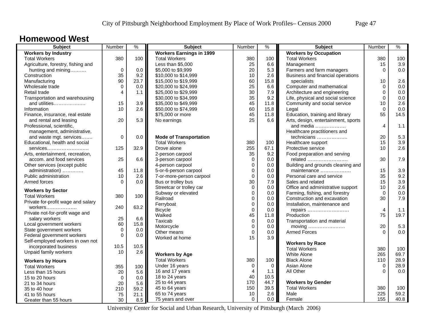### **Homewood West**

| Subject                            | Number      | $\frac{9}{6}$ | <b>Subject</b>                  | Number         | %        | <b>Subject</b>                      | Number                  | $\frac{9}{6}$ |
|------------------------------------|-------------|---------------|---------------------------------|----------------|----------|-------------------------------------|-------------------------|---------------|
| <b>Workers by Industry</b>         |             |               | <b>Workers Earnings in 1999</b> |                |          | <b>Workers by Occupation</b>        |                         |               |
| <b>Total Workers</b>               | 380         | 100           | <b>Total Workers</b>            | 380            | 100      | <b>Total Workers</b>                | 380                     | 100           |
| Agriculture, forestry, fishing and |             |               | Less than \$5,000               | 25             | 6.6      | Management                          | 15                      | 3.9           |
| hunting and mining                 | $\mathbf 0$ | 0.0           | \$5,000 to \$9,999              | 20             | 5.3      | Farmers and farm managers           | $\Omega$                | 0.0           |
| Construction                       | 35          | 9.2           | \$10,000 to \$14,999            | 10             | 2.6      | Business and financial operations   |                         |               |
| Manufacturing                      | 90          | 23.7          | \$15,000 to \$19,999            | 60             | 15.8     | specialists                         | 10                      | 2.6           |
| Wholesale trade                    | $\Omega$    | 0.0           | \$20,000 to \$24,999            | 25             | 6.6      | Computer and mathematical           | $\Omega$                | 0.0           |
| Retail trade                       | 4           | 1.1           | \$25,000 to \$29,999            | 30             | 7.9      | Architecture and engineering        | 0                       | 0.0           |
| Transportation and warehousing     |             |               | \$30,000 to \$34,999            | 35             | 9.2      | Life, physical and social science   | $\Omega$                | 0.0           |
| and utilities                      | 15          | 3.9           | \$35,000 to \$49,999            | 45             | 11.8     | Community and social service        | 10                      | 2.6           |
| Information                        | 10          | 2.6           | \$50,000 to \$74,999            | 60             | 15.8     | Legal                               | $\Omega$                | 0.0           |
| Finance, insurance, real estate    |             |               | \$75,000 or more                | 45             | 11.8     | Education, training and library     | 55                      | 14.5          |
| and rental and leasing             | 20          | 5.3           | No earnings                     | 25             | 6.6      | Arts, design, entertainment, sports |                         |               |
| Professional, scientific,          |             |               |                                 |                |          | and media                           | $\overline{\mathbf{4}}$ | 1.1           |
| management, administrative,        |             |               |                                 |                |          | Healthcare practitioners and        |                         |               |
| and waste mgt. services            | $\mathbf 0$ | 0.0           | <b>Mode of Transportation</b>   |                |          | technicians                         | 20                      | 5.3           |
| Educational, health and social     |             |               | <b>Total Workers</b>            | 380            | 100      | Healthcare support                  | 15                      | 3.9           |
| services                           | 125         | 32.9          | Drove alone                     | 255            | 67.1     | Protective service                  | 10 <sup>°</sup>         | 2.6           |
| Arts, entertainment, recreation,   |             |               | 2-person carpool                | 35             | 9.2      | Food preparation and serving        |                         |               |
| accom. and food services           | 25          | 6.6           | 3-person carpool                | $\mathbf 0$    | 0.0      | related                             | 30                      | 7.9           |
| Other services (except public      |             |               | 4-person carpool                | $\mathbf 0$    | 0.0      | Building and grounds cleaning and   |                         |               |
| administration)                    | 45          | 11.8          | 5-or-6-person carpool           | $\mathbf 0$    | 0.0      | maintenance                         | 15                      | 3.9           |
| Public administration              | 10          | 2.6           | 7-or-more-person carpool        | $\mathbf 0$    | 0.0      | Personal care and service           | 35                      | 9.2           |
| Armed forces                       | $\Omega$    | 0.0           | Bus or trolley bus              | 30             | 7.9      | Sales and related                   | 15                      | 3.9           |
|                                    |             |               | Streetcar or trolley car        | $\Omega$       | 0.0      | Office and administrative support   | 10                      | 2.6           |
| <b>Workers by Sector</b>           |             |               | Subway or elevated              | $\mathbf 0$    | 0.0      | Farming, fishing, and forestry      | $\Omega$                | 0.0           |
| <b>Total Workers</b>               | 380         | 100           | Railroad                        | $\mathbf 0$    | 0.0      | Construction and excavation         | 30                      | 7.9           |
| Private for-profit wage and salary |             |               | Ferryboat                       | $\mathbf 0$    | 0.0      | Installation, maintenance and       |                         |               |
| workers                            | 240         | 63.2          | <b>Bicycle</b>                  | $\mathbf 0$    | 0.0      | repairs                             | $\overline{4}$          | 1.1           |
| Private not-for-profit wage and    |             |               | Walked                          | 45             | 11.8     | Production                          | 75                      | 19.7          |
| salary workers                     | 25          | 6.6           | Taxicab                         | $\pmb{0}$      | 0.0      | Transportation and material         |                         |               |
| Local government workers           | 60          | 15.8          | Motorcycle                      | $\mathbf 0$    | 0.0      | moving                              | 20                      | 5.3           |
| State government workers           | 0           | 0.0           | Other means                     | $\mathbf 0$    | 0.0      | <b>Armed Forces</b>                 | $\Omega$                | 0.0           |
| Federal government workers         | 0           | 0.0           | Worked at home                  | 15             | 3.9      |                                     |                         |               |
| Self-employed workers in own not   |             |               |                                 |                |          | <b>Workers by Race</b>              |                         |               |
| incorporated business              | 10.5        | 10.5          |                                 |                |          | <b>Total Workers</b>                | 380                     | 100           |
| Unpaid family workers              | 10          | 2.6           | <b>Workers by Age</b>           |                |          | White Alone                         | 265                     | 69.7          |
|                                    |             |               | <b>Total Workers</b>            | 380            | 100      | <b>Black Alone</b>                  | 110                     | 28.9          |
| <b>Workers by Hours</b>            |             |               | Under 16 years                  | $\Omega$       | $\Omega$ | Asian Alone                         | $\Omega$                | 28.9          |
| <b>Total Workers</b>               | 355         | 100           | 16 and 17 years                 | $\overline{4}$ | 1.1      | All Other                           | $\Omega$                | 0.0           |
| Less than 15 hours                 | 20          | 5.6           | 18 to 24 years                  | 40             | 10.5     |                                     |                         |               |
| 15 to 20 hours                     | $\Omega$    | 0.0           | 25 to 44 years                  | 170            | 44.7     | <b>Workers by Gender</b>            |                         |               |
| 21 to 34 hours                     | 20          | 5.6           | 45 to 64 years                  | 150            | 39.5     | <b>Total Workers</b>                | 380                     | 100           |
| 35 to 40 hour                      | 210         | 59.2          | 65 to 74 years                  | 10             | 2.6      | Male                                | 225                     | 59.2          |
| 41 to 55 hours                     | 75          | 21.1          |                                 | $\mathbf 0$    | 0.0      | Female                              | 155                     | 40.8          |
| Greater than 55 hours              | 30          | 8.5           | 75 years and over               |                |          |                                     |                         |               |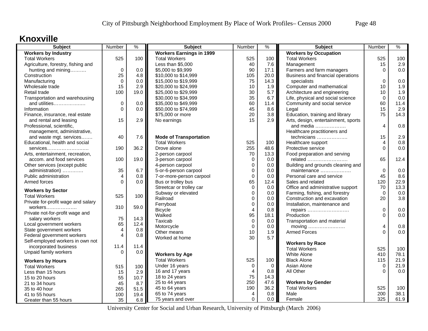### **Knoxville**

| <b>Subject</b>                                       | Number                  | $\frac{9}{6}$ | <b>Subject</b>                  | Number      | %           | <b>Subject</b>                      | Number      | $\%$ |
|------------------------------------------------------|-------------------------|---------------|---------------------------------|-------------|-------------|-------------------------------------|-------------|------|
| <b>Workers by Industry</b>                           |                         |               | <b>Workers Earnings in 1999</b> |             |             | <b>Workers by Occupation</b>        |             |      |
| <b>Total Workers</b>                                 | 525                     | 100           | <b>Total Workers</b>            | 525         | 100         | <b>Total Workers</b>                | 525         | 100  |
| Agriculture, forestry, fishing and                   |                         |               | Less than \$5,000               | 40          | $7.6\,$     | Management                          | 15          | 2.9  |
| hunting and mining                                   | $\mathbf 0$             | 0.0           | \$5,000 to \$9,999              | 90          | 17.1        | Farmers and farm managers           | $\Omega$    | 0.0  |
| Construction                                         | 25                      | 4.8           | \$10,000 to \$14,999            | 105         | 20.0        | Business and financial operations   |             |      |
| Manufacturing                                        | $\Omega$                | 0.0           | \$15,000 to \$19,999            | 75          | 14.3        | specialists                         | $\Omega$    | 0.0  |
| Wholesale trade                                      | 15                      | 2.9           | \$20,000 to \$24,999            | 10          | 1.9         | Computer and mathematical           | 10          | 1.9  |
| Retail trade                                         | 100                     | 19.0          | \$25,000 to \$29,999            | 30          | 5.7         | Architecture and engineering        | 10          | 1.9  |
| Transportation and warehousing                       |                         |               | \$30,000 to \$34,999            | 35          | 6.7         | Life, physical and social science   | $\mathbf 0$ | 0.0  |
| and utilities                                        | 0                       | 0.0           | \$35,000 to \$49,999            | 60          | 11.4        | Community and social service        | 60          | 11.4 |
| Information                                          | $\overline{0}$          | 0.0           | \$50,000 to \$74,999            | 45          | 8.6         | Legal                               | 15          | 2.9  |
| Finance, insurance, real estate                      |                         |               | \$75,000 or more                | 20          | 3.8         | Education, training and library     | 75          | 14.3 |
| and rental and leasing                               | 15                      | 2.9           | No earnings                     | 15          | 2.9         | Arts, design, entertainment, sports |             |      |
| Professional, scientific,                            |                         |               |                                 |             |             | and media                           | 4           | 0.8  |
| management, administrative,                          |                         |               |                                 |             |             | Healthcare practitioners and        |             |      |
| and waste mgt. services                              | 40                      | 7.6           | <b>Mode of Transportation</b>   |             |             | technicians                         | 15          | 2.9  |
| Educational, health and social                       |                         |               | <b>Total Workers</b>            | 525         | 100         | Healthcare support                  | 4           | 0.8  |
| services                                             | 190                     | 36.2          | Drove alone                     | 255         | 48.6        | Protective service                  | $\Omega$    | 0.0  |
| Arts, entertainment, recreation,                     |                         |               | 2-person carpool                | 70          | 13.3        | Food preparation and serving        |             |      |
| accom. and food services                             | 100                     | 19.0          | 3-person carpool                | $\mathbf 0$ | 0.0         | related                             | 65          | 12.4 |
| Other services (except public                        |                         |               | 4-person carpool                | $\mathbf 0$ | 0.0         | Building and grounds cleaning and   |             |      |
| administration)                                      | 35                      | 6.7           | 5-or-6-person carpool           | $\mathbf 0$ | 0.0         | maintenance                         | $\mathbf 0$ | 0.0  |
| Public administration                                | 4                       | 0.8           | 7-or-more-person carpool        | $\pmb{0}$   | 0.0         | Personal care and service           | 45          | 8.6  |
| Armed forces                                         | $\Omega$                | 0.0           | Bus or trolley bus              | 65          | 12.4        | Sales and related                   | 120         | 22.9 |
| <b>Workers by Sector</b>                             |                         |               | Streetcar or trolley car        | $\mathbf 0$ | 0.0         | Office and administrative support   | 70          | 13.3 |
| <b>Total Workers</b>                                 | 525                     | 100           | Subway or elevated              | $\mathbf 0$ | 0.0         | Farming, fishing, and forestry      | $\Omega$    | 0.0  |
| Private for-profit wage and salary                   |                         |               | Railroad                        | $\mathbf 0$ | 0.0         | Construction and excavation         | 20          | 3.8  |
| workers                                              | 310                     | 59.0          | Ferryboat                       | $\pmb{0}$   | 0.0         | Installation, maintenance and       |             |      |
| Private not-for-profit wage and                      |                         |               | <b>Bicycle</b>                  | 4           | 0.8         | repairs                             | $\Omega$    | 0.0  |
| salary workers                                       | 75                      | 14.3          | Walked                          | 95          | 18.1        | Production                          | $\Omega$    | 0.0  |
|                                                      | 65                      | 12.4          | Taxicab                         | $\mathbf 0$ | 0.0         | Transportation and material         |             |      |
| Local government workers<br>State government workers | $\overline{4}$          | 0.8           | Motorcycle                      | $\mathbf 0$ | 0.0         |                                     | 4           | 0.8  |
| Federal government workers                           | $\overline{\mathbf{4}}$ | 0.8           | Other means                     | 10          | 1.9         | <b>Armed Forces</b>                 | $\Omega$    | 0.0  |
| Self-employed workers in own not                     |                         |               | Worked at home                  | 30          | 5.7         |                                     |             |      |
| incorporated business                                | 11.4                    | 11.4          |                                 |             |             | <b>Workers by Race</b>              |             |      |
| Unpaid family workers                                | $\Omega$                | 0.0           |                                 |             |             | <b>Total Workers</b>                | 525         | 100  |
|                                                      |                         |               | <b>Workers by Age</b>           |             |             | White Alone                         | 410         | 78.1 |
| <b>Workers by Hours</b>                              |                         |               | <b>Total Workers</b>            | 525         | 100         | <b>Black Alone</b>                  | 115         | 21.9 |
| <b>Total Workers</b>                                 | 515                     | 100           | Under 16 years                  | 0           | $\mathbf 0$ | Asian Alone                         | $\mathbf 0$ | 21.9 |
| Less than 15 hours                                   | 15                      | 2.9           | 16 and 17 years                 | 4           | 0.8         | All Other                           | $\Omega$    | 0.0  |
| 15 to 20 hours                                       | 55                      | 10.7          | 18 to 24 years                  | 75          | 14.3        |                                     |             |      |
| 21 to 34 hours                                       | 45                      | 8.7           | 25 to 44 years                  | 250         | 47.6        | <b>Workers by Gender</b>            |             |      |
| 35 to 40 hour                                        | 265                     | 51.5          | 45 to 64 years                  | 190         | 36.2        | <b>Total Workers</b>                | 525         | 100  |
| 41 to 55 hours                                       | 100                     | 19.4          | 65 to 74 years                  | 4           | 0.8         | Male                                | 200         | 38.1 |
| Greater than 55 hours                                | 35                      | 6.8           | 75 years and over               | $\Omega$    | 0.0         | Female                              | 325         | 61.9 |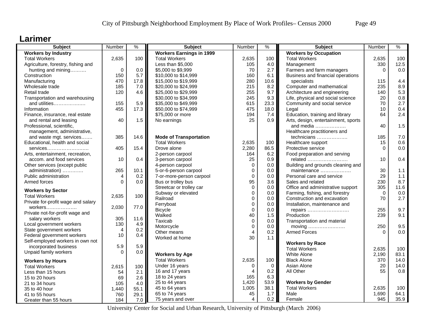#### **Larimer**

| <b>Subject</b>                     | Number         | $\%$ | <b>Subject</b>                                | Number         | $\%$     | <b>Subject</b>                      | Number       | $\%$        |
|------------------------------------|----------------|------|-----------------------------------------------|----------------|----------|-------------------------------------|--------------|-------------|
| <b>Workers by Industry</b>         |                |      | <b>Workers Earnings in 1999</b>               |                |          | <b>Workers by Occupation</b>        |              |             |
| <b>Total Workers</b>               | 2,635          | 100  | <b>Total Workers</b>                          | 2,635          | 100      | <b>Total Workers</b>                | 2,635        | 100         |
| Agriculture, forestry, fishing and |                |      | Less than \$5,000                             | 105            | 4.0      | Management                          | 330          | 12.5        |
| hunting and mining                 | $\mathbf 0$    | 0.0  | \$5,000 to \$9,999                            | 70             | 2.7      | Farmers and farm managers           | $\Omega$     | 0.0         |
| Construction                       | 150            | 5.7  | \$10,000 to \$14,999                          | 160            | 6.1      | Business and financial operations   |              |             |
| Manufacturing                      | 470            | 17.8 | \$15,000 to \$19,999                          | 280            | 10.6     | specialists                         | 115          | 4.4         |
| Wholesale trade                    | 185            | 7.0  | \$20,000 to \$24,999                          | 215            | 8.2      | Computer and mathematical           | 235          | 8.9         |
| Retail trade                       | 120            | 4.6  | \$25,000 to \$29,999                          | 255            | 9.7      | Architecture and engineering        | 140          | 5.3         |
| Transportation and warehousing     |                |      | \$30,000 to \$34,999                          | 245            | 9.3      | Life, physical and social science   | 20           | $0.8\,$     |
| and utilities                      | 155            | 5.9  | \$35,000 to \$49,999                          | 615            | 23.3     | Community and social service        | 70           | 2.7         |
| Information                        | 455            | 17.3 | \$50,000 to \$74,999                          | 475            | 18.0     | Legal                               | 10           | 0.4         |
| Finance, insurance, real estate    |                |      | \$75,000 or more                              | 194            | 7.4      | Education, training and library     | 64           | 2.4         |
| and rental and leasing             | 40             | 1.5  | No earnings                                   | 25             | 0.9      | Arts, design, entertainment, sports |              |             |
| Professional, scientific,          |                |      |                                               |                |          | and media                           | 40           | 1.5         |
| management, administrative,        |                |      |                                               |                |          | Healthcare practitioners and        |              |             |
| and waste mgt. services            | 385            | 14.6 | <b>Mode of Transportation</b>                 |                |          | technicians                         | 185          | 7.0         |
| Educational, health and social     |                |      | <b>Total Workers</b>                          | 2,635          | 100      | Healthcare support                  | 15           | 0.6         |
| $s$ ervices                        | 405            | 15.4 | Drove alone                                   | 2,280          | 86.5     | Protective service                  | $\Omega$     | 0.0         |
| Arts, entertainment, recreation,   |                |      | 2-person carpool                              | 164            | 6.2      | Food preparation and serving        |              |             |
| accom. and food services           | 10             | 0.4  | 3-person carpool                              | 25             | 0.9      | related                             | 10           | 0.4         |
| Other services (except public      |                |      | 4-person carpool                              | $\mathbf 0$    | 0.0      | Building and grounds cleaning and   |              |             |
| administration)                    | 265            | 10.1 | 5-or-6-person carpool                         | $\mathbf{0}$   | 0.0      | maintenance                         | 30           | 1.1         |
| Public administration              | 4              | 0.2  | 7-or-more-person carpool                      | $\Omega$       | 0.0      | Personal care and service           | 29           | 1.1         |
| Armed forces                       | $\Omega$       | 0.0  | Bus or trolley bus                            | 95             | 3.6      | Sales and related                   | 230          | 8.7         |
|                                    |                |      | Streetcar or trolley car                      | $\Omega$       | 0.0      | Office and administrative support   | 305          | 11.6        |
| <b>Workers by Sector</b>           |                |      | Subway or elevated                            | $\mathbf 0$    | 0.0      | Farming, fishing, and forestry      | $\Omega$     | 0.0         |
| <b>Total Workers</b>               | 2,635          | 100  | Railroad                                      | $\mathbf 0$    | 0.0      | Construction and excavation         | 70           | 2.7         |
| Private for-profit wage and salary |                |      | Ferryboat                                     | $\mathbf 0$    | 0.0      | Installation, maintenance and       |              |             |
| $workers$                          | 2,030          | 77.0 | <b>Bicycle</b>                                | $\Omega$       | $0.0\,$  | repairs                             | 255          | 9.7         |
| Private not-for-profit wage and    |                |      | Walked                                        | 40             | 1.5      | Production                          | 239          | 9.1         |
| salary workers                     | 305            | 11.6 | Taxicab                                       | $\mathsf 0$    | 0.0      | Transportation and material         |              |             |
| Local government workers           | 130            | 4.9  | Motorcycle                                    | $\Omega$       | 0.0      | moving                              | 250          | 9.5         |
| State government workers           | $\overline{4}$ | 0.2  | Other means                                   | $\overline{4}$ | 0.2      | <b>Armed Forces</b>                 | $\Omega$     | 0.0         |
| Federal government workers         | 10             | 0.4  | Worked at home                                | 30             | 1.1      |                                     |              |             |
| Self-employed workers in own not   |                |      |                                               |                |          | <b>Workers by Race</b>              |              |             |
| incorporated business              | 5.9            | 5.9  |                                               |                |          | <b>Total Workers</b>                | 2,635        | 100         |
| Unpaid family workers              | $\Omega$       | 0.0  |                                               |                |          | <b>White Alone</b>                  |              | 83.1        |
|                                    |                |      | <b>Workers by Age</b><br><b>Total Workers</b> | 2,635          | 100      | <b>Black Alone</b>                  | 2,190<br>370 | 14.0        |
| <b>Workers by Hours</b>            |                |      |                                               |                |          |                                     |              |             |
| <b>Total Workers</b>               | 2,615          | 100  | Under 16 years                                | 0              | 0<br>0.2 | Asian Alone<br>All Other            | 20<br>55     | 14.0<br>0.8 |
| Less than 15 hours                 | 54             | 2.1  | 16 and 17 years                               | 4<br>165       |          |                                     |              |             |
| 15 to 20 hours                     | 69             | 2.6  | 18 to 24 years                                |                | 6.3      |                                     |              |             |
| 21 to 34 hours                     | 105            | 4.0  | 25 to 44 years                                | 1,420          | 53.9     | <b>Workers by Gender</b>            |              |             |
| 35 to 40 hour                      | 1,440          | 55.1 | 45 to 64 years                                | 1,005          | 38.1     | <b>Total Workers</b>                | 2,635        | 100         |
| 41 to 55 hours                     | 760            | 29.1 | 65 to 74 years                                | 45             | 1.7      | Male                                | 1,690        | 64.1        |
| Greater than 55 hours              | 184            | 7.0  | 75 years and over                             | 4              | 0.2      | Female                              | 945          | 35.9        |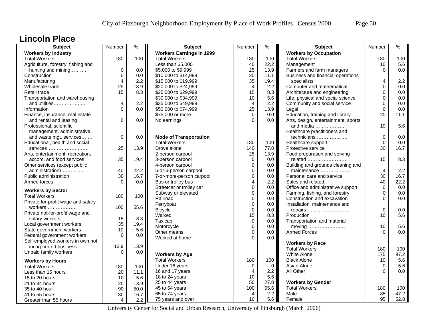#### **Lincoln Place**

| <b>Subject</b>                     | Number         | $\frac{9}{6}$ | <b>Subject</b>                                 | Number                  | $\frac{9}{6}$    | Subject                                                       | Number         | $\frac{9}{6}$ |
|------------------------------------|----------------|---------------|------------------------------------------------|-------------------------|------------------|---------------------------------------------------------------|----------------|---------------|
| <b>Workers by Industry</b>         |                |               | <b>Workers Earnings in 1999</b>                |                         |                  | <b>Workers by Occupation</b>                                  |                |               |
| <b>Total Workers</b>               | 180            | 100           | <b>Total Workers</b>                           | 180                     | 100              | <b>Total Workers</b>                                          | 180            | 100           |
| Agriculture, forestry, fishing and |                |               | Less than \$5,000                              | 40                      | 22.2             | Management                                                    | 10             | 5.6           |
| hunting and mining                 | 0              | 0.0           | \$5,000 to \$9,999                             | 25                      | 13.9             | Farmers and farm managers                                     | 0              | 0.0           |
| Construction                       | $\Omega$       | 0.0           | \$10,000 to \$14,999                           | 20                      | 11.1             | Business and financial operations                             |                |               |
| Manufacturing                      | $\overline{4}$ | 2.2           | \$15,000 to \$19,999                           | 35                      | 19.4             | specialists                                                   | 4              | 2.2           |
| Wholesale trade                    | 25             | 13.9          | \$20,000 to \$24,999                           | $\overline{4}$          | 2.2              | Computer and mathematical                                     | $\Omega$       | 0.0           |
| Retail trade                       | 15             | 8.3           | \$25,000 to \$29,999                           | 15                      | 8.3              | Architecture and engineering                                  | 0              | 0.0           |
| Transportation and warehousing     |                |               | \$30,000 to \$34,999                           | 10                      | 5.6              | Life, physical and social science                             | 0              | 0.0           |
| and utilities                      | 4              | 2.2           | \$35,000 to \$49,999                           | $\overline{4}$          | 2.2              | Community and social service                                  | $\Omega$       | 0.0           |
| Information                        | $\Omega$       | 0.0           | \$50,000 to \$74,999                           | 25                      | 13.9             | Legal                                                         | $\Omega$       | 0.0           |
| Finance, insurance, real estate    |                |               | \$75,000 or more                               | $\Omega$                | 0.0              | Education, training and library                               | 20             | 11.1          |
| and rental and leasing             | $\Omega$       | 0.0           | No earnings                                    | $\Omega$                | 0.0              | Arts, design, entertainment, sports                           |                |               |
| Professional, scientific,          |                |               |                                                |                         |                  | and media                                                     | 10             | 5.6           |
| management, administrative,        |                |               |                                                |                         |                  | Healthcare practitioners and                                  |                |               |
| and waste mgt. services            | 0              | 0.0           | <b>Mode of Transportation</b>                  |                         |                  | technicians                                                   | $\mathbf 0$    | 0.0           |
| Educational, health and social     |                |               | <b>Total Workers</b>                           | 180                     | 100              | Healthcare support                                            | $\overline{0}$ | 0.0           |
| services                           | 25             | 13.9          | Drove alone                                    | 140                     | 77.8             | Protective service                                            | 30             | 16.7          |
| Arts, entertainment, recreation,   |                |               | 2-person carpool                               | 25                      | 13.9             | Food preparation and serving                                  |                |               |
| accom. and food services           | 35             | 19.4          | 3-person carpool                               | $\mathbf 0$             | 0.0              | related                                                       | 15             | 8.3           |
| Other services (except public      |                |               | 4-person carpool                               | $\mathbf 0$             | 0.0              | Building and grounds cleaning and                             |                |               |
| administration)                    | 40             | 22.2          | 5-or-6-person carpool                          | 0                       | 0.0              | maintenance                                                   | $\overline{4}$ | 2.2           |
| Public administration              | 30             | 16.7          | 7-or-more-person carpool                       | $\Omega$                | 0.0              | Personal care and service                                     | 30             | 16.7          |
| Armed forces                       | $\Omega$       | 0.0           | Bus or trolley bus                             | 4                       | 2.2              | Sales and related                                             | 40             | 22.2          |
|                                    |                |               |                                                | $\Omega$                | 0.0 <sub>1</sub> |                                                               | $\Omega$       | 0.0           |
| <b>Workers by Sector</b>           |                |               | Streetcar or trolley car<br>Subway or elevated | 0                       | 0.0              | Office and administrative support                             | $\Omega$       | 0.0           |
| <b>Total Workers</b>               | 180            | 100           | Railroad                                       | $\Omega$                | 0.0 <sub>1</sub> | Farming, fishing, and forestry<br>Construction and excavation | $\Omega$       | 0.0           |
| Private for-profit wage and salary |                |               |                                                |                         |                  |                                                               |                |               |
| workers                            | 100            | 55.6          | Ferryboat                                      | $\mathbf 0$<br>$\Omega$ | 0.0              | Installation, maintenance and                                 | $\Omega$       | 0.0           |
| Private not-for-profit wage and    |                |               | <b>Bicycle</b>                                 |                         | 0.0              | repairs                                                       |                |               |
| salary workers                     | 15             | 8.3           | Walked                                         | 15                      | 8.3              | Production                                                    | 10             | 5.6           |
| Local government workers           | 35             | 19.4          | Taxicab                                        | $\mathbf 0$             | 0.0              | Transportation and material                                   |                |               |
| State government workers           | 10             | 5.6           | Motorcycle                                     | $\mathbf 0$             | 0.0 <sub>1</sub> | moving                                                        | 10             | 5.6           |
| Federal government workers         | $\Omega$       | 0.0           | Other means                                    | $\mathbf 0$             | 0.0              | <b>Armed Forces</b>                                           | $\Omega$       | 0.0           |
| Self-employed workers in own not   |                |               | Worked at home                                 | $\Omega$                | 0.0              |                                                               |                |               |
| incorporated business              | 13.9           | 13.9          |                                                |                         |                  | <b>Workers by Race</b>                                        |                |               |
| Unpaid family workers              | $\Omega$       | 0.0           |                                                |                         |                  | <b>Total Workers</b>                                          | 180            | 100           |
|                                    |                |               | <b>Workers by Age</b>                          |                         |                  | White Alone                                                   | 175            | 97.2          |
| <b>Workers by Hours</b>            |                |               | <b>Total Workers</b>                           | 180                     | 100              | <b>Black Alone</b>                                            | 10             | 5.6           |
| <b>Total Workers</b>               | 180            | 100           | Under 16 years                                 | 0                       | $\overline{0}$   | Asian Alone                                                   | 0              | 5.6           |
| Less than 15 hours                 | 20             | 11.1          | 16 and 17 years                                | 4                       | 2.2              | All Other                                                     | $\Omega$       | 0.0           |
| 15 to 20 hours                     | 10             | 5.6           | 18 to 24 years                                 | 10                      | 5.6              |                                                               |                |               |
| 21 to 34 hours                     | 25             | 13.9          | 25 to 44 years                                 | 50                      | 27.8             | <b>Workers by Gender</b>                                      |                |               |
| 35 to 40 hour                      | 90             | 50.0          | 45 to 64 years                                 | 100                     | 55.6             | <b>Total Workers</b>                                          | 180            | 100           |
| 41 to 55 hours                     | 30             | 16.7          | 65 to 74 years                                 | 4                       | 2.2              | Male                                                          | 85             | 47.2          |
| Greater than 55 hours              | 4              | 2.2           | 75 years and over                              | 10                      | 5.6              | Female                                                        | 95             | 52.8          |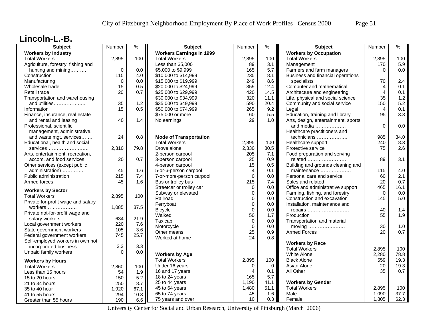### **Lincoln-L.-B.**

| <b>Subject</b>                     | Number      | %    | <b>Subject</b>                  | Number              | $\%$        | <b>Subject</b>                                   | Number         | $\%$ |
|------------------------------------|-------------|------|---------------------------------|---------------------|-------------|--------------------------------------------------|----------------|------|
| <b>Workers by Industry</b>         |             |      | <b>Workers Earnings in 1999</b> |                     |             | <b>Workers by Occupation</b>                     |                |      |
| <b>Total Workers</b>               | 2,895       | 100  | <b>Total Workers</b>            | 2,895               | 100         | <b>Total Workers</b>                             | 2,895          | 100  |
| Agriculture, forestry, fishing and |             |      | Less than \$5,000               | 89                  | 3.1         | Management                                       | 170            | 5.9  |
| hunting and mining                 | $\mathbf 0$ | 0.0  | \$5,000 to \$9,999              | 165                 | 5.7         | Farmers and farm managers                        | $\Omega$       | 0.0  |
| Construction                       | 115         | 4.0  | \$10,000 to \$14,999            | 235                 | 8.1         | Business and financial operations                |                |      |
| Manufacturing                      | $\mathbf 0$ | 0.0  | \$15,000 to \$19,999            | 249                 | 8.6         | specialists                                      | 70             | 2.4  |
| Wholesale trade                    | 15          | 0.5  | \$20,000 to \$24,999            | 359                 | 12.4        | Computer and mathematical                        | 4              | 0.1  |
| Retail trade                       | 20          | 0.7  | \$25,000 to \$29,999            | 420                 | 14.5        | Architecture and engineering                     | $\overline{4}$ | 0.1  |
| Transportation and warehousing     |             |      | \$30,000 to \$34,999            | 320                 | 11.1        | Life, physical and social science                | 35             | 1.2  |
| and utilities                      | 35          | 1.2  | \$35,000 to \$49,999            | 590                 | 20.4        | Community and social service                     | 150            | 5.2  |
| Information                        | 15          | 0.5  | \$50,000 to \$74,999            | 265                 | 9.2         | Legal                                            | $\overline{4}$ | 0.1  |
| Finance, insurance, real estate    |             |      | \$75,000 or more                | 160                 | 5.5         | Education, training and library                  | 95             | 3.3  |
| and rental and leasing             | 40          | 1.4  | No earnings                     | 29                  | 1.0         | Arts, design, entertainment, sports              |                |      |
| Professional, scientific,          |             |      |                                 |                     |             | and media                                        | $\Omega$       | 0.0  |
| management, administrative,        |             |      |                                 |                     |             | Healthcare practitioners and                     |                |      |
| and waste mgt. services            | 24          | 0.8  | <b>Mode of Transportation</b>   |                     |             | technicians                                      | 985            | 34.0 |
| Educational, health and social     |             |      | <b>Total Workers</b>            | 2,895               | 100         | Healthcare support                               | 240            | 8.3  |
| $s$ ervices                        | 2,310       | 79.8 | Drove alone                     | 2,330               | 80.5        | Protective service                               | 75             | 2.6  |
| Arts, entertainment, recreation,   |             |      | 2-person carpool                | 205                 | 7.1         | Food preparation and serving                     |                |      |
| accom. and food services           | 20          | 0.7  | 3-person carpool                | 25                  | 0.9         | related                                          | 89             | 3.1  |
| Other services (except public      |             |      | 4-person carpool                | 15                  | 0.5         | Building and grounds cleaning and                |                |      |
| administration)                    | 45          | 1.6  | 5-or-6-person carpool           | $\overline{4}$      | 0.1         | maintenance                                      | 115            | 4.0  |
| Public administration              | 215         | 7.4  | 7-or-more-person carpool        | $\mathbf 0$         | 0.0         | Personal care and service                        | 60             | 2.1  |
| Armed forces                       | 45          | 1.6  | Bus or trolley bus              | 215                 | 7.4         | Sales and related                                | 20             | 0.7  |
|                                    |             |      | Streetcar or trolley car        | $\mathbf 0$         | 0.0         | Office and administrative support                | 465            | 16.1 |
| <b>Workers by Sector</b>           |             |      | Subway or elevated              | $\mathbf 0$         | 0.0         | Farming, fishing, and forestry                   | $\Omega$       | 0.0  |
| <b>Total Workers</b>               | 2,895       | 100  | Railroad                        | $\mathbf 0$         | 0.0         | Construction and excavation                      | 145            | 5.0  |
| Private for-profit wage and salary |             |      | Ferryboat                       | $\mathbf 0$         | 0.0         | Installation, maintenance and                    |                |      |
| workers                            | 1,085       | 37.5 | <b>Bicycle</b>                  | $\Omega$            | $0.0\,$     | repairs                                          | 40             | 1.4  |
| Private not-for-profit wage and    |             |      | Walked                          | 50                  | 1.7         | Production                                       | 55             | 1.9  |
| salary workers                     | 634         | 21.9 | Taxicab                         | $\mathbf 0$         | 0.0         | Transportation and material                      |                |      |
| Local government workers           | 220         | 7.6  | Motorcycle                      | $\mathbf 0$         | 0.0         |                                                  | 30             | 1.0  |
| State government workers           | 105         | 3.6  | Other means                     | 25                  | 0.9         | <b>Armed Forces</b>                              | 20             | 0.7  |
| Federal government workers         | 745         | 25.7 | Worked at home                  | 24                  | 0.8         |                                                  |                |      |
| Self-employed workers in own not   |             |      |                                 |                     |             | <b>Workers by Race</b>                           |                |      |
| incorporated business              | 3.3         | 3.3  |                                 |                     |             | <b>Total Workers</b>                             | 2,895          | 100  |
| Unpaid family workers              | $\Omega$    | 0.0  | <b>Workers by Age</b>           |                     |             | White Alone                                      | 2,280          | 78.8 |
|                                    |             |      | <b>Total Workers</b>            | 2,895               | 100         | <b>Black Alone</b>                               | 559            | 19.3 |
| <b>Workers by Hours</b>            |             |      |                                 |                     | $\mathbf 0$ | Asian Alone                                      | 20             | 19.3 |
| <b>Total Workers</b>               | 2,860       | 100  | Under 16 years                  | 0<br>$\overline{4}$ | 0.1         | All Other                                        | 35             | 0.7  |
| Less than 15 hours                 | 54          | 1.9  | 16 and 17 years                 | 165                 | 5.7         |                                                  |                |      |
| 15 to 20 hours                     | 150         | 5.2  | 18 to 24 years                  |                     |             |                                                  |                |      |
| 21 to 34 hours                     | 250         | 8.7  | 25 to 44 years                  | 1,190               | 41.1        | <b>Workers by Gender</b><br><b>Total Workers</b> |                |      |
| 35 to 40 hour                      | 1,920       | 67.1 | 45 to 64 years                  | 1,480               | 51.1        |                                                  | 2,895          | 100  |
| 41 to 55 hours                     | 294         | 10.3 | 65 to 74 years                  | 45                  | 1.6         | Male                                             | 1,090          | 37.7 |
| Greater than 55 hours              | 190         | 6.6  | 75 years and over               | 10                  | 0.3         | Female                                           | 1.805          | 62.3 |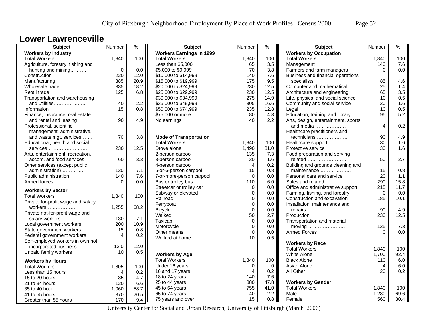#### **Lower Lawrenceville**

| <b>Subject</b>                     | Number   | $\frac{9}{6}$ | <b>Subject</b>                  | Number         | $\%$          | <b>Subject</b>                      | Number   | $\%$ |
|------------------------------------|----------|---------------|---------------------------------|----------------|---------------|-------------------------------------|----------|------|
| <b>Workers by Industry</b>         |          |               | <b>Workers Earnings in 1999</b> |                |               | <b>Workers by Occupation</b>        |          |      |
| <b>Total Workers</b>               | 1,840    | 100           | <b>Total Workers</b>            | 1,840          | 100           | <b>Total Workers</b>                | 1,840    | 100  |
| Agriculture, forestry, fishing and |          |               | Less than \$5,000               | 65             | 3.5           | Management                          | 140      | 7.6  |
| hunting and mining                 | $\Omega$ | 0.0           | \$5,000 to \$9,999              | 70             | 3.8           | Farmers and farm managers           | $\Omega$ | 0.0  |
| Construction                       | 220      | 12.0          | \$10,000 to \$14,999            | 140            | 7.6           | Business and financial operations   |          |      |
| Manufacturing                      | 385      | 20.9          | \$15,000 to \$19,999            | 175            | 9.5           | specialists                         | 85       | 4.6  |
| Wholesale trade                    | 335      | 18.2          | \$20,000 to \$24,999            | 230            | 12.5          | Computer and mathematical           | 25       | 1.4  |
| Retail trade                       | 125      | 6.8           | \$25,000 to \$29,999            | 230            | 12.5          | Architecture and engineering        | 65       | 3.5  |
| Transportation and warehousing     |          |               | \$30,000 to \$34,999            | 275            | 14.9          | Life, physical and social science   | 10       | 0.5  |
| and utilities                      | 40       | 2.2           | \$35,000 to \$49,999            | 305            | 16.6          | Community and social service        | 30       | 1.6  |
| Information                        | 15       | 0.8           | \$50,000 to \$74,999            | 235            | 12.8          | Legal                               | 10       | 0.5  |
| Finance, insurance, real estate    |          |               | \$75,000 or more                | 80             | 4.3           | Education, training and library     | 95       | 5.2  |
| and rental and leasing             | 90       | 4.9           | No earnings                     | 40             | $2.2^{\circ}$ | Arts, design, entertainment, sports |          |      |
| Professional, scientific,          |          |               |                                 |                |               | and media                           | 4        | 0.2  |
| management, administrative,        |          |               |                                 |                |               | Healthcare practitioners and        |          |      |
| and waste mgt. services            | 70       | 3.8           | <b>Mode of Transportation</b>   |                |               | technicians                         | 90       | 4.9  |
| Educational, health and social     |          |               | <b>Total Workers</b>            | 1,840          | 100           | Healthcare support                  | 30       | 1.6  |
| services                           | 230      | 12.5          | Drove alone                     | 1,490          | 81.0          | Protective service                  | 30       | 1.6  |
| Arts, entertainment, recreation,   |          |               | 2-person carpool                | 135            | 7.3           | Food preparation and serving        |          |      |
| accom. and food services           | 60       | 3.3           | 3-person carpool                | 30             | 1.6           | related                             | 50       | 2.7  |
|                                    |          |               | 4-person carpool                | $\overline{4}$ | 0.2           | Building and grounds cleaning and   |          |      |
| Other services (except public      |          | 7.1           |                                 | 15             | 0.8           |                                     | 15       | 0.8  |
| administration)                    | 130      |               | 5-or-6-person carpool           | $\Omega$       |               | maintenance                         |          |      |
| Public administration              | 140      | 7.6           | 7-or-more-person carpool        |                | 0.0           | Personal care and service           | 20       | 1.1  |
| Armed forces                       | $\Omega$ | 0.0           | Bus or trolley bus              | 110            | 6.0           | Sales and related                   | 290      | 15.8 |
| <b>Workers by Sector</b>           |          |               | Streetcar or trolley car        | $\Omega$       | 0.0           | Office and administrative support   | 215      | 11.7 |
| <b>Total Workers</b>               | 1,840    | 100           | Subway or elevated              | $\mathbf 0$    | 0.0           | Farming, fishing, and forestry      | $\Omega$ | 0.0  |
| Private for-profit wage and salary |          |               | Railroad                        | $\mathbf 0$    | 0.0           | Construction and excavation         | 185      | 10.1 |
|                                    | 1,255    | 68.2          | Ferryboat                       | $\mathbf 0$    | 0.0           | Installation, maintenance and       |          |      |
| Private not-for-profit wage and    |          |               | <b>Bicycle</b>                  | $\Omega$       | 0.0           | repairs                             | 90       | 4.9  |
| salary workers                     | 130      | 7.1           | Walked                          | 50             | 2.7           | Production                          | 230      | 12.5 |
| Local government workers           | 200      | 10.9          | Taxicab                         | $\mathbf 0$    | 0.0           | Transportation and material         |          |      |
| State government workers           | 15       | 0.8           | Motorcycle                      | $\mathbf 0$    | 0.0           |                                     | 135      | 7.3  |
| Federal government workers         | 4        | 0.2           | Other means                     | $\mathbf 0$    | 0.0           | <b>Armed Forces</b>                 | $\Omega$ | 0.0  |
| Self-employed workers in own not   |          |               | Worked at home                  | 10             | 0.5           |                                     |          |      |
| incorporated business              | 12.0     | 12.0          |                                 |                |               | <b>Workers by Race</b>              |          |      |
| Unpaid family workers              | 10       | 0.5           |                                 |                |               | <b>Total Workers</b>                | 1,840    | 100  |
|                                    |          |               | <b>Workers by Age</b>           |                |               | White Alone                         | 1,700    | 92.4 |
| <b>Workers by Hours</b>            |          |               | <b>Total Workers</b>            | 1,840          | 100           | <b>Black Alone</b>                  | 110      | 6.0  |
| <b>Total Workers</b>               | 1,805    | 100           | Under 16 years                  | 0              | $\mathbf 0$   | Asian Alone                         | 4        | 6.0  |
| Less than 15 hours                 | 4        | 0.2           | 16 and 17 years                 | $\overline{4}$ | 0.2           | All Other                           | 20       | 0.2  |
| 15 to 20 hours                     | 85       | 4.7           | 18 to 24 years                  | 140            | 7.6           |                                     |          |      |
| 21 to 34 hours                     | 120      | 6.6           | 25 to 44 years                  | 880            | 47.8          | <b>Workers by Gender</b>            |          |      |
| 35 to 40 hour                      | 1,060    | 58.7          | 45 to 64 years                  | 755            | 41.0          | <b>Total Workers</b>                | 1,840    | 100  |
| 41 to 55 hours                     | 370      | 20.5          | 65 to 74 years                  | 40             | 2.2           | Male                                | 1,280    | 69.6 |
| Greater than 55 hours              | 170      | 9.4           | 75 years and over               | 15             | 0.8           | Female                              | 560      | 30.4 |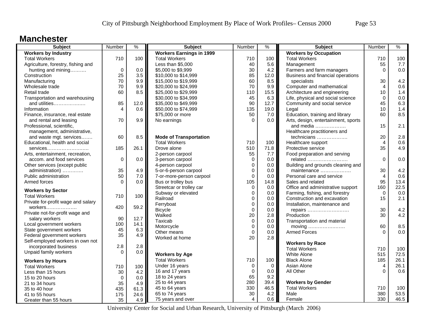#### **Manchester**

| $\%$ |
|------|
|      |
| 100  |
| 7.7  |
| 0.0  |
|      |
| 4.2  |
| 0.6  |
| 1.4  |
| 0.0  |
| 6.3  |
| 1.4  |
| 8.5  |
|      |
| 2.1  |
|      |
| 2.8  |
| 0.6  |
| 4.9  |
|      |
| 0.0  |
|      |
| 4.2  |
| 0.6  |
| 13.4 |
| 22.5 |
| 0.0  |
| 2.1  |
|      |
| 4.2  |
| 4.2  |
|      |
| 8.5  |
| 0.0  |
|      |
|      |
| 100  |
| 72.5 |
| 26.1 |
| 26.1 |
| 0.6  |
|      |
|      |
| 100  |
| 53.5 |
| 46.5 |
|      |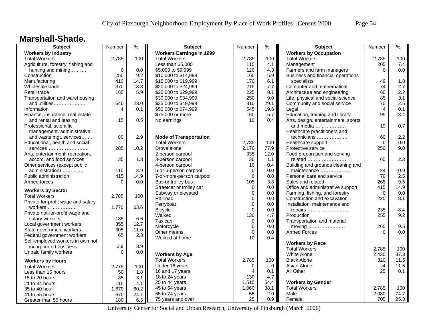### **Marshall-Shade.**

| 100<br>2,785<br><b>Total Workers</b><br><b>Total Workers</b><br>2,785<br><b>Total Workers</b><br>100<br>2,785<br>100<br>Agriculture, forestry, fishing and<br>Less than \$5,000<br>115<br>4.1<br>Management<br>205<br>7.4<br>$\mathbf 0$<br>0.0<br>hunting and mining<br>0.0<br>\$5,000 to \$9,999<br>120<br>4.3<br>Farmers and farm managers<br>$\Omega$<br>255<br>9.2<br>\$10,000 to \$14,999<br>5.9<br>Business and financial operations<br>Construction<br>165<br>410<br>14.7<br>\$15,000 to \$19,999<br>170<br>6.1<br>specialists<br>1.8<br>Manufacturing<br>49<br>370<br>Computer and mathematical<br>2.7<br>13.3<br>\$20,000 to \$24,999<br>215<br>7.7<br>74<br>Wholesale trade<br>2.2<br>5.9<br>165<br>\$25,000 to \$29,999<br>225<br>8.1<br>Architecture and engineering<br>60<br>Retail trade<br>9.0<br>85<br>3.1<br>Transportation and warehousing<br>\$30,000 to \$34,999<br>250<br>Life, physical and social science<br>2.5<br>23.0<br>Community and social service<br>and utilities<br>640<br>\$35,000 to \$49,999<br>810<br>29.1<br>70<br>\$50,000 to \$74,999<br>545<br>19.6<br>0.1<br>Information<br>4<br>0.1<br>Legal<br>4<br>\$75,000 or more<br>5.7<br>Education, training and library<br>95<br>3.4<br>Finance, insurance, real estate<br>160<br>15<br>0.5<br>Arts, design, entertainment, sports<br>and rental and leasing<br>No earnings<br>10<br>0.4<br>0.7<br>19<br>Professional, scientific,<br>and media $\ldots$<br>Healthcare practitioners and<br>management, administrative,<br>2.9<br>60<br>2.2<br>and waste mgt. services<br>80<br><b>Mode of Transportation</b><br>technicians<br><b>Total Workers</b><br>0.0<br>Educational, health and social<br>2,785<br>100<br>Healthcare support<br>$\Omega$<br>10.2<br>250<br>9.0<br>285<br>Drove alone<br>2,170<br>77.9<br>Protective service<br>services<br>2-person carpool<br>335<br>12.0<br>Food preparation and serving<br>Arts, entertainment, recreation,<br>2.3<br>accom. and food services<br>35<br>1.3<br>30<br>1.1<br>65<br>3-person carpool<br>related<br>10<br>0.4<br>Building and grounds cleaning and<br>Other services (except public<br>4-person carpool<br>3.9<br>5-or-6-person carpool<br>0.0<br>maintenance<br>24<br>0.9<br>administration)<br>110<br>0<br>70<br>2.5<br>Public administration<br>415<br>14.9<br>$\mathbf 0$<br>0.0<br>7-or-more-person carpool<br>Personal care and service<br>9.5<br>Bus or trolley bus<br>105<br>3.8<br>265<br>Armed forces<br>$\Omega$<br>0.0<br>Sales and related<br>0.0<br>Office and administrative support<br>415<br>14.9<br>Streetcar or trolley car<br>$\Omega$<br><b>Workers by Sector</b><br>0.0<br>Subway or elevated<br>$\mathbf 0$<br>0.0<br>Farming, fishing, and forestry<br>$\Omega$<br>100<br><b>Total Workers</b><br>2,785<br>Railroad<br>Construction and excavation<br>8.1<br>$\Omega$<br>0.0<br>225<br>Private for-profit wage and salary<br>$\mathbf 0$<br>0.0<br>Installation, maintenance and<br>Ferryboat<br>1,770<br>63.6<br>workers<br>8.4<br>$\Omega$<br>$0.0\,$<br>235<br><b>Bicycle</b><br>repairs<br>Private not-for-profit wage and<br>Walked<br>130<br>4.7<br>255<br>9.2<br>Production<br>185<br>6.6<br>salary workers<br>Taxicab<br>$\mathbf 0$<br>0.0<br>Transportation and material<br>355<br>12.7<br>Local government workers<br>9.5<br>Motorcycle<br>0<br>0.0<br>265<br>State government workers<br>305<br>11.0<br>$\Omega$<br>0.0<br><b>Armed Forces</b><br>0.0<br>Other means<br>$\Omega$<br>Federal government workers<br>65<br>2.3<br>Worked at home<br>10<br>0.4<br>Self-employed workers in own not<br><b>Workers by Race</b><br>3.9<br>3.9<br>incorporated business<br><b>Total Workers</b><br>2,785<br>100<br>Unpaid family workers<br>0.0<br>$\Omega$<br>87.3<br><b>Workers by Age</b><br>White Alone<br>2,430<br>2,785<br>11.5<br><b>Total Workers</b><br>100<br><b>Black Alone</b><br>320<br><b>Workers by Hours</b><br>11.5<br>Under 16 years<br>Asian Alone<br>$\Omega$<br>$\mathbf 0$<br>4<br><b>Total Workers</b><br>2,775<br>100<br>16 and 17 years<br>0.1<br>All Other<br>25<br>0.1<br>$\overline{4}$<br>1.8<br>Less than 15 hours<br>50<br>4.7<br>18 to 24 years<br>130<br>85<br>3.1<br>15 to 20 hours<br>25 to 44 years<br>1,515<br>54.4<br><b>Workers by Gender</b><br>21 to 34 hours<br>115<br>4.1<br>45 to 64 years<br>1,060<br>38.1<br><b>Total Workers</b><br>2,785<br>100<br>35 to 40 hour<br>1,670<br>60.2<br>2.0<br>74.7<br>65 to 74 years<br>55<br>Male<br>2,080<br>24.1<br>41 to 55 hours<br>670<br>25<br>705<br>Female | <b>Subject</b>             | Number | $\frac{0}{6}$ | <b>Subject</b>                  | Number | $\frac{1}{2}$ | <b>Subject</b>               | Number | $\frac{9}{6}$ |
|-------------------------------------------------------------------------------------------------------------------------------------------------------------------------------------------------------------------------------------------------------------------------------------------------------------------------------------------------------------------------------------------------------------------------------------------------------------------------------------------------------------------------------------------------------------------------------------------------------------------------------------------------------------------------------------------------------------------------------------------------------------------------------------------------------------------------------------------------------------------------------------------------------------------------------------------------------------------------------------------------------------------------------------------------------------------------------------------------------------------------------------------------------------------------------------------------------------------------------------------------------------------------------------------------------------------------------------------------------------------------------------------------------------------------------------------------------------------------------------------------------------------------------------------------------------------------------------------------------------------------------------------------------------------------------------------------------------------------------------------------------------------------------------------------------------------------------------------------------------------------------------------------------------------------------------------------------------------------------------------------------------------------------------------------------------------------------------------------------------------------------------------------------------------------------------------------------------------------------------------------------------------------------------------------------------------------------------------------------------------------------------------------------------------------------------------------------------------------------------------------------------------------------------------------------------------------------------------------------------------------------------------------------------------------------------------------------------------------------------------------------------------------------------------------------------------------------------------------------------------------------------------------------------------------------------------------------------------------------------------------------------------------------------------------------------------------------------------------------------------------------------------------------------------------------------------------------------------------------------------------------------------------------------------------------------------------------------------------------------------------------------------------------------------------------------------------------------------------------------------------------------------------------------------------------------------------------------------------------------------------------------------------------------------------------------------------------------------------------------------------------------------------------------------------------------------------------------------------------------------------------------------------------------------------------------------------------------------------------------------------------------------------------------------------------------------------------------------------------------------------------------------------------------------------------------------------------------------------------------------------------------------------------------------------------------------------------------------------------------------------------------------------------------------------------------------------------------------------------------------------------------------------|----------------------------|--------|---------------|---------------------------------|--------|---------------|------------------------------|--------|---------------|
|                                                                                                                                                                                                                                                                                                                                                                                                                                                                                                                                                                                                                                                                                                                                                                                                                                                                                                                                                                                                                                                                                                                                                                                                                                                                                                                                                                                                                                                                                                                                                                                                                                                                                                                                                                                                                                                                                                                                                                                                                                                                                                                                                                                                                                                                                                                                                                                                                                                                                                                                                                                                                                                                                                                                                                                                                                                                                                                                                                                                                                                                                                                                                                                                                                                                                                                                                                                                                                                                                                                                                                                                                                                                                                                                                                                                                                                                                                                                                                                                                                                                                                                                                                                                                                                                                                                                                                                                                                                                                                                         | <b>Workers by Industry</b> |        |               | <b>Workers Earnings in 1999</b> |        |               | <b>Workers by Occupation</b> |        |               |
|                                                                                                                                                                                                                                                                                                                                                                                                                                                                                                                                                                                                                                                                                                                                                                                                                                                                                                                                                                                                                                                                                                                                                                                                                                                                                                                                                                                                                                                                                                                                                                                                                                                                                                                                                                                                                                                                                                                                                                                                                                                                                                                                                                                                                                                                                                                                                                                                                                                                                                                                                                                                                                                                                                                                                                                                                                                                                                                                                                                                                                                                                                                                                                                                                                                                                                                                                                                                                                                                                                                                                                                                                                                                                                                                                                                                                                                                                                                                                                                                                                                                                                                                                                                                                                                                                                                                                                                                                                                                                                                         |                            |        |               |                                 |        |               |                              |        |               |
|                                                                                                                                                                                                                                                                                                                                                                                                                                                                                                                                                                                                                                                                                                                                                                                                                                                                                                                                                                                                                                                                                                                                                                                                                                                                                                                                                                                                                                                                                                                                                                                                                                                                                                                                                                                                                                                                                                                                                                                                                                                                                                                                                                                                                                                                                                                                                                                                                                                                                                                                                                                                                                                                                                                                                                                                                                                                                                                                                                                                                                                                                                                                                                                                                                                                                                                                                                                                                                                                                                                                                                                                                                                                                                                                                                                                                                                                                                                                                                                                                                                                                                                                                                                                                                                                                                                                                                                                                                                                                                                         |                            |        |               |                                 |        |               |                              |        |               |
|                                                                                                                                                                                                                                                                                                                                                                                                                                                                                                                                                                                                                                                                                                                                                                                                                                                                                                                                                                                                                                                                                                                                                                                                                                                                                                                                                                                                                                                                                                                                                                                                                                                                                                                                                                                                                                                                                                                                                                                                                                                                                                                                                                                                                                                                                                                                                                                                                                                                                                                                                                                                                                                                                                                                                                                                                                                                                                                                                                                                                                                                                                                                                                                                                                                                                                                                                                                                                                                                                                                                                                                                                                                                                                                                                                                                                                                                                                                                                                                                                                                                                                                                                                                                                                                                                                                                                                                                                                                                                                                         |                            |        |               |                                 |        |               |                              |        |               |
|                                                                                                                                                                                                                                                                                                                                                                                                                                                                                                                                                                                                                                                                                                                                                                                                                                                                                                                                                                                                                                                                                                                                                                                                                                                                                                                                                                                                                                                                                                                                                                                                                                                                                                                                                                                                                                                                                                                                                                                                                                                                                                                                                                                                                                                                                                                                                                                                                                                                                                                                                                                                                                                                                                                                                                                                                                                                                                                                                                                                                                                                                                                                                                                                                                                                                                                                                                                                                                                                                                                                                                                                                                                                                                                                                                                                                                                                                                                                                                                                                                                                                                                                                                                                                                                                                                                                                                                                                                                                                                                         |                            |        |               |                                 |        |               |                              |        |               |
|                                                                                                                                                                                                                                                                                                                                                                                                                                                                                                                                                                                                                                                                                                                                                                                                                                                                                                                                                                                                                                                                                                                                                                                                                                                                                                                                                                                                                                                                                                                                                                                                                                                                                                                                                                                                                                                                                                                                                                                                                                                                                                                                                                                                                                                                                                                                                                                                                                                                                                                                                                                                                                                                                                                                                                                                                                                                                                                                                                                                                                                                                                                                                                                                                                                                                                                                                                                                                                                                                                                                                                                                                                                                                                                                                                                                                                                                                                                                                                                                                                                                                                                                                                                                                                                                                                                                                                                                                                                                                                                         |                            |        |               |                                 |        |               |                              |        |               |
|                                                                                                                                                                                                                                                                                                                                                                                                                                                                                                                                                                                                                                                                                                                                                                                                                                                                                                                                                                                                                                                                                                                                                                                                                                                                                                                                                                                                                                                                                                                                                                                                                                                                                                                                                                                                                                                                                                                                                                                                                                                                                                                                                                                                                                                                                                                                                                                                                                                                                                                                                                                                                                                                                                                                                                                                                                                                                                                                                                                                                                                                                                                                                                                                                                                                                                                                                                                                                                                                                                                                                                                                                                                                                                                                                                                                                                                                                                                                                                                                                                                                                                                                                                                                                                                                                                                                                                                                                                                                                                                         |                            |        |               |                                 |        |               |                              |        |               |
|                                                                                                                                                                                                                                                                                                                                                                                                                                                                                                                                                                                                                                                                                                                                                                                                                                                                                                                                                                                                                                                                                                                                                                                                                                                                                                                                                                                                                                                                                                                                                                                                                                                                                                                                                                                                                                                                                                                                                                                                                                                                                                                                                                                                                                                                                                                                                                                                                                                                                                                                                                                                                                                                                                                                                                                                                                                                                                                                                                                                                                                                                                                                                                                                                                                                                                                                                                                                                                                                                                                                                                                                                                                                                                                                                                                                                                                                                                                                                                                                                                                                                                                                                                                                                                                                                                                                                                                                                                                                                                                         |                            |        |               |                                 |        |               |                              |        |               |
|                                                                                                                                                                                                                                                                                                                                                                                                                                                                                                                                                                                                                                                                                                                                                                                                                                                                                                                                                                                                                                                                                                                                                                                                                                                                                                                                                                                                                                                                                                                                                                                                                                                                                                                                                                                                                                                                                                                                                                                                                                                                                                                                                                                                                                                                                                                                                                                                                                                                                                                                                                                                                                                                                                                                                                                                                                                                                                                                                                                                                                                                                                                                                                                                                                                                                                                                                                                                                                                                                                                                                                                                                                                                                                                                                                                                                                                                                                                                                                                                                                                                                                                                                                                                                                                                                                                                                                                                                                                                                                                         |                            |        |               |                                 |        |               |                              |        |               |
|                                                                                                                                                                                                                                                                                                                                                                                                                                                                                                                                                                                                                                                                                                                                                                                                                                                                                                                                                                                                                                                                                                                                                                                                                                                                                                                                                                                                                                                                                                                                                                                                                                                                                                                                                                                                                                                                                                                                                                                                                                                                                                                                                                                                                                                                                                                                                                                                                                                                                                                                                                                                                                                                                                                                                                                                                                                                                                                                                                                                                                                                                                                                                                                                                                                                                                                                                                                                                                                                                                                                                                                                                                                                                                                                                                                                                                                                                                                                                                                                                                                                                                                                                                                                                                                                                                                                                                                                                                                                                                                         |                            |        |               |                                 |        |               |                              |        |               |
|                                                                                                                                                                                                                                                                                                                                                                                                                                                                                                                                                                                                                                                                                                                                                                                                                                                                                                                                                                                                                                                                                                                                                                                                                                                                                                                                                                                                                                                                                                                                                                                                                                                                                                                                                                                                                                                                                                                                                                                                                                                                                                                                                                                                                                                                                                                                                                                                                                                                                                                                                                                                                                                                                                                                                                                                                                                                                                                                                                                                                                                                                                                                                                                                                                                                                                                                                                                                                                                                                                                                                                                                                                                                                                                                                                                                                                                                                                                                                                                                                                                                                                                                                                                                                                                                                                                                                                                                                                                                                                                         |                            |        |               |                                 |        |               |                              |        |               |
|                                                                                                                                                                                                                                                                                                                                                                                                                                                                                                                                                                                                                                                                                                                                                                                                                                                                                                                                                                                                                                                                                                                                                                                                                                                                                                                                                                                                                                                                                                                                                                                                                                                                                                                                                                                                                                                                                                                                                                                                                                                                                                                                                                                                                                                                                                                                                                                                                                                                                                                                                                                                                                                                                                                                                                                                                                                                                                                                                                                                                                                                                                                                                                                                                                                                                                                                                                                                                                                                                                                                                                                                                                                                                                                                                                                                                                                                                                                                                                                                                                                                                                                                                                                                                                                                                                                                                                                                                                                                                                                         |                            |        |               |                                 |        |               |                              |        |               |
|                                                                                                                                                                                                                                                                                                                                                                                                                                                                                                                                                                                                                                                                                                                                                                                                                                                                                                                                                                                                                                                                                                                                                                                                                                                                                                                                                                                                                                                                                                                                                                                                                                                                                                                                                                                                                                                                                                                                                                                                                                                                                                                                                                                                                                                                                                                                                                                                                                                                                                                                                                                                                                                                                                                                                                                                                                                                                                                                                                                                                                                                                                                                                                                                                                                                                                                                                                                                                                                                                                                                                                                                                                                                                                                                                                                                                                                                                                                                                                                                                                                                                                                                                                                                                                                                                                                                                                                                                                                                                                                         |                            |        |               |                                 |        |               |                              |        |               |
|                                                                                                                                                                                                                                                                                                                                                                                                                                                                                                                                                                                                                                                                                                                                                                                                                                                                                                                                                                                                                                                                                                                                                                                                                                                                                                                                                                                                                                                                                                                                                                                                                                                                                                                                                                                                                                                                                                                                                                                                                                                                                                                                                                                                                                                                                                                                                                                                                                                                                                                                                                                                                                                                                                                                                                                                                                                                                                                                                                                                                                                                                                                                                                                                                                                                                                                                                                                                                                                                                                                                                                                                                                                                                                                                                                                                                                                                                                                                                                                                                                                                                                                                                                                                                                                                                                                                                                                                                                                                                                                         |                            |        |               |                                 |        |               |                              |        |               |
|                                                                                                                                                                                                                                                                                                                                                                                                                                                                                                                                                                                                                                                                                                                                                                                                                                                                                                                                                                                                                                                                                                                                                                                                                                                                                                                                                                                                                                                                                                                                                                                                                                                                                                                                                                                                                                                                                                                                                                                                                                                                                                                                                                                                                                                                                                                                                                                                                                                                                                                                                                                                                                                                                                                                                                                                                                                                                                                                                                                                                                                                                                                                                                                                                                                                                                                                                                                                                                                                                                                                                                                                                                                                                                                                                                                                                                                                                                                                                                                                                                                                                                                                                                                                                                                                                                                                                                                                                                                                                                                         |                            |        |               |                                 |        |               |                              |        |               |
|                                                                                                                                                                                                                                                                                                                                                                                                                                                                                                                                                                                                                                                                                                                                                                                                                                                                                                                                                                                                                                                                                                                                                                                                                                                                                                                                                                                                                                                                                                                                                                                                                                                                                                                                                                                                                                                                                                                                                                                                                                                                                                                                                                                                                                                                                                                                                                                                                                                                                                                                                                                                                                                                                                                                                                                                                                                                                                                                                                                                                                                                                                                                                                                                                                                                                                                                                                                                                                                                                                                                                                                                                                                                                                                                                                                                                                                                                                                                                                                                                                                                                                                                                                                                                                                                                                                                                                                                                                                                                                                         |                            |        |               |                                 |        |               |                              |        |               |
|                                                                                                                                                                                                                                                                                                                                                                                                                                                                                                                                                                                                                                                                                                                                                                                                                                                                                                                                                                                                                                                                                                                                                                                                                                                                                                                                                                                                                                                                                                                                                                                                                                                                                                                                                                                                                                                                                                                                                                                                                                                                                                                                                                                                                                                                                                                                                                                                                                                                                                                                                                                                                                                                                                                                                                                                                                                                                                                                                                                                                                                                                                                                                                                                                                                                                                                                                                                                                                                                                                                                                                                                                                                                                                                                                                                                                                                                                                                                                                                                                                                                                                                                                                                                                                                                                                                                                                                                                                                                                                                         |                            |        |               |                                 |        |               |                              |        |               |
|                                                                                                                                                                                                                                                                                                                                                                                                                                                                                                                                                                                                                                                                                                                                                                                                                                                                                                                                                                                                                                                                                                                                                                                                                                                                                                                                                                                                                                                                                                                                                                                                                                                                                                                                                                                                                                                                                                                                                                                                                                                                                                                                                                                                                                                                                                                                                                                                                                                                                                                                                                                                                                                                                                                                                                                                                                                                                                                                                                                                                                                                                                                                                                                                                                                                                                                                                                                                                                                                                                                                                                                                                                                                                                                                                                                                                                                                                                                                                                                                                                                                                                                                                                                                                                                                                                                                                                                                                                                                                                                         |                            |        |               |                                 |        |               |                              |        |               |
|                                                                                                                                                                                                                                                                                                                                                                                                                                                                                                                                                                                                                                                                                                                                                                                                                                                                                                                                                                                                                                                                                                                                                                                                                                                                                                                                                                                                                                                                                                                                                                                                                                                                                                                                                                                                                                                                                                                                                                                                                                                                                                                                                                                                                                                                                                                                                                                                                                                                                                                                                                                                                                                                                                                                                                                                                                                                                                                                                                                                                                                                                                                                                                                                                                                                                                                                                                                                                                                                                                                                                                                                                                                                                                                                                                                                                                                                                                                                                                                                                                                                                                                                                                                                                                                                                                                                                                                                                                                                                                                         |                            |        |               |                                 |        |               |                              |        |               |
|                                                                                                                                                                                                                                                                                                                                                                                                                                                                                                                                                                                                                                                                                                                                                                                                                                                                                                                                                                                                                                                                                                                                                                                                                                                                                                                                                                                                                                                                                                                                                                                                                                                                                                                                                                                                                                                                                                                                                                                                                                                                                                                                                                                                                                                                                                                                                                                                                                                                                                                                                                                                                                                                                                                                                                                                                                                                                                                                                                                                                                                                                                                                                                                                                                                                                                                                                                                                                                                                                                                                                                                                                                                                                                                                                                                                                                                                                                                                                                                                                                                                                                                                                                                                                                                                                                                                                                                                                                                                                                                         |                            |        |               |                                 |        |               |                              |        |               |
|                                                                                                                                                                                                                                                                                                                                                                                                                                                                                                                                                                                                                                                                                                                                                                                                                                                                                                                                                                                                                                                                                                                                                                                                                                                                                                                                                                                                                                                                                                                                                                                                                                                                                                                                                                                                                                                                                                                                                                                                                                                                                                                                                                                                                                                                                                                                                                                                                                                                                                                                                                                                                                                                                                                                                                                                                                                                                                                                                                                                                                                                                                                                                                                                                                                                                                                                                                                                                                                                                                                                                                                                                                                                                                                                                                                                                                                                                                                                                                                                                                                                                                                                                                                                                                                                                                                                                                                                                                                                                                                         |                            |        |               |                                 |        |               |                              |        |               |
|                                                                                                                                                                                                                                                                                                                                                                                                                                                                                                                                                                                                                                                                                                                                                                                                                                                                                                                                                                                                                                                                                                                                                                                                                                                                                                                                                                                                                                                                                                                                                                                                                                                                                                                                                                                                                                                                                                                                                                                                                                                                                                                                                                                                                                                                                                                                                                                                                                                                                                                                                                                                                                                                                                                                                                                                                                                                                                                                                                                                                                                                                                                                                                                                                                                                                                                                                                                                                                                                                                                                                                                                                                                                                                                                                                                                                                                                                                                                                                                                                                                                                                                                                                                                                                                                                                                                                                                                                                                                                                                         |                            |        |               |                                 |        |               |                              |        |               |
|                                                                                                                                                                                                                                                                                                                                                                                                                                                                                                                                                                                                                                                                                                                                                                                                                                                                                                                                                                                                                                                                                                                                                                                                                                                                                                                                                                                                                                                                                                                                                                                                                                                                                                                                                                                                                                                                                                                                                                                                                                                                                                                                                                                                                                                                                                                                                                                                                                                                                                                                                                                                                                                                                                                                                                                                                                                                                                                                                                                                                                                                                                                                                                                                                                                                                                                                                                                                                                                                                                                                                                                                                                                                                                                                                                                                                                                                                                                                                                                                                                                                                                                                                                                                                                                                                                                                                                                                                                                                                                                         |                            |        |               |                                 |        |               |                              |        |               |
|                                                                                                                                                                                                                                                                                                                                                                                                                                                                                                                                                                                                                                                                                                                                                                                                                                                                                                                                                                                                                                                                                                                                                                                                                                                                                                                                                                                                                                                                                                                                                                                                                                                                                                                                                                                                                                                                                                                                                                                                                                                                                                                                                                                                                                                                                                                                                                                                                                                                                                                                                                                                                                                                                                                                                                                                                                                                                                                                                                                                                                                                                                                                                                                                                                                                                                                                                                                                                                                                                                                                                                                                                                                                                                                                                                                                                                                                                                                                                                                                                                                                                                                                                                                                                                                                                                                                                                                                                                                                                                                         |                            |        |               |                                 |        |               |                              |        |               |
|                                                                                                                                                                                                                                                                                                                                                                                                                                                                                                                                                                                                                                                                                                                                                                                                                                                                                                                                                                                                                                                                                                                                                                                                                                                                                                                                                                                                                                                                                                                                                                                                                                                                                                                                                                                                                                                                                                                                                                                                                                                                                                                                                                                                                                                                                                                                                                                                                                                                                                                                                                                                                                                                                                                                                                                                                                                                                                                                                                                                                                                                                                                                                                                                                                                                                                                                                                                                                                                                                                                                                                                                                                                                                                                                                                                                                                                                                                                                                                                                                                                                                                                                                                                                                                                                                                                                                                                                                                                                                                                         |                            |        |               |                                 |        |               |                              |        |               |
|                                                                                                                                                                                                                                                                                                                                                                                                                                                                                                                                                                                                                                                                                                                                                                                                                                                                                                                                                                                                                                                                                                                                                                                                                                                                                                                                                                                                                                                                                                                                                                                                                                                                                                                                                                                                                                                                                                                                                                                                                                                                                                                                                                                                                                                                                                                                                                                                                                                                                                                                                                                                                                                                                                                                                                                                                                                                                                                                                                                                                                                                                                                                                                                                                                                                                                                                                                                                                                                                                                                                                                                                                                                                                                                                                                                                                                                                                                                                                                                                                                                                                                                                                                                                                                                                                                                                                                                                                                                                                                                         |                            |        |               |                                 |        |               |                              |        |               |
|                                                                                                                                                                                                                                                                                                                                                                                                                                                                                                                                                                                                                                                                                                                                                                                                                                                                                                                                                                                                                                                                                                                                                                                                                                                                                                                                                                                                                                                                                                                                                                                                                                                                                                                                                                                                                                                                                                                                                                                                                                                                                                                                                                                                                                                                                                                                                                                                                                                                                                                                                                                                                                                                                                                                                                                                                                                                                                                                                                                                                                                                                                                                                                                                                                                                                                                                                                                                                                                                                                                                                                                                                                                                                                                                                                                                                                                                                                                                                                                                                                                                                                                                                                                                                                                                                                                                                                                                                                                                                                                         |                            |        |               |                                 |        |               |                              |        |               |
|                                                                                                                                                                                                                                                                                                                                                                                                                                                                                                                                                                                                                                                                                                                                                                                                                                                                                                                                                                                                                                                                                                                                                                                                                                                                                                                                                                                                                                                                                                                                                                                                                                                                                                                                                                                                                                                                                                                                                                                                                                                                                                                                                                                                                                                                                                                                                                                                                                                                                                                                                                                                                                                                                                                                                                                                                                                                                                                                                                                                                                                                                                                                                                                                                                                                                                                                                                                                                                                                                                                                                                                                                                                                                                                                                                                                                                                                                                                                                                                                                                                                                                                                                                                                                                                                                                                                                                                                                                                                                                                         |                            |        |               |                                 |        |               |                              |        |               |
|                                                                                                                                                                                                                                                                                                                                                                                                                                                                                                                                                                                                                                                                                                                                                                                                                                                                                                                                                                                                                                                                                                                                                                                                                                                                                                                                                                                                                                                                                                                                                                                                                                                                                                                                                                                                                                                                                                                                                                                                                                                                                                                                                                                                                                                                                                                                                                                                                                                                                                                                                                                                                                                                                                                                                                                                                                                                                                                                                                                                                                                                                                                                                                                                                                                                                                                                                                                                                                                                                                                                                                                                                                                                                                                                                                                                                                                                                                                                                                                                                                                                                                                                                                                                                                                                                                                                                                                                                                                                                                                         |                            |        |               |                                 |        |               |                              |        |               |
|                                                                                                                                                                                                                                                                                                                                                                                                                                                                                                                                                                                                                                                                                                                                                                                                                                                                                                                                                                                                                                                                                                                                                                                                                                                                                                                                                                                                                                                                                                                                                                                                                                                                                                                                                                                                                                                                                                                                                                                                                                                                                                                                                                                                                                                                                                                                                                                                                                                                                                                                                                                                                                                                                                                                                                                                                                                                                                                                                                                                                                                                                                                                                                                                                                                                                                                                                                                                                                                                                                                                                                                                                                                                                                                                                                                                                                                                                                                                                                                                                                                                                                                                                                                                                                                                                                                                                                                                                                                                                                                         |                            |        |               |                                 |        |               |                              |        |               |
|                                                                                                                                                                                                                                                                                                                                                                                                                                                                                                                                                                                                                                                                                                                                                                                                                                                                                                                                                                                                                                                                                                                                                                                                                                                                                                                                                                                                                                                                                                                                                                                                                                                                                                                                                                                                                                                                                                                                                                                                                                                                                                                                                                                                                                                                                                                                                                                                                                                                                                                                                                                                                                                                                                                                                                                                                                                                                                                                                                                                                                                                                                                                                                                                                                                                                                                                                                                                                                                                                                                                                                                                                                                                                                                                                                                                                                                                                                                                                                                                                                                                                                                                                                                                                                                                                                                                                                                                                                                                                                                         |                            |        |               |                                 |        |               |                              |        |               |
|                                                                                                                                                                                                                                                                                                                                                                                                                                                                                                                                                                                                                                                                                                                                                                                                                                                                                                                                                                                                                                                                                                                                                                                                                                                                                                                                                                                                                                                                                                                                                                                                                                                                                                                                                                                                                                                                                                                                                                                                                                                                                                                                                                                                                                                                                                                                                                                                                                                                                                                                                                                                                                                                                                                                                                                                                                                                                                                                                                                                                                                                                                                                                                                                                                                                                                                                                                                                                                                                                                                                                                                                                                                                                                                                                                                                                                                                                                                                                                                                                                                                                                                                                                                                                                                                                                                                                                                                                                                                                                                         |                            |        |               |                                 |        |               |                              |        |               |
|                                                                                                                                                                                                                                                                                                                                                                                                                                                                                                                                                                                                                                                                                                                                                                                                                                                                                                                                                                                                                                                                                                                                                                                                                                                                                                                                                                                                                                                                                                                                                                                                                                                                                                                                                                                                                                                                                                                                                                                                                                                                                                                                                                                                                                                                                                                                                                                                                                                                                                                                                                                                                                                                                                                                                                                                                                                                                                                                                                                                                                                                                                                                                                                                                                                                                                                                                                                                                                                                                                                                                                                                                                                                                                                                                                                                                                                                                                                                                                                                                                                                                                                                                                                                                                                                                                                                                                                                                                                                                                                         |                            |        |               |                                 |        |               |                              |        |               |
|                                                                                                                                                                                                                                                                                                                                                                                                                                                                                                                                                                                                                                                                                                                                                                                                                                                                                                                                                                                                                                                                                                                                                                                                                                                                                                                                                                                                                                                                                                                                                                                                                                                                                                                                                                                                                                                                                                                                                                                                                                                                                                                                                                                                                                                                                                                                                                                                                                                                                                                                                                                                                                                                                                                                                                                                                                                                                                                                                                                                                                                                                                                                                                                                                                                                                                                                                                                                                                                                                                                                                                                                                                                                                                                                                                                                                                                                                                                                                                                                                                                                                                                                                                                                                                                                                                                                                                                                                                                                                                                         |                            |        |               |                                 |        |               |                              |        |               |
|                                                                                                                                                                                                                                                                                                                                                                                                                                                                                                                                                                                                                                                                                                                                                                                                                                                                                                                                                                                                                                                                                                                                                                                                                                                                                                                                                                                                                                                                                                                                                                                                                                                                                                                                                                                                                                                                                                                                                                                                                                                                                                                                                                                                                                                                                                                                                                                                                                                                                                                                                                                                                                                                                                                                                                                                                                                                                                                                                                                                                                                                                                                                                                                                                                                                                                                                                                                                                                                                                                                                                                                                                                                                                                                                                                                                                                                                                                                                                                                                                                                                                                                                                                                                                                                                                                                                                                                                                                                                                                                         |                            |        |               |                                 |        |               |                              |        |               |
|                                                                                                                                                                                                                                                                                                                                                                                                                                                                                                                                                                                                                                                                                                                                                                                                                                                                                                                                                                                                                                                                                                                                                                                                                                                                                                                                                                                                                                                                                                                                                                                                                                                                                                                                                                                                                                                                                                                                                                                                                                                                                                                                                                                                                                                                                                                                                                                                                                                                                                                                                                                                                                                                                                                                                                                                                                                                                                                                                                                                                                                                                                                                                                                                                                                                                                                                                                                                                                                                                                                                                                                                                                                                                                                                                                                                                                                                                                                                                                                                                                                                                                                                                                                                                                                                                                                                                                                                                                                                                                                         |                            |        |               |                                 |        |               |                              |        |               |
|                                                                                                                                                                                                                                                                                                                                                                                                                                                                                                                                                                                                                                                                                                                                                                                                                                                                                                                                                                                                                                                                                                                                                                                                                                                                                                                                                                                                                                                                                                                                                                                                                                                                                                                                                                                                                                                                                                                                                                                                                                                                                                                                                                                                                                                                                                                                                                                                                                                                                                                                                                                                                                                                                                                                                                                                                                                                                                                                                                                                                                                                                                                                                                                                                                                                                                                                                                                                                                                                                                                                                                                                                                                                                                                                                                                                                                                                                                                                                                                                                                                                                                                                                                                                                                                                                                                                                                                                                                                                                                                         |                            |        |               |                                 |        |               |                              |        |               |
|                                                                                                                                                                                                                                                                                                                                                                                                                                                                                                                                                                                                                                                                                                                                                                                                                                                                                                                                                                                                                                                                                                                                                                                                                                                                                                                                                                                                                                                                                                                                                                                                                                                                                                                                                                                                                                                                                                                                                                                                                                                                                                                                                                                                                                                                                                                                                                                                                                                                                                                                                                                                                                                                                                                                                                                                                                                                                                                                                                                                                                                                                                                                                                                                                                                                                                                                                                                                                                                                                                                                                                                                                                                                                                                                                                                                                                                                                                                                                                                                                                                                                                                                                                                                                                                                                                                                                                                                                                                                                                                         |                            |        |               |                                 |        |               |                              |        |               |
|                                                                                                                                                                                                                                                                                                                                                                                                                                                                                                                                                                                                                                                                                                                                                                                                                                                                                                                                                                                                                                                                                                                                                                                                                                                                                                                                                                                                                                                                                                                                                                                                                                                                                                                                                                                                                                                                                                                                                                                                                                                                                                                                                                                                                                                                                                                                                                                                                                                                                                                                                                                                                                                                                                                                                                                                                                                                                                                                                                                                                                                                                                                                                                                                                                                                                                                                                                                                                                                                                                                                                                                                                                                                                                                                                                                                                                                                                                                                                                                                                                                                                                                                                                                                                                                                                                                                                                                                                                                                                                                         |                            |        |               |                                 |        |               |                              |        |               |
|                                                                                                                                                                                                                                                                                                                                                                                                                                                                                                                                                                                                                                                                                                                                                                                                                                                                                                                                                                                                                                                                                                                                                                                                                                                                                                                                                                                                                                                                                                                                                                                                                                                                                                                                                                                                                                                                                                                                                                                                                                                                                                                                                                                                                                                                                                                                                                                                                                                                                                                                                                                                                                                                                                                                                                                                                                                                                                                                                                                                                                                                                                                                                                                                                                                                                                                                                                                                                                                                                                                                                                                                                                                                                                                                                                                                                                                                                                                                                                                                                                                                                                                                                                                                                                                                                                                                                                                                                                                                                                                         |                            |        |               |                                 |        |               |                              |        |               |
|                                                                                                                                                                                                                                                                                                                                                                                                                                                                                                                                                                                                                                                                                                                                                                                                                                                                                                                                                                                                                                                                                                                                                                                                                                                                                                                                                                                                                                                                                                                                                                                                                                                                                                                                                                                                                                                                                                                                                                                                                                                                                                                                                                                                                                                                                                                                                                                                                                                                                                                                                                                                                                                                                                                                                                                                                                                                                                                                                                                                                                                                                                                                                                                                                                                                                                                                                                                                                                                                                                                                                                                                                                                                                                                                                                                                                                                                                                                                                                                                                                                                                                                                                                                                                                                                                                                                                                                                                                                                                                                         |                            |        |               |                                 |        |               |                              |        |               |
|                                                                                                                                                                                                                                                                                                                                                                                                                                                                                                                                                                                                                                                                                                                                                                                                                                                                                                                                                                                                                                                                                                                                                                                                                                                                                                                                                                                                                                                                                                                                                                                                                                                                                                                                                                                                                                                                                                                                                                                                                                                                                                                                                                                                                                                                                                                                                                                                                                                                                                                                                                                                                                                                                                                                                                                                                                                                                                                                                                                                                                                                                                                                                                                                                                                                                                                                                                                                                                                                                                                                                                                                                                                                                                                                                                                                                                                                                                                                                                                                                                                                                                                                                                                                                                                                                                                                                                                                                                                                                                                         |                            |        |               |                                 |        |               |                              |        |               |
|                                                                                                                                                                                                                                                                                                                                                                                                                                                                                                                                                                                                                                                                                                                                                                                                                                                                                                                                                                                                                                                                                                                                                                                                                                                                                                                                                                                                                                                                                                                                                                                                                                                                                                                                                                                                                                                                                                                                                                                                                                                                                                                                                                                                                                                                                                                                                                                                                                                                                                                                                                                                                                                                                                                                                                                                                                                                                                                                                                                                                                                                                                                                                                                                                                                                                                                                                                                                                                                                                                                                                                                                                                                                                                                                                                                                                                                                                                                                                                                                                                                                                                                                                                                                                                                                                                                                                                                                                                                                                                                         |                            |        |               |                                 |        |               |                              |        |               |
|                                                                                                                                                                                                                                                                                                                                                                                                                                                                                                                                                                                                                                                                                                                                                                                                                                                                                                                                                                                                                                                                                                                                                                                                                                                                                                                                                                                                                                                                                                                                                                                                                                                                                                                                                                                                                                                                                                                                                                                                                                                                                                                                                                                                                                                                                                                                                                                                                                                                                                                                                                                                                                                                                                                                                                                                                                                                                                                                                                                                                                                                                                                                                                                                                                                                                                                                                                                                                                                                                                                                                                                                                                                                                                                                                                                                                                                                                                                                                                                                                                                                                                                                                                                                                                                                                                                                                                                                                                                                                                                         |                            |        |               |                                 |        |               |                              |        |               |
|                                                                                                                                                                                                                                                                                                                                                                                                                                                                                                                                                                                                                                                                                                                                                                                                                                                                                                                                                                                                                                                                                                                                                                                                                                                                                                                                                                                                                                                                                                                                                                                                                                                                                                                                                                                                                                                                                                                                                                                                                                                                                                                                                                                                                                                                                                                                                                                                                                                                                                                                                                                                                                                                                                                                                                                                                                                                                                                                                                                                                                                                                                                                                                                                                                                                                                                                                                                                                                                                                                                                                                                                                                                                                                                                                                                                                                                                                                                                                                                                                                                                                                                                                                                                                                                                                                                                                                                                                                                                                                                         |                            |        |               |                                 |        |               |                              |        |               |
|                                                                                                                                                                                                                                                                                                                                                                                                                                                                                                                                                                                                                                                                                                                                                                                                                                                                                                                                                                                                                                                                                                                                                                                                                                                                                                                                                                                                                                                                                                                                                                                                                                                                                                                                                                                                                                                                                                                                                                                                                                                                                                                                                                                                                                                                                                                                                                                                                                                                                                                                                                                                                                                                                                                                                                                                                                                                                                                                                                                                                                                                                                                                                                                                                                                                                                                                                                                                                                                                                                                                                                                                                                                                                                                                                                                                                                                                                                                                                                                                                                                                                                                                                                                                                                                                                                                                                                                                                                                                                                                         | Greater than 55 hours      | 180    | 6.5           | 75 years and over               |        | 0.9           |                              |        | 25.3          |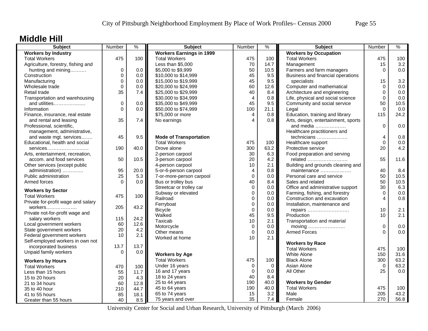### **Middle Hill**

| <b>Subject</b>                                                 | Number      | $\frac{9}{6}$ | <b>Subject</b>                  | Number         | %    | <b>Subject</b>                      | Number      | $\%$ |
|----------------------------------------------------------------|-------------|---------------|---------------------------------|----------------|------|-------------------------------------|-------------|------|
| <b>Workers by Industry</b>                                     |             |               | <b>Workers Earnings in 1999</b> |                |      | <b>Workers by Occupation</b>        |             |      |
| <b>Total Workers</b>                                           | 475         | 100           | <b>Total Workers</b>            | 475            | 100  | <b>Total Workers</b>                | 475         | 100  |
| Agriculture, forestry, fishing and                             |             |               | Less than \$5,000               | 70             | 14.7 | Management                          | 15          | 3.2  |
| hunting and mining                                             | 0           | 0.0           | \$5,000 to \$9,999              | 50             | 10.5 | Farmers and farm managers           | $\Omega$    | 0.0  |
| Construction                                                   | 0           | 0.0           | \$10,000 to \$14,999            | 45             | 9.5  | Business and financial operations   |             |      |
| Manufacturing                                                  | 0           | 0.0           | \$15,000 to \$19,999            | 45             | 9.5  | specialists                         | 15          | 3.2  |
| Wholesale trade                                                | $\mathbf 0$ | 0.0           | \$20,000 to \$24,999            | 60             | 12.6 | Computer and mathematical           | $\Omega$    | 0.0  |
| Retail trade                                                   | 35          | 7.4           | \$25,000 to \$29,999            | 40             | 8.4  | Architecture and engineering        | $\mathbf 0$ | 0.0  |
| Transportation and warehousing                                 |             |               | \$30,000 to \$34,999            | $\overline{4}$ | 0.8  | Life, physical and social science   | $\mathbf 0$ | 0.0  |
| and utilities                                                  | 0           | 0.0           | \$35,000 to \$49,999            | 45             | 9.5  | Community and social service        | 50          | 10.5 |
| Information                                                    | $\Omega$    | 0.0           | \$50,000 to \$74,999            | 100            | 21.1 | Legal                               | $\Omega$    | 0.0  |
| Finance, insurance, real estate                                |             |               | \$75,000 or more                | 4              | 0.8  | Education, training and library     | 115         | 24.2 |
| and rental and leasing                                         | 35          | 7.4           | No earnings                     | $\overline{4}$ | 0.8  | Arts, design, entertainment, sports |             |      |
| Professional, scientific,                                      |             |               |                                 |                |      | and media                           | $\Omega$    | 0.0  |
| management, administrative,                                    |             |               |                                 |                |      | Healthcare practitioners and        |             |      |
| and waste mgt. services                                        | 45          | 9.5           | <b>Mode of Transportation</b>   |                |      | technicians                         | 4           | 0.8  |
| Educational, health and social                                 |             |               | <b>Total Workers</b>            | 475            | 100  | Healthcare support                  | $\mathbf 0$ | 0.0  |
| services                                                       | 190         | 40.0          | Drove alone                     | 300            | 63.2 | Protective service                  | 20          | 4.2  |
| Arts, entertainment, recreation,                               |             |               | 2-person carpool                | 30             | 6.3  | Food preparation and serving        |             |      |
| accom. and food services                                       | 50          | 10.5          | 3-person carpool                | 20             | 4.2  | related                             | 55          | 11.6 |
| Other services (except public                                  |             |               | 4-person carpool                | 10             | 2.1  | Building and grounds cleaning and   |             |      |
| administration)                                                | 95          | 20.0          | 5-or-6-person carpool           | $\overline{4}$ | 0.8  | maintenance                         | 40          | 8.4  |
| Public administration                                          | 25          | 5.3           | 7-or-more-person carpool        | $\mathbf 0$    | 0.0  | Personal care and service           | 50          | 10.5 |
| Armed forces                                                   | $\Omega$    | 0.0           | Bus or trolley bus              | 40             | 8.4  | Sales and related                   | 50          | 10.5 |
|                                                                |             |               | Streetcar or trolley car        | $\mathbf 0$    | 0.0  | Office and administrative support   | 30          | 6.3  |
| <b>Workers by Sector</b>                                       |             |               | Subway or elevated              | $\mathbf 0$    | 0.0  | Farming, fishing, and forestry      | $\mathbf 0$ | 0.0  |
| <b>Total Workers</b>                                           | 475         | 100           | Railroad                        | $\Omega$       | 0.0  | Construction and excavation         | 4           | 0.8  |
| Private for-profit wage and salary                             | 205         | 43.2          | Ferryboat                       | $\mathbf 0$    | 0.0  | Installation, maintenance and       |             |      |
| workers                                                        |             |               | <b>Bicycle</b>                  | $\mathbf 0$    | 0.0  | repairs                             | 10          | 2.1  |
| Private not-for-profit wage and                                | 115         | 24.2          | Walked                          | 45             | 9.5  | Production                          | 10          | 2.1  |
| salary workers                                                 | 60          | 12.6          | Taxicab                         | 10             | 2.1  | Transportation and material         |             |      |
| Local government workers<br>State government workers           | 20          |               | Motorcycle                      | $\mathbf 0$    | 0.0  | moving                              | $\mathbf 0$ | 0.0  |
|                                                                | 10          | 4.2<br>2.1    | Other means                     | $\mathbf 0$    | 0.0  | <b>Armed Forces</b>                 | $\Omega$    | 0.0  |
| Federal government workers<br>Self-employed workers in own not |             |               | Worked at home                  | 10             | 2.1  |                                     |             |      |
| incorporated business                                          | 13.7        | 13.7          |                                 |                |      | <b>Workers by Race</b>              |             |      |
|                                                                | $\mathbf 0$ | 0.0           |                                 |                |      | <b>Total Workers</b>                | 475         | 100  |
| Unpaid family workers                                          |             |               | <b>Workers by Age</b>           |                |      | <b>White Alone</b>                  | 150         | 31.6 |
| <b>Workers by Hours</b>                                        |             |               | <b>Total Workers</b>            | 475            | 100  | <b>Black Alone</b>                  | 300         | 63.2 |
| <b>Total Workers</b>                                           | 470         | 100           | Under 16 years                  | $\mathbf 0$    | 0    | Asian Alone                         | $\mathbf 0$ | 63.2 |
| Less than 15 hours                                             | 55          | 11.7          | 16 and 17 years                 | $\mathbf 0$    | 0.0  | All Other                           | 25          | 0.0  |
| 15 to 20 hours                                                 | 20          | 4.3           | 18 to 24 years                  | 40             | 8.4  |                                     |             |      |
| 21 to 34 hours                                                 | 60          | 12.8          | 25 to 44 years                  | 190            | 40.0 | <b>Workers by Gender</b>            |             |      |
| 35 to 40 hour                                                  | 210         | 44.7          | 45 to 64 years                  | 190            | 40.0 | <b>Total Workers</b>                | 475         | 100  |
| 41 to 55 hours                                                 | 85          | 18.1          | 65 to 74 years                  | 15             | 3.2  | Male                                | 205         | 43.2 |
| Greater than 55 hours                                          | 40          | 8.5           | 75 years and over               | 35             | 7.4  | Female                              | 270         | 56.8 |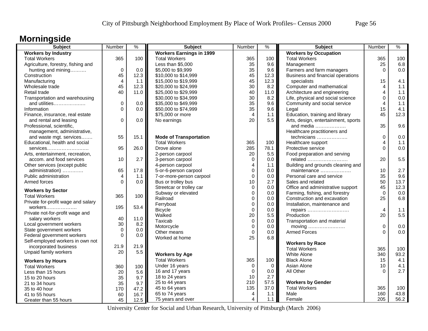# **Morningside**

| <b>Subject</b>                     | Number         | $\%$    | <b>Subject</b>                  | Number         | %           | <b>Subject</b>                      | Number         | $\%$ |
|------------------------------------|----------------|---------|---------------------------------|----------------|-------------|-------------------------------------|----------------|------|
| <b>Workers by Industry</b>         |                |         | <b>Workers Earnings in 1999</b> |                |             | <b>Workers by Occupation</b>        |                |      |
| <b>Total Workers</b>               | 365            | 100     | <b>Total Workers</b>            | 365            | 100         | <b>Total Workers</b>                | 365            | 100  |
| Agriculture, forestry, fishing and |                |         | Less than \$5,000               | 35             | 9.6         | Management                          | 25             | 6.8  |
| hunting and mining                 | $\mathbf 0$    | 0.0     | \$5,000 to \$9,999              | 35             | 9.6         | Farmers and farm managers           | $\Omega$       | 0.0  |
| Construction                       | 45             | 12.3    | \$10,000 to \$14,999            | 45             | 12.3        | Business and financial operations   |                |      |
| Manufacturing                      | $\overline{4}$ | 1.1     | \$15,000 to \$19,999            | 45             | 12.3        | specialists                         | 15             | 4.1  |
| Wholesale trade                    | 45             | 12.3    | \$20,000 to \$24,999            | 30             | 8.2         | Computer and mathematical           | 4              | 1.1  |
| Retail trade                       | 40             | 11.0    | \$25,000 to \$29,999            | 40             | 11.0        | Architecture and engineering        | 4              | 1.1  |
| Transportation and warehousing     |                |         | \$30,000 to \$34,999            | 30             | 8.2         | Life, physical and social science   | 0              | 0.0  |
| and utilities                      | 0              | 0.0     | \$35,000 to \$49,999            | 35             | 9.6         | Community and social service        | 4              | 1.1  |
| Information                        | $\Omega$       | 0.0     | \$50,000 to \$74,999            | 35             | 9.6         | Legal                               | 15             | 4.1  |
| Finance, insurance, real estate    |                |         | \$75,000 or more                | $\overline{4}$ | 1.1         | Education, training and library     | 45             | 12.3 |
| and rental and leasing             | $\Omega$       | 0.0     | No earnings                     | 20             | 5.5         | Arts, design, entertainment, sports |                |      |
| Professional, scientific,          |                |         |                                 |                |             | and media                           | 35             | 9.6  |
| management, administrative,        |                |         |                                 |                |             | Healthcare practitioners and        |                |      |
| and waste mgt. services            | 55             | 15.1    | <b>Mode of Transportation</b>   |                |             | technicians                         | 0              | 0.0  |
| Educational, health and social     |                |         | <b>Total Workers</b>            | 365            | 100         | Healthcare support                  | 4              | 1.1  |
| services                           | 95             | 26.0    | Drove alone                     | 285            | 78.1        | Protective service                  | $\Omega$       | 0.0  |
| Arts, entertainment, recreation,   |                |         | 2-person carpool                | 20             | 5.5         | Food preparation and serving        |                |      |
| accom. and food services           | 10             | 2.7     | 3-person carpool                | $\mathbf 0$    | 0.0         | related                             | 20             | 5.5  |
| Other services (except public      |                |         | 4-person carpool                | $\overline{4}$ | 1.1         | Building and grounds cleaning and   |                |      |
| administration)                    | 65             | 17.8    | 5-or-6-person carpool           | $\mathbf 0$    | 0.0         | maintenance                         | 10             | 2.7  |
| Public administration              | $\overline{4}$ | 1.1     | 7-or-more-person carpool        | $\mathbf 0$    | 0.0         | Personal care and service           | 35             | 9.6  |
| Armed forces                       | $\Omega$       | 0.0     | Bus or trolley bus              | 10             | 2.7         | Sales and related                   | 50             | 13.7 |
|                                    |                |         | Streetcar or trolley car        | $\mathbf 0$    | 0.0         | Office and administrative support   | 45             | 12.3 |
| <b>Workers by Sector</b>           |                |         | Subway or elevated              | $\overline{0}$ | 0.0         | Farming, fishing, and forestry      | $\Omega$       | 0.0  |
| <b>Total Workers</b>               | 365            | 100     | Railroad                        | $\mathbf 0$    | 0.0         | Construction and excavation         | 25             | 6.8  |
| Private for-profit wage and salary |                |         | Ferryboat                       | $\pmb{0}$      | 0.0         | Installation, maintenance and       |                |      |
| $workers$                          | 195            | 53.4    | <b>Bicycle</b>                  | $\mathbf 0$    | 0.0         | repairs                             | $\overline{4}$ | 1.1  |
| Private not-for-profit wage and    |                |         | Walked                          | 20             | 5.5         | Production                          | 20             | 5.5  |
| salary workers                     | 40             | 11.0    | Taxicab                         | $\pmb{0}$      | 0.0         | Transportation and material         |                |      |
| Local government workers           | 30             | 8.2     | Motorcycle                      | $\mathbf 0$    | 0.0         | moving                              | $\mathbf 0$    | 0.0  |
| State government workers           | 0              | $0.0\,$ | Other means                     | $\mathbf 0$    | 0.0         | <b>Armed Forces</b>                 | $\Omega$       | 0.0  |
| Federal government workers         | $\Omega$       | 0.0     | Worked at home                  | 25             | 6.8         |                                     |                |      |
| Self-employed workers in own not   |                |         |                                 |                |             | <b>Workers by Race</b>              |                |      |
| incorporated business              | 21.9           | 21.9    |                                 |                |             | <b>Total Workers</b>                | 365            | 100  |
| Unpaid family workers              | 20             | 5.5     | <b>Workers by Age</b>           |                |             | <b>White Alone</b>                  | 340            | 93.2 |
| <b>Workers by Hours</b>            |                |         | <b>Total Workers</b>            | 365            | 100         | <b>Black Alone</b>                  | 15             | 4.1  |
| <b>Total Workers</b>               | 360            | 100     | Under 16 years                  | 0              | $\mathbf 0$ | Asian Alone                         | 10             | 4.1  |
| Less than 15 hours                 | 20             | 5.6     | 16 and 17 years                 | $\mathbf 0$    | 0.0         | All Other                           | $\Omega$       | 2.7  |
| 15 to 20 hours                     | 35             | 9.7     | 18 to 24 years                  | 10             | 2.7         |                                     |                |      |
| 21 to 34 hours                     | 35             | 9.7     | 25 to 44 years                  | 210            | 57.5        | <b>Workers by Gender</b>            |                |      |
| 35 to 40 hour                      | 170            | 47.2    | 45 to 64 years                  | 135            | 37.0        | <b>Total Workers</b>                | 365            | 100  |
| 41 to 55 hours                     | 60             | 16.7    | 65 to 74 years                  | $\overline{4}$ | 1.1         | Male                                | 160            | 43.8 |
| Greater than 55 hours              | 45             | 12.5    | 75 years and over               | 4              | 1.1         | Female                              | 205            | 56.2 |
|                                    |                |         |                                 |                |             |                                     |                |      |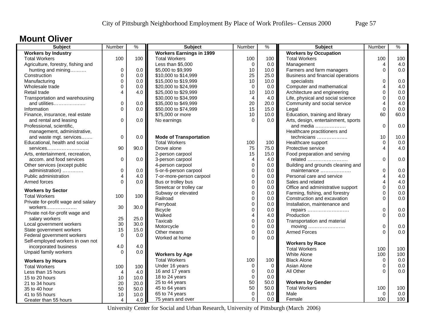#### **Mount Oliver**

| <b>Subject</b>                     | Number                  | %    | <b>Subject</b>                  | Number         | ℅                | <b>Subject</b>                      | Number                  | $\%$ |
|------------------------------------|-------------------------|------|---------------------------------|----------------|------------------|-------------------------------------|-------------------------|------|
| <b>Workers by Industry</b>         |                         |      | <b>Workers Earnings in 1999</b> |                |                  | <b>Workers by Occupation</b>        |                         |      |
| <b>Total Workers</b>               | 100                     | 100  | <b>Total Workers</b>            | 100            | 100              | <b>Total Workers</b>                | 100                     | 100  |
| Agriculture, forestry, fishing and |                         |      | Less than \$5,000               | $\mathbf 0$    | 0.0              | Management                          | $\overline{4}$          | 4.0  |
| hunting and mining                 | $\mathbf 0$             | 0.0  | \$5,000 to \$9,999              | 10             | 10.0             | Farmers and farm managers           | $\Omega$                | 0.0  |
| Construction                       | 0                       | 0.0  | \$10,000 to \$14,999            | 25             | 25.0             | Business and financial operations   |                         |      |
| Manufacturing                      | 0                       | 0.0  | \$15,000 to \$19,999            | 10             | 10.0             | specialists                         | $\mathbf 0$             | 0.0  |
| Wholesale trade                    | 0                       | 0.0  | \$20,000 to \$24,999            | $\mathbf 0$    | 0.0 <sub>1</sub> | Computer and mathematical           | 4                       | 4.0  |
| Retail trade                       | 4                       | 4.0  | \$25,000 to \$29,999            | 10             | 10.0             | Architecture and engineering        | 0                       | 0.0  |
| Transportation and warehousing     |                         |      | \$30,000 to \$34,999            | $\overline{4}$ | 4.0              | Life, physical and social science   | 0                       | 0.0  |
| and utilities                      | $\mathsf 0$             | 0.0  | \$35,000 to \$49,999            | 20             | 20.0             | Community and social service        | 4                       | 4.0  |
| Information                        | $\overline{0}$          | 0.0  | \$50,000 to \$74,999            | 15             | 15.0             | Legal                               | $\Omega$                | 0.0  |
| Finance, insurance, real estate    |                         |      | \$75,000 or more                | 10             | 10.0             | Education, training and library     | 60                      | 60.0 |
| and rental and leasing             | $\mathbf 0$             | 0.0  | No earnings                     | $\Omega$       | 0.0              | Arts, design, entertainment, sports |                         |      |
| Professional, scientific,          |                         |      |                                 |                |                  | and media                           | $\Omega$                | 0.0  |
| management, administrative,        |                         |      |                                 |                |                  | Healthcare practitioners and        |                         |      |
| and waste mgt. services            | 0                       | 0.0  | <b>Mode of Transportation</b>   |                |                  | technicians                         | 10                      | 10.0 |
| Educational, health and social     |                         |      | <b>Total Workers</b>            | 100            | 100              | Healthcare support                  | 0                       | 0.0  |
| services                           | 90                      | 90.0 | Drove alone                     | 75             | 75.0             | Protective service                  | $\overline{4}$          | 4.0  |
| Arts, entertainment, recreation,   |                         |      | 2-person carpool                | 15             | 15.0             | Food preparation and serving        |                         |      |
| accom. and food services           | $\mathbf 0$             | 0.0  | 3-person carpool                | $\overline{4}$ | 4.0              | related                             | $\mathbf 0$             | 0.0  |
| Other services (except public      |                         |      | 4-person carpool                | 0              | 0.0              | Building and grounds cleaning and   |                         |      |
| administration)                    | $\mathbf 0$             | 0.0  | 5-or-6-person carpool           | $\Omega$       | 0.0              | maintenance                         | $\mathbf 0$             | 0.0  |
| Public administration              | $\overline{\mathbf{4}}$ | 4.0  | 7-or-more-person carpool        | $\mathbf 0$    | 0.0              | Personal care and service           | $\overline{\mathbf{4}}$ | 4.0  |
| Armed forces                       | $\Omega$                | 0.0  | Bus or trolley bus              | $\Omega$       | 0.0              | Sales and related                   | 4                       | 4.0  |
|                                    |                         |      | Streetcar or trolley car        | 0              | 0.0              | Office and administrative support   | $\mathbf 0$             | 0.0  |
| <b>Workers by Sector</b>           |                         |      | Subway or elevated              | 0              | 0.0              | Farming, fishing, and forestry      | 0                       | 0.0  |
| <b>Total Workers</b>               | 100                     | 100  | Railroad                        | $\Omega$       | 0.0              | Construction and excavation         | $\Omega$                | 0.0  |
| Private for-profit wage and salary |                         |      | Ferryboat                       | 0              | 0.0              | Installation, maintenance and       |                         |      |
| workers                            | 30                      | 30.0 | <b>Bicycle</b>                  | 0              | 0.0              | repairs                             | $\boldsymbol{0}$        | 0.0  |
| Private not-for-profit wage and    |                         |      | Walked                          | 4              | 4.0              | Production                          | $\Omega$                | 0.0  |
| salary workers                     | 25                      | 25.0 | Taxicab                         | 0              | 0.0              | Transportation and material         |                         |      |
| Local government workers           | 30                      | 30.0 | Motorcycle                      | $\overline{0}$ | 0.0              | moving                              | $\boldsymbol{0}$        | 0.0  |
| State government workers           | 15                      | 15.0 | Other means                     | $\Omega$       | 0.0              | <b>Armed Forces</b>                 | $\Omega$                | 0.0  |
| Federal government workers         | $\mathbf 0$             | 0.0  | Worked at home                  | $\Omega$       | 0.0              |                                     |                         |      |
| Self-employed workers in own not   |                         |      |                                 |                |                  | <b>Workers by Race</b>              |                         |      |
| incorporated business              | 4.0                     | 4.0  |                                 |                |                  | <b>Total Workers</b>                | 100                     | 100  |
| Unpaid family workers              | $\Omega$                | 0.0  | <b>Workers by Age</b>           |                |                  | White Alone                         | 100                     | 100  |
| <b>Workers by Hours</b>            |                         |      | <b>Total Workers</b>            | 100            | 100              | <b>Black Alone</b>                  | 0                       | 0.0  |
| <b>Total Workers</b>               | 100                     | 100  | Under 16 years                  | 0              | $\overline{0}$   | Asian Alone                         | 0                       | 0.0  |
| Less than 15 hours                 | $\overline{4}$          | 4.0  | 16 and 17 years                 | $\mathbf 0$    | 0.0              | All Other                           | O                       | 0.0  |
| 15 to 20 hours                     | 10                      | 10.0 | 18 to 24 years                  | $\mathbf 0$    | 0.0              |                                     |                         |      |
| 21 to 34 hours                     | 20                      | 20.0 | 25 to 44 years                  | 50             | 50.0             | <b>Workers by Gender</b>            |                         |      |
| 35 to 40 hour                      | 50                      | 50.0 | 45 to 64 years                  | 50             | 50.0             | <b>Total Workers</b>                | 100                     | 100  |
| 41 to 55 hours                     | 10                      | 10.0 | 65 to 74 years                  | $\mathbf 0$    | 0.0              | Male                                | $\Omega$                | 0.0  |
| Greater than 55 hours              | 4                       | 4.0  | 75 years and over               | $\Omega$       | 0.0              | Female                              | 100                     | 100  |
|                                    |                         |      |                                 |                |                  |                                     |                         |      |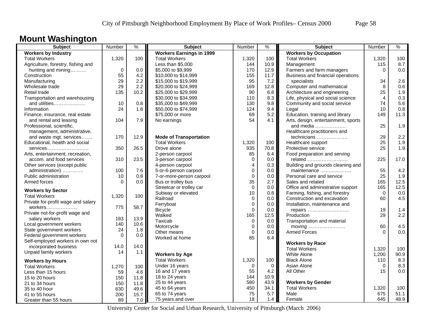### **Mount Washington**

| Subject                            | Number      | $\frac{1}{2}$ | Subject                         | Number      | $\frac{9}{6}$ | <b>Subject</b>                      | Number         | $\frac{9}{6}$ |
|------------------------------------|-------------|---------------|---------------------------------|-------------|---------------|-------------------------------------|----------------|---------------|
| <b>Workers by Industry</b>         |             |               | <b>Workers Earnings in 1999</b> |             |               | <b>Workers by Occupation</b>        |                |               |
| <b>Total Workers</b>               | 1,320       | 100           | <b>Total Workers</b>            | 1,320       | 100           | <b>Total Workers</b>                | 1,320          | 100           |
| Agriculture, forestry, fishing and |             |               | Less than \$5,000               | 144         | 10.9          | Management                          | 115            | 8.7           |
| hunting and mining                 | $\mathbf 0$ | 0.0           | \$5,000 to \$9,999              | 170         | 12.9          | Farmers and farm managers           | $\Omega$       | 0.0           |
| Construction                       | 55          | 4.2           | \$10,000 to \$14,999            | 155         | 11.7          | Business and financial operations   |                |               |
| Manufacturing                      | 29          | 2.2           | \$15,000 to \$19,999            | 95          | 7.2           | specialists                         | 34             | 2.6           |
| Wholesale trade                    | 29          | 2.2           | \$20,000 to \$24,999            | 169         | 12.8          | Computer and mathematical           | 8              | 0.6           |
| Retail trade                       | 135         | 10.2          | \$25,000 to \$29,999            | 90          | 6.8           | Architecture and engineering        | 25             | 1.9           |
| Transportation and warehousing     |             |               | \$30,000 to \$34,999            | 110         | 8.3           | Life, physical and social science   | $\overline{4}$ | 0.3           |
| and utilities                      | 10          | 0.8           | \$35,000 to \$49,999            | 130         | 9.8           | Community and social service        | 74             | 5.6           |
| Information                        | 24          | 1.8           | \$50,000 to \$74,999            | 124         | 9.4           | Legal                               | 10             | 0.8           |
| Finance, insurance, real estate    |             |               | \$75,000 or more                | 69          | 5.2           | Education, training and library     | 149            | 11.3          |
| and rental and leasing             | 104         | 7.9           | No earnings                     | 54          | 4.1           | Arts, design, entertainment, sports |                |               |
| Professional, scientific,          |             |               |                                 |             |               | and media $\ldots$                  | 25             | 1.9           |
| management, administrative,        |             |               |                                 |             |               | Healthcare practitioners and        |                |               |
| and waste mgt. services            | 170         | 12.9          | <b>Mode of Transportation</b>   |             |               | technicians                         | 29             | 2.2           |
| Educational, health and social     |             |               | <b>Total Workers</b>            | 1,320       | 100           | Healthcare support                  | 25             | 1.9           |
| services                           | 350         | 26.5          | Drove alone                     | 935         | 70.8          | Protective service                  | 25             | 1.9           |
| Arts, entertainment, recreation,   |             |               | 2-person carpool                | 85          | 6.4           | Food preparation and serving        |                |               |
| accom. and food services           | 310         | 23.5          | 3-person carpool                | $\mathbf 0$ | 0.0           | related                             | 225            | 17.0          |
| Other services (except public      |             |               | 4-person carpool                | 4           | 0.3           | Building and grounds cleaning and   |                |               |
| administration)                    | 100         | 7.6           | 5-or-6-person carpool           | $\mathbf 0$ | 0.0           | maintenance                         | 55             | 4.2           |
| Public administration              | 10          | 0.8           | 7-or-more-person carpool        | $\mathbf 0$ | 0.0           | Personal care and service           | 25             | 1.9           |
| Armed forces                       | $\Omega$    | 0.0           | Bus or trolley bus              | 35          | 2.7           | Sales and related                   | 165            | 12.5          |
|                                    |             |               | Streetcar or trolley car        | $\Omega$    | 0.0           | Office and administrative support   | 165            | 12.5          |
| <b>Workers by Sector</b>           |             |               | Subway or elevated              | 10          | 0.8           | Farming, fishing, and forestry      | $\Omega$       | 0.0           |
| <b>Total Workers</b>               | 1,320       | 100           | Railroad                        | $\Omega$    | 0.0           | Construction and excavation         | 60             | 4.5           |
| Private for-profit wage and salary |             |               | Ferryboat                       | $\Omega$    | 0.0           | Installation, maintenance and       |                |               |
| workers                            | 775         | 58.7          |                                 | $\Omega$    |               |                                     | 19             | 1.4           |
| Private not-for-profit wage and    |             |               | <b>Bicycle</b>                  |             | 0.0           | repairs                             |                | 2.2           |
| salary workers                     | 183         | 13.9          | Walked                          | 165         | 12.5          | Production                          | 29             |               |
| Local government workers           | 140         | 10.6          | Taxicab                         | $\mathbf 0$ | 0.0           | Transportation and material         |                |               |
| State government workers           | 24          | 1.8           | Motorcycle                      | $\Omega$    | 0.0           |                                     | 60             | 4.5           |
| Federal government workers         | $\Omega$    | 0.0           | Other means                     | $\Omega$    | 0.0           | <b>Armed Forces</b>                 | $\Omega$       | 0.0           |
| Self-employed workers in own not   |             |               | Worked at home                  | 85          | 6.4           |                                     |                |               |
| incorporated business              | 14.0        | 14.0          |                                 |             |               | <b>Workers by Race</b>              |                |               |
| Unpaid family workers              | 14          | 1.1           |                                 |             |               | <b>Total Workers</b>                | 1,320          | 100           |
|                                    |             |               | <b>Workers by Age</b>           |             |               | White Alone                         | 1,200          | 90.9          |
| <b>Workers by Hours</b>            |             |               | <b>Total Workers</b>            | 1,320       | 100           | <b>Black Alone</b>                  | 110            | 8.3           |
| <b>Total Workers</b>               | 1,270       | 100           | Under 16 years                  | $\mathbf 0$ | $\mathbf 0$   | Asian Alone                         | $\mathbf 0$    | 8.3           |
| Less than 15 hours                 | 59          | 4.6           | 16 and 17 years                 | 55          | 4.2           | All Other                           | 15             | 0.0           |
| 15 to 20 hours                     | 150         | 11.8          | 18 to 24 years                  | 144         | 10.9          |                                     |                |               |
| 21 to 34 hours                     | 150         | 11.8          | 25 to 44 years                  | 580         | 43.9          | <b>Workers by Gender</b>            |                |               |
| 35 to 40 hour                      | 630         | 49.6          | 45 to 64 years                  | 450         | 34.1          | <b>Total Workers</b>                | 1,320          | 100           |
| 41 to 55 hours                     | 200         | 15.7          | 65 to 74 years                  | 75          | 5.7           | Male                                | 675            | 51.1          |
| Greater than 55 hours              | 89          | $7.0$         | 75 years and over               | 18          | 1.4           | Female                              | 645            | 48.9          |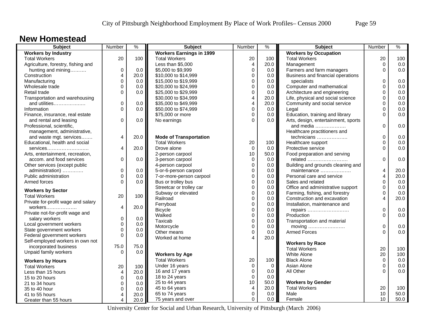#### **New Homestead**

| <b>Subject</b>                     | Number                  | $\frac{0}{0}$ | <b>Subject</b>                   | Number                  | $\frac{9}{6}$    | Subject                             | Number                  | $\frac{9}{6}$ |
|------------------------------------|-------------------------|---------------|----------------------------------|-------------------------|------------------|-------------------------------------|-------------------------|---------------|
| <b>Workers by Industry</b>         |                         |               | <b>Workers Earnings in 1999</b>  |                         |                  | <b>Workers by Occupation</b>        |                         |               |
| <b>Total Workers</b>               | 20                      | 100           | <b>Total Workers</b>             | 20                      | 100              | <b>Total Workers</b>                | 20                      | 100           |
| Agriculture, forestry, fishing and |                         |               | Less than \$5,000                | $\overline{\mathbf{4}}$ | 20.0             | Management                          | 0                       | 0.0           |
| hunting and mining                 | 0                       | 0.0           | \$5,000 to \$9,999               | $\overline{0}$          | 0.0              | Farmers and farm managers           | $\Omega$                | 0.0           |
| Construction                       | 4                       | 20.0          | \$10,000 to \$14,999             | $\Omega$                | 0.0 <sub>1</sub> | Business and financial operations   |                         |               |
| Manufacturing                      | 0                       | 0.0           | \$15,000 to \$19,999             | 0                       | 0.0              | specialists                         | $\mathbf 0$             | 0.0           |
| Wholesale trade                    | $\mathbf 0$             | 0.0           | \$20,000 to \$24,999             | $\Omega$                | 0.0              | Computer and mathematical           | $\mathbf 0$             | 0.0           |
| Retail trade                       | $\Omega$                | 0.0           | \$25,000 to \$29,999             | 0                       | 0.0              | Architecture and engineering        | $\mathbf 0$             | 0.0           |
| Transportation and warehousing     |                         |               | \$30,000 to \$34,999             | 4                       | 20.0             | Life, physical and social science   | 0                       | 0.0           |
| and utilities                      | 0                       | 0.0           | \$35,000 to \$49,999             | 4                       | 20.0             | Community and social service        | 0                       | 0.0           |
| Information                        | 0                       | 0.0           | \$50,000 to \$74,999             | 0                       | 0.0              | Legal                               | $\mathbf 0$             | 0.0           |
| Finance, insurance, real estate    |                         |               | \$75,000 or more                 | 0                       | 0.0              | Education, training and library     | $\Omega$                | 0.0           |
| and rental and leasing             | $\mathbf 0$             | 0.0           | No earnings                      | $\Omega$                | 0.0              | Arts, design, entertainment, sports |                         |               |
| Professional, scientific,          |                         |               |                                  |                         |                  | and media                           | 0                       | 0.0           |
| management, administrative,        |                         |               |                                  |                         |                  | Healthcare practitioners and        |                         |               |
| and waste mgt. services            | 4                       | 20.0          | <b>Mode of Transportation</b>    |                         |                  | technicians                         | $\mathbf 0$             | 0.0           |
| Educational, health and social     |                         |               | <b>Total Workers</b>             | 20                      | 100              | Healthcare support                  | 0                       | 0.0           |
| services                           | 4                       | 20.0          | Drove alone                      | $\mathbf 0$             | 0.0              | Protective service                  | $\Omega$                | 0.0           |
| Arts, entertainment, recreation,   |                         |               | 2-person carpool                 | 10                      | 50.0             | Food preparation and serving        |                         |               |
| accom. and food services           | $\Omega$                | 0.0           | 3-person carpool                 | $\mathbf 0$             | 0.0              | related                             | $\Omega$                | 0.0           |
| Other services (except public      |                         |               | 4-person carpool                 | $\mathbf 0$             | 0.0              | Building and grounds cleaning and   |                         |               |
| administration)                    | 0                       | 0.0           | 5-or-6-person carpool            | $\mathbf 0$             | 0.0 <sub>1</sub> | maintenance                         | $\overline{\mathbf{4}}$ | 20.0          |
| Public administration              | 0                       | 0.0           | 7-or-more-person carpool         | 0                       | 0.0              | Personal care and service           | 4                       | 20.0          |
| Armed forces                       | $\Omega$                | 0.0           | Bus or trolley bus               | 0                       | 0.0              | Sales and related                   | $\mathbf 0$             | 0.0           |
|                                    |                         |               | Streetcar or trolley car         | $\Omega$                | 0.0              | Office and administrative support   | 0                       | 0.0           |
| <b>Workers by Sector</b>           |                         |               | Subway or elevated               | 0                       | 0.0              | Farming, fishing, and forestry      | $\mathbf 0$             | 0.0           |
| <b>Total Workers</b>               | 20                      | 100           | Railroad                         | 0                       | 0.0              | Construction and excavation         | 4                       | 20.0          |
| Private for-profit wage and salary |                         |               | Ferryboat                        | 0                       | 0.0              | Installation, maintenance and       |                         |               |
| workers                            | $\overline{\mathbf{4}}$ | 20.0          | <b>Bicycle</b>                   | 0                       | 0.0              | repairs                             | $\mathbf 0$             | 0.0           |
| Private not-for-profit wage and    |                         |               | Walked                           | 0                       | 0.0              | Production                          | $\Omega$                | 0.0           |
| salary workers                     | $\mathsf 0$             | 0.0           | Taxicab                          | $\Omega$                | 0.0              | Transportation and material         |                         |               |
| Local government workers           | $\mathsf 0$             | 0.0           | Motorcycle                       | $\Omega$                | 0.0 <sub>1</sub> | moving                              | $\mathbf 0$             | 0.0           |
| State government workers           | $\mathbf 0$             | 0.0           | Other means                      | $\overline{0}$          | 0.0              | <b>Armed Forces</b>                 | $\Omega$                | 0.0           |
| Federal government workers         | $\Omega$                | 0.0           | Worked at home                   | Δ                       | 20.0             |                                     |                         |               |
| Self-employed workers in own not   |                         |               |                                  |                         |                  | <b>Workers by Race</b>              |                         |               |
| incorporated business              | 75.0                    | 75.0          |                                  |                         |                  | <b>Total Workers</b>                | 20                      | 100           |
| Unpaid family workers              | $\Omega$                | 0.0           | <b>Workers by Age</b>            |                         |                  | White Alone                         | 20                      | 100           |
|                                    |                         |               | <b>Total Workers</b>             | 20                      | 100              | <b>Black Alone</b>                  | 0                       | 0.0           |
| <b>Workers by Hours</b>            |                         |               | Under 16 years                   | 0                       | $\overline{0}$   | Asian Alone                         | 0                       | 0.0           |
| <b>Total Workers</b>               | 20                      | 100           | 16 and 17 years                  | $\mathbf 0$             | 0.0              | All Other                           | $\Omega$                | 0.0           |
| Less than 15 hours                 | 4                       | 20.0          | 18 to 24 years                   | $\mathbf 0$             | 0.0              |                                     |                         |               |
| 15 to 20 hours                     | 0                       | 0.0           |                                  | 10                      | 50.0             | <b>Workers by Gender</b>            |                         |               |
| 21 to 34 hours                     | 0                       | 0.0           | 25 to 44 years<br>45 to 64 years |                         | 20.0             | <b>Total Workers</b>                | 20                      | 100           |
| 35 to 40 hour                      | 0                       | 0.0           |                                  | $\overline{4}$          |                  | Male                                | 10                      | 50.0          |
| 41 to 55 hours                     | 4                       | 20.0          | 65 to 74 years                   | 0<br>$\Omega$           | 0.0              |                                     | 10                      |               |
| Greater than 55 hours              | 4                       | 20.0          | 75 years and over                |                         | 0.0              | Female                              |                         | 50.0          |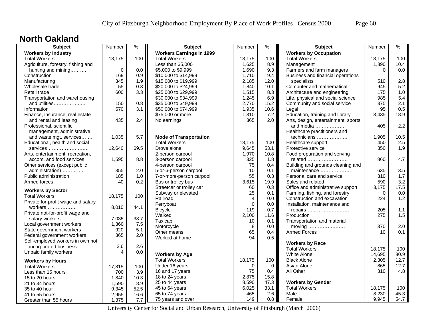#### **North Oakland**

| <b>Subject</b>                     | Number                 | $\frac{9}{6}$ | <b>Subject</b>                  | Number         | $\frac{0}{0}$ | <b>Subject</b>                      | Number   | $\%$ |
|------------------------------------|------------------------|---------------|---------------------------------|----------------|---------------|-------------------------------------|----------|------|
| <b>Workers by Industry</b>         |                        |               | <b>Workers Earnings in 1999</b> |                |               | <b>Workers by Occupation</b>        |          |      |
| <b>Total Workers</b>               | 18,175                 | 100           | <b>Total Workers</b>            | 18,175         | 100           | <b>Total Workers</b>                | 18,175   | 100  |
| Agriculture, forestry, fishing and |                        |               | Less than \$5,000               | 1,625          | 8.9           | Management                          | 1,890    | 10.4 |
| hunting and mining                 | $\mathbf 0$            | 0.0           | \$5,000 to \$9,999              | 1,690          | 9.3           | Farmers and farm managers           | $\Omega$ | 0.0  |
| Construction                       | 169                    | 0.9           | \$10,000 to \$14,999            | 1,710          | 9.4           | Business and financial operations   |          |      |
| Manufacturing                      | 345                    | 1.9           | \$15,000 to \$19,999            | 2,185          | 12.0          | specialists                         | 510      | 2.8  |
| Wholesale trade                    | 55                     | 0.3           | \$20,000 to \$24,999            | 1,840          | 10.1          | Computer and mathematical           | 945      | 5.2  |
| Retail trade                       | 600                    | 3.3           | \$25,000 to \$29,999            | 1,515          | 8.3           | Architecture and engineering        | 175      | 1.0  |
| Transportation and warehousing     |                        |               | \$30,000 to \$34,999            | 1,245          | 6.9           | Life, physical and social science   | 985      | 5.4  |
| and utilities                      | 150                    | 0.8           | \$35,000 to \$49,999            | 2,770          | 15.2          | Community and social service        | 375      | 2.1  |
| Information                        | 570                    | 3.1           | \$50,000 to \$74,999            | 1,935          | 10.6          | Legal                               | 95       | 0.5  |
| Finance, insurance, real estate    |                        |               | \$75,000 or more                | 1,310          | 7.2           | Education, training and library     | 3,435    | 18.9 |
| and rental and leasing             | 435                    | 2.4           | No earnings                     | 365            | 2.0           | Arts, design, entertainment, sports |          |      |
| Professional, scientific,          |                        |               |                                 |                |               | and media                           | 405      | 2.2  |
| management, administrative,        |                        |               |                                 |                |               | Healthcare practitioners and        |          |      |
| and waste mgt. services            | 1,035                  | 5.7           | <b>Mode of Transportation</b>   |                |               | technicians                         | 1,905    | 10.5 |
| Educational, health and social     |                        |               | <b>Total Workers</b>            | 18,175         | 100           | Healthcare support                  | 450      | 2.5  |
| services                           | 12,640                 | 69.5          | Drove alone                     | 9,645          | 53.1          | Protective service                  | 350      | 1.9  |
| Arts, entertainment, recreation,   |                        |               | 2-person carpool                | 1,970          | 10.8          | Food preparation and serving        |          |      |
| accom. and food services           | 1,595                  | 8.8           | 3-person carpool                | 325            | 1.8           | related                             | 860      | 4.7  |
| Other services (except public      |                        |               | 4-person carpool                | 75             | 0.4           | Building and grounds cleaning and   |          |      |
| administration)                    | 355                    | 2.0           | 5-or-6-person carpool           | 10             | 0.1           | maintenance                         | 635      | 3.5  |
| Public administration              | 185                    | 1.0           | 7-or-more-person carpool        | 55             | 0.3           | Personal care and service           | 310      | 1.7  |
| Armed forces                       | 40                     | 0.2           | Bus or trolley bus              | 3,615          | 19.9          | Sales and related                   | 590      | 3.2  |
|                                    |                        |               | Streetcar or trolley car        | 60             | 0.3           | Office and administrative support   | 3,175    | 17.5 |
| <b>Workers by Sector</b>           |                        |               | Subway or elevated              | 25             | 0.1           | Farming, fishing, and forestry      | $\Omega$ | 0.0  |
| <b>Total Workers</b>               | 18,175                 | 100           | Railroad                        | $\overline{4}$ | 0.0           | Construction and excavation         | 224      | 1.2  |
| Private for-profit wage and salary |                        |               | Ferryboat                       | $\mathbf 0$    | 0.0           | Installation, maintenance and       |          |      |
| workers                            | 8,010                  | 44.1          | <b>Bicycle</b>                  | 119            | 0.7           | repairs                             | 205      | 1.1  |
| Private not-for-profit wage and    |                        |               | Walked                          | 2,100          | 11.6          | Production                          | 275      | 1.5  |
| salary workers                     | 7,035                  | 38.7          | Taxicab                         | 10             | 0.1           | Transportation and material         |          |      |
| Local government workers           | 1,360                  | 7.5           | Motorcycle                      | 8              | 0.0           | moving                              | 370      | 2.0  |
| State government workers           | 920                    | 5.1           | Other means                     | 65             | 0.4           | <b>Armed Forces</b>                 | 10       | 0.1  |
| Federal government workers         | 365                    | 2.0           | Worked at home                  | 94             | 0.5           |                                     |          |      |
| Self-employed workers in own not   |                        |               |                                 |                |               | <b>Workers by Race</b>              |          |      |
| incorporated business              | 2.6                    | 2.6           |                                 |                |               | <b>Total Workers</b>                | 18,175   | 100  |
| Unpaid family workers              | $\boldsymbol{\Lambda}$ | 0.0           | <b>Workers by Age</b>           |                |               | <b>White Alone</b>                  | 14,695   | 80.9 |
| <b>Workers by Hours</b>            |                        |               | <b>Total Workers</b>            | 18,175         | 100           | <b>Black Alone</b>                  | 2,305    | 12.7 |
| <b>Total Workers</b>               | 17,815                 | 100           | Under 16 years                  | $\Omega$       | $\Omega$      | Asian Alone                         | 865      | 12.7 |
| Less than 15 hours                 | 700                    | 3.9           | 16 and 17 years                 | 75             | 0.4           | All Other                           | 310      | 4.8  |
| 15 to 20 hours                     | 1,840                  | 10.3          | 18 to 24 years                  | 2,875          | 15.8          |                                     |          |      |
| 21 to 34 hours                     | 1,590                  | 8.9           | 25 to 44 years                  | 8,590          | 47.3          | <b>Workers by Gender</b>            |          |      |
| 35 to 40 hour                      | 9,345                  | 52.5          | 45 to 64 years                  | 6,025          | 33.1          | <b>Total Workers</b>                | 18,175   | 100  |
| 41 to 55 hours                     | 2,955                  | 16.6          | 65 to 74 years                  | 465            | 2.6           | Male                                | 8,230    | 45.3 |
| Greater than 55 hours              | 1,375                  | 7.7           | 75 years and over               | 149            | 0.8           | Female                              | 9,945    | 54.7 |
|                                    |                        |               |                                 |                |               |                                     |          |      |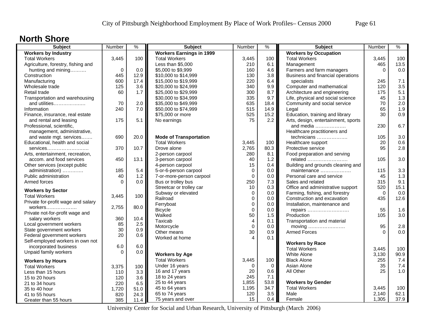### **North Shore**

| <b>Subject</b>                     | Number      | $\frac{9}{6}$ | <b>Subject</b>                  | Number         | $\%$        | <b>Subject</b>                      | Number      | %    |
|------------------------------------|-------------|---------------|---------------------------------|----------------|-------------|-------------------------------------|-------------|------|
| <b>Workers by Industry</b>         |             |               | <b>Workers Earnings in 1999</b> |                |             | <b>Workers by Occupation</b>        |             |      |
| <b>Total Workers</b>               | 3,445       | 100           | <b>Total Workers</b>            | 3,445          | 100         | <b>Total Workers</b>                | 3,445       | 100  |
| Agriculture, forestry, fishing and |             |               | Less than \$5,000               | 210            | 6.1         | Management                          | 465         | 13.5 |
| hunting and mining                 | $\mathbf 0$ | 0.0           | \$5,000 to \$9,999              | 160            | 4.6         | Farmers and farm managers           | $\Omega$    | 0.0  |
| Construction                       | 445         | 12.9          | \$10,000 to \$14,999            | 130            | 3.8         | Business and financial operations   |             |      |
| Manufacturing                      | 600         | 17.4          | \$15,000 to \$19,999            | 220            | 6.4         | specialists                         | 245         | 7.1  |
| Wholesale trade                    | 125         | 3.6           | \$20,000 to \$24,999            | 340            | 9.9         | Computer and mathematical           | 120         | 3.5  |
| Retail trade                       | 60          | 1.7           | \$25,000 to \$29,999            | 300            | 8.7         | Architecture and engineering        | 175         | 5.1  |
| Transportation and warehousing     |             |               | \$30,000 to \$34,999            | 335            | 9.7         | Life, physical and social science   | 45          | 1.3  |
| and utilities                      | 70          | 2.0           | \$35,000 to \$49,999            | 635            | 18.4        | Community and social service        | 70          | 2.0  |
| Information                        | 240         | 7.0           | \$50,000 to \$74,999            | 515            | 14.9        | Legal                               | 65          | 1.9  |
| Finance, insurance, real estate    |             |               | \$75,000 or more                | 525            | 15.2        | Education, training and library     | 30          | 0.9  |
| and rental and leasing             | 175         | 5.1           | No earnings                     | 75             | 2.2         | Arts, design, entertainment, sports |             |      |
| Professional, scientific,          |             |               |                                 |                |             | and media                           | 230         | 6.7  |
| management, administrative,        |             |               |                                 |                |             | Healthcare practitioners and        |             |      |
| and waste mgt. services            | 690         | 20.0          | <b>Mode of Transportation</b>   |                |             | technicians                         | 105         | 3.0  |
| Educational, health and social     |             |               | <b>Total Workers</b>            | 3,445          | 100         | Healthcare support                  | 20          | 0.6  |
| services                           | 370         | 10.7          | Drove alone                     | 2,765          | 80.3        | Protective service                  | 95          | 2.8  |
| Arts, entertainment, recreation,   |             |               | 2-person carpool                | 280            | 8.1         | Food preparation and serving        |             |      |
| accom. and food services           | 450         | 13.1          | 3-person carpool                | 40             | 1.2         | related                             | 105         | 3.0  |
| Other services (except public      |             |               | 4-person carpool                | 15             | 0.4         | Building and grounds cleaning and   |             |      |
| administration)                    | 185         | 5.4           | 5-or-6-person carpool           | $\mathbf 0$    | 0.0         | maintenance                         | 115         | 3.3  |
| Public administration              | 40          | 1.2           | 7-or-more-person carpool        | $\mathbf 0$    | 0.0         | Personal care and service           | 45          | 1.3  |
| Armed forces                       | $\Omega$    | 0.0           | Bus or trolley bus              | 250            | 7.3         | Sales and related                   | 315         | 9.1  |
| <b>Workers by Sector</b>           |             |               | Streetcar or trolley car        | 10             | 0.3         | Office and administrative support   | 520         | 15.1 |
| <b>Total Workers</b>               | 3,445       | 100           | Subway or elevated              | $\mathbf 0$    | 0.0         | Farming, fishing, and forestry      | $\mathbf 0$ | 0.0  |
| Private for-profit wage and salary |             |               | Railroad                        | $\mathbf 0$    | 0.0         | Construction and excavation         | 435         | 12.6 |
| workers                            | 2,755       | 80.0          | Ferryboat                       | $\mathbf 0$    | 0.0         | Installation, maintenance and       |             |      |
| Private not-for-profit wage and    |             |               | <b>Bicycle</b>                  | $\Omega$       | 0.0         | repairs                             | 55          | 1.6  |
| salary workers                     | 360         | 10.4          | Walked                          | 50             | 1.5         | Production                          | 105         | 3.0  |
| Local government workers           | 85          | 2.5           | Taxicab                         | $\overline{4}$ | 0.1         | Transportation and material         |             |      |
| State government workers           | 30          | 0.9           | Motorcycle                      | $\mathbf 0$    | 0.0         | moving                              | 95          | 2.8  |
| Federal government workers         | 20          | 0.6           | Other means                     | 30             | 0.9         | <b>Armed Forces</b>                 | $\Omega$    | 0.0  |
| Self-employed workers in own not   |             |               | Worked at home                  | $\Delta$       | 0.1         |                                     |             |      |
| incorporated business              | 6.0         | 6.0           |                                 |                |             | <b>Workers by Race</b>              |             |      |
| Unpaid family workers              | $\Omega$    | 0.0           |                                 |                |             | <b>Total Workers</b>                | 3,445       | 100  |
|                                    |             |               | <b>Workers by Age</b>           |                |             | White Alone                         | 3,130       | 90.9 |
| <b>Workers by Hours</b>            |             |               | <b>Total Workers</b>            | 3,445          | 100         | <b>Black Alone</b>                  | 255         | 7.4  |
| <b>Total Workers</b>               | 3,375       | 100           | Under 16 years                  | $\Omega$       | $\mathbf 0$ | Asian Alone                         | 35          | 7.4  |
| Less than 15 hours                 | 110         | 3.3           | 16 and 17 years                 | 20             | 0.6         | All Other                           | 25          | 1.0  |
| 15 to 20 hours                     | 120         | 3.6           | 18 to 24 years                  | 245            | 7.1         |                                     |             |      |
| 21 to 34 hours                     | 220         | 6.5           | 25 to 44 years                  | 1,855          | 53.8        | <b>Workers by Gender</b>            |             |      |
| 35 to 40 hour                      | 1,720       | 51.0          | 45 to 64 years                  | 1,195          | 34.7        | <b>Total Workers</b>                | 3,445       | 100  |
| 41 to 55 hours                     | 820         | 24.3          | 65 to 74 years                  | 120            | 3.5         | Male                                | 2,140       | 62.1 |
| Greater than 55 hours              | 385         | 11.4          | 75 years and over               | 15             | 0.4         | Female                              | 1,305       | 37.9 |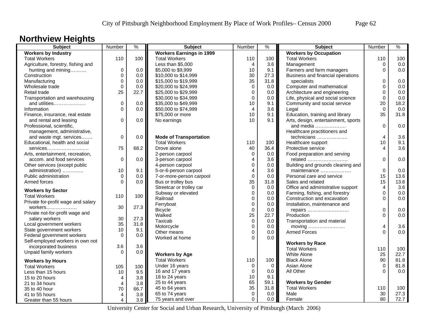### **Northview Heights**

| <b>Subject</b>                     | Number         | $\frac{9}{6}$ | <b>Subject</b>                  | Number         | $\%$        | <b>Subject</b>                      | Number         | $\frac{9}{6}$ |
|------------------------------------|----------------|---------------|---------------------------------|----------------|-------------|-------------------------------------|----------------|---------------|
| <b>Workers by Industry</b>         |                |               | <b>Workers Earnings in 1999</b> |                |             | <b>Workers by Occupation</b>        |                |               |
| <b>Total Workers</b>               | 110            | 100           | <b>Total Workers</b>            | 110            | 100         | <b>Total Workers</b>                | 110            | 100           |
| Agriculture, forestry, fishing and |                |               | Less than \$5,000               | $\overline{4}$ | 3.6         | Management                          | $\mathbf 0$    | 0.0           |
| hunting and mining                 | $\mathbf 0$    | 0.0           | \$5,000 to \$9,999              | 10             | 9.1         | Farmers and farm managers           | $\Omega$       | 0.0           |
| Construction                       | $\mathbf 0$    | 0.0           | \$10,000 to \$14,999            | 30             | 27.3        | Business and financial operations   |                |               |
| Manufacturing                      | $\mathbf 0$    | 0.0           | \$15,000 to \$19,999            | 35             | 31.8        | specialists                         | $\Omega$       | 0.0           |
| Wholesale trade                    | $\mathbf 0$    | 0.0           | \$20,000 to \$24,999            | $\mathbf 0$    | 0.0         | Computer and mathematical           | $\Omega$       | 0.0           |
| Retail trade                       | 25             | 22.7          | \$25,000 to \$29,999            | $\mathbf 0$    | 0.0         | Architecture and engineering        | 0              | 0.0           |
| Transportation and warehousing     |                |               | \$30,000 to \$34,999            | $\mathbf 0$    | 0.0         | Life, physical and social science   | 0              | 0.0           |
| and utilities                      | $\mathbf 0$    | 0.0           | \$35,000 to \$49,999            | 10             | 9.1         | Community and social service        | 20             | 18.2          |
| Information                        | $\Omega$       | 0.0           | \$50,000 to \$74,999            | $\overline{4}$ | 3.6         | Legal                               | $\Omega$       | 0.0           |
| Finance, insurance, real estate    |                |               | \$75,000 or more                | 10             | 9.1         | Education, training and library     | 35             | 31.8          |
| and rental and leasing             | 0              | 0.0           | No earnings                     | 10             | 9.1         | Arts, design, entertainment, sports |                |               |
| Professional, scientific,          |                |               |                                 |                |             | and media $\ldots$                  | $\Omega$       | 0.0           |
| management, administrative,        |                |               |                                 |                |             | Healthcare practitioners and        |                |               |
| and waste mgt. services            | $\mathbf 0$    | 0.0           | <b>Mode of Transportation</b>   |                |             | technicians                         | $\overline{4}$ | 3.6           |
| Educational, health and social     |                |               | <b>Total Workers</b>            | 110            | 100         | Healthcare support                  | 10             | 9.1           |
| services                           | 75             | 68.2          | Drove alone                     | 40             | 36.4        | Protective service                  | 4              | 3.6           |
| Arts, entertainment, recreation,   |                |               | 2-person carpool                | $\mathbf 0$    | 0.0         | Food preparation and serving        |                |               |
| accom. and food services           | 0              | 0.0           | 3-person carpool                | $\overline{4}$ | 3.6         | related                             | $\Omega$       | 0.0           |
| Other services (except public      |                |               | 4-person carpool                | $\mathbf 0$    | 0.0         | Building and grounds cleaning and   |                |               |
| administration)                    | 10             | 9.1           | 5-or-6-person carpool           | $\overline{4}$ | 3.6         | maintenance                         | $\mathbf 0$    | 0.0           |
| Public administration              | $\Omega$       | 0.0           | 7-or-more-person carpool        | $\mathbf 0$    | 0.0         | Personal care and service           | 15             | 13.6          |
| Armed forces                       | $\Omega$       | 0.0           | Bus or trolley bus              | 35             | 31.8        | Sales and related                   | 15             | 13.6          |
|                                    |                |               | Streetcar or trolley car        | $\mathbf 0$    | 0.0         | Office and administrative support   | 4              | 3.6           |
| <b>Workers by Sector</b>           |                |               | Subway or elevated              | $\mathbf 0$    | 0.0         | Farming, fishing, and forestry      | 0              | 0.0           |
| <b>Total Workers</b>               | 110            | 100           | Railroad                        | $\mathbf 0$    | 0.0         | Construction and excavation         | $\Omega$       | 0.0           |
| Private for-profit wage and salary |                |               | Ferryboat                       | $\mathbf 0$    | 0.0         | Installation, maintenance and       |                |               |
| workers                            | 30             | 27.3          | <b>Bicycle</b>                  | $\mathbf 0$    | 0.0         | repairs                             | 0              | 0.0           |
| Private not-for-profit wage and    |                |               | Walked                          | 25             | 22.7        | Production                          | $\Omega$       | 0.0           |
| salary workers                     | 30             | 27.3          | Taxicab                         | $\pmb{0}$      | 0.0         | Transportation and material         |                |               |
| Local government workers           | 35             | 31.8          | Motorcycle                      | $\mathbf 0$    | 0.0         | moving                              | 4              | 3.6           |
| State government workers           | 10             | 9.1           | Other means                     | $\mathbf 0$    | 0.0         | <b>Armed Forces</b>                 | $\Omega$       | 0.0           |
| Federal government workers         | $\Omega$       | 0.0           | Worked at home                  | $\Omega$       | 0.0         |                                     |                |               |
| Self-employed workers in own not   |                |               |                                 |                |             | <b>Workers by Race</b>              |                |               |
| incorporated business              | 3.6            | 3.6           |                                 |                |             | <b>Total Workers</b>                | 110            | 100           |
| Unpaid family workers              | $\Omega$       | 0.0           | <b>Workers by Age</b>           |                |             | White Alone                         | 25             | 22.7          |
| <b>Workers by Hours</b>            |                |               | <b>Total Workers</b>            | 110            | 100         | <b>Black Alone</b>                  | 90             | 81.8          |
| <b>Total Workers</b>               | 105            | 100           | Under 16 years                  | $\mathbf 0$    | $\mathbf 0$ | Asian Alone                         | $\Omega$       | 81.8          |
| Less than 15 hours                 | 10             | 9.5           | 16 and 17 years                 | $\mathbf 0$    | 0.0         | All Other                           | $\Omega$       | 0.0           |
| 15 to 20 hours                     | 4              | 3.8           | 18 to 24 years                  | 10             | 9.1         |                                     |                |               |
| 21 to 34 hours                     | $\overline{4}$ | 3.8           | 25 to 44 years                  | 65             | 59.1        | <b>Workers by Gender</b>            |                |               |
| 35 to 40 hour                      | 70             | 66.7          | 45 to 64 years                  | 35             | 31.8        | <b>Total Workers</b>                | 110            | 100           |
| 41 to 55 hours                     | 4              | 3.8           | 65 to 74 years                  | $\mathbf 0$    | 0.0         | Male                                | 30             | 27.3          |
| Greater than 55 hours              | 4              | 3.8           | 75 years and over               | $\Omega$       | 0.0         | Female                              | 80             | 72.7          |
|                                    |                |               |                                 |                |             |                                     |                |               |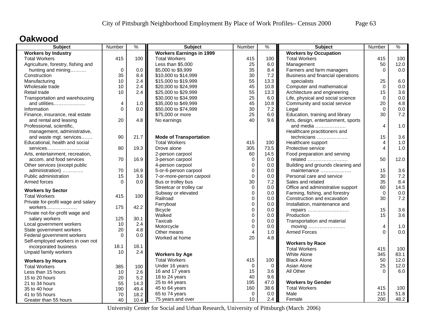### **Oakwood**

| <b>Subject</b>                     | Number         | %    | <b>Subject</b>                  | Number         | %        | <b>Subject</b>                      | Number      | $\%$ |
|------------------------------------|----------------|------|---------------------------------|----------------|----------|-------------------------------------|-------------|------|
| <b>Workers by Industry</b>         |                |      | <b>Workers Earnings in 1999</b> |                |          | <b>Workers by Occupation</b>        |             |      |
| <b>Total Workers</b>               | 415            | 100  | <b>Total Workers</b>            | 415            | 100      | <b>Total Workers</b>                | 415         | 100  |
| Agriculture, forestry, fishing and |                |      | Less than \$5,000               | 25             | 6.0      | Management                          | 50          | 12.0 |
| hunting and mining                 | $\mathbf 0$    | 0.0  | \$5,000 to \$9,999              | 35             | 8.4      | Farmers and farm managers           | $\Omega$    | 0.0  |
| Construction                       | 35             | 8.4  | \$10,000 to \$14,999            | 30             | 7.2      | Business and financial operations   |             |      |
| Manufacturing                      | 10             | 2.4  | \$15,000 to \$19,999            | 55             | 13.3     | specialists                         | 25          | 6.0  |
| Wholesale trade                    | 10             | 2.4  | \$20,000 to \$24,999            | 45             | 10.8     | Computer and mathematical           | $\Omega$    | 0.0  |
| Retail trade                       | 10             | 2.4  | \$25,000 to \$29,999            | 55             | 13.3     | Architecture and engineering        | 15          | 3.6  |
| Transportation and warehousing     |                |      | \$30,000 to \$34,999            | 25             | 6.0      | Life, physical and social science   | $\Omega$    | 0.0  |
| and utilities                      | 4              | 1.0  | \$35,000 to \$49,999            | 45             | 10.8     | Community and social service        | 20          | 4.8  |
| Information                        | $\overline{0}$ | 0.0  | \$50,000 to \$74,999            | 30             | 7.2      | Legal                               | $\Omega$    | 0.0  |
| Finance, insurance, real estate    |                |      | \$75,000 or more                | 25             | 6.0      | Education, training and library     | 30          | 7.2  |
| and rental and leasing             | 20             | 4.8  | No earnings                     | 40             | 9.6      | Arts, design, entertainment, sports |             |      |
| Professional, scientific,          |                |      |                                 |                |          | and media                           | 4           | 1.0  |
| management, administrative,        |                |      |                                 |                |          | Healthcare practitioners and        |             |      |
| and waste mgt. services            | 90             | 21.7 | <b>Mode of Transportation</b>   |                |          | technicians                         | 15          | 3.6  |
| Educational, health and social     |                |      | <b>Total Workers</b>            | 415            | 100      | Healthcare support                  | 4           | 1.0  |
| services                           | 80             | 19.3 | Drove alone                     | 305            | 73.5     | Protective service                  | 4           | 1.0  |
| Arts, entertainment, recreation,   |                |      | 2-person carpool                | 60             | 14.5     | Food preparation and serving        |             |      |
| accom. and food services           | 70             | 16.9 | 3-person carpool                | $\mathbf 0$    | 0.0      | related                             | 50          | 12.0 |
| Other services (except public      |                |      | 4-person carpool                | $\mathbf 0$    | 0.0      | Building and grounds cleaning and   |             |      |
| administration)                    | 70             | 16.9 | 5-or-6-person carpool           | $\mathbf 0$    | 0.0      | maintenance                         | 15          | 3.6  |
| Public administration              | 15             | 3.6  | 7-or-more-person carpool        | $\pmb{0}$      | 0.0      | Personal care and service           | 30          | 7.2  |
| Armed forces                       | $\Omega$       | 0.0  | Bus or trolley bus              | 30             | 7.2      | Sales and related                   | 35          | 8.4  |
| <b>Workers by Sector</b>           |                |      | Streetcar or trolley car        | $\mathbf 0$    | 0.0      | Office and administrative support   | 60          | 14.5 |
| <b>Total Workers</b>               | 415            | 100  | Subway or elevated              | $\mathbf 0$    | 0.0      | Farming, fishing, and forestry      | $\mathbf 0$ | 0.0  |
| Private for-profit wage and salary |                |      | Railroad                        | $\Omega$       | 0.0      | Construction and excavation         | 30          | 7.2  |
|                                    | 175            | 42.2 | Ferryboat                       | $\mathbf 0$    | 0.0      | Installation, maintenance and       |             |      |
| Private not-for-profit wage and    |                |      | <b>Bicycle</b>                  | $\mathbf 0$    | 0.0      | repairs                             | 15          | 3.6  |
| salary workers                     | 125            | 30.1 | Walked                          | $\mathbf 0$    | 0.0      | Production                          | 15          | 3.6  |
| Local government workers           | 10             | 2.4  | Taxicab                         | $\mathbf 0$    | 0.0      | Transportation and material         |             |      |
| State government workers           | 20             | 4.8  | Motorcycle                      | $\mathbf 0$    | 0.0      | moving                              | 4           | 1.0  |
| Federal government workers         | $\Omega$       | 0.0  | Other means                     | $\overline{4}$ | 1.0      | <b>Armed Forces</b>                 | $\Omega$    | 0.0  |
| Self-employed workers in own not   |                |      | Worked at home                  | 20             | 4.8      |                                     |             |      |
| incorporated business              | 18.1           | 18.1 |                                 |                |          | <b>Workers by Race</b>              |             |      |
| Unpaid family workers              | 10             | 2.4  |                                 |                |          | <b>Total Workers</b>                | 415         | 100  |
|                                    |                |      | <b>Workers by Age</b>           |                |          | White Alone                         | 345         | 83.1 |
| <b>Workers by Hours</b>            |                |      | <b>Total Workers</b>            | 415            | 100      | <b>Black Alone</b>                  | 50          | 12.0 |
| <b>Total Workers</b>               | 385            | 100  | Under 16 years                  | $\Omega$       | $\Omega$ | Asian Alone                         | 25          | 12.0 |
| Less than 15 hours                 | 10             | 2.6  | 16 and 17 years                 | 15             | 3.6      | All Other                           | $\Omega$    | 6.0  |
| 15 to 20 hours                     | 20             | 5.2  | 18 to 24 years                  | 40             | 9.6      |                                     |             |      |
| 21 to 34 hours                     | 55             | 14.3 | 25 to 44 years                  | 195            | 47.0     | <b>Workers by Gender</b>            |             |      |
| 35 to 40 hour                      | 190            | 49.4 | 45 to 64 years                  | 160            | 38.6     | <b>Total Workers</b>                | 415         | 100  |
| 41 to 55 hours                     | 70             | 18.2 | 65 to 74 years                  | $\Omega$       | 0.0      | Male                                | 215         | 51.8 |
| Greater than 55 hours              | 40             | 10.4 | 75 years and over               | 10             | 2.4      | Female                              | 200         | 48.2 |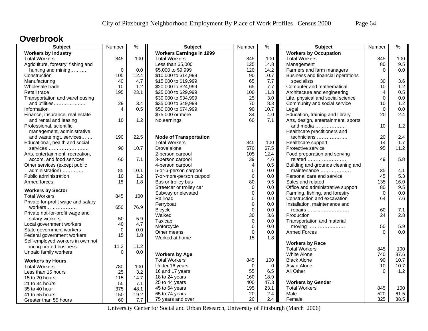### **Overbrook**

| <b>Subject</b>                     | Number         | $\frac{9}{6}$ | <b>Subject</b>                  | Number                  | $\frac{1}{2}$ | Subject                             | Number   | $\frac{9}{6}$ |
|------------------------------------|----------------|---------------|---------------------------------|-------------------------|---------------|-------------------------------------|----------|---------------|
| <b>Workers by Industry</b>         |                |               | <b>Workers Earnings in 1999</b> |                         |               | <b>Workers by Occupation</b>        |          |               |
| <b>Total Workers</b>               | 845            | 100           | <b>Total Workers</b>            | 845                     | 100           | <b>Total Workers</b>                | 845      | 100           |
| Agriculture, forestry, fishing and |                |               | Less than \$5,000               | 125                     | 14.8          | Management                          | 80       | 9.5           |
| hunting and mining                 | $\mathbf 0$    | 0.0           | \$5,000 to \$9,999              | 120                     | 14.2          | Farmers and farm managers           | $\Omega$ | 0.0           |
| Construction                       | 105            | 12.4          | \$10,000 to \$14,999            | 90                      | 10.7          | Business and financial operations   |          |               |
| Manufacturing                      | 40             | 4.7           | \$15,000 to \$19,999            | 65                      | 7.7           | specialists                         | 30       | 3.6           |
| Wholesale trade                    | 10             | 1.2           | \$20,000 to \$24,999            | 65                      | 7.7           | Computer and mathematical           | 10       | 1.2           |
| Retail trade                       | 195            | 23.1          | \$25,000 to \$29,999            | 100                     | 11.8          | Architecture and engineering        | 4        | 0.5           |
| Transportation and warehousing     |                |               | \$30,000 to \$34,999            | 25                      | 3.0           | Life, physical and social science   | $\Omega$ | 0.0           |
| and utilities                      | 29             | 3.4           | \$35,000 to \$49,999            | 70                      | 8.3           | Community and social service        | 10       | 1.2           |
| Information                        | $\overline{4}$ | 0.5           | \$50,000 to \$74,999            | 90                      | 10.7          | Legal                               | $\Omega$ | 0.0           |
| Finance, insurance, real estate    |                |               | \$75,000 or more                | 34                      | 4.0           | Education, training and library     | 20       | 2.4           |
| and rental and leasing             | 10             | 1.2           | No earnings                     | 60                      | 7.1           | Arts, design, entertainment, sports |          |               |
| Professional, scientific,          |                |               |                                 |                         |               | and media $\ldots$                  | 10       | 1.2           |
| management, administrative,        |                |               |                                 |                         |               | Healthcare practitioners and        |          |               |
| and waste mgt. services            | 190            | 22.5          | <b>Mode of Transportation</b>   |                         |               | technicians                         | 20       | 2.4           |
| Educational, health and social     |                |               | <b>Total Workers</b>            | 845                     | 100           | Healthcare support                  | 14       | 1.7           |
| services                           | 90             | 10.7          | Drove alone                     | 570                     | 67.5          | Protective service                  | 95       | 11.2          |
| Arts, entertainment, recreation,   |                |               | 2-person carpool                | 105                     | 12.4          | Food preparation and serving        |          |               |
| accom. and food services           | 60             | 7.1           | 3-person carpool                | 39                      | 4.6           | related                             | 49       | 5.8           |
| Other services (except public      |                |               | 4-person carpool                | $\overline{\mathbf{4}}$ | 0.5           | Building and grounds cleaning and   |          |               |
| administration)                    | 85             | 10.1          | 5-or-6-person carpool           | $\mathbf 0$             | 0.0           | maintenance                         | 35       | 4.1           |
| Public administration              | 10             | 1.2           | 7-or-more-person carpool        | $\pmb{0}$               | 0.0           | Personal care and service           | 45       | 5.3           |
| Armed forces                       | 15             | 1.8           | Bus or trolley bus              | 80                      | 9.5           | Sales and related                   | 135      | 16.0          |
|                                    |                |               | Streetcar or trolley car        | $\mathbf 0$             | 0.0           | Office and administrative support   | 80       | 9.5           |
| <b>Workers by Sector</b>           |                |               | Subway or elevated              | $\mathbf 0$             | 0.0           | Farming, fishing, and forestry      | $\Omega$ | 0.0           |
| <b>Total Workers</b>               | 845            | 100           | Railroad                        | $\mathbf 0$             | $0.0\,$       | Construction and excavation         | 64       | 7.6           |
| Private for-profit wage and salary |                |               | Ferryboat                       | $\mathbf 0$             | 0.0           | Installation, maintenance and       |          |               |
| workers                            | 650            | 76.9          | <b>Bicycle</b>                  | $\Omega$                | 0.0           |                                     | 60       | 7.1           |
| Private not-for-profit wage and    |                |               | Walked                          | 30                      | 3.6           | repairs<br>Production               | 24       | 2.8           |
| salary workers                     | 50             | 5.9           | Taxicab                         | $\mathbf 0$             | 0.0           |                                     |          |               |
| Local government workers           | 40             | 4.7           | Motorcycle                      | $\mathbf 0$             | 0.0           | Transportation and material         | 50       | 5.9           |
| State government workers           | $\mathbf 0$    | 0.0           | Other means                     | $\mathbf 0$             | 0.0           | moving<br><b>Armed Forces</b>       | $\Omega$ | 0.0           |
| Federal government workers         | 15             | 1.8           | Worked at home                  | 15                      | 1.8           |                                     |          |               |
| Self-employed workers in own not   |                |               |                                 |                         |               |                                     |          |               |
| incorporated business              | 11.2           | 11.2          |                                 |                         |               | <b>Workers by Race</b>              |          |               |
| Unpaid family workers              | $\Omega$       | 0.0           |                                 |                         |               | <b>Total Workers</b>                | 845      | 100           |
|                                    |                |               | <b>Workers by Age</b>           |                         |               | <b>White Alone</b>                  | 740      | 87.6          |
| <b>Workers by Hours</b>            |                |               | <b>Total Workers</b>            | 845                     | 100           | <b>Black Alone</b>                  | 90       | 10.7          |
| <b>Total Workers</b>               | 780            | 100           | Under 16 years                  | $\Omega$                | $\mathbf 0$   | Asian Alone                         | 10       | 10.7          |
| Less than 15 hours                 | 25             | 3.2           | 16 and 17 years                 | 55                      | 6.5           | All Other                           | $\Omega$ | 1.2           |
| 15 to 20 hours                     | 115            | 14.7          | 18 to 24 years                  | 160                     | 18.9          |                                     |          |               |
| 21 to 34 hours                     | 55             | 7.1           | 25 to 44 years                  | 400                     | 47.3          | <b>Workers by Gender</b>            |          |               |
| 35 to 40 hour                      | 375            | 48.1          | 45 to 64 years                  | 195                     | 23.1          | <b>Total Workers</b>                | 845      | 100           |
| 41 to 55 hours                     | 150            | 19.2          | 65 to 74 years                  | 20                      | 2.4           | Male                                | 520      | 61.5          |
| Greater than 55 hours              | 60             | 7.7           | 75 years and over               | 20                      | 2.4           | Female                              | 325      | 38.5          |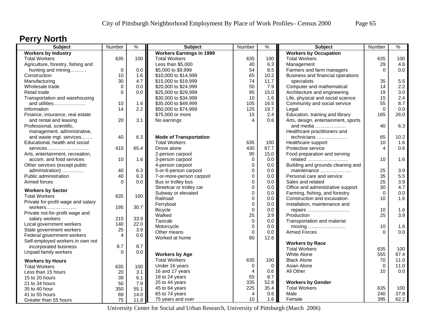### **Perry North**

| <b>Subject</b>                     | Number         | $\frac{9}{6}$ | <b>Subject</b>                  | Number                 | $\%$        | <b>Subject</b>                                                | Number   | $\%$ |
|------------------------------------|----------------|---------------|---------------------------------|------------------------|-------------|---------------------------------------------------------------|----------|------|
| <b>Workers by Industry</b>         |                |               | <b>Workers Earnings in 1999</b> |                        |             | <b>Workers by Occupation</b>                                  |          |      |
| <b>Total Workers</b>               | 635            | 100           | <b>Total Workers</b>            | 635                    | 100         | <b>Total Workers</b>                                          | 635      | 100  |
| Agriculture, forestry, fishing and |                |               | Less than \$5,000               | 40                     | 6.3         | Management                                                    | 29       | 4.6  |
| hunting and mining                 | 0              | 0.0           | \$5,000 to \$9,999              | 54                     | 8.5         | Farmers and farm managers                                     | $\Omega$ | 0.0  |
| Construction                       | 10             | 1.6           | \$10,000 to \$14,999            | 65                     | 10.2        | Business and financial operations                             |          |      |
| Manufacturing                      | 30             | 4.7           | \$15,000 to \$19,999            | 74                     | 11.7        | specialists                                                   | 35       | 5.5  |
| Wholesale trade                    | 0              | 0.0           | \$20,000 to \$24,999            | 50                     | 7.9         | Computer and mathematical                                     | 14       | 2.2  |
| Retail trade                       | $\Omega$       | 0.0           | \$25,000 to \$29,999            | 95                     | 15.0        | Architecture and engineering                                  | 19       | 3.0  |
| Transportation and warehousing     |                |               | \$30,000 to \$34,999            | 10                     | 1.6         | Life, physical and social science                             | 15       | 2.4  |
| and utilities                      | 10             | 1.6           | \$35,000 to \$49,999            | 105                    | 16.5        | Community and social service                                  | 55       | 8.7  |
| Information                        | 14             | 2.2           | \$50,000 to \$74,999            | 125                    | 19.7        | Legal                                                         | $\Omega$ | 0.0  |
| Finance, insurance, real estate    |                |               | \$75,000 or more                | 15                     | 2.4         | Education, training and library                               | 165      | 26.0 |
| and rental and leasing             | 20             | 3.1           | No earnings                     | $\boldsymbol{\Lambda}$ | 0.6         | Arts, design, entertainment, sports                           |          |      |
| Professional, scientific,          |                |               |                                 |                        |             | and media                                                     | 40       | 6.3  |
| management, administrative,        |                |               |                                 |                        |             | Healthcare practitioners and                                  |          |      |
| and waste mgt. services            | 40             | 6.3           | <b>Mode of Transportation</b>   |                        |             | technicians                                                   | 65       | 10.2 |
| Educational, health and social     |                |               | <b>Total Workers</b>            | 635                    | 100         | Healthcare support                                            | 10       | 1.6  |
| services                           | 415            | 65.4          | Drove alone                     | 430                    | 67.7        | Protective service                                            | 4        | 0.6  |
| Arts, entertainment, recreation,   |                |               | 2-person carpool                | 95                     | 15.0        | Food preparation and serving                                  |          |      |
| accom. and food services           | 10             | 1.6           | 3-person carpool                | $\mathbf 0$            | 0.0         | related                                                       | 10       | 1.6  |
| Other services (except public      |                |               | 4-person carpool                | $\mathbf 0$            | 0.0         | Building and grounds cleaning and                             |          |      |
| administration)                    | 40             | 6.3           | 5-or-6-person carpool           | $\mathbf 0$            | 0.0         | maintenance                                                   | 25       | 3.9  |
| Public administration              | 40             | 6.3           | 7-or-more-person carpool        | $\pmb{0}$              | 0.0         | Personal care and service                                     | 35       | 5.5  |
| Armed forces                       | $\Omega$       | 0.0           | Bus or trolley bus              | $\mathbf 0$            | 0.0         | Sales and related                                             | 25       | 3.9  |
|                                    |                |               | Streetcar or trolley car        | $\mathbf 0$            | 0.0         | Office and administrative support                             | 30       | 4.7  |
| <b>Workers by Sector</b>           |                |               | Subway or elevated              | $\mathbf 0$            | 0.0         |                                                               | $\Omega$ | 0.0  |
| <b>Total Workers</b>               | 635            | 100           | Railroad                        | $\mathbf 0$            | 0.0         | Farming, fishing, and forestry<br>Construction and excavation | 10       | 1.6  |
| Private for-profit wage and salary |                |               | Ferryboat                       | $\pmb{0}$              |             | Installation, maintenance and                                 |          |      |
| workers                            | 195            | 30.7          |                                 |                        | 0.0         |                                                               | 10       | 1.6  |
| Private not-for-profit wage and    |                |               | <b>Bicycle</b>                  | $\mathbf 0$<br>25      | 0.0         | repairs                                                       | 25       | 3.9  |
| salary workers                     | 215            | 33.9          | Walked                          |                        | 3.9         | Production                                                    |          |      |
| Local government workers           | 140            | 22.0          | Taxicab                         | $\pmb{0}$              | 0.0         | Transportation and material                                   |          |      |
| State government workers           | 25             | 3.9           | Motorcycle                      | $\mathbf 0$            | 0.0         |                                                               | 10       | 1.6  |
| Federal government workers         | $\overline{4}$ | 0.6           | Other means                     | $\mathbf 0$            | 0.0         | <b>Armed Forces</b>                                           | $\Omega$ | 0.0  |
| Self-employed workers in own not   |                |               | Worked at home                  | 80                     | 12.6        |                                                               |          |      |
| incorporated business              | 8.7            | 8.7           |                                 |                        |             | <b>Workers by Race</b>                                        |          |      |
| Unpaid family workers              | $\Omega$       | 0.0           |                                 |                        |             | <b>Total Workers</b>                                          | 635      | 100  |
|                                    |                |               | <b>Workers by Age</b>           |                        |             | White Alone                                                   | 555      | 87.4 |
| <b>Workers by Hours</b>            |                |               | <b>Total Workers</b>            | 635                    | 100         | <b>Black Alone</b>                                            | 70       | 11.0 |
| <b>Total Workers</b>               | 635            | 100           | Under 16 years                  | 0                      | $\mathbf 0$ | Asian Alone                                                   | $\Omega$ | 11.0 |
| Less than 15 hours                 | 20             | 3.1           | 16 and 17 years                 | $\overline{4}$         | 0.6         | All Other                                                     | 10       | 0.0  |
| 15 to 20 hours                     | 39             | 6.1           | 18 to 24 years                  | 55                     | 8.7         |                                                               |          |      |
| 21 to 34 hours                     | 50             | 7.9           | 25 to 44 years                  | 335                    | 52.8        | <b>Workers by Gender</b>                                      |          |      |
| 35 to 40 hour                      | 350            | 55.1          | 45 to 64 years                  | 225                    | 35.4        | <b>Total Workers</b>                                          | 635      | 100  |
| 41 to 55 hours                     | 89             | 14.0          | 65 to 74 years                  | $\overline{4}$         | 0.6         | Male                                                          | 240      | 37.8 |
| Greater than 55 hours              | 75             | 11.8          | 75 years and over               | 10                     | 1.6         | Female                                                        | 395      | 62.2 |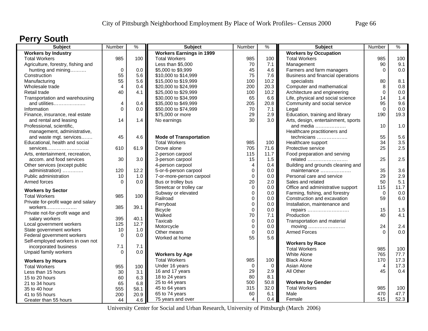### **Perry South**

| <b>Subject</b>                     | Number      | $\%$ | <b>Subject</b>                  | Number                     | $\%$        | <b>Subject</b>                      | Number   | $\%$ |
|------------------------------------|-------------|------|---------------------------------|----------------------------|-------------|-------------------------------------|----------|------|
| <b>Workers by Industry</b>         |             |      | <b>Workers Earnings in 1999</b> |                            |             | <b>Workers by Occupation</b>        |          |      |
| <b>Total Workers</b>               | 985         | 100  | <b>Total Workers</b>            | 985                        | 100         | <b>Total Workers</b>                | 985      | 100  |
| Agriculture, forestry, fishing and |             |      | Less than \$5,000               | 70                         | 7.1         | Management                          | 90       | 9.1  |
| hunting and mining                 | $\mathbf 0$ | 0.0  | \$5,000 to \$9,999              | 45                         | 4.6         | Farmers and farm managers           | $\Omega$ | 0.0  |
| Construction                       | 55          | 5.6  | \$10,000 to \$14,999            | 75                         | 7.6         | Business and financial operations   |          |      |
| Manufacturing                      | 55          | 5.6  | \$15,000 to \$19,999            | 100                        | 10.2        | specialists                         | 80       | 8.1  |
| Wholesale trade                    | 4           | 0.4  | \$20,000 to \$24,999            | 200                        | 20.3        | Computer and mathematical           | 8        | 0.8  |
| Retail trade                       | 40          | 4.1  | \$25,000 to \$29,999            | 100                        | 10.2        | Architecture and engineering        | 0        | 0.0  |
| Transportation and warehousing     |             |      | \$30,000 to \$34,999            | 65                         | 6.6         | Life, physical and social science   | 14       | 1.4  |
| and utilities                      | 4           | 0.4  | \$35,000 to \$49,999            | 205                        | 20.8        | Community and social service        | 95       | 9.6  |
| Information                        | $\Omega$    | 0.0  | \$50,000 to \$74,999            | 70                         | 7.1         | Legal                               | $\Omega$ | 0.0  |
| Finance, insurance, real estate    |             |      | \$75,000 or more                | 29                         | 2.9         | Education, training and library     | 190      | 19.3 |
| and rental and leasing             | 14          | 1.4  | No earnings                     | 30                         | 3.0         | Arts, design, entertainment, sports |          |      |
| Professional, scientific,          |             |      |                                 |                            |             | and media                           | 10       | 1.0  |
| management, administrative,        |             |      |                                 |                            |             | Healthcare practitioners and        |          |      |
| and waste mgt. services            | 45          | 4.6  | <b>Mode of Transportation</b>   |                            |             | technicians                         | 55       | 5.6  |
| Educational, health and social     |             |      | <b>Total Workers</b>            | 985                        | 100         | Healthcare support                  | 34       | 3.5  |
| services                           | 610         | 61.9 | Drove alone                     | 705                        | 71.6        | Protective service                  | 25       | 2.5  |
| Arts, entertainment, recreation,   |             |      | 2-person carpool                | 115                        | 11.7        | Food preparation and serving        |          |      |
| accom. and food services           | 30          | 3.0  | 3-person carpool                | 15                         | 1.5         | related                             | 25       | 2.5  |
| Other services (except public      |             |      | 4-person carpool                | $\overline{4}$             | 0.4         | Building and grounds cleaning and   |          |      |
| administration)                    | 120         | 12.2 | 5-or-6-person carpool           | $\mathbf 0$                | 0.0         | maintenance                         | 35       | 3.6  |
| Public administration              | 10          | 1.0  | 7-or-more-person carpool        | $\mathbf 0$                | 0.0         | Personal care and service           | 29       | 2.9  |
| Armed forces                       | $\Omega$    | 0.0  | Bus or trolley bus              | 20                         | 2.0         | Sales and related                   | 50       | 5.1  |
|                                    |             |      | Streetcar or trolley car        | $\mathbf 0$                | 0.0         | Office and administrative support   | 115      | 11.7 |
| <b>Workers by Sector</b>           |             |      | Subway or elevated              | $\mathbf 0$                | 0.0         | Farming, fishing, and forestry      | $\Omega$ | 0.0  |
| <b>Total Workers</b>               | 985         | 100  | Railroad                        | $\mathbf 0$                | 0.0         | Construction and excavation         | 59       | 6.0  |
| Private for-profit wage and salary |             |      | Ferryboat                       | $\mathbf 0$                | 0.0         | Installation, maintenance and       |          |      |
| workers                            | 385         | 39.1 | <b>Bicycle</b>                  | $\mathbf 0$                | 0.0         |                                     | 15       | 1.5  |
| Private not-for-profit wage and    |             |      | Walked                          | 70                         | 7.1         | repairs<br>Production               | 40       | 4.1  |
| salary workers                     | 395         | 40.1 | Taxicab                         |                            | 0.0         | Transportation and material         |          |      |
| Local government workers           | 125         | 12.7 | Motorcycle                      | $\mathbf 0$<br>$\mathbf 0$ | 0.0         | moving                              | 24       | 2.4  |
| State government workers           | 10          | 1.0  | Other means                     | $\mathbf 0$                | 0.0         | <b>Armed Forces</b>                 | $\Omega$ | 0.0  |
| Federal government workers         | $\Omega$    | 0.0  | Worked at home                  | 55                         | 5.6         |                                     |          |      |
| Self-employed workers in own not   |             |      |                                 |                            |             |                                     |          |      |
| incorporated business              | 7.1         | 7.1  |                                 |                            |             | <b>Workers by Race</b>              |          |      |
| Unpaid family workers              | $\Omega$    | 0.0  |                                 |                            |             | <b>Total Workers</b>                | 985      | 100  |
|                                    |             |      | <b>Workers by Age</b>           |                            |             | White Alone                         | 765      | 77.7 |
| <b>Workers by Hours</b>            |             |      | <b>Total Workers</b>            | 985                        | 100         | <b>Black Alone</b>                  | 170      | 17.3 |
| <b>Total Workers</b>               | 955         | 100  | Under 16 years                  | 0                          | $\mathbf 0$ | Asian Alone                         | 4        | 17.3 |
| Less than 15 hours                 | 30          | 3.1  | 16 and 17 years                 | 29                         | 2.9         | All Other                           | 45       | 0.4  |
| 15 to 20 hours                     | 60          | 6.3  | 18 to 24 years                  | 80                         | 8.1         |                                     |          |      |
| 21 to 34 hours                     | 65          | 6.8  | 25 to 44 years                  | 500                        | 50.8        | <b>Workers by Gender</b>            |          |      |
| 35 to 40 hour                      | 555         | 58.1 | 45 to 64 years                  | 315                        | 32.0        | <b>Total Workers</b>                | 985      | 100  |
| 41 to 55 hours                     | 200         | 20.9 | 65 to 74 years                  | 60                         | 6.1         | Male                                | 470      | 47.7 |
| Greater than 55 hours              | 44          | 4.6  | 75 years and over               | $\overline{4}$             | 0.4         | Female                              | 515      | 52.3 |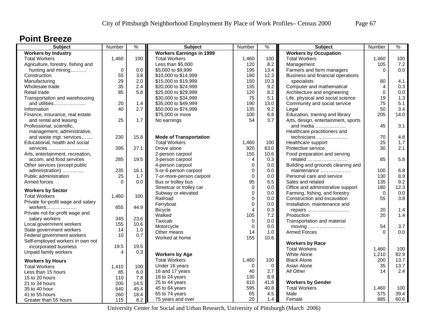#### **Point Breeze**

| <b>Subject</b>                     | Number                  | $\frac{9}{6}$ | <b>Subject</b>                  | Number      | $\frac{9}{6}$ | <b>Subject</b>                      | Number      | %    |
|------------------------------------|-------------------------|---------------|---------------------------------|-------------|---------------|-------------------------------------|-------------|------|
| <b>Workers by Industry</b>         |                         |               | <b>Workers Earnings in 1999</b> |             |               | <b>Workers by Occupation</b>        |             |      |
| <b>Total Workers</b>               | 1,460                   | 100           | <b>Total Workers</b>            | 1,460       | 100           | <b>Total Workers</b>                | 1,460       | 100  |
| Agriculture, forestry, fishing and |                         |               | Less than \$5,000               | 120         | 8.2           | Management                          | 105         | 7.2  |
| hunting and mining                 | $\mathbf 0$             | 0.0           | \$5,000 to \$9,999              | 195         | 13.4          | Farmers and farm managers           | $\Omega$    | 0.0  |
| Construction                       | 55                      | 3.8           | \$10,000 to \$14,999            | 180         | 12.3          | Business and financial operations   |             |      |
| Manufacturing                      | 29                      | 2.0           | \$15,000 to \$19,999            | 150         | 10.3          | specialists                         | 60          | 4.1  |
| Wholesale trade                    | 35                      | 2.4           | \$20,000 to \$24,999            | 135         | 9.2           | Computer and mathematical           | 4           | 0.3  |
| Retail trade                       | 85                      | 5.8           | \$25,000 to \$29,999            | 120         | 8.2           | Architecture and engineering        | $\mathbf 0$ | 0.0  |
| Transportation and warehousing     |                         |               | \$30,000 to \$34,999            | 75          | 5.1           | Life, physical and social science   | 19          | 1.3  |
| and utilities                      | 20                      | 1.4           | \$35,000 to \$49,999            | 190         | 13.0          | Community and social service        | 75          | 5.1  |
| Information                        | 40                      | 2.7           | \$50,000 to \$74,999            | 135         | 9.2           | Legal                               | 50          | 3.4  |
| Finance, insurance, real estate    |                         |               | \$75,000 or more                | 100         | 6.8           | Education, training and library     | 205         | 14.0 |
| and rental and leasing             | 25                      | 1.7           | No earnings                     | 54          | 3.7           | Arts, design, entertainment, sports |             |      |
| Professional, scientific,          |                         |               |                                 |             |               | and media                           | 45          | 3.1  |
| management, administrative,        |                         |               |                                 |             |               | Healthcare practitioners and        |             |      |
| and waste mgt. services            | 230                     | 15.8          | <b>Mode of Transportation</b>   |             |               | technicians                         | 70          | 4.8  |
| Educational, health and social     |                         |               | <b>Total Workers</b>            | 1,460       | 100           | Healthcare support                  | 25          | 1.7  |
| services                           | 395                     | 27.1          | Drove alone                     | 920         | 63.0          | Protective service                  | 30          | 2.1  |
| Arts, entertainment, recreation,   |                         |               | 2-person carpool                | 155         | 10.6          | Food preparation and serving        |             |      |
| accom. and food services           | 285                     | 19.5          | 3-person carpool                | 4           | 0.3           | related                             | 85          | 5.8  |
| Other services (except public      |                         |               | 4-person carpool                | $\mathbf 0$ | 0.0           | Building and grounds cleaning and   |             |      |
| administration)                    | 235                     | 16.1          | 5-or-6-person carpool           | 0           | 0.0           | maintenance                         | 100         | 6.8  |
| Public administration              | 25                      | 1.7           | 7-or-more-person carpool        | $\mathbf 0$ | 0.0           | Personal care and service           | 130         | 8.9  |
| Armed forces                       | $\Omega$                | 0.0           | Bus or trolley bus              | 95          | 6.5           | Sales and related                   | 135         | 9.2  |
|                                    |                         |               | Streetcar or trolley car        | $\mathbf 0$ | 0.0           | Office and administrative support   | 180         | 12.3 |
| <b>Workers by Sector</b>           |                         |               | Subway or elevated              | $\mathbf 0$ | 0.0           | Farming, fishing, and forestry      | $\mathbf 0$ | 0.0  |
| <b>Total Workers</b>               | 1,460                   | 100           | Railroad                        | $\Omega$    | $0.0\,$       | Construction and excavation         | 55          | 3.8  |
| Private for-profit wage and salary |                         |               | Ferryboat                       | $\mathbf 0$ | 0.0           | Installation, maintenance and       |             |      |
| workers                            | 655                     | 44.9          | <b>Bicycle</b>                  | 4           | 0.3           | repairs                             | 20          | 1.4  |
| Private not-for-profit wage and    |                         |               | Walked                          | 105         | 7.2           | Production                          | 20          | 1.4  |
| salary workers                     | 345                     | 23.6          | Taxicab                         | $\mathbf 0$ | 0.0           | Transportation and material         |             |      |
| Local government workers           | 155                     | 10.6          | Motorcycle                      | $\Omega$    | 0.0           | moving                              | 54          | 3.7  |
| State government workers           | 14                      | 1.0           | Other means                     | 14          | 1.0           | <b>Armed Forces</b>                 | $\Omega$    | 0.0  |
| Federal government workers         | 10                      | 0.7           | Worked at home                  | 155         | 10.6          |                                     |             |      |
| Self-employed workers in own not   |                         |               |                                 |             |               | <b>Workers by Race</b>              |             |      |
| incorporated business              | 19.5                    | 19.5          |                                 |             |               | <b>Total Workers</b>                | 1,460       | 100  |
| Unpaid family workers              | $\overline{\mathbf{A}}$ | 0.3           | <b>Workers by Age</b>           |             |               | <b>White Alone</b>                  | 1,210       | 82.9 |
| <b>Workers by Hours</b>            |                         |               | <b>Total Workers</b>            | 1,460       | 100           | <b>Black Alone</b>                  | 200         | 13.7 |
| <b>Total Workers</b>               | 1,410                   | 100           | Under 16 years                  | 0           | $\mathbf 0$   | Asian Alone                         | 35          | 13.7 |
| Less than 15 hours                 | 85                      | 6.0           | 16 and 17 years                 | 40          | 2.7           | All Other                           | 14          | 2.4  |
| 15 to 20 hours                     |                         | 7.8           | 18 to 24 years                  | 130         | 8.9           |                                     |             |      |
|                                    | 110                     |               | 25 to 44 years                  | 610         | 41.8          | <b>Workers by Gender</b>            |             |      |
| 21 to 34 hours                     | 205                     | 14.5          | 45 to 64 years                  | 595         | 40.8          | <b>Total Workers</b>                | 1,460       | 100  |
| 35 to 40 hour                      | 640                     | 45.4<br>18.4  | 65 to 74 years                  | 65          | 4.5           | Male                                | 575         | 39.4 |
| 41 to 55 hours                     | 260                     |               | 75 years and over               | 20          | 1.4           | Female                              | 885         | 60.6 |
| Greater than 55 hours              | 115                     | 8.2           |                                 |             |               |                                     |             |      |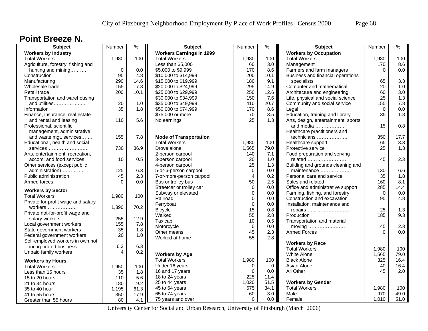#### **Point Breeze N.**

| <b>Subject</b>                     | Number      | $\frac{9}{6}$ | <b>Subject</b>                  | Number         | $\%$     | <b>Subject</b>                      | Number   | $\%$ |
|------------------------------------|-------------|---------------|---------------------------------|----------------|----------|-------------------------------------|----------|------|
| <b>Workers by Industry</b>         |             |               | <b>Workers Earnings in 1999</b> |                |          | <b>Workers by Occupation</b>        |          |      |
| <b>Total Workers</b>               | 1,980       | 100           | <b>Total Workers</b>            | 1,980          | 100      | <b>Total Workers</b>                | 1,980    | 100  |
| Agriculture, forestry, fishing and |             |               | Less than \$5,000               | 60             | 3.0      | Management                          | 170      | 8.6  |
| hunting and mining                 | $\mathbf 0$ | 0.0           | \$5,000 to \$9,999              | 170            | 8.6      | Farmers and farm managers           | $\Omega$ | 0.0  |
| Construction                       | 95          | 4.8           | \$10,000 to \$14,999            | 200            | 10.1     | Business and financial operations   |          |      |
| Manufacturing                      | 290         | 14.6          | \$15,000 to \$19,999            | 180            | 9.1      | specialists                         | 65       | 3.3  |
| Wholesale trade                    | 155         | 7.8           | \$20,000 to \$24,999            | 295            | 14.9     | Computer and mathematical           | 20       | 1.0  |
| Retail trade                       | 200         | 10.1          | \$25,000 to \$29,999            | 250            | 12.6     | Architecture and engineering        | 60       | 3.0  |
| Transportation and warehousing     |             |               | \$30,000 to \$34,999            | 150            | 7.6      | Life, physical and social science   | 25       | 1.3  |
| and utilities                      | 20          | 1.0           | \$35,000 to \$49,999            | 410            | 20.7     | Community and social service        | 155      | 7.8  |
| Information                        | 35          | 1.8           | \$50,000 to \$74,999            | 170            | 8.6      | Legal                               | $\Omega$ | 0.0  |
| Finance, insurance, real estate    |             |               | \$75,000 or more                | 70             | 3.5      | Education, training and library     | 35       | 1.8  |
| and rental and leasing             | 110         | 5.6           | No earnings                     | 25             | 1.3      | Arts, design, entertainment, sports |          |      |
| Professional, scientific,          |             |               |                                 |                |          | and media                           | 15       | 0.8  |
| management, administrative,        |             |               |                                 |                |          | Healthcare practitioners and        |          |      |
| and waste mgt. services            | 155         | 7.8           | <b>Mode of Transportation</b>   |                |          | technicians                         | 350      | 17.7 |
| Educational, health and social     |             |               | <b>Total Workers</b>            | 1,980          | 100      | Healthcare support                  | 65       | 3.3  |
| services                           | 730         | 36.9          | Drove alone                     | 1,565          | 79.0     | Protective service                  | 25       | 1.3  |
| Arts, entertainment, recreation,   |             |               | 2-person carpool                | 140            | 7.1      | Food preparation and serving        |          |      |
| accom. and food services           | 10          | 0.5           | 3-person carpool                | 20             | 1.0      | related                             | 45       | 2.3  |
| Other services (except public      |             |               | 4-person carpool                | 25             | 1.3      | Building and grounds cleaning and   |          |      |
| administration)                    | 125         | 6.3           | 5-or-6-person carpool           | $\mathbf 0$    | 0.0      | maintenance                         | 130      | 6.6  |
| Public administration              | 45          | 2.3           | 7-or-more-person carpool        | $\overline{4}$ | 0.2      | Personal care and service           | 35       | 1.8  |
| Armed forces                       | $\Omega$    | 0.0           | Bus or trolley bus              | 50             | 2.5      | Sales and related                   | 160      | 8.1  |
|                                    |             |               | Streetcar or trolley car        | $\Omega$       | 0.0      | Office and administrative support   | 285      | 14.4 |
| <b>Workers by Sector</b>           |             |               | Subway or elevated              | $\mathbf 0$    | 0.0      | Farming, fishing, and forestry      | $\Omega$ | 0.0  |
| <b>Total Workers</b>               | 1,980       | 100           | Railroad                        | $\mathbf 0$    | 0.0      | Construction and excavation         | 95       | 4.8  |
| Private for-profit wage and salary |             |               | Ferryboat                       | $\mathbf 0$    | 0.0      | Installation, maintenance and       |          |      |
| workers                            | 1,390       | 70.2          | <b>Bicycle</b>                  | 15             | 0.8      | repairs                             | 25       | 1.3  |
| Private not-for-profit wage and    |             |               | Walked                          | 55             | 2.8      | Production                          | 185      | 9.3  |
| salary workers                     | 255         | 12.9          | Taxicab                         | 10             | 0.5      | Transportation and material         |          |      |
| Local government workers           | 155         | 7.8           | Motorcycle                      | $\mathbf 0$    | 0.0      | moving                              | 45       | 2.3  |
| State government workers           | 35          | 1.8           | Other means                     | 45             | 2.3      | <b>Armed Forces</b>                 | $\Omega$ | 0.0  |
| Federal government workers         | 20          | 1.0           | Worked at home                  | 55             | 2.8      |                                     |          |      |
| Self-employed workers in own not   |             |               |                                 |                |          | <b>Workers by Race</b>              |          |      |
| incorporated business              | 6.3         | 6.3           |                                 |                |          | <b>Total Workers</b>                | 1,980    | 100  |
| Unpaid family workers              | 4           | 0.2           | <b>Workers by Age</b>           |                |          | White Alone                         | 1,565    | 79.0 |
| <b>Workers by Hours</b>            |             |               | <b>Total Workers</b>            | 1,980          | 100      | <b>Black Alone</b>                  | 325      | 16.4 |
|                                    |             |               | Under 16 years                  | $\Omega$       | $\Omega$ | Asian Alone                         | 40       | 16.4 |
| <b>Total Workers</b>               | 1,950       | 100           | 16 and 17 years                 | $\Omega$       | 0.0      | All Other                           | 45       | 2.0  |
| Less than 15 hours                 | 35          | 1.8           | 18 to 24 years                  | 225            | 11.4     |                                     |          |      |
| 15 to 20 hours                     | 110         | 5.6           | 25 to 44 years                  | 1,020          | 51.5     | <b>Workers by Gender</b>            |          |      |
| 21 to 34 hours                     | 180         | 9.2           | 45 to 64 years                  | 675            | 34.1     | <b>Total Workers</b>                | 1,980    | 100  |
| 35 to 40 hour                      | 1,195       | 61.3          | 65 to 74 years                  | 60             | 3.0      | Male                                | 970      | 49.0 |
| 41 to 55 hours                     | 350         | 17.9          |                                 | $\mathbf 0$    | 0.0      |                                     | 1,010    | 51.0 |
| Greater than 55 hours              | 80          | 4.1           | 75 years and over               |                |          | Female                              |          |      |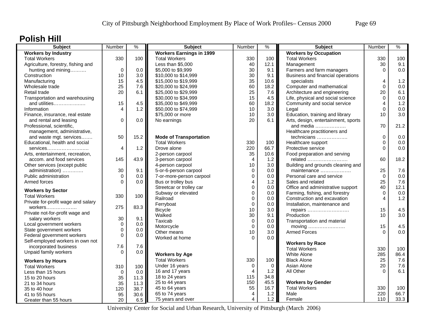### **Polish Hill**

| <b>Subject</b>                     | Number      | $\frac{9}{6}$ | <b>Subject</b>                  | Number              | $\frac{9}{6}$ | <b>Subject</b>                      | Number         | $\%$        |
|------------------------------------|-------------|---------------|---------------------------------|---------------------|---------------|-------------------------------------|----------------|-------------|
| <b>Workers by Industry</b>         |             |               | <b>Workers Earnings in 1999</b> |                     |               | <b>Workers by Occupation</b>        |                |             |
| <b>Total Workers</b>               | 330         | 100           | <b>Total Workers</b>            | 330                 | 100           | <b>Total Workers</b>                | 330            | 100         |
| Agriculture, forestry, fishing and |             |               | Less than \$5,000               | 40                  | 12.1          | Management                          | 30             | 9.1         |
| hunting and mining                 | $\mathbf 0$ | 0.0           | \$5,000 to \$9,999              | 30                  | 9.1           | Farmers and farm managers           | $\Omega$       | 0.0         |
| Construction                       | 10          | 3.0           | \$10,000 to \$14,999            | 30                  | 9.1           | Business and financial operations   |                |             |
| Manufacturing                      | 15          | 4.5           | \$15,000 to \$19,999            | 35                  | 10.6          | specialists                         | 4              | 1.2         |
| Wholesale trade                    | 25          | 7.6           | \$20,000 to \$24,999            | 60                  | 18.2          | Computer and mathematical           | $\Omega$       | 0.0         |
| Retail trade                       | 20          | 6.1           | \$25,000 to \$29,999            | 25                  | 7.6           | Architecture and engineering        | 20             | 6.1         |
| Transportation and warehousing     |             |               | \$30,000 to \$34,999            | 15                  | 4.5           | Life, physical and social science   | $\mathbf 0$    | 0.0         |
| and utilities                      | 15          | 4.5           | \$35,000 to \$49,999            | 60                  | 18.2          | Community and social service        | $\overline{4}$ | 1.2         |
| Information                        | 4           | 1.2           | \$50,000 to \$74,999            | 10                  | 3.0           | Legal                               | $\Omega$       | 0.0         |
| Finance, insurance, real estate    |             |               | \$75,000 or more                | 10                  | 3.0           | Education, training and library     | 10             | 3.0         |
| and rental and leasing             | 0           | 0.0           | No earnings                     | 20                  | 6.1           | Arts, design, entertainment, sports |                |             |
| Professional, scientific,          |             |               |                                 |                     |               | and media                           | 70             | 21.2        |
| management, administrative,        |             |               |                                 |                     |               | Healthcare practitioners and        |                |             |
| and waste mgt. services            | 50          | 15.2          | <b>Mode of Transportation</b>   |                     |               | technicians                         | $\mathbf 0$    | 0.0         |
| Educational, health and social     |             |               | <b>Total Workers</b>            | 330                 | 100           | Healthcare support                  | $\mathbf 0$    | 0.0         |
| services                           | 4           | 1.2           | Drove alone                     | 220                 | 66.7          | Protective service                  | $\Omega$       | 0.0         |
| Arts, entertainment, recreation,   |             |               | 2-person carpool                | 35                  | 10.6          | Food preparation and serving        |                |             |
| accom. and food services           | 145         | 43.9          | 3-person carpool                | $\overline{4}$      | 1.2           | related                             | 60             | 18.2        |
| Other services (except public      |             |               | 4-person carpool                | 10                  | 3.0           | Building and grounds cleaning and   |                |             |
| administration)                    | 30          | 9.1           | 5-or-6-person carpool           | 0                   | $0.0\,$       | maintenance                         | 25             | 7.6         |
| Public administration              | $\Omega$    | 0.0           | 7-or-more-person carpool        | 0                   | $0.0\,$       | Personal care and service           | $\mathbf 0$    | 0.0         |
| Armed forces                       | $\Omega$    | 0.0           | Bus or trolley bus              | 4                   | 1.2           | Sales and related                   | 25             | 7.6         |
|                                    |             |               | Streetcar or trolley car        | $\mathbf 0$         | 0.0           | Office and administrative support   | 40             | 12.1        |
| <b>Workers by Sector</b>           |             |               | Subway or elevated              | $\pmb{0}$           | 0.0           | Farming, fishing, and forestry      | $\mathbf 0$    | 0.0         |
| <b>Total Workers</b>               | 330         | 100           | Railroad                        | $\mathbf 0$         | 0.0           | Construction and excavation         | 4              | 1.2         |
| Private for-profit wage and salary |             |               | Ferryboat                       | 0                   | $0.0\,$       | Installation, maintenance and       |                |             |
| workers                            | 275         | 83.3          | <b>Bicycle</b>                  | 10                  | 3.0           | repairs                             | 15             | 4.5         |
| Private not-for-profit wage and    |             |               | Walked                          | 30                  | 9.1           | Production                          | 10             | 3.0         |
| salary workers                     | 30          | 9.1           | Taxicab                         | 0                   | 0.0           | Transportation and material         |                |             |
| Local government workers           | $\mathbf 0$ | 0.0           | Motorcycle                      | $\mathbf 0$         | 0.0           |                                     | 15             | 4.5         |
| State government workers           | 0           | 0.0           | Other means                     | 10                  | 3.0           | moving<br><b>Armed Forces</b>       | $\Omega$       | 0.0         |
| Federal government workers         | 0           | 0.0           | Worked at home                  | $\Omega$            | 0.0           |                                     |                |             |
| Self-employed workers in own not   |             |               |                                 |                     |               | <b>Workers by Race</b>              |                |             |
| incorporated business              | 7.6         | 7.6           |                                 |                     |               | <b>Total Workers</b>                | 330            |             |
| Unpaid family workers              | $\Omega$    | 0.0           | <b>Workers by Age</b>           |                     |               | <b>White Alone</b>                  | 285            | 100<br>86.4 |
|                                    |             |               | <b>Total Workers</b>            | 330                 | 100           | <b>Black Alone</b>                  | 25             | 7.6         |
| <b>Workers by Hours</b>            |             |               |                                 |                     |               |                                     |                |             |
| <b>Total Workers</b>               | 310         | 100           | Under 16 years                  | 0<br>$\overline{4}$ | $\mathbf 0$   | Asian Alone<br>All Other            | 20<br>$\Omega$ | 7.6<br>6.1  |
| Less than 15 hours                 | $\Omega$    | 0.0           | 16 and 17 years                 |                     | 1.2           |                                     |                |             |
| 15 to 20 hours                     | 35          | 11.3          | 18 to 24 years                  | 115                 | 34.8          |                                     |                |             |
| 21 to 34 hours                     | 35          | 11.3          | 25 to 44 years                  | 150                 | 45.5          | <b>Workers by Gender</b>            |                |             |
| 35 to 40 hour                      | 120         | 38.7          | 45 to 64 years                  | 55                  | 16.7          | <b>Total Workers</b>                | 330            | 100         |
| 41 to 55 hours                     | 95          | 30.6          | 65 to 74 years                  | 4                   | 1.2           | Male                                | 220            | 66.7        |
| Greater than 55 hours              | 20          | 6.5           | 75 years and over               | $\overline{4}$      | 1.2           | Female                              | 110            | 33.3        |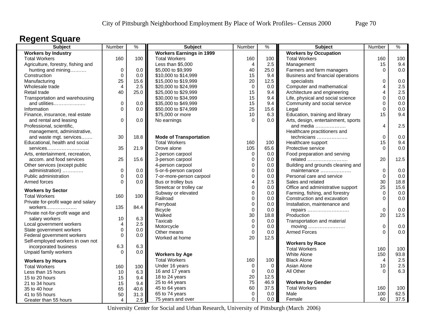### **Regent Square**

| Subject                            | Number         | $\frac{0}{6}$ | <b>Subject</b>                  | Number            | $\frac{1}{2}$ | <b>Subject</b>                                                | Number         | $\frac{9}{6}$ |
|------------------------------------|----------------|---------------|---------------------------------|-------------------|---------------|---------------------------------------------------------------|----------------|---------------|
| <b>Workers by Industry</b>         |                |               | <b>Workers Earnings in 1999</b> |                   |               | <b>Workers by Occupation</b>                                  |                |               |
| <b>Total Workers</b>               | 160            | 100           | <b>Total Workers</b>            | 160               | 100           | <b>Total Workers</b>                                          | 160            | 100           |
| Agriculture, forestry, fishing and |                |               | Less than \$5,000               | 4                 | 2.5           | Management                                                    | 15             | 9.4           |
| hunting and mining                 | $\mathbf 0$    | 0.0           | \$5,000 to \$9,999              | 40                | 25.0          | Farmers and farm managers                                     | $\Omega$       | 0.0           |
| Construction                       | $\Omega$       | 0.0           | \$10,000 to \$14,999            | 15                | 9.4           | Business and financial operations                             |                |               |
| Manufacturing                      | 25             | 15.6          | \$15,000 to \$19,999            | 20                | 12.5          | specialists                                                   | $\mathbf 0$    | 0.0           |
| Wholesale trade                    | $\overline{4}$ | 2.5           | \$20,000 to \$24,999            | $\mathbf 0$       | 0.0           | Computer and mathematical                                     | $\overline{4}$ | 2.5           |
| Retail trade                       | 40             | 25.0          | \$25,000 to \$29,999            | 15                | 9.4           | Architecture and engineering                                  | 4              | 2.5           |
| Transportation and warehousing     |                |               | \$30,000 to \$34,999            | 15                | 9.4           | Life, physical and social science                             | 0              | 0.0           |
| and utilities                      | 0              | 0.0           | \$35,000 to \$49,999            | 15                | 9.4           | Community and social service                                  | 0              | 0.0           |
| Information                        | $\Omega$       | 0.0           | \$50,000 to \$74,999            | 25                | 15.6          | Legal                                                         | $\mathbf 0$    | 0.0           |
| Finance, insurance, real estate    |                |               | \$75,000 or more                | 10                | 6.3           | Education, training and library                               | 15             | 9.4           |
| and rental and leasing             | 0              | 0.0           | No earnings                     | $\Omega$          | 0.0           | Arts, design, entertainment, sports                           |                |               |
| Professional, scientific,          |                |               |                                 |                   |               | and media                                                     | $\overline{4}$ | 2.5           |
| management, administrative,        |                |               |                                 |                   |               | Healthcare practitioners and                                  |                |               |
| and waste mgt. services            | 30             | 18.8          | <b>Mode of Transportation</b>   |                   |               | technicians                                                   | $\mathbf 0$    | 0.0           |
| Educational, health and social     |                |               | <b>Total Workers</b>            | 160               | 100           | Healthcare support                                            | 15             | 9.4           |
| services                           | 35             | 21.9          | Drove alone                     | 105               | 65.6          | Protective service                                            | $\Omega$       | 0.0           |
| Arts, entertainment, recreation,   |                |               | 2-person carpool                | $\mathbf 0$       | 0.0           | Food preparation and serving                                  |                |               |
| accom. and food services           | 25             | 15.6          | 3-person carpool                | $\mathbf 0$       | 0.0           | related                                                       | 20             | 12.5          |
| Other services (except public      |                |               | 4-person carpool                | $\mathbf 0$       | 0.0           | Building and grounds cleaning and                             |                |               |
| administration)                    | $\pmb{0}$      | 0.0           | 5-or-6-person carpool           | $\mathbf 0$       | 0.0           | maintenance                                                   | $\mathbf 0$    | 0.0           |
| Public administration              | 0              | 0.0           | 7-or-more-person carpool        | $\mathbf 0$       | 0.0           | Personal care and service                                     | $\mathbf 0$    | 0.0           |
| Armed forces                       | $\Omega$       | 0.0           | Bus or trolley bus              | $\overline{4}$    | 2.5           | Sales and related                                             | 30             | 18.8          |
|                                    |                |               | Streetcar or trolley car        | $\mathbf 0$       | 0.0           | Office and administrative support                             | 25             | 15.6          |
| <b>Workers by Sector</b>           |                |               | Subway or elevated              | $\mathbf 0$       | 0.0           |                                                               | $\mathbf 0$    | 0.0           |
| <b>Total Workers</b>               | 160            | 100           | Railroad                        | $\mathbf 0$       | 0.0           | Farming, fishing, and forestry<br>Construction and excavation | $\Omega$       | 0.0           |
| Private for-profit wage and salary |                |               | Ferryboat                       | $\mathbf 0$       | 0.0           | Installation, maintenance and                                 |                |               |
| workers                            | 135            | 84.4          |                                 |                   |               |                                                               | $\mathbf 0$    | 0.0           |
| Private not-for-profit wage and    |                |               | <b>Bicycle</b><br>Walked        | $\mathbf 0$<br>30 | 0.0           | repairs                                                       | 20             | 12.5          |
| salary workers                     | 10             | 6.3           |                                 |                   | 18.8          | Production                                                    |                |               |
| Local government workers           | 4              | 2.5           | Taxicab                         | $\pmb{0}$         | 0.0           | Transportation and material                                   |                |               |
| State government workers           | $\mathsf 0$    | 0.0           | Motorcycle                      | $\mathbf 0$       | 0.0           | moving                                                        | $\mathbf 0$    | 0.0           |
| Federal government workers         | $\Omega$       | 0.0           | Other means                     | $\Omega$          | 0.0           | <b>Armed Forces</b>                                           | $\Omega$       | 0.0           |
| Self-employed workers in own not   |                |               | Worked at home                  | 20                | 12.5          |                                                               |                |               |
| incorporated business              | 6.3            | 6.3           |                                 |                   |               | <b>Workers by Race</b>                                        |                |               |
| Unpaid family workers              | $\Omega$       | 0.0           |                                 |                   |               | <b>Total Workers</b>                                          | 160            | 100           |
|                                    |                |               | <b>Workers by Age</b>           |                   |               | White Alone                                                   | 150            | 93.8          |
| <b>Workers by Hours</b>            |                |               | <b>Total Workers</b>            | 160               | 100           | <b>Black Alone</b>                                            | 4              | 2.5           |
| <b>Total Workers</b>               | 160            | 100           | Under 16 years                  | 0                 | $\mathbf 0$   | Asian Alone                                                   | 10             | 2.5           |
| Less than 15 hours                 | 10             | 6.3           | 16 and 17 years                 | $\pmb{0}$         | 0.0           | All Other                                                     | $\Omega$       | 6.3           |
| 15 to 20 hours                     | 15             | 9.4           | 18 to 24 years                  | 20                | 12.5          |                                                               |                |               |
| 21 to 34 hours                     | 15             | 9.4           | 25 to 44 years                  | 75                | 46.9          | <b>Workers by Gender</b>                                      |                |               |
| 35 to 40 hour                      | 65             | 40.6          | 45 to 64 years                  | 60                | 37.5          | <b>Total Workers</b>                                          | 160            | 100           |
| 41 to 55 hours                     | 50             | 31.3          | 65 to 74 years                  | $\mathbf 0$       | $0.0\,$       | Male                                                          | 100            | 62.5          |
| Greater than 55 hours              | 4              | 2.5           | 75 years and over               | $\mathbf 0$       | 0.0           | Female                                                        | 60             | 37.5          |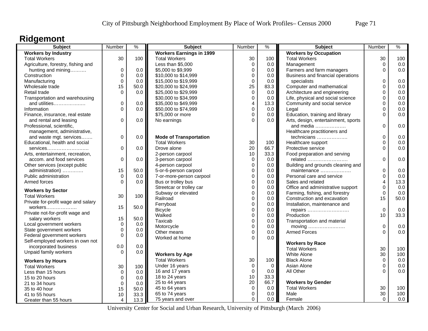# **Ridgemont**

| Subject                            | Number      | $\frac{9}{6}$ | <b>Subject</b>                    | Number         | $\%$     | <b>Subject</b>                      | Number      | $\%$ |
|------------------------------------|-------------|---------------|-----------------------------------|----------------|----------|-------------------------------------|-------------|------|
| <b>Workers by Industry</b>         |             |               | <b>Workers Earnings in 1999</b>   |                |          | <b>Workers by Occupation</b>        |             |      |
| <b>Total Workers</b>               | 30          | 100           | <b>Total Workers</b>              | 30             | 100      | <b>Total Workers</b>                | 30          | 100  |
| Agriculture, forestry, fishing and |             |               | Less than \$5,000                 | $\pmb{0}$      | 0.0      | Management                          | $\mathbf 0$ | 0.0  |
| hunting and mining                 | 0           | 0.0           | \$5,000 to \$9,999                | $\mathbf 0$    | 0.0      | Farmers and farm managers           | $\Omega$    | 0.0  |
| Construction                       | 0           | 0.0           | \$10,000 to \$14,999              | $\mathbf 0$    | 0.0      | Business and financial operations   |             |      |
| Manufacturing                      | 0           | 0.0           | \$15,000 to \$19,999              | $\mathbf 0$    | 0.0      | specialists                         | 0           | 0.0  |
| Wholesale trade                    | 15          | 50.0          | \$20,000 to \$24,999              | 25             | 83.3     | Computer and mathematical           | $\Omega$    | 0.0  |
| Retail trade                       | $\Omega$    | 0.0           | \$25,000 to \$29,999              | $\mathbf 0$    | 0.0      | Architecture and engineering        | 0           | 0.0  |
| Transportation and warehousing     |             |               | \$30,000 to \$34,999              | $\mathbf 0$    | 0.0      | Life, physical and social science   | 0           | 0.0  |
| and utilities                      | 0           | 0.0           | \$35,000 to \$49,999              | $\overline{4}$ | 13.3     | Community and social service        | $\mathbf 0$ | 0.0  |
| Information                        | $\Omega$    | 0.0           | \$50,000 to \$74,999              | $\mathbf 0$    | 0.0      | Legal                               | $\Omega$    | 0.0  |
| Finance, insurance, real estate    |             |               | \$75,000 or more                  | $\Omega$       | 0.0      | Education, training and library     | $\Omega$    | 0.0  |
| and rental and leasing             | 0           | 0.0           | No earnings                       | $\Omega$       | 0.0      | Arts, design, entertainment, sports |             |      |
| Professional, scientific,          |             |               |                                   |                |          | and media                           | $\Omega$    | 0.0  |
| management, administrative,        |             |               |                                   |                |          | Healthcare practitioners and        |             |      |
| and waste mgt. services            | 0           | 0.0           | <b>Mode of Transportation</b>     |                |          | technicians                         | $\mathbf 0$ | 0.0  |
| Educational, health and social     |             |               | <b>Total Workers</b>              | 30             | 100      | Healthcare support                  | $\Omega$    | 0.0  |
| services                           | 0           | 0.0           | Drove alone                       | 20             | 66.7     | Protective service                  | $\Omega$    | 0.0  |
| Arts, entertainment, recreation,   |             |               | 2-person carpool                  | 10             | 33.3     | Food preparation and serving        |             |      |
| accom. and food services           | 0           | 0.0           | 3-person carpool                  | $\mathbf 0$    | 0.0      | related                             | $\Omega$    | 0.0  |
| Other services (except public      |             |               | 4-person carpool                  | $\mathbf 0$    | 0.0      | Building and grounds cleaning and   |             |      |
| administration)                    | 15          | 50.0          | 5-or-6-person carpool             | $\mathbf 0$    | 0.0      | maintenance                         | $\mathbf 0$ | 0.0  |
| Public administration              | $\Omega$    | 0.0           | 7-or-more-person carpool          | $\mathbf 0$    | 0.0      | Personal care and service           | $\mathbf 0$ | 0.0  |
| Armed forces                       | $\Omega$    | 0.0           | Bus or trolley bus                | $\mathbf 0$    | 0.0      | Sales and related                   | 4           | 13.3 |
|                                    |             |               | Streetcar or trolley car          | $\Omega$       | 0.0      | Office and administrative support   | $\Omega$    | 0.0  |
| <b>Workers by Sector</b>           |             |               | Subway or elevated                | $\mathbf 0$    | 0.0      | Farming, fishing, and forestry      | $\mathbf 0$ | 0.0  |
| <b>Total Workers</b>               | 30          | 100           | Railroad                          | $\mathbf 0$    | 0.0      | Construction and excavation         | 15          | 50.0 |
| Private for-profit wage and salary |             |               | Ferryboat                         | $\mathbf 0$    | 0.0      | Installation, maintenance and       |             |      |
| workers                            | 15          | 50.0          | <b>Bicycle</b>                    | $\mathbf 0$    | 0.0      | repairs                             | $\mathbf 0$ | 0.0  |
| Private not-for-profit wage and    |             |               | Walked                            | $\mathbf 0$    | 0.0      | Production                          | 10          | 33.3 |
| salary workers                     | 15          | 50.0          | Taxicab                           | $\mathbf 0$    | 0.0      | Transportation and material         |             |      |
| Local government workers           | $\mathbf 0$ | 0.0           | Motorcycle                        | $\mathbf 0$    | 0.0      | moving                              | $\mathbf 0$ | 0.0  |
| State government workers           | 0           | 0.0           | Other means                       | $\mathbf 0$    | 0.0      | <b>Armed Forces</b>                 | $\Omega$    | 0.0  |
| Federal government workers         | 0           | 0.0           | Worked at home                    | $\Omega$       | 0.0      |                                     |             |      |
| Self-employed workers in own not   |             |               |                                   |                |          | <b>Workers by Race</b>              |             |      |
| incorporated business              | 0.0         | 0.0           |                                   |                |          | <b>Total Workers</b>                | 30          | 100  |
| Unpaid family workers              | $\Omega$    | 0.0           | <b>Workers by Age</b>             |                |          | White Alone                         | 30          | 100  |
|                                    |             |               | <b>Total Workers</b>              | 30             | 100      | <b>Black Alone</b>                  | $\mathbf 0$ | 0.0  |
| <b>Workers by Hours</b>            |             |               |                                   | 0              | $\Omega$ | Asian Alone                         | $\Omega$    | 0.0  |
| <b>Total Workers</b>               | 30          | 100           | Under 16 years<br>16 and 17 years | $\mathbf 0$    | 0.0      | All Other                           | O           | 0.0  |
| Less than 15 hours                 | 0           | 0.0           |                                   | 10             | 33.3     |                                     |             |      |
| 15 to 20 hours                     | 0           | 0.0           | 18 to 24 years                    | 20             | 66.7     | <b>Workers by Gender</b>            |             |      |
| 21 to 34 hours                     | 0           | 0.0           | 25 to 44 years                    |                |          |                                     |             |      |
| 35 to 40 hour                      | 15          | 50.0          | 45 to 64 years                    | $\mathbf 0$    | 0.0      | <b>Total Workers</b>                | 30<br>30    | 100  |
| 41 to 55 hours                     | 10          | 33.3          | 65 to 74 years                    | $\mathbf 0$    | 0.0      | Male                                |             | 100  |
| Greater than 55 hours              | 4           | 13.3          | 75 years and over                 | $\Omega$       | 0.0      | Female                              | $\Omega$    | 0.0  |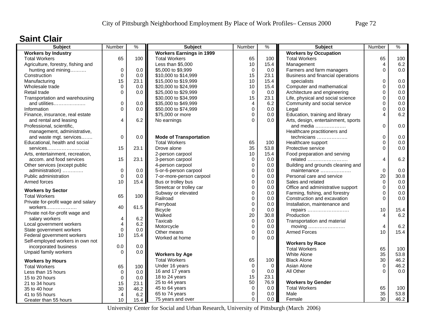#### **Saint Clair**

| <b>Subject</b>                                                 | Number                                 | $\frac{9}{6}$ | <b>Subject</b>                  | Number           | %                | <b>Subject</b>                      | Number         | $\frac{9}{6}$ |
|----------------------------------------------------------------|----------------------------------------|---------------|---------------------------------|------------------|------------------|-------------------------------------|----------------|---------------|
| <b>Workers by Industry</b>                                     |                                        |               | <b>Workers Earnings in 1999</b> |                  |                  | <b>Workers by Occupation</b>        |                |               |
| <b>Total Workers</b>                                           | 65                                     | 100           | <b>Total Workers</b>            | 65               | 100              | <b>Total Workers</b>                | 65             | 100           |
| Agriculture, forestry, fishing and                             |                                        |               | Less than \$5,000               | 10               | 15.4             | Management                          | 4              | 6.2           |
| hunting and mining                                             | $\pmb{0}$                              | 0.0           | \$5,000 to \$9,999              | $\mathbf 0$      | 0.0              | Farmers and farm managers           | $\Omega$       | 0.0           |
| Construction                                                   | $\mathbf 0$                            | 0.0           | \$10,000 to \$14,999            | 15               | 23.1             | Business and financial operations   |                |               |
| Manufacturing                                                  | 15                                     | 23.1          | \$15,000 to \$19,999            | 10               | 15.4             | specialists                         | $\Omega$       | 0.0           |
| Wholesale trade                                                | 0                                      | 0.0           | \$20,000 to \$24,999            | 10               | 15.4             | Computer and mathematical           | $\Omega$       | 0.0           |
| Retail trade                                                   | $\mathbf 0$                            | 0.0           | \$25,000 to \$29,999            | $\mathbf 0$      | 0.0              | Architecture and engineering        | 0              | 0.0           |
| Transportation and warehousing                                 |                                        |               | \$30,000 to \$34,999            | 15               | 23.1             | Life, physical and social science   | 0              | 0.0           |
| and utilities                                                  | $\mathbf 0$                            | 0.0           | \$35,000 to \$49,999            | $\overline{4}$   | 6.2              | Community and social service        | 0              | 0.0           |
| Information                                                    | $\Omega$                               | 0.0           | \$50,000 to \$74,999            | $\mathbf 0$      | 0.0              | Legal                               | $\mathbf 0$    | 0.0           |
| Finance, insurance, real estate                                |                                        |               | \$75,000 or more                | $\Omega$         | 0.0              | Education, training and library     | $\overline{4}$ | 6.2           |
| and rental and leasing                                         | 4                                      | 6.2           | No earnings                     | $\Omega$         | 0.0              | Arts, design, entertainment, sports |                |               |
| Professional, scientific,                                      |                                        |               |                                 |                  |                  | and media                           | $\Omega$       | 0.0           |
| management, administrative,                                    |                                        |               |                                 |                  |                  | Healthcare practitioners and        |                |               |
| and waste mgt. services                                        | $\mathbf 0$                            | 0.0           | <b>Mode of Transportation</b>   |                  |                  | technicians                         | 0              | 0.0           |
| Educational, health and social                                 |                                        |               | <b>Total Workers</b>            | 65               | 100              | Healthcare support                  | $\mathbf 0$    | 0.0           |
| services                                                       | 15                                     | 23.1          | Drove alone                     | 35               | 53.8             | Protective service                  | $\Omega$       | 0.0           |
| Arts, entertainment, recreation,                               |                                        |               | 2-person carpool                | 10               | 15.4             | Food preparation and serving        |                |               |
| accom. and food services                                       | 15                                     | 23.1          | 3-person carpool                | $\mathbf 0$      | 0.0              | related                             | $\overline{4}$ | 6.2           |
| Other services (except public                                  |                                        |               | 4-person carpool                | $\boldsymbol{0}$ | 0.0              | Building and grounds cleaning and   |                |               |
| administration)                                                | $\mathbf 0$                            | 0.0           | 5-or-6-person carpool           | $\Omega$         | 0.0              | maintenance                         | $\Omega$       | 0.0           |
| Public administration                                          | $\mathbf 0$                            | 0.0           | 7-or-more-person carpool        | $\mathbf 0$      | 0.0              | Personal care and service           | 20             | 30.8          |
| Armed forces                                                   | 10                                     | 15.4          | Bus or trolley bus              | $\Omega$         | 0.0              | Sales and related                   | $\Omega$       | 0.0           |
|                                                                |                                        |               | Streetcar or trolley car        | $\mathbf 0$      | 0.0 <sub>1</sub> | Office and administrative support   | $\Omega$       | 0.0           |
| <b>Workers by Sector</b>                                       |                                        |               | Subway or elevated              | $\mathbf 0$      | 0.0              | Farming, fishing, and forestry      | $\mathbf 0$    | 0.0           |
| <b>Total Workers</b>                                           | 65                                     | 100           | Railroad                        | $\Omega$         | 0.0              | Construction and excavation         | $\Omega$       | 0.0           |
| Private for-profit wage and salary                             |                                        |               | Ferryboat                       | $\pmb{0}$        | 0.0              | Installation, maintenance and       |                |               |
| workers                                                        | 40                                     | 61.5          | <b>Bicycle</b>                  | $\mathbf 0$      | 0.0 <sub>1</sub> | repairs                             | 10             | 15.4          |
| Private not-for-profit wage and                                |                                        |               | Walked                          | 20               | 30.8             | Production                          | $\overline{4}$ | 6.2           |
| salary workers                                                 | 4                                      | 6.2           | Taxicab                         | $\pmb{0}$        | 0.0              | Transportation and material         |                |               |
| Local government workers                                       | $\overline{\mathbf{4}}$<br>$\mathbf 0$ | 6.2           | Motorcycle                      | $\mathbf 0$      | 0.0              | moving                              | $\overline{4}$ | 6.2           |
| State government workers                                       | 10                                     | 0.0           | Other means                     | $\Omega$         | 0.0              | <b>Armed Forces</b>                 | 10             | 15.4          |
| Federal government workers<br>Self-employed workers in own not |                                        | 15.4          | Worked at home                  | $\Omega$         | 0.0              |                                     |                |               |
|                                                                |                                        |               |                                 |                  |                  | <b>Workers by Race</b>              |                |               |
| incorporated business                                          | 0.0<br>$\Omega$                        | 0.0           |                                 |                  |                  | <b>Total Workers</b>                | 65             | 100           |
| Unpaid family workers                                          |                                        | 0.0           | <b>Workers by Age</b>           |                  |                  | White Alone                         | 35             | 53.8          |
| <b>Workers by Hours</b>                                        |                                        |               | <b>Total Workers</b>            | 65               | 100              | <b>Black Alone</b>                  | 30             | 46.2          |
| <b>Total Workers</b>                                           | 65                                     | 100           | Under 16 years                  | $\mathbf 0$      | $\overline{0}$   | Asian Alone                         | $\Omega$       | 46.2          |
| Less than 15 hours                                             | $\mathbf 0$                            | 0.0           | 16 and 17 years                 | $\mathbf 0$      | 0.0              | All Other                           | $\Omega$       | 0.0           |
| 15 to 20 hours                                                 | $\mathbf 0$                            | 0.0           | 18 to 24 years                  | 15               | 23.1             |                                     |                |               |
| 21 to 34 hours                                                 | 15                                     | 23.1          | 25 to 44 years                  | 50               | 76.9             | <b>Workers by Gender</b>            |                |               |
| 35 to 40 hour                                                  | 30                                     | 46.2          | 45 to 64 years                  | $\pmb{0}$        | 0.0              | <b>Total Workers</b>                | 65             | 100           |
| 41 to 55 hours                                                 | $\overline{4}$                         | 6.2           | 65 to 74 years                  | $\mathbf 0$      | 0.0              | Male                                | 35             | 53.8          |
| Greater than 55 hours                                          | 10                                     | 15.4          | 75 years and over               | $\Omega$         | 0.0              | Female                              | 30             | 46.2          |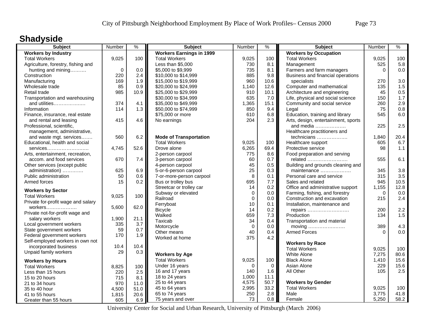## **Shadyside**

| Subject                                                      | Number | $\frac{1}{2}$ | <b>Subject</b>                  | Number      | $\%$        | <b>Subject</b>                          | Number   | $\frac{9}{6}$ |
|--------------------------------------------------------------|--------|---------------|---------------------------------|-------------|-------------|-----------------------------------------|----------|---------------|
| <b>Workers by Industry</b>                                   |        |               | <b>Workers Earnings in 1999</b> |             |             | <b>Workers by Occupation</b>            |          |               |
| <b>Total Workers</b>                                         | 9,025  | 100           | <b>Total Workers</b>            | 9,025       | 100         | <b>Total Workers</b>                    | 9,025    | 100           |
| Agriculture, forestry, fishing and                           |        |               | Less than \$5,000               | 730         | 8.1         | Management                              | 525      | 5.8           |
| hunting and mining                                           | 0      | 0.0           | \$5,000 to \$9,999              | 735         | 8.1         | Farmers and farm managers               | $\Omega$ | 0.0           |
| Construction                                                 | 220    | 2.4           | \$10,000 to \$14,999            | 885         | 9.8         | Business and financial operations       |          |               |
| Manufacturing                                                | 169    | 1.9           | \$15,000 to \$19,999            | 960         | 10.6        | specialists                             | 270      | 3.0           |
| Wholesale trade                                              | 85     | 0.9           | \$20,000 to \$24,999            | 1,140       | 12.6        | Computer and mathematical               | 135      | 1.5           |
| Retail trade                                                 | 985    | 10.9          | \$25,000 to \$29,999            | 910         | 10.1        | Architecture and engineering            | 45       | 0.5           |
| Transportation and warehousing                               |        |               | \$30,000 to \$34,999            | 635         | 7.0         | Life, physical and social science       | 150      | 1.7           |
| and utilities                                                | 374    | 4.1           | \$35,000 to \$49,999            | 1,365       | 15.1        | Community and social service            | 260      | 2.9           |
| Information                                                  | 114    | 1.3           | \$50,000 to \$74,999            | 850         | 9.4         | Legal                                   | 75       | 0.8           |
| Finance, insurance, real estate                              |        |               | \$75,000 or more                | 610         | 6.8         | Education, training and library         | 545      | 6.0           |
| and rental and leasing                                       | 415    | 4.6           | No earnings                     | 204         | 2.3         | Arts, design, entertainment, sports     |          |               |
| Professional, scientific,                                    |        |               |                                 |             |             | and media $\ldots$                      | 225      | 2.5           |
| management, administrative,                                  |        |               |                                 |             |             | Healthcare practitioners and            |          |               |
| and waste mgt. services                                      | 560    | 6.2           | <b>Mode of Transportation</b>   |             |             | technicians                             | 1,840    | 20.4          |
| Educational, health and social                               |        |               | <b>Total Workers</b>            | 9,025       | 100         | Healthcare support                      | 605      | 6.7           |
| services                                                     | 4,745  | 52.6          | Drove alone                     | 6,265       | 69.4        | Protective service                      | 98       | 1.1           |
|                                                              |        |               | 2-person carpool                | 775         | 8.6         |                                         |          |               |
| Arts, entertainment, recreation,<br>accom. and food services | 670    | 7.4           |                                 | 60          | 0.7         | Food preparation and serving<br>related | 555      | 6.1           |
|                                                              |        |               | 3-person carpool                | 45          | 0.5         |                                         |          |               |
| Other services (except public                                |        |               | 4-person carpool                |             |             | Building and grounds cleaning and       |          |               |
| administration)                                              | 625    | 6.9           | 5-or-6-person carpool           | 25          | 0.3         | maintenance                             | 345      | 3.8           |
| Public administration                                        | 50     | 0.6           | 7-or-more-person carpool        | $\,8\,$     | 0.1         | Personal care and service               | 315      | 3.5           |
| Armed forces                                                 | 15     | 0.2           | Bus or trolley bus              | 695         | 7.7         | Sales and related                       | 945      | 10.5          |
| <b>Workers by Sector</b>                                     |        |               | Streetcar or trolley car        | 14          | 0.2         | Office and administrative support       | 1,155    | 12.8          |
| <b>Total Workers</b>                                         | 9,025  | 100           | Subway or elevated              | $\mathbf 0$ | $0.0\,$     | Farming, fishing, and forestry          | $\Omega$ | 0.0           |
| Private for-profit wage and salary                           |        |               | Railroad                        | $\Omega$    | $0.0\,$     | Construction and excavation             | 215      | 2.4           |
| workers                                                      | 5,600  | 62.0          | Ferryboat                       | 10          | 0.1         | Installation, maintenance and           |          |               |
| Private not-for-profit wage and                              |        |               | <b>Bicycle</b>                  | 14          | 0.2         | repairs                                 | 200      | 2.2           |
| salary workers                                               | 1,900  | 21.1          | Walked                          | 659         | 7.3         | Production                              | 134      | 1.5           |
| Local government workers                                     | 335    | 3.7           | Taxicab                         | 34          | 0.4         | Transportation and material             |          |               |
| State government workers                                     | 59     | 0.7           | Motorcycle                      | $\mathbf 0$ | 0.0         | moving                                  | 389      | 4.3           |
| Federal government workers                                   | 170    | 1.9           | Other means                     | 40          | 0.4         | <b>Armed Forces</b>                     | $\Omega$ | 0.0           |
| Self-employed workers in own not                             |        |               | Worked at home                  | 375         | 4.2         |                                         |          |               |
|                                                              | 10.4   | 10.4          |                                 |             |             | <b>Workers by Race</b>                  |          |               |
| incorporated business                                        |        |               |                                 |             |             | <b>Total Workers</b>                    | 9.025    | 100           |
| Unpaid family workers                                        | 29     | 0.3           | <b>Workers by Age</b>           |             |             | <b>White Alone</b>                      | 7,275    | 80.6          |
| <b>Workers by Hours</b>                                      |        |               | <b>Total Workers</b>            | 9,025       | 100         | <b>Black Alone</b>                      | 1,410    | 15.6          |
| <b>Total Workers</b>                                         | 8,825  | 100           | Under 16 years                  | $\Omega$    | $\mathbf 0$ | Asian Alone                             | 229      | 15.6          |
| Less than 15 hours                                           | 220    | 2.5           | 16 and 17 years                 | 140         | 1.6         | All Other                               | 105      | 2.5           |
| 15 to 20 hours                                               | 715    | 8.1           | 18 to 24 years                  | 1,000       | 11.1        |                                         |          |               |
| 21 to 34 hours                                               | 970    | 11.0          | 25 to 44 years                  | 4,575       | 50.7        | <b>Workers by Gender</b>                |          |               |
| 35 to 40 hour                                                | 4,500  | 51.0          | 45 to 64 years                  | 2,995       | 33.2        | <b>Total Workers</b>                    | 9,025    | 100           |
| 41 to 55 hours                                               | 1,815  | 20.6          | 65 to 74 years                  | 250         | 2.8         | Male                                    | 3,775    | 41.8          |
| Greater than 55 hours                                        | 605    | 6.9           | 75 years and over               | 73          | 0.8         | Female                                  | 5,250    | 58.2          |
|                                                              |        |               |                                 |             |             |                                         |          |               |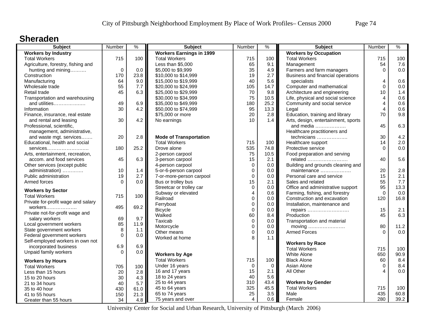#### **Sheraden**

| <b>Subject</b>                     | Number      | $\frac{9}{6}$ | <b>Subject</b>                  | Number                     | $\%$       | <b>Subject</b>                      | Number         | %    |
|------------------------------------|-------------|---------------|---------------------------------|----------------------------|------------|-------------------------------------|----------------|------|
| <b>Workers by Industry</b>         |             |               | <b>Workers Earnings in 1999</b> |                            |            | <b>Workers by Occupation</b>        |                |      |
| <b>Total Workers</b>               | 715         | 100           | <b>Total Workers</b>            | 715                        | 100        | <b>Total Workers</b>                | 715            | 100  |
| Agriculture, forestry, fishing and |             |               | Less than \$5,000               | 65                         | 9.1        | Management                          | 54             | 7.6  |
| hunting and mining                 | $\mathbf 0$ | 0.0           | \$5,000 to \$9,999              | 35                         | 4.9        | Farmers and farm managers           | $\Omega$       | 0.0  |
| Construction                       | 170         | 23.8          | \$10,000 to \$14,999            | 19                         | 2.7        | Business and financial operations   |                |      |
| Manufacturing                      | 64          | 9.0           | \$15,000 to \$19,999            | 40                         | 5.6        | specialists                         | 4              | 0.6  |
| Wholesale trade                    | 55          | 7.7           | \$20,000 to \$24,999            | 105                        | 14.7       | Computer and mathematical           | $\Omega$       | 0.0  |
| Retail trade                       | 45          | 6.3           | \$25,000 to \$29,999            | 70                         | 9.8        | Architecture and engineering        | 10             | 1.4  |
| Transportation and warehousing     |             |               | \$30,000 to \$34,999            | 75                         | 10.5       | Life, physical and social science   | 4              | 0.6  |
| and utilities                      | 49          | 6.9           | \$35,000 to \$49,999            | 180                        | 25.2       | Community and social service        | 4              | 0.6  |
| Information                        | 30          | 4.2           | \$50,000 to \$74,999            | 95                         | 13.3       | Legal                               | 4              | 0.6  |
| Finance, insurance, real estate    |             |               | \$75,000 or more                | 20                         | 2.8        | Education, training and library     | 70             | 9.8  |
| and rental and leasing             | 30          | 4.2           | No earnings                     | 10                         | 1.4        | Arts, design, entertainment, sports |                |      |
| Professional, scientific,          |             |               |                                 |                            |            | and media                           | 45             | 6.3  |
| management, administrative,        |             |               |                                 |                            |            | Healthcare practitioners and        |                |      |
| and waste mgt. services            | 20          | 2.8           | <b>Mode of Transportation</b>   |                            |            | technicians                         | 30             | 4.2  |
| Educational, health and social     |             |               | <b>Total Workers</b>            | 715                        | 100        | Healthcare support                  | 14             | 2.0  |
| services                           | 180         | 25.2          | Drove alone                     | 535                        | 74.8       | Protective service                  | $\Omega$       | 0.0  |
| Arts, entertainment, recreation,   |             |               | 2-person carpool                | 75                         | 10.5       | Food preparation and serving        |                |      |
| accom. and food services           | 45          | 6.3           | 3-person carpool                | 15                         | 2.1        | related                             | 40             | 5.6  |
| Other services (except public      |             |               | 4-person carpool                | $\mathbf 0$                | 0.0        | Building and grounds cleaning and   |                |      |
| administration)                    | 10          | 1.4           | 5-or-6-person carpool           | $\mathbf 0$                | 0.0        | maintenance                         | 20             | 2.8  |
| Public administration              | 19          | 2.7           | 7-or-more-person carpool        | $\mathbf 0$                | 0.0        | Personal care and service           | 15             | 2.1  |
| Armed forces                       | $\Omega$    | 0.0           | Bus or trolley bus              | 15                         | 2.1        | Sales and related                   | 55             | 7.7  |
|                                    |             |               | Streetcar or trolley car        | $\mathbf 0$                | 0.0        | Office and administrative support   | 95             | 13.3 |
| <b>Workers by Sector</b>           |             |               | Subway or elevated              | 4                          | 0.6        | Farming, fishing, and forestry      | $\mathbf 0$    | 0.0  |
| <b>Total Workers</b>               | 715         | 100           | Railroad                        | $\mathbf 0$                | 0.0        | Construction and excavation         | 120            | 16.8 |
| Private for-profit wage and salary |             |               |                                 |                            |            | Installation, maintenance and       |                |      |
| workers                            | 495         | 69.2          | Ferryboat                       | $\mathbf 0$<br>$\mathbf 0$ | 0.0<br>0.0 |                                     | 15             | 2.1  |
| Private not-for-profit wage and    |             |               | <b>Bicycle</b><br>Walked        | 60                         | 8.4        | repairs<br>Production               | 45             | 6.3  |
| salary workers                     | 69          | 9.7           |                                 |                            |            |                                     |                |      |
| Local government workers           | 85          | 11.9          | Taxicab                         | $\pmb{0}$                  | 0.0        | Transportation and material         |                |      |
| State government workers           | 8           | 1.1           | Motorcycle                      | $\mathbf 0$                | 0.0        | moving                              | 80<br>$\Omega$ | 11.2 |
| Federal government workers         | $\mathbf 0$ | 0.0           | Other means                     | $\mathbf 0$                | 0.0        | <b>Armed Forces</b>                 |                | 0.0  |
| Self-employed workers in own not   |             |               | Worked at home                  | 8                          | 1.1        |                                     |                |      |
| incorporated business              | 6.9         | 6.9           |                                 |                            |            | <b>Workers by Race</b>              |                |      |
| Unpaid family workers              | $\Omega$    | 0.0           |                                 |                            |            | <b>Total Workers</b>                | 715            | 100  |
|                                    |             |               | <b>Workers by Age</b>           |                            |            | White Alone                         | 650            | 90.9 |
| <b>Workers by Hours</b>            |             |               | <b>Total Workers</b>            | 715                        | 100        | <b>Black Alone</b>                  | 60             | 8.4  |
| <b>Total Workers</b>               | 705         | 100           | Under 16 years                  | $\Omega$                   | $\Omega$   | Asian Alone                         | $\mathbf 0$    | 8.4  |
| Less than 15 hours                 | 20          | 2.8           | 16 and 17 years                 | 15                         | 2.1        | All Other                           | 4              | 0.0  |
| 15 to 20 hours                     | 30          | 4.3           | 18 to 24 years                  | 40                         | 5.6        |                                     |                |      |
| 21 to 34 hours                     | 40          | 5.7           | 25 to 44 years                  | 310                        | 43.4       | <b>Workers by Gender</b>            |                |      |
| 35 to 40 hour                      | 430         | 61.0          | 45 to 64 years                  | 325                        | 45.5       | <b>Total Workers</b>                | 715            | 100  |
| 41 to 55 hours                     | 150         | 21.3          | 65 to 74 years                  | 25                         | 3.5        | Male                                | 435            | 60.8 |
| Greater than 55 hours              | 34          | 4.8           | 75 years and over               | $\overline{4}$             | 0.6        | Female                              | 280            | 39.2 |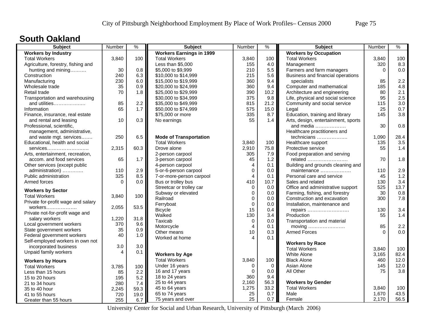#### **South Oakland**

| <b>Subject</b>                     | Number   | $\frac{9}{6}$ | <b>Subject</b>                  | Number                 | $\%$        | <b>Subject</b>                      | Number   | $\%$ |
|------------------------------------|----------|---------------|---------------------------------|------------------------|-------------|-------------------------------------|----------|------|
| <b>Workers by Industry</b>         |          |               | <b>Workers Earnings in 1999</b> |                        |             | <b>Workers by Occupation</b>        |          |      |
| <b>Total Workers</b>               | 3,840    | 100           | <b>Total Workers</b>            | 3,840                  | 100         | <b>Total Workers</b>                | 3,840    | 100  |
| Agriculture, forestry, fishing and |          |               | Less than \$5,000               | 155                    | 4.0         | Management                          | 320      | 8.3  |
| hunting and mining                 | 30       | 0.8           | \$5,000 to \$9,999              | 210                    | 5.5         | Farmers and farm managers           | $\Omega$ | 0.0  |
| Construction                       | 240      | 6.3           | \$10,000 to \$14,999            | 215                    | 5.6         | Business and financial operations   |          |      |
| Manufacturing                      | 230      | 6.0           | \$15,000 to \$19,999            | 360                    | 9.4         | specialists                         | 85       | 2.2  |
| Wholesale trade                    | 35       | 0.9           | \$20,000 to \$24,999            | 360                    | 9.4         | Computer and mathematical           | 185      | 4.8  |
| Retail trade                       | 70       | 1.8           | \$25,000 to \$29,999            | 390                    | 10.2        | Architecture and engineering        | 80       | 2.1  |
| Transportation and warehousing     |          |               | \$30,000 to \$34,999            | 375                    | 9.8         | Life, physical and social science   | 95       | 2.5  |
| and utilities                      | 85       | 2.2           | \$35,000 to \$49,999            | 815                    | 21.2        | Community and social service        | 115      | 3.0  |
| Information                        | 65       | 1.7           | \$50,000 to \$74,999            | 575                    | 15.0        | Legal                               | 25       | 0.7  |
| Finance, insurance, real estate    |          |               | \$75,000 or more                | 335                    | 8.7         | Education, training and library     | 145      | 3.8  |
| and rental and leasing             | 10       | 0.3           | No earnings                     | 55                     | 1.4         | Arts, design, entertainment, sports |          |      |
| Professional, scientific,          |          |               |                                 |                        |             | and media $\ldots$                  | 30       | 0.8  |
| management, administrative,        |          |               |                                 |                        |             | Healthcare practitioners and        |          |      |
| and waste mgt. services            | 250      | 6.5           | <b>Mode of Transportation</b>   |                        |             | technicians                         | 1,090    | 28.4 |
| Educational, health and social     |          |               | <b>Total Workers</b>            | 3,840                  | 100         | Healthcare support                  | 135      | 3.5  |
| services                           | 2,315    | 60.3          | Drove alone                     | 2,910                  | 75.8        | Protective service                  | 55       | 1.4  |
| Arts, entertainment, recreation,   |          |               | 2-person carpool                | 305                    | 7.9         | Food preparation and serving        |          |      |
| accom. and food services           | 65       | 1.7           | 3-person carpool                | 45                     | 1.2         | related                             | 70       | 1.8  |
| Other services (except public      |          |               | 4-person carpool                | $\overline{4}$         | 0.1         | Building and grounds cleaning and   |          |      |
| administration)                    | 110      | 2.9           | 5-or-6-person carpool           | $\mathbf 0$            | 0.0         | maintenance                         | 110      | 2.9  |
| Public administration              | 325      | 8.5           | 7-or-more-person carpool        | $\overline{4}$         | 0.1         | Personal care and service           | 45       | 1.2  |
| Armed forces                       | $\Omega$ | 0.0           | Bus or trolley bus              | 410                    | 10.7        | Sales and related                   | 130      | 3.4  |
|                                    |          |               | Streetcar or trolley car        | $\mathbf 0$            | 0.0         | Office and administrative support   | 525      | 13.7 |
| <b>Workers by Sector</b>           |          |               | Subway or elevated              | $\mathbf 0$            | 0.0         | Farming, fishing, and forestry      | 30       | 0.8  |
| <b>Total Workers</b>               | 3,840    | 100           | Railroad                        | $\mathbf 0$            | 0.0         | Construction and excavation         | 300      | 7.8  |
| Private for-profit wage and salary |          |               | Ferryboat                       | $\mathbf 0$            | 0.0         | Installation, maintenance and       |          |      |
| workers                            | 2,055    | 53.5          | <b>Bicycle</b>                  | 15                     | 0.4         | repairs                             | 130      | 3.4  |
| Private not-for-profit wage and    |          |               | Walked                          | 130                    | 3.4         | Production                          | 55       | 1.4  |
| salary workers                     | 1,220    | 31.8          | Taxicab                         | 0                      | 0.0         | Transportation and material         |          |      |
| Local government workers           | 370      | 9.6           | Motorcycle                      | $\overline{4}$         | 0.1         | moving                              | 85       | 2.2  |
| State government workers           | 35       | 0.9           | Other means                     | 10                     | 0.3         | <b>Armed Forces</b>                 | $\Omega$ | 0.0  |
| Federal government workers         | 40       | 1.0           | Worked at home                  | $\boldsymbol{\Lambda}$ | 0.1         |                                     |          |      |
| Self-employed workers in own not   |          |               |                                 |                        |             | <b>Workers by Race</b>              |          |      |
| incorporated business              | 3.0      | 3.0           |                                 |                        |             | <b>Total Workers</b>                | 3.840    | 100  |
| Unpaid family workers              | 4        | 0.1           | <b>Workers by Age</b>           |                        |             | White Alone                         | 3,165    | 82.4 |
| <b>Workers by Hours</b>            |          |               | <b>Total Workers</b>            | 3,840                  | 100         | <b>Black Alone</b>                  | 460      | 12.0 |
| <b>Total Workers</b>               | 3,785    | 100           | Under 16 years                  | $\mathbf 0$            | $\mathbf 0$ | Asian Alone                         | 145      | 12.0 |
| Less than 15 hours                 | 85       | 2.2           | 16 and 17 years                 | $\Omega$               | 0.0         | All Other                           | 75       | 3.8  |
| 15 to 20 hours                     | 195      | 5.2           | 18 to 24 years                  | 360                    | 9.4         |                                     |          |      |
| 21 to 34 hours                     | 280      | 7.4           | 25 to 44 years                  | 2,160                  | 56.3        | <b>Workers by Gender</b>            |          |      |
| 35 to 40 hour                      | 2,245    | 59.3          | 45 to 64 years                  | 1,275                  | 33.2        | <b>Total Workers</b>                | 3,840    | 100  |
| 41 to 55 hours                     | 720      | 19.0          | 65 to 74 years                  | 25                     | 0.7         | Male                                | 1,670    | 43.5 |
| Greater than 55 hours              | 255      | 6.7           | 75 years and over               | 25                     | 0.7         | Female                              | 2,170    | 56.5 |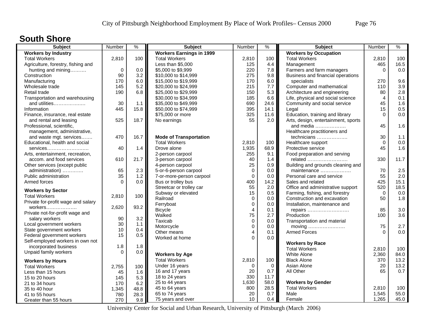#### **South Shore**

| <b>Subject</b>                     | Number      | $\%$ | <b>Subject</b>                  | Number         | %        | <b>Subject</b>                      | Number         | $\%$ |
|------------------------------------|-------------|------|---------------------------------|----------------|----------|-------------------------------------|----------------|------|
| <b>Workers by Industry</b>         |             |      | <b>Workers Earnings in 1999</b> |                |          | <b>Workers by Occupation</b>        |                |      |
| <b>Total Workers</b>               | 2,810       | 100  | <b>Total Workers</b>            | 2,810          | 100      | <b>Total Workers</b>                | 2,810          | 100  |
| Agriculture, forestry, fishing and |             |      | Less than \$5,000               | 125            | 4.4      | Management                          | 465            | 16.5 |
| hunting and mining                 | $\mathbf 0$ | 0.0  | \$5,000 to \$9,999              | 220            | 7.8      | Farmers and farm managers           | $\Omega$       | 0.0  |
| Construction                       | 90          | 3.2  | \$10,000 to \$14,999            | 275            | 9.8      | Business and financial operations   |                |      |
| Manufacturing                      | 170         | 6.0  | \$15,000 to \$19,999            | 170            | 6.0      | specialists                         | 270            | 9.6  |
| Wholesale trade                    | 145         | 5.2  | \$20,000 to \$24,999            | 215            | 7.7      | Computer and mathematical           | 110            | 3.9  |
| Retail trade                       | 190         | 6.8  | \$25,000 to \$29,999            | 150            | 5.3      | Architecture and engineering        | 80             | 2.8  |
| Transportation and warehousing     |             |      | \$30,000 to \$34,999            | 185            | 6.6      | Life, physical and social science   | $\overline{4}$ | 0.1  |
| and utilities                      | 30          | 1.1  | \$35,000 to \$49,999            | 690            | 24.6     | Community and social service        | 45             | 1.6  |
| Information                        | 445         | 15.8 | \$50,000 to \$74,999            | 395            | 14.1     | Legal                               | 15             | 0.5  |
| Finance, insurance, real estate    |             |      | \$75,000 or more                | 325            | 11.6     | Education, training and library     | $\Omega$       | 0.0  |
| and rental and leasing             | 525         | 18.7 | No earnings                     | 55             | 2.0      | Arts, design, entertainment, sports |                |      |
| Professional, scientific,          |             |      |                                 |                |          | and media                           | 45             | 1.6  |
| management, administrative,        |             |      |                                 |                |          | Healthcare practitioners and        |                |      |
| and waste mgt. services            | 470         | 16.7 | <b>Mode of Transportation</b>   |                |          | technicians                         | 30             | 1.1  |
| Educational, health and social     |             |      | <b>Total Workers</b>            | 2,810          | 100      | Healthcare support                  | $\Omega$       | 0.0  |
| services                           | 40          | 1.4  | Drove alone                     | 1,935          | 68.9     | Protective service                  | 45             | 1.6  |
| Arts, entertainment, recreation,   |             |      | 2-person carpool                | 255            | 9.1      | Food preparation and serving        |                |      |
| accom. and food services           | 610         | 21.7 | 3-person carpool                | 40             | 1.4      | related                             | 330            | 11.7 |
| Other services (except public      |             |      | 4-person carpool                | 25             | 0.9      | Building and grounds cleaning and   |                |      |
| administration)                    | 65          | 2.3  | 5-or-6-person carpool           | $\mathbf 0$    | 0.0      | maintenance                         | 70             | 2.5  |
| Public administration              | 35          | 1.2  | 7-or-more-person carpool        | $\mathbf 0$    | 0.0      | Personal care and service           | 55             | 2.0  |
| Armed forces                       | $\Omega$    | 0.0  | Bus or trolley bus              | 400            | 14.2     | Sales and related                   | 425            | 15.1 |
| <b>Workers by Sector</b>           |             |      | Streetcar or trolley car        | 55             | 2.0      | Office and administrative support   | 520            | 18.5 |
| <b>Total Workers</b>               | 2,810       | 100  | Subway or elevated              | 15             | 0.5      | Farming, fishing, and forestry      | $\mathbf 0$    | 0.0  |
| Private for-profit wage and salary |             |      | Railroad                        | $\mathbf 0$    | 0.0      | Construction and excavation         | 50             | 1.8  |
| $workers$                          | 2,620       | 93.2 | Ferryboat                       | $\mathbf 0$    | 0.0      | Installation, maintenance and       |                |      |
| Private not-for-profit wage and    |             |      | <b>Bicycle</b>                  | $\overline{4}$ | 0.1      | repairs                             | 85             | 3.0  |
| salary workers                     | 90          | 3.2  | Walked                          | 75             | 2.7      | Production                          | 100            | 3.6  |
| Local government workers           | 30          | 1.1  | Taxicab                         | $\mathbf 0$    | 0.0      | Transportation and material         |                |      |
| State government workers           | 10          | 0.4  | Motorcycle                      | $\mathbf 0$    | 0.0      | moving                              | 75             | 2.7  |
| Federal government workers         | 15          | 0.5  | Other means                     | $\overline{4}$ | 0.1      | <b>Armed Forces</b>                 | $\Omega$       | 0.0  |
| Self-employed workers in own not   |             |      | Worked at home                  | $\Omega$       | 0.0      |                                     |                |      |
| incorporated business              | 1.8         | 1.8  |                                 |                |          | <b>Workers by Race</b>              |                |      |
| Unpaid family workers              | $\Omega$    | 0.0  |                                 |                |          | <b>Total Workers</b>                | 2,810          | 100  |
|                                    |             |      | <b>Workers by Age</b>           |                |          | White Alone                         | 2,360          | 84.0 |
| <b>Workers by Hours</b>            |             |      | <b>Total Workers</b>            | 2,810          | 100      | <b>Black Alone</b>                  | 370            | 13.2 |
| <b>Total Workers</b>               | 2,755       | 100  | Under 16 years                  | $\Omega$       | $\Omega$ | Asian Alone                         | 20             | 13.2 |
| Less than 15 hours                 | 45          | 1.6  | 16 and 17 years                 | 20             | 0.7      | All Other                           | 65             | 0.7  |
| 15 to 20 hours                     | 145         | 5.3  | 18 to 24 years                  | 330            | 11.7     |                                     |                |      |
| 21 to 34 hours                     | 170         | 6.2  | 25 to 44 years                  | 1,630          | 58.0     | <b>Workers by Gender</b>            |                |      |
| 35 to 40 hour                      | 1,345       | 48.8 | 45 to 64 years                  | 800            | 28.5     | <b>Total Workers</b>                | 2,810          | 100  |
| 41 to 55 hours                     | 780         | 28.3 | 65 to 74 years                  | 20             | 0.7      | Male                                | 1,545          | 55.0 |
| Greater than 55 hours              | 270         | 9.8  | 75 years and over               | 10             | 0.4      | Female                              | 1,265          | 45.0 |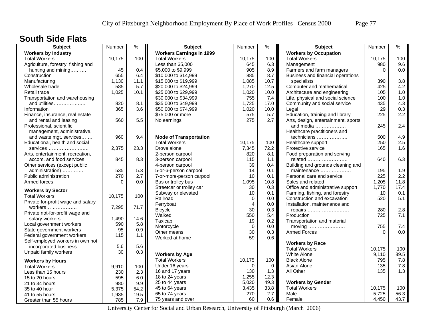#### **South Side Flats**

| <b>Subject</b>                     | Number       | $\frac{9}{6}$ | <b>Subject</b>                  | Number         | $\frac{9}{6}$ | <b>Subject</b>                      | Number   | $\%$ |
|------------------------------------|--------------|---------------|---------------------------------|----------------|---------------|-------------------------------------|----------|------|
| <b>Workers by Industry</b>         |              |               | <b>Workers Earnings in 1999</b> |                |               | <b>Workers by Occupation</b>        |          |      |
| <b>Total Workers</b>               | 10,175       | 100           | <b>Total Workers</b>            | 10,175         | 100           | <b>Total Workers</b>                | 10,175   | 100  |
| Agriculture, forestry, fishing and |              |               | Less than \$5,000               | 645            | 6.3           | Management                          | 980      | 9.6  |
| hunting and mining                 | 45           | 0.4           | \$5,000 to \$9,999              | 905            | 8.9           | Farmers and farm managers           | $\Omega$ | 0.0  |
| Construction                       | 655          | 6.4           | \$10,000 to \$14,999            | 885            | 8.7           | Business and financial operations   |          |      |
| Manufacturing                      | 1,130        | 11.1          | \$15,000 to \$19,999            | 1,085          | 10.7          | specialists                         | 390      | 3.8  |
| Wholesale trade                    | 585          | 5.7           | \$20,000 to \$24,999            | 1,270          | 12.5          | Computer and mathematical           | 425      | 4.2  |
| Retail trade                       | 1,025        | 10.1          | \$25,000 to \$29,999            | 1,020          | 10.0          | Architecture and engineering        | 105      | 1.0  |
| Transportation and warehousing     |              |               | \$30,000 to \$34,999            | 755            | 7.4           | Life, physical and social science   | 100      | 1.0  |
| and utilities                      | 820          | 8.1           | \$35,000 to \$49,999            | 1,725          | 17.0          | Community and social service        | 435      | 4.3  |
| Information                        | 365          | 3.6           | \$50,000 to \$74,999            | 1,020          | 10.0          | Legal                               | 29       | 0.3  |
| Finance, insurance, real estate    |              |               | \$75,000 or more                | 575            | 5.7           | Education, training and library     | 225      | 2.2  |
| and rental and leasing             | 560          | 5.5           | No earnings                     | 275            | 2.7           | Arts, design, entertainment, sports |          |      |
| Professional, scientific,          |              |               |                                 |                |               | and media                           | 245      | 2.4  |
| management, administrative,        |              |               |                                 |                |               | Healthcare practitioners and        |          |      |
| and waste mgt. services            | 960          | 9.4           | <b>Mode of Transportation</b>   |                |               | technicians                         | 500      | 4.9  |
| Educational, health and social     |              |               | <b>Total Workers</b>            | 10,175         | 100           | Healthcare support                  | 250      | 2.5  |
| services                           | 2,375        | 23.3          | Drove alone                     | 7,345          | 72.2          | Protective service                  | 165      | 1.6  |
| Arts, entertainment, recreation,   |              |               | 2-person carpool                | 820            | 8.1           | Food preparation and serving        |          |      |
| accom. and food services           | 845          | 8.3           | 3-person carpool                | 115            | 1.1           | related                             | 640      | 6.3  |
| Other services (except public      |              |               | 4-person carpool                | 39             | 0.4           | Building and grounds cleaning and   |          |      |
| administration)                    | 535          | 5.3           | 5-or-6-person carpool           | 14             | 0.1           | maintenance                         | 195      | 1.9  |
| Public administration              | 270          | 2.7           | 7-or-more-person carpool        | 10             | 0.1           | Personal care and service           | 225      | 2.2  |
| Armed forces                       | $\Omega$     | 0.0           | Bus or trolley bus              | 1,095          | 10.8          | Sales and related                   | 1,205    | 11.8 |
|                                    |              |               | Streetcar or trolley car        | 30             | 0.3           | Office and administrative support   | 1,770    | 17.4 |
| <b>Workers by Sector</b>           |              |               | Subway or elevated              | 10             | 0.1           | Farming, fishing, and forestry      | 10       | 0.1  |
| <b>Total Workers</b>               | 10,175       | 100           | Railroad                        | $\Omega$       | $0.0\,$       | Construction and excavation         | 520      | 5.1  |
| Private for-profit wage and salary |              |               | Ferryboat                       | $\overline{4}$ | 0.0           | Installation, maintenance and       |          |      |
| workers                            | 7,295        | 71.7          | <b>Bicycle</b>                  | 30             | 0.3           | repairs                             | 280      | 2.8  |
| Private not-for-profit wage and    |              |               | Walked                          | 550            | 5.4           | Production                          | 725      | 7.1  |
| salary workers                     | 1,490        | 14.6          | Taxicab                         | 19             | 0.2           | Transportation and material         |          |      |
| Local government workers           | 590          | 5.8           | Motorcycle                      | $\Omega$       | 0.0           | moving                              | 755      | 7.4  |
| State government workers           | 95           | 0.9           | Other means                     | 30             | 0.3           | <b>Armed Forces</b>                 | $\Omega$ | 0.0  |
| Federal government workers         | 115          | 1.1           | Worked at home                  | 59             | 0.6           |                                     |          |      |
| Self-employed workers in own not   |              |               |                                 |                |               | <b>Workers by Race</b>              |          |      |
| incorporated business              | 5.6          | 5.6           |                                 |                |               | <b>Total Workers</b>                | 10,175   | 100  |
| Unpaid family workers              | 30           | 0.3           | <b>Workers by Age</b>           |                |               | <b>White Alone</b>                  | 9,110    | 89.5 |
| <b>Workers by Hours</b>            |              |               | <b>Total Workers</b>            | 10,175         | 100           | <b>Black Alone</b>                  | 795      | 7.8  |
| <b>Total Workers</b>               | 9,910        | 100           | Under 16 years                  | $\Omega$       | $\Omega$      | Asian Alone                         | 135      | 7.8  |
| Less than 15 hours                 | 230          | 2.3           | 16 and 17 years                 | 130            | 1.3           | All Other                           | 135      | 1.3  |
| 15 to 20 hours                     | 595          | 6.0           | 18 to 24 years                  | 1,255          | 12.3          |                                     |          |      |
|                                    |              |               | 25 to 44 years                  | 5,020          | 49.3          | <b>Workers by Gender</b>            |          |      |
| 21 to 34 hours                     | 980<br>5,375 | 9.9           | 45 to 64 years                  | 3,435          | 33.8          | <b>Total Workers</b>                | 10,175   | 100  |
| 35 to 40 hour                      |              | 54.2<br>19.5  | 65 to 74 years                  | 270            | 2.7           | Male                                | 5,725    | 56.3 |
| 41 to 55 hours                     | 1,935        |               | 75 years and over               | 60             | 0.6           | Female                              | 4,450    | 43.7 |
| Greater than 55 hours              | 785          | 7.9           |                                 |                |               |                                     |          |      |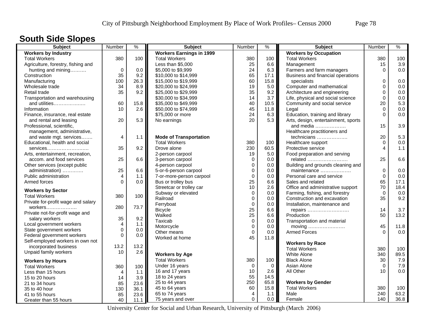## **South Side Slopes**

| Subject                            | Number                  | $\frac{9}{6}$ | <b>Subject</b>                  | Number         | $\frac{9}{6}$ | <b>Subject</b>                      | Number      | $\%$ |
|------------------------------------|-------------------------|---------------|---------------------------------|----------------|---------------|-------------------------------------|-------------|------|
| <b>Workers by Industry</b>         |                         |               | <b>Workers Earnings in 1999</b> |                |               | <b>Workers by Occupation</b>        |             |      |
| <b>Total Workers</b>               | 380                     | 100           | <b>Total Workers</b>            | 380            | 100           | <b>Total Workers</b>                | 380         | 100  |
| Agriculture, forestry, fishing and |                         |               | Less than \$5,000               | 25             | 6.6           | Management                          | 15          | 3.9  |
| hunting and mining                 | $\mathbf 0$             | 0.0           | \$5,000 to \$9,999              | 24             | 6.3           | Farmers and farm managers           | $\Omega$    | 0.0  |
| Construction                       | 35                      | 9.2           | \$10,000 to \$14,999            | 65             | 17.1          | Business and financial operations   |             |      |
| Manufacturing                      | 100                     | 26.3          | \$15,000 to \$19,999            | 60             | 15.8          | specialists                         | 0           | 0.0  |
| Wholesale trade                    | 34                      | 8.9           | \$20,000 to \$24,999            | 19             | 5.0           | Computer and mathematical           | $\mathbf 0$ | 0.0  |
| Retail trade                       | 35                      | 9.2           | \$25,000 to \$29,999            | 35             | 9.2           | Architecture and engineering        | 0           | 0.0  |
| Transportation and warehousing     |                         |               | \$30,000 to \$34,999            | 14             | 3.7           | Life, physical and social science   | 0           | 0.0  |
| and utilities                      | 60                      | 15.8          | \$35,000 to \$49,999            | 40             | 10.5          | Community and social service        | 20          | 5.3  |
| Information                        | 10                      | 2.6           | \$50,000 to \$74,999            | 45             | 11.8          | Legal                               | $\mathbf 0$ | 0.0  |
| Finance, insurance, real estate    |                         |               | \$75,000 or more                | 24             | 6.3           | Education, training and library     | $\Omega$    | 0.0  |
| and rental and leasing             | 20                      | 5.3           | No earnings                     | 20             | 5.3           | Arts, design, entertainment, sports |             |      |
| Professional, scientific,          |                         |               |                                 |                |               | and media                           | 15          | 3.9  |
| management, administrative,        |                         |               |                                 |                |               | Healthcare practitioners and        |             |      |
| and waste mgt. services            | 4                       | 1.1           | <b>Mode of Transportation</b>   |                |               | technicians                         | 20          | 5.3  |
| Educational, health and social     |                         |               | <b>Total Workers</b>            | 380            | 100           | Healthcare support                  | $\Omega$    | 0.0  |
| services                           | 35                      | 9.2           | Drove alone                     | 230            | 60.5          | Protective service                  | 4           | 1.1  |
| Arts, entertainment, recreation,   |                         |               | 2-person carpool                | 19             | 5.0           | Food preparation and serving        |             |      |
| accom. and food services           | 25                      | 6.6           | 3-person carpool                | 0              | 0.0           | related                             | 25          | 6.6  |
| Other services (except public      |                         |               | 4-person carpool                | 0              | 0.0           | Building and grounds cleaning and   |             |      |
| administration)                    | 25                      | 6.6           | 5-or-6-person carpool           | $\mathbf 0$    | 0.0           | maintenance                         | $\mathbf 0$ | 0.0  |
| Public administration              | $\overline{4}$          | 1.1           | 7-or-more-person carpool        | 0              | 0.0           | Personal care and service           | $\Omega$    | 0.0  |
| Armed forces                       | $\Omega$                | 0.0           | Bus or trolley bus              | 25             | 6.6           | Sales and related                   | 65          | 17.1 |
|                                    |                         |               | Streetcar or trolley car        | 10             | 2.6           | Office and administrative support   | 70          | 18.4 |
| <b>Workers by Sector</b>           |                         |               | Subway or elevated              | 0              | $0.0\,$       | Farming, fishing, and forestry      | $\Omega$    | 0.0  |
| <b>Total Workers</b>               | 380                     | 100           | Railroad                        | $\mathbf 0$    | 0.0           | Construction and excavation         | 35          | 9.2  |
| Private for-profit wage and salary |                         |               | Ferryboat                       | $\mathbf 0$    | 0.0           | Installation, maintenance and       |             |      |
| workers                            | 280                     | 73.7          | <b>Bicycle</b>                  | 25             | 6.6           | repairs                             | 14          | 3.7  |
| Private not-for-profit wage and    |                         |               | Walked                          | 25             | 6.6           | Production                          | 50          | 13.2 |
| salary workers                     | 35                      | 9.2           | Taxicab                         | $\mathsf 0$    | 0.0           | Transportation and material         |             |      |
| Local government workers           | $\overline{\mathbf{4}}$ | $1.1$         | Motorcycle                      | $\mathbf 0$    | 0.0           | moving                              | 45          | 11.8 |
| State government workers           | $\mathbf 0$             | 0.0           | Other means                     | $\Omega$       | 0.0           | <b>Armed Forces</b>                 | $\Omega$    | 0.0  |
| Federal government workers         | $\mathbf 0$             | 0.0           | Worked at home                  | 45             | 11.8          |                                     |             |      |
| Self-employed workers in own not   |                         |               |                                 |                |               | <b>Workers by Race</b>              |             |      |
| incorporated business              | 13.2                    | 13.2          |                                 |                |               | <b>Total Workers</b>                | 380         | 100  |
| Unpaid family workers              | 10                      | 2.6           | <b>Workers by Age</b>           |                |               | <b>White Alone</b>                  | 340         | 89.5 |
| <b>Workers by Hours</b>            |                         |               | <b>Total Workers</b>            | 380            | 100           | <b>Black Alone</b>                  | 30          | 7.9  |
| <b>Total Workers</b>               | 360                     | 100           | Under 16 years                  | $\Omega$       | $\Omega$      | Asian Alone                         | $\Omega$    | 7.9  |
| Less than 15 hours                 | 4                       | 1.1           | 16 and 17 years                 | 10             | 2.6           | All Other                           | 10          | 0.0  |
| 15 to 20 hours                     | 14                      | 3.9           | 18 to 24 years                  | 55             | 14.5          |                                     |             |      |
| 21 to 34 hours                     | 85                      | 23.6          | 25 to 44 years                  | 250            | 65.8          | <b>Workers by Gender</b>            |             |      |
| 35 to 40 hour                      | 130                     | 36.1          | 45 to 64 years                  | 60             | 15.8          | <b>Total Workers</b>                | 380         | 100  |
| 41 to 55 hours                     | 85                      | 23.6          | 65 to 74 years                  | $\overline{4}$ | 1.1           | Male                                | 240         | 63.2 |
| Greater than 55 hours              | 40                      | 11.1          | 75 years and over               | $\Omega$       | 0.0           | Female                              | 140         | 36.8 |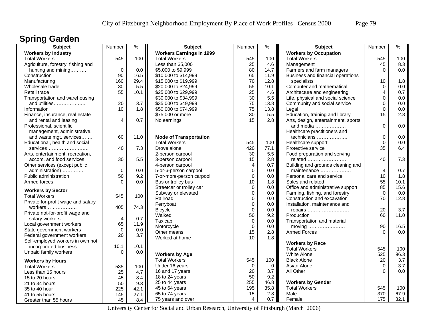### **Spring Garden**

| <b>Workers by Industry</b><br><b>Workers Earnings in 1999</b><br><b>Workers by Occupation</b><br>545<br><b>Total Workers</b><br>545<br>100<br><b>Total Workers</b><br>100<br><b>Total Workers</b><br>545<br>100<br>Less than \$5,000<br>25<br>4.6<br>8.3<br>Agriculture, forestry, fishing and<br>Management<br>45<br>$\mathbf 0$<br>80<br>0.0<br>0.0<br>\$5,000 to \$9,999<br>14.7<br>Farmers and farm managers<br>$\Omega$<br>hunting and mining<br>90<br>Construction<br>16.5<br>65<br>11.9<br>Business and financial operations<br>\$10,000 to \$14,999<br>70<br>160<br>29.4<br>\$15,000 to \$19,999<br>12.8<br>specialists<br>1.8<br>Manufacturing<br>10<br>55<br>30<br>5.5<br>\$20,000 to \$24,999<br>Computer and mathematical<br>$\Omega$<br>0.0<br>Wholesale trade<br>10.1<br>55<br>25<br>0.7<br>\$25,000 to \$29,999<br>4.6<br>Architecture and engineering<br>$\overline{4}$<br>Retail trade<br>10.1<br>30<br>Transportation and warehousing<br>\$30,000 to \$34,999<br>5.5<br>Life, physical and social science<br>$\Omega$<br>0.0<br>75<br>20<br>3.7<br>and utilities<br>\$35,000 to \$49,999<br>13.8<br>Community and social service<br>0<br>0.0<br>75<br>10<br>1.8<br>\$50,000 to \$74,999<br>0.0<br>Information<br>13.8<br>Legal<br>$\Omega$<br>30<br>\$75,000 or more<br>5.5<br>Education, training and library<br>15<br>2.8<br>Finance, insurance, real estate<br>15<br>4<br>0.7<br>2.8<br>Arts, design, entertainment, sports<br>and rental and leasing<br>No earnings<br>$\Omega$<br>0.0<br>Professional, scientific,<br>and media<br>management, administrative,<br>Healthcare practitioners and<br>0<br>0.0<br>and waste mgt. services<br>60<br>11.0<br><b>Mode of Transportation</b><br>technicians<br><b>Total Workers</b><br>545<br>100<br>$\Omega$<br>0.0<br>Educational, health and social<br>Healthcare support<br>6.4<br>7.3<br>420<br>35<br>40<br>Drove alone<br>77.1<br>Protective service<br>services<br>30<br>5.5<br>2-person carpool<br>Food preparation and serving<br>Arts, entertainment, recreation,<br>5.5<br>30<br>15<br>2.8<br>related<br>40<br>7.3<br>accom. and food services<br>3-person carpool<br>4-person carpool<br>$\overline{4}$<br>0.7<br>Building and grounds cleaning and<br>Other services (except public<br>$\mathbf 0$<br>0.7<br>$\mathbf 0$<br>0.0<br>5-or-6-person carpool<br>0.0<br>maintenance<br>4<br>administration)<br>50<br>9.2<br>$\mathbf 0$<br>1.8<br>Public administration<br>0.0<br>Personal care and service<br>10<br>7-or-more-person carpool<br>55<br>$\Omega$<br>0.0<br>Bus or trolley bus<br>10<br>1.8<br>Sales and related<br>10.1<br>Armed forces<br>85<br>$\Omega$<br>15.6<br>Streetcar or trolley car<br>0.0<br>Office and administrative support<br><b>Workers by Sector</b><br>Subway or elevated<br>$\mathbf 0$<br>0.0<br>Farming, fishing, and forestry<br>$\Omega$<br>0.0<br>545<br>100<br><b>Total Workers</b><br>70<br>Railroad<br>$\mathbf 0$<br>Construction and excavation<br>12.8<br>0.0<br>Private for-profit wage and salary<br>Ferryboat<br>$\mathbf 0$<br>Installation, maintenance and<br>0.0<br>74.3<br>405<br>workers<br>$\Omega$<br>20<br>3.7<br>0.0<br><b>Bicycle</b><br>repairs<br>Private not-for-profit wage and<br>50<br>9.2<br>60<br>11.0<br>Walked<br>Production<br>0.7<br>salary workers<br>$\overline{4}$<br>Taxicab<br>$\mathbf 0$<br>0.0<br>Transportation and material<br>65<br>11.9<br>Local government workers<br>Motorcycle<br>$\mathbf 0$<br>90<br>0.0<br>moving<br>16.5<br>$\mathbf 0$<br>State government workers<br>0.0<br>15<br>2.8<br><b>Armed Forces</b><br>0.0<br>Other means<br>$\Omega$<br>20<br>3.7<br>Federal government workers<br>10<br>Worked at home<br>1.8<br>Self-employed workers in own not<br><b>Workers by Race</b><br>incorporated business<br>10.1<br>10.1<br><b>Total Workers</b><br>545<br>100<br>Unpaid family workers<br>$\Omega$<br>0.0<br>525<br>96.3<br><b>Workers by Age</b><br>White Alone<br><b>Total Workers</b><br>545<br>100<br><b>Black Alone</b><br>20<br>3.7<br><b>Workers by Hours</b><br>3.7<br>Under 16 years<br>$\mathbf 0$<br>Asian Alone<br>$\mathbf 0$<br>$\mathbf 0$<br><b>Total Workers</b><br>535<br>100<br>0.0<br>16 and 17 years<br>20<br>3.7<br>All Other<br>$\Omega$<br>25<br>Less than 15 hours<br>4.7<br>50<br>9.2<br>18 to 24 years<br>45<br>8.4<br>15 to 20 hours<br>255<br>25 to 44 years<br>46.8<br><b>Workers by Gender</b><br>50<br>9.3<br>21 to 34 hours<br>45 to 64 years<br>195<br>35.8<br><b>Total Workers</b><br>545<br>100<br>35 to 40 hour<br>225<br>42.1<br>2.8<br>370<br>67.9<br>65 to 74 years<br>15<br>Male<br>145<br>27.1<br>41 to 55 hours<br>$\overline{4}$ | <b>Subject</b>        | Number | $\frac{9}{6}$ | <b>Subject</b>    | Number | $\%$ | Subject | Number | $\frac{9}{6}$ |
|---------------------------------------------------------------------------------------------------------------------------------------------------------------------------------------------------------------------------------------------------------------------------------------------------------------------------------------------------------------------------------------------------------------------------------------------------------------------------------------------------------------------------------------------------------------------------------------------------------------------------------------------------------------------------------------------------------------------------------------------------------------------------------------------------------------------------------------------------------------------------------------------------------------------------------------------------------------------------------------------------------------------------------------------------------------------------------------------------------------------------------------------------------------------------------------------------------------------------------------------------------------------------------------------------------------------------------------------------------------------------------------------------------------------------------------------------------------------------------------------------------------------------------------------------------------------------------------------------------------------------------------------------------------------------------------------------------------------------------------------------------------------------------------------------------------------------------------------------------------------------------------------------------------------------------------------------------------------------------------------------------------------------------------------------------------------------------------------------------------------------------------------------------------------------------------------------------------------------------------------------------------------------------------------------------------------------------------------------------------------------------------------------------------------------------------------------------------------------------------------------------------------------------------------------------------------------------------------------------------------------------------------------------------------------------------------------------------------------------------------------------------------------------------------------------------------------------------------------------------------------------------------------------------------------------------------------------------------------------------------------------------------------------------------------------------------------------------------------------------------------------------------------------------------------------------------------------------------------------------------------------------------------------------------------------------------------------------------------------------------------------------------------------------------------------------------------------------------------------------------------------------------------------------------------------------------------------------------------------------------------------------------------------------------------------------------------------------------------------------------------------------------------------------------------------------------------------------------------------------------------------------------------------------------------------------------------------------------------------------------------------------------------------------------------------------------------------------------------------------------------------------------------------------------------------------------------------------------------------------------------------------------------------------------------------------------------------------------------------------------------------------------------------------------------------------------------------------------------------------------------------------------------------------------------------------------------------------------------------------------------------------------------------|-----------------------|--------|---------------|-------------------|--------|------|---------|--------|---------------|
|                                                                                                                                                                                                                                                                                                                                                                                                                                                                                                                                                                                                                                                                                                                                                                                                                                                                                                                                                                                                                                                                                                                                                                                                                                                                                                                                                                                                                                                                                                                                                                                                                                                                                                                                                                                                                                                                                                                                                                                                                                                                                                                                                                                                                                                                                                                                                                                                                                                                                                                                                                                                                                                                                                                                                                                                                                                                                                                                                                                                                                                                                                                                                                                                                                                                                                                                                                                                                                                                                                                                                                                                                                                                                                                                                                                                                                                                                                                                                                                                                                                                                                                                                                                                                                                                                                                                                                                                                                                                                                                                                                                                                                                         |                       |        |               |                   |        |      |         |        |               |
|                                                                                                                                                                                                                                                                                                                                                                                                                                                                                                                                                                                                                                                                                                                                                                                                                                                                                                                                                                                                                                                                                                                                                                                                                                                                                                                                                                                                                                                                                                                                                                                                                                                                                                                                                                                                                                                                                                                                                                                                                                                                                                                                                                                                                                                                                                                                                                                                                                                                                                                                                                                                                                                                                                                                                                                                                                                                                                                                                                                                                                                                                                                                                                                                                                                                                                                                                                                                                                                                                                                                                                                                                                                                                                                                                                                                                                                                                                                                                                                                                                                                                                                                                                                                                                                                                                                                                                                                                                                                                                                                                                                                                                                         |                       |        |               |                   |        |      |         |        |               |
|                                                                                                                                                                                                                                                                                                                                                                                                                                                                                                                                                                                                                                                                                                                                                                                                                                                                                                                                                                                                                                                                                                                                                                                                                                                                                                                                                                                                                                                                                                                                                                                                                                                                                                                                                                                                                                                                                                                                                                                                                                                                                                                                                                                                                                                                                                                                                                                                                                                                                                                                                                                                                                                                                                                                                                                                                                                                                                                                                                                                                                                                                                                                                                                                                                                                                                                                                                                                                                                                                                                                                                                                                                                                                                                                                                                                                                                                                                                                                                                                                                                                                                                                                                                                                                                                                                                                                                                                                                                                                                                                                                                                                                                         |                       |        |               |                   |        |      |         |        |               |
|                                                                                                                                                                                                                                                                                                                                                                                                                                                                                                                                                                                                                                                                                                                                                                                                                                                                                                                                                                                                                                                                                                                                                                                                                                                                                                                                                                                                                                                                                                                                                                                                                                                                                                                                                                                                                                                                                                                                                                                                                                                                                                                                                                                                                                                                                                                                                                                                                                                                                                                                                                                                                                                                                                                                                                                                                                                                                                                                                                                                                                                                                                                                                                                                                                                                                                                                                                                                                                                                                                                                                                                                                                                                                                                                                                                                                                                                                                                                                                                                                                                                                                                                                                                                                                                                                                                                                                                                                                                                                                                                                                                                                                                         |                       |        |               |                   |        |      |         |        |               |
|                                                                                                                                                                                                                                                                                                                                                                                                                                                                                                                                                                                                                                                                                                                                                                                                                                                                                                                                                                                                                                                                                                                                                                                                                                                                                                                                                                                                                                                                                                                                                                                                                                                                                                                                                                                                                                                                                                                                                                                                                                                                                                                                                                                                                                                                                                                                                                                                                                                                                                                                                                                                                                                                                                                                                                                                                                                                                                                                                                                                                                                                                                                                                                                                                                                                                                                                                                                                                                                                                                                                                                                                                                                                                                                                                                                                                                                                                                                                                                                                                                                                                                                                                                                                                                                                                                                                                                                                                                                                                                                                                                                                                                                         |                       |        |               |                   |        |      |         |        |               |
|                                                                                                                                                                                                                                                                                                                                                                                                                                                                                                                                                                                                                                                                                                                                                                                                                                                                                                                                                                                                                                                                                                                                                                                                                                                                                                                                                                                                                                                                                                                                                                                                                                                                                                                                                                                                                                                                                                                                                                                                                                                                                                                                                                                                                                                                                                                                                                                                                                                                                                                                                                                                                                                                                                                                                                                                                                                                                                                                                                                                                                                                                                                                                                                                                                                                                                                                                                                                                                                                                                                                                                                                                                                                                                                                                                                                                                                                                                                                                                                                                                                                                                                                                                                                                                                                                                                                                                                                                                                                                                                                                                                                                                                         |                       |        |               |                   |        |      |         |        |               |
|                                                                                                                                                                                                                                                                                                                                                                                                                                                                                                                                                                                                                                                                                                                                                                                                                                                                                                                                                                                                                                                                                                                                                                                                                                                                                                                                                                                                                                                                                                                                                                                                                                                                                                                                                                                                                                                                                                                                                                                                                                                                                                                                                                                                                                                                                                                                                                                                                                                                                                                                                                                                                                                                                                                                                                                                                                                                                                                                                                                                                                                                                                                                                                                                                                                                                                                                                                                                                                                                                                                                                                                                                                                                                                                                                                                                                                                                                                                                                                                                                                                                                                                                                                                                                                                                                                                                                                                                                                                                                                                                                                                                                                                         |                       |        |               |                   |        |      |         |        |               |
|                                                                                                                                                                                                                                                                                                                                                                                                                                                                                                                                                                                                                                                                                                                                                                                                                                                                                                                                                                                                                                                                                                                                                                                                                                                                                                                                                                                                                                                                                                                                                                                                                                                                                                                                                                                                                                                                                                                                                                                                                                                                                                                                                                                                                                                                                                                                                                                                                                                                                                                                                                                                                                                                                                                                                                                                                                                                                                                                                                                                                                                                                                                                                                                                                                                                                                                                                                                                                                                                                                                                                                                                                                                                                                                                                                                                                                                                                                                                                                                                                                                                                                                                                                                                                                                                                                                                                                                                                                                                                                                                                                                                                                                         |                       |        |               |                   |        |      |         |        |               |
|                                                                                                                                                                                                                                                                                                                                                                                                                                                                                                                                                                                                                                                                                                                                                                                                                                                                                                                                                                                                                                                                                                                                                                                                                                                                                                                                                                                                                                                                                                                                                                                                                                                                                                                                                                                                                                                                                                                                                                                                                                                                                                                                                                                                                                                                                                                                                                                                                                                                                                                                                                                                                                                                                                                                                                                                                                                                                                                                                                                                                                                                                                                                                                                                                                                                                                                                                                                                                                                                                                                                                                                                                                                                                                                                                                                                                                                                                                                                                                                                                                                                                                                                                                                                                                                                                                                                                                                                                                                                                                                                                                                                                                                         |                       |        |               |                   |        |      |         |        |               |
|                                                                                                                                                                                                                                                                                                                                                                                                                                                                                                                                                                                                                                                                                                                                                                                                                                                                                                                                                                                                                                                                                                                                                                                                                                                                                                                                                                                                                                                                                                                                                                                                                                                                                                                                                                                                                                                                                                                                                                                                                                                                                                                                                                                                                                                                                                                                                                                                                                                                                                                                                                                                                                                                                                                                                                                                                                                                                                                                                                                                                                                                                                                                                                                                                                                                                                                                                                                                                                                                                                                                                                                                                                                                                                                                                                                                                                                                                                                                                                                                                                                                                                                                                                                                                                                                                                                                                                                                                                                                                                                                                                                                                                                         |                       |        |               |                   |        |      |         |        |               |
|                                                                                                                                                                                                                                                                                                                                                                                                                                                                                                                                                                                                                                                                                                                                                                                                                                                                                                                                                                                                                                                                                                                                                                                                                                                                                                                                                                                                                                                                                                                                                                                                                                                                                                                                                                                                                                                                                                                                                                                                                                                                                                                                                                                                                                                                                                                                                                                                                                                                                                                                                                                                                                                                                                                                                                                                                                                                                                                                                                                                                                                                                                                                                                                                                                                                                                                                                                                                                                                                                                                                                                                                                                                                                                                                                                                                                                                                                                                                                                                                                                                                                                                                                                                                                                                                                                                                                                                                                                                                                                                                                                                                                                                         |                       |        |               |                   |        |      |         |        |               |
|                                                                                                                                                                                                                                                                                                                                                                                                                                                                                                                                                                                                                                                                                                                                                                                                                                                                                                                                                                                                                                                                                                                                                                                                                                                                                                                                                                                                                                                                                                                                                                                                                                                                                                                                                                                                                                                                                                                                                                                                                                                                                                                                                                                                                                                                                                                                                                                                                                                                                                                                                                                                                                                                                                                                                                                                                                                                                                                                                                                                                                                                                                                                                                                                                                                                                                                                                                                                                                                                                                                                                                                                                                                                                                                                                                                                                                                                                                                                                                                                                                                                                                                                                                                                                                                                                                                                                                                                                                                                                                                                                                                                                                                         |                       |        |               |                   |        |      |         |        |               |
|                                                                                                                                                                                                                                                                                                                                                                                                                                                                                                                                                                                                                                                                                                                                                                                                                                                                                                                                                                                                                                                                                                                                                                                                                                                                                                                                                                                                                                                                                                                                                                                                                                                                                                                                                                                                                                                                                                                                                                                                                                                                                                                                                                                                                                                                                                                                                                                                                                                                                                                                                                                                                                                                                                                                                                                                                                                                                                                                                                                                                                                                                                                                                                                                                                                                                                                                                                                                                                                                                                                                                                                                                                                                                                                                                                                                                                                                                                                                                                                                                                                                                                                                                                                                                                                                                                                                                                                                                                                                                                                                                                                                                                                         |                       |        |               |                   |        |      |         |        |               |
|                                                                                                                                                                                                                                                                                                                                                                                                                                                                                                                                                                                                                                                                                                                                                                                                                                                                                                                                                                                                                                                                                                                                                                                                                                                                                                                                                                                                                                                                                                                                                                                                                                                                                                                                                                                                                                                                                                                                                                                                                                                                                                                                                                                                                                                                                                                                                                                                                                                                                                                                                                                                                                                                                                                                                                                                                                                                                                                                                                                                                                                                                                                                                                                                                                                                                                                                                                                                                                                                                                                                                                                                                                                                                                                                                                                                                                                                                                                                                                                                                                                                                                                                                                                                                                                                                                                                                                                                                                                                                                                                                                                                                                                         |                       |        |               |                   |        |      |         |        |               |
|                                                                                                                                                                                                                                                                                                                                                                                                                                                                                                                                                                                                                                                                                                                                                                                                                                                                                                                                                                                                                                                                                                                                                                                                                                                                                                                                                                                                                                                                                                                                                                                                                                                                                                                                                                                                                                                                                                                                                                                                                                                                                                                                                                                                                                                                                                                                                                                                                                                                                                                                                                                                                                                                                                                                                                                                                                                                                                                                                                                                                                                                                                                                                                                                                                                                                                                                                                                                                                                                                                                                                                                                                                                                                                                                                                                                                                                                                                                                                                                                                                                                                                                                                                                                                                                                                                                                                                                                                                                                                                                                                                                                                                                         |                       |        |               |                   |        |      |         |        |               |
|                                                                                                                                                                                                                                                                                                                                                                                                                                                                                                                                                                                                                                                                                                                                                                                                                                                                                                                                                                                                                                                                                                                                                                                                                                                                                                                                                                                                                                                                                                                                                                                                                                                                                                                                                                                                                                                                                                                                                                                                                                                                                                                                                                                                                                                                                                                                                                                                                                                                                                                                                                                                                                                                                                                                                                                                                                                                                                                                                                                                                                                                                                                                                                                                                                                                                                                                                                                                                                                                                                                                                                                                                                                                                                                                                                                                                                                                                                                                                                                                                                                                                                                                                                                                                                                                                                                                                                                                                                                                                                                                                                                                                                                         |                       |        |               |                   |        |      |         |        |               |
|                                                                                                                                                                                                                                                                                                                                                                                                                                                                                                                                                                                                                                                                                                                                                                                                                                                                                                                                                                                                                                                                                                                                                                                                                                                                                                                                                                                                                                                                                                                                                                                                                                                                                                                                                                                                                                                                                                                                                                                                                                                                                                                                                                                                                                                                                                                                                                                                                                                                                                                                                                                                                                                                                                                                                                                                                                                                                                                                                                                                                                                                                                                                                                                                                                                                                                                                                                                                                                                                                                                                                                                                                                                                                                                                                                                                                                                                                                                                                                                                                                                                                                                                                                                                                                                                                                                                                                                                                                                                                                                                                                                                                                                         |                       |        |               |                   |        |      |         |        |               |
|                                                                                                                                                                                                                                                                                                                                                                                                                                                                                                                                                                                                                                                                                                                                                                                                                                                                                                                                                                                                                                                                                                                                                                                                                                                                                                                                                                                                                                                                                                                                                                                                                                                                                                                                                                                                                                                                                                                                                                                                                                                                                                                                                                                                                                                                                                                                                                                                                                                                                                                                                                                                                                                                                                                                                                                                                                                                                                                                                                                                                                                                                                                                                                                                                                                                                                                                                                                                                                                                                                                                                                                                                                                                                                                                                                                                                                                                                                                                                                                                                                                                                                                                                                                                                                                                                                                                                                                                                                                                                                                                                                                                                                                         |                       |        |               |                   |        |      |         |        |               |
|                                                                                                                                                                                                                                                                                                                                                                                                                                                                                                                                                                                                                                                                                                                                                                                                                                                                                                                                                                                                                                                                                                                                                                                                                                                                                                                                                                                                                                                                                                                                                                                                                                                                                                                                                                                                                                                                                                                                                                                                                                                                                                                                                                                                                                                                                                                                                                                                                                                                                                                                                                                                                                                                                                                                                                                                                                                                                                                                                                                                                                                                                                                                                                                                                                                                                                                                                                                                                                                                                                                                                                                                                                                                                                                                                                                                                                                                                                                                                                                                                                                                                                                                                                                                                                                                                                                                                                                                                                                                                                                                                                                                                                                         |                       |        |               |                   |        |      |         |        |               |
|                                                                                                                                                                                                                                                                                                                                                                                                                                                                                                                                                                                                                                                                                                                                                                                                                                                                                                                                                                                                                                                                                                                                                                                                                                                                                                                                                                                                                                                                                                                                                                                                                                                                                                                                                                                                                                                                                                                                                                                                                                                                                                                                                                                                                                                                                                                                                                                                                                                                                                                                                                                                                                                                                                                                                                                                                                                                                                                                                                                                                                                                                                                                                                                                                                                                                                                                                                                                                                                                                                                                                                                                                                                                                                                                                                                                                                                                                                                                                                                                                                                                                                                                                                                                                                                                                                                                                                                                                                                                                                                                                                                                                                                         |                       |        |               |                   |        |      |         |        |               |
|                                                                                                                                                                                                                                                                                                                                                                                                                                                                                                                                                                                                                                                                                                                                                                                                                                                                                                                                                                                                                                                                                                                                                                                                                                                                                                                                                                                                                                                                                                                                                                                                                                                                                                                                                                                                                                                                                                                                                                                                                                                                                                                                                                                                                                                                                                                                                                                                                                                                                                                                                                                                                                                                                                                                                                                                                                                                                                                                                                                                                                                                                                                                                                                                                                                                                                                                                                                                                                                                                                                                                                                                                                                                                                                                                                                                                                                                                                                                                                                                                                                                                                                                                                                                                                                                                                                                                                                                                                                                                                                                                                                                                                                         |                       |        |               |                   |        |      |         |        |               |
|                                                                                                                                                                                                                                                                                                                                                                                                                                                                                                                                                                                                                                                                                                                                                                                                                                                                                                                                                                                                                                                                                                                                                                                                                                                                                                                                                                                                                                                                                                                                                                                                                                                                                                                                                                                                                                                                                                                                                                                                                                                                                                                                                                                                                                                                                                                                                                                                                                                                                                                                                                                                                                                                                                                                                                                                                                                                                                                                                                                                                                                                                                                                                                                                                                                                                                                                                                                                                                                                                                                                                                                                                                                                                                                                                                                                                                                                                                                                                                                                                                                                                                                                                                                                                                                                                                                                                                                                                                                                                                                                                                                                                                                         |                       |        |               |                   |        |      |         |        |               |
|                                                                                                                                                                                                                                                                                                                                                                                                                                                                                                                                                                                                                                                                                                                                                                                                                                                                                                                                                                                                                                                                                                                                                                                                                                                                                                                                                                                                                                                                                                                                                                                                                                                                                                                                                                                                                                                                                                                                                                                                                                                                                                                                                                                                                                                                                                                                                                                                                                                                                                                                                                                                                                                                                                                                                                                                                                                                                                                                                                                                                                                                                                                                                                                                                                                                                                                                                                                                                                                                                                                                                                                                                                                                                                                                                                                                                                                                                                                                                                                                                                                                                                                                                                                                                                                                                                                                                                                                                                                                                                                                                                                                                                                         |                       |        |               |                   |        |      |         |        |               |
|                                                                                                                                                                                                                                                                                                                                                                                                                                                                                                                                                                                                                                                                                                                                                                                                                                                                                                                                                                                                                                                                                                                                                                                                                                                                                                                                                                                                                                                                                                                                                                                                                                                                                                                                                                                                                                                                                                                                                                                                                                                                                                                                                                                                                                                                                                                                                                                                                                                                                                                                                                                                                                                                                                                                                                                                                                                                                                                                                                                                                                                                                                                                                                                                                                                                                                                                                                                                                                                                                                                                                                                                                                                                                                                                                                                                                                                                                                                                                                                                                                                                                                                                                                                                                                                                                                                                                                                                                                                                                                                                                                                                                                                         |                       |        |               |                   |        |      |         |        |               |
|                                                                                                                                                                                                                                                                                                                                                                                                                                                                                                                                                                                                                                                                                                                                                                                                                                                                                                                                                                                                                                                                                                                                                                                                                                                                                                                                                                                                                                                                                                                                                                                                                                                                                                                                                                                                                                                                                                                                                                                                                                                                                                                                                                                                                                                                                                                                                                                                                                                                                                                                                                                                                                                                                                                                                                                                                                                                                                                                                                                                                                                                                                                                                                                                                                                                                                                                                                                                                                                                                                                                                                                                                                                                                                                                                                                                                                                                                                                                                                                                                                                                                                                                                                                                                                                                                                                                                                                                                                                                                                                                                                                                                                                         |                       |        |               |                   |        |      |         |        |               |
|                                                                                                                                                                                                                                                                                                                                                                                                                                                                                                                                                                                                                                                                                                                                                                                                                                                                                                                                                                                                                                                                                                                                                                                                                                                                                                                                                                                                                                                                                                                                                                                                                                                                                                                                                                                                                                                                                                                                                                                                                                                                                                                                                                                                                                                                                                                                                                                                                                                                                                                                                                                                                                                                                                                                                                                                                                                                                                                                                                                                                                                                                                                                                                                                                                                                                                                                                                                                                                                                                                                                                                                                                                                                                                                                                                                                                                                                                                                                                                                                                                                                                                                                                                                                                                                                                                                                                                                                                                                                                                                                                                                                                                                         |                       |        |               |                   |        |      |         |        |               |
|                                                                                                                                                                                                                                                                                                                                                                                                                                                                                                                                                                                                                                                                                                                                                                                                                                                                                                                                                                                                                                                                                                                                                                                                                                                                                                                                                                                                                                                                                                                                                                                                                                                                                                                                                                                                                                                                                                                                                                                                                                                                                                                                                                                                                                                                                                                                                                                                                                                                                                                                                                                                                                                                                                                                                                                                                                                                                                                                                                                                                                                                                                                                                                                                                                                                                                                                                                                                                                                                                                                                                                                                                                                                                                                                                                                                                                                                                                                                                                                                                                                                                                                                                                                                                                                                                                                                                                                                                                                                                                                                                                                                                                                         |                       |        |               |                   |        |      |         |        |               |
|                                                                                                                                                                                                                                                                                                                                                                                                                                                                                                                                                                                                                                                                                                                                                                                                                                                                                                                                                                                                                                                                                                                                                                                                                                                                                                                                                                                                                                                                                                                                                                                                                                                                                                                                                                                                                                                                                                                                                                                                                                                                                                                                                                                                                                                                                                                                                                                                                                                                                                                                                                                                                                                                                                                                                                                                                                                                                                                                                                                                                                                                                                                                                                                                                                                                                                                                                                                                                                                                                                                                                                                                                                                                                                                                                                                                                                                                                                                                                                                                                                                                                                                                                                                                                                                                                                                                                                                                                                                                                                                                                                                                                                                         |                       |        |               |                   |        |      |         |        |               |
|                                                                                                                                                                                                                                                                                                                                                                                                                                                                                                                                                                                                                                                                                                                                                                                                                                                                                                                                                                                                                                                                                                                                                                                                                                                                                                                                                                                                                                                                                                                                                                                                                                                                                                                                                                                                                                                                                                                                                                                                                                                                                                                                                                                                                                                                                                                                                                                                                                                                                                                                                                                                                                                                                                                                                                                                                                                                                                                                                                                                                                                                                                                                                                                                                                                                                                                                                                                                                                                                                                                                                                                                                                                                                                                                                                                                                                                                                                                                                                                                                                                                                                                                                                                                                                                                                                                                                                                                                                                                                                                                                                                                                                                         |                       |        |               |                   |        |      |         |        |               |
|                                                                                                                                                                                                                                                                                                                                                                                                                                                                                                                                                                                                                                                                                                                                                                                                                                                                                                                                                                                                                                                                                                                                                                                                                                                                                                                                                                                                                                                                                                                                                                                                                                                                                                                                                                                                                                                                                                                                                                                                                                                                                                                                                                                                                                                                                                                                                                                                                                                                                                                                                                                                                                                                                                                                                                                                                                                                                                                                                                                                                                                                                                                                                                                                                                                                                                                                                                                                                                                                                                                                                                                                                                                                                                                                                                                                                                                                                                                                                                                                                                                                                                                                                                                                                                                                                                                                                                                                                                                                                                                                                                                                                                                         |                       |        |               |                   |        |      |         |        |               |
|                                                                                                                                                                                                                                                                                                                                                                                                                                                                                                                                                                                                                                                                                                                                                                                                                                                                                                                                                                                                                                                                                                                                                                                                                                                                                                                                                                                                                                                                                                                                                                                                                                                                                                                                                                                                                                                                                                                                                                                                                                                                                                                                                                                                                                                                                                                                                                                                                                                                                                                                                                                                                                                                                                                                                                                                                                                                                                                                                                                                                                                                                                                                                                                                                                                                                                                                                                                                                                                                                                                                                                                                                                                                                                                                                                                                                                                                                                                                                                                                                                                                                                                                                                                                                                                                                                                                                                                                                                                                                                                                                                                                                                                         |                       |        |               |                   |        |      |         |        |               |
|                                                                                                                                                                                                                                                                                                                                                                                                                                                                                                                                                                                                                                                                                                                                                                                                                                                                                                                                                                                                                                                                                                                                                                                                                                                                                                                                                                                                                                                                                                                                                                                                                                                                                                                                                                                                                                                                                                                                                                                                                                                                                                                                                                                                                                                                                                                                                                                                                                                                                                                                                                                                                                                                                                                                                                                                                                                                                                                                                                                                                                                                                                                                                                                                                                                                                                                                                                                                                                                                                                                                                                                                                                                                                                                                                                                                                                                                                                                                                                                                                                                                                                                                                                                                                                                                                                                                                                                                                                                                                                                                                                                                                                                         |                       |        |               |                   |        |      |         |        |               |
|                                                                                                                                                                                                                                                                                                                                                                                                                                                                                                                                                                                                                                                                                                                                                                                                                                                                                                                                                                                                                                                                                                                                                                                                                                                                                                                                                                                                                                                                                                                                                                                                                                                                                                                                                                                                                                                                                                                                                                                                                                                                                                                                                                                                                                                                                                                                                                                                                                                                                                                                                                                                                                                                                                                                                                                                                                                                                                                                                                                                                                                                                                                                                                                                                                                                                                                                                                                                                                                                                                                                                                                                                                                                                                                                                                                                                                                                                                                                                                                                                                                                                                                                                                                                                                                                                                                                                                                                                                                                                                                                                                                                                                                         |                       |        |               |                   |        |      |         |        |               |
|                                                                                                                                                                                                                                                                                                                                                                                                                                                                                                                                                                                                                                                                                                                                                                                                                                                                                                                                                                                                                                                                                                                                                                                                                                                                                                                                                                                                                                                                                                                                                                                                                                                                                                                                                                                                                                                                                                                                                                                                                                                                                                                                                                                                                                                                                                                                                                                                                                                                                                                                                                                                                                                                                                                                                                                                                                                                                                                                                                                                                                                                                                                                                                                                                                                                                                                                                                                                                                                                                                                                                                                                                                                                                                                                                                                                                                                                                                                                                                                                                                                                                                                                                                                                                                                                                                                                                                                                                                                                                                                                                                                                                                                         |                       |        |               |                   |        |      |         |        |               |
|                                                                                                                                                                                                                                                                                                                                                                                                                                                                                                                                                                                                                                                                                                                                                                                                                                                                                                                                                                                                                                                                                                                                                                                                                                                                                                                                                                                                                                                                                                                                                                                                                                                                                                                                                                                                                                                                                                                                                                                                                                                                                                                                                                                                                                                                                                                                                                                                                                                                                                                                                                                                                                                                                                                                                                                                                                                                                                                                                                                                                                                                                                                                                                                                                                                                                                                                                                                                                                                                                                                                                                                                                                                                                                                                                                                                                                                                                                                                                                                                                                                                                                                                                                                                                                                                                                                                                                                                                                                                                                                                                                                                                                                         |                       |        |               |                   |        |      |         |        |               |
|                                                                                                                                                                                                                                                                                                                                                                                                                                                                                                                                                                                                                                                                                                                                                                                                                                                                                                                                                                                                                                                                                                                                                                                                                                                                                                                                                                                                                                                                                                                                                                                                                                                                                                                                                                                                                                                                                                                                                                                                                                                                                                                                                                                                                                                                                                                                                                                                                                                                                                                                                                                                                                                                                                                                                                                                                                                                                                                                                                                                                                                                                                                                                                                                                                                                                                                                                                                                                                                                                                                                                                                                                                                                                                                                                                                                                                                                                                                                                                                                                                                                                                                                                                                                                                                                                                                                                                                                                                                                                                                                                                                                                                                         |                       |        |               |                   |        |      |         |        |               |
|                                                                                                                                                                                                                                                                                                                                                                                                                                                                                                                                                                                                                                                                                                                                                                                                                                                                                                                                                                                                                                                                                                                                                                                                                                                                                                                                                                                                                                                                                                                                                                                                                                                                                                                                                                                                                                                                                                                                                                                                                                                                                                                                                                                                                                                                                                                                                                                                                                                                                                                                                                                                                                                                                                                                                                                                                                                                                                                                                                                                                                                                                                                                                                                                                                                                                                                                                                                                                                                                                                                                                                                                                                                                                                                                                                                                                                                                                                                                                                                                                                                                                                                                                                                                                                                                                                                                                                                                                                                                                                                                                                                                                                                         |                       |        |               |                   |        |      |         |        |               |
|                                                                                                                                                                                                                                                                                                                                                                                                                                                                                                                                                                                                                                                                                                                                                                                                                                                                                                                                                                                                                                                                                                                                                                                                                                                                                                                                                                                                                                                                                                                                                                                                                                                                                                                                                                                                                                                                                                                                                                                                                                                                                                                                                                                                                                                                                                                                                                                                                                                                                                                                                                                                                                                                                                                                                                                                                                                                                                                                                                                                                                                                                                                                                                                                                                                                                                                                                                                                                                                                                                                                                                                                                                                                                                                                                                                                                                                                                                                                                                                                                                                                                                                                                                                                                                                                                                                                                                                                                                                                                                                                                                                                                                                         |                       |        |               |                   |        |      |         |        |               |
|                                                                                                                                                                                                                                                                                                                                                                                                                                                                                                                                                                                                                                                                                                                                                                                                                                                                                                                                                                                                                                                                                                                                                                                                                                                                                                                                                                                                                                                                                                                                                                                                                                                                                                                                                                                                                                                                                                                                                                                                                                                                                                                                                                                                                                                                                                                                                                                                                                                                                                                                                                                                                                                                                                                                                                                                                                                                                                                                                                                                                                                                                                                                                                                                                                                                                                                                                                                                                                                                                                                                                                                                                                                                                                                                                                                                                                                                                                                                                                                                                                                                                                                                                                                                                                                                                                                                                                                                                                                                                                                                                                                                                                                         |                       |        |               |                   |        |      |         |        |               |
|                                                                                                                                                                                                                                                                                                                                                                                                                                                                                                                                                                                                                                                                                                                                                                                                                                                                                                                                                                                                                                                                                                                                                                                                                                                                                                                                                                                                                                                                                                                                                                                                                                                                                                                                                                                                                                                                                                                                                                                                                                                                                                                                                                                                                                                                                                                                                                                                                                                                                                                                                                                                                                                                                                                                                                                                                                                                                                                                                                                                                                                                                                                                                                                                                                                                                                                                                                                                                                                                                                                                                                                                                                                                                                                                                                                                                                                                                                                                                                                                                                                                                                                                                                                                                                                                                                                                                                                                                                                                                                                                                                                                                                                         |                       |        |               |                   |        |      |         |        |               |
|                                                                                                                                                                                                                                                                                                                                                                                                                                                                                                                                                                                                                                                                                                                                                                                                                                                                                                                                                                                                                                                                                                                                                                                                                                                                                                                                                                                                                                                                                                                                                                                                                                                                                                                                                                                                                                                                                                                                                                                                                                                                                                                                                                                                                                                                                                                                                                                                                                                                                                                                                                                                                                                                                                                                                                                                                                                                                                                                                                                                                                                                                                                                                                                                                                                                                                                                                                                                                                                                                                                                                                                                                                                                                                                                                                                                                                                                                                                                                                                                                                                                                                                                                                                                                                                                                                                                                                                                                                                                                                                                                                                                                                                         |                       |        |               |                   |        |      |         |        |               |
|                                                                                                                                                                                                                                                                                                                                                                                                                                                                                                                                                                                                                                                                                                                                                                                                                                                                                                                                                                                                                                                                                                                                                                                                                                                                                                                                                                                                                                                                                                                                                                                                                                                                                                                                                                                                                                                                                                                                                                                                                                                                                                                                                                                                                                                                                                                                                                                                                                                                                                                                                                                                                                                                                                                                                                                                                                                                                                                                                                                                                                                                                                                                                                                                                                                                                                                                                                                                                                                                                                                                                                                                                                                                                                                                                                                                                                                                                                                                                                                                                                                                                                                                                                                                                                                                                                                                                                                                                                                                                                                                                                                                                                                         |                       |        |               |                   |        |      |         |        |               |
|                                                                                                                                                                                                                                                                                                                                                                                                                                                                                                                                                                                                                                                                                                                                                                                                                                                                                                                                                                                                                                                                                                                                                                                                                                                                                                                                                                                                                                                                                                                                                                                                                                                                                                                                                                                                                                                                                                                                                                                                                                                                                                                                                                                                                                                                                                                                                                                                                                                                                                                                                                                                                                                                                                                                                                                                                                                                                                                                                                                                                                                                                                                                                                                                                                                                                                                                                                                                                                                                                                                                                                                                                                                                                                                                                                                                                                                                                                                                                                                                                                                                                                                                                                                                                                                                                                                                                                                                                                                                                                                                                                                                                                                         |                       |        |               |                   |        |      |         |        |               |
|                                                                                                                                                                                                                                                                                                                                                                                                                                                                                                                                                                                                                                                                                                                                                                                                                                                                                                                                                                                                                                                                                                                                                                                                                                                                                                                                                                                                                                                                                                                                                                                                                                                                                                                                                                                                                                                                                                                                                                                                                                                                                                                                                                                                                                                                                                                                                                                                                                                                                                                                                                                                                                                                                                                                                                                                                                                                                                                                                                                                                                                                                                                                                                                                                                                                                                                                                                                                                                                                                                                                                                                                                                                                                                                                                                                                                                                                                                                                                                                                                                                                                                                                                                                                                                                                                                                                                                                                                                                                                                                                                                                                                                                         |                       |        |               |                   |        |      |         |        |               |
|                                                                                                                                                                                                                                                                                                                                                                                                                                                                                                                                                                                                                                                                                                                                                                                                                                                                                                                                                                                                                                                                                                                                                                                                                                                                                                                                                                                                                                                                                                                                                                                                                                                                                                                                                                                                                                                                                                                                                                                                                                                                                                                                                                                                                                                                                                                                                                                                                                                                                                                                                                                                                                                                                                                                                                                                                                                                                                                                                                                                                                                                                                                                                                                                                                                                                                                                                                                                                                                                                                                                                                                                                                                                                                                                                                                                                                                                                                                                                                                                                                                                                                                                                                                                                                                                                                                                                                                                                                                                                                                                                                                                                                                         | Greater than 55 hours | 45     | 8.4           | 75 years and over |        | 0.7  | Female  | 175    | 32.1          |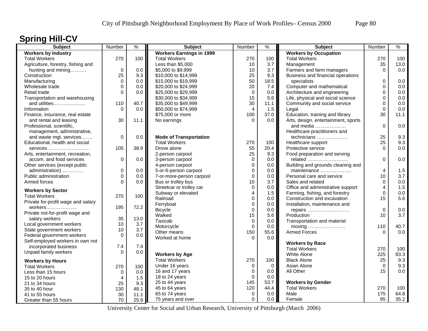# **Spring Hill-CV**

| Subject                            | Number         | $\frac{9}{6}$ | <b>Subject</b>                  | Number         | $\frac{9}{6}$ | <b>Subject</b>                      | Number      | $\%$ |
|------------------------------------|----------------|---------------|---------------------------------|----------------|---------------|-------------------------------------|-------------|------|
| <b>Workers by Industry</b>         |                |               | <b>Workers Earnings in 1999</b> |                |               | <b>Workers by Occupation</b>        |             |      |
| <b>Total Workers</b>               | 270            | 100           | <b>Total Workers</b>            | 270            | 100           | <b>Total Workers</b>                | 270         | 100  |
| Agriculture, forestry, fishing and |                |               | Less than \$5,000               | 10             | 3.7           | Management                          | 35          | 13.0 |
| hunting and mining                 | $\mathbf 0$    | 0.0           | \$5,000 to \$9,999              | 10             | 3.7           | Farmers and farm managers           | $\Omega$    | 0.0  |
| Construction                       | 25             | 9.3           | \$10,000 to \$14,999            | 25             | 9.3           | Business and financial operations   |             |      |
| Manufacturing                      | $\Omega$       | 0.0           | \$15,000 to \$19,999            | 50             | 18.5          | specialists                         | $\Omega$    | 0.0  |
| Wholesale trade                    | $\Omega$       | 0.0           | \$20,000 to \$24,999            | 20             | 7.4           | Computer and mathematical           | $\Omega$    | 0.0  |
| Retail trade                       | $\Omega$       | 0.0           | \$25,000 to \$29,999            | $\mathbf 0$    | 0.0           | Architecture and engineering        | 0           | 0.0  |
| Transportation and warehousing     |                |               | \$30,000 to \$34,999            | 15             | 5.6           | Life, physical and social science   | 0           | 0.0  |
| and utilities                      | 110            | 40.7          | \$35,000 to \$49,999            | 30             | 11.1          | Community and social service        | 0           | 0.0  |
| Information                        | $\Omega$       | 0.0           | \$50,000 to \$74,999            | 4              | 1.5           | Legal                               | $\Omega$    | 0.0  |
| Finance, insurance, real estate    |                |               | \$75,000 or more                | 100            | 37.0          | Education, training and library     | 30          | 11.1 |
| and rental and leasing             | 30             | 11.1          | No earnings                     | $\Omega$       | $0.0\,$       | Arts, design, entertainment, sports |             |      |
| Professional, scientific,          |                |               |                                 |                |               | and media                           | $\mathbf 0$ | 0.0  |
| management, administrative,        |                |               |                                 |                |               | Healthcare practitioners and        |             |      |
| and waste mgt. services            | $\Omega$       | 0.0           | <b>Mode of Transportation</b>   |                |               | technicians                         | 25          | 9.3  |
| Educational, health and social     |                |               | <b>Total Workers</b>            | 270            | 100           | Healthcare support                  | 25          | 9.3  |
| services                           | 105            | 38.9          | Drove alone                     | 55             | 20.4          | Protective service                  | $\Omega$    | 0.0  |
| Arts, entertainment, recreation,   |                |               | 2-person carpool                | 25             | 9.3           | Food preparation and serving        |             |      |
| accom. and food services           | 0              | 0.0           | 3-person carpool                | 0              | $0.0\,$       | related                             | $\Omega$    | 0.0  |
| Other services (except public      |                |               | 4-person carpool                | $\mathbf 0$    | 0.0           | Building and grounds cleaning and   |             |      |
| administration)                    | 0              | 0.0           | 5-or-6-person carpool           | $\mathbf 0$    | 0.0           | maintenance                         | 4           | 1.5  |
| Public administration              | $\mathbf 0$    | 0.0           | 7-or-more-person carpool        | $\mathbf 0$    | 0.0           | Personal care and service           | 10          | 3.7  |
| Armed forces                       | $\Omega$       | 0.0           | Bus or trolley bus              | 10             | 3.7           | Sales and related                   | $\mathbf 0$ | 0.0  |
|                                    |                |               | Streetcar or trolley car        | $\mathbf 0$    | 0.0           | Office and administrative support   | 4           | 1.5  |
| <b>Workers by Sector</b>           |                |               | Subway or elevated              | $\overline{4}$ | 1.5           | Farming, fishing, and forestry      | $\mathbf 0$ | 0.0  |
| <b>Total Workers</b>               | 270            | 100           | Railroad                        | $\mathbf 0$    | 0.0           | Construction and excavation         | 15          | 5.6  |
| Private for-profit wage and salary |                |               | Ferryboat                       | $\pmb{0}$      | 0.0           | Installation, maintenance and       |             |      |
| workers                            | 195            | 72.2          | <b>Bicycle</b>                  | $\Omega$       | 0.0           | repairs                             | $\Omega$    | 0.0  |
| Private not-for-profit wage and    |                |               | Walked                          | 15             | 5.6           | Production                          | 10          | 3.7  |
| salary workers                     | 35             | 13.0          | Taxicab                         | $\mathbf 0$    | 0.0           | Transportation and material         |             |      |
| Local government workers           | 10             | 3.7           | Motorcycle                      | $\Omega$       | 0.0           | moving                              | 110         | 40.7 |
| State government workers           | 10             | 3.7           | Other means                     | 150            | 55.6          | <b>Armed Forces</b>                 | $\Omega$    | 0.0  |
| Federal government workers         | $\Omega$       | 0.0           | Worked at home                  | $\Omega$       | 0.0           |                                     |             |      |
| Self-employed workers in own not   |                |               |                                 |                |               | <b>Workers by Race</b>              |             |      |
| incorporated business              | 7.4            | 7.4           |                                 |                |               | <b>Total Workers</b>                | 270         | 100  |
| Unpaid family workers              | $\Omega$       | 0.0           | <b>Workers by Age</b>           |                |               | White Alone                         | 225         | 83.3 |
| <b>Workers by Hours</b>            |                |               | <b>Total Workers</b>            | 270            | 100           | <b>Black Alone</b>                  | 25          | 9.3  |
| <b>Total Workers</b>               | 270            | 100           | Under 16 years                  | $\Omega$       | $\mathbf 0$   | Asian Alone                         | $\Omega$    | 9.3  |
| Less than 15 hours                 | $\mathbf 0$    | 0.0           | 16 and 17 years                 | $\mathbf 0$    | 0.0           | All Other                           | 15          | 0.0  |
| 15 to 20 hours                     | $\overline{4}$ | 1.5           | 18 to 24 years                  | $\mathbf 0$    | 0.0           |                                     |             |      |
| 21 to 34 hours                     | 25             | 9.3           | 25 to 44 years                  | 145            | 53.7          | <b>Workers by Gender</b>            |             |      |
| 35 to 40 hour                      | 130            | 48.1          | 45 to 64 years                  | 120            | 44.4          | <b>Total Workers</b>                | 270         | 100  |
| 41 to 55 hours                     | 30             | 11.1          | 65 to 74 years                  | 0              | 0.0           | Male                                | 175         | 64.8 |
| Greater than 55 hours              | 70             | 25.9          | 75 years and over               | $\Omega$       | 0.0           | Female                              | 95          | 35.2 |
|                                    |                |               |                                 |                |               |                                     |             |      |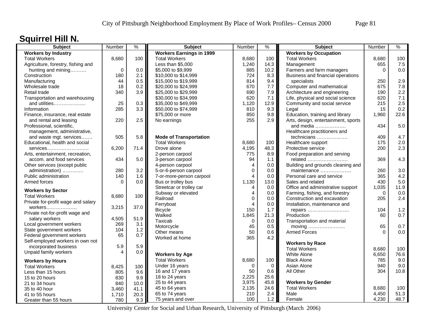## **Squirrel Hill N.**

| <b>Subject</b>                     | Number   | $\frac{9}{6}$ | <b>Subject</b>                  | Number         | $\frac{9}{6}$ | <b>Subject</b>                      | Number   | %    |
|------------------------------------|----------|---------------|---------------------------------|----------------|---------------|-------------------------------------|----------|------|
| <b>Workers by Industry</b>         |          |               | <b>Workers Earnings in 1999</b> |                |               | <b>Workers by Occupation</b>        |          |      |
| <b>Total Workers</b>               | 8,680    | 100           | <b>Total Workers</b>            | 8,680          | 100           | <b>Total Workers</b>                | 8,680    | 100  |
| Agriculture, forestry, fishing and |          |               | Less than \$5,000               | 1,240          | 14.3          | Management                          | 655      | 7.5  |
| hunting and mining                 | $\Omega$ | 0.0           | \$5,000 to \$9,999              | 885            | 10.2          | Farmers and farm managers           | $\Omega$ | 0.0  |
| Construction                       | 180      | 2.1           | \$10,000 to \$14,999            | 724            | 8.3           | Business and financial operations   |          |      |
| Manufacturing                      | 44       | 0.5           | \$15,000 to \$19,999            | 814            | 9.4           | specialists                         | 250      | 2.9  |
| Wholesale trade                    | 18       | 0.2           | \$20,000 to \$24,999            | 670            | 7.7           | Computer and mathematical           | 675      | 7.8  |
| Retail trade                       | 340      | 3.9           | \$25,000 to \$29,999            | 690            | 7.9           | Architecture and engineering        | 190      | 2.2  |
| Transportation and warehousing     |          |               | \$30,000 to \$34,999            | 620            | 7.1           | Life, physical and social science   | 620      | 7.1  |
| and utilities                      | 25       | 0.3           | \$35,000 to \$49,999            | 1,120          | 12.9          | Community and social service        | 215      | 2.5  |
| Information                        | 285      | 3.3           | \$50,000 to \$74,999            | 810            | 9.3           | Legal                               | 15       | 0.2  |
| Finance, insurance, real estate    |          |               | \$75,000 or more                | 850            | 9.8           | Education, training and library     | 1,960    | 22.6 |
| and rental and leasing             | 220      | 2.5           | No earnings                     | 255            | 2.9           | Arts, design, entertainment, sports |          |      |
| Professional, scientific,          |          |               |                                 |                |               | and media                           | 434      | 5.0  |
| management, administrative,        |          |               |                                 |                |               | Healthcare practitioners and        |          |      |
| and waste mgt. services            | 505      | 5.8           | <b>Mode of Transportation</b>   |                |               | technicians                         | 409      | 4.7  |
| Educational, health and social     |          |               | <b>Total Workers</b>            | 8,680          | 100           | Healthcare support                  | 175      | 2.0  |
| services                           | 6,200    | 71.4          | Drove alone                     | 4,195          | 48.3          | Protective service                  | 200      | 2.3  |
| Arts, entertainment, recreation,   |          |               | 2-person carpool                | 775            | 8.9           | Food preparation and serving        |          |      |
| accom. and food services           | 434      | 5.0           | 3-person carpool                | 94             | 1.1           | related                             | 369      | 4.3  |
| Other services (except public      |          |               | 4-person carpool                | $\overline{4}$ | 0.0           | Building and grounds cleaning and   |          |      |
| administration)                    | 280      | 3.2           | 5-or-6-person carpool           | $\Omega$       | 0.0           | maintenance                         | 260      | 3.0  |
| Public administration              | 140      | 1.6           | 7-or-more-person carpool        | 4              | 0.0           | Personal care and service           | 365      | 4.2  |
| Armed forces                       | $\Omega$ | 0.0           | Bus or trolley bus              | 1,130          | 13.0          | Sales and related                   | 430      | 5.0  |
|                                    |          |               | Streetcar or trolley car        | 4              | 0.0           | Office and administrative support   | 1,035    | 11.9 |
| <b>Workers by Sector</b>           |          |               | Subway or elevated              | 4              | 0.0           | Farming, fishing, and forestry      | $\Omega$ | 0.0  |
| <b>Total Workers</b>               | 8,680    | 100           | Railroad                        | $\Omega$       | $0.0\,$       | Construction and excavation         | 205      | 2.4  |
| Private for-profit wage and salary |          |               | Ferryboat                       | 4              | 0.0           | Installation, maintenance and       |          |      |
| workers                            | 3,215    | 37.0          | <b>Bicycle</b>                  | 150            | 1.7           |                                     | 104      | 1.2  |
| Private not-for-profit wage and    |          |               | Walked                          | 1,845          | 21.3          | repairs<br>Production               | 60       | 0.7  |
| salary workers                     | 4,505    | 51.9          | Taxicab                         | $\mathbf 0$    | 0.0           |                                     |          |      |
| Local government workers           | 269      | 3.1           | Motorcycle                      | 45             | 0.5           | Transportation and material         | 65       | 0.7  |
| State government workers           | 104      | $1.2$         |                                 | 50             |               | moving<br><b>Armed Forces</b>       | $\Omega$ | 0.0  |
| Federal government workers         | 65       | 0.7           | Other means                     |                | 0.6           |                                     |          |      |
| Self-employed workers in own not   |          |               | Worked at home                  | 365            | 4.2           |                                     |          |      |
| incorporated business              | 5.9      | 5.9           |                                 |                |               | <b>Workers by Race</b>              |          |      |
| Unpaid family workers              | 4        | 0.0           |                                 |                |               | <b>Total Workers</b>                | 8,680    | 100  |
|                                    |          |               | <b>Workers by Age</b>           |                |               | <b>White Alone</b>                  | 6,650    | 76.6 |
| <b>Workers by Hours</b>            |          |               | <b>Total Workers</b>            | 8,680          | 100           | <b>Black Alone</b>                  | 785      | 9.0  |
| <b>Total Workers</b>               | 8,425    | 100           | Under 16 years                  | $\Omega$       | $\Omega$      | Asian Alone                         | 940      | 9.0  |
| Less than 15 hours                 | 805      | 9.6           | 16 and 17 years                 | 50             | 0.6           | All Other                           | 304      | 10.8 |
| 15 to 20 hours                     | 830      | 9.9           | 18 to 24 years                  | 2,225          | 25.6          |                                     |          |      |
| 21 to 34 hours                     | 840      | 10.0          | 25 to 44 years                  | 3,975          | 45.8          | <b>Workers by Gender</b>            |          |      |
| 35 to 40 hour                      | 3,460    | 41.1          | 45 to 64 years                  | 2,135          | 24.6          | <b>Total Workers</b>                | 8,680    | 100  |
| 41 to 55 hours                     | 1,710    | 20.3          | 65 to 74 years                  | 210            | 2.4           | Male                                | 4,450    | 51.3 |
| Greater than 55 hours              | 780      | 9.3           | 75 years and over               | 100            | 1.2           | Female                              | 4,230    | 48.7 |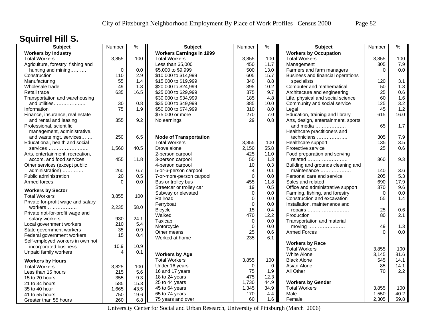# **Squirrel Hill S.**

| <b>Subject</b>                     | Number   | $\frac{9}{6}$ | <b>Subject</b>                  | Number         | $\frac{9}{6}$   | <b>Subject</b>                      | Number         | %           |
|------------------------------------|----------|---------------|---------------------------------|----------------|-----------------|-------------------------------------|----------------|-------------|
| <b>Workers by Industry</b>         |          |               | <b>Workers Earnings in 1999</b> |                |                 | <b>Workers by Occupation</b>        |                |             |
| <b>Total Workers</b>               | 3,855    | 100           | <b>Total Workers</b>            | 3,855          | 100             | <b>Total Workers</b>                | 3,855          | 100         |
| Agriculture, forestry, fishing and |          |               | Less than \$5,000               | 450            | $11.7$          | Management                          | 305            | 7.9         |
| hunting and mining                 | $\Omega$ | 0.0           | \$5,000 to \$9,999              | 500            | 13.0            | Farmers and farm managers           | $\Omega$       | 0.0         |
| Construction                       | 110      | 2.9           | \$10,000 to \$14,999            | 605            | 15.7            | Business and financial operations   |                |             |
| Manufacturing                      | 55       | 1.4           | \$15,000 to \$19,999            | 340            | 8.8             | specialists                         | 120            | 3.1         |
| Wholesale trade                    | 49       | 1.3           | \$20,000 to \$24,999            | 395            | 10.2            | Computer and mathematical           | 50             | 1.3         |
| Retail trade                       | 635      | 16.5          | \$25,000 to \$29,999            | 375            | 9.7             | Architecture and engineering        | 25             | 0.6         |
| Transportation and warehousing     |          |               | \$30,000 to \$34,999            | 185            | 4.8             | Life, physical and social science   | 60             | 1.6         |
| and utilities                      | 30       | 0.8           | \$35,000 to \$49,999            | 385            | 10.0            | Community and social service        | 125            | 3.2         |
| Information                        | 75       | 1.9           | \$50,000 to \$74,999            | 310            | 8.0             | Legal                               | 45             | $1.2$       |
| Finance, insurance, real estate    |          |               | \$75,000 or more                | 270            | 7.0             | Education, training and library     | 615            | 16.0        |
| and rental and leasing             | 355      | 9.2           | No earnings                     | 29             | 0.8             | Arts, design, entertainment, sports |                |             |
| Professional, scientific,          |          |               |                                 |                |                 | and media                           | 65             | 1.7         |
| management, administrative,        |          |               |                                 |                |                 | Healthcare practitioners and        |                |             |
| and waste mgt. services            | 250      | 6.5           | <b>Mode of Transportation</b>   |                |                 | technicians                         | 305            | 7.9         |
| Educational, health and social     |          |               | <b>Total Workers</b>            | 3,855          | 100             | Healthcare support                  | 135            | 3.5         |
| services                           | 1,560    | 40.5          | Drove alone                     | 2,150          | 55.8            | Protective service                  | 25             | 0.6         |
| Arts, entertainment, recreation,   |          |               | 2-person carpool                | 425            | 11.0            | Food preparation and serving        |                |             |
| accom. and food services           | 455      | 11.8          | 3-person carpool                | 50             | 1.3             | related                             | 360            | 9.3         |
| Other services (except public      |          |               | 4-person carpool                | 10             | 0.3             | Building and grounds cleaning and   |                |             |
| administration)                    | 260      | 6.7           | 5-or-6-person carpool           | 4              | 0.1             | maintenance                         | 140            | 3.6         |
| Public administration              | 20       | 0.5           | 7-or-more-person carpool        | $\Omega$       | 0.0             | Personal care and service           | 205            | 5.3         |
| Armed forces                       | $\Omega$ | 0.0           | Bus or trolley bus              | 455            | 11.8            | Sales and related                   | 690            | 17.9        |
|                                    |          |               | Streetcar or trolley car        | 19             | 0.5             | Office and administrative support   | 370            | 9.6         |
| <b>Workers by Sector</b>           |          |               | Subway or elevated              | 0              | 0.0             | Farming, fishing, and forestry      | $\Omega$       | 0.0         |
| <b>Total Workers</b>               | 3,855    | 100           | Railroad                        | $\mathbf 0$    | $0.0\,$         | Construction and excavation         | 55             | 1.4         |
| Private for-profit wage and salary |          |               | Ferryboat                       | $\mathbf 0$    | 0.0             | Installation, maintenance and       |                |             |
| workers                            | 2,235    | 58.0          | <b>Bicycle</b>                  | 15             | 0.4             | repairs                             | 25             | 0.6         |
| Private not-for-profit wage and    |          |               | Walked                          | 470            | 12.2            | Production                          | 80             | 2.1         |
| salary workers                     | 930      | 24.1          | Taxicab                         | 0              | 0.0             | Transportation and material         |                |             |
| Local government workers           | 210      | 5.4           | Motorcycle                      | $\mathbf 0$    | 0.0             | moving                              | 49             | 1.3         |
| State government workers           | 35       | 0.9           | Other means                     | 25             | 0.6             | <b>Armed Forces</b>                 | $\Omega$       | 0.0         |
| Federal government workers         | 15       | 0.4           | Worked at home                  | 235            | 6.1             |                                     |                |             |
| Self-employed workers in own not   |          |               |                                 |                |                 | <b>Workers by Race</b>              |                |             |
| incorporated business              | 10.9     | 10.9          |                                 |                |                 | <b>Total Workers</b>                |                | 100         |
| Unpaid family workers              | 4        | 0.1           | <b>Workers by Age</b>           |                |                 | <b>White Alone</b>                  | 3,855<br>3.145 | 81.6        |
|                                    |          |               | <b>Total Workers</b>            | 3,855          | 100             |                                     | 545            | 14.1        |
| <b>Workers by Hours</b>            |          |               |                                 |                |                 | <b>Black Alone</b>                  |                |             |
| <b>Total Workers</b>               | 3,825    | 100           | Under 16 years                  | $\Omega$<br>75 | $\Omega$<br>1.9 | Asian Alone<br>All Other            | 85<br>70       | 14.1<br>2.2 |
| Less than 15 hours                 | 215      | 5.6           | 16 and 17 years                 | 475            |                 |                                     |                |             |
| 15 to 20 hours                     | 355      | 9.3           | 18 to 24 years                  |                | 12.3            |                                     |                |             |
| 21 to 34 hours                     | 585      | 15.3          | 25 to 44 years                  | 1,730          | 44.9            | <b>Workers by Gender</b>            |                |             |
| 35 to 40 hour                      | 1,665    | 43.5          | 45 to 64 years                  | 1,345          | 34.9            | <b>Total Workers</b>                | 3,855          | 100         |
| 41 to 55 hours                     | 750      | 19.6          | 65 to 74 years                  | 170            | 4.4             | Male                                | 1,550          | 40.2        |
| Greater than 55 hours              | 260      | 6.8           | 75 years and over               | 60             | 1.6             | Female                              | 2,305          | 59.8        |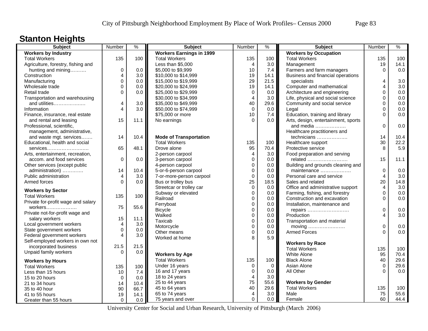## **Stanton Heights**

| <b>Subject</b>                     | Number                  | $\frac{0}{0}$ | <b>Subject</b>                  | Number                  | $\frac{1}{2}$ | <b>Subject</b>                               | Number           | $\frac{9}{6}$ |
|------------------------------------|-------------------------|---------------|---------------------------------|-------------------------|---------------|----------------------------------------------|------------------|---------------|
| <b>Workers by Industry</b>         |                         |               | <b>Workers Earnings in 1999</b> |                         |               | <b>Workers by Occupation</b>                 |                  |               |
| <b>Total Workers</b>               | 135                     | 100           | <b>Total Workers</b>            | 135                     | 100           | <b>Total Workers</b>                         | 135              | 100           |
| Agriculture, forestry, fishing and |                         |               | Less than \$5,000               | $\overline{4}$          | 3.0           | Management                                   | 19               | 14.1          |
| hunting and mining                 | 0                       | 0.0           | \$5,000 to \$9,999              | 10                      | 7.4           | Farmers and farm managers                    | $\mathbf 0$      | 0.0           |
| Construction                       | 4                       | 3.0           | \$10,000 to \$14,999            | 19                      | 14.1          | Business and financial operations            |                  |               |
| Manufacturing                      | $\Omega$                | 0.0           | \$15,000 to \$19,999            | 29                      | 21.5          | specialists                                  | 4                | 3.0           |
| Wholesale trade                    | 0                       | 0.0           | \$20,000 to \$24,999            | 19                      | 14.1          | Computer and mathematical                    | $\overline{4}$   | 3.0           |
| Retail trade                       | $\Omega$                | 0.0           | \$25,000 to \$29,999            | $\mathbf 0$             | 0.0           | Architecture and engineering                 | $\mathbf 0$      | 0.0           |
| Transportation and warehousing     |                         |               | \$30,000 to \$34,999            | $\overline{4}$          | 3.0           | Life, physical and social science            | 0                | 0.0           |
| and utilities                      | 4                       | 3.0           | \$35,000 to \$49,999            | 40                      | 29.6          | Community and social service                 | $\Omega$         | 0.0           |
| Information                        | 4                       | 3.0           | \$50,000 to \$74,999            | $\mathbf 0$             | 0.0           | Legal                                        | $\mathbf 0$      | 0.0           |
| Finance, insurance, real estate    |                         |               | \$75,000 or more                | 10                      | 7.4           | Education, training and library              | $\Omega$         | 0.0           |
| and rental and leasing             | 15                      | 11.1          | No earnings                     | $\Omega$                | 0.0           | Arts, design, entertainment, sports          |                  |               |
| Professional, scientific,          |                         |               |                                 |                         |               | and media                                    | $\mathbf 0$      | 0.0           |
| management, administrative,        |                         |               |                                 |                         |               | Healthcare practitioners and                 |                  |               |
| and waste mgt. services            | 14                      | 10.4          | <b>Mode of Transportation</b>   |                         |               | technicians                                  | 14               | 10.4          |
| Educational, health and social     |                         |               | <b>Total Workers</b>            | 135                     | 100           | Healthcare support                           | 30               | 22.2          |
|                                    | 65                      | 48.1          | Drove alone                     | 95                      | 70.4          | Protective service                           | 8                | 5.9           |
| services                           |                         |               |                                 | $\overline{4}$          | 3.0           |                                              |                  |               |
| Arts, entertainment, recreation,   | $\Omega$                | 0.0           | 2-person carpool                | $\mathbf 0$             | 0.0           | Food preparation and serving                 | 15               | 11.1          |
| accom. and food services           |                         |               | 3-person carpool                |                         |               | related                                      |                  |               |
| Other services (except public      |                         |               | 4-person carpool                | $\mathbf 0$             | 0.0           | Building and grounds cleaning and            |                  |               |
| administration)                    | 14                      | 10.4          | 5-or-6-person carpool           | $\mathbf 0$             | 0.0           | maintenance                                  | $\boldsymbol{0}$ | 0.0           |
| Public administration              | $\overline{\mathbf{4}}$ | 3.0           | 7-or-more-person carpool        | $\pmb{0}$               | 0.0           | Personal care and service                    | 4                | 3.0           |
| Armed forces                       | $\Omega$                | 0.0           | Bus or trolley bus              | 25                      | 18.5          | Sales and related                            | 20               | 14.8          |
| <b>Workers by Sector</b>           |                         |               | Streetcar or trolley car        | $\mathbf 0$             | $0.0\,$       | Office and administrative support            | $\overline{4}$   | 3.0           |
| <b>Total Workers</b>               | 135                     | 100           | Subway or elevated              | $\mathbf 0$             | 0.0           | Farming, fishing, and forestry               | $\mathbf 0$      | 0.0           |
| Private for-profit wage and salary |                         |               | Railroad                        | $\mathbf 0$             | 0.0           | Construction and excavation                  | $\Omega$         | 0.0           |
| workers                            | 75                      | 55.6          | Ferryboat                       | $\mathbf 0$             | 0.0           | Installation, maintenance and                |                  |               |
| Private not-for-profit wage and    |                         |               | <b>Bicycle</b>                  | $\mathbf 0$             | 0.0           | repairs                                      | $\mathbf 0$      | 0.0           |
| salary workers                     | 15                      | 11.1          | Walked                          | $\mathbf 0$             | 0.0           | Production                                   | 4                | 3.0           |
| Local government workers           | 4                       | 3.0           | Taxicab                         | $\pmb{0}$               | 0.0           | Transportation and material                  |                  |               |
| State government workers           | $\Omega$                | 0.0           | Motorcycle                      | $\mathbf 0$             | 0.0           | moving $\dots\dots\dots\dots\dots\dots\dots$ | $\mathbf 0$      | 0.0           |
| Federal government workers         | 4                       | 3.0           | Other means                     | $\mathbf 0$             | 0.0           | <b>Armed Forces</b>                          | $\Omega$         | 0.0           |
| Self-employed workers in own not   |                         |               | Worked at home                  | 8                       | 5.9           |                                              |                  |               |
| incorporated business              | 21.5                    | 21.5          |                                 |                         |               | <b>Workers by Race</b>                       |                  |               |
|                                    | $\Omega$                |               |                                 |                         |               | <b>Total Workers</b>                         | 135              | 100           |
| Unpaid family workers              |                         | 0.0           | <b>Workers by Age</b>           |                         |               | <b>White Alone</b>                           | 95               | 70.4          |
| <b>Workers by Hours</b>            |                         |               | <b>Total Workers</b>            | 135                     | 100           | <b>Black Alone</b>                           | 40               | 29.6          |
| <b>Total Workers</b>               | 135                     | 100           | Under 16 years                  | $\mathbf 0$             | $\mathbf 0$   | Asian Alone                                  | $\mathbf 0$      | 29.6          |
| Less than 15 hours                 | 10                      | 7.4           | 16 and 17 years                 | $\mathbf 0$             | 0.0           | All Other                                    | $\Omega$         | 0.0           |
| 15 to 20 hours                     | 0                       | 0.0           | 18 to 24 years                  | $\overline{\mathbf{4}}$ | 3.0           |                                              |                  |               |
| 21 to 34 hours                     | 14                      | 10.4          | 25 to 44 years                  | 75                      | 55.6          | <b>Workers by Gender</b>                     |                  |               |
| 35 to 40 hour                      | 90                      | 66.7          | 45 to 64 years                  | 40                      | 29.6          | <b>Total Workers</b>                         | 135              | 100           |
| 41 to 55 hours                     | 19                      | 14.1          | 65 to 74 years                  | $\overline{4}$          | 3.0           | Male                                         | 75               | 55.6          |
| Greater than 55 hours              | $\mathbf 0$             | 0.0           | 75 years and over               | $\mathbf 0$             | 0.0           | Female                                       | 60               | 44.4          |
|                                    |                         |               |                                 |                         |               |                                              |                  |               |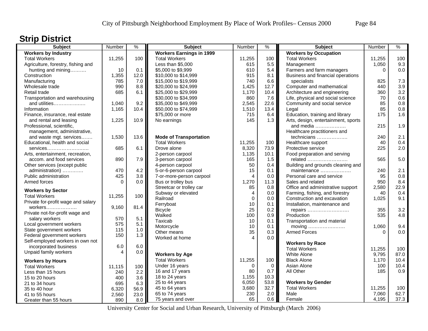## **Strip District**

| <b>Subject</b>                     | Number   | $\frac{9}{6}$ | <b>Subject</b>                  | Number                  | $\frac{9}{6}$ | Subject                             | Number            | $\%$       |
|------------------------------------|----------|---------------|---------------------------------|-------------------------|---------------|-------------------------------------|-------------------|------------|
| <b>Workers by Industry</b>         |          |               | <b>Workers Earnings in 1999</b> |                         |               | <b>Workers by Occupation</b>        |                   |            |
| <b>Total Workers</b>               | 11,255   | 100           | <b>Total Workers</b>            | 11,255                  | 100           | <b>Total Workers</b>                | 11,255            | 100        |
| Agriculture, forestry, fishing and |          |               | Less than \$5,000               | 615                     | 5.5           | Management                          | 1,050             | 9.3        |
| hunting and mining                 | 10       | 0.1           | \$5,000 to \$9,999              | 610                     | 5.4           | Farmers and farm managers           | $\Omega$          | 0.0        |
| Construction                       | 1,355    | 12.0          | \$10,000 to \$14,999            | 915                     | 8.1           | Business and financial operations   |                   |            |
| Manufacturing                      | 785      | 7.0           | \$15,000 to \$19,999            | 740                     | 6.6           | specialists                         | 825               | 7.3        |
| Wholesale trade                    | 990      | 8.8           | \$20,000 to \$24,999            | 1,425                   | 12.7          | Computer and mathematical           | 440               | 3.9        |
| Retail trade                       | 685      | 6.1           | \$25,000 to \$29,999            | 1,170                   | 10.4          | Architecture and engineering        | 360               | 3.2        |
| Transportation and warehousing     |          |               | \$30,000 to \$34,999            | 860                     | 7.6           | Life, physical and social science   | 70                | 0.6        |
| and utilities                      | 1,040    | 9.2           | \$35,000 to \$49,999            | 2,545                   | 22.6          | Community and social service        | 85                | 0.8        |
| Information                        | 1,165    | 10.4          | \$50,000 to \$74,999            | 1,510                   | 13.4          | Legal                               | 85                | $0.8\,$    |
| Finance, insurance, real estate    |          |               | \$75,000 or more                | 715                     | 6.4           | Education, training and library     | 175               | 1.6        |
| and rental and leasing             | 1,225    | 10.9          | No earnings                     | 145                     | 1.3           | Arts, design, entertainment, sports |                   |            |
| Professional, scientific,          |          |               |                                 |                         |               | and media                           | 215               | 1.9        |
| management, administrative,        |          |               |                                 |                         |               | Healthcare practitioners and        |                   |            |
| and waste mgt. services            | 1,530    | 13.6          | <b>Mode of Transportation</b>   |                         |               | technicians                         | 240               | 2.1        |
| Educational, health and social     |          |               | <b>Total Workers</b>            | 11,255                  | 100           | Healthcare support                  | 40                | 0.4        |
| services                           | 685      | 6.1           | Drove alone                     | 8,320                   | 73.9          | Protective service                  | 225               | 2.0        |
| Arts, entertainment, recreation,   |          |               | 2-person carpool                | 1,135                   | 10.1          | Food preparation and serving        |                   |            |
| accom. and food services           | 890      | 7.9           | 3-person carpool                | 165                     | 1.5           | related                             | 565               | 5.0        |
| Other services (except public      |          |               | 4-person carpool                | 50                      | 0.4           | Building and grounds cleaning and   |                   |            |
| administration)                    | 470      | 4.2           | 5-or-6-person carpool           | 15                      | 0.1           | maintenance                         | 240               | 2.1        |
| Public administration              | 425      | 3.8           | 7-or-more-person carpool        | $\overline{\mathbf{4}}$ | 0.0           | Personal care and service           | 95                | 0.8        |
| Armed forces                       | $\Omega$ | 0.0           | Bus or trolley bus              | 1,270                   | 11.3          | Sales and related                   | 950               | 8.4        |
|                                    |          |               | Streetcar or trolley car        | 85                      | 0.8           | Office and administrative support   | 2,580             | 22.9       |
| <b>Workers by Sector</b>           |          |               | Subway or elevated              | $\overline{4}$          | 0.0           | Farming, fishing, and forestry      | 40                | 0.4        |
| <b>Total Workers</b>               | 11,255   | 100           | Railroad                        | $\mathbf 0$             | 0.0           | Construction and excavation         | 1,025             | 9.1        |
| Private for-profit wage and salary |          |               | Ferryboat                       | 10                      | 0.1           | Installation, maintenance and       |                   |            |
| workers                            | 9,160    | 81.4          |                                 | 25                      | 0.2           |                                     | 355               | 3.2        |
| Private not-for-profit wage and    |          |               | <b>Bicycle</b><br>Walked        | 100                     | 0.9           | repairs<br>Production               | 535               | 4.8        |
| salary workers                     | 570      | 5.1           |                                 |                         |               |                                     |                   |            |
| Local government workers           | 575      | 5.1           | Taxicab<br>Motorcycle           | 10                      | 0.1<br>0.1    | Transportation and material         |                   |            |
| State government workers           | 115      | 1.0           |                                 | 10<br>35                |               |                                     | 1,060<br>$\Omega$ | 9.4<br>0.0 |
| Federal government workers         | 150      | 1.3           | Other means                     | $\overline{\mathbf{4}}$ | 0.3           | <b>Armed Forces</b>                 |                   |            |
| Self-employed workers in own not   |          |               | Worked at home                  |                         | 0.0           |                                     |                   |            |
| incorporated business              | 6.0      | 6.0           |                                 |                         |               | <b>Workers by Race</b>              |                   |            |
| Unpaid family workers              | 4        | 0.0           |                                 |                         |               | <b>Total Workers</b>                | 11,255            | 100        |
|                                    |          |               | <b>Workers by Age</b>           |                         |               | White Alone                         | 9,795             | 87.0       |
| <b>Workers by Hours</b>            |          |               | <b>Total Workers</b>            | 11,255                  | 100           | <b>Black Alone</b>                  | 1,170             | 10.4       |
| <b>Total Workers</b>               | 11,115   | 100           | Under 16 years                  | $\Omega$                | 0             | Asian Alone                         | 100               | 10.4       |
| Less than 15 hours                 | 240      | 2.2           | 16 and 17 years                 | 80                      | 0.7           | All Other                           | 185               | 0.9        |
| 15 to 20 hours                     | 400      | 3.6           | 18 to 24 years                  | 1,155                   | 10.3          |                                     |                   |            |
| 21 to 34 hours                     | 695      | 6.3           | 25 to 44 years                  | 6,050                   | 53.8          | <b>Workers by Gender</b>            |                   |            |
| 35 to 40 hour                      | 6,320    | 56.9          | 45 to 64 years                  | 3,680                   | 32.7          | <b>Total Workers</b>                | 11,255            | 100        |
| 41 to 55 hours                     | 2,560    | 23.0          | 65 to 74 years                  | 230                     | 2.0           | Male                                | 7,060             | 62.7       |
| Greater than 55 hours              | 890      | 8.0           | 75 years and over               | 65                      | 0.6           | Female                              | 4,195             | 37.3       |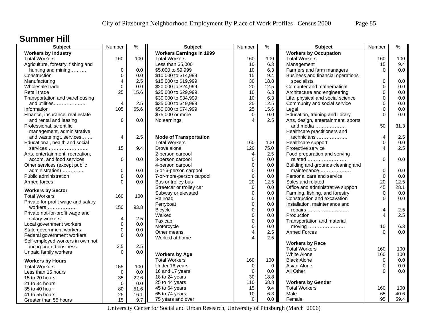### **Summer Hill**

| <b>Subject</b>                                  | Number         | $\%$        | <b>Subject</b>                  | Number         | ℅              | <b>Subject</b>                      | Number         | %    |
|-------------------------------------------------|----------------|-------------|---------------------------------|----------------|----------------|-------------------------------------|----------------|------|
| <b>Workers by Industry</b>                      |                |             | <b>Workers Earnings in 1999</b> |                |                | <b>Workers by Occupation</b>        |                |      |
| <b>Total Workers</b>                            | 160            | 100         | <b>Total Workers</b>            | 160            | 100            | <b>Total Workers</b>                | 160            | 100  |
| Agriculture, forestry, fishing and              |                |             | Less than \$5,000               | 10             | 6.3            | Management                          | 15             | 9.4  |
| hunting and mining                              | $\mathbf 0$    | 0.0         | \$5,000 to \$9,999              | 10             | 6.3            | Farmers and farm managers           | $\Omega$       | 0.0  |
| Construction                                    | $\mathbf 0$    | 0.0         | \$10,000 to \$14,999            | 15             | 9.4            | Business and financial operations   |                |      |
| Manufacturing                                   | $\overline{4}$ | 2.5         | \$15,000 to \$19,999            | 30             | 18.8           | specialists                         | 0              | 0.0  |
| Wholesale trade                                 | $\mathbf 0$    | 0.0         | \$20,000 to \$24,999            | 20             | 12.5           | Computer and mathematical           | $\Omega$       | 0.0  |
| Retail trade                                    | 25             | 15.6        | \$25,000 to \$29,999            | 10             | 6.3            | Architecture and engineering        | 0              | 0.0  |
| Transportation and warehousing                  |                |             | \$30,000 to \$34,999            | 10             | 6.3            | Life, physical and social science   | 0              | 0.0  |
| and utilities                                   | 4              | 2.5         | \$35,000 to \$49,999            | 20             | 12.5           | Community and social service        | 0              | 0.0  |
| Information                                     | 105            | 65.6        | \$50,000 to \$74,999            | 25             | 15.6           | Legal                               | $\Omega$       | 0.0  |
| Finance, insurance, real estate                 |                |             | \$75,000 or more                | $\Omega$       | 0.0            | Education, training and library     | $\Omega$       | 0.0  |
| and rental and leasing                          | $\Omega$       | 0.0         | No earnings                     | $\Delta$       | 2.5            | Arts, design, entertainment, sports |                |      |
| Professional, scientific,                       |                |             |                                 |                |                | and media                           | 50             | 31.3 |
| management, administrative,                     |                |             |                                 |                |                | Healthcare practitioners and        |                |      |
| and waste mgt. services                         | 4              | 2.5         | <b>Mode of Transportation</b>   |                |                | technicians                         | $\overline{4}$ | 2.5  |
| Educational, health and social                  |                |             | <b>Total Workers</b>            | 160            | 100            | Healthcare support                  | $\Omega$       | 0.0  |
| services                                        | 15             | 9.4         | Drove alone                     | 120            | 75.0           | Protective service                  | 4              | 2.5  |
| Arts, entertainment, recreation,                |                |             | 2-person carpool                | 4              | 2.5            | Food preparation and serving        |                |      |
| accom. and food services                        | $\mathbf 0$    | 0.0         | 3-person carpool                | $\mathbf 0$    | 0.0            | related                             | $\Omega$       | 0.0  |
| Other services (except public                   |                |             | 4-person carpool                | $\mathbf 0$    | 0.0            | Building and grounds cleaning and   |                |      |
| administration)                                 | $\mathbf 0$    | 0.0         | 5-or-6-person carpool           | $\mathbf 0$    | 0.0            | maintenance                         | 0              | 0.0  |
| Public administration                           | $\mathbf 0$    | 0.0         | 7-or-more-person carpool        | $\mathbf 0$    | 0.0            | Personal care and service           | $\Omega$       | 0.0  |
| Armed forces                                    | $\Omega$       | 0.0         | Bus or trolley bus              | 20             | 12.5           | Sales and related                   | 20             | 12.5 |
|                                                 |                |             | Streetcar or trolley car        | $\mathbf 0$    | 0.0            | Office and administrative support   | 45             | 28.1 |
| <b>Workers by Sector</b>                        |                |             | Subway or elevated              | $\mathbf 0$    | 0.0            | Farming, fishing, and forestry      | $\Omega$       | 0.0  |
| <b>Total Workers</b>                            | 160            | 100         | Railroad                        | $\Omega$       | 0.0            | Construction and excavation         | $\Omega$       | 0.0  |
| Private for-profit wage and salary              |                |             | Ferryboat                       | $\pmb{0}$      | 0.0            | Installation, maintenance and       |                |      |
| workers                                         | 150            | 93.8        | <b>Bicycle</b>                  | 0              | 0.0            | repairs                             | $\overline{4}$ | 2.5  |
| Private not-for-profit wage and                 |                |             | Walked                          | $\mathbf 0$    | 0.0            | Production                          | $\overline{4}$ | 2.5  |
| salary workers                                  | 4              | 2.5         | Taxicab                         | $\pmb{0}$      | 0.0            | Transportation and material         |                |      |
| Local government workers                        | $\mathbf 0$    | 0.0         | Motorcycle                      | $\overline{0}$ | 0.0            | moving                              | 10             | 6.3  |
| State government workers                        | $\mathbf 0$    | 0.0         | Other means                     | 4              | 2.5            | <b>Armed Forces</b>                 | $\Omega$       | 0.0  |
| Federal government workers                      | $\Omega$       | 0.0         | Worked at home                  | Δ              | 2.5            |                                     |                |      |
| Self-employed workers in own not                |                |             |                                 |                |                | <b>Workers by Race</b>              |                |      |
| incorporated business                           | 2.5            | 2.5         |                                 |                |                | <b>Total Workers</b>                | 160            | 100  |
| Unpaid family workers                           | $\Omega$       | 0.0         | <b>Workers by Age</b>           |                |                | White Alone                         | 160            | 100  |
|                                                 |                |             | <b>Total Workers</b>            | 160            | 100            | <b>Black Alone</b>                  | $\mathbf 0$    | 0.0  |
| <b>Workers by Hours</b><br><b>Total Workers</b> |                | 100         | Under 16 years                  | $\mathbf 0$    | $\overline{0}$ | Asian Alone                         | 0              | 0.0  |
|                                                 | 155            |             | 16 and 17 years                 | $\mathbf 0$    | 0.0            | All Other                           | $\Omega$       | 0.0  |
| Less than 15 hours                              | $\mathbf 0$    | 0.0         | 18 to 24 years                  | 30             | 18.8           |                                     |                |      |
| 15 to 20 hours                                  | 35             | 22.6<br>0.0 | 25 to 44 years                  | 110            | 68.8           | <b>Workers by Gender</b>            |                |      |
| 21 to 34 hours                                  | $\mathbf 0$    |             | 45 to 64 years                  | 15             | 9.4            | <b>Total Workers</b>                | 160            | 100  |
| 35 to 40 hour                                   | 80             | 51.6        | 65 to 74 years                  | 10             | 6.3            | Male                                | 65             | 40.6 |
| 41 to 55 hours                                  | 25             | 16.1        | 75 years and over               | $\Omega$       | 0.0            | Female                              | 95             | 59.4 |
| Greater than 55 hours                           | 15             | 9.7         |                                 |                |                |                                     |                |      |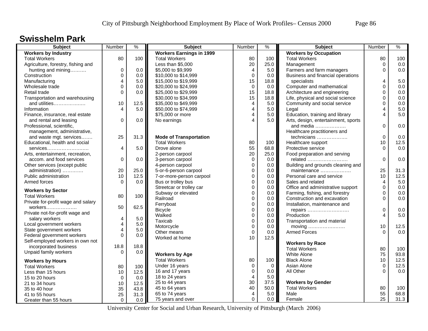#### **Swisshelm Park**

| <b>Subject</b>                     | Number         | $\frac{9}{6}$ | <b>Subject</b>                  | Number            | $\%$        | <b>Subject</b>                      | Number         | $\frac{9}{6}$ |
|------------------------------------|----------------|---------------|---------------------------------|-------------------|-------------|-------------------------------------|----------------|---------------|
| <b>Workers by Industry</b>         |                |               | <b>Workers Earnings in 1999</b> |                   |             | <b>Workers by Occupation</b>        |                |               |
| <b>Total Workers</b>               | 80             | 100           | <b>Total Workers</b>            | 80                | 100         | <b>Total Workers</b>                | 80             | 100           |
| Agriculture, forestry, fishing and |                |               | Less than \$5,000               | 20                | 25.0        | Management                          | $\mathbf 0$    | 0.0           |
| hunting and mining                 | $\mathbf 0$    | 0.0           | \$5,000 to \$9,999              | $\overline{4}$    | 5.0         | Farmers and farm managers           | $\Omega$       | 0.0           |
| Construction                       | $\Omega$       | 0.0           | \$10,000 to \$14,999            | $\Omega$          | 0.0         | Business and financial operations   |                |               |
| Manufacturing                      | 4              | 5.0           | \$15,000 to \$19,999            | 15                | 18.8        | specialists                         | 4              | 5.0           |
| Wholesale trade                    | $\Omega$       | 0.0           | \$20,000 to \$24,999            | $\mathbf 0$       | 0.0         | Computer and mathematical           | $\Omega$       | 0.0           |
| Retail trade                       | $\Omega$       | 0.0           | \$25,000 to \$29,999            | 15                | 18.8        | Architecture and engineering        | 0              | 0.0           |
| Transportation and warehousing     |                |               | \$30,000 to \$34,999            | 15                | 18.8        | Life, physical and social science   | $\Omega$       | 0.0           |
| and utilities                      | 10             | 12.5          | \$35,000 to \$49,999            | $\overline{4}$    | 5.0         | Community and social service        | $\Omega$       | 0.0           |
| Information                        | 4              | 5.0           | \$50,000 to \$74,999            | $\overline{4}$    | 5.0         | Legal                               | 4              | 5.0           |
| Finance, insurance, real estate    |                |               | \$75,000 or more                | $\overline{4}$    | 5.0         | Education, training and library     | $\overline{4}$ | 5.0           |
| and rental and leasing             | $\Omega$       | 0.0           | No earnings                     | $\Delta$          | 5.0         | Arts, design, entertainment, sports |                |               |
| Professional, scientific,          |                |               |                                 |                   |             | and media                           | $\Omega$       | 0.0           |
| management, administrative,        |                |               |                                 |                   |             | Healthcare practitioners and        |                |               |
| and waste mgt. services            | 25             | 31.3          | <b>Mode of Transportation</b>   |                   |             | technicians                         | $\mathbf 0$    | 0.0           |
| Educational, health and social     |                |               | <b>Total Workers</b>            | 80                | 100         | Healthcare support                  | 10             | 12.5          |
| services                           | 4              | 5.0           | Drove alone                     | 55                | 68.8        | Protective service                  | $\Omega$       | 0.0           |
| Arts, entertainment, recreation,   |                |               | 2-person carpool                | 20                | 25.0        | Food preparation and serving        |                |               |
| accom. and food services           | $\mathbf 0$    | 0.0           | 3-person carpool                | 0                 | 0.0         | related                             | 0              | 0.0           |
| Other services (except public      |                |               | 4-person carpool                | $\mathbf 0$       | 0.0         | Building and grounds cleaning and   |                |               |
| administration)                    | 20             | 25.0          | 5-or-6-person carpool           | $\mathbf 0$       | 0.0         | maintenance                         | 25             | 31.3          |
| Public administration              | 10             | 12.5          | 7-or-more-person carpool        | $\mathbf 0$       | 0.0         | Personal care and service           | 10             | 12.5          |
| Armed forces                       | $\Omega$       | 0.0           | Bus or trolley bus              | $\mathbf{0}$      | 0.0         | Sales and related                   | $\overline{4}$ | 5.0           |
|                                    |                |               | Streetcar or trolley car        | $\mathbf{0}$      | 0.0         | Office and administrative support   | $\Omega$       | 0.0           |
| <b>Workers by Sector</b>           |                |               | Subway or elevated              | $\mathbf 0$       | 0.0         | Farming, fishing, and forestry      | 0              | 0.0           |
| <b>Total Workers</b>               | 80             | 100           | Railroad                        | $\mathbf 0$       | 0.0         | Construction and excavation         | $\Omega$       | 0.0           |
| Private for-profit wage and salary |                |               | Ferryboat                       | $\mathbf 0$       | 0.0         | Installation, maintenance and       |                |               |
| workers                            | 50             | 62.5          |                                 | $\mathbf 0$       | 0.0         |                                     | 0              | 0.0           |
| Private not-for-profit wage and    |                |               | <b>Bicycle</b>                  | $\Omega$          |             | repairs                             | 4              | 5.0           |
| salary workers                     | 4              | 5.0           | Walked                          |                   | 0.0         | Production                          |                |               |
| Local government workers           | $\overline{4}$ | 5.0           | Taxicab                         | $\mathbf 0$       | 0.0         | Transportation and material         |                |               |
| State government workers           | 4              | 5.0           | Motorcycle                      | $\mathbf 0$       | 0.0         | moving                              | 10             | 12.5<br>0.0   |
| Federal government workers         | $\Omega$       | 0.0           | Other means                     | $\mathbf 0$<br>10 | 0.0         | <b>Armed Forces</b>                 | $\Omega$       |               |
| Self-employed workers in own not   |                |               | Worked at home                  |                   | 12.5        |                                     |                |               |
| incorporated business              | 18.8           | 18.8          |                                 |                   |             | <b>Workers by Race</b>              |                |               |
| Unpaid family workers              | $\Omega$       | 0.0           |                                 |                   |             | <b>Total Workers</b>                | 80             | 100           |
|                                    |                |               | <b>Workers by Age</b>           |                   |             | White Alone                         | 75             | 93.8          |
| <b>Workers by Hours</b>            |                |               | <b>Total Workers</b>            | 80                | 100         | <b>Black Alone</b>                  | 10             | 12.5          |
| <b>Total Workers</b>               | 80             | 100           | Under 16 years                  | $\mathbf 0$       | $\mathbf 0$ | Asian Alone                         | $\mathbf 0$    | 12.5          |
| Less than 15 hours                 | 10             | 12.5          | 16 and 17 years                 | $\mathbf 0$       | 0.0         | All Other                           | $\Omega$       | 0.0           |
| 15 to 20 hours                     | $\mathbf 0$    | 0.0           | 18 to 24 years                  | $\overline{4}$    | 5.0         |                                     |                |               |
| 21 to 34 hours                     | 10             | 12.5          | 25 to 44 years                  | 30                | 37.5        | <b>Workers by Gender</b>            |                |               |
| 35 to 40 hour                      | 35             | 43.8          | 45 to 64 years                  | 40                | 50.0        | <b>Total Workers</b>                | 80             | 100           |
| 41 to 55 hours                     | 25             | 31.3          | 65 to 74 years                  | $\overline{4}$    | 5.0         | Male                                | 55             | 68.8          |
| Greater than 55 hours              | $\mathbf 0$    | 0.0           | 75 years and over               | $\Omega$          | 0.0         | Female                              | 25             | 31.3          |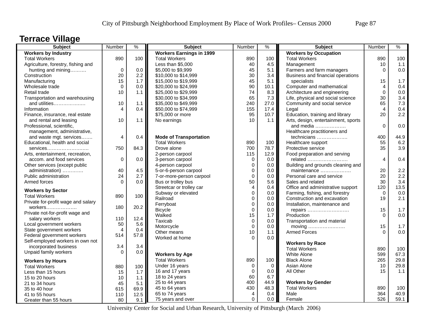### **Terrace Village**

| <b>Subject</b>                     | Number         | $\frac{1}{2}$ | <b>Subject</b>                  | Number                     | $\%$        | Subject                             | Number         | $\%$ |
|------------------------------------|----------------|---------------|---------------------------------|----------------------------|-------------|-------------------------------------|----------------|------|
| <b>Workers by Industry</b>         |                |               | <b>Workers Earnings in 1999</b> |                            |             | <b>Workers by Occupation</b>        |                |      |
| <b>Total Workers</b>               | 890            | 100           | <b>Total Workers</b>            | 890                        | 100         | <b>Total Workers</b>                | 890            | 100  |
| Agriculture, forestry, fishing and |                |               | Less than \$5,000               | 40                         | 4.5         | Management                          | 10             | 1.1  |
| hunting and mining                 | $\pmb{0}$      | 0.0           | \$5,000 to \$9,999              | 45                         | 5.1         | Farmers and farm managers           | $\Omega$       | 0.0  |
| Construction                       | 20             | 2.2           | \$10,000 to \$14,999            | 30                         | 3.4         | Business and financial operations   |                |      |
| Manufacturing                      | 15             | 1.7           | \$15,000 to \$19,999            | 45                         | 5.1         | specialists                         | 15             | 1.7  |
| Wholesale trade                    | $\Omega$       | 0.0           | \$20,000 to \$24,999            | 90                         | 10.1        | Computer and mathematical           | 4              | 0.4  |
| Retail trade                       | 10             | 1.1           | \$25,000 to \$29,999            | 74                         | 8.3         | Architecture and engineering        | $\Omega$       | 0.0  |
| Transportation and warehousing     |                |               | \$30,000 to \$34,999            | 65                         | 7.3         | Life, physical and social science   | 30             | 3.4  |
| and utilities                      | 10             | 1.1           | \$35,000 to \$49,999            | 240                        | 27.0        | Community and social service        | 65             | 7.3  |
| Information                        | 4              | 0.4           | \$50,000 to \$74,999            | 155                        | 17.4        | Legal                               | $\overline{4}$ | 0.4  |
| Finance, insurance, real estate    |                |               | \$75,000 or more                | 95                         | 10.7        | Education, training and library     | 20             | 2.2  |
| and rental and leasing             | 10             | 1.1           | No earnings                     | 10                         | 1.1         | Arts, design, entertainment, sports |                |      |
| Professional, scientific,          |                |               |                                 |                            |             | and media                           | $\Omega$       | 0.0  |
| management, administrative,        |                |               |                                 |                            |             | Healthcare practitioners and        |                |      |
| and waste mgt. services            | 4              | 0.4           | <b>Mode of Transportation</b>   |                            |             | technicians                         | 400            | 44.9 |
| Educational, health and social     |                |               | <b>Total Workers</b>            | 890                        | 100         | Healthcare support                  | 55             | 6.2  |
| services                           | 750            | 84.3          | Drove alone                     | 700                        | 78.7        | Protective service                  | 35             | 3.9  |
| Arts, entertainment, recreation,   |                |               | 2-person carpool                | 115                        | 12.9        | Food preparation and serving        |                |      |
| accom. and food services           | 0              | 0.0           | 3-person carpool                | 0                          | 0.0         | related                             | 4              | 0.4  |
| Other services (except public      |                |               | 4-person carpool                | $\mathbf 0$                | 0.0         | Building and grounds cleaning and   |                |      |
| administration)                    | 40             | 4.5           | 5-or-6-person carpool           | $\mathbf 0$                | 0.0         | maintenance                         | 20             | 2.2  |
| Public administration              | 24             | 2.7           | 7-or-more-person carpool        | $\mathbf 0$                | 0.0         | Personal care and service           | 20             | 2.2  |
| Armed forces                       | $\Omega$       | 0.0           | Bus or trolley bus              | 50                         | 5.6         | Sales and related                   | 30             | 3.4  |
|                                    |                |               | Streetcar or trolley car        | $\overline{4}$             | 0.4         | Office and administrative support   | 120            | 13.5 |
| <b>Workers by Sector</b>           |                |               | Subway or elevated              | $\mathbf 0$                | 0.0         | Farming, fishing, and forestry      | $\Omega$       | 0.0  |
| <b>Total Workers</b>               | 890            | 100           | Railroad                        | $\mathbf 0$                | 0.0         | Construction and excavation         | 19             | 2.1  |
| Private for-profit wage and salary |                |               | Ferryboat                       | $\mathbf 0$                | 0.0         | Installation, maintenance and       |                |      |
| workers                            | 180            | 20.2          | <b>Bicycle</b>                  | $\Omega$                   | 0.0         |                                     | 15             | 1.7  |
| Private not-for-profit wage and    |                |               | Walked                          | 15                         | 1.7         | repairs<br>Production               | $\Omega$       | 0.0  |
| salary workers                     | 110            | 12.4          | Taxicab                         |                            | 0.0         |                                     |                |      |
| Local government workers           | 50             | 5.6           | Motorcycle                      | $\mathbf 0$<br>$\mathbf 0$ | 0.0         | Transportation and material         | 15             | 1.7  |
| State government workers           | $\overline{4}$ | 0.4           |                                 | 10                         |             | <b>Armed Forces</b>                 | $\Omega$       | 0.0  |
| Federal government workers         | 514            | 57.8          | Other means                     | $\Omega$                   | 1.1<br>0.0  |                                     |                |      |
| Self-employed workers in own not   |                |               | Worked at home                  |                            |             |                                     |                |      |
| incorporated business              | 3.4            | 3.4           |                                 |                            |             | <b>Workers by Race</b>              |                |      |
| Unpaid family workers              | $\Omega$       | 0.0           |                                 |                            |             | <b>Total Workers</b>                | 890            | 100  |
|                                    |                |               | <b>Workers by Age</b>           |                            |             | White Alone                         | 599            | 67.3 |
| <b>Workers by Hours</b>            |                |               | <b>Total Workers</b>            | 890                        | 100         | <b>Black Alone</b>                  | 265            | 29.8 |
| <b>Total Workers</b>               | 880            | 100           | Under 16 years                  | $\mathbf 0$                | $\mathbf 0$ | Asian Alone                         | 10             | 29.8 |
| Less than 15 hours                 | 15             | 1.7           | 16 and 17 years                 | $\Omega$                   | 0.0         | All Other                           | 15             | 1.1  |
| 15 to 20 hours                     | 10             | 1.1           | 18 to 24 years                  | 60                         | 6.7         |                                     |                |      |
| 21 to 34 hours                     | 45             | 5.1           | 25 to 44 years                  | 400                        | 44.9        | <b>Workers by Gender</b>            |                |      |
| 35 to 40 hour                      | 615            | 69.9          | 45 to 64 years                  | 430                        | 48.3        | <b>Total Workers</b>                | 890            | 100  |
| 41 to 55 hours                     | 110            | 12.5          | 65 to 74 years                  | $\overline{4}$             | 0.4         | Male                                | 364            | 40.9 |
| Greater than 55 hours              | 80             | 9.1           | 75 years and over               | $\Omega$                   | 0.0         | Female                              | 526            | 59.1 |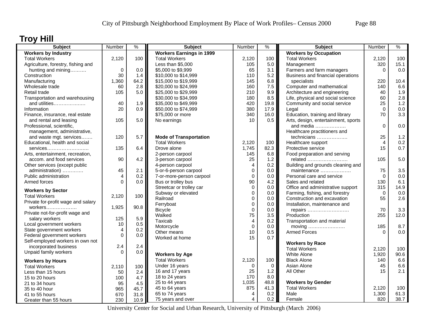# **Troy Hill**

| Subject                            | Number      | $\%$ | <b>Subject</b>                  | Number      | %           | <b>Subject</b>                      | Number         | $\%$  |
|------------------------------------|-------------|------|---------------------------------|-------------|-------------|-------------------------------------|----------------|-------|
| <b>Workers by Industry</b>         |             |      | <b>Workers Earnings in 1999</b> |             |             | <b>Workers by Occupation</b>        |                |       |
| <b>Total Workers</b>               | 2,120       | 100  | <b>Total Workers</b>            | 2,120       | 100         | <b>Total Workers</b>                | 2,120          | 100   |
| Agriculture, forestry, fishing and |             |      | Less than \$5,000               | 105         | 5.0         | Management                          | 320            | 15.1  |
| hunting and mining                 | $\mathbf 0$ | 0.0  | \$5,000 to \$9,999              | 65          | 3.1         | Farmers and farm managers           | $\Omega$       | 0.0   |
| Construction                       | 30          | 1.4  | \$10,000 to \$14,999            | 110         | 5.2         | Business and financial operations   |                |       |
| Manufacturing                      | 1,360       | 64.2 | \$15,000 to \$19,999            | 145         | 6.8         | specialists                         | 220            | 10.4  |
| Wholesale trade                    | 60          | 2.8  | \$20,000 to \$24,999            | 160         | 7.5         | Computer and mathematical           | 140            | 6.6   |
| Retail trade                       | 105         | 5.0  | \$25,000 to \$29,999            | 210         | 9.9         | Architecture and engineering        | 40             | 1.9   |
| Transportation and warehousing     |             |      | \$30,000 to \$34,999            | 180         | 8.5         | Life, physical and social science   | 60             | 2.8   |
| and utilities                      | 40          | 1.9  | \$35,000 to \$49,999            | 420         | 19.8        | Community and social service        | 25             | 1.2   |
| Information                        | 20          | 0.9  | \$50,000 to \$74,999            | 380         | 17.9        | Legal                               | $\Omega$       | 0.0   |
| Finance, insurance, real estate    |             |      | \$75,000 or more                | 340         | 16.0        | Education, training and library     | 70             | 3.3   |
| and rental and leasing             | 105         | 5.0  | No earnings                     | 10          | 0.5         | Arts, design, entertainment, sports |                |       |
| Professional, scientific,          |             |      |                                 |             |             | and media                           | $\Omega$       | 0.0   |
| management, administrative,        |             |      |                                 |             |             | Healthcare practitioners and        |                |       |
| and waste mgt. services            | 120         | 5.7  | <b>Mode of Transportation</b>   |             |             | technicians                         | 25             | $1.2$ |
| Educational, health and social     |             |      | <b>Total Workers</b>            | 2,120       | 100         | Healthcare support                  | $\overline{4}$ | 0.2   |
| services                           | 135         | 6.4  | Drove alone                     | 1,745       | 82.3        | Protective service                  | 15             | 0.7   |
| Arts, entertainment, recreation,   |             |      | 2-person carpool                | 145         | 6.8         | Food preparation and serving        |                |       |
| accom. and food services           | 90          | 4.2  | 3-person carpool                | 25          | 1.2         | related                             | 105            | 5.0   |
| Other services (except public      |             |      | 4-person carpool                | 4           | 0.2         | Building and grounds cleaning and   |                |       |
| administration)                    | 45          | 2.1  | 5-or-6-person carpool           | $\mathbf 0$ | 0.0         | maintenance                         | 75             | 3.5   |
| Public administration              | 4           | 0.2  | 7-or-more-person carpool        | $\mathbf 0$ | 0.0         | Personal care and service           | $\Omega$       | 0.0   |
| Armed forces                       | $\Omega$    | 0.0  | Bus or trolley bus              | 90          | 4.2         | Sales and related                   | 130            | 6.1   |
| <b>Workers by Sector</b>           |             |      | Streetcar or trolley car        | 0           | 0.0         | Office and administrative support   | 315            | 14.9  |
| <b>Total Workers</b>               | 2,120       | 100  | Subway or elevated              | $\Omega$    | 0.0         | Farming, fishing, and forestry      | $\Omega$       | 0.0   |
| Private for-profit wage and salary |             |      | Railroad                        | $\mathbf 0$ | 0.0         | Construction and excavation         | 55             | 2.6   |
| $workers$                          | 1,925       | 90.8 | Ferryboat                       | 0           | 0.0         | Installation, maintenance and       |                |       |
| Private not-for-profit wage and    |             |      | <b>Bicycle</b>                  | $\mathbf 0$ | 0.0         | repairs                             | 70             | 3.3   |
| salary workers                     | 125         | 5.9  | Walked                          | 75          | 3.5         | Production                          | 255            | 12.0  |
| Local government workers           | 10          | 0.5  | Taxicab                         | 4           | 0.2         | Transportation and material         |                |       |
| State government workers           | 4           | 0.2  | Motorcycle                      | $\mathbf 0$ | 0.0         | moving                              | 185            | 8.7   |
| Federal government workers         | $\mathbf 0$ | 0.0  | Other means                     | 10          | $0.5\,$     | <b>Armed Forces</b>                 | $\Omega$       | 0.0   |
| Self-employed workers in own not   |             |      | Worked at home                  | 15          | 0.7         |                                     |                |       |
| incorporated business              | 2.4         | 2.4  |                                 |             |             | <b>Workers by Race</b>              |                |       |
| Unpaid family workers              | $\Omega$    | 0.0  |                                 |             |             | <b>Total Workers</b>                | 2,120          | 100   |
|                                    |             |      | <b>Workers by Age</b>           |             |             | <b>White Alone</b>                  | 1,920          | 90.6  |
| <b>Workers by Hours</b>            |             |      | <b>Total Workers</b>            | 2,120       | 100         | <b>Black Alone</b>                  | 140            | 6.6   |
| <b>Total Workers</b>               | 2,110       | 100  | Under 16 years                  | $\Omega$    | $\mathbf 0$ | Asian Alone                         | 45             | 6.6   |
| Less than 15 hours                 | 50          | 2.4  | 16 and 17 years                 | 25          | 1.2         | All Other                           | 15             | 2.1   |
| 15 to 20 hours                     | 100         | 4.7  | 18 to 24 years                  | 170         | 8.0         |                                     |                |       |
| 21 to 34 hours                     | 95          | 4.5  | 25 to 44 years                  | 1,035       | 48.8        | <b>Workers by Gender</b>            |                |       |
| 35 to 40 hour                      | 965         | 45.7 | 45 to 64 years                  | 875         | 41.3        | <b>Total Workers</b>                | 2,120          | 100   |
| 41 to 55 hours                     | 670         | 31.8 | 65 to 74 years                  | 4           | 0.2         | Male                                | 1,300          | 61.3  |
| Greater than 55 hours              | 230         | 10.9 | 75 years and over               | 4           | 0.2         | Female                              | 820            | 38.7  |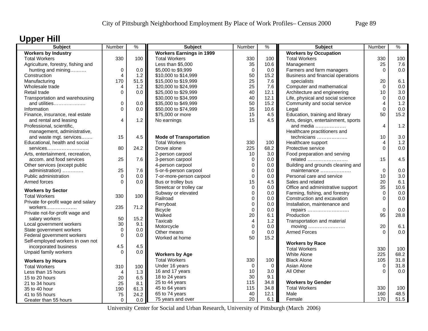# **Upper Hill**

| <b>Subject</b>                                       | Number         | $\%$ | <b>Subject</b>                  | Number         | ℅           | <b>Subject</b>                      | Number         | $\%$ |
|------------------------------------------------------|----------------|------|---------------------------------|----------------|-------------|-------------------------------------|----------------|------|
| <b>Workers by Industry</b>                           |                |      | <b>Workers Earnings in 1999</b> |                |             | <b>Workers by Occupation</b>        |                |      |
| <b>Total Workers</b>                                 | 330            | 100  | <b>Total Workers</b>            | 330            | 100         | <b>Total Workers</b>                | 330            | 100  |
| Agriculture, forestry, fishing and                   |                |      | Less than \$5,000               | 35             | 10.6        | Management                          | 25             | 7.6  |
| hunting and mining                                   | $\mathbf 0$    | 0.0  | \$5,000 to \$9,999              | $\mathbf 0$    | 0.0         | Farmers and farm managers           | $\Omega$       | 0.0  |
| Construction                                         | $\overline{4}$ | 1.2  | \$10,000 to \$14,999            | 50             | 15.2        | Business and financial operations   |                |      |
| Manufacturing                                        | 170            | 51.5 | \$15,000 to \$19,999            | 25             | 7.6         | specialists                         | 20             | 6.1  |
| Wholesale trade                                      | 4              | 1.2  | \$20,000 to \$24,999            | 25             | 7.6         | Computer and mathematical           | $\Omega$       | 0.0  |
| Retail trade                                         | $\Omega$       | 0.0  | \$25,000 to \$29,999            | 40             | 12.1        | Architecture and engineering        | 10             | 3.0  |
| Transportation and warehousing                       |                |      | \$30,000 to \$34,999            | 40             | 12.1        | Life, physical and social science   | 0              | 0.0  |
| and utilities                                        | 0              | 0.0  | \$35,000 to \$49,999            | 50             | 15.2        | Community and social service        | 4              | 1.2  |
| Information                                          | $\overline{0}$ | 0.0  | \$50,000 to \$74,999            | 35             | 10.6        | Legal                               | $\Omega$       | 0.0  |
| Finance, insurance, real estate                      |                |      | \$75,000 or more                | 15             | 4.5         | Education, training and library     | 50             | 15.2 |
| and rental and leasing                               | 4              | 1.2  | No earnings                     | 15             | 4.5         | Arts, design, entertainment, sports |                |      |
| Professional, scientific,                            |                |      |                                 |                |             | and media                           | 4              | 1.2  |
| management, administrative,                          |                |      |                                 |                |             | Healthcare practitioners and        |                |      |
| and waste mgt. services                              | 15             | 4.5  | <b>Mode of Transportation</b>   |                |             | technicians                         | 10             | 3.0  |
| Educational, health and social                       |                |      | <b>Total Workers</b>            | 330            | 100         | Healthcare support                  | $\overline{4}$ | 1.2  |
| services                                             | 80             | 24.2 | Drove alone                     | 225            | 68.2        | Protective service                  | $\Omega$       | 0.0  |
| Arts, entertainment, recreation,                     |                |      | 2-person carpool                | 10             | 3.0         | Food preparation and serving        |                |      |
| accom. and food services                             | 25             | 7.6  | 3-person carpool                | $\mathbf 0$    | 0.0         | related                             | 15             | 4.5  |
| Other services (except public                        |                |      | 4-person carpool                | $\mathbf 0$    | 0.0         | Building and grounds cleaning and   |                |      |
| administration)                                      | 25             | 7.6  | 5-or-6-person carpool           | $\mathbf 0$    | 0.0         | maintenance                         | 0              | 0.0  |
| Public administration                                | $\Omega$       | 0.0  | 7-or-more-person carpool        | $\mathbf 0$    | 0.0         | Personal care and service           | 10             | 3.0  |
| Armed forces                                         | $\Omega$       | 0.0  | Bus or trolley bus              | 15             | 4.5         | Sales and related                   | 20             | 6.1  |
| <b>Workers by Sector</b>                             |                |      | Streetcar or trolley car        | $\mathbf 0$    | 0.0         | Office and administrative support   | 35             | 10.6 |
| <b>Total Workers</b>                                 | 330            | 100  | Subway or elevated              | $\mathbf 0$    | 0.0         | Farming, fishing, and forestry      | $\mathbf 0$    | 0.0  |
| Private for-profit wage and salary                   |                |      | Railroad                        | $\mathbf 0$    | 0.0         | Construction and excavation         | $\Omega$       | 0.0  |
| workers                                              | 235            | 71.2 | Ferryboat                       | $\pmb{0}$      | 0.0         | Installation, maintenance and       |                |      |
| Private not-for-profit wage and                      |                |      | <b>Bicycle</b>                  | $\Omega$       | 0.0         | repairs                             | $\Omega$       | 0.0  |
| salary workers                                       | 50             | 15.2 | Walked                          | 20             | 6.1         | Production                          | 95             | 28.8 |
|                                                      | 30             | 9.1  | Taxicab                         | $\overline{4}$ | 1.2         | Transportation and material         |                |      |
| Local government workers<br>State government workers | $\Omega$       | 0.0  | Motorcycle                      | $\mathbf 0$    | 0.0         | moving                              | 20             | 6.1  |
| Federal government workers                           | $\mathbf 0$    | 0.0  | Other means                     | $\mathbf 0$    | 0.0         | <b>Armed Forces</b>                 | $\Omega$       | 0.0  |
| Self-employed workers in own not                     |                |      | Worked at home                  | 50             | 15.2        |                                     |                |      |
| incorporated business                                | 4.5            | 4.5  |                                 |                |             | <b>Workers by Race</b>              |                |      |
| Unpaid family workers                                | $\Omega$       | 0.0  |                                 |                |             | <b>Total Workers</b>                | 330            | 100  |
|                                                      |                |      | <b>Workers by Age</b>           |                |             | White Alone                         | 225            | 68.2 |
| <b>Workers by Hours</b>                              |                |      | <b>Total Workers</b>            | 330            | 100         | <b>Black Alone</b>                  | 105            | 31.8 |
| <b>Total Workers</b>                                 | 310            | 100  | Under 16 years                  | $\mathbf 0$    | $\mathbf 0$ | Asian Alone                         | $\mathbf 0$    | 31.8 |
| Less than 15 hours                                   | 4              | 1.3  | 16 and 17 years                 | 10             | 3.0         | All Other                           | $\Omega$       | 0.0  |
| 15 to 20 hours                                       | 20             | 6.5  | 18 to 24 years                  | 30             | 9.1         |                                     |                |      |
| 21 to 34 hours                                       | 25             | 8.1  | 25 to 44 years                  | 115            | 34.8        | <b>Workers by Gender</b>            |                |      |
| 35 to 40 hour                                        | 190            | 61.3 | 45 to 64 years                  | 115            | 34.8        | <b>Total Workers</b>                | 330            | 100  |
| 41 to 55 hours                                       | 75             | 24.2 | 65 to 74 years                  | 40             | 12.1        | Male                                | 160            | 48.5 |
| Greater than 55 hours                                | $\Omega$       | 0.0  | 75 years and over               | 20             | 6.1         | Female                              | 170            | 51.5 |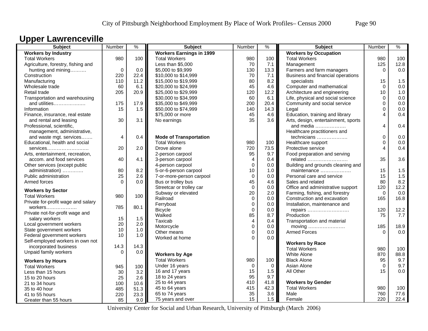## **Upper Lawrenceville**

| <b>Workers by Industry</b><br><b>Workers Earnings in 1999</b><br><b>Workers by Occupation</b><br><b>Total Workers</b><br>980<br>100<br><b>Total Workers</b><br>980<br>100<br><b>Total Workers</b><br>980<br>100<br>Less than \$5,000<br>70<br>7.1<br>125<br>12.8<br>Agriculture, forestry, fishing and<br>Management<br>$\mathbf 0$<br>0.0<br>\$5,000 to \$9,999<br>130<br>13.3<br>Farmers and farm managers<br>$\Omega$<br>0.0<br>hunting and mining<br>Construction<br>220<br>22.4<br>7.1<br>Business and financial operations<br>\$10,000 to \$14,999<br>70<br>1.5<br>110<br>11.2<br>\$15,000 to \$19,999<br>80<br>8.2<br>specialists<br>Manufacturing<br>15<br>Computer and mathematical<br>60<br>6.1<br>\$20,000 to \$24,999<br>45<br>4.6<br>$\Omega$<br>0.0<br>Wholesale trade<br>205<br>Architecture and engineering<br>1.0<br>20.9<br>\$25,000 to \$29,999<br>120<br>12.2<br>10<br>Retail trade<br>Transportation and warehousing<br>\$30,000 to \$34,999<br>60<br>6.1<br>Life, physical and social science<br>$\Omega$<br>0.0<br>200<br>20.4<br>Community and social service<br>$\Omega$<br>0.0<br>and utilities<br>175<br>17.9<br>\$35,000 to \$49,999<br>Information<br>15<br>1.5<br>\$50,000 to \$74,999<br>14.3<br>0.0<br>140<br>Legal<br>$\Omega$<br>Education, training and library<br>\$75,000 or more<br>45<br>4.6<br>0.4<br>Finance, insurance, real estate<br>4<br>35<br>30<br>3.1<br>3.6<br>Arts, design, entertainment, sports<br>and rental and leasing<br>No earnings<br>4<br>0.4<br>Professional, scientific,<br>and media<br>management, administrative,<br>Healthcare practitioners and<br><b>Mode of Transportation</b><br>$\mathbf 0$<br>0.0<br>and waste mgt. services<br>0.4<br>technicians<br>4<br>Educational, health and social<br><b>Total Workers</b><br>980<br>100<br>0.0<br>Healthcare support<br>$\Omega$<br>0.4<br>20<br>2.0<br>Drove alone<br>720<br>73.5<br>Protective service<br>4<br>services<br>95<br>9.7<br>2-person carpool<br>Food preparation and serving<br>Arts, entertainment, recreation,<br>35<br>3.6<br>40<br>4.1<br>3-person carpool<br>$\overline{4}$<br>0.4<br>related<br>accom. and food services<br>$\mathbf 0$<br>Building and grounds cleaning and<br>Other services (except public<br>4-person carpool<br>0.0<br>80<br>8.2<br>10<br>1.5<br>5-or-6-person carpool<br>1.0<br>maintenance<br>15<br>administration)<br>1.5<br>25<br>2.6<br>$\mathbf 0$<br>15<br>Public administration<br>7-or-more-person carpool<br>0.0<br>Personal care and service<br>45<br>80<br>8.2<br>Armed forces<br>$\Omega$<br>0.0<br>Bus or trolley bus<br>4.6<br>Sales and related<br>12.2<br>$\Omega$<br>Streetcar or trolley car<br>0.0<br>Office and administrative support<br>120<br><b>Workers by Sector</b><br>Subway or elevated<br>20<br>0.0<br>2.0<br>Farming, fishing, and forestry<br>$\Omega$<br>100<br><b>Total Workers</b><br>980<br>Railroad<br>$\mathbf 0$<br>Construction and excavation<br>16.8<br>0.0<br>165<br>Private for-profit wage and salary<br>$\mathbf 0$<br>Ferryboat<br>0.0<br>Installation, maintenance and<br>80.1<br>785<br>workers<br>12.2<br>$\mathbf 0$<br>120<br><b>Bicycle</b><br>0.0<br>repairs<br>Private not-for-profit wage and<br>85<br>Walked<br>8.7<br>Production<br>75<br>7.7<br>15<br>salary workers<br>1.5<br>$\overline{4}$<br>Taxicab<br>0.4<br>Transportation and material<br>20<br>2.0<br>Local government workers<br>$\mathbf 0$<br>Motorcycle<br>moving<br>185<br>18.9<br>0.0<br>10<br>State government workers<br>1.0<br>$\mathbf 0$<br>0.0<br>Other means<br>0.0<br><b>Armed Forces</b><br>$\Omega$<br>10<br>Federal government workers<br>1.0<br>$\Omega$<br>0.0<br>Worked at home<br>Self-employed workers in own not<br><b>Workers by Race</b><br>incorporated business<br>14.3<br>14.3<br><b>Total Workers</b><br>980<br>100<br>Unpaid family workers<br>$\Omega$<br>0.0<br><b>Workers by Age</b><br><b>White Alone</b><br>870<br>88.8<br>9.7<br><b>Total Workers</b><br>980<br>100<br><b>Black Alone</b><br>95<br><b>Workers by Hours</b><br>$\Omega$<br>9.7<br>Under 16 years<br>$\Omega$<br>$\Omega$<br>Asian Alone<br><b>Total Workers</b><br>945<br>100<br>15<br>All Other<br>15<br>0.0<br>16 and 17 years<br>1.5<br>Less than 15 hours<br>30<br>3.2<br>95<br>18 to 24 years<br>9.7<br>25<br>2.6<br>15 to 20 hours<br>25 to 44 years<br>410<br><b>Workers by Gender</b><br>41.8<br>21 to 34 hours<br>100<br>10.6<br>45 to 64 years<br>415<br>42.3<br><b>Total Workers</b><br>980<br>100<br>35 to 40 hour<br>485<br>51.3 | Subject        | Number | $\frac{9}{6}$ | <b>Subject</b> | Number | $\%$ | Subject | Number | $\%$ |
|------------------------------------------------------------------------------------------------------------------------------------------------------------------------------------------------------------------------------------------------------------------------------------------------------------------------------------------------------------------------------------------------------------------------------------------------------------------------------------------------------------------------------------------------------------------------------------------------------------------------------------------------------------------------------------------------------------------------------------------------------------------------------------------------------------------------------------------------------------------------------------------------------------------------------------------------------------------------------------------------------------------------------------------------------------------------------------------------------------------------------------------------------------------------------------------------------------------------------------------------------------------------------------------------------------------------------------------------------------------------------------------------------------------------------------------------------------------------------------------------------------------------------------------------------------------------------------------------------------------------------------------------------------------------------------------------------------------------------------------------------------------------------------------------------------------------------------------------------------------------------------------------------------------------------------------------------------------------------------------------------------------------------------------------------------------------------------------------------------------------------------------------------------------------------------------------------------------------------------------------------------------------------------------------------------------------------------------------------------------------------------------------------------------------------------------------------------------------------------------------------------------------------------------------------------------------------------------------------------------------------------------------------------------------------------------------------------------------------------------------------------------------------------------------------------------------------------------------------------------------------------------------------------------------------------------------------------------------------------------------------------------------------------------------------------------------------------------------------------------------------------------------------------------------------------------------------------------------------------------------------------------------------------------------------------------------------------------------------------------------------------------------------------------------------------------------------------------------------------------------------------------------------------------------------------------------------------------------------------------------------------------------------------------------------------------------------------------------------------------------------------------------------------------------------------------------------------------------------------------------------------------------------------------------------------------------------------------------------------------------------------------------------------------------------------------------------------------------------------------------------------------------------------------------------------------------------------------------------------------------------------------------------------------------------------------------------------------------------------------------------------------------------------------------------------------------------------------------------------------------------------------------------|----------------|--------|---------------|----------------|--------|------|---------|--------|------|
|                                                                                                                                                                                                                                                                                                                                                                                                                                                                                                                                                                                                                                                                                                                                                                                                                                                                                                                                                                                                                                                                                                                                                                                                                                                                                                                                                                                                                                                                                                                                                                                                                                                                                                                                                                                                                                                                                                                                                                                                                                                                                                                                                                                                                                                                                                                                                                                                                                                                                                                                                                                                                                                                                                                                                                                                                                                                                                                                                                                                                                                                                                                                                                                                                                                                                                                                                                                                                                                                                                                                                                                                                                                                                                                                                                                                                                                                                                                                                                                                                                                                                                                                                                                                                                                                                                                                                                                                                                                                                                                              |                |        |               |                |        |      |         |        |      |
|                                                                                                                                                                                                                                                                                                                                                                                                                                                                                                                                                                                                                                                                                                                                                                                                                                                                                                                                                                                                                                                                                                                                                                                                                                                                                                                                                                                                                                                                                                                                                                                                                                                                                                                                                                                                                                                                                                                                                                                                                                                                                                                                                                                                                                                                                                                                                                                                                                                                                                                                                                                                                                                                                                                                                                                                                                                                                                                                                                                                                                                                                                                                                                                                                                                                                                                                                                                                                                                                                                                                                                                                                                                                                                                                                                                                                                                                                                                                                                                                                                                                                                                                                                                                                                                                                                                                                                                                                                                                                                                              |                |        |               |                |        |      |         |        |      |
|                                                                                                                                                                                                                                                                                                                                                                                                                                                                                                                                                                                                                                                                                                                                                                                                                                                                                                                                                                                                                                                                                                                                                                                                                                                                                                                                                                                                                                                                                                                                                                                                                                                                                                                                                                                                                                                                                                                                                                                                                                                                                                                                                                                                                                                                                                                                                                                                                                                                                                                                                                                                                                                                                                                                                                                                                                                                                                                                                                                                                                                                                                                                                                                                                                                                                                                                                                                                                                                                                                                                                                                                                                                                                                                                                                                                                                                                                                                                                                                                                                                                                                                                                                                                                                                                                                                                                                                                                                                                                                                              |                |        |               |                |        |      |         |        |      |
|                                                                                                                                                                                                                                                                                                                                                                                                                                                                                                                                                                                                                                                                                                                                                                                                                                                                                                                                                                                                                                                                                                                                                                                                                                                                                                                                                                                                                                                                                                                                                                                                                                                                                                                                                                                                                                                                                                                                                                                                                                                                                                                                                                                                                                                                                                                                                                                                                                                                                                                                                                                                                                                                                                                                                                                                                                                                                                                                                                                                                                                                                                                                                                                                                                                                                                                                                                                                                                                                                                                                                                                                                                                                                                                                                                                                                                                                                                                                                                                                                                                                                                                                                                                                                                                                                                                                                                                                                                                                                                                              |                |        |               |                |        |      |         |        |      |
|                                                                                                                                                                                                                                                                                                                                                                                                                                                                                                                                                                                                                                                                                                                                                                                                                                                                                                                                                                                                                                                                                                                                                                                                                                                                                                                                                                                                                                                                                                                                                                                                                                                                                                                                                                                                                                                                                                                                                                                                                                                                                                                                                                                                                                                                                                                                                                                                                                                                                                                                                                                                                                                                                                                                                                                                                                                                                                                                                                                                                                                                                                                                                                                                                                                                                                                                                                                                                                                                                                                                                                                                                                                                                                                                                                                                                                                                                                                                                                                                                                                                                                                                                                                                                                                                                                                                                                                                                                                                                                                              |                |        |               |                |        |      |         |        |      |
|                                                                                                                                                                                                                                                                                                                                                                                                                                                                                                                                                                                                                                                                                                                                                                                                                                                                                                                                                                                                                                                                                                                                                                                                                                                                                                                                                                                                                                                                                                                                                                                                                                                                                                                                                                                                                                                                                                                                                                                                                                                                                                                                                                                                                                                                                                                                                                                                                                                                                                                                                                                                                                                                                                                                                                                                                                                                                                                                                                                                                                                                                                                                                                                                                                                                                                                                                                                                                                                                                                                                                                                                                                                                                                                                                                                                                                                                                                                                                                                                                                                                                                                                                                                                                                                                                                                                                                                                                                                                                                                              |                |        |               |                |        |      |         |        |      |
|                                                                                                                                                                                                                                                                                                                                                                                                                                                                                                                                                                                                                                                                                                                                                                                                                                                                                                                                                                                                                                                                                                                                                                                                                                                                                                                                                                                                                                                                                                                                                                                                                                                                                                                                                                                                                                                                                                                                                                                                                                                                                                                                                                                                                                                                                                                                                                                                                                                                                                                                                                                                                                                                                                                                                                                                                                                                                                                                                                                                                                                                                                                                                                                                                                                                                                                                                                                                                                                                                                                                                                                                                                                                                                                                                                                                                                                                                                                                                                                                                                                                                                                                                                                                                                                                                                                                                                                                                                                                                                                              |                |        |               |                |        |      |         |        |      |
|                                                                                                                                                                                                                                                                                                                                                                                                                                                                                                                                                                                                                                                                                                                                                                                                                                                                                                                                                                                                                                                                                                                                                                                                                                                                                                                                                                                                                                                                                                                                                                                                                                                                                                                                                                                                                                                                                                                                                                                                                                                                                                                                                                                                                                                                                                                                                                                                                                                                                                                                                                                                                                                                                                                                                                                                                                                                                                                                                                                                                                                                                                                                                                                                                                                                                                                                                                                                                                                                                                                                                                                                                                                                                                                                                                                                                                                                                                                                                                                                                                                                                                                                                                                                                                                                                                                                                                                                                                                                                                                              |                |        |               |                |        |      |         |        |      |
|                                                                                                                                                                                                                                                                                                                                                                                                                                                                                                                                                                                                                                                                                                                                                                                                                                                                                                                                                                                                                                                                                                                                                                                                                                                                                                                                                                                                                                                                                                                                                                                                                                                                                                                                                                                                                                                                                                                                                                                                                                                                                                                                                                                                                                                                                                                                                                                                                                                                                                                                                                                                                                                                                                                                                                                                                                                                                                                                                                                                                                                                                                                                                                                                                                                                                                                                                                                                                                                                                                                                                                                                                                                                                                                                                                                                                                                                                                                                                                                                                                                                                                                                                                                                                                                                                                                                                                                                                                                                                                                              |                |        |               |                |        |      |         |        |      |
|                                                                                                                                                                                                                                                                                                                                                                                                                                                                                                                                                                                                                                                                                                                                                                                                                                                                                                                                                                                                                                                                                                                                                                                                                                                                                                                                                                                                                                                                                                                                                                                                                                                                                                                                                                                                                                                                                                                                                                                                                                                                                                                                                                                                                                                                                                                                                                                                                                                                                                                                                                                                                                                                                                                                                                                                                                                                                                                                                                                                                                                                                                                                                                                                                                                                                                                                                                                                                                                                                                                                                                                                                                                                                                                                                                                                                                                                                                                                                                                                                                                                                                                                                                                                                                                                                                                                                                                                                                                                                                                              |                |        |               |                |        |      |         |        |      |
|                                                                                                                                                                                                                                                                                                                                                                                                                                                                                                                                                                                                                                                                                                                                                                                                                                                                                                                                                                                                                                                                                                                                                                                                                                                                                                                                                                                                                                                                                                                                                                                                                                                                                                                                                                                                                                                                                                                                                                                                                                                                                                                                                                                                                                                                                                                                                                                                                                                                                                                                                                                                                                                                                                                                                                                                                                                                                                                                                                                                                                                                                                                                                                                                                                                                                                                                                                                                                                                                                                                                                                                                                                                                                                                                                                                                                                                                                                                                                                                                                                                                                                                                                                                                                                                                                                                                                                                                                                                                                                                              |                |        |               |                |        |      |         |        |      |
|                                                                                                                                                                                                                                                                                                                                                                                                                                                                                                                                                                                                                                                                                                                                                                                                                                                                                                                                                                                                                                                                                                                                                                                                                                                                                                                                                                                                                                                                                                                                                                                                                                                                                                                                                                                                                                                                                                                                                                                                                                                                                                                                                                                                                                                                                                                                                                                                                                                                                                                                                                                                                                                                                                                                                                                                                                                                                                                                                                                                                                                                                                                                                                                                                                                                                                                                                                                                                                                                                                                                                                                                                                                                                                                                                                                                                                                                                                                                                                                                                                                                                                                                                                                                                                                                                                                                                                                                                                                                                                                              |                |        |               |                |        |      |         |        |      |
|                                                                                                                                                                                                                                                                                                                                                                                                                                                                                                                                                                                                                                                                                                                                                                                                                                                                                                                                                                                                                                                                                                                                                                                                                                                                                                                                                                                                                                                                                                                                                                                                                                                                                                                                                                                                                                                                                                                                                                                                                                                                                                                                                                                                                                                                                                                                                                                                                                                                                                                                                                                                                                                                                                                                                                                                                                                                                                                                                                                                                                                                                                                                                                                                                                                                                                                                                                                                                                                                                                                                                                                                                                                                                                                                                                                                                                                                                                                                                                                                                                                                                                                                                                                                                                                                                                                                                                                                                                                                                                                              |                |        |               |                |        |      |         |        |      |
|                                                                                                                                                                                                                                                                                                                                                                                                                                                                                                                                                                                                                                                                                                                                                                                                                                                                                                                                                                                                                                                                                                                                                                                                                                                                                                                                                                                                                                                                                                                                                                                                                                                                                                                                                                                                                                                                                                                                                                                                                                                                                                                                                                                                                                                                                                                                                                                                                                                                                                                                                                                                                                                                                                                                                                                                                                                                                                                                                                                                                                                                                                                                                                                                                                                                                                                                                                                                                                                                                                                                                                                                                                                                                                                                                                                                                                                                                                                                                                                                                                                                                                                                                                                                                                                                                                                                                                                                                                                                                                                              |                |        |               |                |        |      |         |        |      |
|                                                                                                                                                                                                                                                                                                                                                                                                                                                                                                                                                                                                                                                                                                                                                                                                                                                                                                                                                                                                                                                                                                                                                                                                                                                                                                                                                                                                                                                                                                                                                                                                                                                                                                                                                                                                                                                                                                                                                                                                                                                                                                                                                                                                                                                                                                                                                                                                                                                                                                                                                                                                                                                                                                                                                                                                                                                                                                                                                                                                                                                                                                                                                                                                                                                                                                                                                                                                                                                                                                                                                                                                                                                                                                                                                                                                                                                                                                                                                                                                                                                                                                                                                                                                                                                                                                                                                                                                                                                                                                                              |                |        |               |                |        |      |         |        |      |
|                                                                                                                                                                                                                                                                                                                                                                                                                                                                                                                                                                                                                                                                                                                                                                                                                                                                                                                                                                                                                                                                                                                                                                                                                                                                                                                                                                                                                                                                                                                                                                                                                                                                                                                                                                                                                                                                                                                                                                                                                                                                                                                                                                                                                                                                                                                                                                                                                                                                                                                                                                                                                                                                                                                                                                                                                                                                                                                                                                                                                                                                                                                                                                                                                                                                                                                                                                                                                                                                                                                                                                                                                                                                                                                                                                                                                                                                                                                                                                                                                                                                                                                                                                                                                                                                                                                                                                                                                                                                                                                              |                |        |               |                |        |      |         |        |      |
|                                                                                                                                                                                                                                                                                                                                                                                                                                                                                                                                                                                                                                                                                                                                                                                                                                                                                                                                                                                                                                                                                                                                                                                                                                                                                                                                                                                                                                                                                                                                                                                                                                                                                                                                                                                                                                                                                                                                                                                                                                                                                                                                                                                                                                                                                                                                                                                                                                                                                                                                                                                                                                                                                                                                                                                                                                                                                                                                                                                                                                                                                                                                                                                                                                                                                                                                                                                                                                                                                                                                                                                                                                                                                                                                                                                                                                                                                                                                                                                                                                                                                                                                                                                                                                                                                                                                                                                                                                                                                                                              |                |        |               |                |        |      |         |        |      |
|                                                                                                                                                                                                                                                                                                                                                                                                                                                                                                                                                                                                                                                                                                                                                                                                                                                                                                                                                                                                                                                                                                                                                                                                                                                                                                                                                                                                                                                                                                                                                                                                                                                                                                                                                                                                                                                                                                                                                                                                                                                                                                                                                                                                                                                                                                                                                                                                                                                                                                                                                                                                                                                                                                                                                                                                                                                                                                                                                                                                                                                                                                                                                                                                                                                                                                                                                                                                                                                                                                                                                                                                                                                                                                                                                                                                                                                                                                                                                                                                                                                                                                                                                                                                                                                                                                                                                                                                                                                                                                                              |                |        |               |                |        |      |         |        |      |
|                                                                                                                                                                                                                                                                                                                                                                                                                                                                                                                                                                                                                                                                                                                                                                                                                                                                                                                                                                                                                                                                                                                                                                                                                                                                                                                                                                                                                                                                                                                                                                                                                                                                                                                                                                                                                                                                                                                                                                                                                                                                                                                                                                                                                                                                                                                                                                                                                                                                                                                                                                                                                                                                                                                                                                                                                                                                                                                                                                                                                                                                                                                                                                                                                                                                                                                                                                                                                                                                                                                                                                                                                                                                                                                                                                                                                                                                                                                                                                                                                                                                                                                                                                                                                                                                                                                                                                                                                                                                                                                              |                |        |               |                |        |      |         |        |      |
|                                                                                                                                                                                                                                                                                                                                                                                                                                                                                                                                                                                                                                                                                                                                                                                                                                                                                                                                                                                                                                                                                                                                                                                                                                                                                                                                                                                                                                                                                                                                                                                                                                                                                                                                                                                                                                                                                                                                                                                                                                                                                                                                                                                                                                                                                                                                                                                                                                                                                                                                                                                                                                                                                                                                                                                                                                                                                                                                                                                                                                                                                                                                                                                                                                                                                                                                                                                                                                                                                                                                                                                                                                                                                                                                                                                                                                                                                                                                                                                                                                                                                                                                                                                                                                                                                                                                                                                                                                                                                                                              |                |        |               |                |        |      |         |        |      |
|                                                                                                                                                                                                                                                                                                                                                                                                                                                                                                                                                                                                                                                                                                                                                                                                                                                                                                                                                                                                                                                                                                                                                                                                                                                                                                                                                                                                                                                                                                                                                                                                                                                                                                                                                                                                                                                                                                                                                                                                                                                                                                                                                                                                                                                                                                                                                                                                                                                                                                                                                                                                                                                                                                                                                                                                                                                                                                                                                                                                                                                                                                                                                                                                                                                                                                                                                                                                                                                                                                                                                                                                                                                                                                                                                                                                                                                                                                                                                                                                                                                                                                                                                                                                                                                                                                                                                                                                                                                                                                                              |                |        |               |                |        |      |         |        |      |
|                                                                                                                                                                                                                                                                                                                                                                                                                                                                                                                                                                                                                                                                                                                                                                                                                                                                                                                                                                                                                                                                                                                                                                                                                                                                                                                                                                                                                                                                                                                                                                                                                                                                                                                                                                                                                                                                                                                                                                                                                                                                                                                                                                                                                                                                                                                                                                                                                                                                                                                                                                                                                                                                                                                                                                                                                                                                                                                                                                                                                                                                                                                                                                                                                                                                                                                                                                                                                                                                                                                                                                                                                                                                                                                                                                                                                                                                                                                                                                                                                                                                                                                                                                                                                                                                                                                                                                                                                                                                                                                              |                |        |               |                |        |      |         |        |      |
|                                                                                                                                                                                                                                                                                                                                                                                                                                                                                                                                                                                                                                                                                                                                                                                                                                                                                                                                                                                                                                                                                                                                                                                                                                                                                                                                                                                                                                                                                                                                                                                                                                                                                                                                                                                                                                                                                                                                                                                                                                                                                                                                                                                                                                                                                                                                                                                                                                                                                                                                                                                                                                                                                                                                                                                                                                                                                                                                                                                                                                                                                                                                                                                                                                                                                                                                                                                                                                                                                                                                                                                                                                                                                                                                                                                                                                                                                                                                                                                                                                                                                                                                                                                                                                                                                                                                                                                                                                                                                                                              |                |        |               |                |        |      |         |        |      |
|                                                                                                                                                                                                                                                                                                                                                                                                                                                                                                                                                                                                                                                                                                                                                                                                                                                                                                                                                                                                                                                                                                                                                                                                                                                                                                                                                                                                                                                                                                                                                                                                                                                                                                                                                                                                                                                                                                                                                                                                                                                                                                                                                                                                                                                                                                                                                                                                                                                                                                                                                                                                                                                                                                                                                                                                                                                                                                                                                                                                                                                                                                                                                                                                                                                                                                                                                                                                                                                                                                                                                                                                                                                                                                                                                                                                                                                                                                                                                                                                                                                                                                                                                                                                                                                                                                                                                                                                                                                                                                                              |                |        |               |                |        |      |         |        |      |
|                                                                                                                                                                                                                                                                                                                                                                                                                                                                                                                                                                                                                                                                                                                                                                                                                                                                                                                                                                                                                                                                                                                                                                                                                                                                                                                                                                                                                                                                                                                                                                                                                                                                                                                                                                                                                                                                                                                                                                                                                                                                                                                                                                                                                                                                                                                                                                                                                                                                                                                                                                                                                                                                                                                                                                                                                                                                                                                                                                                                                                                                                                                                                                                                                                                                                                                                                                                                                                                                                                                                                                                                                                                                                                                                                                                                                                                                                                                                                                                                                                                                                                                                                                                                                                                                                                                                                                                                                                                                                                                              |                |        |               |                |        |      |         |        |      |
|                                                                                                                                                                                                                                                                                                                                                                                                                                                                                                                                                                                                                                                                                                                                                                                                                                                                                                                                                                                                                                                                                                                                                                                                                                                                                                                                                                                                                                                                                                                                                                                                                                                                                                                                                                                                                                                                                                                                                                                                                                                                                                                                                                                                                                                                                                                                                                                                                                                                                                                                                                                                                                                                                                                                                                                                                                                                                                                                                                                                                                                                                                                                                                                                                                                                                                                                                                                                                                                                                                                                                                                                                                                                                                                                                                                                                                                                                                                                                                                                                                                                                                                                                                                                                                                                                                                                                                                                                                                                                                                              |                |        |               |                |        |      |         |        |      |
|                                                                                                                                                                                                                                                                                                                                                                                                                                                                                                                                                                                                                                                                                                                                                                                                                                                                                                                                                                                                                                                                                                                                                                                                                                                                                                                                                                                                                                                                                                                                                                                                                                                                                                                                                                                                                                                                                                                                                                                                                                                                                                                                                                                                                                                                                                                                                                                                                                                                                                                                                                                                                                                                                                                                                                                                                                                                                                                                                                                                                                                                                                                                                                                                                                                                                                                                                                                                                                                                                                                                                                                                                                                                                                                                                                                                                                                                                                                                                                                                                                                                                                                                                                                                                                                                                                                                                                                                                                                                                                                              |                |        |               |                |        |      |         |        |      |
|                                                                                                                                                                                                                                                                                                                                                                                                                                                                                                                                                                                                                                                                                                                                                                                                                                                                                                                                                                                                                                                                                                                                                                                                                                                                                                                                                                                                                                                                                                                                                                                                                                                                                                                                                                                                                                                                                                                                                                                                                                                                                                                                                                                                                                                                                                                                                                                                                                                                                                                                                                                                                                                                                                                                                                                                                                                                                                                                                                                                                                                                                                                                                                                                                                                                                                                                                                                                                                                                                                                                                                                                                                                                                                                                                                                                                                                                                                                                                                                                                                                                                                                                                                                                                                                                                                                                                                                                                                                                                                                              |                |        |               |                |        |      |         |        |      |
|                                                                                                                                                                                                                                                                                                                                                                                                                                                                                                                                                                                                                                                                                                                                                                                                                                                                                                                                                                                                                                                                                                                                                                                                                                                                                                                                                                                                                                                                                                                                                                                                                                                                                                                                                                                                                                                                                                                                                                                                                                                                                                                                                                                                                                                                                                                                                                                                                                                                                                                                                                                                                                                                                                                                                                                                                                                                                                                                                                                                                                                                                                                                                                                                                                                                                                                                                                                                                                                                                                                                                                                                                                                                                                                                                                                                                                                                                                                                                                                                                                                                                                                                                                                                                                                                                                                                                                                                                                                                                                                              |                |        |               |                |        |      |         |        |      |
|                                                                                                                                                                                                                                                                                                                                                                                                                                                                                                                                                                                                                                                                                                                                                                                                                                                                                                                                                                                                                                                                                                                                                                                                                                                                                                                                                                                                                                                                                                                                                                                                                                                                                                                                                                                                                                                                                                                                                                                                                                                                                                                                                                                                                                                                                                                                                                                                                                                                                                                                                                                                                                                                                                                                                                                                                                                                                                                                                                                                                                                                                                                                                                                                                                                                                                                                                                                                                                                                                                                                                                                                                                                                                                                                                                                                                                                                                                                                                                                                                                                                                                                                                                                                                                                                                                                                                                                                                                                                                                                              |                |        |               |                |        |      |         |        |      |
|                                                                                                                                                                                                                                                                                                                                                                                                                                                                                                                                                                                                                                                                                                                                                                                                                                                                                                                                                                                                                                                                                                                                                                                                                                                                                                                                                                                                                                                                                                                                                                                                                                                                                                                                                                                                                                                                                                                                                                                                                                                                                                                                                                                                                                                                                                                                                                                                                                                                                                                                                                                                                                                                                                                                                                                                                                                                                                                                                                                                                                                                                                                                                                                                                                                                                                                                                                                                                                                                                                                                                                                                                                                                                                                                                                                                                                                                                                                                                                                                                                                                                                                                                                                                                                                                                                                                                                                                                                                                                                                              |                |        |               |                |        |      |         |        |      |
|                                                                                                                                                                                                                                                                                                                                                                                                                                                                                                                                                                                                                                                                                                                                                                                                                                                                                                                                                                                                                                                                                                                                                                                                                                                                                                                                                                                                                                                                                                                                                                                                                                                                                                                                                                                                                                                                                                                                                                                                                                                                                                                                                                                                                                                                                                                                                                                                                                                                                                                                                                                                                                                                                                                                                                                                                                                                                                                                                                                                                                                                                                                                                                                                                                                                                                                                                                                                                                                                                                                                                                                                                                                                                                                                                                                                                                                                                                                                                                                                                                                                                                                                                                                                                                                                                                                                                                                                                                                                                                                              |                |        |               |                |        |      |         |        |      |
|                                                                                                                                                                                                                                                                                                                                                                                                                                                                                                                                                                                                                                                                                                                                                                                                                                                                                                                                                                                                                                                                                                                                                                                                                                                                                                                                                                                                                                                                                                                                                                                                                                                                                                                                                                                                                                                                                                                                                                                                                                                                                                                                                                                                                                                                                                                                                                                                                                                                                                                                                                                                                                                                                                                                                                                                                                                                                                                                                                                                                                                                                                                                                                                                                                                                                                                                                                                                                                                                                                                                                                                                                                                                                                                                                                                                                                                                                                                                                                                                                                                                                                                                                                                                                                                                                                                                                                                                                                                                                                                              |                |        |               |                |        |      |         |        |      |
|                                                                                                                                                                                                                                                                                                                                                                                                                                                                                                                                                                                                                                                                                                                                                                                                                                                                                                                                                                                                                                                                                                                                                                                                                                                                                                                                                                                                                                                                                                                                                                                                                                                                                                                                                                                                                                                                                                                                                                                                                                                                                                                                                                                                                                                                                                                                                                                                                                                                                                                                                                                                                                                                                                                                                                                                                                                                                                                                                                                                                                                                                                                                                                                                                                                                                                                                                                                                                                                                                                                                                                                                                                                                                                                                                                                                                                                                                                                                                                                                                                                                                                                                                                                                                                                                                                                                                                                                                                                                                                                              |                |        |               |                |        |      |         |        |      |
|                                                                                                                                                                                                                                                                                                                                                                                                                                                                                                                                                                                                                                                                                                                                                                                                                                                                                                                                                                                                                                                                                                                                                                                                                                                                                                                                                                                                                                                                                                                                                                                                                                                                                                                                                                                                                                                                                                                                                                                                                                                                                                                                                                                                                                                                                                                                                                                                                                                                                                                                                                                                                                                                                                                                                                                                                                                                                                                                                                                                                                                                                                                                                                                                                                                                                                                                                                                                                                                                                                                                                                                                                                                                                                                                                                                                                                                                                                                                                                                                                                                                                                                                                                                                                                                                                                                                                                                                                                                                                                                              |                |        |               |                |        |      |         |        |      |
|                                                                                                                                                                                                                                                                                                                                                                                                                                                                                                                                                                                                                                                                                                                                                                                                                                                                                                                                                                                                                                                                                                                                                                                                                                                                                                                                                                                                                                                                                                                                                                                                                                                                                                                                                                                                                                                                                                                                                                                                                                                                                                                                                                                                                                                                                                                                                                                                                                                                                                                                                                                                                                                                                                                                                                                                                                                                                                                                                                                                                                                                                                                                                                                                                                                                                                                                                                                                                                                                                                                                                                                                                                                                                                                                                                                                                                                                                                                                                                                                                                                                                                                                                                                                                                                                                                                                                                                                                                                                                                                              |                |        |               |                |        |      |         |        |      |
|                                                                                                                                                                                                                                                                                                                                                                                                                                                                                                                                                                                                                                                                                                                                                                                                                                                                                                                                                                                                                                                                                                                                                                                                                                                                                                                                                                                                                                                                                                                                                                                                                                                                                                                                                                                                                                                                                                                                                                                                                                                                                                                                                                                                                                                                                                                                                                                                                                                                                                                                                                                                                                                                                                                                                                                                                                                                                                                                                                                                                                                                                                                                                                                                                                                                                                                                                                                                                                                                                                                                                                                                                                                                                                                                                                                                                                                                                                                                                                                                                                                                                                                                                                                                                                                                                                                                                                                                                                                                                                                              |                |        |               |                |        |      |         |        |      |
|                                                                                                                                                                                                                                                                                                                                                                                                                                                                                                                                                                                                                                                                                                                                                                                                                                                                                                                                                                                                                                                                                                                                                                                                                                                                                                                                                                                                                                                                                                                                                                                                                                                                                                                                                                                                                                                                                                                                                                                                                                                                                                                                                                                                                                                                                                                                                                                                                                                                                                                                                                                                                                                                                                                                                                                                                                                                                                                                                                                                                                                                                                                                                                                                                                                                                                                                                                                                                                                                                                                                                                                                                                                                                                                                                                                                                                                                                                                                                                                                                                                                                                                                                                                                                                                                                                                                                                                                                                                                                                                              |                |        |               |                |        |      |         |        |      |
|                                                                                                                                                                                                                                                                                                                                                                                                                                                                                                                                                                                                                                                                                                                                                                                                                                                                                                                                                                                                                                                                                                                                                                                                                                                                                                                                                                                                                                                                                                                                                                                                                                                                                                                                                                                                                                                                                                                                                                                                                                                                                                                                                                                                                                                                                                                                                                                                                                                                                                                                                                                                                                                                                                                                                                                                                                                                                                                                                                                                                                                                                                                                                                                                                                                                                                                                                                                                                                                                                                                                                                                                                                                                                                                                                                                                                                                                                                                                                                                                                                                                                                                                                                                                                                                                                                                                                                                                                                                                                                                              |                |        |               |                |        |      |         |        |      |
|                                                                                                                                                                                                                                                                                                                                                                                                                                                                                                                                                                                                                                                                                                                                                                                                                                                                                                                                                                                                                                                                                                                                                                                                                                                                                                                                                                                                                                                                                                                                                                                                                                                                                                                                                                                                                                                                                                                                                                                                                                                                                                                                                                                                                                                                                                                                                                                                                                                                                                                                                                                                                                                                                                                                                                                                                                                                                                                                                                                                                                                                                                                                                                                                                                                                                                                                                                                                                                                                                                                                                                                                                                                                                                                                                                                                                                                                                                                                                                                                                                                                                                                                                                                                                                                                                                                                                                                                                                                                                                                              |                |        |               |                |        |      |         |        |      |
|                                                                                                                                                                                                                                                                                                                                                                                                                                                                                                                                                                                                                                                                                                                                                                                                                                                                                                                                                                                                                                                                                                                                                                                                                                                                                                                                                                                                                                                                                                                                                                                                                                                                                                                                                                                                                                                                                                                                                                                                                                                                                                                                                                                                                                                                                                                                                                                                                                                                                                                                                                                                                                                                                                                                                                                                                                                                                                                                                                                                                                                                                                                                                                                                                                                                                                                                                                                                                                                                                                                                                                                                                                                                                                                                                                                                                                                                                                                                                                                                                                                                                                                                                                                                                                                                                                                                                                                                                                                                                                                              |                |        |               |                |        |      |         |        |      |
|                                                                                                                                                                                                                                                                                                                                                                                                                                                                                                                                                                                                                                                                                                                                                                                                                                                                                                                                                                                                                                                                                                                                                                                                                                                                                                                                                                                                                                                                                                                                                                                                                                                                                                                                                                                                                                                                                                                                                                                                                                                                                                                                                                                                                                                                                                                                                                                                                                                                                                                                                                                                                                                                                                                                                                                                                                                                                                                                                                                                                                                                                                                                                                                                                                                                                                                                                                                                                                                                                                                                                                                                                                                                                                                                                                                                                                                                                                                                                                                                                                                                                                                                                                                                                                                                                                                                                                                                                                                                                                                              |                |        |               |                |        |      |         |        |      |
|                                                                                                                                                                                                                                                                                                                                                                                                                                                                                                                                                                                                                                                                                                                                                                                                                                                                                                                                                                                                                                                                                                                                                                                                                                                                                                                                                                                                                                                                                                                                                                                                                                                                                                                                                                                                                                                                                                                                                                                                                                                                                                                                                                                                                                                                                                                                                                                                                                                                                                                                                                                                                                                                                                                                                                                                                                                                                                                                                                                                                                                                                                                                                                                                                                                                                                                                                                                                                                                                                                                                                                                                                                                                                                                                                                                                                                                                                                                                                                                                                                                                                                                                                                                                                                                                                                                                                                                                                                                                                                                              |                |        |               |                |        |      |         |        |      |
|                                                                                                                                                                                                                                                                                                                                                                                                                                                                                                                                                                                                                                                                                                                                                                                                                                                                                                                                                                                                                                                                                                                                                                                                                                                                                                                                                                                                                                                                                                                                                                                                                                                                                                                                                                                                                                                                                                                                                                                                                                                                                                                                                                                                                                                                                                                                                                                                                                                                                                                                                                                                                                                                                                                                                                                                                                                                                                                                                                                                                                                                                                                                                                                                                                                                                                                                                                                                                                                                                                                                                                                                                                                                                                                                                                                                                                                                                                                                                                                                                                                                                                                                                                                                                                                                                                                                                                                                                                                                                                                              | 41 to 55 hours | 220    | 23.3          | 65 to 74 years | 35     | 3.6  | Male    | 760    | 77.6 |
| 15<br>220<br>22.4<br>75 years and over<br>1.5<br>Female<br>85<br>9.0<br>Greater than 55 hours                                                                                                                                                                                                                                                                                                                                                                                                                                                                                                                                                                                                                                                                                                                                                                                                                                                                                                                                                                                                                                                                                                                                                                                                                                                                                                                                                                                                                                                                                                                                                                                                                                                                                                                                                                                                                                                                                                                                                                                                                                                                                                                                                                                                                                                                                                                                                                                                                                                                                                                                                                                                                                                                                                                                                                                                                                                                                                                                                                                                                                                                                                                                                                                                                                                                                                                                                                                                                                                                                                                                                                                                                                                                                                                                                                                                                                                                                                                                                                                                                                                                                                                                                                                                                                                                                                                                                                                                                                |                |        |               |                |        |      |         |        |      |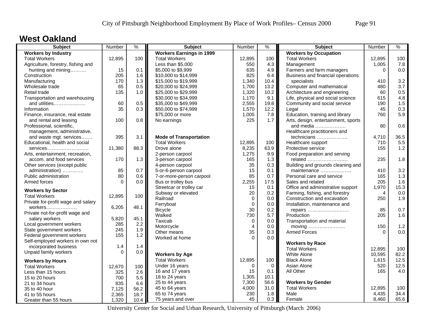#### **West Oakland**

| <b>Subject</b>                     | Number   | $\frac{9}{6}$ | <b>Subject</b>                  | <b>Number</b> | $\frac{9}{6}$ | <b>Subject</b>                      | Number   | $\%$  |
|------------------------------------|----------|---------------|---------------------------------|---------------|---------------|-------------------------------------|----------|-------|
| <b>Workers by Industry</b>         |          |               | <b>Workers Earnings in 1999</b> |               |               | <b>Workers by Occupation</b>        |          |       |
| <b>Total Workers</b>               | 12,895   | 100           | <b>Total Workers</b>            | 12,895        | 100           | <b>Total Workers</b>                | 12,895   | 100   |
| Agriculture, forestry, fishing and |          |               | Less than \$5,000               | 550           | 4.3           | Management                          | 1,005    | 7.8   |
| hunting and mining                 | 15       | 0.1           | \$5,000 to \$9,999              | 635           | 4.9           | Farmers and farm managers           | $\Omega$ | 0.0   |
| Construction                       | 205      | 1.6           | \$10,000 to \$14,999            | 825           | 6.4           | Business and financial operations   |          |       |
| Manufacturing                      | 170      | 1.3           | \$15,000 to \$19,999            | 1,340         | 10.4          | specialists                         | 410      | 3.2   |
| Wholesale trade                    | 65       | 0.5           | \$20,000 to \$24,999            | 1,700         | 13.2          | Computer and mathematical           | 480      | 3.7   |
| Retail trade                       | 135      | 1.0           | \$25,000 to \$29,999            | 1,320         | 10.2          | Architecture and engineering        | 60       | 0.5   |
| Transportation and warehousing     |          |               | \$30,000 to \$34,999            | 1,170         | 9.1           | Life, physical and social science   | 615      | 4.8   |
| and utilities                      | 60       | 0.5           | \$35,000 to \$49,999            | 2,555         | 19.8          | Community and social service        | 190      | 1.5   |
| Information                        | 35       | 0.3           | \$50,000 to \$74,999            | 1,570         | 12.2          | Legal                               | 45       | 0.3   |
| Finance, insurance, real estate    |          |               | \$75,000 or more                | 1,005         | 7.8           | Education, training and library     | 760      | 5.9   |
| and rental and leasing             | 100      | 0.8           | No earnings                     | 225           | 1.7           | Arts, design, entertainment, sports |          |       |
| Professional, scientific,          |          |               |                                 |               |               | and media                           | 80       | 0.6   |
| management, administrative,        |          |               |                                 |               |               | Healthcare practitioners and        |          |       |
| and waste mgt. services            | 395      | 3.1           | <b>Mode of Transportation</b>   |               |               | technicians                         | 4,710    | 36.5  |
| Educational, health and social     |          |               | <b>Total Workers</b>            | 12,895        | 100           | Healthcare support                  | 710      | 5.5   |
| services                           | 11,380   | 88.3          | Drove alone                     | 8,235         | 63.9          | Protective service                  | 155      | $1.2$ |
| Arts, entertainment, recreation,   |          |               | 2-person carpool                | 1,275         | 9.9           | Food preparation and serving        |          |       |
| accom. and food services           | 170      | 1.3           | 3-person carpool                | 165           | 1.3           | related                             | 235      | 1.8   |
| Other services (except public      |          |               | 4-person carpool                | 35            | 0.3           | Building and grounds cleaning and   |          |       |
| administration)                    | 85       | 0.7           | 5-or-6-person carpool           | 15            | 0.1           | maintenance                         | 410      | 3.2   |
| Public administration              | 80       | 0.6           | 7-or-more-person carpool        | 85            | 0.7           | Personal care and service           | 165      | 1.3   |
| Armed forces                       | $\Omega$ | 0.0           | Bus or trolley bus              | 2,255         | 17.5          | Sales and related                   | 205      | 1.6   |
|                                    |          |               | Streetcar or trolley car        | 15            | 0.1           | Office and administrative support   | 1,970    | 15.3  |
| <b>Workers by Sector</b>           |          |               | Subway or elevated              | 20            | 0.2           | Farming, fishing, and forestry      | 4        | 0.0   |
| <b>Total Workers</b>               | 12,895   | 100           | Railroad                        | $\mathbf 0$   | 0.0           | Construction and excavation         | 250      | 1.9   |
| Private for-profit wage and salary |          |               | Ferryboat                       | $\mathbf 0$   | $0.0\,$       | Installation, maintenance and       |          |       |
| workers                            | 6,205    | 48.1          | <b>Bicycle</b>                  | 30            | 0.2           | repairs                             | 85       | 0.7   |
| Private not-for-profit wage and    |          |               | Walked                          | 730           | 5.7           | Production                          | 205      | 1.6   |
| salary workers                     | 5,820    | 45.1          | Taxicab                         | $\mathbf 0$   | 0.0           | Transportation and material         |          |       |
| Local government workers           | 285      | 2.2           | Motorcycle                      | 4             | 0.0           | moving                              | 150      | 1.2   |
| State government workers           | 245      | 1.9           | Other means                     | 35            | 0.3           | <b>Armed Forces</b>                 | $\Omega$ | 0.0   |
| Federal government workers         | 155      | 1.2           | Worked at home                  | $\Omega$      | 0.0           |                                     |          |       |
| Self-employed workers in own not   |          |               |                                 |               |               | <b>Workers by Race</b>              |          |       |
| incorporated business              | 1.4      | 1.4           |                                 |               |               | <b>Total Workers</b>                | 12,895   | 100   |
| Unpaid family workers              | $\Omega$ | 0.0           | <b>Workers by Age</b>           |               |               | <b>White Alone</b>                  | 10,595   | 82.2  |
|                                    |          |               | <b>Total Workers</b>            | 12,895        | 100           | <b>Black Alone</b>                  | 1,615    | 12.5  |
| <b>Workers by Hours</b>            |          |               | Under 16 years                  | $\Omega$      | $\Omega$      | Asian Alone                         | 520      | 12.5  |
| <b>Total Workers</b>               | 12,670   | 100           | 16 and 17 years                 | 15            | 0.1           | All Other                           | 165      | 4.0   |
| Less than 15 hours                 | 325      | 2.6           | 18 to 24 years                  | 1,305         | 10.1          |                                     |          |       |
| 15 to 20 hours                     | 700      | 5.5           |                                 |               | 56.6          | <b>Workers by Gender</b>            |          |       |
| 21 to 34 hours                     | 835      | 6.6           | 25 to 44 years                  | 7,300         | 31.0          | <b>Total Workers</b>                |          | 100   |
| 35 to 40 hour                      | 7,125    | 56.2          | 45 to 64 years                  | 4,000         |               |                                     | 12,895   |       |
| 41 to 55 hours                     | 2,365    | 18.7          | 65 to 74 years                  | 230           | 1.8           | Male                                | 4,435    | 34.4  |
| Greater than 55 hours              | 1,320    | 10.4          | 75 years and over               | 45            | 0.3           | Female                              | 8,460    | 65.6  |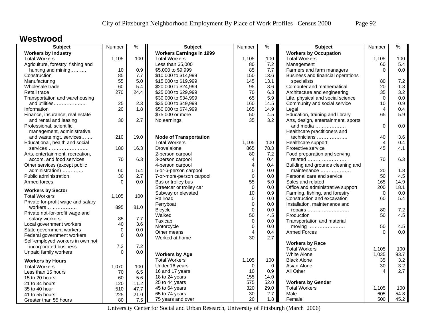#### **Westwood**

| <b>Subject</b>                     | Number      | $\%$ | <b>Subject</b>                  | Number         | %    | <b>Subject</b>                      | Number   | %    |
|------------------------------------|-------------|------|---------------------------------|----------------|------|-------------------------------------|----------|------|
| <b>Workers by Industry</b>         |             |      | <b>Workers Earnings in 1999</b> |                |      | <b>Workers by Occupation</b>        |          |      |
| <b>Total Workers</b>               | 1,105       | 100  | <b>Total Workers</b>            | 1,105          | 100  | <b>Total Workers</b>                | 1,105    | 100  |
| Agriculture, forestry, fishing and |             |      | Less than \$5,000               | 80             | 7.2  | Management                          | 60       | 5.4  |
| hunting and mining                 | 10          | 0.9  | \$5,000 to \$9,999              | 85             | 7.7  | Farmers and farm managers           | $\Omega$ | 0.0  |
| Construction                       | 85          | 7.7  | \$10,000 to \$14,999            | 150            | 13.6 | Business and financial operations   |          |      |
| Manufacturing                      | 55          | 5.0  | \$15,000 to \$19,999            | 145            | 13.1 | specialists                         | 80       | 7.2  |
| Wholesale trade                    | 60          | 5.4  | \$20,000 to \$24,999            | 95             | 8.6  | Computer and mathematical           | 20       | 1.8  |
| Retail trade                       | 270         | 24.4 | \$25,000 to \$29,999            | 70             | 6.3  | Architecture and engineering        | 35       | 3.2  |
| Transportation and warehousing     |             |      | \$30,000 to \$34,999            | 65             | 5.9  | Life, physical and social science   | $\Omega$ | 0.0  |
| and utilities                      | 25          | 2.3  | \$35,000 to \$49,999            | 160            | 14.5 | Community and social service        | 10       | 0.9  |
| Information                        | 20          | 1.8  | \$50,000 to \$74,999            | 165            | 14.9 | Legal                               | 4        | 0.4  |
| Finance, insurance, real estate    |             |      | \$75,000 or more                | 50             | 4.5  | Education, training and library     | 65       | 5.9  |
| and rental and leasing             | 30          | 2.7  | No earnings                     | 35             | 3.2  | Arts, design, entertainment, sports |          |      |
| Professional, scientific,          |             |      |                                 |                |      | and media                           | $\Omega$ | 0.0  |
| management, administrative,        |             |      |                                 |                |      | Healthcare practitioners and        |          |      |
| and waste mgt. services            | 210         | 19.0 | <b>Mode of Transportation</b>   |                |      | technicians                         | 40       | 3.6  |
| Educational, health and social     |             |      | <b>Total Workers</b>            | 1,105          | 100  | Healthcare support                  | 4        | 0.4  |
| $s$ ervices                        | 180         | 16.3 | Drove alone                     | 865            | 78.3 | Protective service                  | 45       | 4.1  |
| Arts, entertainment, recreation,   |             |      | 2-person carpool                | 80             | 7.2  | Food preparation and serving        |          |      |
| accom. and food services           | 70          | 6.3  | 3-person carpool                | $\overline{4}$ | 0.4  | related                             | 70       | 6.3  |
| Other services (except public      |             |      | 4-person carpool                | $\overline{4}$ | 0.4  | Building and grounds cleaning and   |          |      |
| administration)                    | 60          | 5.4  | 5-or-6-person carpool           | $\mathbf 0$    | 0.0  | maintenance                         | 20       | 1.8  |
| Public administration              | 30          | 2.7  | 7-or-more-person carpool        | $\mathbf 0$    | 0.0  | Personal care and service           | 50       | 4.5  |
| Armed forces                       | $\Omega$    | 0.0  | Bus or trolley bus              | 55             | 5.0  | Sales and related                   | 165      | 14.9 |
|                                    |             |      | Streetcar or trolley car        | $\Omega$       | 0.0  | Office and administrative support   | 200      | 18.1 |
| <b>Workers by Sector</b>           |             |      | Subway or elevated              | 10             | 0.9  | Farming, fishing, and forestry      | $\Omega$ | 0.0  |
| <b>Total Workers</b>               | 1.105       | 100  | Railroad                        | $\mathbf 0$    | 0.0  | Construction and excavation         | 60       | 5.4  |
| Private for-profit wage and salary |             |      | Ferryboat                       | $\mathbf 0$    | 0.0  | Installation, maintenance and       |          |      |
| workers                            | 895         | 81.0 | <b>Bicycle</b>                  | $\mathbf 0$    | 0.0  |                                     | 80       | 7.2  |
| Private not-for-profit wage and    |             |      | Walked                          | 50             | 4.5  | repairs<br>Production               | 50       | 4.5  |
| salary workers                     | 85          | 7.7  | Taxicab                         | $\mathbf 0$    | 0.0  |                                     |          |      |
| Local government workers           | 40          | 3.6  | Motorcycle                      | $\mathbf 0$    | 0.0  | Transportation and material         | 50       | 4.5  |
| State government workers           | $\mathbf 0$ | 0.0  |                                 | $\overline{4}$ |      | moving                              | $\Omega$ | 0.0  |
| Federal government workers         | $\Omega$    | 0.0  | Other means                     | 30             | 0.4  | <b>Armed Forces</b>                 |          |      |
| Self-employed workers in own not   |             |      | Worked at home                  |                | 2.7  |                                     |          |      |
| incorporated business              | 7.2         | 7.2  |                                 |                |      | <b>Workers by Race</b>              |          |      |
| Unpaid family workers              | $\Omega$    | 0.0  |                                 |                |      | <b>Total Workers</b>                | 1,105    | 100  |
|                                    |             |      | <b>Workers by Age</b>           |                |      | <b>White Alone</b>                  | 1,035    | 93.7 |
| <b>Workers by Hours</b>            |             |      | <b>Total Workers</b>            | 1,105          | 100  | <b>Black Alone</b>                  | 35       | 3.2  |
| <b>Total Workers</b>               | 1,070       | 100  | Under 16 years                  | $\Omega$       | 0    | Asian Alone                         | 30       | 3.2  |
| Less than 15 hours                 | 70          | 6.5  | 16 and 17 years                 | 10             | 0.9  | All Other                           | 4        | 2.7  |
| 15 to 20 hours                     | 60          | 5.6  | 18 to 24 years                  | 155            | 14.0 |                                     |          |      |
| 21 to 34 hours                     | 120         | 11.2 | 25 to 44 years                  | 575            | 52.0 | <b>Workers by Gender</b>            |          |      |
| 35 to 40 hour                      | 510         | 47.7 | 45 to 64 years                  | 320            | 29.0 | <b>Total Workers</b>                | 1,105    | 100  |
| 41 to 55 hours                     | 225         | 21.0 | 65 to 74 years                  | 30             | 2.7  | Male                                | 605      | 54.8 |
| Greater than 55 hours              | 80          | 7.5  | 75 years and over               | 20             | 1.8  | Female                              | 500      | 45.2 |